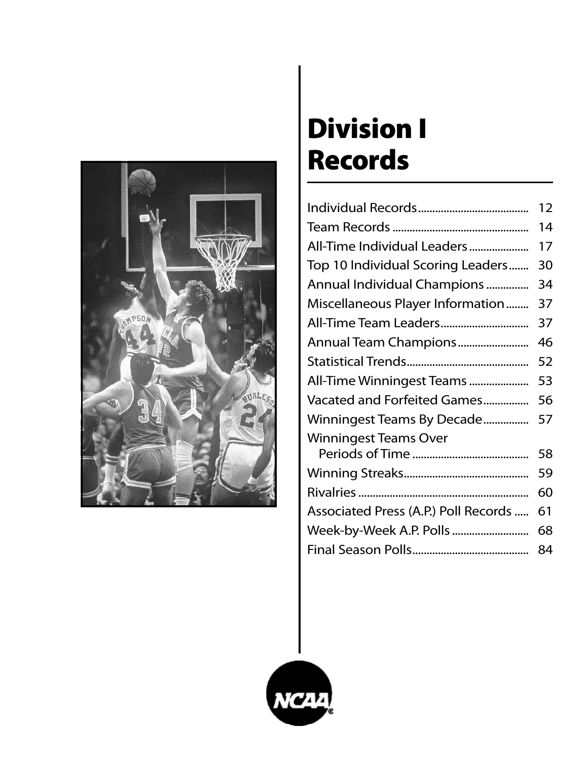

# Division I Records

|                                      | 12 |
|--------------------------------------|----|
|                                      | 14 |
| All-Time Individual Leaders          | 17 |
| Top 10 Individual Scoring Leaders    | 30 |
| Annual Individual Champions          | 34 |
| Miscellaneous Player Information     | 37 |
|                                      | 37 |
| Annual Team Champions                | 46 |
|                                      | 52 |
| All-Time Winningest Teams            | 53 |
| Vacated and Forfeited Games          | 56 |
| Winningest Teams By Decade           | 57 |
| <b>Winningest Teams Over</b>         |    |
|                                      | 58 |
|                                      | 59 |
|                                      | 60 |
| Associated Press (A.P.) Poll Records | 61 |
| Week-by-Week A.P. Polls              | 68 |
|                                      | 84 |

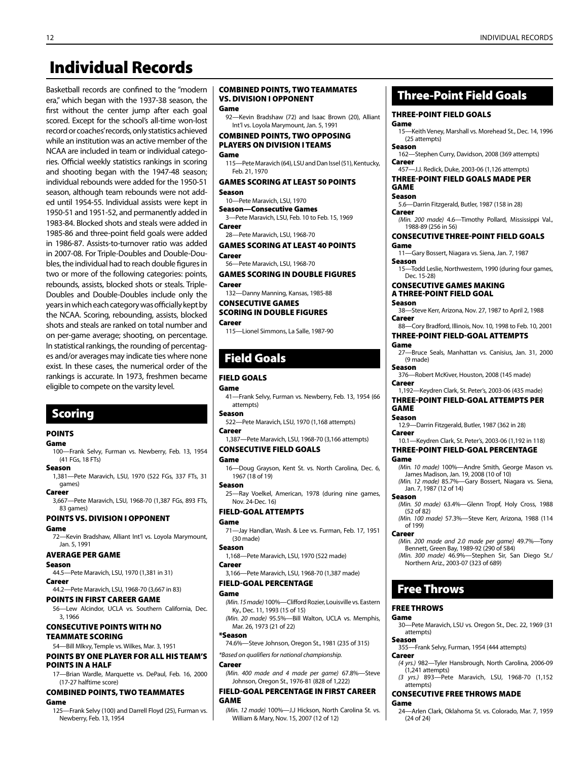## Individual Records

Basketball records are confined to the "modern era," which began with the 1937-38 season, the first without the center jump after each goal scored. Except for the school's all-time won-lost record or coaches' records, only statistics achieved while an institution was an active member of the NCAA are included in team or individual categories. Official weekly statistics rankings in scoring and shooting began with the 1947-48 season; individual rebounds were added for the 1950-51 season, although team rebounds were not added until 1954-55. Individual assists were kept in 1950-51 and 1951-52, and permanently added in 1983-84. Blocked shots and steals were added in 1985-86 and three-point field goals were added in 1986-87. Assists-to-turnover ratio was added in 2007-08. For Triple-Doubles and Double-Doubles, the individual had to reach double figures in two or more of the following categories: points, rebounds, assists, blocked shots or steals. Triple-Doubles and Double-Doubles include only the years in which each category was officially kept by the NCAA. Scoring, rebounding, assists, blocked shots and steals are ranked on total number and on per-game average; shooting, on percentage. In statistical rankings, the rounding of percentages and/or averages may indicate ties where none exist. In these cases, the numerical order of the rankings is accurate. In 1973, freshmen became eligible to compete on the varsity level.

## Scoring

#### **POINTS**

#### Game

- 100—Frank Selvy, Furman vs. Newberry, Feb. 13, 1954 (41 FGs, 18 FTs)
- Season
- 1,381—Pete Maravich, LSU, 1970 (522 FGs, 337 FTs, 31 games)

#### Career

3,667—Pete Maravich, LSU, 1968-70 (1,387 FGs, 893 FTs, 83 games)

#### Points vs. Division I Opponent

#### Game

72—Kevin Bradshaw, Alliant Int'l vs. Loyola Marymount, Jan. 5, 1991

#### Average Per Game

#### Season

- 44.5—Pete Maravich, LSU, 1970 (1,381 in 31) Career
- 44.2—Pete Maravich, LSU, 1968-70 (3,667 in 83)

#### Points in First Career Game

56—Lew Alcindor, UCLA vs. Southern California, Dec. 3, 1966

## CONSECUTIVE POINTS WITH NO

#### TEAMMATE SCORING

#### 54—Bill Mlkvy, Temple vs. Wilkes, Mar. 3, 1951 POINTS BY ONE PLAYER FOR ALL HIS TEAM'S POINTS IN A HALF

17—Brian Wardle, Marquette vs. DePaul, Feb. 16, 2000 (17-27 halftime score)

#### Combined Points, Two Teammates

#### Game

125—Frank Selvy (100) and Darrell Floyd (25), Furman vs. Newberry, Feb. 13, 1954

#### Combined Points, Two Teammates vs. Division I Opponent

#### Game

92—Kevin Bradshaw (72) and Isaac Brown (20), Alliant Int'l vs. Loyola Marymount, Jan. 5, 1991

#### COMBINED POINTS, TWO OPPOSING Players on Division I Teams

#### Game

115—Pete Maravich (64), LSU and Dan Issel (51), Kentucky, Feb. 21, 1970

#### Games Scoring At Least 50 Points

#### Season

- 10—Pete Maravich, LSU, 1970
- Season—Consecutive Games 3—Pete Maravich, LSU, Feb. 10 to Feb. 15, 1969
- Career 28-Pete Maravich, LSU, 1968-70

#### Games Scoring AT LEAST 40 POINTS **Cargor**

56—Pete Maravich, LSU, 1968-70

#### Games Scoring in Double Figures Career

132—Danny Manning, Kansas, 1985-88

Consecutive Games

## Scoring in Double Figures

#### Career

115—Lionel Simmons, La Salle, 1987-90

## Field Goals

#### Field Goals

#### Game

- 41—Frank Selvy, Furman vs. Newberry, Feb. 13, 1954 (66 attempts)
- Season
- 522—Pete Maravich, LSU, 1970 (1,168 attempts) Career
- 1,387—Pete Maravich, LSU, 1968-70 (3,166 attempts)

### Consecutive Field Goals

#### Game

16—Doug Grayson, Kent St. vs. North Carolina, Dec. 6, 1967 (18 of 19)

#### Season

25—Ray Voelkel, American, 1978 (during nine games, Nov. 24-Dec. 16)

#### Field-Goal Attempts

#### Game

71—Jay Handlan, Wash. & Lee vs. Furman, Feb. 17, 1951 (30 made)

#### Season

1,168—Pete Maravich, LSU, 1970 (522 made)

#### Career

3,166—Pete Maravich, LSU, 1968-70 (1,387 made)

#### Field-Goal Percentage

#### Game

- *(Min. 15 made)* 100%—Clifford Rozier, Louisville vs. Eastern Ky., Dec. 11, 1993 (15 of 15)
- *(Min. 20 made)* 95.5%—Bill Walton, UCLA vs. Memphis, Mar. 26, 1973 (21 of 22)

#### \*Season

74.6%—Steve Johnson, Oregon St., 1981 (235 of 315)

#### *\*Based on qualifiers for national championship.*

#### Career

*(Min. 400 made and 4 made per game)* 67.8%—Steve Johnson, Oregon St., 1976-81 (828 of 1,222)

#### FIELD-GOAL PERCENTAGE IN FIRST CAREER GAME

*(Min. 12 made)* 100%—J.J Hickson, North Carolina St. vs. William & Mary, Nov. 15, 2007 (12 of 12)

## Three-Point Field Goals

#### Three-Point Field Goals

Game 15—Keith Veney, Marshall vs. Morehead St., Dec. 14, 1996 (25 attempts)

#### Season

- 162—Stephen Curry, Davidson, 2008 (369 attempts) Career
- 457—J.J. Redick, Duke, 2003-06 (1,126 attempts) Three-Point Field Goals Made Per

#### **GAME** Season

- 5.6—Darrin Fitzgerald, Butler, 1987 (158 in 28) Career
- *(Min. 200 made)* 4.6—Timothy Pollard, Mississippi Val., 1988-89 (256 in 56)

#### CONSECUTIVE Three-Point Field Goals Game

- 11—Gary Bossert, Niagara vs. Siena, Jan. 7, 1987
- Season 15—Todd Leslie, Northwestern, 1990 (during four games,
- Dec. 15-28)

#### Consecutive Games Making a Three-Point Field Goal

Season

Game

Season

(52 of 82)

of 199) Career

Jan. 7, 1987 (12 of 14)

Free Throws

Free Throws Game

attempts) Season

attempts)

(24 of 24)

 $(1,241$  attempts)

Career

Game

38—Steve Kerr, Arizona, Nov. 27, 1987 to April 2, 1988 Career

- 88—Cory Bradford, Illinois, Nov. 10, 1998 to Feb. 10, 2001 Three-Point Field-Goal Attempts
- Game
- 27—Bruce Seals, Manhattan vs. Canisius, Jan. 31, 2000 (9 made) Season
- 376—Robert McKiver, Houston, 2008 (145 made) Career

#### 1,192—Keydren Clark, St. Peter's, 2003-06 (435 made) Three-Point Field-Goal Attempts Per

#### **GAME** Season

12.9—Darrin Fitzgerald, Butler, 1987 (362 in 28) Career

10.1—Keydren Clark, St. Peter's, 2003-06 (1,192 in 118) Three-Point Field-Goal Percentage

*(Min. 10 made)* 100%—Andre Smith, George Mason vs. James Madison, Jan. 19, 2008 (10 of 10) *(Min. 12 made)* 85.7%—Gary Bossert, Niagara vs. Siena,

*(Min. 50 made)* 63.4%—Glenn Tropf, Holy Cross, 1988

*(Min. 100 made)* 57.3%—Steve Kerr, Arizona, 1988 (114

*(Min. 200 made and 2.0 made per game)* 49.7%—Tony Bennett, Green Bay, 1989-92 (290 of 584) *(Min. 300 made)* 46.9%—Stephen Sir, San Diego St./

30—Pete Maravich, LSU vs. Oregon St., Dec. 22, 1969 (31

*(4 yrs.)* 982—Tyler Hansbrough, North Carolina, 2006-09

*(3 yrs.)* 893—Pete Maravich, LSU, 1968-70 (1,152

24—Arlen Clark, Oklahoma St. vs. Colorado, Mar. 7, 1959

355—Frank Selvy, Furman, 1954 (444 attempts)

Consecutive Free Throws Made

Northern Ariz., 2003-07 (323 of 689)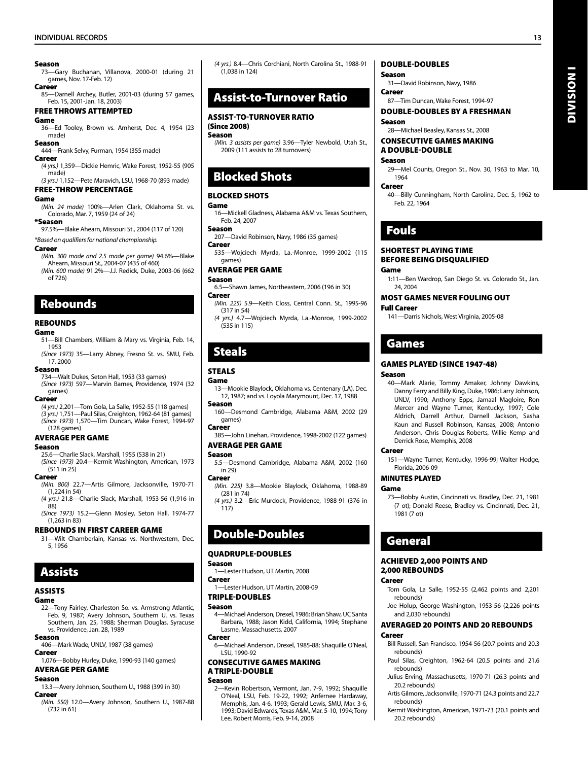#### Season

73—Gary Buchanan, Villanova, 2000-01 (during 21 games, Nov. 17-Feb. 12) Career

85—Darnell Archey, Butler, 2001-03 (during 57 games, Feb. 15, 2001-Jan. 18, 2003)

Free Throws ATTEMPTED

#### Game

36—Ed Tooley, Brown vs. Amherst, Dec. 4, 1954 (23 made)

#### Season

444—Frank Selvy, Furman, 1954 (355 made)

#### **Career**

*(4 yrs.)* 1,359—Dickie Hemric, Wake Forest, 1952-55 (905 made)

*(3 yrs.)* 1,152—Pete Maravich, LSU, 1968-70 (893 made) Free-Throw Percentage

#### Game

*(Min. 24 made)* 100%—Arlen Clark, Oklahoma St. vs. Colorado, Mar. 7, 1959 (24 of 24)

#### \*Season

97.5%—Blake Ahearn, Missouri St., 2004 (117 of 120)

#### *\*Based on qualifiers for national championship.*

#### Career

*(Min. 300 made and 2.5 made per game)* 94.6%—Blake Ahearn, Missouri St., 2004-07 (435 of 460) *(Min. 600 made)* 91.2%—J.J. Redick, Duke, 2003-06 (662

of 726)

### Rebounds

#### **REBOUNDS**

#### Game

- 51—Bill Chambers, William & Mary vs. Virginia, Feb. 14, 1953
- *(Since 1973)* 35—Larry Abney, Fresno St. vs. SMU, Feb. 17, 2000

#### Season

734—Walt Dukes, Seton Hall, 1953 (33 games) *(Since 1973)* 597—Marvin Barnes, Providence, 1974 (32 games)

#### Career

*(4 yrs.)* 2,201—Tom Gola, La Salle, 1952-55 (118 games) *(3 yrs.)* 1,751—Paul Silas, Creighton, 1962-64 (81 games) *(Since 1973)* 1,570—Tim Duncan, Wake Forest, 1994-97 (128 games)

#### Average Per Game

#### Season

25.6—Charlie Slack, Marshall, 1955 (538 in 21) *(Since 1973)* 20.4—Kermit Washington, American, 1973 (511 in 25)

#### Career

- *(Min. 800)* 22.7—Artis Gilmore, Jacksonville, 1970-71 (1,224 in 54)
- *(4 yrs.)* 21.8—Charlie Slack, Marshall, 1953-56 (1,916 in  $88$
- *(Since 1973)* 15.2—Glenn Mosley, Seton Hall, 1974-77 (1,263 in 83)

#### REBOUNDS IN FIRST CAREER GAME

31—Wilt Chamberlain, Kansas vs. Northwestern, Dec. 5, 1956

## **Assists**

#### Assists

#### Game

22—Tony Fairley, Charleston So. vs. Armstrong Atlantic, Feb. 9, 1987; Avery Johnson, Southern U. vs. Texas Southern, Jan. 25, 1988; Sherman Douglas, Syracuse vs. Providence, Jan. 28, 1989

#### Season

- 406—Mark Wade, UNLV, 1987 (38 games) Career
- 1,076—Bobby Hurley, Duke, 1990-93 (140 games) Average Per Game

#### Season

- 
- 13.3—Avery Johnson, Southern U., 1988 (399 in 30) Career
- *(Min. 550)* 12.0—Avery Johnson, Southern U., 1987-88 (732 in 61)

*(4 yrs.)* 8.4—Chris Corchiani, North Carolina St., 1988-91 (1,038 in 124)

### Assist-to-Turnover Ratio

#### Assist-TO-TURNOVER RATIO

#### (Since 2008) Season

#### *(Min. 3 assists per game)* 3.96—Tyler Newbold, Utah St., 2009 (111 assists to 28 turnovers)

## Blocked Shots

#### Blocked Shots

#### Game

- 16—Mickell Gladness, Alabama A&M vs. Texas Southern, Feb. 24, 2007
- Season 207—David Robinson, Navy, 1986 (35 games)

#### **Career**

535—Wojciech Myrda, La.-Monroe, 1999-2002 (115 games)

#### Average Per Game Season

6.5—Shawn James, Northeastern, 2006 (196 in 30)

#### Career

- *(Min. 225)* 5.9—Keith Closs, Central Conn. St., 1995-96 (317 in 54)
- *(4 yrs.)* 4.7—Wojciech Myrda, La.-Monroe, 1999-2002 (535 in 115)

## Steals

#### **STEALS**

#### Game

13—Mookie Blaylock, Oklahoma vs. Centenary (LA), Dec. 12, 1987; and vs. Loyola Marymount, Dec. 17, 1988

#### Season

160—Desmond Cambridge, Alabama A&M, 2002 (29 games)

#### Career

385—John Linehan, Providence, 1998-2002 (122 games) Average Per Game

#### Season

5.5—Desmond Cambridge, Alabama A&M, 2002 (160 in 29)

#### Career

- *(Min. 225)* 3.8—Mookie Blaylock, Oklahoma, 1988-89 (281 in 74)
- *(4 yrs.)* 3.2—Eric Murdock, Providence, 1988-91 (376 in 117)

## Double-Doubles

#### QUADRUPLE-DOUBLES

#### Season

- 1—Lester Hudson, UT Martin, 2008 Career
	- 1—Lester Hudson, UT Martin, 2008-09

#### TRIPLE-DOUBLES

#### Season

4—Michael Anderson, Drexel, 1986; Brian Shaw, UC Santa Barbara, 1988; Jason Kidd, California, 1994; Stephane Lasme, Massachusetts, 2007

#### Career

6—Michael Anderson, Drexel, 1985-88; Shaquille O'Neal, LSU, 1990-92

#### CONSECUTIVE GAMES MAKING A TRIPLE-DOUBLE

#### Season

2—Kevin Robertson, Vermont, Jan. 7-9, 1992; Shaquille O'Neal, LSU, Feb. 19-22, 1992; Anfernee Hardaway, Memphis, Jan. 4-6, 1993; Gerald Lewis, SMU, Mar. 3-6, 1993; David Edwards, Texas A&M, Mar. 5-10, 1994; Tony Lee, Robert Morris, Feb. 9-14, 2008

#### DOUBLE-DOUBLES

#### Season

31—David Robinson, Navy, 1986

Career 87—Tim Duncan, Wake Forest, 1994-97

#### DOUBLE-DOUBLES BY A FRESHMAN Season

Division I

**I NOISINI** 

28—Michael Beasley, Kansas St., 2008

#### CONSECUTIVE GAMES MAKING A DOUBLE-DOUBLE

29—Mel Counts, Oregon St., Nov. 30, 1963 to Mar. 10,

40—Billy Cunningham, North Carolina, Dec. 5, 1962 to

1:11—Ben Wardrop, San Diego St. vs. Colorado St., Jan.

40—Mark Alarie, Tommy Amaker, Johnny Dawkins, Danny Ferry and Billy King, Duke, 1986; Larry Johnson, UNLV, 1990; Anthony Epps, Jamaal Magloire, Ron Mercer and Wayne Turner, Kentucky, 1997; Cole Aldrich, Darrell Arthur, Darnell Jackson, Sasha Kaun and Russell Robinson, Kansas, 2008; Antonio Anderson, Chris Douglas-Roberts, Willie Kemp and

151—Wayne Turner, Kentucky, 1996-99; Walter Hodge,

73—Bobby Austin, Cincinnati vs. Bradley, Dec. 21, 1981 (7 ot); Donald Reese, Bradley vs. Cincinnati, Dec. 21,

Tom Gola, La Salle, 1952-55 (2,462 points and 2,201

Joe Holup, George Washington, 1953-56 (2,226 points

Bill Russell, San Francisco, 1954-56 (20.7 points and 20.3

Paul Silas, Creighton, 1962-64 (20.5 points and 21.6

Julius Erving, Massachusetts, 1970-71 (26.3 points and

Artis Gilmore, Jacksonville, 1970-71 (24.3 points and 22.7

Kermit Washington, American, 1971-73 (20.1 points and

Averaged 20 Points and 20 Rebounds

MOST GAMES NEVER FOULING OUT

141—Darris Nichols, West Virginia, 2005-08

Games Played (Since 1947-48)

Derrick Rose, Memphis, 2008

ACHIEVED 2,000 POINTS AND

Florida, 2006-09 MINUTES PLAYED

1981 (7 ot)

General

2,000 REBOUNDS

rebounds)

rebounds)

rebounds)

rebounds)

20.2 rebounds)

20.2 rebounds)

and 2,030 rebounds)

#### Season

1964 Career

Fouls

24, 2004

Games

Season

**Career** 

Game

Career

Career

Full Career

Game

Feb. 22, 1964

SHORTEST PLAYING TIME BEFORE BEING DISQUALIFIED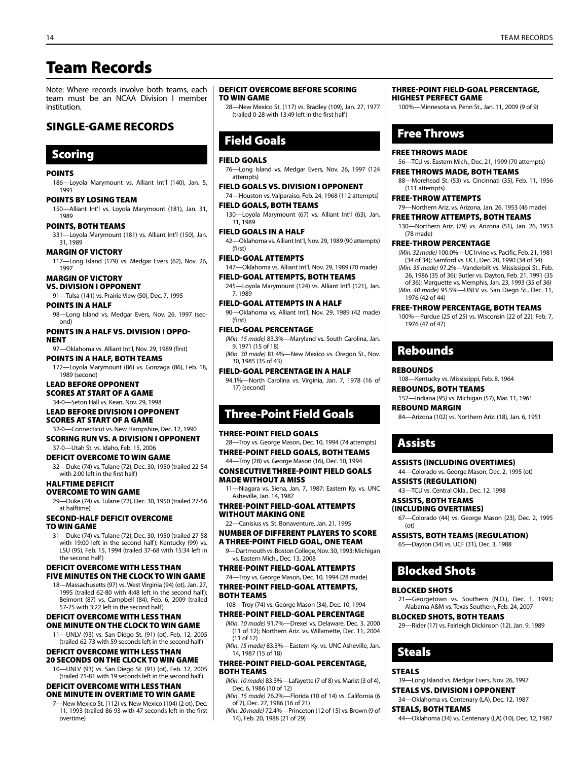## Team Records

Note: Where records involve both teams, each team must be an NCAA Division I member institution.

## Single-Game Records

## **Scoring**

#### **POINTS**

186—Loyola Marymount vs. Alliant Int'l (140), Jan. 5, 1991

POINTS BY LOSING TEAM 150—Alliant Int'l vs. Loyola Marymount (181), Jan. 31, 1989

Points, Both Teams 331—Loyola Marymount (181) vs. Alliant Int'l (150), Jan. 31, 1989

margin of victory 117—Long Island (179) vs. Medgar Evers (62), Nov. 26, 1997

#### margin of victory

- vs. Division I opponent
- 91—Tulsa (141) vs. Prairie View (50), Dec. 7, 1995 Points in a Half
- 98—Long Island vs. Medgar Evers, Nov. 26, 1997 (second)

Points in a half vs. division I oppo-**NENT** 97—Oklahoma vs. Alliant Int'l, Nov. 29, 1989 (first)

#### Points in a Half, Both Teams

172—Loyola Marymount (86) vs. Gonzaga (86), Feb. 18, 1989 (second)

#### Lead Before Opponent Scores at Start of a Game

34-0—Seton Hall vs. Kean, Nov. 29, 1998

#### Lead Before Division I Opponent Scores at Start of a Game

32-0—Connecticut vs. New Hampshire, Dec. 12, 1990 SCORING RUN VS. A DIVISION I OPPONENT

37-0—Utah St. vs. Idaho, Feb. 15, 2006

#### Deficit Overcome to Win Game

32—Duke (74) vs. Tulane (72), Dec. 30, 1950 (trailed 22-54 with 2:00 left in the first half)

#### Halftime Deficit

Overcome to Win Game

29—Duke (74) vs. Tulane (72), Dec. 30, 1950 (trailed 27-56 at halftime)

#### Second-Half Deficit Overcome to Win Game

31—Duke (74) vs. Tulane (72), Dec. 30, 1950 (trailed 27-58 with 19:00 left in the second half); Kentucky (99) vs. LSU (95), Feb. 15, 1994 (trailed 37-68 with 15:34 left in the second half)

#### Deficit Overcome WITH LESS THaN FIVE MINUTES ON THE CLOCK to Win Game

18—Massachusetts (97) vs. West Virginia (94) (ot), Jan. 27, 1995 (trailed 62-80 with 4:48 left in the second half); Belmont (87) vs. Campbell (84), Feb. 6, 2009 (trailed 57-75 with 3:22 left in the second half)

#### Deficit Overcome WITH LESS THaN ONE MINUTE ON THE CLOCK to Win Game

11—UNLV (93) vs. San Diego St. (91) (ot), Feb. 12, 2005 (trailed 62-73 with 59 seconds left in the second half)

#### Deficit Overcome WITH LESS THaN 20 SECONDS ON THE CLOCK to Win Game

10—UNLV (93) vs. San Diego St. (91) (ot), Feb. 12, 2005 (trailed 71-81 with 19 seconds left in the second half)

#### DEFICIT OVERCOME WITH LESS THAN one MINUTE IN OVERTIME TO WIN GAME

7—New Mexico St. (112) vs. New Mexico (104) (2 ot), Dec. 11, 1993 (trailed 86-93 with 47 seconds left in the first overtime)

#### Deficit Overcome Before Scoring to Win Game

28—New Mexico St. (117) vs. Bradley (109), Jan. 27, 1977 (trailed 0-28 with 13:49 left in the first half)

## Field Goals

#### Field Goals

76—Long Island vs. Medgar Evers, Nov. 26, 1997 (124 attempts)

Field Goals vs. Division I opponent 74—Houston vs. Valparaiso, Feb. 24, 1968 (112 attempts)

## Field Goals, Both Teams

130—Loyola Marymount (67) vs. Alliant Int'l (63), Jan. 31, 1989

#### Field Goals in a Half

42—Oklahoma vs. Alliant Int'l, Nov. 29, 1989 (90 attempts) (first)

Field-Goal Attempts

- 147—Oklahoma vs. Alliant Int'l, Nov. 29, 1989 (70 made) Field-Goal Attempts, Both Teams
- 245—Loyola Marymount (124) vs. Alliant Int'l (121), Jan. 7, 1989

Field-Goal Attempts in a Half 90—Oklahoma vs. Alliant Int'l, Nov. 29, 1989 (42 made)

#### Field-Goal Percentage

(first)

*(Min. 15 made)* 83.3%—Maryland vs. South Carolina, Jan. 9, 1971 (15 of 18) *(Min. 30 made)* 81.4%—New Mexico vs. Oregon St., Nov.

30, 1985 (35 of 43) Field-Goal Percentage in a Half

94.1%—North Carolina vs. Virginia, Jan. 7, 1978 (16 of 17) (second)

## Three-Point Field Goals

#### Three-Point Field Goals

28—Troy vs. George Mason, Dec. 10, 1994 (74 attempts) Three-Point Field Goals, Both Teams

44—Troy (28) vs. George Mason (16), Dec. 10, 1994

Consecutive Three-Point Field Goals Made Without a Miss

11—Niagara vs. Siena, Jan. 7, 1987; Eastern Ky. vs. UNC Asheville, Jan. 14, 1987

#### Three-Point Field-Goal Attempts Without Making One

22—Canisius vs. St. Bonaventure, Jan. 21, 1995

#### Number of Different Players to Score a Three-Point Field Goal, One Team

9—Dartmouth vs. Boston College, Nov. 30, 1993; Michigan vs. Eastern Mich., Dec. 13, 2008

Three-Point Field-Goal Attempts

74—Troy vs. George Mason, Dec. 10, 1994 (28 made)

Three-Point Field-Goal Attempts, Both Teams

### 108—Troy (74) vs. George Mason (34), Dec. 10, 1994

Three-Point Field-Goal Percentage *(Min. 10 made)* 91.7%—Drexel vs. Delaware, Dec. 3, 2000

(11 of 12); Northern Ariz. vs. Willamette, Dec. 11, 2004 (11 of 12) *(Min. 15 made)* 83.3%—Eastern Ky. vs. UNC Asheville, Jan.

14, 1987 (15 of 18)

#### Three-Point Field-Goal Percentage, Both Teams

*(Min. 10 made)* 83.3%—Lafayette (7 of 8) vs. Marist (3 of 4), Dec. 6, 1986 (10 of 12)

*(Min. 15 made)* 76.2%—Florida (10 of 14) vs. California (6 of 7), Dec. 27, 1986 (16 of 21)

*(Min. 20 made)* 72.4%—Princeton (12 of 15) vs. Brown (9 of 14), Feb. 20, 1988 (21 of 29)

#### THREE-POINT FIELD-GOAL PERCENTAGE, HIGHEST PERFECT GAME

100%—Minnesota vs. Penn St., Jan. 11, 2009 (9 of 9)

## Free Throws

#### Free Throws Made

56—TCU vs. Eastern Mich., Dec. 21, 1999 (70 attempts) Free Throws Made, Both Teams

88—Morehead St. (53) vs. Cincinnati (35), Feb. 11, 1956 (111 attempts)

#### Free-Throw Attempts

79—Northern Ariz. vs. Arizona, Jan. 26, 1953 (46 made)

#### Free Throw Attempts, Both Teams

130—Northern Ariz. (79) vs. Arizona (51), Jan. 26, 1953 (78 made)

#### Free-Throw Percentage

- *(Min. 32 made)* 100.0%—UC Irvine vs. Pacific, Feb. 21, 1981 (34 of 34); Samford vs. UCF, Dec. 20, 1990 (34 of 34) *(Min. 35 made)* 97.2%—Vanderbilt vs. Mississippi St., Feb.
- 26, 1986 (35 of 36); Butler vs. Dayton, Feb. 21, 1991 (35 of 36); Marquette vs. Memphis, Jan. 23, 1993 (35 of 36) *(Min. 40 made)* 95.5%—UNLV vs. San Diego St., Dec. 11,
- 1976 (42 of 44)

#### Free-Throw Percentage, Both Teams

100%—Purdue (25 of 25) vs. Wisconsin (22 of 22), Feb. 7, 1976 (47 of 47)

### Rebounds

#### **REBOUNDS**

108—Kentucky vs. Mississippi, Feb. 8, 1964

Assists (INCLUDING OVERTIMES) 44—Colorado vs. George Mason, Dec. 2, 1995 (ot)

43—TCU vs. Central Okla., Dec. 12, 1998

Assists, Both Teams (REGULATION) 65—Dayton (34) vs. UCF (31), Dec. 3, 1988

#### Rebounds, Both Teams

152—Indiana (95) vs. Michigan (57), Mar. 11, 1961

### Rebound Margin

Assists (REGULATION)

Assists, Both Teams (INCLUDING OVERTIMES)

Blocked Shots

Blocked Shots, Both Teams

Blocked Shots

Steals

Steals, Both Teams

**STEALS** 

84—Arizona (102) vs. Northern Ariz. (18), Jan. 6, 1951

67—Colorado (44) vs. George Mason (23), Dec. 2, 1995

21—Georgetown vs. Southern (N.O.), Dec. 1, 1993; Alabama A&M vs. Texas Southern, Feb. 24, 2007

29—Rider (17) vs. Fairleigh Dickinson (12), Jan. 9, 1989

39—Long Island vs. Medgar Evers, Nov. 26, 1997 Steals vs. Division I Opponent 34—Oklahoma vs. Centenary (LA), Dec. 12, 1987

44—Oklahoma (34) vs. Centenary (LA) (10), Dec. 12, 1987

### Assists

(ot)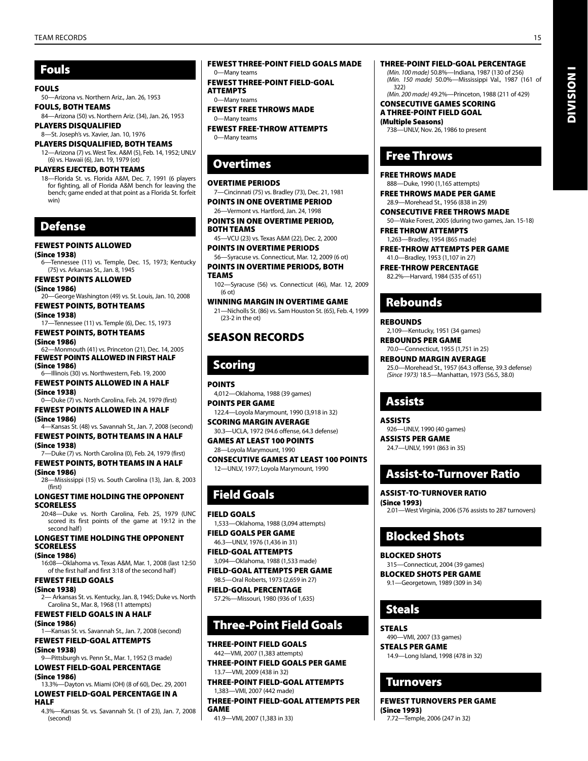## Fouls

#### Fouls

50—Arizona vs. Northern Ariz., Jan. 26, 1953 Fouls, Both Teams

84—Arizona (50) vs. Northern Ariz. (34), Jan. 26, 1953 Players Disqualified

8—St. Joseph's vs. Xavier, Jan. 10, 1976 Players Disqualified, Both Teams

12—Arizona (7) vs. West Tex. A&M (5), Feb. 14, 1952; UNLV (6) vs. Hawaii (6), Jan. 19, 1979 (ot)

PLAYERS EJECTED, BOTH TEAMS

18—Florida St. vs. Florida A&M, Dec. 7, 1991 (6 players for fighting, all of Florida A&M bench for leaving the bench; game ended at that point as a Florida St. forfeit win)

## Defense

### Fewest Points Allowed

(Since 1938) 6—Tennessee (11) vs. Temple, Dec. 15, 1973; Kentucky (75) vs. Arkansas St., Jan. 8, 1945

Fewest Points Allowed (Since 1986)

20—George Washington (49) vs. St. Louis, Jan. 10, 2008 Fewest Points, Both Teams

(Since 1938) 17—Tennessee (11) vs. Temple (6), Dec. 15, 1973

Fewest Points, Both Teams (Since 1986) 62—Monmouth (41) vs. Princeton (21), Dec. 14, 2005

FEWEST POINTS ALLOWED IN FIRST HALF (Since 1986) 6—Illinois (30) vs. Northwestern, Feb. 19, 2000

Fewest Points Allowed IN A HALF (Since 1938)

0—Duke (7) vs. North Carolina, Feb. 24, 1979 (first) Fewest Points Allowed IN A HALF

(Since 1986) 4—Kansas St. (48) vs. Savannah St., Jan. 7, 2008 (second) Fewest Points, BOTH TEAMS IN A HALF

(Since 1938) 7—Duke (7) vs. North Carolina (0), Feb. 24, 1979 (first)

Fewest Points, BOTH TEAMS IN A HALF (Since 1986)

28—Mississippi (15) vs. South Carolina (13), Jan. 8, 2003 (first)

longest time holding the opponent **SCORELESS** 

20:48—Duke vs. North Carolina, Feb. 25, 1979 (UNC scored its first points of the game at 19:12 in the second half)

longest time holding the opponent scoreless

(Since 1986)

16:08—Oklahoma vs. Texas A&M, Mar. 1, 2008 (last 12:50 of the first half and first 3:18 of the second half)

Fewest Field Goals (Since 1938) 2— Arkansas St. vs. Kentucky, Jan. 8, 1945; Duke vs. North Carolina St., Mar. 8, 1968 (11 attempts)

Fewest Field Goals IN A HALF

(Since 1986) 1—Kansas St. vs. Savannah St., Jan. 7, 2008 (second) Fewest Field-Goal Attempts

(Since 1938) 9—Pittsburgh vs. Penn St., Mar. 1, 1952 (3 made)

Lowest Field-Goal Percentage (Since 1986)

13.3%—Dayton vs. Miami (OH) (8 of 60), Dec. 29, 2001 Lowest Field-Goal Percentage in a Half

4.3%—Kansas St. vs. Savannah St. (1 of 23), Jan. 7, 2008 (second)

Fewest Three-Point Field Goals Made

0—Many teams Fewest Three-Point Field-Goal **ATTEMPTS** 

0—Many teams

Fewest Free Throws Made 0—Many teams

Fewest Free-Throw Attempts 0—Many teams

## **Overtimes**

#### Overtime Periods

7—Cincinnati (75) vs. Bradley (73), Dec. 21, 1981 Points in One Overtime Period

26—Vermont vs. Hartford, Jan. 24, 1998 Points in One Overtime Period, Both Teams

45—VCU (23) vs. Texas A&M (22), Dec. 2, 2000 Points in Overtime Periods

56—Syracuse vs. Connecticut, Mar. 12, 2009 (6 ot) Points in Overtime Periods, Both

**TEAMS** 

102—Syracuse (56) vs. Connecticut (46), Mar. 12, 2009 (6 ot) Winning Margin in Overtime Game 21—Nicholls St. (86) vs. Sam Houston St. (65), Feb. 4, 1999

(23-2 in the ot)

## SEASON Records

## Scoring

**POINTS** 4,012—Oklahoma, 1988 (39 games) Points Per Game

122.4—Loyola Marymount, 1990 (3,918 in 32) Scoring Margin Average

30.3—UCLA, 1972 (94.6 offense, 64.3 defense) Games at Least 100 Points

28—Loyola Marymount, 1990

Consecutive Games at Least 100 Points 12—UNLV, 1977; Loyola Marymount, 1990

## Field Goals

Field Goals 1,533—Oklahoma, 1988 (3,094 attempts) Field Goals Per Game 46.3—UNLV, 1976 (1,436 in 31)

Field-Goal Attempts

3,094—Oklahoma, 1988 (1,533 made) Field-Goal Attempts Per Game

98.5—Oral Roberts, 1973 (2,659 in 27) Field-Goal Percentage

57.2%—Missouri, 1980 (936 of 1,635)

## Three-Point Field Goals

Three-Point Field Goals 442—VMI, 2007 (1,383 attempts)

Three-Point Field Goals Per Game 13.7—VMI, 2009 (438 in 32)

Three-Point Field-Goal Attempts 1,383—VMI, 2007 (442 made)

Three-Point Field-Goal Attempts Per Game

41.9—VMI, 2007 (1,383 in 33)

#### Three-Point Field-Goal Percentage

*(Min. 100 made)* 50.8%—Indiana, 1987 (130 of 256) *(Min. 150 made)* 50.0%—Mississippi Val., 1987 (161 of 322) *(Min. 200 made)* 49.2%—Princeton, 1988 (211 of 429)

Consecutive Games Scoring

a Three-Point Field Goal (Multiple Seasons) 738—UNLV, Nov. 26, 1986 to present

## Free Throws

Free Throws Made 888—Duke, 1990 (1,165 attempts)

Free Throws Made Per Game 28.9—Morehead St., 1956 (838 in 29)

Consecutive Free Throws Made 50—Wake Forest, 2005 (during two games, Jan. 15-18)

Free Throw ATTEMPTS 1,263—Bradley, 1954 (865 made)

Free-Throw Attempts Per Game 41.0—Bradley, 1953 (1,107 in 27)

Free-Throw Percentage 82.2%—Harvard, 1984 (535 of 651)

## Rebounds

**REBOUNDS** 

2,109—Kentucky, 1951 (34 games)

Rebounds Per Game 70.0—Connecticut, 1955 (1,751 in 25)

Rebound Margin Average 25.0—Morehead St., 1957 (64.3 offense, 39.3 defense) *(Since 1973)* 18.5—Manhattan, 1973 (56.5, 38.0)

## Assists

Assists 926—UNLV, 1990 (40 games) Assists Per Game 24.7—UNLV, 1991 (863 in 35)

## Assist-to-Turnover Ratio

Assist-TO-TURNOVER RATIO (Since 1993)

2.01—West Virginia, 2006 (576 assists to 287 turnovers)

## Blocked Shots

Blocked Shots

315—Connecticut, 2004 (39 games) Blocked Shots Per Game 9.1—Georgetown, 1989 (309 in 34)

## Steals

**STEALS** 

490—VMI, 2007 (33 games) steals Per Game 14.9—Long Island, 1998 (478 in 32)

## Turnovers

FEWEST TURNOVERS PER GAME (Since 1993) 7.72—Temple, 2006 (247 in 32)

Division I

**DIVISION I**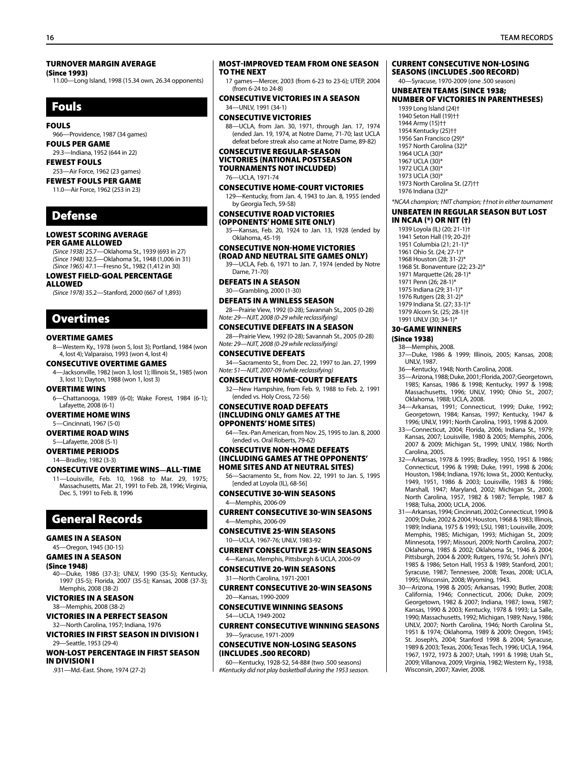#### TURNOVER MARGIN AVERAGE

(Since 1993)

11.00—Long Island, 1998 (15.34 own, 26.34 opponents)

## Fouls

#### Fouls

966—Providence, 1987 (34 games)

#### Fouls Per Game 29.3—Indiana, 1952 (644 in 22)

Fewest Fouls

#### 253—Air Force, 1962 (23 games) Fewest Fouls Per Game

11.0—Air Force, 1962 (253 in 23)

## Defense

#### Lowest Scoring Average Per Game Allowed

*(Since 1938)* 25.7—Oklahoma St., 1939 (693 in 27) *(Since 1948)* 32.5—Oklahoma St., 1948 (1,006 in 31) *(Since 1965)* 47.1—Fresno St., 1982 (1,412 in 30)

#### Lowest Field-Goal Percentage Allowed

*(Since 1978)* 35.2—Stanford, 2000 (667 of 1,893)

## **Overtimes**

#### Overtime Games

8—Western Ky., 1978 (won 5, lost 3); Portland, 1984 (won 4, lost 4); Valparaiso, 1993 (won 4, lost 4)

#### Consecutive Overtime Games

4—Jacksonville, 1982 (won 3, lost 1); Illinois St., 1985 (won 3, lost 1); Dayton, 1988 (won 1, lost 3)

#### Overtime Wins

6—Chattanooga, 1989 (6-0); Wake Forest, 1984 (6-1); Lafayette, 2008 (6-1)

#### Overtime Home Wins

5—Cincinnati, 1967 (5-0)

Overtime Road Wins

#### 5—Lafayette, 2008 (5-1) Overtime Periods

14—Bradley, 1982 (3-3)

#### CONSECUTIVE Overtime WINS**—**ALL-TIME

11—Louisville, Feb. 10, 1968 to Mar. 29, 1975; Massachusetts, Mar. 21, 1991 to Feb. 28, 1996; Virginia, Dec. 5, 1991 to Feb. 8, 1996

## General Records

### Games in a Season

45—Oregon, 1945 (30-15)

#### Games in a Season

(Since 1948)

40—Duke, 1986 (37-3); UNLV, 1990 (35-5); Kentucky, 1997 (35-5); Florida, 2007 (35-5); Kansas, 2008 (37-3); Memphis, 2008 (38-2)

Victories in a Season 38—Memphis, 2008 (38-2)

## Victories in a Perfect Season

32—North Carolina, 1957; Indiana, 1976 Victories in First Season in Division I 29—Seattle, 1953 (29-4)

Won-Lost Percentage in First Season in DIvision I

.931—Md.-East. Shore, 1974 (27-2)

#### Most-Improved Team from One Season to the Next

17 games—Mercer, 2003 (from 6-23 to 23-6); UTEP, 2004 (from 6-24 to 24-8)

#### Consecutive Victories in a Season 34—UNLV, 1991 (34-1)

#### Consecutive Victories

88—UCLA, from Jan. 30, 1971, through Jan. 17, 1974 (ended Jan. 19, 1974, at Notre Dame, 71-70; last UCLA defeat before streak also came at Notre Dame, 89-82)

#### Consecutive Regular-Season Victories (national postseason tournaments not included) 76—UCLA, 1971-74

Consecutive Home-Court Victories 129—Kentucky, from Jan. 4, 1943 to Jan. 8, 1955 (ended by Georgia Tech, 59-58)

#### Consecutive ROAD Victories

## **(OPPONENTS' HOME SITE ONLY)**<br>35-Kansas, Feb. 20, 1924 to Jan 13,

35—Kansas, Feb. 20, 1924 to Jan. 13, 1928 (ended by Oklahoma, 45-19)

#### Consecutive NON-HOME Victories

(ROAD AND NEUTRAL SITE GAMES ONLY) 39—UCLA, Feb. 6, 1971 to Jan. 7, 1974 (ended by Notre Dame, 71-70)

Defeats in a Season

30—Grambling, 2000 (1-30)

Defeats in a winless Season

28—Prairie View, 1992 (0-28); Savannah St., 2005 (0-28) *Note: 29*—*NJIT, 2008 (0-29 while reclassifying)*

#### Consecutive Defeats in a Season

28—Prairie View, 1992 (0-28); Savannah St., 2005 (0-28) *Note: 29*—*NJIT, 2008 (0-29 while reclassifying)*

#### Consecutive Defeats

34—Sacramento St., from Dec. 22, 1997 to Jan. 27, 1999 *Note: 51*—*NJIT, 2007-09 (while reclassifying)*

#### Consecutive Home-Court Defeats

32—New Hampshire, from Feb. 9, 1988 to Feb. 2, 1991 (ended vs. Holy Cross, 72-56)

#### Consecutive road defeats (including only games at the opponents' home sites)

64—Tex.-Pan American, from Nov. 25, 1995 to Jan. 8, 2000 (ended vs. Oral Roberts, 79-62)

#### Consecutive Non-Home Defeats (including games at the opponents' home sites and at neutral sites)

56—Sacramento St., from Nov. 22, 1991 to Jan. 5, 1995 [ended at Loyola (IL), 68-56]

#### Consecutive 30-Win Seasons 4—Memphis, 2006-09

Current Consecutive 30-Win Seasons 4—Memphis, 2006-09

#### Consecutive 25-Win Seasons 10—UCLA, 1967-76; UNLV, 1983-92

Current Consecutive 25-Win Seasons 4—Kansas, Memphis, Pittsburgh & UCLA, 2006-09

#### Consecutive 20-Win Seasons 31—North Carolina, 1971-2001

Current Consecutive 20-Win Seasons 20—Kansas, 1990-2009

#### Consecutive Winning Seasons 54—UCLA, 1949-2002

Current Consecutive Winning Seasons 39—Syracuse, 1971-2009

#### Consecutive Non-Losing Seasons (includes .500 record)

60—Kentucky, 1928-52, 54-88# (two .500 seasons) *#Kentucky did not play basketball during the 1953 season.*

#### CURRENT Consecutive Non-Losing Seasons (Includes .500 record)

40—Syracuse, 1970-2009 (one .500 season)

#### Unbeaten Teams (Since 1938; number of victories in parentheses)

1939 Long Island (24)† 1940 Seton Hall (19)†† 1944 Army (15)†† 1954 Kentucky (25)†† 1956 San Francisco (29)\* 1957 North Carolina (32)\* 1964 UCLA (30)\* 1967 UCLA (30)\* 1972 UCLA (30)\* 1973 UCLA (30)\* 1973 North Carolina St. (27)†† 1976 Indiana (32)\*

*\*NCAA champion; †NIT champion; ††not in either tournament*

#### Unbeaten in Regular Season But Lost in NCAA (\*) or NIT (†)

1939 Loyola (IL) (20; 21-1)† 1941 Seton Hall (19; 20-2)† 1951 Columbia (21; 21-1)\* 1961 Ohio St. (24; 27-1)\* 1968 Houston (28; 31-2)\* 1968 St. Bonaventure (22; 23-2)\* 1971 Marquette (26; 28-1)\* 1971 Penn (26; 28-1)\* 1975 Indiana (29; 31-1)\* 1976 Rutgers (28; 31-2)\* 1979 Indiana St. (27; 33-1)\* 1979 Alcorn St. (25; 28-1)† 1991 UNLV (30; 34-1)\*

#### 30-Game Winners

(Since 1938)

38—Memphis, 2008. 37—Duke, 1986 & 1999; Illinois, 2005; Kansas, 2008; UNLV, 1987.

36—Kentucky, 1948; North Carolina, 2008.

- 35—Arizona, 1988; Duke, 2001; Florida, 2007; Georgetown, 1985; Kansas, 1986 & 1998; Kentucky, 1997 & 1998; Massachusetts, 1996; UNLV, 1990; Ohio St., 2007; Oklahoma, 1988; UCLA, 2008.
- 34—Arkansas, 1991; Connecticut, 1999; Duke, 1992; Georgetown, 1984; Kansas, 1997; Kentucky, 1947 & 1996; UNLV, 1991; North Carolina, 1993, 1998 & 2009.
- 33—Connecticut, 2004; Florida, 2006; Indiana St., 1979; Kansas, 2007; Louisville, 1980 & 2005; Memphis, 2006, 2007 & 2009; Michigan St., 1999; UNLV, 1986; North Carolina, 2005.
- 32—Arkansas, 1978 & 1995; Bradley, 1950, 1951 & 1986; Connecticut, 1996 & 1998; Duke, 1991, 1998 & 2006; Houston, 1984; Indiana, 1976; Iowa St., 2000; Kentucky, 1949, 1951, 1986 & 2003; Louisville, 1983 & 1986; Marshall, 1947; Maryland, 2002; Michigan St., 2000; North Carolina, 1957, 1982 & 1987; Temple, 1987 & 1988; Tulsa, 2000; UCLA, 2006.
- 31—Arkansas, 1994; Cincinnati, 2002; Connecticut, 1990 & 2009; Duke, 2002 & 2004; Houston, 1968 & 1983; Illinois, 1989; Indiana, 1975 & 1993; LSU, 1981; Louisville, 2009; Memphis, 1985; Michigan, 1993; Michigan St., 2009; Minnesota, 1997; Missouri, 2009; North Carolina, 2007; Oklahoma, 1985 & 2002; Oklahoma St., 1946 & 2004; Pittsburgh, 2004 & 2009; Rutgers, 1976; St. John's (NY), 1985 & 1986; Seton Hall, 1953 & 1989; Stanford, 2001; Syracuse, 1987; Tennessee, 2008; Texas, 2008; UCLA, 1995; Wisconsin, 2008; Wyoming, 1943.
- 30—Arizona, 1998 & 2005; Arkansas, 1990; Butler, 2008; California, 1946; Connecticut, 2006; Duke, 2009; Georgetown, 1982 & 2007; Indiana, 1987; Iowa, 1987; Kansas, 1990 & 2003; Kentucky, 1978 & 1993; La Salle, 1990; Massachusetts, 1992; Michigan, 1989; Navy, 1986; UNLV, 2007; North Carolina, 1946; North Carolina St., 1951 & 1974; Oklahoma, 1989 & 2009; Oregon, 1945; St. Joseph's, 2004; Stanford 1998 & 2004; Syracuse, 1989 & 2003; Texas, 2006; Texas Tech, 1996; UCLA, 1964, 1967, 1972, 1973 & 2007; Utah, 1991 & 1998; Utah St., 2009; Villanova, 2009; Virginia, 1982; Western Ky., 1938, Wisconsin, 2007; Xavier, 2008.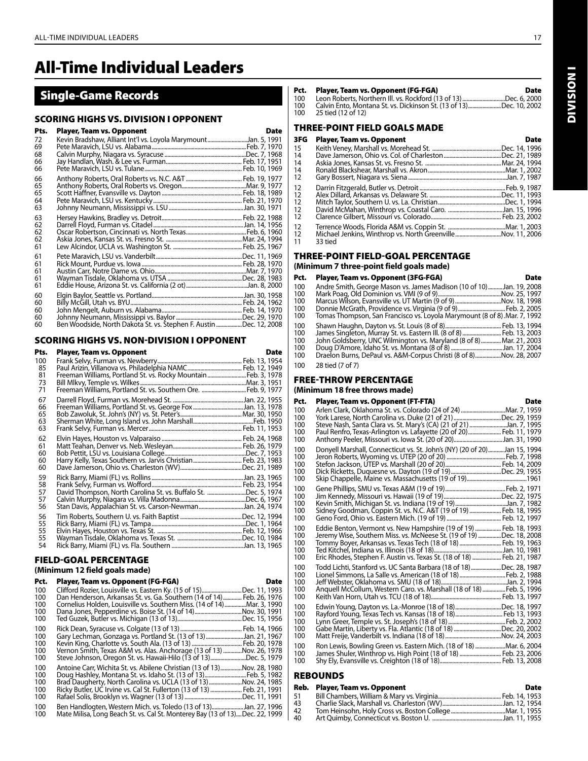## All-Time Individual Leaders

## Single-Game Records

#### SCORING HIGHS VS. DIVISION I OPPONENT

| Pts.                       | <b>Player, Team vs. Opponent</b>                                   | <b>Date</b> |
|----------------------------|--------------------------------------------------------------------|-------------|
| 72<br>69<br>68<br>66       | Kevin Bradshaw, Alliant Int'l vs. Loyola MarymountJan. 5, 1991     |             |
| 66                         |                                                                    |             |
| 66<br>65<br>65<br>64<br>63 |                                                                    |             |
| 63<br>62<br>62<br>62<br>61 |                                                                    |             |
| 61<br>61<br>61<br>61<br>61 |                                                                    |             |
| 60<br>60<br>60<br>60<br>60 | Ben Woodside, North Dakota St. vs. Stephen F. Austin Dec. 12, 2008 |             |

#### SCORING HIGHS VS. NON-DIVISION I OPPONENT

| Pts.                        | Player, Team vs. Opponent                                                                                                         | Date |
|-----------------------------|-----------------------------------------------------------------------------------------------------------------------------------|------|
| 100<br>85<br>81<br>73<br>71 | Freeman Williams, Portland St. vs. Rocky Mountain  Feb. 3, 1978<br>Freeman Williams, Portland St. vs. Southern Ore.  Feb. 9, 1977 |      |
| 67<br>66<br>65<br>63<br>63  |                                                                                                                                   |      |
| 62<br>61<br>60<br>60<br>60  |                                                                                                                                   |      |
| 59<br>58<br>57<br>57<br>56  | David Thompson, North Carolina St. vs. Buffalo St. Dec. 5, 1974<br>Stan Davis, Appalachian St. vs. Carson-NewmanJan. 24, 1974     |      |
| 56<br>55<br>55<br>55<br>54  |                                                                                                                                   |      |

#### FIELD-GOAL PERCENTAGE

#### **(Minimum 12 field goals made)**

| Pct. | Player, Team vs. Opponent (FG-FGA)                                           | <b>Date</b>    |
|------|------------------------------------------------------------------------------|----------------|
| 100  | Clifford Rozier, Louisville vs. Eastern Ky. (15 of 15)Dec. 11, 1993          |                |
| 100  | Dan Henderson, Arkansas St. vs. Ga. Southern (14 of 14)  Feb. 26, 1976       |                |
| 100  | Cornelius Holden, Louisville vs. Southern Miss. (14 of 14) Mar. 3, 1990      |                |
| 100  | Dana Jones, Pepperdine vs. Boise St. (14 of 14)                              | Nov. 30, 1991. |
| 100  |                                                                              | Dec. 15, 1956. |
| 100  |                                                                              |                |
| 100  | Gary Lechman, Gonzaga vs. Portland St. (13 of 13) Jan. 21, 1967              |                |
| 100  |                                                                              |                |
| 100  | Vernon Smith, Texas A&M vs. Alas. Anchorage (13 of 13) Nov. 26, 1978         |                |
| 100  | Steve Johnson, Oregon St. vs. Hawaii-Hilo (13 of 13)Dec. 5, 1979             |                |
| 100  | Antoine Carr, Wichita St. vs. Abilene Christian (13 of 13)                   | Nov. 28, 1980. |
| 100  | Doug Hashley, Montana St. vs. Idaho St. (13 of 13) Feb. 5, 1982              |                |
| 100  | Brad Daugherty, North Carolina vs. UCLA (13 of 13) Nov. 24, 1985             |                |
| 100  | Ricky Butler, UC Irvine vs. Cal St. Fullerton (13 of 13)  Feb. 21, 1991      |                |
| 100  |                                                                              |                |
| 100  | Ben Handlogten, Western Mich. vs. Toledo (13 of 13)Jan. 27, 1996             |                |
| 100  | Mate Milisa, Long Beach St. vs. Cal St. Monterey Bay (13 of 13)Dec. 22, 1999 |                |

| Pct. | Player, Team vs. Opponent (FG-FGA)                                 | Date |
|------|--------------------------------------------------------------------|------|
| 100  | Leon Roberts. Northern III. vs. Rockford (13 of 13)Dec. 6. 2000    |      |
| 100  | Calvin Ento, Montana St. vs. Dickinson St. (13 of 13)Dec. 10, 2002 |      |
| 100  | 25 tied (12 of 12)                                                 |      |

#### THREE-POINT FIELD GOALS MADE

#### 3FG Player, Team vs. Opponent Date Date

| эгч               | Player, Team vs. Opponent                                   | vale |
|-------------------|-------------------------------------------------------------|------|
| 15                |                                                             |      |
| 14                |                                                             |      |
| 14                |                                                             |      |
| 14                |                                                             |      |
| 12                |                                                             |      |
| 12                |                                                             |      |
| 12                |                                                             |      |
| $12 \overline{ }$ |                                                             |      |
| 12                |                                                             |      |
| 12                |                                                             |      |
| 12                |                                                             |      |
| 12                | Michael Jenkins, Winthrop vs. North GreenvilleNov. 11, 2006 |      |
| 11                | 33 tied                                                     |      |

#### three-point FIELD-GOAL PERCENTAGE

## **(Minimum 7 three-point field goals made)**

| Pct. | Player, Team vs. Opponent (3FG-FGA)                                       | Date |
|------|---------------------------------------------------------------------------|------|
| 100  | Andre Smith, George Mason vs. James Madison (10 of 10)Jan. 19, 2008       |      |
| 100  |                                                                           |      |
| 100  | Marcus Wilson, Evansville vs. UT Martin (9 of 9) Nov. 18, 1998            |      |
| 100  |                                                                           |      |
| 100  | Tomas Thompson, San Francisco vs. Loyola Marymount (8 of 8). Mar. 7, 1992 |      |
| 100  |                                                                           |      |
| 100  | James Singleton, Murray St. vs. Eastern III. (8 of 8)  Feb. 13, 2003      |      |
| 100  | John Goldsberry, UNC Wilmington vs. Maryland (8 of 8) Mar. 21, 2003       |      |
| 100  |                                                                           |      |
| 100  | Draelon Burns, DePaul vs. A&M-Corpus Christi (8 of 8)Nov. 28, 2007        |      |
| 100  | 28 tied (7 of 7)                                                          |      |

#### FREE-THROW PERCENTAGE **(Minimum 18 free throws made)**

#### Pct. Player, Team vs. Opponent (FT-FTA) Date

| ru.                             | Pidyer, Team vs. Opponent (PT-PTA)                                                                                                                                                                                                                                                    | vale |
|---------------------------------|---------------------------------------------------------------------------------------------------------------------------------------------------------------------------------------------------------------------------------------------------------------------------------------|------|
| 100                             | Arlen Clark, Oklahoma St. vs. Colorado (24 of 24) Mar. 7, 1959                                                                                                                                                                                                                        |      |
| 100                             | York Larese, North Carolina vs. Duke (21 of 21) Dec. 29, 1959                                                                                                                                                                                                                         |      |
| 100                             | Steve Nash, Santa Clara vs. St. Mary's (CA) (21 of 21) Jan. 7, 1995                                                                                                                                                                                                                   |      |
| 100                             | Paul Renfro, Texas-Arlington vs. Lafayette (20 of 20) Feb. 11, 1979                                                                                                                                                                                                                   |      |
| 100                             | Anthony Peeler, Missouri vs. lowa St. (20 of 20)Jan. 31, 1990                                                                                                                                                                                                                         |      |
| 100<br>100<br>100<br>100<br>100 | Donyell Marshall, Connecticut vs. St. John's (NY) (20 of 20)Jan 15, 1994<br>Dick Ricketts, Duquesne vs. Dayton (19 of 19)Dec. 29, 1955                                                                                                                                                |      |
| 100                             |                                                                                                                                                                                                                                                                                       |      |
| 100                             |                                                                                                                                                                                                                                                                                       |      |
| 100                             | Kevin Smith, Michigan St. vs. Indiana (19 of 19)Jan. 7, 1982                                                                                                                                                                                                                          |      |
| 100                             |                                                                                                                                                                                                                                                                                       |      |
| 100                             |                                                                                                                                                                                                                                                                                       |      |
| 100<br>100<br>100<br>100<br>100 | Eddie Benton, Vermont vs. New Hampshire (19 of 19)  Feb. 18, 1993<br>Jeremy Wise, Southern Miss. vs. McNeese St. (19 of 19) Dec. 18, 2008<br>Tommy Boyer, Arkansas vs. Texas Tech (18 of 18)  Feb. 19, 1963<br>Eric Rhodes, Stephen F. Austin vs. Texas St. (18 of 18)  Feb. 21, 1987 |      |
| 100                             | Todd Lichti, Stanford vs. UC Santa Barbara (18 of 18)Dec. 28, 1987                                                                                                                                                                                                                    |      |
| 100                             |                                                                                                                                                                                                                                                                                       |      |
| 100                             |                                                                                                                                                                                                                                                                                       |      |
| 100                             | Anquell McCollum, Western Caro. vs. Marshall (18 of 18) Feb. 5, 1996                                                                                                                                                                                                                  |      |
| 100                             |                                                                                                                                                                                                                                                                                       |      |
| 100                             | Edwin Young, Dayton vs. La.-Monroe (18 of 18)Dec. 18, 1997                                                                                                                                                                                                                            |      |
| 100                             | Rayford Young, Texas Tech vs. Kansas (18 of 18) Feb 13, 1993                                                                                                                                                                                                                          |      |
| 100                             |                                                                                                                                                                                                                                                                                       |      |
| 100                             | Gabe Martin, Liberty vs. Fla. Atlantic (18 of 18) Dec. 20, 2002                                                                                                                                                                                                                       |      |
| 100                             |                                                                                                                                                                                                                                                                                       |      |
| 100                             | Ron Lewis, Bowling Green vs. Eastern Mich. (18 of 18) Mar. 6, 2004                                                                                                                                                                                                                    |      |
| 100                             | James Shuler, Winthrop vs. High Point (18 of 18)  Feb. 23, 2006                                                                                                                                                                                                                       |      |
| 100                             |                                                                                                                                                                                                                                                                                       |      |

### **REBOUNDS**

|    | Reb. Player, Team vs. Opponent | <b>Date</b> |
|----|--------------------------------|-------------|
| 51 |                                |             |
| 43 |                                |             |
| 42 |                                |             |
| 40 |                                |             |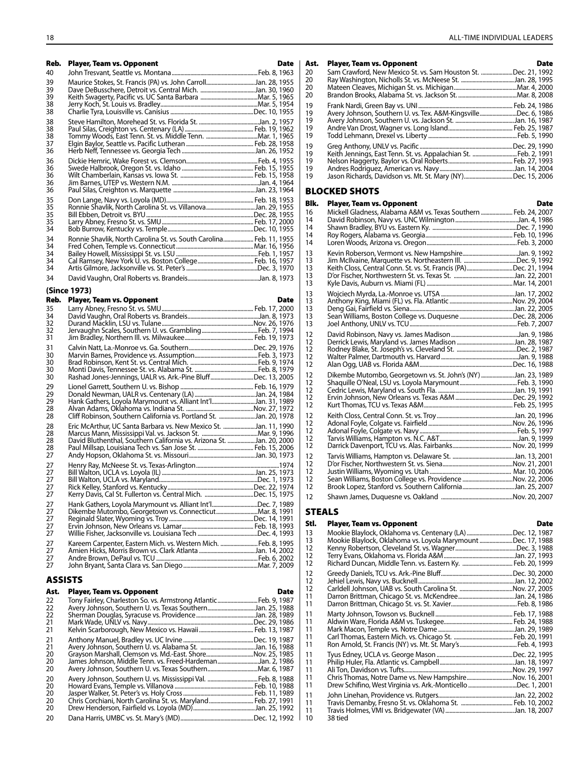| Reb.<br>40                   | <b>Player, Team vs. Opponent</b>                                    | <b>Date</b> | Ast.<br>20           | <b>Player, Team vs. Opponent</b><br>Sam Crawford, New Mexico St. vs. Sam Houston St. Dec. 21, 1992  | <b>Date</b> |
|------------------------------|---------------------------------------------------------------------|-------------|----------------------|-----------------------------------------------------------------------------------------------------|-------------|
| 39<br>39<br>39               |                                                                     |             | 20<br>20<br>20       |                                                                                                     |             |
| 38<br>38                     |                                                                     |             | 19<br>19             | Avery Johnson, Southern U. vs. Tex. A&M-KingsvilleDec. 6, 1986                                      |             |
| 38<br>38<br>38               |                                                                     |             | 19<br>19<br>19       |                                                                                                     |             |
| 37<br>36                     |                                                                     |             | 19<br>19             | Keith Jennings, East Tenn. St. vs. Appalachian St.  Feb. 2, 1991                                    |             |
| 36<br>36<br>36               |                                                                     |             | 19<br>19<br>19       |                                                                                                     |             |
| 36<br>36                     |                                                                     |             |                      | <b>BLOCKED SHOTS</b>                                                                                |             |
| 35<br>35<br>35               | Ronnie Shavlik, North Carolina St. vs. VillanovaJan. 29, 1955       |             | Blk.<br>16           | <b>Player, Team vs. Opponent</b><br>Mickell Gladness, Alabama A&M vs. Texas Southern  Feb. 24, 2007 | <b>Date</b> |
| 35                           |                                                                     |             | 14<br>14             |                                                                                                     |             |
| 34<br>34                     | Ronnie Shavlik, North Carolina St. vs. South Carolina Feb. 11, 1955 |             | 14<br>14             |                                                                                                     |             |
| 34<br>34<br>34<br>34         |                                                                     |             | 13<br>13<br>13       | Keith Closs, Central Conn. St. vs. St. Francis (PA)Dec. 21, 1994                                    |             |
| 34                           |                                                                     |             | 13<br>13             |                                                                                                     |             |
|                              | (Since 1973)                                                        |             | 13                   |                                                                                                     |             |
| Reb.<br>35<br>34<br>32<br>32 | <b>Player, Team vs. Opponent</b>                                    | <b>Date</b> | 13<br>13<br>13<br>13 |                                                                                                     |             |

| ےد<br>32<br>31             |                                                                                                                                          |  |
|----------------------------|------------------------------------------------------------------------------------------------------------------------------------------|--|
| 31<br>30<br>30<br>30<br>30 | Rashad Jones-Jennings, UALR vs. Ark.-Pine BluffDec. 13, 2005                                                                             |  |
| 29<br>29<br>29<br>28<br>28 | Hank Gathers, Loyola Marymount vs. Alliant Int'lJan. 31, 1989<br>Cliff Robinson, Southern California vs. Portland St. Jan. 20, 1978      |  |
| 28<br>28<br>28<br>28<br>27 | Eric McArthur, UC Santa Barbara vs. New Mexico St. Jan. 11, 1990<br>David Bluthenthal, Southern California vs. Arizona St. Jan. 20, 2000 |  |
| 27<br>27<br>27<br>27<br>27 | Kerry Davis, Cal St. Fullerton vs. Central Mich. Dec. 15, 1975                                                                           |  |
| 27<br>27<br>27<br>27<br>27 | Hank Gathers, Loyola Marymount vs. Alliant Int'lDec. 7, 1989<br>Dikembe Mutombo, Georgetown vs. ConnecticutMar. 8, 1991                  |  |
| 27<br>27<br>27<br>27       | Kareem Carpenter, Eastern Mich. vs. Western Mich. Feb. 8, 1995                                                                           |  |

#### ASSISTS

| Ast.<br>22<br>22<br>22<br>21<br>21 | Player, Team vs. Opponent<br>Tony Fairley, Charleston So. vs. Armstrong Atlantic  Feb. 9, 1987<br>Avery Johnson, Southern U. vs. Texas SouthernJan. 25, 1988 | <b>Date</b> |
|------------------------------------|--------------------------------------------------------------------------------------------------------------------------------------------------------------|-------------|
| 21<br>21<br>20<br>20<br>20         | Grayson Marshall, Clemson vs. Md.-East. ShoreNov. 25, 1985<br>James Johnson, Middle Tenn. vs. Freed-HardemanJan. 2, 1986                                     |             |
| 20<br>20<br>20<br>20<br>20<br>20   | Chris Corchiani, North Carolina St. vs. Maryland Feb. 27, 1991                                                                                               |             |

| Ast. | <b>Player, Team vs. Opponent</b>                               | <b>Date</b> |
|------|----------------------------------------------------------------|-------------|
| 20   | Sam Crawford, New Mexico St. vs. Sam Houston St. Dec. 21, 1992 |             |
| 20   |                                                                |             |
| 20   |                                                                |             |
| 20   |                                                                |             |
| 19   |                                                                |             |
| 19   | Avery Johnson, Southern U. vs. Tex. A&M-KingsvilleDec. 6, 1986 |             |
| 19   |                                                                |             |
| 19   |                                                                |             |
| 19   |                                                                |             |
| 19   |                                                                |             |
| 19   |                                                                |             |
| 19   |                                                                |             |
| 19   |                                                                |             |
| 19   | Jason Richards, Davidson vs. Mt. St. Mary (NY)Dec. 15, 2006    |             |

#### BLOCKED SHOTS

| Blk.                       | <b>Player, Team vs. Opponent</b>                                                                                         | Date |
|----------------------------|--------------------------------------------------------------------------------------------------------------------------|------|
| 16<br>14<br>14<br>14<br>14 | Mickell Gladness, Alabama A&M vs. Texas Southern  Feb. 24, 2007                                                          |      |
| 13<br>13<br>13<br>13<br>13 | Keith Closs, Central Conn. St. vs. St. Francis (PA)Dec. 21, 1994                                                         |      |
| 13<br>13<br>13<br>13<br>13 |                                                                                                                          |      |
| 12<br>12<br>12<br>12<br>12 |                                                                                                                          |      |
| 12<br>12<br>12<br>12<br>12 | Dikembe Mutombo, Georgetown vs. St. John's (NY) Jan. 23, 1989                                                            |      |
| 12<br>12<br>12<br>12<br>12 |                                                                                                                          |      |
| 12<br>12<br>12<br>12<br>12 | Sean Williams, Boston College vs. Providence Nov. 22, 2006<br>Brook Lopez, Stanford vs. Southern CaliforniaJan. 25, 2007 |      |
| 12                         |                                                                                                                          |      |

### STEALS

| Stl.                       | <b>Player, Team vs. Opponent</b>                                                                                           | Date |
|----------------------------|----------------------------------------------------------------------------------------------------------------------------|------|
| 13<br>13<br>12<br>12<br>12 | Mookie Blaylock, Oklahoma vs. Centenary (LA) Dec. 12, 1987<br>Mookie Blaylock, Oklahoma vs. Loyola Marymount Dec. 17, 1988 |      |
| 12<br>12<br>12<br>11<br>11 |                                                                                                                            |      |
| 11<br>11<br>11<br>11<br>11 |                                                                                                                            |      |
| 11<br>11<br>11<br>11<br>11 | Chris Thomas, Notre Dame vs. New HampshireNov. 16, 2001<br>Drew Schifino, West Virginia vs. Ark.-Monticello Dec. 1, 2001   |      |
| 11<br>11<br>11<br>10       | 38 tied                                                                                                                    |      |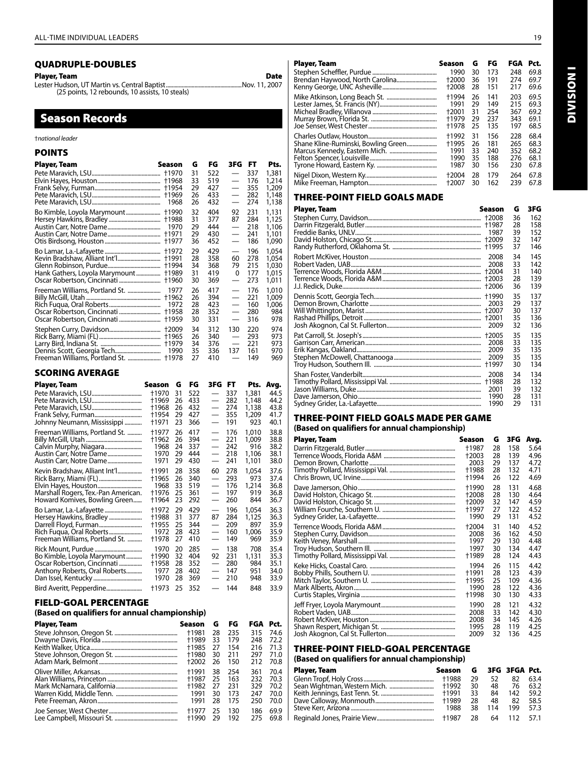#### QUADRUPLE-DOUBLES

Player, Team Date Lester Hudson, UT Martin vs. Central Baptist.....................................................Nov. 11, 2007 (25 points, 12 rebounds, 10 assists, 10 steals)

## Season Records

#### †*national leader*

#### POINTS

| Player, Team                   | Season               | G        | FG         | 3FG                      | FT         | Pts.           |
|--------------------------------|----------------------|----------|------------|--------------------------|------------|----------------|
|                                | †1968                | 31<br>33 | 522<br>519 | $\qquad \qquad$          | 337<br>176 | 1,381<br>1,214 |
|                                | †1969                | 29<br>26 | 427<br>433 |                          | 355<br>282 | 1,209<br>1,148 |
|                                | 1968                 | 26       | 432        | $\qquad \qquad$          | 274        | 1,138          |
|                                | <b>†1990</b>         | 32       | 404        | 92                       | 231        | 1,131          |
|                                | <b>t1988</b><br>1970 | 31<br>29 | 377<br>444 | 87                       | 284<br>218 | 1,125<br>1,106 |
|                                | +1971                | 29       | 430        |                          | 241        | 1,101          |
|                                | +1977                | 36       | 452        |                          | 186        | 1,090          |
|                                | +1972<br>+1991       | 29<br>28 | 429<br>358 | 60                       | 196<br>278 | 1,054<br>1,054 |
|                                | +1994                | 34       | 368        | 79                       | 215        | 1,030          |
| Hank Gathers, Loyola Marymount | †1989                | 31       | 419        | 0                        | 177        | 1,015          |
|                                | +1960                | 30       | 369        |                          | 273        | 1,011          |
| Freeman Williams, Portland St. | 1977<br>+1962        | 26<br>26 | 417<br>394 | $\overline{\phantom{0}}$ | 176<br>221 | 1,010<br>1,009 |
|                                | 1972                 | 28       | 423        |                          | 160        | 1,006          |
|                                | +1958                | 28       | 352        |                          | 280        | 984            |
|                                | †1959                | 30       | 331        |                          | 316        | 978            |
|                                | <b>+2009</b>         | 34       | 312        | 130                      | 220        | 974            |
|                                | +1965<br>+1979       | 26<br>34 | 340<br>376 |                          | 293<br>221 | 973<br>973     |
|                                | 1990                 | 35       | 336        | 137                      | 161        | 970            |
| Freeman Williams, Portland St. | †1978                | 27       | 410        | $\overline{\phantom{0}}$ | 149        | 969            |

#### SCORING AVERAGE

| Player, Team                        | Season       | G  | FG  | 3FG FT                   |     | Pts.  | Avg. |
|-------------------------------------|--------------|----|-----|--------------------------|-----|-------|------|
|                                     | †1970        | 31 | 522 | $\qquad \qquad$          | 337 | 1,381 | 44.5 |
|                                     | +1969        | 26 | 433 |                          | 282 | 1,148 | 44.2 |
|                                     | †1968        | 26 | 432 |                          | 274 | 1,138 | 43.8 |
|                                     | †1954        | 29 | 427 |                          | 355 | 1,209 | 41.7 |
| Johnny Neumann, Mississippi         | †1971        | 23 | 366 | $\overline{\phantom{0}}$ | 191 | 923   | 40.1 |
| Freeman Williams, Portland St.      | +1977        | 26 | 417 |                          | 176 | 1,010 | 38.8 |
|                                     | +1962        | 26 | 394 | $\equiv$                 | 221 | 1,009 | 38.8 |
|                                     | 1968         | 24 | 337 |                          | 242 | 916   | 38.2 |
| Austin Carr, Notre Dame             | 1970         | 29 | 444 |                          | 218 | 1,106 | 38.1 |
| Austin Carr, Notre Dame             | 1971         | 29 | 430 | $\qquad \qquad$          | 241 | 1,101 | 38.0 |
| Kevin Bradshaw, Alliant Int'l       | †1991        | 28 | 358 | 60                       | 278 | 1,054 | 37.6 |
| Rick Barry, Miami (FL)              | +1965        | 26 | 340 |                          | 293 | 973   | 37.4 |
|                                     | 1968         | 33 | 519 |                          | 176 | 1,214 | 36.8 |
| Marshall Rogers, Tex.-Pan American. | <b>†1976</b> | 25 | 361 |                          | 197 | 919   | 36.8 |
| Howard Komives, Bowling Green       | †1964        | 23 | 292 | $\overline{\phantom{0}}$ | 260 | 844   | 36.7 |
|                                     | +1972        | 29 | 429 | —                        | 196 | 1,054 | 36.3 |
| Hersey Hawkins, Bradley             | †1988        | 31 | 377 | 87                       | 284 | 1,125 | 36.3 |
|                                     | +1955        | 25 | 344 | —                        | 209 | 897   | 35.9 |
|                                     | 1972         | 28 | 423 | $\overline{\phantom{0}}$ | 160 | 1,006 | 35.9 |
| Freeman Williams, Portland St.      | +1978        | 27 | 410 | $\overline{\phantom{0}}$ | 149 | 969   | 35.9 |
| Rick Mount, Purdue                  | 1970         | 20 | 285 | $\overline{\phantom{0}}$ | 138 | 708   | 35.4 |
| Bo Kimble, Loyola Marymount         | +1990        | 32 | 404 | 92                       | 231 | 1,131 | 35.3 |
| Oscar Robertson, Cincinnati         | +1958        | 28 | 352 | $\overline{\phantom{0}}$ | 280 | 984   | 35.1 |
| Anthony Roberts, Oral Roberts       | 1977         | 28 | 402 | $\overline{\phantom{0}}$ | 147 | 951   | 34.0 |
|                                     | 1970         | 28 | 369 | $\overline{\phantom{0}}$ | 210 | 948   | 33.9 |
|                                     | †1973        | 25 | 352 | $\overline{\phantom{0}}$ | 144 | 848   | 33.9 |

#### FIELD-GOAL PERCENTAGE

#### **(Based on qualifiers for annual championship)**

| Player, Team | Season | G  | FG  | FGA Pct. |      |
|--------------|--------|----|-----|----------|------|
|              | +1981  | 28 | 235 | 315      | 74.6 |
|              | +1989  | 33 | 179 | 248      | 72.2 |
|              | +1985  | 27 | 154 | 216      | 71.3 |
|              | +1980  | 30 | 211 | 297      | 71.0 |
|              | +2002  | 26 | 150 | 212      | 70.8 |
|              | +1991  | 38 | 254 | 361      | 70.4 |
|              | +1987  | 25 | 163 | 232      | 70.3 |
|              | +1982  | 27 | 231 | 329      | 70.2 |
|              | 1991   | 30 | 173 | 247      | 70.0 |
|              | 1991   | 28 | 175 | 250      | 70.0 |
|              | +1977  | 25 | 130 | 186      | 69.9 |
|              | +1990  | 29 | 192 | 275      | 69.8 |

| <b>Player, Team</b> | Season | G  | FG  | FGA | Pct. |
|---------------------|--------|----|-----|-----|------|
|                     | 1990   | 30 | 173 | 248 | 69.8 |
|                     | +2000  | 36 | 191 | 274 | 69.7 |
|                     | +2008  | 28 | 151 | 217 | 69.6 |
|                     | +1994  | 26 | 141 | 203 | 69.5 |
|                     | 1991   | 29 | 149 | 215 | 69.3 |
|                     | +2001  | 31 | 254 | 367 | 69.2 |
|                     | +1979  | 29 | 237 | 343 | 69.1 |
|                     | +1978  | 25 | 135 | 197 | 68.5 |
|                     | +1992  | 31 | 156 | 228 | 68.4 |
|                     | +1995  | 26 | 181 | 265 | 68.3 |
|                     | 1991   | 33 | 240 | 352 | 68.2 |
|                     | 1990   | 35 | 188 | 276 | 68.1 |
|                     | 1987   | 30 | 156 | 230 | 67.8 |
|                     | +2004  | 28 | 179 | 264 | 67.8 |
|                     | +2007  | 30 | 162 | 239 | 67.8 |

#### THREE-POINT FIELD GOALS MADE

| Player, Team | Season                                  | G                          | 3FG                             |
|--------------|-----------------------------------------|----------------------------|---------------------------------|
|              | 1987                                    | 36<br>28<br>39<br>32<br>37 | 162<br>158<br>152<br>147<br>146 |
|              | 2008<br>2008<br>+2004<br>+2003<br>+2006 | 34<br>33<br>31<br>28<br>36 | 145<br>142<br>140<br>139<br>139 |
|              | +1990<br>2003<br>+2001<br>2009          | 35<br>29<br>30<br>35<br>32 | 137<br>137<br>137<br>136<br>136 |
|              | 2008<br>2009                            | 35<br>33<br>35<br>35<br>30 | 135<br>135<br>135<br>135<br>134 |
|              | 2008<br>2001<br>1990<br>1990            | 34<br>28<br>39<br>28<br>29 | 134<br>132<br>132<br>131<br>131 |

#### THREE-POINT FIELD GOALS MADE PER GAME **(Based on qualifiers for annual championship)**

| Player, Team | Season | G  | 3FG | Avg. |
|--------------|--------|----|-----|------|
|              | †1987  | 28 | 158 | 5.64 |
|              | +2003  | 28 | 139 | 4.96 |
|              | 2003   | 29 | 137 | 4.72 |
|              | +1988  | 28 | 132 | 4.71 |
|              | +1994  | 26 | 122 | 4.69 |
|              | +1990  | 28 | 131 | 4.68 |
|              | +2008  | 28 | 130 | 4.64 |
|              | +2009  | 32 | 147 | 4.59 |
|              | †1997  | 27 | 122 | 4.52 |
|              | 1990   | 29 | 131 | 4.52 |
|              | +2004  | 31 | 140 | 4.52 |
|              | 2008   | 36 | 162 | 4.50 |
|              | 1997   | 29 | 130 | 4.48 |
|              | 1997   | 30 | 134 | 4.47 |
|              | +1989  | 28 | 124 | 4.43 |
|              | 1994   | 26 | 115 | 4.42 |
|              | +1991  | 28 | 123 | 4.39 |
|              | +1995  | 25 | 109 | 4.36 |
|              | 1990   | 28 | 122 | 4.36 |
|              | +1998  | 30 | 130 | 4.33 |
|              | 1990   | 28 | 121 | 4.32 |
|              | 2008   | 33 | 142 | 4.30 |
|              | 2008   | 34 | 145 | 4.26 |
|              | 1995   | 28 | 119 | 4.25 |
|              | 2009   | 32 | 136 | 4.25 |

## THREE-POINT FIELD-GOAL PERCENTAGE

#### **(Based on qualifiers for annual championship)**

| Player, Team | Season G 3FG 3FGA Pct. |      |     |             |      |
|--------------|------------------------|------|-----|-------------|------|
|              | +1988                  | 29   | 52. | 82          | 63.4 |
|              |                        | 30   | 48  | -76         | 63.2 |
|              | +1991                  | 33   | 84  | 142.        | 59.2 |
|              | +1989                  | 28   | 48  | 82          | 58.5 |
|              | 1988                   | 38   | 114 | 199         | 57.3 |
|              |                        | - 28 |     | 64 112 57.1 |      |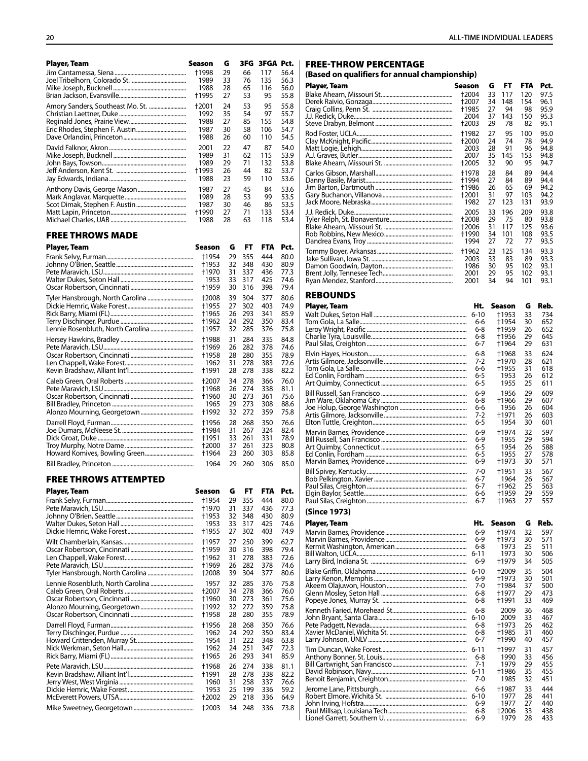| Player, Team            | Season       | G  | 3FG. | 3FGA Pct. |      |
|-------------------------|--------------|----|------|-----------|------|
|                         | †1998        | 29 | 66   | 117       | 56.4 |
|                         | 1989         | 33 | 76   | 135       | 56.3 |
|                         | 1988         | 28 | 65   | 116       | 56.0 |
|                         | †1995        | 27 | 53   | 95        | 55.8 |
|                         | +2001        | 24 | 53   | 95        | 55.8 |
|                         | 1992         | 35 | 54   | 97        | 55.7 |
|                         | 1988         | 27 | 85   | 155       | 54.8 |
|                         | 1987         | 30 | 58   | 106       | 54.7 |
|                         | 1988         | 26 | 60   | 110       | 54.5 |
|                         | 2001         | 22 | 47   | 87        | 54.0 |
|                         | 1989         | 31 | 62   | 115       | 53.9 |
|                         | 1989         | 29 | 71   | 132       | 53.8 |
|                         | †1993        | 26 | 44   | 82        | 53.7 |
|                         | 1988         | 23 | 59   | 110       | 53.6 |
|                         |              |    |      |           |      |
|                         | 1987         | 27 | 45   | 84        | 53.6 |
|                         | 1989         | 28 | 53   | 99        | 53.5 |
|                         | 1987         | 30 | 46   | 86        | 53.5 |
|                         | †1990        | 27 | 71   | 133       | 53.4 |
|                         | 1988         | 28 | 63   | 118       | 53.4 |
|                         |              |    |      |           |      |
| <b>FREE THROWS MADE</b> |              |    |      |           |      |
| Player, Team            | Season       | G  | FT   | FTA       | Pct. |
|                         | †1954        | 29 | 355  | 444       | 80.0 |
|                         | †1953        | 32 | 348  | 430       | 80.9 |
|                         | †1970        | 31 | 337  | 436       | 77.3 |
|                         | 1953         | 33 | 317  | 425       | 74.6 |
|                         | †1959        | 30 | 316  | 398       | 79.4 |
|                         |              |    |      |           |      |
|                         | +2008        | 39 | 304  | 377       | 80.6 |
|                         | †1955        | 27 | 302  | 403       | 74.9 |
|                         | +1965        | 26 | 293  | 341       | 85.9 |
|                         | †1962        | 24 | 292  | 350       | 83.4 |
|                         | †1957        | 32 | 285  | 376       | 75.8 |
|                         | †1988        | 31 | 284  | 335       | 84.8 |
|                         | †1969        | 26 | 282  | 378       | 74.6 |
|                         | †1958        | 28 | 280  | 355       | 78.9 |
|                         | 1962         | 31 | 278  | 383       | 72.6 |
|                         | †1991        | 28 | 278  | 338       | 82.2 |
|                         | +2007        | 34 | 278  | 366       | 76.0 |
|                         | †1968        | 26 | 274  | 338       | 81.1 |
|                         | †1960        | 30 | 273  | 361       | 75.6 |
|                         | 1965         | 29 | 273  | 308       | 88.6 |
|                         | †1992        | 32 | 272  | 359       | 75.8 |
|                         |              |    |      |           |      |
|                         | †1956        | 28 | 268  | 350       | 76.6 |
|                         | †1984        | 31 | 267  | 324       | 82.4 |
|                         | †1951        | 33 | 261  | 331       | 78.9 |
|                         | <b>†2000</b> | 37 | 261  | 323       | 80.8 |
|                         | †1964        | 23 | 260  | 303       | 85.8 |
|                         | 1964         | 29 | 260  | 306       | 85.0 |
|                         |              |    |      |           |      |
| FREE THROWS ATTEMPTED   |              |    |      |           |      |
| Player, Team            | Season       | G  | FT   | FTA       | Pct. |
|                         |              |    |      |           |      |
|                         | †1954        | 29 | 355  | 444       | 80.0 |
|                         | †1970        | 31 | 337  | 436       | 77.3 |
|                         | †1953        | 32 | 348  | 430       | 80.9 |
|                         | 1953         | 33 | 317  | 425       | 74.6 |
|                         | †1955        | 27 | 302  | 403       | 74.9 |
|                         | †1957        | 27 | 250  | 399       | 62.7 |
|                         | †1959        | 30 | 316  | 398       | 79.4 |
|                         | †1962        | 31 | 278  | 383       | 72.6 |
|                         | †1969        | 26 | 282  | 378       | 74.6 |
|                         | †2008        | 39 | 304  | 377       | 80.6 |
|                         | 1957         | 32 | 285  | 376       | 75.8 |
|                         | +2007        | 34 | 278  | 366       | 76.0 |
|                         | †1960        | 30 | 273  | 361       | 75.6 |
|                         | †1992        | 32 | 272  | 359       | 75.8 |
|                         | †1958        | 28 | 280  | 355       | 78.9 |
|                         |              |    |      |           |      |
|                         | +1956        | 28 | 268  | 350       | 76.6 |
|                         | 1962         | 24 | 292  | 350       | 83.4 |
|                         | 1954         | 31 | 222  | 348       | 63.8 |
|                         | 1962         | 24 | 251  | 347       | 72.3 |
|                         | †1965        | 26 | 293  | 341       | 85.9 |
|                         | †1968        | 26 | 274  | 338       | 81.1 |
|                         | †1991        | 28 | 278  | 338       | 82.2 |
|                         | 1960         | 31 | 258  | 337       | 76.6 |
|                         | 1953         | 25 | 199  | 336       | 59.2 |
|                         | 12002        | 29 | 218  | 336       | 64.9 |
|                         | <b>+2003</b> | 34 | 248  | 336       | 73.8 |

#### FREE-THROW PERCENTAGE

| Player, Team<br>Season<br>G<br>FT<br>FTA<br>Pct.<br>33<br>117<br>97.5<br>†2004<br>120<br>148<br>154<br>†2007<br>34<br>96.1<br>27<br>94<br>98<br>95.9<br>†1985<br>37<br>150<br>95.3<br>2004<br>143<br>29<br>82<br>95.1<br>†2003<br>78<br>95.0<br>27<br>95<br>100<br>†1982<br>74<br>94.9<br>†2000<br>24<br>78<br>96<br>28<br>91<br>94.8<br>2003<br>35<br>145<br>153<br>94.8<br>2007<br>32<br>90<br>95<br>94.7<br>†2005<br>28<br>89<br>94.4<br>+1978<br>84<br>†1994<br>27<br>84<br>89<br>94.4<br>†1986<br>26<br>65<br>69<br>94.2<br>†2001<br>31<br>97<br>103<br>94.2<br>1982<br>27<br>123<br>131<br>93.9<br>2005<br>196<br>93.8<br>33<br>209<br>75<br>80<br>†2008<br>29<br>93.8<br>117<br>125<br>93.6<br>†2006<br>31<br>†1990<br>34<br>101<br>93.5<br>108<br>27<br>93.5<br>1994<br>72<br>77<br>†1962<br>125<br>134<br>93.3<br>23<br>33<br>89<br>93.3<br>2003<br>83<br>1986<br>30<br>93.1<br>95<br>102<br>29<br>95<br>102<br>93.1<br>2001<br>34<br>94<br>101<br>93.1<br>2001<br><b>REBOUNDS</b><br>Player, Team<br>Ht.<br><b>Season</b><br>Reb.<br>G<br>$6 - 10$<br>†1953<br>33<br>734<br>†1954<br>652<br>6-6<br>30<br>†1959<br>652<br>6-8<br>26<br>+1956<br>29<br>645<br>6-8<br>†1964<br>29<br>631<br>6-7<br>†1968<br>33<br>624<br>6-8<br>7-2<br>†1970<br>621<br>28<br>†1955<br>31<br>618<br>6-6<br>6-5<br>1953<br>612<br>26<br>1955<br>611<br>6-5<br>25<br>$6-9$<br>1956<br>29<br>609<br>†1966<br>29<br>6-8<br>607<br>604<br>6-6<br>1956<br>26<br>7-2<br>+1971<br>26<br>603<br>6-5<br>1954<br>30<br>601<br>32<br>597<br>6-9<br>†1974<br>1955<br>29<br>594<br>6-9<br>1954<br>6-5<br>26<br>588<br>6-5<br>1955<br>27<br>578<br>6-9<br>†1973<br>30<br>571<br>+1951<br>567<br>7-0<br>33<br>6-7<br>567<br>1964<br>26<br>6-7<br>†1962<br>25<br>563<br>†1959<br>29<br>559<br>6-6<br>†1963<br>27<br>557<br>6-7<br>(Since 1973)<br>Player, Team<br>Ht.<br>Season<br>G<br>Reb.<br>32<br>597<br>$6-9$<br>†1974<br>6-9<br>†1973<br>30<br>571<br>6-8<br>1973<br>25<br>511<br>$6 - 11$<br>1973<br>506<br>30<br>†1979<br>34<br>6-9<br>505<br>+2009<br>35<br>504<br>†1973<br>6-9<br>30<br>501<br>7-0<br>†1984<br>37<br>500<br>†1977<br>29<br>473<br>6-8<br>†1991<br>33<br>469<br>6-8<br>6-8<br>2009<br>36<br>468<br>33<br>$6 - 10$<br>2009<br>467<br>†1973<br>26<br>6-8<br>462<br>6-8<br>†1985<br>31<br>460<br>40<br>6-7<br>†1990<br>457<br>$6 - 11$<br>†1997<br>31<br>457<br>456<br>1990<br>33<br>6-8<br>1979<br>29<br>7-1<br>455<br>†1986<br>35<br>455<br>6-11<br>1985<br>32<br>7-0<br>451<br>33<br>†1987<br>444<br>6-6<br>1977<br>441<br>$6 - 10$<br>28<br>1977<br>6-9<br>27<br>440<br>6-8<br>†2006<br>33<br>438 | (Based on qualifiers for annual championship) |  |  |  |
|--------------------------------------------------------------------------------------------------------------------------------------------------------------------------------------------------------------------------------------------------------------------------------------------------------------------------------------------------------------------------------------------------------------------------------------------------------------------------------------------------------------------------------------------------------------------------------------------------------------------------------------------------------------------------------------------------------------------------------------------------------------------------------------------------------------------------------------------------------------------------------------------------------------------------------------------------------------------------------------------------------------------------------------------------------------------------------------------------------------------------------------------------------------------------------------------------------------------------------------------------------------------------------------------------------------------------------------------------------------------------------------------------------------------------------------------------------------------------------------------------------------------------------------------------------------------------------------------------------------------------------------------------------------------------------------------------------------------------------------------------------------------------------------------------------------------------------------------------------------------------------------------------------------------------------------------------------------------------------------------------------------------------------------------------------------------------------------------------------------------------------------------------------------------------------------------------------------------------------------------------------------------------------------------------------------------------------------------------------------------------------------------------------------------------------------------------------------------------------------------------------------------------------------------------------------------------------------------------|-----------------------------------------------|--|--|--|
|                                                                                                                                                                                                                                                                                                                                                                                                                                                                                                                                                                                                                                                                                                                                                                                                                                                                                                                                                                                                                                                                                                                                                                                                                                                                                                                                                                                                                                                                                                                                                                                                                                                                                                                                                                                                                                                                                                                                                                                                                                                                                                                                                                                                                                                                                                                                                                                                                                                                                                                                                                                                  |                                               |  |  |  |
|                                                                                                                                                                                                                                                                                                                                                                                                                                                                                                                                                                                                                                                                                                                                                                                                                                                                                                                                                                                                                                                                                                                                                                                                                                                                                                                                                                                                                                                                                                                                                                                                                                                                                                                                                                                                                                                                                                                                                                                                                                                                                                                                                                                                                                                                                                                                                                                                                                                                                                                                                                                                  |                                               |  |  |  |
|                                                                                                                                                                                                                                                                                                                                                                                                                                                                                                                                                                                                                                                                                                                                                                                                                                                                                                                                                                                                                                                                                                                                                                                                                                                                                                                                                                                                                                                                                                                                                                                                                                                                                                                                                                                                                                                                                                                                                                                                                                                                                                                                                                                                                                                                                                                                                                                                                                                                                                                                                                                                  |                                               |  |  |  |
|                                                                                                                                                                                                                                                                                                                                                                                                                                                                                                                                                                                                                                                                                                                                                                                                                                                                                                                                                                                                                                                                                                                                                                                                                                                                                                                                                                                                                                                                                                                                                                                                                                                                                                                                                                                                                                                                                                                                                                                                                                                                                                                                                                                                                                                                                                                                                                                                                                                                                                                                                                                                  |                                               |  |  |  |
|                                                                                                                                                                                                                                                                                                                                                                                                                                                                                                                                                                                                                                                                                                                                                                                                                                                                                                                                                                                                                                                                                                                                                                                                                                                                                                                                                                                                                                                                                                                                                                                                                                                                                                                                                                                                                                                                                                                                                                                                                                                                                                                                                                                                                                                                                                                                                                                                                                                                                                                                                                                                  |                                               |  |  |  |
|                                                                                                                                                                                                                                                                                                                                                                                                                                                                                                                                                                                                                                                                                                                                                                                                                                                                                                                                                                                                                                                                                                                                                                                                                                                                                                                                                                                                                                                                                                                                                                                                                                                                                                                                                                                                                                                                                                                                                                                                                                                                                                                                                                                                                                                                                                                                                                                                                                                                                                                                                                                                  |                                               |  |  |  |
|                                                                                                                                                                                                                                                                                                                                                                                                                                                                                                                                                                                                                                                                                                                                                                                                                                                                                                                                                                                                                                                                                                                                                                                                                                                                                                                                                                                                                                                                                                                                                                                                                                                                                                                                                                                                                                                                                                                                                                                                                                                                                                                                                                                                                                                                                                                                                                                                                                                                                                                                                                                                  |                                               |  |  |  |
|                                                                                                                                                                                                                                                                                                                                                                                                                                                                                                                                                                                                                                                                                                                                                                                                                                                                                                                                                                                                                                                                                                                                                                                                                                                                                                                                                                                                                                                                                                                                                                                                                                                                                                                                                                                                                                                                                                                                                                                                                                                                                                                                                                                                                                                                                                                                                                                                                                                                                                                                                                                                  |                                               |  |  |  |
|                                                                                                                                                                                                                                                                                                                                                                                                                                                                                                                                                                                                                                                                                                                                                                                                                                                                                                                                                                                                                                                                                                                                                                                                                                                                                                                                                                                                                                                                                                                                                                                                                                                                                                                                                                                                                                                                                                                                                                                                                                                                                                                                                                                                                                                                                                                                                                                                                                                                                                                                                                                                  |                                               |  |  |  |
|                                                                                                                                                                                                                                                                                                                                                                                                                                                                                                                                                                                                                                                                                                                                                                                                                                                                                                                                                                                                                                                                                                                                                                                                                                                                                                                                                                                                                                                                                                                                                                                                                                                                                                                                                                                                                                                                                                                                                                                                                                                                                                                                                                                                                                                                                                                                                                                                                                                                                                                                                                                                  |                                               |  |  |  |
|                                                                                                                                                                                                                                                                                                                                                                                                                                                                                                                                                                                                                                                                                                                                                                                                                                                                                                                                                                                                                                                                                                                                                                                                                                                                                                                                                                                                                                                                                                                                                                                                                                                                                                                                                                                                                                                                                                                                                                                                                                                                                                                                                                                                                                                                                                                                                                                                                                                                                                                                                                                                  |                                               |  |  |  |
|                                                                                                                                                                                                                                                                                                                                                                                                                                                                                                                                                                                                                                                                                                                                                                                                                                                                                                                                                                                                                                                                                                                                                                                                                                                                                                                                                                                                                                                                                                                                                                                                                                                                                                                                                                                                                                                                                                                                                                                                                                                                                                                                                                                                                                                                                                                                                                                                                                                                                                                                                                                                  |                                               |  |  |  |
|                                                                                                                                                                                                                                                                                                                                                                                                                                                                                                                                                                                                                                                                                                                                                                                                                                                                                                                                                                                                                                                                                                                                                                                                                                                                                                                                                                                                                                                                                                                                                                                                                                                                                                                                                                                                                                                                                                                                                                                                                                                                                                                                                                                                                                                                                                                                                                                                                                                                                                                                                                                                  |                                               |  |  |  |
|                                                                                                                                                                                                                                                                                                                                                                                                                                                                                                                                                                                                                                                                                                                                                                                                                                                                                                                                                                                                                                                                                                                                                                                                                                                                                                                                                                                                                                                                                                                                                                                                                                                                                                                                                                                                                                                                                                                                                                                                                                                                                                                                                                                                                                                                                                                                                                                                                                                                                                                                                                                                  |                                               |  |  |  |
|                                                                                                                                                                                                                                                                                                                                                                                                                                                                                                                                                                                                                                                                                                                                                                                                                                                                                                                                                                                                                                                                                                                                                                                                                                                                                                                                                                                                                                                                                                                                                                                                                                                                                                                                                                                                                                                                                                                                                                                                                                                                                                                                                                                                                                                                                                                                                                                                                                                                                                                                                                                                  |                                               |  |  |  |
|                                                                                                                                                                                                                                                                                                                                                                                                                                                                                                                                                                                                                                                                                                                                                                                                                                                                                                                                                                                                                                                                                                                                                                                                                                                                                                                                                                                                                                                                                                                                                                                                                                                                                                                                                                                                                                                                                                                                                                                                                                                                                                                                                                                                                                                                                                                                                                                                                                                                                                                                                                                                  |                                               |  |  |  |
|                                                                                                                                                                                                                                                                                                                                                                                                                                                                                                                                                                                                                                                                                                                                                                                                                                                                                                                                                                                                                                                                                                                                                                                                                                                                                                                                                                                                                                                                                                                                                                                                                                                                                                                                                                                                                                                                                                                                                                                                                                                                                                                                                                                                                                                                                                                                                                                                                                                                                                                                                                                                  |                                               |  |  |  |
|                                                                                                                                                                                                                                                                                                                                                                                                                                                                                                                                                                                                                                                                                                                                                                                                                                                                                                                                                                                                                                                                                                                                                                                                                                                                                                                                                                                                                                                                                                                                                                                                                                                                                                                                                                                                                                                                                                                                                                                                                                                                                                                                                                                                                                                                                                                                                                                                                                                                                                                                                                                                  |                                               |  |  |  |
|                                                                                                                                                                                                                                                                                                                                                                                                                                                                                                                                                                                                                                                                                                                                                                                                                                                                                                                                                                                                                                                                                                                                                                                                                                                                                                                                                                                                                                                                                                                                                                                                                                                                                                                                                                                                                                                                                                                                                                                                                                                                                                                                                                                                                                                                                                                                                                                                                                                                                                                                                                                                  |                                               |  |  |  |
|                                                                                                                                                                                                                                                                                                                                                                                                                                                                                                                                                                                                                                                                                                                                                                                                                                                                                                                                                                                                                                                                                                                                                                                                                                                                                                                                                                                                                                                                                                                                                                                                                                                                                                                                                                                                                                                                                                                                                                                                                                                                                                                                                                                                                                                                                                                                                                                                                                                                                                                                                                                                  |                                               |  |  |  |
|                                                                                                                                                                                                                                                                                                                                                                                                                                                                                                                                                                                                                                                                                                                                                                                                                                                                                                                                                                                                                                                                                                                                                                                                                                                                                                                                                                                                                                                                                                                                                                                                                                                                                                                                                                                                                                                                                                                                                                                                                                                                                                                                                                                                                                                                                                                                                                                                                                                                                                                                                                                                  |                                               |  |  |  |
|                                                                                                                                                                                                                                                                                                                                                                                                                                                                                                                                                                                                                                                                                                                                                                                                                                                                                                                                                                                                                                                                                                                                                                                                                                                                                                                                                                                                                                                                                                                                                                                                                                                                                                                                                                                                                                                                                                                                                                                                                                                                                                                                                                                                                                                                                                                                                                                                                                                                                                                                                                                                  |                                               |  |  |  |
|                                                                                                                                                                                                                                                                                                                                                                                                                                                                                                                                                                                                                                                                                                                                                                                                                                                                                                                                                                                                                                                                                                                                                                                                                                                                                                                                                                                                                                                                                                                                                                                                                                                                                                                                                                                                                                                                                                                                                                                                                                                                                                                                                                                                                                                                                                                                                                                                                                                                                                                                                                                                  |                                               |  |  |  |
|                                                                                                                                                                                                                                                                                                                                                                                                                                                                                                                                                                                                                                                                                                                                                                                                                                                                                                                                                                                                                                                                                                                                                                                                                                                                                                                                                                                                                                                                                                                                                                                                                                                                                                                                                                                                                                                                                                                                                                                                                                                                                                                                                                                                                                                                                                                                                                                                                                                                                                                                                                                                  |                                               |  |  |  |
|                                                                                                                                                                                                                                                                                                                                                                                                                                                                                                                                                                                                                                                                                                                                                                                                                                                                                                                                                                                                                                                                                                                                                                                                                                                                                                                                                                                                                                                                                                                                                                                                                                                                                                                                                                                                                                                                                                                                                                                                                                                                                                                                                                                                                                                                                                                                                                                                                                                                                                                                                                                                  |                                               |  |  |  |
|                                                                                                                                                                                                                                                                                                                                                                                                                                                                                                                                                                                                                                                                                                                                                                                                                                                                                                                                                                                                                                                                                                                                                                                                                                                                                                                                                                                                                                                                                                                                                                                                                                                                                                                                                                                                                                                                                                                                                                                                                                                                                                                                                                                                                                                                                                                                                                                                                                                                                                                                                                                                  |                                               |  |  |  |
|                                                                                                                                                                                                                                                                                                                                                                                                                                                                                                                                                                                                                                                                                                                                                                                                                                                                                                                                                                                                                                                                                                                                                                                                                                                                                                                                                                                                                                                                                                                                                                                                                                                                                                                                                                                                                                                                                                                                                                                                                                                                                                                                                                                                                                                                                                                                                                                                                                                                                                                                                                                                  |                                               |  |  |  |
|                                                                                                                                                                                                                                                                                                                                                                                                                                                                                                                                                                                                                                                                                                                                                                                                                                                                                                                                                                                                                                                                                                                                                                                                                                                                                                                                                                                                                                                                                                                                                                                                                                                                                                                                                                                                                                                                                                                                                                                                                                                                                                                                                                                                                                                                                                                                                                                                                                                                                                                                                                                                  |                                               |  |  |  |
|                                                                                                                                                                                                                                                                                                                                                                                                                                                                                                                                                                                                                                                                                                                                                                                                                                                                                                                                                                                                                                                                                                                                                                                                                                                                                                                                                                                                                                                                                                                                                                                                                                                                                                                                                                                                                                                                                                                                                                                                                                                                                                                                                                                                                                                                                                                                                                                                                                                                                                                                                                                                  |                                               |  |  |  |
|                                                                                                                                                                                                                                                                                                                                                                                                                                                                                                                                                                                                                                                                                                                                                                                                                                                                                                                                                                                                                                                                                                                                                                                                                                                                                                                                                                                                                                                                                                                                                                                                                                                                                                                                                                                                                                                                                                                                                                                                                                                                                                                                                                                                                                                                                                                                                                                                                                                                                                                                                                                                  |                                               |  |  |  |
|                                                                                                                                                                                                                                                                                                                                                                                                                                                                                                                                                                                                                                                                                                                                                                                                                                                                                                                                                                                                                                                                                                                                                                                                                                                                                                                                                                                                                                                                                                                                                                                                                                                                                                                                                                                                                                                                                                                                                                                                                                                                                                                                                                                                                                                                                                                                                                                                                                                                                                                                                                                                  |                                               |  |  |  |
|                                                                                                                                                                                                                                                                                                                                                                                                                                                                                                                                                                                                                                                                                                                                                                                                                                                                                                                                                                                                                                                                                                                                                                                                                                                                                                                                                                                                                                                                                                                                                                                                                                                                                                                                                                                                                                                                                                                                                                                                                                                                                                                                                                                                                                                                                                                                                                                                                                                                                                                                                                                                  |                                               |  |  |  |
|                                                                                                                                                                                                                                                                                                                                                                                                                                                                                                                                                                                                                                                                                                                                                                                                                                                                                                                                                                                                                                                                                                                                                                                                                                                                                                                                                                                                                                                                                                                                                                                                                                                                                                                                                                                                                                                                                                                                                                                                                                                                                                                                                                                                                                                                                                                                                                                                                                                                                                                                                                                                  |                                               |  |  |  |
|                                                                                                                                                                                                                                                                                                                                                                                                                                                                                                                                                                                                                                                                                                                                                                                                                                                                                                                                                                                                                                                                                                                                                                                                                                                                                                                                                                                                                                                                                                                                                                                                                                                                                                                                                                                                                                                                                                                                                                                                                                                                                                                                                                                                                                                                                                                                                                                                                                                                                                                                                                                                  |                                               |  |  |  |
|                                                                                                                                                                                                                                                                                                                                                                                                                                                                                                                                                                                                                                                                                                                                                                                                                                                                                                                                                                                                                                                                                                                                                                                                                                                                                                                                                                                                                                                                                                                                                                                                                                                                                                                                                                                                                                                                                                                                                                                                                                                                                                                                                                                                                                                                                                                                                                                                                                                                                                                                                                                                  |                                               |  |  |  |
|                                                                                                                                                                                                                                                                                                                                                                                                                                                                                                                                                                                                                                                                                                                                                                                                                                                                                                                                                                                                                                                                                                                                                                                                                                                                                                                                                                                                                                                                                                                                                                                                                                                                                                                                                                                                                                                                                                                                                                                                                                                                                                                                                                                                                                                                                                                                                                                                                                                                                                                                                                                                  |                                               |  |  |  |
|                                                                                                                                                                                                                                                                                                                                                                                                                                                                                                                                                                                                                                                                                                                                                                                                                                                                                                                                                                                                                                                                                                                                                                                                                                                                                                                                                                                                                                                                                                                                                                                                                                                                                                                                                                                                                                                                                                                                                                                                                                                                                                                                                                                                                                                                                                                                                                                                                                                                                                                                                                                                  |                                               |  |  |  |
|                                                                                                                                                                                                                                                                                                                                                                                                                                                                                                                                                                                                                                                                                                                                                                                                                                                                                                                                                                                                                                                                                                                                                                                                                                                                                                                                                                                                                                                                                                                                                                                                                                                                                                                                                                                                                                                                                                                                                                                                                                                                                                                                                                                                                                                                                                                                                                                                                                                                                                                                                                                                  |                                               |  |  |  |
|                                                                                                                                                                                                                                                                                                                                                                                                                                                                                                                                                                                                                                                                                                                                                                                                                                                                                                                                                                                                                                                                                                                                                                                                                                                                                                                                                                                                                                                                                                                                                                                                                                                                                                                                                                                                                                                                                                                                                                                                                                                                                                                                                                                                                                                                                                                                                                                                                                                                                                                                                                                                  |                                               |  |  |  |
|                                                                                                                                                                                                                                                                                                                                                                                                                                                                                                                                                                                                                                                                                                                                                                                                                                                                                                                                                                                                                                                                                                                                                                                                                                                                                                                                                                                                                                                                                                                                                                                                                                                                                                                                                                                                                                                                                                                                                                                                                                                                                                                                                                                                                                                                                                                                                                                                                                                                                                                                                                                                  |                                               |  |  |  |
|                                                                                                                                                                                                                                                                                                                                                                                                                                                                                                                                                                                                                                                                                                                                                                                                                                                                                                                                                                                                                                                                                                                                                                                                                                                                                                                                                                                                                                                                                                                                                                                                                                                                                                                                                                                                                                                                                                                                                                                                                                                                                                                                                                                                                                                                                                                                                                                                                                                                                                                                                                                                  |                                               |  |  |  |
|                                                                                                                                                                                                                                                                                                                                                                                                                                                                                                                                                                                                                                                                                                                                                                                                                                                                                                                                                                                                                                                                                                                                                                                                                                                                                                                                                                                                                                                                                                                                                                                                                                                                                                                                                                                                                                                                                                                                                                                                                                                                                                                                                                                                                                                                                                                                                                                                                                                                                                                                                                                                  |                                               |  |  |  |
|                                                                                                                                                                                                                                                                                                                                                                                                                                                                                                                                                                                                                                                                                                                                                                                                                                                                                                                                                                                                                                                                                                                                                                                                                                                                                                                                                                                                                                                                                                                                                                                                                                                                                                                                                                                                                                                                                                                                                                                                                                                                                                                                                                                                                                                                                                                                                                                                                                                                                                                                                                                                  |                                               |  |  |  |
|                                                                                                                                                                                                                                                                                                                                                                                                                                                                                                                                                                                                                                                                                                                                                                                                                                                                                                                                                                                                                                                                                                                                                                                                                                                                                                                                                                                                                                                                                                                                                                                                                                                                                                                                                                                                                                                                                                                                                                                                                                                                                                                                                                                                                                                                                                                                                                                                                                                                                                                                                                                                  |                                               |  |  |  |
|                                                                                                                                                                                                                                                                                                                                                                                                                                                                                                                                                                                                                                                                                                                                                                                                                                                                                                                                                                                                                                                                                                                                                                                                                                                                                                                                                                                                                                                                                                                                                                                                                                                                                                                                                                                                                                                                                                                                                                                                                                                                                                                                                                                                                                                                                                                                                                                                                                                                                                                                                                                                  |                                               |  |  |  |
|                                                                                                                                                                                                                                                                                                                                                                                                                                                                                                                                                                                                                                                                                                                                                                                                                                                                                                                                                                                                                                                                                                                                                                                                                                                                                                                                                                                                                                                                                                                                                                                                                                                                                                                                                                                                                                                                                                                                                                                                                                                                                                                                                                                                                                                                                                                                                                                                                                                                                                                                                                                                  |                                               |  |  |  |
|                                                                                                                                                                                                                                                                                                                                                                                                                                                                                                                                                                                                                                                                                                                                                                                                                                                                                                                                                                                                                                                                                                                                                                                                                                                                                                                                                                                                                                                                                                                                                                                                                                                                                                                                                                                                                                                                                                                                                                                                                                                                                                                                                                                                                                                                                                                                                                                                                                                                                                                                                                                                  |                                               |  |  |  |
|                                                                                                                                                                                                                                                                                                                                                                                                                                                                                                                                                                                                                                                                                                                                                                                                                                                                                                                                                                                                                                                                                                                                                                                                                                                                                                                                                                                                                                                                                                                                                                                                                                                                                                                                                                                                                                                                                                                                                                                                                                                                                                                                                                                                                                                                                                                                                                                                                                                                                                                                                                                                  |                                               |  |  |  |
|                                                                                                                                                                                                                                                                                                                                                                                                                                                                                                                                                                                                                                                                                                                                                                                                                                                                                                                                                                                                                                                                                                                                                                                                                                                                                                                                                                                                                                                                                                                                                                                                                                                                                                                                                                                                                                                                                                                                                                                                                                                                                                                                                                                                                                                                                                                                                                                                                                                                                                                                                                                                  |                                               |  |  |  |
|                                                                                                                                                                                                                                                                                                                                                                                                                                                                                                                                                                                                                                                                                                                                                                                                                                                                                                                                                                                                                                                                                                                                                                                                                                                                                                                                                                                                                                                                                                                                                                                                                                                                                                                                                                                                                                                                                                                                                                                                                                                                                                                                                                                                                                                                                                                                                                                                                                                                                                                                                                                                  |                                               |  |  |  |
|                                                                                                                                                                                                                                                                                                                                                                                                                                                                                                                                                                                                                                                                                                                                                                                                                                                                                                                                                                                                                                                                                                                                                                                                                                                                                                                                                                                                                                                                                                                                                                                                                                                                                                                                                                                                                                                                                                                                                                                                                                                                                                                                                                                                                                                                                                                                                                                                                                                                                                                                                                                                  |                                               |  |  |  |
|                                                                                                                                                                                                                                                                                                                                                                                                                                                                                                                                                                                                                                                                                                                                                                                                                                                                                                                                                                                                                                                                                                                                                                                                                                                                                                                                                                                                                                                                                                                                                                                                                                                                                                                                                                                                                                                                                                                                                                                                                                                                                                                                                                                                                                                                                                                                                                                                                                                                                                                                                                                                  |                                               |  |  |  |
|                                                                                                                                                                                                                                                                                                                                                                                                                                                                                                                                                                                                                                                                                                                                                                                                                                                                                                                                                                                                                                                                                                                                                                                                                                                                                                                                                                                                                                                                                                                                                                                                                                                                                                                                                                                                                                                                                                                                                                                                                                                                                                                                                                                                                                                                                                                                                                                                                                                                                                                                                                                                  |                                               |  |  |  |
|                                                                                                                                                                                                                                                                                                                                                                                                                                                                                                                                                                                                                                                                                                                                                                                                                                                                                                                                                                                                                                                                                                                                                                                                                                                                                                                                                                                                                                                                                                                                                                                                                                                                                                                                                                                                                                                                                                                                                                                                                                                                                                                                                                                                                                                                                                                                                                                                                                                                                                                                                                                                  |                                               |  |  |  |
|                                                                                                                                                                                                                                                                                                                                                                                                                                                                                                                                                                                                                                                                                                                                                                                                                                                                                                                                                                                                                                                                                                                                                                                                                                                                                                                                                                                                                                                                                                                                                                                                                                                                                                                                                                                                                                                                                                                                                                                                                                                                                                                                                                                                                                                                                                                                                                                                                                                                                                                                                                                                  |                                               |  |  |  |
|                                                                                                                                                                                                                                                                                                                                                                                                                                                                                                                                                                                                                                                                                                                                                                                                                                                                                                                                                                                                                                                                                                                                                                                                                                                                                                                                                                                                                                                                                                                                                                                                                                                                                                                                                                                                                                                                                                                                                                                                                                                                                                                                                                                                                                                                                                                                                                                                                                                                                                                                                                                                  |                                               |  |  |  |
|                                                                                                                                                                                                                                                                                                                                                                                                                                                                                                                                                                                                                                                                                                                                                                                                                                                                                                                                                                                                                                                                                                                                                                                                                                                                                                                                                                                                                                                                                                                                                                                                                                                                                                                                                                                                                                                                                                                                                                                                                                                                                                                                                                                                                                                                                                                                                                                                                                                                                                                                                                                                  |                                               |  |  |  |
|                                                                                                                                                                                                                                                                                                                                                                                                                                                                                                                                                                                                                                                                                                                                                                                                                                                                                                                                                                                                                                                                                                                                                                                                                                                                                                                                                                                                                                                                                                                                                                                                                                                                                                                                                                                                                                                                                                                                                                                                                                                                                                                                                                                                                                                                                                                                                                                                                                                                                                                                                                                                  |                                               |  |  |  |
|                                                                                                                                                                                                                                                                                                                                                                                                                                                                                                                                                                                                                                                                                                                                                                                                                                                                                                                                                                                                                                                                                                                                                                                                                                                                                                                                                                                                                                                                                                                                                                                                                                                                                                                                                                                                                                                                                                                                                                                                                                                                                                                                                                                                                                                                                                                                                                                                                                                                                                                                                                                                  |                                               |  |  |  |
|                                                                                                                                                                                                                                                                                                                                                                                                                                                                                                                                                                                                                                                                                                                                                                                                                                                                                                                                                                                                                                                                                                                                                                                                                                                                                                                                                                                                                                                                                                                                                                                                                                                                                                                                                                                                                                                                                                                                                                                                                                                                                                                                                                                                                                                                                                                                                                                                                                                                                                                                                                                                  |                                               |  |  |  |
|                                                                                                                                                                                                                                                                                                                                                                                                                                                                                                                                                                                                                                                                                                                                                                                                                                                                                                                                                                                                                                                                                                                                                                                                                                                                                                                                                                                                                                                                                                                                                                                                                                                                                                                                                                                                                                                                                                                                                                                                                                                                                                                                                                                                                                                                                                                                                                                                                                                                                                                                                                                                  |                                               |  |  |  |
|                                                                                                                                                                                                                                                                                                                                                                                                                                                                                                                                                                                                                                                                                                                                                                                                                                                                                                                                                                                                                                                                                                                                                                                                                                                                                                                                                                                                                                                                                                                                                                                                                                                                                                                                                                                                                                                                                                                                                                                                                                                                                                                                                                                                                                                                                                                                                                                                                                                                                                                                                                                                  |                                               |  |  |  |
|                                                                                                                                                                                                                                                                                                                                                                                                                                                                                                                                                                                                                                                                                                                                                                                                                                                                                                                                                                                                                                                                                                                                                                                                                                                                                                                                                                                                                                                                                                                                                                                                                                                                                                                                                                                                                                                                                                                                                                                                                                                                                                                                                                                                                                                                                                                                                                                                                                                                                                                                                                                                  |                                               |  |  |  |
|                                                                                                                                                                                                                                                                                                                                                                                                                                                                                                                                                                                                                                                                                                                                                                                                                                                                                                                                                                                                                                                                                                                                                                                                                                                                                                                                                                                                                                                                                                                                                                                                                                                                                                                                                                                                                                                                                                                                                                                                                                                                                                                                                                                                                                                                                                                                                                                                                                                                                                                                                                                                  |                                               |  |  |  |
|                                                                                                                                                                                                                                                                                                                                                                                                                                                                                                                                                                                                                                                                                                                                                                                                                                                                                                                                                                                                                                                                                                                                                                                                                                                                                                                                                                                                                                                                                                                                                                                                                                                                                                                                                                                                                                                                                                                                                                                                                                                                                                                                                                                                                                                                                                                                                                                                                                                                                                                                                                                                  |                                               |  |  |  |
|                                                                                                                                                                                                                                                                                                                                                                                                                                                                                                                                                                                                                                                                                                                                                                                                                                                                                                                                                                                                                                                                                                                                                                                                                                                                                                                                                                                                                                                                                                                                                                                                                                                                                                                                                                                                                                                                                                                                                                                                                                                                                                                                                                                                                                                                                                                                                                                                                                                                                                                                                                                                  |                                               |  |  |  |
|                                                                                                                                                                                                                                                                                                                                                                                                                                                                                                                                                                                                                                                                                                                                                                                                                                                                                                                                                                                                                                                                                                                                                                                                                                                                                                                                                                                                                                                                                                                                                                                                                                                                                                                                                                                                                                                                                                                                                                                                                                                                                                                                                                                                                                                                                                                                                                                                                                                                                                                                                                                                  |                                               |  |  |  |
|                                                                                                                                                                                                                                                                                                                                                                                                                                                                                                                                                                                                                                                                                                                                                                                                                                                                                                                                                                                                                                                                                                                                                                                                                                                                                                                                                                                                                                                                                                                                                                                                                                                                                                                                                                                                                                                                                                                                                                                                                                                                                                                                                                                                                                                                                                                                                                                                                                                                                                                                                                                                  |                                               |  |  |  |
|                                                                                                                                                                                                                                                                                                                                                                                                                                                                                                                                                                                                                                                                                                                                                                                                                                                                                                                                                                                                                                                                                                                                                                                                                                                                                                                                                                                                                                                                                                                                                                                                                                                                                                                                                                                                                                                                                                                                                                                                                                                                                                                                                                                                                                                                                                                                                                                                                                                                                                                                                                                                  |                                               |  |  |  |
|                                                                                                                                                                                                                                                                                                                                                                                                                                                                                                                                                                                                                                                                                                                                                                                                                                                                                                                                                                                                                                                                                                                                                                                                                                                                                                                                                                                                                                                                                                                                                                                                                                                                                                                                                                                                                                                                                                                                                                                                                                                                                                                                                                                                                                                                                                                                                                                                                                                                                                                                                                                                  |                                               |  |  |  |

Jerome Lane, Pittsburgh.............................................................. 6-6 †1987 33 444 Robert Elmore, Wichita St. ......................................................... 6-10 1977 28 441 John Irving, Hofstra........................................................................ 6-9 1977 27 440 Paul Millsap, Louisiana Tech....................................................... 6-8 †2006 33 438 Lionel Garrett, Southern U. ........................................................ 6-9 1979 28 433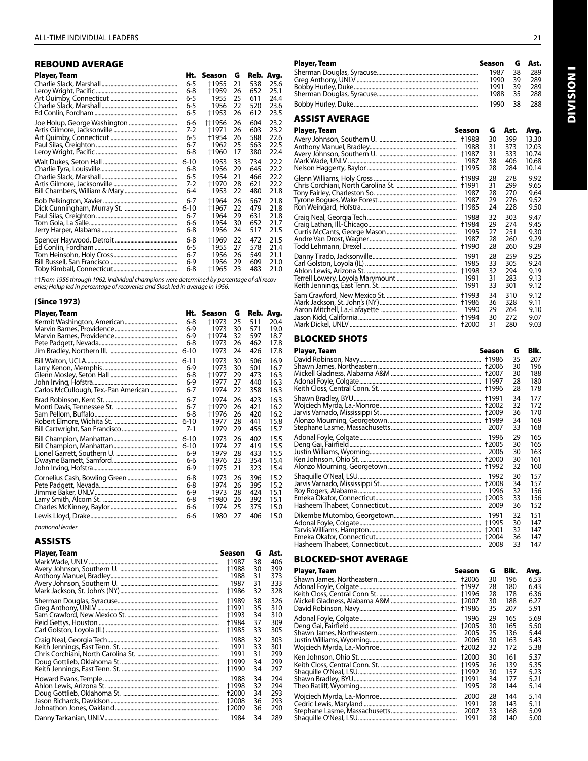| <b>REBOUND AVERAGE</b> |          |        |    |     |           |
|------------------------|----------|--------|----|-----|-----------|
| Player, Team           | Ht.      | Season | G  |     | Reb. Avg. |
|                        | $6 - 5$  | +1955  | 21 | 538 | 25.6      |
|                        | 6-8      | +1959  | 26 | 652 | 25.1      |
|                        | 6-5      | 1955   | 25 | 611 | 24.4      |
|                        | 6-5      | 1956   | 22 | 520 | 23.6      |
|                        | 6-5      | †1953  | 26 | 612 | 23.5      |
|                        | 6-6      | ++1956 | 26 | 604 | 23.2      |
|                        | 7-2      | +1971  | 26 | 603 | 23.2      |
|                        | 6-5      | +1954  | 26 | 588 | 22.6      |
|                        | 6-7      | 1962   | 25 | 563 | 22.5      |
|                        | 6-8      | +1960  | 17 | 380 | 22.4      |
|                        | $6 - 10$ | 1953   | 33 | 734 | 22.2      |
|                        | 6-8      | 1956   | 29 | 645 | 22.2      |
|                        | $6 - 5$  | 1954   | 21 | 466 | 22.2      |
|                        | 7-2      | +1970  | 28 | 621 | 22.2      |
|                        | $6 - 4$  | 1953   | 22 | 480 | 21.8      |
|                        | 6-7      | +1964  | 26 | 567 | 21.8      |
|                        | $6 - 10$ | +1967  | 22 | 479 | 21.8      |
|                        | 6-7      | 1964   | 29 | 631 | 21.8      |
|                        | 6-6      | 1954   | 30 | 652 | 21.7      |
|                        | 6-8      | 1956   | 24 | 517 | 21.5      |
|                        | 6-8      | +1969  | 22 | 472 | 21.5      |
|                        | $6 - 5$  | 1955   | 27 | 578 | 21.4      |
|                        | 6-7      | 1956   | 26 | 549 | 21.1      |
|                        | 6-9      | 1956   | 29 | 609 | 21.0      |
|                        | 6-8      | +1965  | 23 | 483 | 21.0      |

††*From 1956 through 1962, individual champions were determined by percentage of all recoveries; Holup led in percentage of recoveries and Slack led in average in 1956.*

#### **(Since 1973)**

| Player, Team                         | Ht.      | Season | G  |     | Reb. Avg. |
|--------------------------------------|----------|--------|----|-----|-----------|
|                                      | 6-8      | +1973  | 25 | 511 | 20.4      |
|                                      | $6-9$    | 1973   | 30 | 571 | 19.0      |
|                                      | $6-9$    | +1974  | 32 | 597 | 18.7      |
|                                      | 6-8      | 1973   | 26 | 462 | 17.8      |
|                                      | $6 - 10$ | 1973   | 24 | 426 | 17.8      |
|                                      | $6 - 11$ | 1973   | 30 | 506 | 16.9      |
|                                      | $6 - 9$  | 1973   | 30 | 501 | 16.7      |
|                                      | 6-8      | +1977  | 29 | 473 | 16.3      |
|                                      | $6-9$    | 1977   | 27 | 440 | 16.3      |
| Carlos McCullough, Tex.-Pan American | $6 - 7$  | 1974   | 22 | 358 | 16.3      |
|                                      | $6 - 7$  | 1974   | 26 | 423 | 16.3      |
|                                      | $6 - 7$  | +1979  | 26 | 421 | 16.2      |
|                                      | 6-8      | +1976  | 26 | 420 | 16.2      |
|                                      | $6 - 10$ | 1977   | 28 | 441 | 15.8      |
|                                      | 7-1      | 1979   | 29 | 455 | 15.7      |
|                                      | $6 - 10$ | 1973   | 26 | 402 | 15.5      |
|                                      | $6 - 10$ | 1974   | 27 | 419 | 15.5      |
|                                      | 6-9      | 1979   | 28 | 433 | 15.5      |
|                                      | 6-6      | 1976   | 23 | 354 | 15.4      |
|                                      | 6-9      | +1975  | 21 | 323 | 15.4      |
|                                      | 6-8      | 1973   | 26 | 396 | 15.2      |
|                                      | 6-8      | 1974   | 26 | 395 | 15.2      |
|                                      | 6-9      | 1973   | 28 | 424 | 15.1      |
|                                      | 6-8      | +1980  | 26 | 392 | 15.1      |
|                                      | 6-6      | 1974   | 25 | 375 | 15.0      |
|                                      | 6-6      | 1980   | 27 | 406 | 15.0      |
|                                      |          |        |    |     |           |

*†national leader*

### ASSISTS

| Player, Team | Season | G  | Ast. |
|--------------|--------|----|------|
|              | +1987  | 38 | 406  |
|              | +1988  | 30 | 399  |
|              | 1988   | 31 | 373  |
|              | 1987   | 31 | 333  |
|              | †1986  | 32 | 328  |
|              | †1989  | 38 | 326  |
|              | +1991  | 35 | 310  |
|              | +1993  | 34 | 310  |
|              | +1984  | 37 | 309  |
|              | +1985  | 33 | 305  |
|              | 1988   | 32 | 303  |
|              | 1991   | 33 | 301  |
|              | 1991   | 31 | 299  |
|              | +1999  | 34 | 299  |
|              | +1990  | 34 | 297  |
|              | 1988   | 34 | 294  |
|              | +1998  | 32 | 294  |
|              | +2000  | 34 | 293  |
|              | +2008  | 36 | 293  |
|              | +2009  | 36 | 290  |
|              | 1984   | 34 | 289  |

Sherman Douglas, Syracuse....................................................................... 1987 38 289 Greg Anthony, UNLV ..................................................................................... 1990 39 289 Bobby Hurley, Duke....................................................................................... 1991 39 289 Sherman Douglas, Syracuse....................................................................... 1988 35 288 Bobby Hurley, Duke....................................................................................... 1990 38 288 ASSIST AVERAGE Player, Team Season G Ast.

| Player, Team | Season                         | G                          | Ast.                            | Avg.                                      |
|--------------|--------------------------------|----------------------------|---------------------------------|-------------------------------------------|
|              | 1988<br>+1987<br>1987<br>+1995 | 30<br>31<br>31<br>38<br>28 | 399<br>373<br>333<br>406<br>284 | 13.30<br>12.03<br>10.74<br>10.68<br>10.14 |
|              | +1991<br>1987<br>1987<br>+1985 | 28<br>31<br>28<br>29<br>24 | 278<br>299<br>270<br>276<br>228 | 9.92<br>9.65<br>9.64<br>9.52<br>9.50      |
|              | 1988                           | 32                         | 303                             | 9.47                                      |
|              | +1984                          | 29                         | 274                             | 9.45                                      |
|              | 1995                           | 27                         | 251                             | 9.30                                      |
|              | 1987                           | 28                         | 260                             | 9.29                                      |
|              | +1990                          | 28                         | 260                             | 9.29                                      |
|              | 1991                           | 28                         | 259                             | 9.25                                      |
|              | 1985                           | 33                         | 305                             | 9.24                                      |
|              | +1998                          | 32                         | 294                             | 9.19                                      |
|              | 1991                           | 31                         | 283                             | 9.13                                      |
|              | 1991                           | 33                         | 301                             | 9.12                                      |
|              | +1993                          | 34                         | 310                             | 9.12                                      |
|              | +1986                          | 36                         | 328                             | 9.11                                      |
|              | 1990                           | 29                         | 264                             | 9.10                                      |
|              | †1994                          | 30                         | 272                             | 9.07                                      |
|              | +2000                          | 31                         | 280                             | 9.03                                      |

### BLOCKED SHOTS

| Player, Team | Season                                  | G                          | Blk.                            |
|--------------|-----------------------------------------|----------------------------|---------------------------------|
|              | +2006<br>+2007<br><b>t1997</b><br>†1996 | 35<br>30<br>30<br>28<br>28 | 207<br>196<br>188<br>180<br>178 |
|              | †1991<br>+2002<br>2007                  | 34<br>32<br>36<br>34<br>33 | 177<br>172<br>170<br>169<br>168 |
|              | 1996<br>+2005<br>2006<br>+2000          | 29<br>30<br>30<br>30<br>32 | 165<br>165<br>163<br>161<br>160 |
|              | 1992<br>+2008<br>1996<br>+2003<br>2009  | 30<br>34<br>32<br>33<br>36 | 157<br>157<br>156<br>156<br>152 |
|              | 1991<br>+2001<br>+2004<br>2008          | 32<br>30<br>32<br>36<br>33 | 151<br>147<br>147<br>147<br>147 |

#### BLOCKED-SHOT AVERAGE

| Player, Team | Season | G  | Blk. | Avg. |
|--------------|--------|----|------|------|
|              | +2006  | 30 | 196  | 6.53 |
|              |        | 28 | 180  | 6.43 |
|              | +2007  | 28 | 178  | 6.36 |
|              |        | 30 | 188  | 6.27 |
|              | +1986  | 35 | 207  | 5.91 |
|              | 1996   | 29 | 165  | 5.69 |
|              | +2005  | 30 | 165  | 5.50 |
|              | 2005   | 25 | 136  | 5.44 |
|              | 2006   | 30 | 163  | 5.43 |
|              | +2002  | 32 | 172  | 5.38 |
|              | +2000  | 30 | 161  | 5.37 |
|              | +1995  | 26 | 139  | 5.35 |
|              | +1992  | 30 | 157  | 5.23 |
|              | +1991  | 34 | 177  | 5.21 |
|              | 1995   | 28 | 144  | 5.14 |
|              | 2000   | 28 | 144  | 5.14 |
|              | 1991   | 28 | 143  | 5.11 |
|              | 2007   | 33 | 168  | 5.09 |
|              | 1991   | 28 | 140  | 5.00 |

**INOISIVID** Division I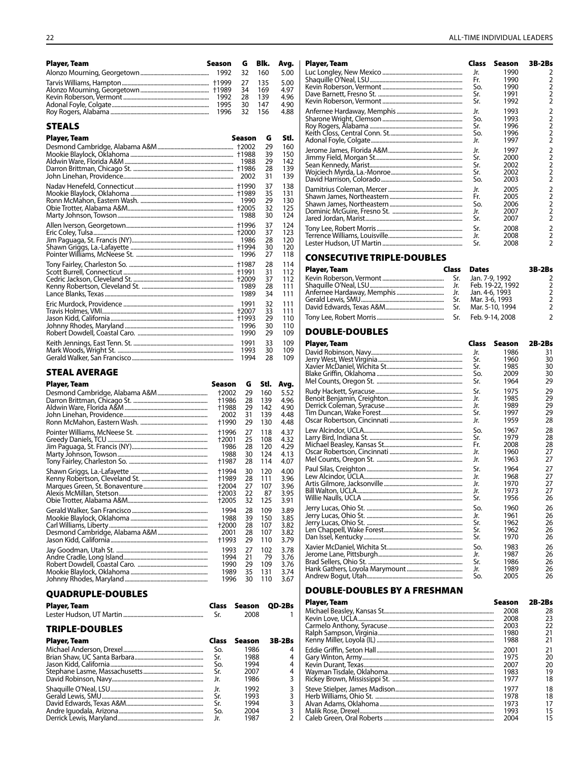| <b>Player, Team</b> | Season | G  | Blk. | Ava. | Plaver, Team | Season       | <b>3B-2Bs</b> |
|---------------------|--------|----|------|------|--------------|--------------|---------------|
|                     |        |    | 160  | 5.00 |              | 1990         |               |
|                     |        | 27 | 135  | 5.00 |              | 1990         |               |
|                     |        | 34 | 169  | 4.97 |              | 1990         |               |
|                     |        | 28 | 139  | 4.96 |              | 1991<br>1992 |               |
|                     |        | 30 | 147  | 4.90 |              |              |               |
|                     |        | 32 | 156  | 4.88 |              | 1993         |               |

#### STEALS

| <b>Player, Team</b> | Season                                | G                          | Stl.                            |
|---------------------|---------------------------------------|----------------------------|---------------------------------|
|                     | +2002                                 | 29                         | 160                             |
|                     | +1988                                 | 39                         | 150                             |
|                     | 1988                                  | 29                         | 142                             |
|                     | +1986                                 | 28                         | 139                             |
|                     | 2002                                  | 31                         | 139                             |
|                     | <b>t1990</b>                          | 37                         | 138                             |
|                     | +1989                                 | 35                         | 131                             |
|                     | 1990                                  | 29                         | 130                             |
|                     | +2005                                 | 32                         | 125                             |
|                     | 1988                                  | 30                         | 124                             |
|                     | <b>†1996</b>                          | 37                         | 124                             |
|                     | +2000                                 | 37                         | 123                             |
|                     | 1986                                  | 28                         | 120                             |
|                     | <b>†1994</b>                          | 30                         | 120                             |
|                     | 1996                                  | 27                         | 118                             |
|                     | <b>+1987</b><br>+1991<br>1989<br>1989 | 28<br>31<br>37<br>28<br>34 | 114<br>112<br>112<br>111<br>111 |
|                     | 1991                                  | 32                         | 111                             |
|                     | +2007                                 | 33                         | 111                             |
|                     | +1993                                 | 29                         | 110                             |
|                     | 1996                                  | 30                         | 110                             |
|                     | 1990                                  | 29                         | 109                             |
|                     | 1991                                  | 33                         | 109                             |
|                     | 1993                                  | 30                         | 109                             |
|                     | 1994                                  | 28                         | 109                             |

#### STEAL AVERAGE

| <b>Player, Team</b> | Season                                  | G                          | Stl.                            | Avg.                                 |
|---------------------|-----------------------------------------|----------------------------|---------------------------------|--------------------------------------|
|                     | +2002                                   | 29                         | 160                             | 5.52                                 |
|                     | +1986                                   | 28                         | 139                             | 4.96                                 |
|                     | +1988                                   | 29                         | 142                             | 4.90                                 |
|                     | 2002                                    | 31                         | 139                             | 4.48                                 |
|                     | +1990                                   | 29                         | 130                             | 4.48                                 |
|                     | †1996<br>+2001<br>1986<br>1988<br>†1987 | 27<br>25<br>28<br>30<br>28 | 118<br>108<br>120<br>124<br>114 | 4.37<br>4.32<br>4.29<br>4.13<br>4.07 |
|                     | †1994                                   | 30                         | 120                             | 4.00                                 |
|                     | +1989                                   | 28                         | 111                             | 3.96                                 |
|                     | +2004                                   | 27                         | 107                             | 3.96                                 |
|                     | +2003                                   | 22                         | 87                              | 3.95                                 |
|                     | +2005                                   | 32                         | 125                             | 3.91                                 |
|                     | 1994                                    | 28                         | 109                             | 3.89                                 |
|                     | 1988                                    | 39                         | 150                             | 3.85                                 |
|                     | +2000                                   | 28                         | 107                             | 3.82                                 |
|                     | 2001                                    | 28                         | 107                             | 3.82                                 |
|                     | +1993                                   | 29                         | 110                             | 3.79                                 |
|                     | 1993                                    | 27                         | 102                             | 3.78                                 |
|                     | 1994                                    | 21                         | 79                              | 3.76                                 |
|                     | 1990                                    | 29                         | 109                             | 3.76                                 |
|                     | 1989                                    | 35                         | 131                             | 3.74                                 |
|                     | 1996                                    | 30                         | 110                             | 3.67                                 |

#### QUADRUPLE-DOUBLES

| <b>Player, Team</b> | Class Season QD-2Bs |  |
|---------------------|---------------------|--|
|                     | 2008                |  |

#### TRIPLE-DOUBLES

| <b>Player, Team</b> | Class | Season 3B-2Bs |                         |
|---------------------|-------|---------------|-------------------------|
|                     | So.   | 1986          | 4                       |
|                     | Sr.   | 1988          | 4                       |
|                     | So.   | 1994          | 4                       |
|                     | Sr.   | 2007          | 4                       |
|                     | Jr.   | 1986          | $\overline{\mathbf{3}}$ |
|                     | Jr.   | 1992          | 3                       |
|                     | Sr.   | 1993          | $\overline{\mathbf{3}}$ |
|                     | Sr.   | 1994          | 3                       |
|                     | So.   | 2004          | 3                       |
|                     |       | 1987          |                         |

| Player, Team | Class | Season | 3B-2Bs                                     |
|--------------|-------|--------|--------------------------------------------|
|              | Jr.   | 1990   | 2                                          |
|              | Fr.   | 1990   | 2                                          |
|              | So.   | 1990   | $\overline{2}$                             |
|              | Sr.   | 1991   | $\overline{2}$                             |
|              | Sr.   | 1992   | $\overline{2}$                             |
|              | Jr.   | 1993   | 2                                          |
|              | So.   | 1993   | $\overline{2}$                             |
|              | Sr.   | 1996   | $\overline{2}$                             |
|              | So.   | 1996   | $\overline{2}$                             |
|              | Jr.   | 1997   | $\overline{2}$                             |
|              | Jr.   | 1997   | $\overline{2}$                             |
|              | Sr.   | 2000   |                                            |
|              | Sr.   | 2002   | $\begin{array}{c} 2 \\ 2 \\ 2 \end{array}$ |
|              | Sr.   | 2002   |                                            |
|              | So.   | 2003   | $\overline{2}$                             |
|              | Jr.   | 2005   | $\overline{2}$                             |
|              | Fr.   | 2005   | $\overline{2}$                             |
|              | So.   | 2006   | $\overline{2}$                             |
|              | Jr.   | 2007   | $\overline{2}$                             |
|              | Sr.   | 2007   | $\overline{2}$                             |
|              | Sr.   | 2008   | 2                                          |
|              | Jr.   | 2008   | $\overline{2}$                             |
|              | Sr.   | 2008   | $\overline{2}$                             |

#### CONSECUTIVE TRIPLE-DOUBLES

| <b>Player, Team</b> | Class | <b>Dates</b>         | 3B-2Bs         |
|---------------------|-------|----------------------|----------------|
|                     |       |                      | 2              |
|                     |       | Jr. Feb. 19-22, 1992 | $\overline{2}$ |
|                     |       |                      | $\overline{2}$ |
|                     |       | Sr. Mar. 3-6, 1993   |                |
|                     | Sr.   | Mar. 5-10, 1994      | $\mathcal{P}$  |
|                     |       |                      | $\mathcal{P}$  |

#### DOUBLE-DOUBLES

| Player, Team | Class                           | Season                               | $2B-2Bs$                   |
|--------------|---------------------------------|--------------------------------------|----------------------------|
|              | Jr.                             | 1986                                 | 31                         |
|              | Sr.                             | 1960                                 | 30                         |
|              | Sr.                             | 1985                                 | 30                         |
|              | So.                             | 2009                                 | 30                         |
|              | Sr.                             | 1964                                 | 29                         |
|              | Sr.                             | 1975                                 | 29                         |
|              | Jr.                             | 1985                                 | 29                         |
|              | Ir.                             | 1989                                 | 29                         |
|              | Sr.                             | 1997                                 | 29                         |
|              | Jr.                             | 1959                                 | 28                         |
|              | So.<br>Sr.<br>Fr.<br>Jr.<br>Jr. | 1967<br>1979<br>2008<br>1960<br>1963 | 28<br>28<br>28<br>27<br>27 |
|              | Sr.<br>Ir.<br>Jr.<br>Jr.<br>Sr. | 1964<br>1968<br>1970<br>1973<br>1956 | 27<br>27<br>27<br>27<br>26 |
|              | So.                             | 1960                                 | 26                         |
|              | Ir.                             | 1961                                 | 26                         |
|              | Sr.                             | 1962                                 | 26                         |
|              | Sr.                             | 1962                                 | 26                         |
|              | Sr.                             | 1970                                 | 26                         |
|              | So.                             | 1983                                 | 26                         |
|              | Jr.                             | 1987                                 | 26                         |
|              | Sr.                             | 1986                                 | 26                         |
|              | Jr.                             | 1989                                 | 26                         |
|              | So.                             | 2005                                 | 26                         |

#### DOUBLE-DOUBLES by A FRESHMAN

| <b>Player, Team</b> | Season | $2B-2Bs$ |
|---------------------|--------|----------|
|                     | 2008   | 28       |
|                     | 2008   | 23       |
|                     | 2003   | 22       |
|                     | 1980   | 21       |
|                     | 1988   | 21       |
|                     | 2001   | 21       |
|                     | 1975   | 20       |
|                     | 2007   | 20       |
|                     | 1983   | 19       |
|                     | 1977   | 18       |
|                     | 1977   | 18       |
|                     | 1978   | 18       |
|                     | 1973   | 17       |
|                     | 1993   | 15       |
|                     | 2004   | 15       |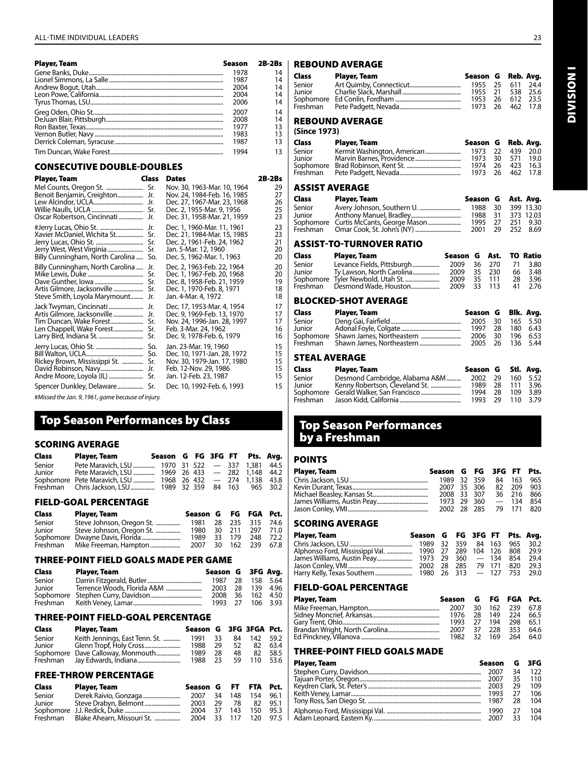| <b>Player, Team</b> | <b>Season</b> | $2B-2Bs$ |
|---------------------|---------------|----------|
|                     | 1978          | 14       |
|                     | 1987          | 14       |
|                     | 2004          | 14       |
|                     | 2004          | 14       |
|                     | 2006          | 14       |
|                     | 2007          | 14       |
|                     | 2008          | 14       |
|                     | 1977          | 13       |
|                     | 1983          | 13       |
|                     | 1987          | 13       |
|                     | 1994          | 13       |

#### CONSECUTIVE DOUBLE-DOUBLES

| Player, Team                                                                                                         | Class             | <b>Dates</b>                                                                                                                                                        | 2B-2Bs                           |
|----------------------------------------------------------------------------------------------------------------------|-------------------|---------------------------------------------------------------------------------------------------------------------------------------------------------------------|----------------------------------|
| Benoit Benjamin, Creighton<br>Oscar Robertson, Cincinnati                                                            | Jr.<br>Jr.<br>Jr. | Nov. 30, 1963-Mar. 10, 1964<br>Nov. 24, 1984-Feb. 16, 1985<br>Dec. 27, 1967-Mar. 23, 1968<br>Dec. 2, 1955-Mar. 9, 1956<br>Dec. 31, 1958-Mar. 21, 1959               | 29<br>27<br>26<br>25<br>23       |
| #Jerry Lucas, Ohio St.<br>Xavier McDaniel, Wichita St<br>Billy Cunningham, North Carolina                            | Jr.<br>Sr.<br>So. | Dec. 1, 1960-Mar. 11, 1961<br>Dec. 21, 1984-Mar. 15, 1985<br>Dec. 2, 1961-Feb. 24, 1962<br>Jan. 5-Mar. 12, 1960<br>Dec. 5, 1962-Mar. 1, 1963                        | 23<br>23<br>21<br>20<br>20       |
| Billy Cunningham, North Carolina  Jr.<br>Artis Gilmore, Jacksonville<br>Steve Smith, Loyola Marymount                | Sr.<br>Jr.        | Dec. 2, 1963-Feb. 22, 1964<br>Dec. 1, 1967-Feb. 20, 1968<br>Dec. 8, 1958-Feb. 21, 1959<br>Dec. 1, 1970-Feb. 8, 1971<br>Jan. 4-Mar. 4, 1972                          | 20<br>20<br>19<br>18<br>18       |
| Jack Twyman, Cincinnati<br>Artis Gilmore, Jacksonville<br>Tim Duncan, Wake Forest<br>Larry Bird, Indiana St.   Sr. . | Jr.<br>Jr.<br>Sr. | Dec. 17, 1953-Mar. 4, 1954<br>Dec. 9, 1969-Feb. 13, 1970<br>Nov. 24, 1996-Jan. 28, 1997<br>Feb. 3-Mar. 24, 1962<br>Dec. 9, 1978-Feb. 6, 1979                        | 17<br>17<br>17<br>16<br>16       |
| Jerry Lucas, Ohio St.   So.<br>Rickey Brown, Mississippi St.<br>David Robinson, Navy                                 | Sr.<br>Jr.        | Jan. 23-Mar. 19, 1960<br>Dec. 10, 1971-Jan. 28, 1972<br>Nov. 30, 1979-Jan. 17, 1980<br>Feb. 12-Nov. 29, 1986<br>Jan. 12-Feb. 23, 1987<br>Dec. 10, 1992-Feb. 6, 1993 | 15<br>15<br>15<br>15<br>15<br>15 |
|                                                                                                                      |                   |                                                                                                                                                                     |                                  |

#*Missed the Jan. 9, 1961, game because of injury.*

## Top Season Performances by Class

#### SCORING AVERAGE

| Class  | Player, Team                                               | Season G FG 3FG FT Pts. Avg. |  |  |          |
|--------|------------------------------------------------------------|------------------------------|--|--|----------|
| Senior | Pete Maravich, LSU  1970 31 522 - 337 1,381 44.5           |                              |  |  |          |
| Junior | Pete Maravich, LSU  1969 26 433 - 282 1,148 44.2           |                              |  |  |          |
|        | Sophomore Pete Maravich, LSU  1968 26 432 - 274 1,138 43.8 |                              |  |  |          |
|        | Freshman Chris Jackson, LSU  1989 32 359 84 163            |                              |  |  | 965 30.2 |

#### FIELD-GOAL PERCENTAGE

| Class  | Player, Team              | Season G FG FGA Pct. |     |        |              |      |
|--------|---------------------------|----------------------|-----|--------|--------------|------|
| Senior | Steve Johnson, Oregon St. | 1981                 |     |        | 28 235 315   | 74.6 |
| Junior | Steve Johnson, Oregon St. | 1980                 |     | 30 211 | 297          | 71.0 |
|        |                           | 1989                 |     | 33 179 | 248          | 72.2 |
|        |                           | 2007                 | 30. |        | 162 239 67.8 |      |

#### THREE-POINT FIELD GOALS MADE PER GAME

| Class  | Player, Team | Season G 3FG Avg. |  |  |
|--------|--------------|-------------------|--|--|
| Senior |              | 1987 28 158 5.64  |  |  |
| Junior |              | 2003 28 139 4.96  |  |  |
|        |              | 2008 36 162 4.50  |  |  |
|        |              | 1993 27 106 3.93  |  |  |

#### THREE-POINT FIELD-GOAL PERCENTAGE

| Class  | Player, Team                      | Season G 3FG 3FGA Pct. |     |     |     |      |
|--------|-----------------------------------|------------------------|-----|-----|-----|------|
| Senior | Keith Jennings, East Tenn. St.    | 1991                   | 33  | 84  | 142 | 59.2 |
| Junior |                                   | 1988                   | 29  | 52. | -82 | 63.4 |
|        | Sophomore Dave Calloway, Monmouth | 1989                   | 28  | 48  | 82. | 58.5 |
|        |                                   | 1988                   | -23 | 59  | 110 | 53.6 |

#### FREE-THROW PERCENTAGE

| Class  | Player, Team                        | Season G FT FTA Pct. |      |     |     |      |
|--------|-------------------------------------|----------------------|------|-----|-----|------|
| Senior | Derek Raivio, Gonzaga               | 2007                 | 34   | 148 | 154 | 96.1 |
| Junior |                                     | 2003                 | 29   | 78  | 82. | 95.1 |
|        |                                     | 2004                 | - 37 | 143 | 150 | 95.3 |
|        | Freshman Blake Ahearn, Missouri St. | 2004                 | 33   | 117 | 120 | 97.5 |

#### REBOUND AVERAGE

| Class                                  | Player, Team       |         |  | Season G Reb. Avg. |  |  |
|----------------------------------------|--------------------|---------|--|--------------------|--|--|
| Senior                                 |                    | 1955 25 |  | 611<br>- 24.4      |  |  |
| Junior                                 |                    |         |  | 1955 21 538 25.6   |  |  |
|                                        |                    | 1953 26 |  | 612<br>- 23.5      |  |  |
| Freshman                               |                    | 1973 26 |  | 462 17.8           |  |  |
| <b>REBOUND AVERAGE</b><br>(Since 1973) |                    |         |  |                    |  |  |
| Clace                                  | <b>Player Team</b> |         |  | Saacon G. Rah Avg  |  |  |

| Class  | Player, Team | Season G Reb. Avg. |  |  |
|--------|--------------|--------------------|--|--|
| Senior |              | 1973 22 439 20.0   |  |  |
| Junior |              | 1973 30 571 19.0   |  |  |
|        |              | 1974 26 423 16.3   |  |  |
|        |              | 1973 26 462 17.8   |  |  |

#### ASSIST AVERAGE

| Class  | Player, Team                           | Season G Ast. Avg. |           |          |
|--------|----------------------------------------|--------------------|-----------|----------|
| Senior |                                        | 1988 30            | 399 13.30 |          |
| Junior |                                        | 1988 31            | 373 12.03 |          |
|        | Sophomore Curtis McCants, George Mason | 1995 27            |           | 251 9.30 |
|        |                                        | 2001 29 252 8.69   |           |          |

#### ASSIST-TO-TURNOVER RATIO

| Class  | Player, Team                      | Season G Ast. TO Ratio |  |    |         |
|--------|-----------------------------------|------------------------|--|----|---------|
| Senior | Levance Fields, Pittsburgh        | 2009 36 270            |  | 71 | 3.80    |
| Junior | Ty Lawson, North Carolina         | 2009 35 230            |  |    | 66 3.48 |
|        | Sophomore Tyler Newbold, Utah St. | 2009 35 111            |  | 28 | 3.96    |
|        | Freshman Desmond Wade, Houston    | 2009 33 113            |  |    | 41 2.76 |

#### BLOCKED-SHOT AVERAGE

| Class         | Player, Team | Season G Blk. Avg. |  |  |
|---------------|--------------|--------------------|--|--|
| Senior        |              | 2005 30 165 5.50   |  |  |
| Junior        |              | 1997 28 180 6.43   |  |  |
|               |              | 2006 30 196 6.53   |  |  |
|               |              | 2005 26 136 5.44   |  |  |
| STEAL AVERAGE |              |                    |  |  |

| Class    | Player, Team                   | Season G Stl. Avg. |     |          |          |
|----------|--------------------------------|--------------------|-----|----------|----------|
| Senior   | Desmond Cambridge, Alabama A&M | 2002 29            |     |          | 160 5.52 |
| Junior   | Kenny Robertson, Cleveland St. | 1989 28 111        |     |          | 3.96     |
|          |                                | 1994               | -28 | 109      | 3.89     |
| Freshman |                                | 1993 29            |     | 110 3.79 |          |

## Top Season Performances by a Freshman

#### POINTS

| Player, Team | Season G FG 3FG FT Pts. |  |                        |  |
|--------------|-------------------------|--|------------------------|--|
|              |                         |  | 1989 32 359 84 163 965 |  |
|              |                         |  | 2007 35 306 82 209 903 |  |
|              |                         |  | 2008 33 307 36 216 866 |  |
|              |                         |  | 1973 29 360 - 134 854  |  |
|              |                         |  | 2002 28 285 79 171 820 |  |

### SCORING AVERAGE

| Player, Team | Season G FG 3FG FT Pts. Avg. |  |  |  |
|--------------|------------------------------|--|--|--|
|              |                              |  |  |  |
|              |                              |  |  |  |
|              |                              |  |  |  |
|              |                              |  |  |  |
|              |                              |  |  |  |

#### FIELD-GOAL PERCENTAGE

| <b>Player, Team</b> | Season G FG FGA Pct. |  |                      |  |
|---------------------|----------------------|--|----------------------|--|
|                     | 2007                 |  | 30 162 239 67.8      |  |
|                     | 1976 28 149 224 66.5 |  |                      |  |
|                     |                      |  | 1993 27 194 298 65.1 |  |
|                     |                      |  | 2007 37 228 353 64.6 |  |
|                     |                      |  | 1982 32 169 264 64.0 |  |

#### THREE-POINT FIELD GOALS MADE

| <b>Player, Team</b> | Season G 3FG |    |     |
|---------------------|--------------|----|-----|
|                     | 2007         | 34 | 122 |
|                     | 2007 35      |    | 110 |
|                     | 2003         | 29 | 109 |
|                     | 1993 27 106  |    |     |
|                     | 1987 28      |    | 104 |
|                     |              |    | 104 |
|                     | 2007 33      |    | 104 |

**INOISIMI** Division I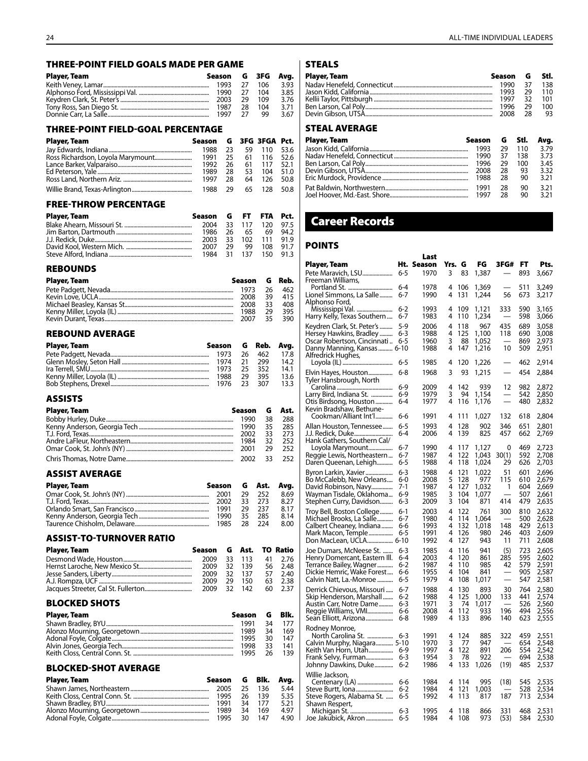| <b>THREE-POINT FIELD GOALS MADE PER GAME</b> |              |                |              |               |              |
|----------------------------------------------|--------------|----------------|--------------|---------------|--------------|
| Player, Team                                 |              | Season         | G            | 3FG           | Avg.         |
|                                              |              | 1993           | 27           | 106           | 3.93         |
|                                              |              | 1990           | 27<br>29     | 104           | 3.85<br>3.76 |
|                                              |              | 2003<br>1987   | 28           | 109<br>104    | 3.71         |
|                                              |              | 1997           | 27           | 99            | 3.67         |
| <b>THREE-POINT FIELD-GOAL PERCENTAGE</b>     |              |                |              |               |              |
| Player, Team                                 | Season       | G              |              | 3FG 3FGA Pct. |              |
|                                              | 1988         | 23             | 59           | 110           | 53.6         |
| Ross Richardson, Loyola Marymount            | 1991         | 25             | 61           | 116           | 52.6         |
|                                              | 1992         | 26             | 61           | 117           | 52.1         |
|                                              | 1989<br>1997 | 28<br>28       | 53<br>64     | 104<br>126    | 51.0<br>50.8 |
|                                              | 1988         | 29             | 65           | 128           | 50.8         |
| FREE-THROW PERCENTAGE                        |              |                |              |               |              |
|                                              | Season       | G              | FT           | <b>FTA</b>    | Pct.         |
| Player, Team                                 | 2004         | 33             | 117          | 120           | 97.5         |
|                                              | 1986         | 26             | 65           | 69            | 94.2         |
|                                              | 2003         | 33             | 102          | 111           | 91.9         |
|                                              | 2007<br>1984 | 29<br>31       | 99<br>137    | 108<br>150    | 91.7<br>91.3 |
| <b>REBOUNDS</b>                              |              |                |              |               |              |
| <b>Player, Team</b>                          |              |                | Season       | G             | Reb.         |
|                                              |              |                | 1973         | 26            | 462          |
|                                              |              |                | 2008         | 39            | 415          |
|                                              |              |                | 2008         | 33            | 408          |
|                                              |              |                | 1988<br>2007 | 29<br>35      | 395<br>390   |
|                                              |              |                |              |               |              |
| <b>REBOUND AVERAGE</b>                       |              |                |              |               |              |
| Player, Team                                 |              | Season<br>1973 | G<br>26      | Reb.<br>462   | Avg.         |
|                                              |              | 1974           | 21           | 299           | 17.8<br>14.2 |
|                                              |              | 1973           | 25           | 352           | 14.1         |
|                                              |              | 1988           | 29           | 395           | 13.6         |
|                                              |              |                |              |               |              |
|                                              |              | 1976           | 23           | 307           | 13.3         |
| <b>ASSISTS</b>                               |              |                |              |               |              |
| Player, Team                                 |              |                | Season       | G             | Ast.         |
|                                              |              |                | 1990<br>1990 | 38<br>35      | 288<br>285   |
|                                              |              |                | 2002         | 33            | 273          |
|                                              |              |                | 1984<br>2001 | 32<br>29      | 252<br>252   |
|                                              |              |                | 2002         | 33            | 252          |
| ASSIST AVERAGE                               |              |                |              |               |              |
| <b>Player, Team</b>                          |              | Season         | G            | Ast.          | Avg.         |
|                                              |              | 2001           | 29           | 252           | 8.69         |
|                                              |              | 2002           | 33           | 273           | 8.27         |
|                                              |              | 1991           | 29           | 237           | 8.17         |
|                                              |              | 1990<br>1985   | 35<br>28     | 285<br>224    | 8.14<br>8.00 |
| <b>ASSIST-TO-TURNOVER RATIO</b>              |              |                |              |               |              |
| Player, Team                                 | Season       | G              | Ast.         |               | TO Ratio     |
|                                              | 2009         | 33             | 113          | 41            | 2.76         |
|                                              | 2009         | 32             | 139          | 56            | 2.48         |
|                                              | 2009         | 32             | 137          | 57            | 2.40         |
|                                              | 2009<br>2009 | 29<br>32       | 150<br>142   | 63<br>60      | 2.38<br>2.37 |
| <b>BLOCKED SHOTS</b>                         |              |                |              |               |              |
| Player, Team                                 |              |                | Season       | G             | Blk.         |
|                                              |              |                | 1991         | 34            | 177          |
|                                              |              |                | 1989<br>1995 | 34<br>30      | 169<br>147   |
|                                              |              |                | 1998         | 33            | 141          |
|                                              |              |                | 1995         | 26            | 139          |
| <b>BLOCKED-SHOT AVERAGE</b>                  |              |                |              |               |              |
| Player, Team                                 |              | Season         | G            | Blk.          | Avg.         |
|                                              |              | 2005           | 25           | 136           | 5.44         |
|                                              |              | 1995<br>1991   | 26<br>34     | 139<br>177    | 5.35<br>5.21 |
|                                              |              | 1989<br>1995   | 34<br>30     | 169<br>147    | 4.97<br>4.90 |

### STEALS

| <b>Player, Team</b> | Season G Stl. |      |     |
|---------------------|---------------|------|-----|
|                     | 1990 37       |      | 138 |
|                     | 1993          | - 29 | 110 |
|                     | 1997 32       |      | 101 |
|                     | 1996          | - 29 | 100 |
|                     | 2008 28       |      | 93. |

#### STEAL AVERAGE

| <b>Player, Team</b> | Season G Stl. |          |          | Avg.         |
|---------------------|---------------|----------|----------|--------------|
|                     | 1993          | 29       | 110      | 3.79         |
|                     | 1990          | 37       | 138      | 3.73         |
|                     | 1996          | 29       | 100      | 3.45         |
|                     | 2008          | 28       | 93       | 3.32         |
|                     | 1988          | 28       | 90       | 3.21         |
|                     | 1991<br>1997  | 28<br>28 | 90<br>90 | 3.21<br>3.21 |

## Career Records

#### POINTS

|                                                       |            | Last         |        |            |                |                          |            |                |
|-------------------------------------------------------|------------|--------------|--------|------------|----------------|--------------------------|------------|----------------|
| Player, Team                                          |            | Ht. Season   | Yrs. G |            | FG             | 3FG#                     | FT         | Pts.           |
| Pete Maravich, LSU                                    | $6 - 5$    | 1970         | 3      | 83         | 1,387          |                          | 893        | 3,667          |
| Freeman Williams,                                     |            |              |        |            |                |                          |            |                |
| Portland St.                                          | 6-4        | 1978         | 4      | 106        | 1,369          |                          | 511        | 3,249          |
| Lionel Simmons, La Salle                              | 6-7        | 1990         | 4      | 131        | 1,244          | 56                       | 673        | 3,217          |
| Alphonso Ford,                                        |            |              |        |            |                |                          |            |                |
| Mississippi Val.                                      | $6 - 2$    | 1993         | 4      | 109        | 1,121          | 333                      | 590        | 3,165          |
| Harry Kelly, Texas Southern                           | 6-7        | 1983         | 4      | 110        | 1,234          |                          | 598        | 3,066          |
| Keydren Clark, St. Peter's                            | $5-9$      | 2006         | 4      | 118        | 967            | 435                      | 689        | 3,058          |
| Hersey Hawkins, Bradley                               | $6 - 3$    | 1988         | 4      | 125        | 1,100          | 118                      | 690        | 3,008          |
| Oscar Robertson, Cincinnati                           | 6-5        | 1960         | 3      | 88         | 1,052          |                          | 869        | 2,973          |
| Danny Manning, Kansas  6-10                           |            | 1988         | 4      | 147        | 1,216          | 10                       | 509        | 2,951          |
| Alfredrick Hughes,                                    |            |              |        |            |                |                          |            |                |
| Loyola (IL)                                           | 6-5        | 1985         | 4      | 120        | 1,226          |                          | 462        | 2,914          |
| Elvin Hayes, Houston                                  | 6-8        | 1968         | 3      | 93         | 1,215          | $\overline{\phantom{0}}$ | 454        | 2,884          |
| Tyler Hansbrough, North                               |            |              |        |            |                |                          |            |                |
|                                                       | $6-9$      | 2009         | 4      | 142        | 939            | 12                       | 982        | 2,872          |
| Larry Bird, Indiana St.                               | $6-9$      | 1979         | 3      | 94         | 1,154          |                          | 542        | 2,850          |
| Otis Birdsong, Houston                                | 6-4        | 1977         | 4      | 116        | 1,176          |                          | 480        | 2,832          |
| Kevin Bradshaw, Bethune-                              |            |              |        |            |                |                          |            |                |
| Cookman/Alliant Int'l                                 | 6-6        | 1991         | 4      | 111        | 1,027          | 132                      | 618        | 2,804          |
| Allan Houston, Tennessee                              | 6-5        | 1993         | 4      | 128        | 902            | 346                      | 651        | 2,801          |
| J.J. Redick, Duke                                     | 6-4        | 2006         | 4      | 139        | 825            | 457                      | 662        | 2,769          |
| Hank Gathers, Southern Cal/                           |            |              |        |            |                |                          |            |                |
| Loyola Marymount                                      | $6 - 7$    | 1990         | 4      | 117        | 1,127          | 0                        | 469        | 2,723          |
| Reggie Lewis, Northeastern                            | 6-7        | 1987<br>1988 | 4<br>4 | 122<br>118 | 1,043<br>1,024 | 30(1)                    | 592<br>626 | 2,708          |
| Daren Queenan, Lehigh                                 | 6-5        |              |        |            |                | 29                       |            | 2,703          |
| Byron Larkin, Xavier                                  | 6-3        | 1988         | 4      | 121        | 1,022          | 51                       | 601        | 2,696          |
| Bo McCalebb, New Orleans                              | 6-0        | 2008         | 5      | 128        | 977            | 115                      | 610        | 2,679          |
| David Robinson, Navy                                  | 7-1        | 1987         | 4      | 127        | 1,032          | 1                        | 604        | 2,669          |
| Wayman Tisdale, Oklahoma<br>Stephen Curry, Davidson   | 6-9<br>6-3 | 1985<br>2009 | 3<br>3 | 104<br>104 | 1,077<br>871   | 414                      | 507<br>479 | 2,661          |
|                                                       |            |              |        |            |                |                          |            | 2,635          |
| Troy Bell, Boston College                             | $6-1$      | 2003         | 4      | 122        | 761            | 300                      | 810        | 2,632          |
| Michael Brooks, La Salle                              | 6-7        | 1980<br>1993 | 4<br>4 | 114        | 1,064          |                          | 500        | 2,628          |
| Calbert Cheaney, Indiana                              | 6-6<br>6-5 | 1991         | 4      | 132<br>126 | 1,018<br>980   | 148<br>246               | 429<br>403 | 2,613          |
| Mark Macon, Temple<br>Don MacLean, UCLA 6-10          |            | 1992         | 4      | 127        | 943            | 11                       | 711        | 2,609<br>2,608 |
|                                                       |            |              |        |            |                |                          |            |                |
| Joe Dumars, McNeese St.                               | 6-3        | 1985         | 4      | 116        | 941            | (5)                      | 723        | 2,605          |
| Henry Domercant, Eastern III.                         | 6-4        | 2003         | 4      | 120        | 861            | 285                      | 595        | 2,602          |
| Terrance Bailey, Wagner                               | 6-2        | 1987         | 4      | 110        | 985            | 42                       | 579        | 2,591          |
| Dickie Hemric, Wake Forest<br>Calvin Natt, La.-Monroe | 6-6<br>6-5 | 1955<br>1979 | 4<br>4 | 104<br>108 | 841<br>1,017   |                          | 905<br>547 | 2,587<br>2,581 |
|                                                       |            |              |        |            |                |                          |            |                |
| Derrick Chievous, Missouri                            | 6-7        | 1988         | 4      | 130        | 893            | 30                       | 764        | 2,580          |
| Skip Henderson, Marshall                              | $6 - 2$    | 1988         | 4      | 125        | 1,000          | 133                      | 441        | 2,574          |
| Austin Carr, Notre Dame                               | 6-3<br>6-6 | 1971<br>2008 | 3<br>4 | 74<br>112  | 1,017<br>933   | 196                      | 526<br>494 | 2,560<br>2,556 |
| Reggie Williams, VMI<br>Sean Elliott, Arizona         | 6-8        | 1989         | 4      | 133        | 896            | 140                      | 623        | 2,555          |
|                                                       |            |              |        |            |                |                          |            |                |
| Rodney Monroe,                                        |            |              |        |            |                |                          |            |                |
| North Carolina St.                                    | 6-3        | 1991         | 4<br>3 | 124<br>77  | 885            | 322                      | 459        | 2,551          |
| Calvin Murphy, Niagara 5-10                           | 6-9        | 1970<br>1997 | 4      | 122        | 947<br>891     | 206                      | 654<br>554 | 2,548<br>2,542 |
| Keith Van Horn, Utah<br>Frank Selvy, Furman           | $6 - 3$    | 1954         | 3      | 78         | 922            |                          | 694        | 2,538          |
| Johnny Dawkins, Duke                                  | 6-2        | 1986         | 4      | 133        | 1,026          | (19)                     | 485        | 2,537          |
|                                                       |            |              |        |            |                |                          |            |                |
| Willie Jackson,                                       | 6-6        | 1984         | 4      | 114        | 995            | (18)                     | 545        | 2,535          |
| Centenary (LA)<br>Steve Burtt, Iona                   | $6 - 2$    | 1984         | 4      | 121        | 1,003          |                          | 528        | 2,534          |
| Steve Rogers, Alabama St.                             | 6-5        | 1992         | 4      | 113        | 817            | 187                      | 713        | 2,534          |
| Shawn Respert,                                        |            |              |        |            |                |                          |            |                |
| Michigan St.                                          | 6-3        | 1995         | 4      | 118        | 866            | 331                      | 468        | 2,531          |
| Joe Jakubick, Akron                                   | $6 - 5$    | 1984         | 4      | 108        | 973            | (53)                     | 584        | 2,530          |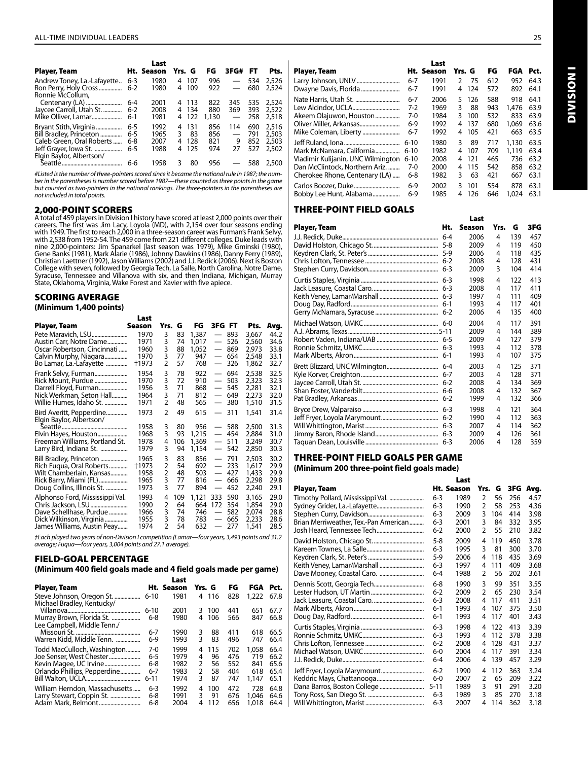|                                                                                                         |                                      | Last                         |             |                           |                          |                                                      |                          |                                  |
|---------------------------------------------------------------------------------------------------------|--------------------------------------|------------------------------|-------------|---------------------------|--------------------------|------------------------------------------------------|--------------------------|----------------------------------|
| Player, Team                                                                                            |                                      | Ht. Season                   | Yrs. G      |                           | FG                       | 3FG#                                                 | FT                       | Pts.                             |
| Andrew Toney, La.-Lafayette                                                                             | $6 - 3$                              | 1980<br>1980                 | 4           | 4 107<br>109              | 996<br>922               | $\overline{\phantom{m}}$<br>$\overline{\phantom{0}}$ | 534<br>680               | 2,526<br>2,524                   |
| Ronnie McCollum,<br>Jaycee Carroll, Utah St.<br>Mike Olliver, Lamar                                     | $6 - 4$<br>$6 - 2$<br>$6-1$          | 2001<br>2008<br>1981         | 4           | 4 113<br>4 134<br>122     | 822<br>880<br>1,130      | 345<br>369<br>$\overline{\phantom{m}}$               | 535<br>393<br>258        | 2,524<br>2,522<br>2,518          |
| Bryant Stith, Virginia<br>Bill Bradley, Princeton<br>Caleb Green, Oral Roberts<br>Jeff Grayer, Iowa St. | $6 - 5$<br>$6 - 5$<br>$6 - 8$<br>6-5 | 1992<br>1965<br>2007<br>1988 | 4<br>3<br>4 | 131<br>83<br>128<br>4 125 | 856<br>856<br>821<br>974 | 114<br>9<br>27                                       | 690<br>791<br>852<br>527 | 2,516<br>2,503<br>2,503<br>2,502 |
| Elgin Baylor, Albertson/                                                                                | 6-6                                  | 1958                         | 3           | 80                        | 956                      |                                                      | 588                      | 2,500                            |

*#Listed is the number of three-pointers scored since it became the national rule in 1987; the num*ber in the parentheses is number scored before 1987—these counted as three points in the game<br>but counted as two-pointers in the national rankings. The three-pointers in the parentheses are *not included in total points.*

#### 2,000-POINT SCORERS

A total of 459 players in Division I history have scored at least 2,000 points over their careers. The first was Jim Lacy, Loyola (MD), with 2,154 over four seasons ending with 1949. The first to reach 2,000 in a three-sea College with seven, followed by Georgia Tech, La Salle, North Carolina, Notre Dame, Syracuse, Tennessee and Villanova with six, and then Indiana, Michigan, Murray<br>State, Oklahoma, Virginia, Wake Forest and Xavier with five apiece.

#### SCORING AVERAGE

**(Minimum 1,400 points)**

|                                                                                                                                           | Last                                 |                       |                             |                                       |                                                                    |                                 |                                           |                                      |
|-------------------------------------------------------------------------------------------------------------------------------------------|--------------------------------------|-----------------------|-----------------------------|---------------------------------------|--------------------------------------------------------------------|---------------------------------|-------------------------------------------|--------------------------------------|
| Player, Team                                                                                                                              | Season                               | Yrs.                  | G                           | FG                                    | 3FG FT                                                             |                                 | Pts.                                      | Avg.                                 |
|                                                                                                                                           | 1970                                 | 3                     | 83                          | 1,387                                 | $\overbrace{\phantom{12322111}}$                                   | 893                             | 3,667                                     | 44.2                                 |
| Austin Carr, Notre Dame                                                                                                                   | 1971                                 | 3                     | 74                          | 1,017                                 | $\overbrace{\phantom{12322111}}$                                   | 526                             | 2,560                                     | 34.6                                 |
| Oscar Robertson, Cincinnati                                                                                                               | 1960                                 | 3                     | 88                          | 1,052                                 |                                                                    | 869                             | 2,973                                     | 33.8                                 |
| Calvin Murphy, Niagara                                                                                                                    | 1970                                 | 3                     | 77                          | 947                                   |                                                                    | 654                             | 2,548                                     | 33.1                                 |
| Bo Lamar, La.-Lafayette                                                                                                                   | †1973                                | $\overline{2}$        | 57                          | 768                                   | $\overline{\phantom{0}}$                                           | 326                             | 1,862                                     | 32.7                                 |
| Frank Selvy, Furman                                                                                                                       | 1954                                 | 3                     | 78                          | 922                                   |                                                                    | 694                             | 2,538                                     | 32.5                                 |
| Rick Mount, Purdue                                                                                                                        | 1970                                 | 3                     | 72                          | 910                                   | $\overline{\phantom{0}}$                                           | 503                             | 2,323                                     | 32.3                                 |
| Darrell Floyd, Furman                                                                                                                     | 1956                                 | 3                     | 71                          | 868                                   |                                                                    | 545                             | 2,281                                     | 32.1                                 |
| Nick Werkman, Seton Hall                                                                                                                  | 1964                                 | 3                     | 71                          | 812                                   |                                                                    | 649                             | 2,273                                     | 32.0                                 |
| Willie Humes, Idaho St.                                                                                                                   | 1971                                 | 2                     | 48                          | 565                                   |                                                                    | 380                             | 1,510                                     | 31.5                                 |
| Bird Averitt, Pepperdine<br>Elgin Baylor, Albertson/<br>Elvin Hayes, Houston<br>Freeman Williams, Portland St.<br>Larry Bird, Indiana St. | 1973<br>1958<br>1968<br>1978<br>1979 | 2<br>3<br>3<br>4<br>3 | 49<br>80<br>93<br>106<br>94 | 615<br>956<br>1,215<br>1,369<br>1,154 | $\overline{\phantom{0}}$<br>$\qquad \qquad -$<br>$\qquad \qquad -$ | 311<br>588<br>454<br>511<br>542 | 1,541<br>2,500<br>2,884<br>3,249<br>2,850 | 31.4<br>31.3<br>31.0<br>30.7<br>30.3 |
| Bill Bradley, Princeton                                                                                                                   | 1965                                 | 3                     | 83                          | 856                                   |                                                                    | 791                             | 2,503                                     | 30.2                                 |
| Rich Fuqua, Oral Roberts                                                                                                                  | +1973                                | 2                     | 54                          | 692                                   |                                                                    | 233                             | 1,617                                     | 29.9                                 |
| Wilt Chamberlain, Kansas                                                                                                                  | 1958                                 | 2                     | 48                          | 503                                   |                                                                    | 427                             | 1,433                                     | 29.9                                 |
| Rick Barry, Miami (FL)                                                                                                                    | 1965                                 | 3                     | 77                          | 816                                   |                                                                    | 666                             | 2,298                                     | 29.8                                 |
| Doug Collins, Illinois St.                                                                                                                | 1973                                 | 3                     | 77                          | 894                                   | $\overline{\phantom{0}}$                                           | 452                             | 2,240                                     | 29.1                                 |
| Alphonso Ford, Mississippi Val.                                                                                                           | 1993                                 | 4                     | 109                         | 1,121                                 | 333                                                                | 590                             | 3,165                                     | 29.0                                 |
|                                                                                                                                           | 1990                                 | 2                     | 64                          | 664                                   | 172                                                                | 354                             | 1,854                                     | 29.0                                 |
| Dave Schellhase, Purdue                                                                                                                   | 1966                                 | 3                     | 74                          | 746                                   | $\qquad \qquad -$                                                  | 582                             | 2,074                                     | 28.8                                 |
| Dick Wilkinson, Virginia                                                                                                                  | 1955                                 | 3                     | 78                          | 783                                   |                                                                    | 665                             | 2,233                                     | 28.6                                 |
| James Williams, Austin Peay                                                                                                               | 1974                                 | 2                     | 54                          | 632                                   |                                                                    | 277                             | 1,541                                     | 28.5                                 |

*†Each played two years of non-Division I competition (Lamar—four years, 3,493 points and 31.2 average; Fuqua—four years, 3,004 points and 27.1 average).* 

#### FIELD-GOAL PERCENTAGE

**(Minimum 400 field goals made and 4 field goals made per game)** 

|                                                          |          | Last       |               |       |     |          |      |
|----------------------------------------------------------|----------|------------|---------------|-------|-----|----------|------|
| Player, Team                                             |          | Ht. Season | Yrs. G        |       | FG  | FGA Pct. |      |
| Steve Johnson, Oregon St.<br>Michael Bradley, Kentucky/  | $6 - 10$ | 1981       |               | 4 116 | 828 | 1,222    | 67.8 |
|                                                          | $6 - 10$ | 2001       | 3             | 100   | 441 | 651      | 67.7 |
| Murray Brown, Florida St.<br>Lee Campbell, Middle Tenn./ | 6-8      | 1980       | 4             | 106   | 566 | 847      | 66.8 |
|                                                          | $6 - 7$  | 1990       | 3             | 88    | 411 | 618      | 66.5 |
| Warren Kidd, Middle Tenn.                                | $6-9$    | 1993       | 3             | 83    | 496 | 747      | 66.4 |
| Todd MacCulloch, Washington                              | 7-0      | 1999       | 4             | 115   | 702 | 1.058    | 66.4 |
| Joe Senser, West Chester                                 | 6-5      | 1979       | 4             | 96    | 476 | 719      | 66.2 |
|                                                          | 6-8      | 1982       | $\mathcal{P}$ | 56    | 552 | 841      | 65.6 |
| Orlando Phillips, Pepperdine                             | $6 - 7$  | 1983       | 2             | 58    | 404 | 618      | 65.4 |
|                                                          | $6 - 11$ | 1974       | 3             | 87    | 747 | 1.147    | 65.1 |
| William Herndon, Massachusetts                           | $6 - 3$  | 1992       | 4             | 100   | 472 | 728      | 64.8 |
| Larry Stewart, Coppin St.                                | 6-8      | 1991       | 3             | 91    | 676 | 1.046    | 64.6 |
|                                                          | 6-8      | 2004       | 4             | 112   | 656 | 1,018    | 64.4 |

| Player, Team                       |          | Last<br>Ht. Season | Yrs. G        |     | FG  | FGA   | Pct. |
|------------------------------------|----------|--------------------|---------------|-----|-----|-------|------|
| Larry Johnson, UNLV                | $6 - 7$  | 1991               | $\mathcal{P}$ | 75  | 612 | 952   | 64.3 |
| Dwayne Davis, Florida              | $6 - 7$  | 1991               | 4             | 124 | 572 | 892   | 64.1 |
| Nate Harris, Utah St.              | $6 - 7$  | 2006               | 5.            | 126 | 588 | 918   | 64.1 |
| Lew Alcindor, UCLA                 | $7-2$    | 1969               | 3             | 88  | 943 | 1,476 | 63.9 |
| Akeem Olajuwon, Houston            | $7-0$    | 1984               | 3             | 100 | 532 | 833   | 63.9 |
| Oliver Miller, Arkansas            | $6-9$    | 1992               | 4             | 137 | 680 | 1.069 | 63.6 |
| Mike Coleman, Liberty              | $6 - 7$  | 1992               | 4             | 105 | 421 | 663   | 63.5 |
|                                    | $6 - 10$ | 1980               | 3             | 89  | 717 | 1,130 | 63.5 |
| Mark McNamara, California          | $6 - 10$ | 1982               | 4             | 107 | 709 | 1.119 | 63.4 |
| Vladimir Kulijanin, UNC Wilmington | $6 - 10$ | 2008               | 4             | 121 | 465 | 736   | 63.2 |
| Dan McClintock, Northern Ariz.     | 7-0      | 2000               | 4             | 115 | 542 | 858   | 63.2 |
| Cherokee Rhone, Centenary (LA)     | 6-8      | 1982               | 3             | 63  | 421 | 667   | 63.1 |
| Carlos Boozer, Duke                | $6-9$    | 2002               | 3             | 101 | 554 | 878   | 63.1 |
| Bobby Lee Hunt, Alabama            | $6-9$    | 1985               | 4             | 126 | 646 | 1.024 | 63.1 |

Last

#### THREE-POINT FIELD GOALS

|              |         | Last   |      |     |     |
|--------------|---------|--------|------|-----|-----|
| Player, Team | Ht.     | Season | Yrs. | G   | 3FG |
|              |         | 2006   | 4    | 139 | 457 |
|              |         | 2009   | 4    | 119 | 450 |
|              |         | 2006   | 4    | 118 | 435 |
|              |         | 2008   | 4    | 128 | 431 |
|              | $6 - 3$ | 2009   | 3    | 104 | 414 |
|              |         | 1998   | 4    | 122 | 413 |
|              |         | 2008   | 4    | 117 | 411 |
|              |         | 1997   | 4    | 111 | 409 |
|              |         | 1993   | 4    | 117 | 401 |
|              |         | 2006   | 4    | 135 | 400 |
|              |         | 2004   | 4    | 117 | 391 |
|              |         | 2009   | 4    | 144 | 389 |
|              |         | 2009   | 4    | 127 | 379 |
|              |         | 1993   | 4    | 112 | 378 |
|              |         | 1993   | 4    | 107 | 375 |
|              |         | 2003   | 4    | 125 | 371 |
|              |         | 2003   | 4    | 128 | 371 |
|              |         | 2008   | 4    | 134 | 369 |
|              |         | 2008   | 4    | 132 | 367 |
|              |         | 1999   | 4    | 132 | 366 |
|              |         | 1998   | 4    | 121 | 364 |
|              |         | 1990   | 4    | 112 | 363 |
|              |         | 2007   | 4    | 114 | 362 |
|              |         | 2009   | 4    | 126 | 361 |
|              |         | 2006   | 4    | 128 | 359 |

#### THREE-POINT FIELD GOALS PER GAME

**(Minimum 200 three-point field goals made)**

|                                       |          | Last       |                |     |       |      |
|---------------------------------------|----------|------------|----------------|-----|-------|------|
| Player, Team                          |          | Ht. Season | Yrs.           | G   | 3FG I | Avg. |
| Timothy Pollard, Mississippi Val.     | $6 - 3$  | 1989       | 2              | 56  | 256   | 4.57 |
|                                       | $6 - 3$  | 1990       | $\overline{2}$ | 58  | 253   | 4.36 |
|                                       | $6 - 3$  | 2009       | 3              | 104 | 414   | 3.98 |
| Brian Merriweather, Tex.-Pan American | $6 - 3$  | 2001       | 3              | 84  | 332   | 3.95 |
|                                       | $6 - 2$  | 2000       | C              | 55  | 210   | 3.82 |
|                                       | 5-8      | 2009       | 4              | 119 | 450   | 3.78 |
|                                       | $6 - 3$  | 1995       | 3              | 81  | 300   | 3.70 |
|                                       | $5-9$    | 2006       | 4              | 118 | 435   | 3.69 |
|                                       | 6-3      | 1997       | 4              | 111 | 409   | 3.68 |
|                                       | $6 - 4$  | 1988       | $\overline{2}$ | 56  | 202   | 3.61 |
|                                       | $6 - 8$  | 1990       | 3              | 99  | 351   | 3.55 |
|                                       | $6 - 2$  | 2009       | $\mathfrak z$  | 65  | 230   | 3.54 |
|                                       | $6 - 3$  | 2008       | 4              | 117 | 411   | 3.51 |
|                                       | $6-1$    | 1993       | 4              | 107 | 375   | 3.50 |
|                                       | $6-1$    | 1993       | 4              | 117 | 401   | 3.43 |
|                                       | $6 - 3$  | 1998       | 4              | 122 | 413   | 3.39 |
|                                       | $6 - 3$  | 1993       | 4              | 112 | 378   | 3.38 |
|                                       | $6 - 2$  | 2008       | 4              | 128 | 431   | 3.37 |
|                                       | $6-0$    | 2004       | 4              | 117 | 391   | 3.34 |
|                                       | $6 - 4$  | 2006       | 4              | 139 | 457   | 3.29 |
|                                       | $6 - 2$  | 1990       | 4              | 112 | 363   | 3.24 |
|                                       | $6-0$    | 2007       | 2              | 65  | 209   | 3.22 |
|                                       | $5 - 11$ | 1989       | 3              | 91  | 291   | 3.20 |
|                                       | $6 - 3$  | 1989       | 3              | 85  | 270   | 3.18 |
|                                       | $6 - 3$  | 2007       | 4              | 114 | 362   | 3.18 |

**DIVISION I** Division I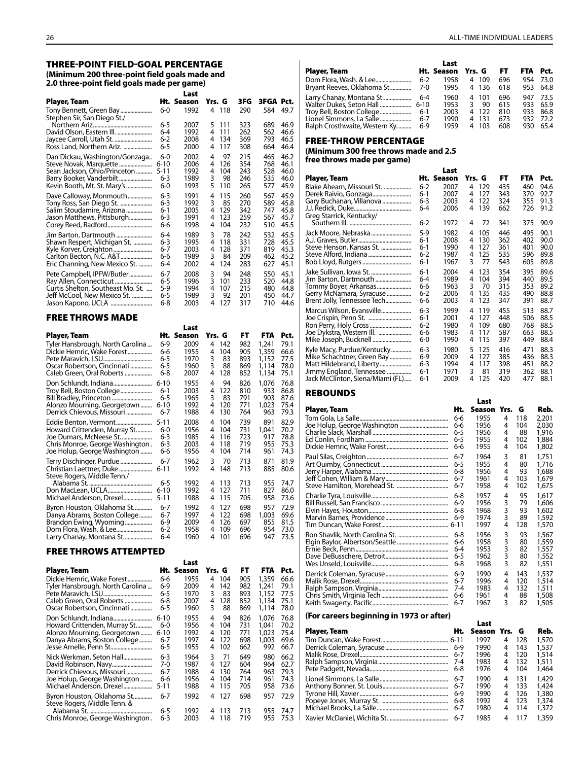#### THREE-POINT FIELD-GOAL PERCENTAGE **(Minimum 200 three-point field goals made and 2.0 three-point field goals made per game)**

|                                                           |                    | Last         |        |            |            |                |              |
|-----------------------------------------------------------|--------------------|--------------|--------|------------|------------|----------------|--------------|
| Player, Team                                              |                    | Ht. Season   | Yrs. G |            | 3FG        | 3FGA Pct.      |              |
| Tony Bennett, Green Bay<br>Stephen Sir, San Diego St./    | $6 - 0$            | 1992         | 4      | 118        | 290        | 584            | 49.7         |
|                                                           | 6-5                | 2007         | 5      | 111        | 323        | 689            | 46.9         |
| David Olson, Eastern III.                                 | $6 - 4$            | 1992         | 4      | 111        | 262        | 562            | 46.6         |
| Jaycee Carroll, Utah St.<br>Ross Land, Northern Ariz.     | $6 - 2$<br>$6 - 5$ | 2008<br>2000 | 4<br>4 | 134<br>117 | 369<br>308 | 793<br>664     | 46.5<br>46.4 |
| Dan Dickau, Washington/Gonzaga                            | 6-0                | 2002         | 4      | 97         | 215        | 465            | 46.2         |
| Steve Novak, Marquette                                    | $6 - 10$           | 2006         | 4      | 126        | 354        | 768            | 46.1         |
| Sean Jackson, Ohio/Princeton                              | $5 - 11$           | 1992         | 4      | 104        | 243        | 528            | 46.0         |
| Kevin Booth, Mt. St. Mary's                               | 6-3<br>$6-0$       | 1989<br>1993 | 3<br>5 | 98<br>110  | 246<br>265 | 535<br>577     | 46.0<br>45.9 |
|                                                           | $6 - 3$            | 1991         | 4      | 115        | 260        | 567            | 45.9         |
| Dave Calloway, Monmouth<br>Tony Ross, San Diego St.       | $6 - 3$            | 1992         | 3      | 85         | 270        | 589            | 45.8         |
| Salim Stoudamire, Arizona                                 | $6-1$              | 2005         | 4      | 129        | 342        | 747            | 45.8         |
| Jason Matthews, Pittsburgh                                | 6-3                | 1991         | 4      | 123        | 259        | 567            | 45.7         |
|                                                           | 6-6                | 1998         | 4      | 104        | 232        | 510            | 45.5         |
| Jim Barton, Dartmouth                                     | $6 - 4$            | 1989         | 3      | 78         | 242        | 532            | 45.5         |
| Shawn Respert, Michigan St.                               | $6 - 3$            | 1995         | 4      | 118        | 331        | 728            | 45.5         |
|                                                           | $6 - 7$            | 2003         | 4      | 128        | 371        | 819            | 45.3         |
| Carlton Becton, N.C. A&T<br>Eric Channing, New Mexico St. | 6-6<br>$6 - 4$     | 1989<br>2002 | 3<br>4 | 84<br>124  | 209<br>283 | 462<br>627     | 45.2<br>45.1 |
| Pete Campbell, IPFW/Butler                                | $6 - 7$            | 2008         | 3      | 94         | 248        | 550            | 45.1         |
|                                                           | $6 - 5$            | 1996         | 3      | 101        | 233        | 520            | 44.8         |
| Curtis Shelton, Southeast Mo. St.                         | $5-9$              | 1994         | 4      | 107        | 215        | 480            | 44.8         |
| Jeff McCool, New Mexico St.                               | 6-5                | 1989         | 3      | 92         | 201        | 450            | 44.7         |
|                                                           | 6-8                | 2003         | 4      | 127        | 317        | 710            | 44.6         |
| <b>FREE THROWS MADE</b>                                   |                    |              |        |            |            |                |              |
|                                                           |                    | Last         |        |            |            |                |              |
| Player, Team                                              |                    | Ht. Season   | Yrs. G |            | FT         | <b>FTA</b>     | Pct.         |
| Tyler Hansbrough, North Carolina                          | $6-9$              | 2009         | 4      | 142        | 982        | 1,241          | 79.1         |
| Dickie Hemric, Wake Forest                                | 6-6                | 1955         | 4      | 104        | 905        | 1,359          | 66.6         |
| Oscar Robertson, Cincinnati                               | 6-5<br>6-5         | 1970<br>1960 | 3<br>3 | 83<br>88   | 893<br>869 | 1,152<br>1,114 | 77.5<br>78.0 |
|                                                           |                    |              |        |            |            |                |              |

|                                                                                     | 6-5             | 1970         | 3      | 83        | 893        | 1,152      | 77.5         |
|-------------------------------------------------------------------------------------|-----------------|--------------|--------|-----------|------------|------------|--------------|
| Oscar Robertson, Cincinnati                                                         | 6-5             | 1960         | 3      | 88        | 869        | 1.114      | 78.0         |
| Caleb Green, Oral Roberts                                                           | 6-8             | 2007         | 4      | 128       | 852        | 1,134      | 75.1         |
|                                                                                     | $6 - 10$        | 1955         | 4      | 94        | 826        | 1.076      | 76.8         |
| Troy Bell, Boston College                                                           | $6-1$           | 2003         | 4      | 122       | 810        | 933        | 86.8         |
|                                                                                     | 6-5             | 1965         | 3      | 83        | 791        | 903        | 87.6         |
| Alonzo Mourning, Georgetown                                                         | $6 - 10$        | 1992         | 4      | 120       | 771        | 1,023      | 75.4         |
| Derrick Chievous, Missouri                                                          | 6-7             | 1988         | 4      | 130       | 764        | 963        | 79.3         |
| Eddie Benton, Vermont                                                               | 5-11            | 2008         | 4      | 104       | 739        | 891        | 82.9         |
| Howard Crittenden, Murray St                                                        | 6-0             | 1956         | 4      | 104       | 731        | 1.041      | 70.2         |
| Joe Dumars, McNeese St                                                              | 6-3             | 1985         | 4      | 116       | 723        | 917        | 78.8         |
| Chris Monroe, George Washington.                                                    | 6-3             | 2003         | 4      | 118       | 719        | 955        | 75.3         |
| Joe Holup, George Washington                                                        | 6-6             | 1956         | 4      | 104       | 714        | 961        | 74.3         |
| Terry Dischinger, Purdue<br>Christian Laettner, Duke<br>Steve Rogers, Middle Tenn./ | 6-7<br>$6 - 11$ | 1962<br>1992 | 3<br>4 | 70<br>148 | 713<br>713 | 871<br>885 | 81.9<br>80.6 |
|                                                                                     | 6-5             | 1992         | 4      | 113       | 713        | 955        | 74.7         |
|                                                                                     | 6-10            | 1992         | 4      | 127       | 711        | 827        | 86.0         |
| Michael Anderson, Drexel                                                            | $5 - 11$        | 1988         | 4      | 115       | 705        | 958        | 73.6         |
| Byron Houston, Oklahoma St                                                          | 6-7             | 1992         | 4      | 127       | 698        | 957        | 72.9         |
| Danya Abrams, Boston College                                                        | 6-7             | 1997         | 4      | 122       | 698        | 1,003      | 69.6         |
| Brandon Ewing, Wyoming                                                              | $6-9$           | 2009         | 4      | 126       | 697        | 855        | 81.5         |
| Dom Flora, Wash. & Lee                                                              | 6-2             | 1958         | 4      | 109       | 696        | 954        | 73.0         |
| Larry Chanay, Montana St                                                            | 6-4             | 1960         | 4      | 101       | 696        | 947        | 73.5         |

#### FREE THROWS ATTEMPTED

|                                                                                                                            |                                             | Last                                 |                                                         |                                 |                                           |                                      |
|----------------------------------------------------------------------------------------------------------------------------|---------------------------------------------|--------------------------------------|---------------------------------------------------------|---------------------------------|-------------------------------------------|--------------------------------------|
| Player, Team                                                                                                               |                                             | Ht. Season                           | Yrs. G                                                  | FT.                             | <b>FTA</b>                                | Pct.                                 |
| Dickie Hemric, Wake Forest<br>Tyler Hansbrough, North Carolina<br>Caleb Green, Oral Roberts<br>Oscar Robertson, Cincinnati | 6-6<br>6-9<br>6-5<br>6-8<br>6-5             | 1955<br>2009<br>1970<br>2007<br>1960 | 104<br>4<br>142<br>4<br>3<br>83<br>128<br>4<br>3<br>88  | 905<br>982<br>893<br>852<br>869 | 1,359<br>1,241<br>1,152<br>1,134<br>1,114 | 66.6<br>79.1<br>77.5<br>75.1<br>78.0 |
| Howard Crittenden, Murray St<br>Alonzo Mourning, Georgetown<br>Danya Abrams, Boston College                                | $6 - 10$<br>$6-0$<br>$6 - 10$<br>6-7<br>6-5 | 1955<br>1956<br>1992<br>1997<br>1955 | 94<br>4<br>104<br>4<br>120<br>4<br>122<br>4<br>102<br>4 | 826<br>731<br>771<br>698<br>662 | 1.076<br>1.041<br>1,023<br>1.003<br>992   | 76.8<br>70.2<br>75.4<br>69.6<br>66.7 |
| Nick Werkman, Seton Hall<br>Derrick Chievous, Missouri<br>Joe Holup, George Washington<br>Michael Anderson, Drexel         | 6-3<br>7-0<br>6-7<br>6-6<br>5-11            | 1964<br>1987<br>1988<br>1956<br>1988 | 3<br>71<br>127<br>4<br>130<br>4<br>104<br>4<br>115<br>4 | 649<br>604<br>764<br>714<br>705 | 980<br>964<br>963<br>961<br>958           | 66.2<br>62.7<br>79.3<br>74.3<br>73.6 |
| Byron Houston, Oklahoma St<br>Steve Rogers, Middle Tenn. &<br>Chris Monroe, George Washington.                             | 6-7<br>6-5<br>6-3                           | 1992<br>1992<br>2003                 | 127<br>4<br>113<br>4<br>118<br>4                        | 698<br>713<br>719               | 957<br>955<br>955                         | 72.9<br>74.7<br>75.3                 |

|                               |         | Last       |            |     |            |      |
|-------------------------------|---------|------------|------------|-----|------------|------|
| Player, Team                  |         | Ht. Season | Yrs. G     | FT. | <b>FTA</b> | Pct. |
|                               | $6-2$   | 1958       | -109<br>4  | 696 | 954        | 73.0 |
| Bryant Reeves, Oklahoma St    | 7-0     | 1995       | -136<br>4  | 618 | 953        | 64.8 |
| Larry Chanay, Montana St      | 6-4     | 1960       | 101<br>4   | 696 | 947        | 73.5 |
| Walter Dukes, Seton Hall      | $6-10$  | 1953       | 90         | 615 | 933        | 65.9 |
| Troy Bell, Boston College     | $6-1$   | 2003       | 4 122      | 810 | 933        | 86.8 |
|                               | $6 - 7$ | 1990       | - 131<br>4 | 673 | 932        | 72.2 |
| Ralph Crosthwaite, Western Ky | $6-9$   | 1959       | 103<br>4   | 608 | 930        | 65.4 |

#### FREE-THROW PERCENTAGE

**(Minimum 300 free throws made and 2.5 free throws made per game)** 

|                                                      |                | Last         |        |            |            |            |              |
|------------------------------------------------------|----------------|--------------|--------|------------|------------|------------|--------------|
| Player, Team                                         |                | Ht. Season   | Yrs. G |            | FT.        | <b>FTA</b> | Pct.         |
| Blake Ahearn, Missouri St.                           | 6-2            | 2007         | 4      | 129        | 435        | 460        | 94.6         |
| Derek Raivio, Gonzaga                                | 6-1            | 2007         | 4      | 127        | 343        | 370        | 92.7         |
| Gary Buchanan, Villanova<br>Greg Starrick, Kentucky/ | 6-3<br>$6 - 4$ | 2003<br>2006 | 4<br>4 | 122<br>139 | 324<br>662 | 355<br>726 | 91.3<br>91.2 |
|                                                      | 6-2            | 1972         | 4      | 72         | 341        | 375        | 90.9         |
| Jack Moore, Nebraska                                 | $5-9$          | 1982         | 4      | 105        | 446        | 495        | 90.1         |
|                                                      | 6-1            | 2008         | 4      | 130        | 362        | 402        | 90.0         |
| Steve Henson, Kansas St.                             | 6-1            | 1990         | 4      | 127        | 361        | 401        | 90.0         |
|                                                      | 6-2            | 1987         | 4      | 125        | 535        | 596        | 89.8         |
|                                                      | 6-1            | 1967         | 3      | 77         | 543        | 605        | 89.8         |
| Jake Sullivan, Iowa St.                              | 6-1            | 2004         | 4      | 123        | 354        | 395        | 89.6         |
| Jim Barton, Dartmouth                                | 6-4            | 1989         | 4      | 104        | 394        | 440        | 89.5         |
| Tommy Boyer, Arkansas                                | 6-6            | 1963         | 3      | 70         | 315        | 353        | 89.2         |
| Gerry McNamara, Syracuse                             | $6 - 2$        | 2006         | 4      | 135        | 435        | 490        | 88.8         |
| Brent Jolly, Tennessee Tech                          | 6-6            | 2003         | 4      | 123        | 347        | 391        | 88.7         |
| Marcus Wilson, Evansville                            | 6-3            | 1999         | 4      | 119        | 455        | 513        | 88.7         |
| Joe Crispin, Penn St.                                | $6-1$          | 2001         | 4      | 127        | 448        | 506        | 88.5         |
| Ron Perry, Holy Cross                                | $6-2$          | 1980         | 4      | 109        | 680        | 768        | 88.5         |
| Joe Dykstra, Western III.                            | 6-6            | 1983         | 4      | 117        | 587        | 663        | 88.5         |
| Mike Joseph, Bucknell                                | 6-0            | 1990         | 4      | 115        | 397        | 449        | 88.4         |
| Kyle Macy, Purdue/Kentucky                           | $6 - 3$        | 1980         | 5      | 125        | 416        | 471        | 88.3         |
| Mike Schachtner, Green Bay                           | 6-9            | 2009         | 4      | 127        | 385        | 436        | 88.3         |
| Matt Hildebrand, Liberty                             | $6 - 3$        | 1994         | 4      | 117        | 398        | 451        | 88.2         |
| Jimmy England, Tennessee                             | 6-1            | 1971         | 3      | 81         | 319        | 362        | 88.1         |
| Jack McClinton, Siena/Miami (FL)                     | 6-1            | 2009         | 4      | 125        | 420        | 477        | 88.1         |

#### **REBOUNDS**

|              |         | Last   |        |     |       |
|--------------|---------|--------|--------|-----|-------|
| Player, Team | Ht.     | Season | Yrs.   | G   | Reb.  |
|              | 6-6     | 1955   | 4      | 118 | 2.201 |
|              | 6-6     | 1956   | 4      | 104 | 2,030 |
|              | $6 - 5$ | 1956   | 4      | 88  | 1,916 |
|              | $6 - 5$ | 1955   | 4      | 102 | 1,884 |
|              | 6-6     | 1955   | 4      | 104 | 1,802 |
|              | $6 - 7$ | 1964   | 3      | 81  | 1,751 |
|              | $6 - 5$ | 1955   | 4      | 80  | 1,716 |
|              | $6 - 8$ | 1956   | 4      | 93  | 1,688 |
|              | $6 - 7$ | 1961   | 4      | 103 | 1,679 |
|              | 6-7     | 1958   | 4      | 102 | 1,675 |
|              | $6 - 8$ | 1957   | 4      | 95  | 1,617 |
|              | $6-9$   | 1956   | 3      | 79  | 1.606 |
|              | $6 - 8$ | 1968   | 3      | 93  | 1,602 |
|              | $6-9$   | 1974   | 3      | 89  | 1,592 |
|              |         | 1997   | 4      | 128 | 1,570 |
|              | $6 - 8$ | 1956   | 3      | 93  | 1,567 |
|              | 6-6     | 1958   | 3      | 80  | 1,559 |
|              | $6 - 4$ | 1953   | 3<br>3 | 82  | 1,557 |
|              | $6 - 5$ | 1962   |        | 80  | 1,552 |
|              | $6 - 8$ | 1968   | 3      | 82  | 1,551 |
|              | $6-9$   | 1990   | 4      | 143 | 1,537 |
|              | $6 - 7$ | 1996   | 4      | 120 | 1,514 |
|              | $7 - 4$ | 1983   | 4      | 132 | 1,511 |
|              | 6-6     | 1961   | 4      | 88  | 1,508 |
|              | 6-7     | 1967   | 3      | 82  | 1,505 |

#### **(For careers beginning in 1973 or after)**

| $\mu$ or careers beginning in 1273 or arter) |         |               |   |     |       |
|----------------------------------------------|---------|---------------|---|-----|-------|
|                                              |         | Last          |   |     |       |
| Player, Team                                 | Ht.     | Season Yrs. G |   |     | Reb.  |
|                                              |         | 1997          | 4 | 128 | 1,570 |
|                                              |         | 1990          | 4 | 143 | 1,537 |
|                                              | $6 - 7$ | 1996          | 4 | 120 | 1,514 |
|                                              | 7-4     | 1983          | 4 | 132 | 1,511 |
|                                              |         | 1976          | 4 | 104 | 1,464 |
|                                              | $6 - 7$ | 1990          | 4 | 131 | 1,429 |
|                                              |         | 1990          | 4 | 133 | 1,424 |
|                                              | $6-9$   | 1990          | 4 | 126 | 1,380 |
|                                              | 6-8     | 1992          | 4 | 123 | 1,374 |
|                                              | $6 - 7$ | 1980          | 4 | 114 | 1,372 |
|                                              | $6 - 7$ | 1985          | 4 | 117 | 1.359 |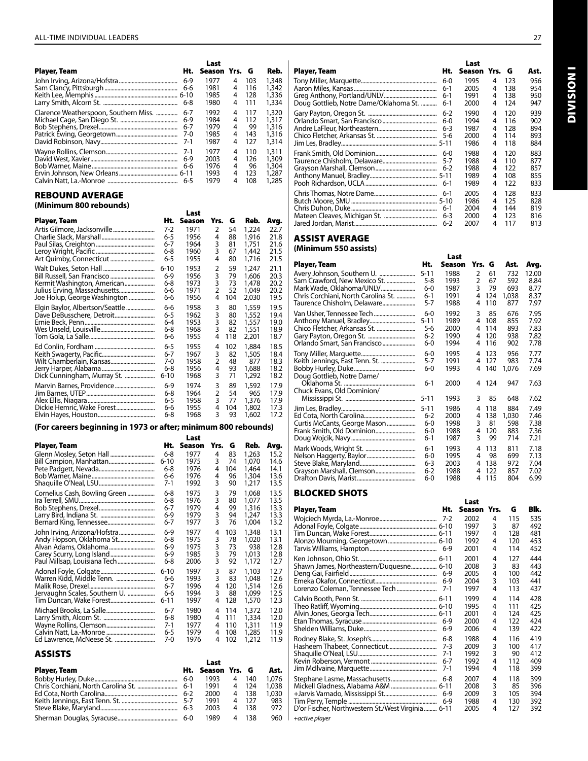| <b>Player, Team</b>                   | Ht.          | Last<br>Season Yrs. G |             |                  | Reb.                    |
|---------------------------------------|--------------|-----------------------|-------------|------------------|-------------------------|
|                                       | $6-9$        | 1977                  | 4           | 103              | 1,348                   |
|                                       | $6-6$        | 1981                  | 4           | 116              | 1,342                   |
|                                       | 6-8          | 1985                  | 4           | 128              | 1,336                   |
|                                       |              | 1980                  | 4           | 111              | 1,334                   |
| Clarence Weatherspoon, Southern Miss. | $6 - 7$      | 1992                  | 4           | 117              | 1,320                   |
|                                       | $6-9$        | 1984                  | 4           | 112              | 1,317                   |
|                                       | $6 - 7$      | 1979                  | 4           | 99               | 1,316                   |
|                                       | $7-0$        | 1985                  | 4           | 143              | 1,316                   |
|                                       | $7-1$        | 1987                  | 4           | 127              | 1,314                   |
|                                       | $7-1$        | 1977                  | 4           | 110              | 1,311                   |
|                                       | $6-9$<br>6-6 | 2003<br>1976<br>1993  | 4<br>4<br>4 | 126<br>96<br>123 | 1,309<br>1,304<br>1,287 |
|                                       | $6 - 5$      | 1979                  | 4           | 108              | 1.285                   |

#### REBOUND AVERAGE **(Minimum 800 rebounds)**

|                                 |          | Last   |                |     |       |      |
|---------------------------------|----------|--------|----------------|-----|-------|------|
| Player, Team                    | Ht.      | Season | Yrs.           | G   | Reb.  | Avg. |
|                                 | 7-2      | 1971   | 2              | 54  | 1,224 | 22.7 |
|                                 | 6-5      | 1956   | 4              | 88  | 1,916 | 21.8 |
|                                 | 6-7      | 1964   | 3              | 81  | 1,751 | 21.6 |
|                                 | 6-8      | 1960   | 3              | 67  | 1.442 | 21.5 |
|                                 | 6-5      | 1955   | 4              | 80  | 1,716 | 21.5 |
|                                 | $6 - 10$ | 1953   | 2              | 59  | 1,247 | 21.1 |
|                                 | $6-9$    | 1956   | 3              | 79  | 1,606 | 20.3 |
| Kermit Washington, American     | 6-8      | 1973   | 3              | 73  | 1,478 | 20.2 |
| Julius Erving, Massachusetts    | 6-6      | 1971   | $\overline{2}$ | 52  | 1,049 | 20.2 |
| Joe Holup, George Washington    | 6-6      | 1956   | 4              | 104 | 2,030 | 19.5 |
| Elgin Baylor, Albertson/Seattle | 6-6      | 1958   | 3              | 80  | 1,559 | 19.5 |
|                                 | 6-5      | 1962   | 3              | 80  | 1,552 | 19.4 |
|                                 | $6 - 4$  | 1953   | 3              | 82  | 1,557 | 19.0 |
|                                 | 6-8      | 1968   | 3              | 82  | 1,551 | 18.9 |
|                                 | 6-6      | 1955   | 4              | 118 | 2,201 | 18.7 |
|                                 | 6-5      | 1955   | 4              | 102 | 1,884 | 18.5 |
|                                 | 6-7      | 1967   | 3              | 82  | 1,505 | 18.4 |
|                                 | $7-0$    | 1958   | 2              | 48  | 877   | 18.3 |
|                                 | 6-8      | 1956   | 4              | 93  | 1,688 | 18.2 |
| Dick Cunningham, Murray St.     | $6 - 10$ | 1968   | 3              | 71  | 1,292 | 18.2 |
|                                 | 6-9      | 1974   | 3              | 89  | 1,592 | 17.9 |
|                                 | 6-8      | 1964   | 2              | 54  | 965   | 17.9 |
|                                 | 6-5      | 1958   | 3              | 77  | 1,376 | 17.9 |
|                                 | 6-6      | 1955   | 4              | 104 | 1,802 | 17.3 |
|                                 | 6-8      | 1968   | 3              | 93  | 1.602 | 17.2 |

#### **(For careers beginning in 1973 or after; minimum 800 rebounds)**

|                               |          | Last   |      |     |       |      |
|-------------------------------|----------|--------|------|-----|-------|------|
| Player, Team                  | Ht.      | Season | Yrs. | G   | Reb.  | Avg. |
|                               | 6-8      | 1977   | 4    | 83  | 1,263 | 15.2 |
|                               | $6 - 10$ | 1975   | 3    | 74  | 1,070 | 14.6 |
|                               | 6-8      | 1976   | 4    | 104 | 1,464 | 14.1 |
|                               | 6-6      | 1976   | 4    | 96  | 1,304 | 13.6 |
|                               | 7-1      | 1992   | 3    | 90  | 1,217 | 13.5 |
| Cornelius Cash, Bowling Green | 6-8      | 1975   | 3    | 79  | 1,068 | 13.5 |
|                               | 6-8      | 1976   | 3    | 80  | 1,077 | 13.5 |
|                               | 6-7      | 1979   | 4    | 99  | 1,316 | 13.3 |
|                               | 6-9      | 1979   | 3    | 94  | 1,247 | 13.3 |
|                               | 6-7      | 1977   | 3    | 76  | 1,004 | 13.2 |
| John Irving, Arizona/Hofstra  | $6-9$    | 1977   | 4    | 103 | 1,348 | 13.1 |
| Andy Hopson, Oklahoma St      | 6-8      | 1975   | 3    | 78  | 1,020 | 13.1 |
|                               | 6-9      | 1975   | 3    | 73  | 938   | 12.8 |
|                               | 6-9      | 1985   | 3    | 79  | 1,013 | 12.8 |
|                               | 6-8      | 2006   | 3    | 92  | 1,172 | 12.7 |
|                               | $6 - 10$ | 1997   | 3    | 87  | 1,103 | 12.7 |
| Warren Kidd, Middle Tenn.     | 6-6      | 1993   | 3    | 83  | 1.048 | 12.6 |
|                               | 6-7      | 1996   | 4    | 120 | 1,514 | 12.6 |
| Jervaughn Scales, Southern U. | 6-6      | 1994   | 3    | 88  | 1.099 | 12.5 |
|                               | $6 - 11$ | 1997   | 4    | 128 | 1,570 | 12.3 |
|                               | 6-7      | 1980   | 4    | 114 | 1,372 | 12.0 |
|                               | 6-8      | 1980   | 4    | 111 | 1,334 | 12.0 |
|                               | 7-1      | 1977   | 4    | 110 | 1,311 | 11.9 |
|                               | 6-5      | 1979   | 4    | 108 | 1,285 | 11.9 |
| Ed Lawrence, McNeese St.      | 7-0      | 1976   | 4    | 102 | 1,212 | 11.9 |

ASSISTS

|              |         | Last              |   |       |       |
|--------------|---------|-------------------|---|-------|-------|
| Player, Team |         | Ht. Season Yrs. G |   |       | Ast.  |
|              | $6-0$   | 1993              | 4 | 140   | 1,076 |
|              | $6-1$   | 1991              |   | - 124 | 1,038 |
|              | 6-2     | 2000              | 4 | - 138 | 1,030 |
|              |         | 1991              |   | - 127 | 983   |
|              | $6 - 3$ | 2003              | 4 | 138   | 972   |
|              |         | 1989              |   | 138.  | 960   |

| <b>Player, Team</b>                    | Ht.     | Last<br>Season Yrs. G |   |     | Ast. |
|----------------------------------------|---------|-----------------------|---|-----|------|
|                                        | $6-0$   | 1995                  | 4 | 123 | 956  |
|                                        | $6-1$   | 2005                  | 4 | 138 | 954  |
|                                        | $6-1$   | 1991                  | 4 | 138 | 950  |
| Doug Gottlieb, Notre Dame/Oklahoma St. | $6-1$   | 2000                  | 4 | 124 | 947  |
|                                        | $6 - 2$ | 1990                  | 4 | 120 | 939  |
|                                        | $6-0$   | 1994                  | 4 | 116 | 902  |
|                                        | $6 - 3$ | 1987                  | 4 | 128 | 894  |
|                                        | 5-6     | 2000                  | 4 | 114 | 893  |
|                                        |         | 1986                  | 4 | 118 | 884  |
|                                        | $6-0$   | 1988                  | 4 | 120 | 883  |
|                                        | $5 - 7$ | 1988                  | 4 | 110 | 877  |
|                                        | $6 - 2$ | 1988                  | 4 | 122 | 857  |
|                                        |         | 1989                  | 4 | 108 | 855  |
|                                        | $6-1$   | 1989                  | 4 | 122 | 833  |
|                                        | $6-1$   | 2005                  | 4 | 128 | 833  |
|                                        |         | 1986                  | 4 | 125 | 828  |
|                                        | $6-1$   | 2004                  | 4 | 144 | 819  |
|                                        | $6 - 3$ | 2000                  | 4 | 123 | 816  |
|                                        | $6 - 2$ | 2007                  | 4 | 117 | 813  |

#### ASSIST AVERAGE

**(Minimum 550 assists)** 

#### Last Player, Team The Ht. Season Yrs. G Ast. Avg. Avery Johnson, Southern U. ......................... 5-11 1988 2 61 732 12.00 Sam Crawford, New Mexico St. .................... 5-8 1993 2 67 592 8.84 Mark Wade, Oklahoma/UNLV.............................. 6-0 1987 3 79 693 8.77<br>Chris Corchiani, North Carolina St. .............. 6-1 1991 4 124 1,038 8.37 Chris Corchiani, North Carolina St. ............. 6-1 1991 4 124 1,038 8.37 Taurence Chisholm, Delaware... Van Usher, Tennessee Tech............................. 6-0 1992 3 85 676 7.95 Anthony Manuel, Bradley................................ 5-11 1989 4 108 855 7.92 Chico Fletcher, Arkansas St. ........................... 5-6 2000 4 114 893 7.83 Gary Payton, Oregon St. ................................. 6-2 1990 4 120 938 7.82 Orlando Smart, San Francisco.. Tony Miller, Marquette...................................... 6-0 1995 4 123 956 7.77 Keith Jennings, East Tenn. St. ........................ 5-7 1991 4 127 983 7.74 Bobby Hurley, Duke........................................... 6-0 1993 4 140 1,076 7.69 Doug Gottlieb, Notre Dame/ Oklahoma St. .................................................. 6-1 2000 4 124 947 7.63 Chuck Evans, Old Dominion/ Mississippi St. ................................................. 5-11 1993 3 85 648 7.62 Jim Les, Bradley.................................................... 5-11 1986 4 118 884 7.49 Ed Cota, North Carolina.................................... 6-2 2000 4 138 1,030 7.46 Curtis McCants, George Mason.................... 6-0 1998 3 81 598 7.38 Frank Smith, Old Dominion............................ 6-0 1988 4 120 883 7.36 Doug Wojcik, Navy... Mark Woods, Wright St. ................................... 6-1 1993 4 113 811 7.18 Nelson Haggerty, Baylor.................................. 6-0 1995 4 98 699 7.13 Steve Blake, Maryland....................................... 6-3 2003 4 138 972 7.04 Grayson Marshall, Clemson............................ 6-2 1988 4 122 857 7.02 Drafton Davis, Marist.

#### BLOCKED SHOTS

|                                                   |         | Last   |      |     |      |
|---------------------------------------------------|---------|--------|------|-----|------|
| Player, Team                                      | Ht.     | Season | Yrs. | G   | Blk. |
|                                                   | $7 - 2$ | 2002   | 4    | 115 | 535  |
|                                                   |         | 1997   | 3    | 87  | 492  |
|                                                   |         | 1997   | 4    | 128 | 481  |
|                                                   |         | 1992   | 4    | 120 | 453  |
|                                                   |         | 2001   | 4    | 114 | 452  |
|                                                   |         | 2001   | 4    | 127 | 444  |
| Shawn James, Northeastern/Duquesne 6-10           |         | 2008   | 3    | 83  | 443  |
|                                                   | $6-9$   | 2005   | 4    | 100 | 442  |
|                                                   | $6-9$   | 2004   | 3    | 103 | 441  |
| Lorenzo Coleman, Tennessee Tech                   | $7-1$   | 1997   | 4    | 113 | 437  |
|                                                   |         | 1999   | 4    | 114 | 428  |
|                                                   |         | 1995   | 4    | 111 | 425  |
|                                                   |         | 2001   | 4    | 124 | 425  |
|                                                   | $6-9$   | 2000   | 4    | 122 | 424  |
|                                                   | $6-9$   | 2006   | 4    | 139 | 422  |
|                                                   | $6 - 8$ | 1988   | 4    | 116 | 419  |
|                                                   | $7 - 3$ | 2009   | 3    | 100 | 417  |
|                                                   | $7-1$   | 1992   | 3    | 90  | 412  |
|                                                   | $6 - 7$ | 1992   | 4    | 112 | 409  |
|                                                   | $7-1$   | 1994   | 4    | 118 | 399  |
|                                                   | 6-8     | 2007   | 4    | 118 | 399  |
| Mickell Gladness, Alabama A&M  6-11               |         | 2008   | 3    | 85  | 396  |
|                                                   | $6-9$   | 2009   | 3    | 105 | 394  |
|                                                   | 6-9     | 1988   | 4    | 130 | 392  |
| D'or Fischer, Northwestern St./West Virginia 6-11 |         | 2005   | 4    | 127 | 392  |
| +active player                                    |         |        |      |     |      |

Division I **NOISIAID**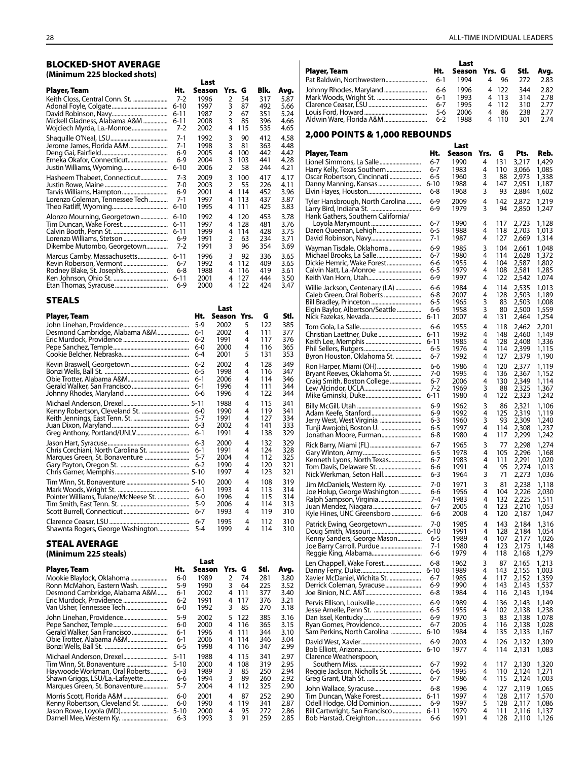#### BLOCKED-SHOT AVERAGE **(Minimum 225 blocked shots)**

|                                 |          | Last   |        |     |      |      |
|---------------------------------|----------|--------|--------|-----|------|------|
| Player, Team                    | Ht.      | Season | Yrs. G |     | Blk. | Avg. |
|                                 | $7-2$    | 1996   | 2      | 54  | 317  | 5.87 |
|                                 | $6 - 10$ | 1997   | 3      | 87  | 492  | 5.66 |
|                                 | $6 - 11$ | 1987   | 2      | 67  | 351  | 5.24 |
| Mickell Gladness, Alabama A&M   | $6 - 11$ | 2008   | 3      | 85  | 396  | 4.66 |
| Wojciech Myrda, La.-Monroe      | 7-2      | 2002   | 4      | 115 | 535  | 4.65 |
|                                 | $7-1$    | 1992   | 3      | 90  | 412  | 4.58 |
| Jerome James, Florida A&M       | $7-1$    | 1998   | 3      | 81  | 363  | 4.48 |
|                                 | $6-9$    | 2005   | 4      | 100 | 442  | 4.42 |
|                                 | $6-9$    | 2004   | 3      | 103 | 441  | 4.28 |
|                                 | $6 - 10$ | 2006   | 2      | 58  | 244  | 4.21 |
| Hasheem Thabeet, Connecticut    | $7-3$    | 2009   | 3      | 100 | 417  | 4.17 |
|                                 | 7-0      | 2003   | 2      | 55  | 226  | 4.11 |
|                                 | $6-9$    | 2001   | 4      | 114 | 452  | 3.96 |
| Lorenzo Coleman, Tennessee Tech | 7-1      | 1997   | 4      | 113 | 437  | 3.87 |
|                                 | $6 - 10$ | 1995   | 4      | 111 | 425  | 3.83 |
| Alonzo Mourning, Georgetown     | $6 - 10$ | 1992   | 4      | 120 | 453  | 3.78 |
| Tim Duncan, Wake Forest         | $6 - 11$ | 1997   | 4      | 128 | 481  | 3.76 |
|                                 | $6 - 11$ | 1999   | 4      | 114 | 428  | 3.75 |
|                                 | $6-9$    | 1991   | 2      | 63  | 234  | 3.71 |
| Dikembe Mutombo, Georgetown     | 7-2      | 1991   | 3      | 96  | 354  | 3.69 |
| Marcus Camby, Massachusetts     | $6 - 11$ | 1996   | 3      | 92  | 336  | 3.65 |
|                                 | $6 - 7$  | 1992   | 4      | 112 | 409  | 3.65 |
| Rodney Blake, St. Joseph's      | 6-8      | 1988   | 4      | 116 | 419  | 3.61 |
|                                 | $6 - 11$ | 2001   | 4      | 127 | 444  | 3.50 |
|                                 | $6-9$    | 2000   | 4      | 122 | 424  | 3.47 |

|                                   |         | Last   |      |     |      |
|-----------------------------------|---------|--------|------|-----|------|
| Player, Team                      | Ht.     | Season | Yrs. | G   | Stl. |
|                                   | $5-9$   | 2002   | 5    | 122 | 385  |
|                                   | $6-1$   | 2002   | 4    | 111 | 377  |
|                                   | $6 - 2$ | 1991   | 4    | 117 | 376  |
|                                   | $6-0$   | 2000   | 4    | 116 | 365  |
|                                   | $6 - 4$ | 2001   | 5    | 131 | 353  |
|                                   | $6 - 2$ | 2002   | 4    | 128 | 349  |
|                                   | $6 - 5$ | 1998   | 4    | 116 | 347  |
|                                   | $6-1$   | 2006   | 4    | 114 | 346  |
|                                   | $6-1$   | 1996   | 4    | 111 | 344  |
|                                   | 6-6     | 1996   | 4    | 122 | 344  |
|                                   |         | 1988   | 4    | 115 | 341  |
|                                   | $6 - 0$ | 1990   | 4    | 119 | 341  |
|                                   | $5 - 7$ | 1991   | 4    | 127 | 334  |
|                                   | $6 - 3$ | 2002   | 4    | 141 | 333  |
|                                   | $6-1$   | 1991   | 4    | 138 | 329  |
|                                   | $6 - 3$ | 2000   | 4    | 132 | 329  |
|                                   | $6-1$   | 1991   | 4    | 124 | 328  |
|                                   | 5-7     | 2004   | 4    | 112 | 325  |
|                                   | $6 - 2$ | 1990   | 4    | 120 | 321  |
|                                   |         | 1997   | 4    | 123 | 321  |
|                                   |         | 2000   | 4    | 108 | 319  |
|                                   | $6-1$   | 1993   | 4    | 113 | 314  |
|                                   | $6-0$   | 1996   | 4    | 115 | 314  |
|                                   | $5-9$   | 2006   | 4    | 114 | 313  |
|                                   | $6 - 7$ | 1993   | 4    | 119 | 310  |
|                                   | $6 - 7$ | 1995   | 4    | 112 | 310  |
| Shawnta Rogers, George Washington | $5 - 4$ | 1999   | 4    | 114 | 310  |

#### STEAL AVERAGE **(Minimum 225 steals)**

|                                 |          | Last   |           |      |      |
|---------------------------------|----------|--------|-----------|------|------|
| Player, Team                    | Ht.      | Season | Yrs. G    | Stl. | Avg. |
|                                 | $6-0$    | 1989   | 2<br>74   | 281  | 3.80 |
| Ronn McMahon, Eastern Wash.     | 5-9      | 1990   | 3<br>64   | 225  | 3.52 |
| Desmond Cambridge, Alabama A&M  | $6-1$    | 2002   | 111<br>4  | 377  | 3.40 |
|                                 | 6-2      | 1991   | 117<br>4  | 376  | 3.21 |
| Van Usher, Tennessee Tech       | 6-0      | 1992   | 3<br>85   | 270  | 3.18 |
| John Linehan, Providence        | 5-9      | 2002   | 122<br>5. | 385  | 3.16 |
|                                 | $6-0$    | 2000   | 116<br>4  | 365  | 3.15 |
|                                 | $6-1$    | 1996   | 111<br>4  | 344  | 3.10 |
|                                 | $6-1$    | 2006   | 114<br>4  | 346  | 3.04 |
|                                 | 6-5      | 1998   | 116<br>4  | 347  | 2.99 |
|                                 | $5 - 11$ | 1988   | 115<br>4  | 341  | 2.97 |
|                                 | $5 - 10$ | 2000   | 108<br>4  | 319  | 2.95 |
| Haywoode Workman, Oral Roberts  | 6-3      | 1989   | 3<br>85   | 250  | 2.94 |
| Shawn Griggs, LSU/La.-Lafayette | 6-6      | 1994   | 3<br>89   | 260  | 2.92 |
| Marques Green, St. Bonaventure  | 5-7      | 2004   | 112<br>4  | 325  | 2.90 |
|                                 | 6-0      | 2001   | 87<br>4   | 252  | 2.90 |
| Kenny Robertson, Cleveland St.  | 6-0      | 1990   | 119<br>4  | 341  | 2.87 |
|                                 | $5 - 10$ | 2000   | 95<br>4   | 272  | 2.86 |
|                                 | 6-3      | 1993   | 3<br>91   | 259  | 2.85 |

| Player, Team |         | Last               |   |       |     |      |
|--------------|---------|--------------------|---|-------|-----|------|
|              | Ht.     | Season Yrs. G Stl. |   |       |     | Avg. |
|              | $6-1$   | 1994               | 4 | 96    | 272 | 2.83 |
|              | 6-6     | 1996               |   | 4 122 | 344 | 2.82 |
|              | $6-1$   | 1993               |   | 4 113 | 314 | 2.78 |
|              | $6 - 7$ | 1995               |   | 4 112 | 310 | 2.77 |
|              | 5-6     | 2006               | 4 | 86    | 238 | 2.77 |
|              | $6 - 2$ | 1988               |   | 4 110 | 301 | 2.74 |

#### 2,000 POINTS & 1,000 REBOUNDS

|                                                            |                | Last         |        |            |                |                |
|------------------------------------------------------------|----------------|--------------|--------|------------|----------------|----------------|
| Player, Team                                               | Ht.            | Season       | Yrs.   | G          | Pts.           | Reb.           |
| Lionel Simmons, La Salle                                   | 6-7<br>6-7     | 1990<br>1983 | 4<br>4 | 131<br>110 | 3,217          | 1,429<br>1,085 |
| Harry Kelly, Texas Southern<br>Oscar Robertson, Cincinnati | 6-5            | 1960         | 3      | 88         | 3,066<br>2,973 | 1,338          |
| Danny Manning, Kansas                                      | $6 - 10$       | 1988         | 4      | 147        | 2,951          | 1,187          |
|                                                            | 6-8            | 1968         | 3      | 93         | 2,884          | 1,602          |
| Tyler Hansbrough, North Carolina                           | 6-9<br>6-9     | 2009<br>1979 | 4<br>3 | 142<br>94  | 2,872<br>2,850 | 1,219<br>1,247 |
| Hank Gathers, Southern California/                         |                |              |        |            |                |                |
|                                                            | 6-7            | 1990         | 4      | 117        | 2,723          | 1,128          |
| Daren Queenan, Lehigh                                      | 6-5<br>7-1     | 1988<br>1987 | 4<br>4 | 118<br>127 | 2,703<br>2,669 | 1,013<br>1,314 |
| Wayman Tisdale, Oklahoma                                   | 6-9            | 1985         | 3      | 104        | 2,661          | 1,048          |
|                                                            | 6-7            | 1980         | 4      | 114        | 2,628          | 1,372          |
|                                                            | 6-6            | 1955<br>1979 | 4      | 104        | 2,587          | 1,802          |
|                                                            | 6-5<br>6-9     | 1997         | 4<br>4 | 108<br>122 | 2,581<br>2,542 | 1,285<br>1,074 |
| Willie Jackson, Centenary (LA)                             | 6-6            | 1984         | 4      | 114        | 2,535          | 1,013          |
|                                                            | 6-8            | 2007         | 4      | 128        | 2,503          | 1,189          |
| Elgin Baylor, Albertson/Seattle                            | 6-5<br>6-6     | 1965<br>1958 | 3<br>3 | 83<br>80   | 2,503<br>2,500 | 1,008<br>1,559 |
|                                                            | 6-11           | 2007         | 4      | 131        | 2,464          | 1,254          |
|                                                            | 6-6            | 1955         | 4      | 118        | 2,462          | 2,201          |
|                                                            | 6-11           | 1992         | 4      | 148        | 2,460          | 1,149          |
|                                                            | 6-11<br>6-5    | 1985<br>1976 | 4<br>4 | 128<br>114 | 2,408<br>2,399 | 1,336<br>1,115 |
| Byron Houston, Oklahoma St.                                | 6-7            | 1992         | 4      | 127        | 2,379          | 1,190          |
| Ron Harper, Miami (OH)                                     | 6-6            | 1986         | 4      | 120        | 2,377          | 1,119          |
| Bryant Reeves, Oklahoma St.                                | 7-0<br>6-7     | 1995<br>2006 | 4<br>4 | 136<br>130 | 2,367<br>2,349 | 1,152<br>1,114 |
| Craig Smith, Boston College                                | 7-2            | 1969         | 3      | 88         | 2,325          | 1,367          |
|                                                            | 6-11           | 1980         | 4      | 122        | 2,323          | 1,242          |
|                                                            | 6-9            | 1962         | 3      | 86         | 2,321          | 1,106          |
| Jerry West, West Virginia                                  | 6-9<br>6-3     | 1992<br>1960 | 4<br>3 | 125<br>93  | 2,319<br>2,309 | 1,119<br>1,240 |
| Tunji Awojobi, Boston U. ………………………                         | 6-5            | 1997         | 4      | 114        | 2,308          | 1,237          |
| Jonathan Moore, Furman                                     | 6-8            | 1980         | 4      | 117        | 2,299          | 1,242          |
|                                                            | 6-7            | 1965         | 3<br>4 | 77         | 2,298          | 1,274          |
| Kenneth Lyons, North Texas                                 | 6-5<br>6-7     | 1978<br>1983 | 4      | 105<br>111 | 2,296<br>2,291 | 1,168<br>1,020 |
|                                                            | 6-6            | 1991         | 4      | 95         | 2,274          | 1,013          |
| Nick Werkman, Seton Hall                                   | 6-3            | 1964         | 3      | 71         | 2,273          | 1,036          |
| Jim McDaniels, Western Ky.<br>Joe Holup, George Washington | 7-0<br>6-6     | 1971<br>1956 | 3<br>4 | 81<br>104  | 2,238<br>2,226 | 1,118<br>2,030 |
|                                                            | 7-4            | 1983         | 4      | 132        | 2,225          | 1,511          |
|                                                            | 6-7<br>6-6     | 2005<br>2008 | 4<br>4 | 123<br>120 | 2,210<br>2,187 | 1,053          |
| Kyle Hines, UNC Greensboro                                 | 7-0            | 1985         | 4      | 143        |                | 1,047          |
| Patrick Ewing, Georgetown                                  | $6 - 10$       | 1991         | 4      | 128        | 2,184<br>2,184 | 1,316<br>1,054 |
| Kenny Sanders, George Mason                                | $6 - 5$        | 1989         | 4      | 107        | 2,177          | 1,026          |
|                                                            | 7-1<br>6-6     | 1980<br>1979 | 4<br>4 | 123<br>118 | 2,175<br>2,168 | 1,148<br>1,279 |
| Len Chappell, Wake Forest                                  | 6-8            | 1962         | 3      | 87         | 2,165          | 1,213          |
|                                                            | $6 - 10$       | 1989         | 4      | 143        | 2,155          | 1,003          |
| Xavier McDaniel, Wichita St.                               | 6-7<br>6-9     | 1985<br>1990 | 4<br>4 | 117<br>143 | 2,152<br>2,143 | 1,359<br>1,537 |
|                                                            | 6-8            | 1984         | 4      | 116        | 2,143          | 1,194          |
| Pervis Ellison, Louisville                                 | 6-9            | 1989         | 4      | 136        | 2,143          | 1,149          |
|                                                            | 6-5            | 1955         | 4      | 102        | 2,138          | 1,238          |
|                                                            | $6 - 9$<br>6-7 | 1970<br>2005 | 3<br>4 | 83<br>116  | 2,138<br>2,138 | 1,078<br>1,028 |
| Sam Perkins, North Carolina                                | $6 - 10$       | 1984         | 4      | 135        | 2,133          | 1,167          |
|                                                            | 6-9            | 2003         | 4      | 126        | 2,132          | 1,309          |
|                                                            | $6 - 10$       | 1977         | 4      | 114        | 2,131          | 1,083          |
| Clarence Weatherspoon,                                     | 6-7            | 1992         | 4      | 117        | 2,130          | 1,320          |
| Reggie Jackson, Nicholls St.                               | 6-6            | 1995         | 4      | 110        | 2,124          | 1,271          |
|                                                            | 6-7            | 1986         | 4      | 115        | 2,124          | 1,003          |
| John Wallace, Syracuse<br>Tim Duncan, Wake Forest          | 6-8<br>6-11    | 1996<br>1997 | 4<br>4 | 127<br>128 | 2,119<br>2,117 | 1,065<br>1,570 |
|                                                            | 6-9            | 1997         | 5      | 128        | 2,117          | 1,086          |
| Bill Cartwright, San Francisco                             | $6 - 11$       | 1979         | 4<br>4 | 111<br>128 | 2,116          | 1,137<br>1,126 |
|                                                            | 6-6            | 1991         |        |            | 2,110          |                |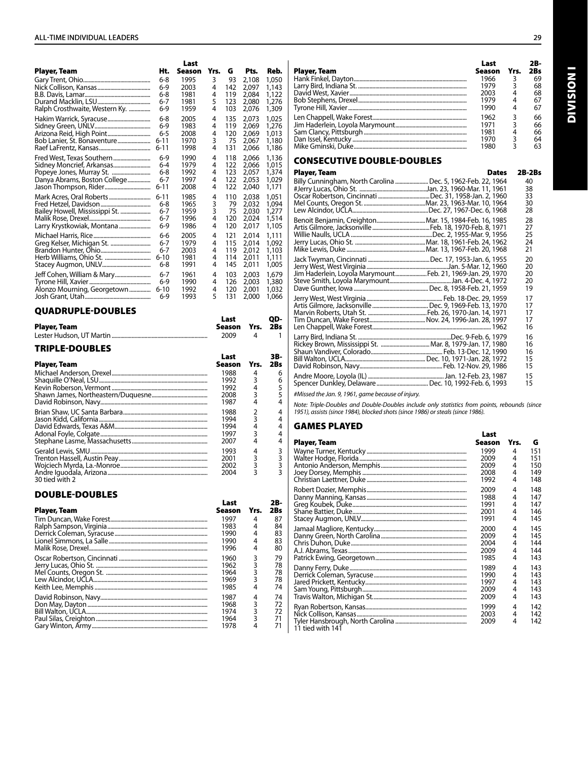|                                                        |                  | Last         |        |              |                |                  |
|--------------------------------------------------------|------------------|--------------|--------|--------------|----------------|------------------|
| Player, Team                                           | Ht.              | Season       | Yrs.   | G            | Pts.           | Reb.             |
|                                                        | 6-8              | 1995         | 3      | 93           | 2,108          | 1,050            |
|                                                        | 6-9              | 2003         | 4      | 142          | 2,097          | 1,143            |
|                                                        | 6-8<br>6-7       | 1981<br>1981 | 4<br>5 | 119<br>123   | 2,084<br>2,080 | 1,122<br>1,276   |
| Ralph Crosthwaite, Western Ky.                         | 6-9              | 1959         | 4      | 103          | 2,076          | 1,309            |
| Hakim Warrick, Syracuse                                | 6-8              | 2005         | 4      | 135          | 2,073          | 1.025            |
|                                                        | $6-9$            | 1983         | 4      | 119          | 2,069          | 1,276            |
| Arizona Reid, High Point                               | 6-5              | 2008         | 4      | 120          | 2,069          | 1,013            |
| Bob Lanier, St. Bonaventure                            | 6-11             | 1970<br>1998 | 3<br>4 | 75<br>131    | 2,067          | 1,180            |
|                                                        | 6-11             | 1990         |        |              | 2,066          | 1,186            |
| Fred West, Texas Southern<br>Sidney Moncrief, Arkansas | $6-9$<br>$6 - 4$ | 1979         | 4<br>4 | 118<br>122   | 2,066<br>2.066 | 1,136<br>1,015   |
| Popeye Jones, Murray St.                               | 6-8              | 1992         | 4      | 123          | 2,057          | 1,374            |
| Danya Abrams, Boston College                           | $6 - 7$          | 1997         | 4      | 122          | 2,053          | 1,029            |
| Jason Thompson, Rider                                  | 6-11             | 2008         | 4      | 122          | 2,040          | 1,171            |
| Mark Acres, Oral Roberts                               | $6 - 11$         | 1985         | 4      | 110          | 2,038          | 1,051            |
| Bailey Howell, Mississippi St.                         | 6-8<br>6-7       | 1965<br>1959 | 3<br>3 | 79<br>75     | 2,032<br>2,030 | 1,094<br>1,277   |
|                                                        | 6-7              | 1996         | 4      | 120          | 2,024          | 1,514            |
| Larry Krystkowiak, Montana                             | 6-9              | 1986         | 4      | 120          | 2,017          | 1,105            |
|                                                        | 6-6              | 2005         | 4      | 121          | 2,014          | 1,111            |
| Greg Kelser, Michigan St.                              | 6-7              | 1979         | 4      | 115          | 2,014          | 1,092            |
|                                                        | 6-7              | 2003         | 4      | 119          | 2,012          | 1,103            |
|                                                        | $6 - 10$<br>6-8  | 1981<br>1991 | 4<br>4 | 114<br>145   | 2,011<br>2,011 | 1,111<br>1,005   |
| Jeff Cohen, William & Mary                             | $6 - 7$          | 1961         | 4      | 103          | 2.003          |                  |
|                                                        | $6-9$            | 1990         | 4      | 126          | 2,003          | 1,679<br>1,380   |
| Alonzo Mourning, Georgetown                            | $6 - 10$         | 1992         | 4      | 120          | 2,001          | 1,032            |
|                                                        | 6-9              | 1993         | 5      | 131          | 2,000          | 1,066            |
| <b>QUADRUPLE-DOUBLES</b>                               |                  |              |        |              |                |                  |
|                                                        |                  |              |        | Last         |                | QD-              |
| Player, Team                                           |                  |              |        | Season       | Yrs.           | 2Bs              |
|                                                        |                  |              |        | 2009         | 4              | 1                |
| <b>TRIPLE-DOUBLES</b>                                  |                  |              |        |              |                |                  |
|                                                        |                  |              |        |              |                |                  |
|                                                        |                  |              |        | Last         |                | 3B-              |
| Player, Team                                           |                  |              |        | Season       | Yrs.           | 2Bs              |
|                                                        |                  |              |        | 1988         | 4              | 6                |
|                                                        |                  |              |        | 1992         | 3              | 6                |
|                                                        |                  |              |        | 1992         | 4              | 5                |
|                                                        |                  |              |        | 2008<br>1987 | 3<br>4         | 5<br>4           |
|                                                        |                  |              |        | 1988         | 2              | 4                |
|                                                        |                  |              |        | 1994         | 3              | 4                |
|                                                        |                  |              |        | 1994         | 4              | 4                |
|                                                        |                  |              |        | 1997         | 3              | 4                |
|                                                        |                  |              |        | 2007         | 4              | 4                |
|                                                        |                  |              |        | 1993         | 4              |                  |
|                                                        |                  |              |        | 2001<br>2002 | 3<br>3         |                  |
|                                                        |                  |              |        | 2004         | 3              | 3<br>3<br>3<br>3 |
| 30 tied with 2                                         |                  |              |        |              |                |                  |
| <b>DOUBLE-DOUBLES</b>                                  |                  |              |        |              |                |                  |
|                                                        |                  |              |        | Last         |                | 2B-              |
| Player, Team                                           |                  |              |        | Season       | Yrs.           | 2Bs              |
|                                                        |                  |              |        | 1997         | 4<br>4         | 87<br>84         |
|                                                        |                  |              |        | 1983<br>1990 | 4              | 83               |
|                                                        |                  |              |        | 1990         | 4              | 83               |
|                                                        |                  |              |        | 1996         | 4              | 80               |
|                                                        |                  |              |        | 1960         | 3              | 79               |
|                                                        |                  |              |        | 1962         | 3              | 78               |
|                                                        |                  |              |        | 1964<br>1969 | 3<br>3         | 78<br>78         |
|                                                        |                  |              |        | 1985         | 4              | 74               |
|                                                        |                  |              |        | 1987         | 4              | 74               |
|                                                        |                  |              |        | 1968         | 3              | 72               |
|                                                        |                  |              |        | 1974<br>1964 | 3<br>3         | 72<br>71         |

### Hank Finkel, Dayton............................................................................... 1966 3 69 Player, Team Season Yrs. 2BsLarry Bird, Indiana St. ............................................................................ 1979 3 68 David West, Xavier.................................................................................. 2003 4 68 Bob Stephens, Drexel............................................................................ 1979 4 67 Tyrone Hill, Xavier.. Len Chappell, Wake Forest.................................................................. 1962 3 66 Jim Haderlein, Loyola Marymount.................................................. 1971 3 66 Sam Clancy, Pittsburgh........................................................................ 1981 4 66 Dan Issel, Kentucky ................................................................................ 1970 3 64 Mike Gminski, Duke............................................................................... 1980 3 63 Last 2B-

#### CONSECUTIVE DOUBLE-DOUBLES

| ver.<br>ь | и<br>ווו<br>١ |
|-----------|---------------|

| <b>Player, Team</b>                                                                                                    | <b>Dates</b> | $2B-2Bs$                   |
|------------------------------------------------------------------------------------------------------------------------|--------------|----------------------------|
| Billy Cunningham, North Carolina  Dec. 5, 1962-Feb. 22, 1964<br>Oscar Robertson, Cincinnati Dec. 31, 1958-Jan. 2, 1960 |              | 40<br>38<br>33<br>30<br>28 |
|                                                                                                                        |              | 28<br>27<br>25<br>24<br>21 |
| Jim Haderlein, Loyola MarymountFeb. 21, 1969-Jan. 29, 1970                                                             |              | 20<br>20<br>20<br>20<br>19 |
|                                                                                                                        |              | 17<br>17<br>17<br>17<br>16 |
|                                                                                                                        |              | 16<br>16<br>16<br>15<br>15 |
|                                                                                                                        |              | 15<br>15                   |
|                                                                                                                        |              |                            |

*#Missed the Jan. 9, 1961, game because of injury.* 

*Note: Triple-Doubles and Double-Doubles include only statistics from points, rebounds (since 1951), assists (since 1984), blocked shots (since 1986) or steals (since 1986).*

#### Games Played

|                  | Last   |      |     |
|------------------|--------|------|-----|
| Player, Team     | Season | Yrs. | G   |
|                  | 1999   | 4    | 151 |
|                  | 2009   | 4    | 151 |
|                  | 2009   | 4    | 150 |
|                  | 2008   | 4    | 149 |
|                  | 1992   | 4    | 148 |
|                  | 2009   | 4    | 148 |
|                  | 1988   | 4    | 147 |
|                  | 1991   | 4    | 147 |
|                  | 2001   | 4    | 146 |
|                  | 1991   | 4    | 145 |
|                  | 2000   | 4    | 145 |
|                  | 2009   | 4    | 145 |
|                  | 2004   | 4    | 144 |
|                  | 2009   | 4    | 144 |
|                  | 1985   | 4    | 143 |
|                  | 1989   | 4    | 143 |
|                  | 1990   | 4    | 143 |
|                  | 1997   | 4    | 143 |
|                  | 2009   | 4    | 143 |
|                  | 2009   | 4    | 143 |
|                  | 1999   | 4    | 142 |
|                  | 2003   | 4    | 142 |
| 11 tied with 141 | 2009   | 4    | 142 |

**INOISINI** Division I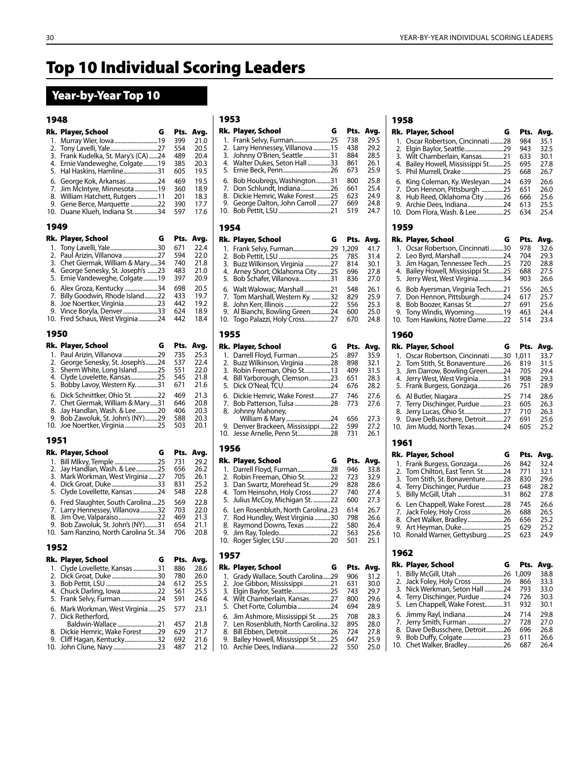# Top 10 Individual Scoring Leaders

## Year-by-Year Top 10

#### 1948

| Rk.       | Player, School<br>G                                                | Pts.        | Avg.         |
|-----------|--------------------------------------------------------------------|-------------|--------------|
| 1.        | Murray Wier, Iowa  19                                              | 399         | 21.0         |
| 2.<br>3.  | Frank Kudelka, St. Mary's (CA) 24                                  | 554<br>489  | 20.5<br>20.4 |
| 4.        | Ernie Vandeweghe, Colgate19                                        | 385         | 20.3         |
| 5.        | Hal Haskins, Hamline31                                             | 605         | 19.5         |
| 6.<br>7.  | George Kok, Arkansas24<br>Jim McIntyre, Minnesota 19               | 469<br>360  | 19.5<br>18.9 |
| 8.        | William Hatchett, Rutgers 11                                       | 201         | 18.3         |
| 9.<br>10. | Gene Berce, Marquette 22<br>Duane Klueh, Indiana St. 34            | 390<br>597  | 17.7<br>17.6 |
| 1949      |                                                                    |             |              |
| Rk.       | Player, School<br>G                                                | Pts.        | Avg.         |
| 1.        | Tony Lavelli, Yale30                                               | 671         | 22.4         |
| 2.        | Paul Arizin, Villanova 27                                          | 594         | 22.0         |
| 3.<br>4.  | Chet Giermak, William & Mary34<br>George Senesky, St. Joseph's 23  | 740<br>483  | 21.8<br>21.0 |
| 5.        | Ernie Vandeweghe, Colgate19                                        | 397         | 20.9         |
| 6.        | Alex Groza, Kentucky 34                                            | 698         | 20.5         |
| 7.<br>8.  | Billy Goodwin, Rhode Island22<br>Joe Noertker, Virginia 23         | 433<br>442  | 19.7<br>19.2 |
| 9.        | Vince Boryla, Denver 33                                            | 624         | 18.9         |
| 10.       | Fred Schaus, West Virginia 24                                      | 442         | 18.4         |
| 1950      |                                                                    |             |              |
| Rk.<br>1. | Player, School<br>G<br>Paul Arizin, Villanova 29                   | Pts.<br>735 | Avg.<br>25.3 |
| 2.        | George Senesky, St. Joseph's 24                                    | 537         | 22.4         |
| 3.        | 2525 Sherm White, Long Island                                      | 551         | 22.0         |
| 4.<br>5.  | Clyde Lovelette, Kansas25<br>Bobby Lavoy, Western Ky. 31           | 545<br>671  | 21.8<br>21.6 |
| 6.        | Dick Schnittker, Ohio St. 22                                       | 469         | 21.3         |
| 7.        | Chet Giermak, William & Mary 31                                    | 646         | 20.8         |
| 8.<br>9.  | Jay Handlan, Wash. & Lee……………20<br>Bob Zawoluk, St. John's (NY)29  | 406<br>588  | 20.3<br>20.3 |
| 10.       | Joe Noertker, Virginia 25                                          | 503         | 20.1         |
| 1951      |                                                                    |             |              |
| Rk.       | Player, School<br>G                                                | Pts.        | Avg.         |
| 1.<br>2.  | Bill Mlkvy, Temple 25<br>Jay Handlan, Wash. & Lee25                | 731<br>656  | 29.2<br>26.2 |
| 3.        | Mark Workman, West Virginia 27                                     | 705         | 26.1         |
| 4.<br>5.  | Dick Groat, Duke 33                                                | 831<br>548  | 25.2         |
| 6.        | Clyde Lovellette, Kansas 24<br>Fred Slaughter, South Carolina25    | 569         | 22.8<br>22.8 |
| 7.        | Larry Hennessey, Villanova32                                       | 703         | 22.0         |
| 8.        | Jim Ove, Valparaiso 22                                             | 469         | 21.3         |
| 9.<br>10. | Bob Zawoluk, St. John's (NY)31<br>Sam Ranzino, North Carolina St34 | 654<br>706  | 21.1<br>20.8 |
| 1952      |                                                                    |             |              |
| Rk.       | G<br>Player, School                                                | Pts.        | Avg.         |
| 1.        | 3131 Clyde Lovellette, Kansas                                      | 886         | 28.6         |
| 2.<br>3.  | Dick Groat, Duke 30                                                | 780<br>612  | 26.0<br>25.5 |
| 4.        | Chuck Darling, Iowa22                                              | 561         | 25.5         |
| 5.        | Frank Selvy, Furman24                                              | 591         | 24.6         |
| 6.<br>7.  | Mark Workman, West Virginia 25<br>Dick Retherford,                 | 577         | 23.1         |
|           | Baldwin-Wallace 21                                                 | 457         | 21.8         |
| 8.<br>9.  | Dickie Hemric, Wake Forest29<br>Cliff Hagan, Kentucky32            | 629<br>692  | 21.7<br>21.6 |
| 10.       | John Clune, Navy23                                                 | 487         | 21.2         |

| ۰.<br>۰.<br>۰.<br>. .<br>$ -$ |
|-------------------------------|
|-------------------------------|

|      | Rk. Player, School<br>G         | Pts.  | Avg. |
|------|---------------------------------|-------|------|
| 1.   | Frank Selvy, Furman25           | 738   | 29.5 |
| 2.   | Larry Hennessey, Villanova 15   | 438   | 29.2 |
| 3.   | Johnny O'Brien, Seattle31       | 884   | 28.5 |
| 4.   | Walter Dukes, Seton Hall 33     | 861   | 26.1 |
| 5.   | Ernie Beck, Penn26              | 673   | 25.9 |
| 6.   | Bob Houbregs, Washington31      | 800   | 25.8 |
| 7.   | Don Schlundt, Indiana26         | 661   | 25.4 |
| 8.   | Dickie Hemric, Wake Forest25    | 623   | 24.9 |
| 9.   | George Dalton, John Carroll 27  | 669   | 24.8 |
| 10.  |                                 | 519   | 24.7 |
| 1954 |                                 |       |      |
|      | Rk. Player, School<br>G         | Pts.  | Avg. |
| 1.   | Frank Selvy, Furman29           | 1,209 | 41.7 |
| 2.   |                                 | 785   | 31.4 |
| 3.   | Buzz Wilkinson, Virginia 27     | 814   | 30.1 |
| 4.   | Arney Short, Oklahoma City25    | 696   | 27.8 |
| 5.   | Bob Schafer, Villanova31        | 836   | 27.0 |
| 6.   | Walt Walowac, Marshall 21       | 548   | 26.1 |
| 7.   | Tom Marshall, Western Ky. 32    | 829   | 25.9 |
| 8.   | John Kerr, Illinois 22          | 556   | 25.3 |
| 9.   | Al Bianchi, Bowling Green24     | 600   | 25.0 |
| 10.  | Togo Palazzi, Holy Cross27      | 670   | 24.8 |
| 1955 |                                 |       |      |
|      | Rk. Player, School<br>G         | Pts.  | Avg. |
| 1.   | Darrell Floyd, Furman25         | 897   | 35.9 |
| 2.   | Buzz Wilkinson, Virginia 28     | 898   | 32.1 |
| 3.   | Robin Freeman, Ohio St13        | 409   | 31.5 |
| 4.   | Bill Yarborough, Clemson23      | 651   | 28.3 |
| 5.   |                                 | 676   | 28.2 |
| 6.   | Dickie Hemric, Wake Forest27    | 746   | 27.6 |
| 7.   | Bob Patterson, Tulsa 28         | 773   | 27.6 |
| 8.   | Johnny Mahoney,                 |       |      |
|      |                                 | 656   | 27.3 |
| 9.   | Denver Brackeen, Mississippi 22 | 599   | 27.2 |
| 10.  | Jesse Arnelle, Penn St28        | 731   | 26.1 |
| 1956 |                                 |       |      |
|      | Rk. Player, School<br>G         | Pts.  | Avg. |
|      | 1. Darrell Floyd, Furman28      | 946   | 33.8 |
|      | 2 Dobin Erooman Obio St 22      | フつつ   | ວາ ດ |

|                                     | .   | .    |
|-------------------------------------|-----|------|
| 1. Darrell Floyd, Furman28          | 946 | 33.8 |
| 2. Robin Freeman, Ohio St22         | 723 | 32.9 |
| 3. Dan Swartz, Morehead St29        | 828 | 28.6 |
| 4. Tom Heinsohn, Holy Cross27       | 740 | 27.4 |
| 5. Julius McCoy, Michigan St. 22    | 600 | 27.3 |
| 6. Len Rosenbluth, North Carolina23 | 614 | 26.7 |
| 7. Rod Hundley, West Virginia 30    | 798 | 26.6 |
| 8. Raymond Downs, Texas22           | 580 | 26.4 |
|                                     | 563 | 25.6 |
|                                     | 501 | 25.1 |
|                                     |     |      |

### 1957

| Rk. Player, School                  | G | Pts. | Avg. |
|-------------------------------------|---|------|------|
| 1. Grady Wallace, South Carolina29  |   | 906  | 31.2 |
|                                     |   | 631  | 30.0 |
|                                     |   | 743  | 29.7 |
| 4. Wilt Chamberlain, Kansas27       |   | 800  | 29.6 |
| 5. Chet Forte, Columbia24           |   | 694  | 28.9 |
| 6. Jim Ashmore, Mississippi St. 25  |   | 708  | 28.3 |
| 7. Len Rosenbluth, North Carolina32 |   | 895  | 28.0 |
| 8. Bill Ebben, Detroit26            |   | 724  | 27.8 |
| 9. Bailey Howell, Mississippi St25  |   | 647  | 25.9 |
|                                     |   | 550  | 25.0 |

| 1958     |                                                             |            |              |
|----------|-------------------------------------------------------------|------------|--------------|
| Rk.      | Player, School<br>G                                         | Pts.       | Avg.         |
| 1.       | Oscar Robertson, Cincinnati 28                              | 984        | 35.1         |
| 2.<br>3. | Elgin Baylor, Seattle29<br>Wilt Chamberlain, Kansas21       | 943<br>633 | 32.5<br>30.1 |
| 4.       | Bailey Howell, Mississippi St25                             | 695        | 27.8         |
| 5.       |                                                             | 668        | 26.7         |
| 6.       | King Coleman, Ky. Wesleyan24                                | 639        | 26.6         |
| 7.<br>8. | Don Hennon, Pittsburgh 25                                   | 651<br>666 | 26.0         |
| 9.       | Hub Reed, Oklahoma City 26<br>Archie Dees, Indiana24        | 613        | 25.6<br>25.5 |
| 10.      | Dom Flora, Wash. & Lee25                                    | 634        | 25.4         |
| 1959     |                                                             |            |              |
| Rk.      | Player, School<br>G                                         | Pts.       | Avg.         |
| 1.       | Ocsar Robertson, Cincinnati 30                              | 978        | 32.6         |
| 2.<br>3. | Leo Byrd, Marshall 24<br>Jim Hagan, Tennessee Tech25        | 704<br>720 | 29.3<br>28.8 |
| 4.       | Bailey Howell, Mississippi St25                             | 688        | 27.5         |
| 5.       | Jerry West, West Virginia 34                                | 903        | 26.6         |
| 6.       | Bob Ayersman, Virginia Tech21                               | 556        | 26.5         |
| 7.<br>8. | Don Hennon, Pittsburgh 24<br>Bob Boozer, Kansas St27        | 617<br>691 | 25.7<br>25.6 |
| 9.       | Tony Windis, Wyoming19                                      | 463        | 24.4         |
| 10.      | Tom Hawkins, Notre Dame22                                   | 514        | 23.4         |
| 1960     |                                                             |            |              |
| Rk.      | Player, School<br>G                                         | Pts.       | Avg.         |
| 1.       | Oscar Robertson, Cincinnati 30                              | 1,011      | 33.7         |
| 2.<br>3. | Tom Stith, St. Bonaventure26                                | 819<br>705 | 31.5<br>29.4 |
| 4.       | Jim Darrow, Bowling Green24<br>Jerry West, West Virginia 31 | 908        | 29.3         |
| 5.       | Frank Burgess, Gonzaga26                                    | 751        | 28.9         |
| 6.       | Al Butler, Niagara 25                                       | 714        | 28.6         |
| 7.       | 7erry Dischinger, Purdue 23                                 | 605        | 26.3         |
| 8.<br>9. | Jerry Lucas, Ohio St27<br>Dave DeBusschere, Detroit27       | 710<br>691 | 26.3<br>25.6 |
| 10.      | Jim Mudd, North Texas24                                     | 605        | 25.2         |
| 1961     |                                                             |            |              |
| Rk.      | Player, School<br>G                                         | Pts.       | Avg.         |
| 1.       | Frank Burgess, Gonzaga26                                    | 842        | 32.4         |
| 2.<br>3. | Tom Chilton, East Tenn. St24                                | 771<br>830 | 32.1         |
| 4.       | Tom Stith, St. Bonaventure28<br>Terry Dischinger, Purdue 23 | 648        | 29.6<br>28.2 |
| 5.       | Billy McGill, Utah 31                                       | 862        | 27.8         |
| 6.       | Len Chappell, Wake Forest28                                 | 745        | 26.6         |
| 7.<br>8. | Jack Foley, Holy Cross 26<br>Chet Walker, Bradley26         | 688<br>656 | 26.5<br>25.2 |
| 9.       | Art Heyman, Duke25                                          | 629        | 25.2         |
| 10.      | Ronald Warner, Gettysburg 25                                | 623        | 24.9         |
| 1962     |                                                             |            |              |
| Rk.      | Player, School<br>G                                         | Pts.       | Avg.         |
| 1.       | Billy McGill, Utah 26                                       | 1,009      | 38.8         |
| 2.       | Jack Foley, Holy Cross 26                                   | 866        | 33.3         |
| 3.<br>4. | Nick Werkman, Seton Hall 24<br>Terry Dischinger, Purdue 24  | 793<br>726 | 33.0<br>30.3 |
|          |                                                             |            |              |

# 5. Len Chappell, Wake Forest.............31 932 30.1 6. Jimmy Rayl, Indiana..........................24 714 29.8 7. Jerry Smith, Furman .........................27 728 27.0 8. Dave DeBusschere, Detroit............26 696 26.8 9. Bob Duffy, Colgate ............................23 611 26.6

| 10. Chet Walker, Bradley26 687 26.4 |  |
|-------------------------------------|--|
|                                     |  |
|                                     |  |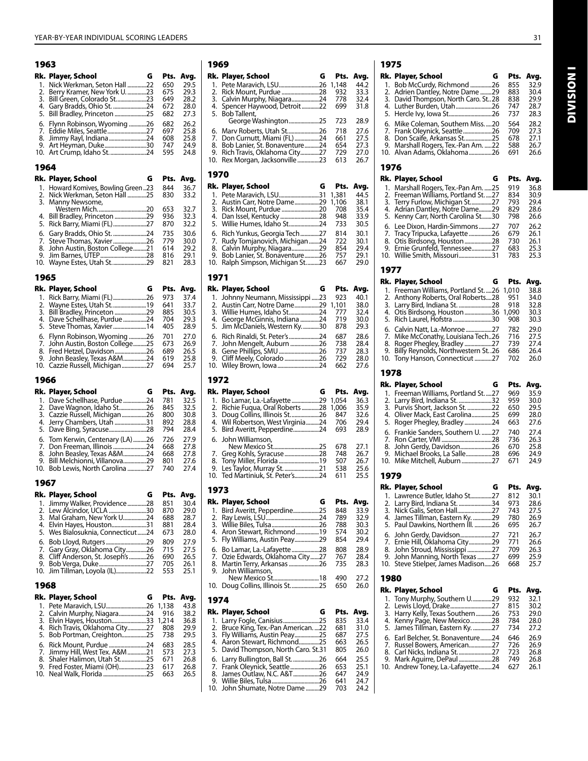| 1963      |                                                                 |              |              |
|-----------|-----------------------------------------------------------------|--------------|--------------|
| Rk.       | Player, School<br>G                                             | Pts.         | Avg.         |
| 1.        | Nick Werkman, Seton Hall 22                                     | 650          | 29.5         |
| 2.<br>3.  | Berry Kramer, New York U. 23<br>Bill Green, Colorado St23       | 675<br>649   | 29.3<br>28.2 |
| 4.        | Gary Bradds, Ohio St. 24                                        | 672          | 28.0         |
| 5.        | Bill Bradley, Princeton 25                                      | 682          | 27.3         |
| 6.        | Flynn Robinson, Wyoming 26                                      | 682          | 26.2         |
| 7.<br>8.  |                                                                 | 697<br>608   | 25.8<br>25.8 |
| 9.        | Art Heyman, Duke30                                              | 747          | 24.9         |
| 10.       | Art Crump, Idaho St24                                           | 595          | 24.8         |
| 1964      |                                                                 |              |              |
| Rk.       | Player, School<br>G                                             | Pts.         | Avg.         |
| 1.<br>2.  | Howard Komives, Bowling Green 23<br>Nick Werkman, Seton Hall 25 | 844<br>830   | 36.7<br>33.2 |
| 3.        | Manny Newsome,                                                  |              |              |
|           |                                                                 | 653          | 32.7         |
| 4.<br>5.  | Bill Bradley, Princeton 29<br>Rick Barry, Miami (FL)27          | 936<br>870   | 32.3<br>32.2 |
| 6.        | Gary Bradds, Ohio St. 24                                        | 735          | 30.6         |
| 7.        | Steve Thomas, Xavier26                                          | 779          | 30.0         |
| 8.        | John Austin, Boston College21                                   | 614          | 29.2         |
| 9.<br>10. | Wayne Estes, Utah St29                                          | 816<br>821   | 29.1<br>28.3 |
| 1965      |                                                                 |              |              |
| Rk.       | Player, School<br>G                                             | Pts.         | Avg.         |
| 1.        | Rick Barry, Miami (FL)26                                        | 973          | 37.4         |
| 2.        | Wayne Estes, Utah St 19                                         | 641          | 33.7         |
| 3.<br>4.  | Bill Bradley, Princeton 29<br>Dave Schellhase, Purdue 24        | 885<br>704   | 30.5<br>29.3 |
| 5.        | Steve Thomas, Xavier14                                          | 405          | 28.9         |
| 6.        | Flynn Robinson, Wyoming 26                                      | 701          | 27.0         |
| 7.        | John Austin, Boston College25                                   | 673          | 26.9         |
| 8.<br>9.  | Fred Hetzel, Davidson26<br>John Beasley, Texas A&M24            | 689<br>619   | 26.5<br>25.8 |
| 10.       | Cazzie Russell, Michigan27                                      | 694          | 25.7         |
|           |                                                                 |              |              |
| 1966      |                                                                 |              |              |
| Rk.       | G                                                               | Pts.         |              |
| 1.        | Player, School<br>Dave Schellhase, Purdue 24                    | 781          | Avg.<br>32.5 |
| 2.        | Dave Wagnon, Idaho St26                                         | 845          | 32.5         |
| 3.        | Cazzie Russell, Michigan26                                      | 800          | 30.8         |
| 4.<br>5.  | Jerry Chambers, Utah 31                                         | 892<br>794   | 28.8<br>28.4 |
| 6.        | Tom Kerwin, Centenary (LA) 26                                   | 726          | 27.9         |
| 7.        | Don Freeman, Illinois 24                                        | 668          | 27.8         |
| 8.        | John Beasley, Texas A&M24                                       | 668          | 27.8         |
| 9.<br>10. | Bill Melchionni, Villanova29<br>Bob Lewis, North Carolina 27    | 801<br>740   | 27.6<br>27.4 |
| 1967      |                                                                 |              |              |
| Rk.       | Player, School<br>G                                             | Pts.         | Avg.         |
| 1.        | Jimmy Walker, Providence 28                                     | 851          | 30.4         |
| 2.        | Lew Alcindor, UCLA 30                                           | 870          | 29.0         |
| 3.<br>4.  | Mal Graham, New York U24<br>Elvin Hayes, Houston31              | 688<br>881   | 28.7<br>28.4 |
| 5.        | Wes Bialosuknia, Connecticut24                                  | 673          | 28.0         |
| 6.        | Bob Lloyd, Rutgers 29                                           | 809          | 27.9         |
| 7.        | Gary Gray, Oklahoma City26                                      | 715          | 27.5         |
| 8.<br>9.  | Cliff Anderson, St. Joseph's26<br>Bob Verga, Duke27             | 690<br>705   | 26.5<br>26.1 |
| 10.       | Jim Tillman, Loyola (IL)22                                      | 553          | 25.1         |
| 1968      |                                                                 |              |              |
| Rk.       | Player, School<br>G                                             | Pts.         | Avg.         |
| 1.        | Pete Maravich, LSU26                                            | 1,138        | 43.8         |
| 2.        | Calvin Murphy, Niagara24                                        | 916          | 38.2         |
| 3.<br>4.  | Elvin Hayes, Houston33<br>Rich Travis, Oklahoma City27          | 1,214<br>808 | 36.8<br>29.9 |
| 5.        | Bob Portman, Creighton25                                        | 738          | 29.5         |
| 6.        | Rick Mount, Purdue 24                                           | 683          | 28.5         |
| 7.        | Jimmy Hill, West Tex. A&M 21                                    | 573          | 27.3         |
| 8.<br>9.  | Shaler Halimon, Utah St25<br>Fred Foster, Miami (OH)23          | 671<br>617   | 26.8<br>26.8 |
| 10.       | Neal Walk, Florida 25                                           | 663          | 26.5         |

#### 1969

|    | Rk. Player, School<br>G               | Pts.  | Avg. |
|----|---------------------------------------|-------|------|
|    | .26                                   | 1,148 | 44.2 |
|    |                                       | 932   | 33.3 |
|    | 3. Calvin Murphy, Niagara24           | 778   | 32.4 |
|    | 4. Spencer Haywood, Detroit22         | 699   | 31.8 |
|    | 5. Bob Tallent,                       |       |      |
|    | George Washington25                   | 723   | 28.9 |
|    | 6. Mary Roberts, Utah St<br>26        | 718   | 27.6 |
|    | 7. Don Curnutt, Miami (FL)<br>24      | 661   | 27.5 |
|    | 8. Bob Lanier, St. Bonaventure<br>.24 | 654   | 27.3 |
| 9. | Rich Travis, Oklahoma City27          | 729   | 27.0 |
|    | 10. Rex Morgan, Jacksonville23        | 613   | 26.7 |
|    |                                       |       |      |

#### 1970

| Rk. Player, School<br>G                                                                                                              | Pts.                  | Avg.                 |
|--------------------------------------------------------------------------------------------------------------------------------------|-----------------------|----------------------|
| . 31<br>2. Austin Carr, Notre Dame<br>.29<br>.20                                                                                     | 1,381<br>1,106<br>708 | 44.5<br>38.1<br>35.4 |
| 4. Dan Issel, Kentucky28<br>5. Willie Humes, Idaho St24                                                                              | 948<br>733<br>814     | 33.9<br>30.5<br>30.1 |
| 6. Rich Yunkus, Georgia Tech27<br>7. Rudy Tomjanovich, Michigan24<br>8. Calvin Murphy, Niagara29<br>9. Bob Lanier, St. Bonaventure26 | 722<br>854<br>757     | 30.1<br>29.4<br>29.1 |
| 10. Ralph Simpson, Michigan St23                                                                                                     | 667                   | 29.0                 |

#### 1971

| Rk. Player, School<br>G           | Pts.  | Avg. |
|-----------------------------------|-------|------|
| 1. Johnny Neumann, Mississippi 23 | 923   | 40.1 |
| 2. Austin Carr, Notre Dame29      | 1.101 | 38.0 |
| 3. Willie Humes, Idaho St24       | 777   | 32.4 |
| 4. George McGinnis, Indiana 24    | 719   | 30.0 |
| 5. Jim McDaniels, Western Ky30    | 878   | 29.3 |
| .24                               | 687   | 28.6 |
| 7. John Mengelt, Auburn<br>.26    | 738   | 28.4 |
| 8. Gene Phillips, SMU 26          | 737   | 28.3 |
| .26                               | 729   | 28.0 |
| 10. Wiley Brown, Iowa24           | 662   | 27.6 |
|                                   |       |      |

#### 1972

| Rk. Player, School<br>G                | Pts.      | Avg. |
|----------------------------------------|-----------|------|
| 1. Bo Lamar, La.-Lafayette             | .29 1.054 | 36.3 |
| 2. Richie Fugua, Oral Roberts<br>.28   | 1,006     | 35.9 |
| 3. Doug Collins, Illinois St<br>.26    | 847       | 32.6 |
| 4. Wil Robertson, West Virginia<br>.24 | 706       | 29.4 |
| 5. Bird Averitt, Pepperdine24          | 693       | 28.9 |
| 6. John Williamson.                    |           |      |
| 25                                     | 678       | 27.1 |
| 7. Greg Kohls, Syracuse<br>.28         | 748       | 26.7 |
| .19                                    | 507       | 26.7 |
| .21                                    | 538       | 25.6 |
| 10. Ted Martiniuk, St. Peter's24       | 611       | 25.5 |

#### 1973

| Rk. Player, School<br>G          | Pts. |      |
|----------------------------------|------|------|
|                                  |      | Avg. |
| 1. Bird Averitt, Pepperdine25    | 848  | 33.9 |
|                                  | 789  | 32.9 |
|                                  | 788  | 30.3 |
| 4. Aron Stewart, Richmond19      | 574  | 30.2 |
| 5. Fly Williams, Austin Peay29   | 854  | 29.4 |
| 6. Bo Lamar, La.-Lafayette 28    | 808  | 28.9 |
| 7. Ozie Edwards, Oklahoma City27 | 767  | 28.4 |
| 8. Martin Terry, Arkansas 26     | 735  | 28.3 |
| 9. John Williamson.              |      |      |
| New Mexico St18                  | 490  | 27.2 |
|                                  | 650  | 26.0 |
|                                  |      |      |

#### 1974

| Rk. Player, School                                             | G | Pts. | Avg. |
|----------------------------------------------------------------|---|------|------|
|                                                                |   | 835  | 33.4 |
| 2. Bruce King, Tex.-Pan American22                             |   | 681  | 31.0 |
| 3. Fly Williams, Austin Peay25                                 |   | 687  | 27.5 |
| 4. Aaron Stewart, Richmond25                                   |   | 663  | 26.5 |
| 5. David Thompson, North Caro. St.31                           |   | 805  | 26.0 |
|                                                                |   | 664  | 25.5 |
| 6. Larry Bullington, Ball St26<br>7. Frank Oleynick, Seattle26 |   | 653  | 25.1 |
| 8. James Outlaw, N.C. A&T26                                    |   | 647  | 24.9 |
|                                                                |   | 641  | 24.7 |
| 10. John Shumate, Notre Dame 29                                |   | 703  | 24.2 |
|                                                                |   |      |      |

## 1975

| Rk. Player, School<br>G                                            | Pts.         | Avg.         |
|--------------------------------------------------------------------|--------------|--------------|
| 1.<br>Bob McCurdy, Richmond 26                                     | 855          | 32.9         |
| Adrien Dantley, Notre Dame 29<br>2.                                | 883          | 30.4         |
| 3.<br>David Thompson, North Caro. St. 28                           | 838          | 29.9         |
| Luther Burden, Utah26<br>4.                                        | 747          | 28.7         |
| 5.                                                                 | 737          | 28.3         |
| Mike Coleman, Southern Miss20<br>6.                                | 564          | 28.2         |
| Frank Oleynick, Seattle26<br>7.                                    | 709          | 27.3         |
| 8.<br>Don Scaife, Arkansas St25                                    | 678          | 27.1         |
| 9.<br>Marshall Rogers, Tex.-Pan Am. 22                             | 588          | 26.7         |
| Alvan Adams, Oklahoma26<br>10.                                     | 691          | 26.6         |
|                                                                    |              |              |
| 1976                                                               |              |              |
| Rk. Player, School<br>G                                            | Pts.         | Avg.         |
| 1.<br>Marshall Rogers, Tex.-Pan Am. 25                             | 919          | 36.8         |
| Freeman Williams, Portland St. 27<br>2.                            | 834          | 30.9         |
| Terry Furlow, Michigan St27<br>3.                                  | 793          | 29.4         |
| 4.<br>Adrian Dantley, Notre Dame29                                 | 829          | 28.6         |
| 5.<br>Kenny Carr, North Carolina St30                              | 798          | 26.6         |
| Lee Dixon, Hardin-Simmons27<br>6.                                  | 707          | 26.2         |
| 7.<br>Tracy Tripucka, Lafayette 26                                 | 679          | 26.1         |
| 8.<br>Otis Birdsong, Houston 28                                    | 730          | 26.1         |
| Ernie Grunfeld, Tennessee27<br>9.                                  | 683          | 25.3         |
| 10.<br>Willie Smith, Missouri31                                    | 783          | 25.3         |
| 1977                                                               |              |              |
| Rk. Player, School<br>G                                            | Pts.         |              |
|                                                                    |              | Avg.         |
| 1.<br>Freeman Williams, Portland St. 26                            | 1,010        | 38.8         |
| 2.<br>Anthony Roberts, Oral Roberts28                              | 951          | 34.0         |
| 3.<br>Larry Bird, Indiana St. 28<br>Otis Birdsong, Houston36<br>4. | 918<br>1,090 | 32.8<br>30.3 |
| 5.                                                                 |              |              |
| Rich Laurel, Hofstra 30                                            | 908          | 30.3         |
| 6.<br>Calvin Natt, La.-Monroe 27                                   | 782          | 29.0         |
| 7.<br>Mike McConathy, Louisiana Tech26                             | 716          | 27.5         |
| 8.<br>Roger Phegley, Bradley 27                                    | 739          | 27.4         |
| 9.<br>Billy Reynolds, Northwestern St. 26                          | 686          | 26.4         |
| 10.<br>727 Tony Hanson, Connecticut                                | 702          | 26.0         |
|                                                                    |              |              |
| 1978                                                               |              |              |
|                                                                    |              |              |
| Rk.<br>Player, School<br>G                                         | Pts.         | Avg.         |
| Freeman Williams, Portland St.  27<br>1.                           | 969          | 35.9         |
| Larry Bird, Indiana St. 32<br>2.                                   | 959          | 30.0         |
| 3.<br>Purvis Short, Jackson St. 22                                 | 650          | 29.5         |
| 4.<br>Oliver Mack, East Carolina25                                 | 699          | 28.0         |
| 5.<br>Roger Phegley, Bradley 24                                    | 663          | 27.6         |
| Frankie Sanders, Southern U. 27<br>6.                              | 740          | 27.4         |
| 7.                                                                 | 736          | 26.3         |
| 8.<br>John Gerdy, Davidson26                                       | 670          | 25.8         |
| Michael Brooks, La Salle28<br>9.                                   | 696<br>671   | 24.9<br>24.9 |
| 10.<br>Mike Mitchell, Auburn 27                                    |              |              |
| 1979                                                               |              |              |
| Rk. Player, School<br>G                                            | Pts.         | Avg.         |
| 1. Lawrence Butler, Idaho St27                                     | 812          | 30.1         |
| Larry Bird, Indiana St. 34<br>2.                                   | 973          | 28.6         |
| 3.<br>Nick Galis, Seton Hall27                                     | 743          | 27.5         |
| James Tillman, Eastern Ky. 29<br>4.                                | 780          | 26.9         |
| Paul Dawkins, Northern III. 26<br>5.                               | 695          | 26.7         |
| John Gerdy, Davidson27<br>6.                                       | 721          | 26.7         |
| Ernie Hill, Oklahoma City29<br>7.                                  | 771          | 26.6         |
| John Stroud, Mississippi 27<br>8.                                  | 709          | 26.3         |
| John Manning, North Texas 27<br>9.                                 | 699          | 25.9         |
| Steve Stielper, James Madison26<br>10.                             | 668          | 25.7         |
| 1980                                                               |              |              |
| Rk.<br>G                                                           | Pts.         |              |
| Player, School                                                     |              | Avg.         |
| Tony Murphy, Southern U29<br>1.                                    | 932          | 32.1         |
| 2.<br>Lewis Lloyd, Drake27<br>3.                                   | 815<br>753   | 30.2<br>29.0 |
| Harry Kelly, Texas Southern 26<br>4.                               | 784          | 28.0         |
| Kenny Page, New Mexico28<br>5.                                     | 734          | 27.2         |
| James Tillman, Eastern Ky. 27                                      |              |              |
| 6.<br>Earl Belcher, St. Bonaventure24                              | 646          | 26.9         |
| 7.<br>Russel Bowers, American27                                    | 726          | 26.9         |
| Carl Nicks, Indiana St27<br>8.<br>9.                               | 723<br>749   | 26.8<br>26.8 |
| Mark Aguirre, DePaul28<br>Andrew Toney, La.-Lafayette24<br>10.     | 627          | 26.1         |

**INOISINI** Division I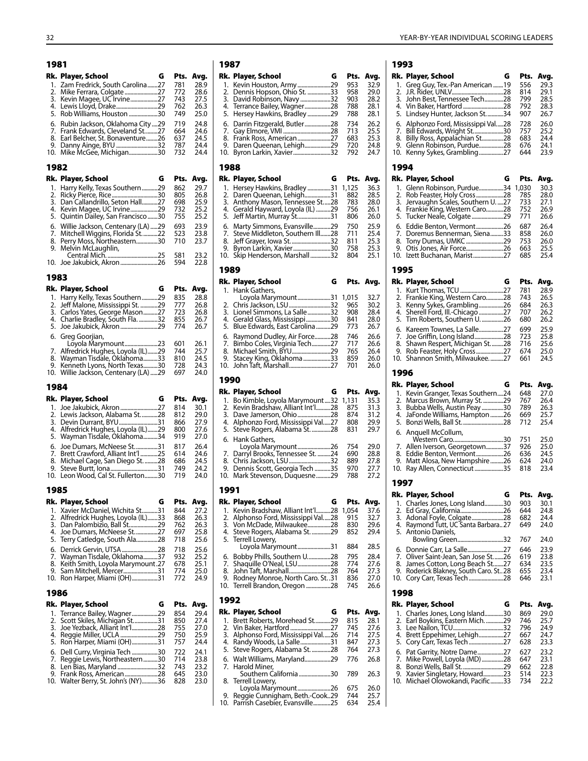| 1981        |                                                                       |            |              |
|-------------|-----------------------------------------------------------------------|------------|--------------|
| Rk.         | Player, School<br>G                                                   | Pts.       | Avg.         |
| 1.<br>2.    | Zam Fredrick, South Carolina27                                        | 781<br>772 | 28.9<br>28.6 |
| 3.          |                                                                       | 743        | 27.5         |
| 4.          | Lewis Lloyd, Drake29                                                  | 762        | 26.3         |
| 5.          | Rob Williams, Houston 30                                              | 749        | 25.0         |
| 6.<br>7.    | Rubin Jackson, Oklahoma City 29<br>Frank Edwards, Cleveland St27      | 719<br>664 | 24.8<br>24.6 |
| 8.          | Earl Belcher, St. Bonaventure26                                       | 637        | 24.5         |
| 9.<br>10.   | Danny Ainge, BYU 32<br>Mike McGee, Michigan30                         | 787<br>732 | 24.4<br>24.4 |
|             |                                                                       |            |              |
| 1982<br>Rk. | Player, School<br>G                                                   | Pts.       | Avg.         |
| 1.          | Harry Kelly, Texas Southern29                                         | 862        | 29.7         |
| 2.          | Ricky Pierce, Rice……………………………30                                       | 805        | 26.8         |
| 3.<br>4.    | Dan Callandrillo, Seton Hall27<br>Kevin Magee, UC Irvine29            | 698<br>732 | 25.9<br>25.2 |
| 5.          | Quintin Dailey, San Francisco30                                       | 755        | 25.2         |
| 6.          | Willie Jackson, Centenary (LA) 29<br>Mitchell Wiggins, Florida St. 22 | 693        | 23.9         |
| 7.<br>8.    | Perry Moss, Northeastern30                                            | 523<br>710 | 23.8<br>23.7 |
| 9.          | Melvin McLaughlin,                                                    |            |              |
|             | Central Mich25                                                        | 581        | 23.2         |
| 10.         | Joe Jakubick, Akron 26                                                | 594        | 22.8         |
| 1983        |                                                                       |            |              |
| Rk.         | Player, School<br>G                                                   | Pts.       | Avg.         |
| 1.<br>2.    | Harry Kelly, Texas Southern29<br>Jeff Malone, Mississippi St. 29      | 835<br>777 | 28.8<br>26.8 |
| 3.          | Carlos Yates, George Mason27                                          | 723        | 26.8         |
| 4.<br>5.    | Charlie Bradley, South Fla. 32<br>Joe Jakubick, Akron 29              | 855<br>774 | 26.7<br>26.7 |
| 6.          | Greg Goorjian,                                                        |            |              |
|             | Loyola Marymount……………………23                                            | 601        | 26.1         |
| 7.<br>8.    | Alfredrick Hughes, Loyola (IL)29<br>Wayman Tisdale, Oklahoma33        | 744<br>810 | 25.7<br>24.5 |
| 9.          | Kenneth Lyons, North Texas30                                          | 728        | 24.3         |
| 10.         | Willie Jackson, Centenary (LA) 29                                     | 697        | 24.0         |
| 1984        |                                                                       |            |              |
| Rk.         | Player, School<br>G                                                   | Pts.       | Avg.         |
| 1.<br>2.    | Joe Jakubick, Akron 27<br>Lewis Jackson, Alabama St. 28               | 814<br>812 | 30.1<br>29.0 |
| 3.          | Devin Durrant, BYU31                                                  | 866        | 27.9         |
| 4.<br>5.    | Alfredrick Hughes, Loyola (IL)29<br>Wayman Tisdale, Oklahoma34        | 800<br>919 | 27.6<br>27.0 |
| 6.          | Joe Dumars, McNeese St31                                              | 817        | 26.4         |
| 7.          | Brett Crawford, Alliant Int'l 25                                      | 614        | 24.6         |
| 8.<br>9.    | Michael Cage, San Diego St. 28                                        | 686<br>749 | 24.5<br>24.2 |
| 10.         | Steve Burtt, Iona……………………………31<br>Leon Wood, Cal St. Fullerton30      | 719        | 24.0         |
| 1985        |                                                                       |            |              |
|             | Rk. Player, School<br>G                                               | Pts.       | Avg.         |
| 1.          | Xavier McDaniel, Wichita St31                                         | 844        | 27.2         |
| 2.<br>3.    | Alfredrick Hughes, Loyola (IL)33<br>Dan Palombizio, Ball St29         | 868<br>762 | 26.3<br>26.3 |
| 4.          | Joe Dumars, McNeese St27                                              | 697        | 25.8         |
| 5.          | Terry Catledge, South Ala28                                           | 718        | 25.6         |
| 6.          | Derrick Gervin, UTSA28<br>Wayman Tisdale, Oklahoma37                  | 718        | 25.6         |
| 7.<br>8.    | Keith Smith, Loyola Marymount.27                                      | 932<br>678 | 25.2<br>25.1 |
| 9.          | Sam Mitchell, Mercer31                                                | 774        | 25.0         |
| 10.         | Ron Harper, Miami (OH)31                                              | 772        | 24.9         |
| 1986        |                                                                       |            |              |
| Rk.         | Player, School<br>G                                                   | Pts.       | Avg.         |
| 1.<br>2.    | Terrance Bailey, Wagner29<br>Scott Skiles, Michigan St31              | 854<br>850 | 29.4<br>27.4 |
| 3.          | Joe Yezback, Alliant Int'l………………28                                    | 755        | 27.0         |
| 4.<br>5.    | Reggie Miller, UCLA 29<br>Ron Harper, Miami (OH)31                    | 750<br>757 | 25.9<br>24.4 |
| 6.          | Dell Curry, Virginia Tech 30                                          | 722        | 24.1         |
| 7.          | Reggie Lewis, Northeastern30                                          | 714        | 23.8         |
|             |                                                                       |            |              |
| 8.<br>9.    | Len Bias, Maryland 32<br>Frank Ross, American 28                      | 743<br>645 | 23.2<br>23.0 |

| 1987      |                                                                  |              |              |
|-----------|------------------------------------------------------------------|--------------|--------------|
| Rk.       | Player, School<br>G                                              | Pts.         | Avg.         |
| 1.        | Kevin Houston, Army29                                            | 953          | 32.9         |
| 2.<br>3.  | Dennis Hopson, Ohio St. 33                                       | 958<br>903   | 29.0<br>28.2 |
| 4.        | David Robinson, Navy 32<br>Terrance Bailey, Wagner28             | 788          | 28.1         |
| 5.        | Hersey Hawkins, Bradley 29                                       | 788          | 28.1         |
| 6.        | Darrin Fitzgerald, Butler28                                      | 734          | 26.2         |
| 7.<br>8.  | Gay Elmore, VMI 28                                               | 713<br>683   | 25.5<br>25.3 |
| 9.        | Frank Ross, American 27<br>Daren Queenan, Lehigh29               | 720          | 24.8         |
| 10.       | Byron Larkin, Xavier32                                           | 792          | 24.7         |
| 1988      |                                                                  |              |              |
| Rk.       | Player, School<br>G                                              | Pts.         | Avg.         |
| 1.        | Hersey Hawkins, Bradley 31                                       | 1,125        | 36.3         |
| 2.        | Daren Queenan, Lehigh31                                          | 882          | 28.5         |
| 3.<br>4.  | Anthony Mason, Tennessee St28<br>Gerald Hayward, Loyola (IL) 29  | 783<br>756   | 28.0<br>26.1 |
| 5.        | Jeff Martin, Murray St31                                         | 806          | 26.0         |
| 6.        | Marty Simmons, Evansville29                                      | 750          | 25.9         |
| 7.        | Steve Middleton, Southern Ill28                                  | 711          | 25.4         |
| 8.        | Jeff Grayer, Iowa St32                                           | 811          | 25.3         |
| 9.<br>10. | Byron Larkin, Xavier30<br>Skip Henderson, Marshall 32            | 758<br>804   | 25.3<br>25.1 |
|           |                                                                  |              |              |
| 1989      |                                                                  |              |              |
|           | Rk. Player, School<br>G                                          | Pts.         | Avg.         |
| 1.        | Hank Gathers,                                                    |              |              |
| 2.        | Loyola Marymount31<br>Chris Jackson, LSU32                       | 1,015<br>965 | 32.7<br>30.2 |
| 3.        | Lionel Simmons, La Salle 32                                      | 908          | 28.4         |
| 4.        | Gerald Glass, Mississippi 30                                     | 841          | 28.0         |
| 5.        | Blue Edwards, East Carolina 29                                   | 773          | 26.7         |
| 6.        | Raymond Dudley, Air Force28                                      | 746          | 26.6         |
| 7.<br>8.  | Bimbo Coles, Virginia Tech27<br>Michael Smith, BYU29             | 717<br>765   | 26.6<br>26.4 |
| 9.        | Stacey King, Oklahoma 33                                         | 859          | 26.0         |
| 10.       | John Taft, Marshall27                                            | 701          | 26.0         |
| 1990      |                                                                  |              |              |
| Rk.       | Player, School<br>G                                              | Pts.         | Avg.         |
| 1.        | Bo Kimble, Loyola Marymount32                                    | 1,131        | 35.3         |
| 2.        | Kevin Bradshaw, Alliant Int'l28                                  | 875          | 31.3         |
| 3.<br>4.  | Dave Jamerson, Ohio 28                                           | 874<br>808   | 31.2<br>29.9 |
| 5.        | Alphonzo Ford, Mississippi Val27<br>Steve Rogers, Alabama St. 28 | 831          | 29.7         |
| 6.        | Hank Gathers,                                                    |              |              |
|           | Loyola Marymount……………………26                                       | 754          | 29.0         |
| 7.        | Darryl Brooks, Tennessee St. 24<br>Chris Jackson, LSU 32         | 690          | 28.8         |
| 8.        |                                                                  | 889          | 27.8         |
| 9.<br>10. | 35 Dennis Scott, Georgia Tech<br>Mark Stevenson, Duquesne29      | 970<br>788   | 27.7<br>27.2 |
| 1991      |                                                                  |              |              |
|           | Rk. Player, School<br>G                                          | Pts.         |              |
|           |                                                                  |              | Avg.         |

|      | Rk. Player, School<br>G                                     | Pts.       | Avg.         |
|------|-------------------------------------------------------------|------------|--------------|
| 1.   | Kevin Bradshaw, Alliant Int'l28                             | 1,054      | 37.6         |
| 2.   | Alphonso Ford, Mississippi Val28                            | 915        | 32.7         |
|      | 3. Von McDade, Milwaukee28                                  | 830        | 29.6         |
|      | 4. Steve Rogers, Alabama St. 29<br>5. Terrell Lowery,       | 852        | 29.4         |
|      | Loyola Marymount31                                          | 884        | 28.5         |
|      | 6. Bobby Phills, Southern U28<br>7. Shaquille O'Neal, LSU28 | 795<br>774 | 28.4<br>27.6 |
|      |                                                             | 764        | 27.3         |
|      | 9. Rodney Monroe, North Caro. St. .31                       | 836        | 27.0         |
|      | 10. Terrell Brandon, Oregon 28                              | 745        | 26.6         |
| 1992 |                                                             |            |              |
|      | Rk. Player, School<br>G                                     | Pts.       | Avg.         |
|      | 1. Brett Roberts, Morehead St29                             | 815        | 28.1         |
|      | 2. Vin Baker, Hartford<br>.27                               | 745        | 27.6         |
| २    | Alnhonso Ford Mississinni Val<br>วค                         | 714        | 27 5         |

|                                     | $^{\prime}$ + $^{\prime}$ | 27.U |
|-------------------------------------|---------------------------|------|
| 3. Alphonso Ford, Mississippi Val26 | 714                       | 27.5 |
| 4. Randy Woods, La Salle31          | 847                       | 27.3 |
| 5. Steve Rogers, Alabama St. 28     | 764                       | 27.3 |
| 6. Walt Williams, Maryland29        | 776                       | 26.8 |
| 7. Harold Miner,                    |                           |      |
| Southern California 30              | 789                       | 26.3 |
| 8. Terrell Lowery,                  |                           |      |
| Loyola Marymount26                  | 675                       | 26.0 |
| Reggie Cunnigham, Beth.-Cook29      | 744                       | 25.7 |

| 9. Reggie Cunnigham, Beth.-Cook29 744 25.7   |  |
|----------------------------------------------|--|
| 10. Parrish Casebier, Evansville 25 634 25.4 |  |

| 1993                                                                          |            |              |
|-------------------------------------------------------------------------------|------------|--------------|
| Rk. Player, School<br>G                                                       | Pts.       | Avg.         |
| Greg Guy, Tex.-Pan American 19<br>1.                                          | 556        | 29.3         |
| 2.<br>John Best, Tennessee Tech28<br>3.                                       | 814<br>799 | 29.1<br>28.5 |
| Vin Baker, Hartford 28<br>4.                                                  | 792        | 28.3         |
| 5.<br>Lindsey Hunter, Jackson St34                                            | 907        | 26.7         |
| Alphonzo Ford, Mississippi Val28<br>6.                                        | 728        | 26.0         |
| Bill Edwards, Wright St30<br>7.<br>8.<br>Billy Ross, Appalachian St28         | 757<br>683 | 25.2<br>24.4 |
| 9.<br>Glenn Robinson, Purdue28                                                | 676        | 24.1         |
| 10.<br>Kenny Sykes, Grambling27                                               | 644        | 23.9         |
| 1994                                                                          |            |              |
| Rk. Player, School<br>G                                                       | Pts.       | Avg.         |
| 1.<br>Glenn Robinson, Purdue34                                                | 1,030      | 30.3         |
| Rob Feaster, Holy Cross 28<br>2.<br>Jervaughn Scales, Southern U. 27<br>3.    | 785<br>733 | 28.0<br>27.1 |
| Frankie King, Western Caro28<br>4.                                            | 752        | 26.9         |
| 5.<br>Tucker Neale, Colgate 29                                                | 771        | 26.6         |
| Eddie Benton, Vermont26<br>6.<br>Doremus Bennerman, Siena33<br>7.             | 687<br>858 | 26.4<br>26.0 |
| Tony Dumas, UMKC 29<br>8.                                                     | 753        | 26.0         |
| 9.<br>Otis Jones, Air Force26                                                 | 663        | 25.5         |
| Izett Buchanan, Marist27<br>10.                                               | 685        | 25.4         |
| 1995                                                                          |            |              |
| Rk. Player, School<br>G                                                       | Pts.       | Avg.         |
| Kurt Thomas, TCU 27<br>1.<br>Frankie King, Western Caro28<br>2.               | 781<br>743 | 28.9<br>26.5 |
| Kenny Sykes, Grambling26<br>3.                                                | 684        | 26.3         |
| 2722 Sherell Ford, Ill.-Chicago<br>4.                                         | 707        | 26.2         |
| Tim Roberts, Southern U. 26<br>5.                                             | 680        | 26.2         |
| 6.<br>Kareem Townes, La Salle27<br>Joe Griffin, Long Island28<br>7.           | 699<br>723 | 25.9<br>25.8 |
| Shawn Respert, Michigan St. 28<br>8.                                          | 716        | 25.6         |
| Rob Feaster, Holy Cross27<br>9.                                               | 674<br>661 | 25.0<br>24.5 |
| Shannon Smith, Milwaukee27<br>10.                                             |            |              |
| 1996                                                                          |            |              |
|                                                                               |            |              |
| Rk. Player, School<br>G                                                       | Pts.       | Avg.         |
| Kevin Granger, Texas Southern24<br>1.                                         | 648        | 27.0         |
| Marcus Brown, Murray St. 29<br>2.<br>Bubba Wells, Austin Peay 30<br>3.        | 767<br>789 | 26.4<br>26.3 |
| JaFonde Williams, Hampton 26<br>4.                                            | 669        | 25.7         |
| 5.<br>Bonzi Wells, Ball St. 28                                                | 712        | 25.4         |
| 6.<br>Anguell McCollum,                                                       |            | 25.0         |
| Allen Iverson, Georgetown37<br>7.                                             | 751<br>926 | 25.0         |
| Eddie Benton, Vermont26<br>8.                                                 | 636        | 24.5         |
| Matt Alosa, New Hampshire 26<br>9.<br>10.<br>Ray Allen, Connecticut 35        | 624<br>818 | 24.0<br>23.4 |
|                                                                               |            |              |
| 1997<br>Rk. Player, School<br>G                                               | Pts.       | Avg.         |
| Charles Jones, Long Island30<br>1.                                            | 903        | 30.1         |
| Ed Gray, California26<br>2.                                                   | 644        | 24.8         |
| Adonal Foyle, Colgate28<br>3.<br>4.                                           | 682<br>649 | 24.4<br>24.0 |
| Raymond Tutt, UC Santa Barbara27<br>5.<br>Antonio Daniels,                    |            |              |
| Bowling Green32                                                               | 767        | 24.0         |
| Donnie Carr, La Salle27<br>6.                                                 | 646        | 23.9         |
| Oliver Saint-Jean, San Jose St26<br>7.<br>James Cotton, Long Beach St27<br>8. | 619<br>634 | 23.8<br>23.5 |
| Roderick Blakney, South Caro. St 28<br>9.                                     | 655        | 23.4         |
| Cory Carr, Texas Tech 28<br>10.                                               | 646        | 23.1         |
| 1998                                                                          |            |              |
| Rk.<br>Player, School<br>G                                                    | Pts.       | Avg.         |
| Charles Jones, Long Island30<br>1.                                            | 869        | 29.0         |
| Earl Boykins, Eastern Mich. 29<br>2.<br>3.                                    | 746<br>796 | 25.7<br>24.9 |
| Brett Eppehimer, Lehigh27<br>4.                                               | 667        | 24.7         |
| 5.<br>Cory Carr, Texas Tech 27                                                | 628        | 23.3         |
| Pat Garrity, Notre Dame27<br>6.<br>7.                                         | 627<br>647 | 23.2         |
| Mike Powell, Loyola (MD) 28<br>Bonzi Wells, Ball St29<br>8.                   | 662        | 23.1<br>22.8 |
| Xavier Singletary, Howard23<br>9.                                             | 514        | 22.3         |
| Michael Olowokandi, Pacific33<br>10.                                          | 734        | 22.2         |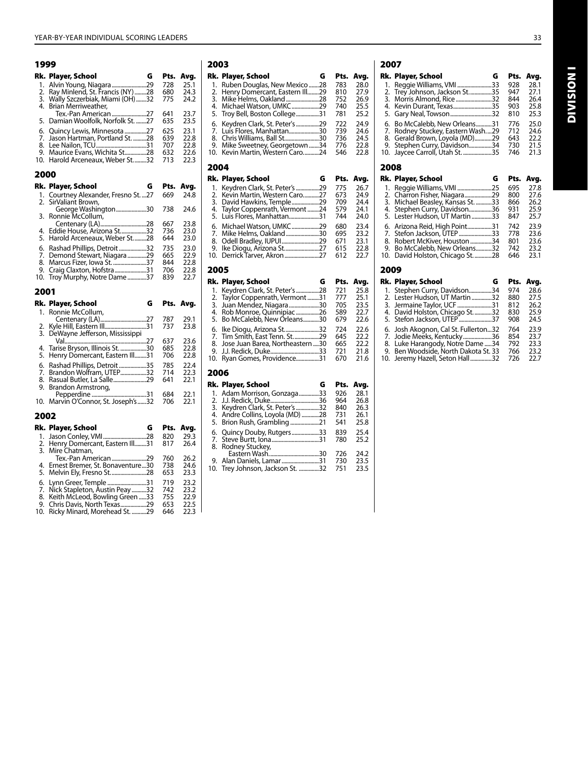| 1999                        |                                                                                                                             |                                 |                                      |
|-----------------------------|-----------------------------------------------------------------------------------------------------------------------------|---------------------------------|--------------------------------------|
| Rk.                         | G<br>Player, School                                                                                                         | Pts.                            | Avg.                                 |
| 1.<br>2.<br>3.<br>4.        | Alvin Young, Niagara 29<br>Ray Minlend, St. Francis (NY) 28<br>Wally Szczerbiak, Miami (OH) 32<br>Brian Merriweather,       | 728<br>680<br>775               | 25.1<br>24.3<br>24.2                 |
| 5.                          | Tex.-Pan American 27<br>Damian Woolfolk, Norfolk St. 27                                                                     | 641<br>635                      | 23.7<br>23.5                         |
| 6.<br>7.<br>8.<br>9.<br>10. | Quincy Lewis, Minnesota 27<br>Jason Hartman, Portland St. 28<br>Maurice Evans, Wichita St28<br>Harold Arceneaux, Weber St32 | 625<br>639<br>707<br>632<br>713 | 23.1<br>22.8<br>22.8<br>22.6<br>22.3 |
| 2000                        |                                                                                                                             |                                 |                                      |
|                             | G<br>Rk. Player, School                                                                                                     | Pts.                            | Avg.                                 |
| 1.<br>2.                    | Courtney Alexander, Fresno St.  27<br>SirValiant Brown,                                                                     | 669                             | 24.8                                 |
| 3.                          | George Washington30<br>Ronnie McCollum,                                                                                     | 738                             | 24.6                                 |
| 4.<br>5.                    | Eddie House, Arizona St32<br>Harold Arceneaux, Weber St28                                                                   | 667<br>736<br>644               | 23.8<br>23.0<br>23.0                 |
| 6.                          | Rashad Phillips, Detroit 32                                                                                                 | 735                             | 23.0                                 |
| 7.<br>8.                    | Demond Stewart, Niagara29<br>Marcus Fizer, Iowa St. 37                                                                      | 665<br>844                      | 22.9<br>22.8                         |
| 9.                          | Craig Claxton, Hofstra31                                                                                                    | 706                             | 22.8                                 |
| 10.                         | Troy Murphy, Notre Dame37                                                                                                   | 839                             | 22.7                                 |
|                             |                                                                                                                             |                                 |                                      |
| 2001                        |                                                                                                                             |                                 |                                      |
|                             | Rk. Player, School<br>G                                                                                                     | Pts.                            | Avg.                                 |
| 1.                          | Ronnie McCollum,                                                                                                            |                                 |                                      |
| 2.                          |                                                                                                                             | 787<br>737                      | 29.1<br>23.8                         |
| 3.                          | DeWayne Jefferson, Mississippi                                                                                              |                                 |                                      |
| 4.                          |                                                                                                                             | 637<br>685                      | 23.6<br>22.8                         |
| 5.                          | 13Henry Domercant, Eastern Ill                                                                                              | 706                             | 22.8                                 |
| 6.                          | Rashad Phillips, Detroit 35                                                                                                 | 785<br>714                      | 22.4                                 |
| 7.<br>8.                    | Brandon Wolfram, UTEP32<br>Rasual Butler, La Salle29                                                                        | 641                             | 22.3<br>22.1                         |
| 9.                          | Brandon Armstrong,                                                                                                          | 684                             | 22.1                                 |
| 10.                         | Marvin O'Connor, St. Joseph's 32                                                                                            | 706                             | 22.1                                 |
| 2002                        |                                                                                                                             |                                 |                                      |
|                             | Rk. Player, School<br>G                                                                                                     | Pts.                            | Avg.                                 |
| 1.                          | Jason Conley, VMI28                                                                                                         | 820                             | 29.3                                 |
| 2.<br>3.                    |                                                                                                                             | 817                             | 26.4                                 |
|                             | Henry Domercant, Eastern III31<br>Mire Chatman,<br>Tex.-Pan American29                                                      | 760                             | 26.2                                 |
| 4.<br>5.                    | Ernest Bremer, St. Bonaventure30<br>Melvin Ely, Fresno St28                                                                 | 738<br>653                      | 24.6<br>23.3                         |
| 6.                          | Lynn Greer, Temple 31                                                                                                       | 719                             | 23.2                                 |
| 7.                          | Nick Stapleton, Austin Peay 32                                                                                              | 742                             | 23.2                                 |
| 8.<br>9.                    | Keith McLeod, Bowling Green 33<br>Chris Davis, North Texas29<br>Ricky Minard, Morehead St. 29                               | 755<br>653<br>646               | 22.9<br>22.5<br>22.3                 |

| 2003 |                                |      |      |
|------|--------------------------------|------|------|
|      | Rk. Player, School<br>G        | Pts. | Avg. |
| 1.   | Ruben Douglas, New Mexico 28   | 783  | 28.0 |
| 2.   | Henry Domercant, Eastern III29 | 810  | 27.9 |
| 3.   | Mike Helms, Oakland28          | 752  | 26.9 |
| 4.   | Michael Watson, UMKC29         | 740  | 25.5 |
| 5.   | Troy Bell, Boston College31    | 781  | 25.2 |
| 6.   | Keydren Clark, St. Peter's 29  | 722  | 24.9 |
| 7.   | Luis Flores, Manhattan30       | 739  | 24.6 |
| 8.   | Chris Williams, Ball St30      | 736  | 24.5 |
| 9.   | Mike Sweetney, Georgetown34    | 776  | 22.8 |
| 10.  | Kevin Martin, Western Caro24   | 546  | 22.8 |
| 2004 |                                |      |      |
|      | Rk. Player, School<br>G        | Pts. | Avg. |
| 1.   | Keydren Clark, St. Peter's 29  | 775  | 26.7 |
| 2.   | Kevin Martin, Western Caro27   | 673  | 24.9 |
| 3.   | David Hawkins, Temple29        | 709  | 24.4 |
| 4.   | Taylor Coppenrath, Vermont 24  | 579  | 24.1 |
| 5.   | Luis Flores, Manhattan31       | 744  | 24.0 |
| 6.   | Michael Watson, UMKC29         | 680  | 23.4 |
| 7.   | Mike Helms, Oakland30          | 695  | 23.2 |
| 8.   | Odell Bradley, IUPUI29         | 671  | 23.1 |
| 9.   | Ike Diogu, Arizona St27        | 615  | 22.8 |
| 10.  | Derrick Tarver, Akron 27       | 612  | 22.7 |

### 2005

|     | Rk. Player, School                                                                                                                                              | G  | Pts.                                   | Avg.                                         |
|-----|-----------------------------------------------------------------------------------------------------------------------------------------------------------------|----|----------------------------------------|----------------------------------------------|
|     | 1. Keydren Clark, St. Peter's 28<br>2. Taylor Coppenrath, Vermont<br>3. Juan Mendez, Niagara30<br>4. Rob Monroe, Quinnipiac26                                   | 31 | 721<br>777<br>705<br>589               | 25.8<br>25.1<br>23.5<br>22.7                 |
| 10. | 5. Bo McCalebb, New Orleans30<br>6. Ike Diogu, Arizona St32<br>7. Tim Smith, East Tenn. St29<br>8. Jose Juan Barea, Northeastern 30<br>Ryan Gomes, Providence31 |    | 679<br>724<br>645<br>665<br>721<br>670 | 22.6<br>22.6<br>22.2<br>22.2<br>21.8<br>21.6 |

#### 2006

| Rk. Player, School               | G   | Pts. | Avg. |
|----------------------------------|-----|------|------|
| 1. Adam Morrison, Gonzaga        | 33  | 926  | 28.1 |
|                                  |     | 964  | 26.8 |
| 3. Keydren Clark, St. Peter's    | .32 | 840  | 26.3 |
| 4. Andre Collins, Loyola (MD) 28 |     | 731  | 26.1 |
|                                  |     | 541  | 25.8 |
| 6. Quincy Douby, Rutgers33       |     | 839  | 25.4 |
| 7. Steve Burtt, Iona31           |     | 780  | 25.2 |
| 8. Rodney Stuckey,               |     |      |      |
| Eastern Wash                     | .30 | 726  | 24.2 |
| 9. Alan Daniels, Lamar31         |     | 730  | 23.5 |
| 10. Trev Johnson, Jackson St. 32 |     | 751  | 23.5 |

## 2007

|      | Rk. Player, School<br>G            | Pts. | Avg. |
|------|------------------------------------|------|------|
| 1.   | Reggie Williams, VMI 33            | 928  | 28.1 |
|      | 2. Trey Johnson, Jackson St35      | 947  | 27.1 |
|      | 3. Morris Almond, Rice32           | 844  | 26.4 |
|      | 4. Kevin Durant, Texas35           | 903  | 25.8 |
| 5.   | Gary Neal, Towson32                | 810  | 25.3 |
| 6.   | Bo McCalebb, New Orleans31         | 776  | 25.0 |
| 7.   | Rodney Stuckey, Eastern Wash29     | 712  | 24.6 |
|      | 8. Gerald Brown, Loyola (MD)29     | 643  | 22.2 |
| 9.   | Stephen Curry, Davidson34          | 730  | 21.5 |
|      | 10. Jaycee Carroll, Utah St. 35    | 746  | 21.3 |
| 2008 |                                    |      |      |
|      | Rk. Player, School<br>G            | Pts. | Avg. |
| 1.   | .25                                | 695  | 27.8 |
|      | 2. Charron Fisher, Niagara29       | 800  | 27.6 |
| 3.   | Michael Beasley, Kansas St.<br>.33 | 866  | 26.2 |
| 4.   | Stephen Curry, Davidson36          | 931  | 25.9 |
|      | 5. Lester Hudson, UT Martin<br>.33 | 847  | 25.7 |

#### 2009

| Rk. Player, School                                                                                                                                                                | G          | Pts.                            | Avg.                                 |
|-----------------------------------------------------------------------------------------------------------------------------------------------------------------------------------|------------|---------------------------------|--------------------------------------|
| 1. Stephen Curry, Davidson<br>2. Lester Hudson, UT Martin                                                                                                                         | .34<br>.32 | 974<br>880                      | 28.6<br>27.5                         |
| 3. Jermaine Taylor, UCF 31<br>4. David Holston, Chicago St32<br>5. Stefon Jackson, UTEP 37                                                                                        |            | 812<br>830<br>908               | 26.2<br>25.9<br>24.5                 |
| 6. Josh Akognon, Cal St. Fullerton32<br>7. Jodie Meeks, Kentucky36<br>8. Luke Harangody, Notre Dame 34<br>9. Ben Woodside, North Dakota St. 33<br>10. Jeremy Hazell, Seton Hall32 |            | 764<br>854<br>792<br>766<br>726 | 23.9<br>23.7<br>23.3<br>23.2<br>22.7 |

6. Arizona Reid, High Point.................31 742 23.9 7. Stefon Jackson, UTEP.......................33 778 23.6 8. Robert McKiver, Houston...............34 801 23.6 9. Bo McCalebb, New Orleans...........32 742 23.2 10. David Holston, Chicago St.............28 646 23.1 **INOISINI** Division I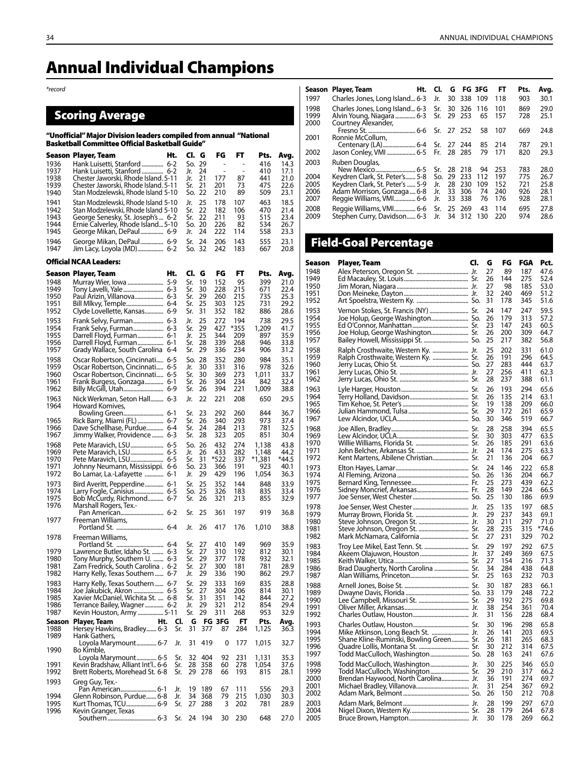*\*record*

## Scoring Average

#### "Unofficial" Major Division leaders compiled from annual "National Basketball Committee Official Basketball Guide"

|              | <b>Season Player, Team</b>                                              | Ht.        | Cl. G         |            | FG                       | FT         | Pts.         | Avg.         |
|--------------|-------------------------------------------------------------------------|------------|---------------|------------|--------------------------|------------|--------------|--------------|
| 1936         | Hank Luisetti, Stanford  6-2                                            |            | So.           | 29         | $\overline{\phantom{0}}$ |            | 416          | 14.3         |
| 1937<br>1938 | Hank Luisetti, Stanford   6-2<br>Chester Jaworski, Rhode Island. 5-11   |            | Jr.<br>Jr.    | 24<br>21   | $\overline{a}$<br>177    | 87         | 410<br>441   | 17.1<br>21.0 |
| 1939         | Chester Jaworski, Rhode Island. 5-11                                    |            | Sr.           | 21         | 201                      | 73         | 475          | 22.6         |
| 1940         | Stan Modzelewski, Rhode Island 5-10                                     |            | So.           | 22         | 210                      | 89         | 509          | 23.1         |
| 1941         | Stan Modzelewski, Rhode Island 5-10                                     |            | Jr.           | 25         | 178                      | 107        | 463          | 18.5         |
| 1942         | Stan Modzelewski, Rhode Island 5-10                                     |            | Sr.           | 22         | 182                      | 106        | 470          | 21.4         |
| 1943<br>1944 | George Senesky, St. Joseph's  6-2<br>Ernie Calverley, Rhode Island 5-10 |            | Sr.<br>So. 20 | 22         | 211<br>226               | 93<br>82   | 515<br>534   | 23.4<br>26.7 |
| 1945         | George Mikan, DePaul 6-9                                                |            | Jr.           | 24         | 222                      | 114        | 558          | 23.3         |
| 1946         | George Mikan, DePaul 6-9                                                |            | Sr.           | 24         | 206                      | 143        | 555          | 23.1         |
| 1947         | Jim Lacy, Loyola (MD) 6-2                                               |            | So. 32        |            | 242                      | 183        | 667          | 20.8         |
|              | <b>Official NCAA Leaders:</b>                                           |            |               |            |                          |            |              |              |
|              | Season Player, Team                                                     | Ht.        | CI.           | G          | FG                       | FT         | Pts.         | Avg.         |
| 1948         |                                                                         |            | Sr.           | 19         | 152                      | 95         | 399          | 21.0         |
| 1949<br>1950 | Paul Arizin, Villanova 6-3                                              |            | Sr.<br>Sr.    | 30<br>29   | 228<br>260               | 215<br>215 | 671<br>735   | 22.4<br>25.3 |
| 1951         |                                                                         |            | Sr.           | 25         | 303                      | 125        | 731          | 29.2         |
| 1952         | Clyde Lovellette, Kansas 6-9                                            |            | Sr.           | 31         | 352                      | 182        | 886          | 28.6         |
| 1953         |                                                                         |            | Jr.           | 25         | 272                      | 194        | 738          | 29.5         |
| 1954         | Frank Selvy, Furman 6-3                                                 |            | Sr.           | 29         | 427                      | *355       | 1,209        | 41.7         |
| 1955<br>1956 | Darrell Floyd, Furman 6-1<br>Darrell Floyd, Furman 6-1                  |            | Jr.<br>Sr.    | 25<br>28   | 344<br>339               | 209<br>268 | 897<br>946   | 35.9<br>33.8 |
| 1957         | Grady Wallace, South Carolina 6-4                                       |            | Sr.           | 29         | 336                      | 234        | 906          | 31.2         |
| 1958         | Oscar Robertson, Cincinnati 6-5                                         |            | So.           | 28         | 352                      | 280        | 984          | 35.1         |
| 1959         | Oscar Robertson, Cincinnati 6-5                                         |            | Jr.           | 30         | 331                      | 316        | 978          | 32.6         |
| 1960         | Oscar Robertson, Cincinnati 6-5                                         |            | Sr.           | 30         | 369                      | 273        | 1,011        | 33.7         |
| 1961         | Frank Burgess, Gonzaga 6-1                                              |            | Sr.           | 26         | 304                      | 234<br>221 | 842          | 32.4         |
| 1962<br>1963 |                                                                         |            | Sr.           | 26         | 394                      |            | 1,009        | 38.8         |
| 1964         | Nick Werkman, Seton Hall  6-3<br>Howard Komives,                        |            | Jr.           | 22         | 221                      | 208        | 650          | 29.5         |
|              |                                                                         |            | Sr.           | 23         | 292                      | 260        | 844          | 36.7         |
| 1965<br>1966 | Rick Barry, Miami (FL)  6-7<br>Dave Schellhase, Purdue 6-4              |            | Sr.<br>Sr.    | 26<br>24   | 340<br>284               | 293<br>213 | 973<br>781   | 37.4<br>32.5 |
| 1967         | Jimmy Walker, Providence  6-3                                           |            | Sr.           | 28         | 323                      | 205        | 851          | 30.4         |
| 1968         | Pete Maravich, LSU  6-5                                                 |            | So. 26        |            | 432                      | 274        | 1,138        | 43.8         |
| 1969         |                                                                         |            | Jr.           | 26         | 433                      | 282        | 1,148        | 44.2         |
| 1970         | Pete Maravich, LSU 6-5                                                  |            | Sr.           | 31         | *522                     | 337        | *1,381       | *44.5        |
| 1971<br>1972 | Johnny Neumann, Mississippi. 6-6<br>Bo Lamar, La.-Lafayette  6-1        |            | So.<br>Jr.    | 23<br>29   | 366<br>429               | 191<br>196 | 923<br>1,054 | 40.1<br>36.3 |
| 1973         | Bird Averitt, Pepperdine 6-1                                            |            | Sr.           | 25         | 352                      | 144        | 848          | 33.9         |
| 1974         | Larry Fogle, Canisius  6-5                                              |            | So. 25        |            | 326                      | 183        | 835          | 33.4         |
| 1975         | Bob McCurdy, Richmond 6-7                                               |            | Sr.           | 26         | 321                      | 213        | 855          | 32.9         |
| 1976         | Marshall Rogers, Tex.-                                                  |            |               |            |                          |            |              |              |
| 1977         | Freeman Williams,                                                       |            | Sr.           | 25         | 361                      | 197        | 919          | 36.8         |
|              |                                                                         |            | Jr.           | 26         | 417                      | 176        | 1,010        | 38.8         |
| 1978         | Freeman Williams.                                                       |            |               |            |                          |            |              |              |
|              |                                                                         |            | Sr.           | 27         | 410                      | 149        | 969          | 35.9         |
| 1979         | Lawrence Butler, Idaho St.  6-3                                         |            | Sr.           | 27         | 310                      | 192        | 812          | 30.1         |
| 1980<br>1981 | Tony Murphy, Southern U.  6-3<br>Zam Fredrick, South Carolina . 6-2     |            | Sr.<br>Sr.    | 29<br>27   | 377<br>300               | 178<br>181 | 932<br>781   | 32.1<br>28.9 |
| 1982         | Harry Kelly, Texas Southern  6-7                                        |            | Jr.           | 29         | 336                      | 190        | 862          | 29.7         |
| 1983         | Harry Kelly, Texas Southern  6-7                                        |            | Sr.           | 29         | 333                      | 169        | 835          | 28.8         |
| 1984         | Joe Jakubick, Akron  6-5                                                |            | Sr.           | 27         | 304                      | 206        | 814          | 30.1         |
| 1985         | Xavier McDaniel, Wichita St.  6-8                                       |            | Sr.           | 31         | 351                      | 142        | 844          | 27.2         |
| 1986<br>1987 | Terrance Bailey, Wagner 6-2<br>Kevin Houston, Army  5-11                |            | Jr.<br>Sr.    | 29<br>29   | 321<br>311               | 212<br>268 | 854<br>953   | 29.4<br>32.9 |
| Season       | Player, Team<br>Ht.                                                     | Cl.        | G             |            | <b>FG 3FG</b>            | FT         | Pts.         | Avg.         |
| 1988         | Hersey Hawkins, Bradley 6-3                                             | Sr.        | 31            | 377        | 87                       | 284        | 1,125        | 36.3         |
| 1989         | Hank Gathers,                                                           |            |               |            |                          |            |              |              |
| 1990         | Loyola Marymount 6-7<br>Bo Kimble,                                      | Jr.        | 31            | 419        | 0                        | 177        | 1,015        | 32.7         |
|              | Loyola Marymount 6-5                                                    | Sr.        | 32            | 404        | 92                       | 231        | 1,131        | 35.3         |
| 1991         | Kevin Bradshaw, Alliant Int'l 6-6                                       | Sr.        | 28            | 358        | 60                       | 278        | 1,054        | 37.6         |
| 1992         | Brett Roberts, Morehead St. 6-8                                         | Sr.        | 29            | 278        | 66                       | 193        | 815          | 28.1         |
| 1993         | Greg Guy, Tex.-                                                         |            |               |            |                          |            |              |              |
| 1994         | Pan American 6-1<br>Glenn Robinson, Purdue 6-8                          | Jr.<br>Jr. | 19<br>34      | 189<br>368 | 67<br>79                 | 111<br>215 | 556<br>1,030 | 29.3<br>30.3 |
| 1995         | Kurt Thomas, TCU 6-9                                                    | Sr.        | 27            | 288        | 3                        | 202        | 781          | 28.9         |
| 1996         | Kevin Granger, Texas                                                    |            |               |            |                          |            |              |              |
|              |                                                                         | Sr.        | 24            | 194        | 30                       | 230        | 648          | 27.0         |

| Season               | Player, Team                                                                                          | Ht. Cl.    |          | G FG 3FG             |            | FT         | Pts.       | Avg.         |
|----------------------|-------------------------------------------------------------------------------------------------------|------------|----------|----------------------|------------|------------|------------|--------------|
| 1997                 | Charles Jones, Long Island 6-3 Jr.                                                                    |            |          | 30 338 109           |            | 118        | 903        | 30.1         |
| 1998<br>1999<br>2000 | Charles Jones, Long Island 6-3 Sr. 30 326 116<br>Alvin Young, Niagara  6-3 Sr.<br>Courtney Alexander, |            |          | 29 253               | 65         | 101<br>157 | 869<br>728 | 29.0<br>25.1 |
| 2001                 | Ronnie McCollum,                                                                                      |            |          |                      | 58         | 107        | 669        | 24.8         |
| 2002                 | Centenary (LA) 6-4 Sr. 27 244                                                                         |            |          | 28 28 5              | 85<br>79   | 214<br>171 | 787<br>820 | 29.1<br>29.3 |
| 2003                 | Ruben Douglas,                                                                                        | Sr.        | -28      | 218                  | 94         | 253        | 783        | 28.0         |
| 2004<br>2005         | Keydren Clark, St. Peter's 5-8<br>Keydren Clark, St. Peter's  5-9                                     | So.<br>Jr. | 29<br>28 | 233<br>230           | 112<br>109 | 197<br>152 | 775<br>721 | 26.7<br>25.8 |
| 2006<br>2007         | Adam Morrison, Gonzaga  6-8<br>Reggie Williams, VMI 6-6                                               | Jr.<br>Jr. | 33<br>33 | 306<br>338           | 74<br>76   | 240<br>176 | 926<br>928 | 28.1<br>28.1 |
| 2008<br>2009         | Reggie Williams, VMI 6-6<br>Stephen Curry, Davidson 6-3 Jr.                                           | Sr.        |          | 25 269<br>34 312 130 | 43         | 114<br>220 | 695<br>974 | 27.8<br>28.6 |

## Field-Goal Percentage

| Season       | <b>Player, Team</b>                                                        | CI. | G        | FG         | <b>FGA</b> | Pct.         |
|--------------|----------------------------------------------------------------------------|-----|----------|------------|------------|--------------|
| 1948         |                                                                            |     | 27       | 89         | 187        | 47.6         |
| 1949         |                                                                            |     | 26       | 144        | 275        | 52.4         |
| 1950<br>1951 |                                                                            |     | 27<br>32 | 98<br>240  | 185<br>469 | 53.0<br>51.2 |
| 1952         |                                                                            |     | 31       | 178        | 345        | 51.6         |
| 1953         |                                                                            |     | 24       | 147        | 247        | 59.5         |
| 1954         |                                                                            |     | 26       | 179        | 313        | 57.2         |
| 1955         |                                                                            |     | 23       | 147        | 243        | 60.5         |
| 1956         |                                                                            |     | 26       | 200        | 309        | 64.7         |
| 1957         |                                                                            |     | 25       | 217        | 382        | 56.8         |
| 1958<br>1959 | Ralph Crosthwaite, Western Ky.  Jr.<br>Ralph Crosthwaite, Western Ky.  Sr. |     | 25<br>26 | 202<br>191 | 331<br>296 | 61.0<br>64.5 |
| 1960         |                                                                            |     | 27       | 283        | 444        | 63.7         |
| 1961         |                                                                            |     | 27       | 256        | 411        | 62.3         |
| 1962         |                                                                            |     | 28       | 237        | 388        | 61.1         |
| 1963         |                                                                            |     | 26       | 193        | 294        | 65.6         |
| 1964<br>1965 |                                                                            |     | 26<br>19 | 135<br>138 | 214<br>209 | 63.1<br>66.0 |
| 1966         |                                                                            |     | 29       | 172        | 261        | 65.9         |
| 1967         |                                                                            |     | 30       | 346        | 519        | 66.7         |
| 1968         |                                                                            |     | 28       | 258        | 394        | 65.5         |
| 1969         |                                                                            |     | 30       | 303        | 477        | 63.5         |
| 1970         |                                                                            |     | 26<br>24 | 185<br>174 | 291        | 63.6         |
| 1971<br>1972 |                                                                            |     | 21       | 136        | 275<br>204 | 63.3<br>66.7 |
| 1973         |                                                                            |     | 24       | 146        | 222        | 65.8         |
| 1974         |                                                                            |     | 26       | 136        | 204        | 66.7         |
| 1975         |                                                                            |     | 25       | 273        | 439        | 62.2         |
| 1976         |                                                                            |     | 28       | 149        | 224        | 66.5         |
| 1977         |                                                                            |     | 25       | 130        | 186        | 69.9         |
| 1978<br>1979 |                                                                            |     | 25<br>29 | 135<br>237 | 197<br>343 | 68.5<br>69.1 |
| 1980         |                                                                            |     | 30       | 211        | 297        | 71.0         |
| 1981         |                                                                            |     | 28       | 235        | 315        | *74.6        |
| 1982         |                                                                            |     | 27       | 231        | 329        | 70.2         |
| 1983         |                                                                            |     | 29       | 197        | 292        | 67.5         |
| 1984         |                                                                            |     | 37       | 249<br>154 | 369<br>216 | 67.5         |
| 1985<br>1986 | Brad Daugherty, North Carolina  Sr.                                        |     | 27<br>34 | 284        | 438        | 71.3<br>64.8 |
| 1987         |                                                                            |     | 25       | 163        | 232        | 70.3         |
| 1988         |                                                                            |     | 30       | 187        | 283        | 66.1         |
| 1989         |                                                                            |     | 33       | 179        | 248        | 72.2         |
| 1990         |                                                                            |     | 29       | 192        | 275        | 69.8         |
| 1991<br>1992 |                                                                            |     | 38<br>31 | 254<br>156 | 361<br>228 | 70.4<br>68.4 |
| 1993         |                                                                            |     | 30       | 196        | 298        | 65.8         |
| 1994         |                                                                            |     | 26       | 141        | 203        | 69.5         |
| 1995         | Shane Kline-Ruminski, Bowling Green Sr.                                    |     | 26       | 181        | 265        | 68.3         |
| 1996         |                                                                            |     | 30       | 212        | 314        | 67.5         |
| 1997         |                                                                            |     | 28       | 163        | 241        | 67.6         |
| 1998         |                                                                            |     | 30       | 225        | 346        | 65.0         |
| 1999<br>2000 | Todd MacCulloch, Washington Sr.                                            |     | 29<br>36 | 210<br>191 | 317<br>274 | 66.2<br>69.7 |
| 2001         |                                                                            |     | 31       | 254        | 367        | 69.2         |
| 2002         |                                                                            |     | 26       | 150        | 212        | 70.8         |
| 2003         |                                                                            |     | 28       | 199        | 297        | 67.0         |
| 2004         |                                                                            |     | 28       | 179        | 264        | 67.8         |
| 2005         |                                                                            |     | 30       | 178        | 269        | 66.2         |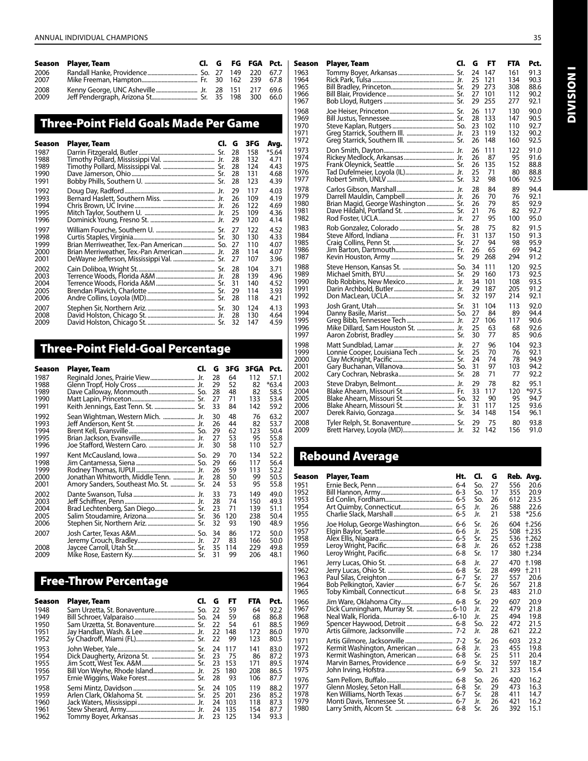|      | Season Player, Team |  |        |      | Cl. G FG FGA Pct.   Season Plaver, Team |  | Cl. G FT FTA Pct. |        |
|------|---------------------|--|--------|------|-----------------------------------------|--|-------------------|--------|
| 2006 |                     |  | 67.7 i | 1963 |                                         |  |                   |        |
| 2007 |                     |  |        | 1964 |                                         |  | 134               | - 90.3 |
| 2008 |                     |  | 69.6   | 1965 |                                         |  | 308 88.6          |        |
| 2009 |                     |  |        | 1966 |                                         |  | 112               | - 90.2 |
|      |                     |  |        | 1967 |                                         |  |                   |        |

## Three-Point Field Goals Made Per Game

| Season       | Player, Team                                                                            | CI. | G        | 3FG        | Avg.         |
|--------------|-----------------------------------------------------------------------------------------|-----|----------|------------|--------------|
| 1987         |                                                                                         |     | 28       | 158        | *5.64        |
| 1988         |                                                                                         |     | 28       | 132        | 4.71         |
| 1989<br>1990 |                                                                                         |     | 28<br>28 | 124<br>131 | 4.43<br>4.68 |
| 1991         |                                                                                         |     | 28       | 123        | 4.39         |
| 1992         |                                                                                         |     | 29       | 117        | 4.03         |
| 1993         |                                                                                         |     | 26       | 109        | 4.19         |
| 1994<br>1995 |                                                                                         |     | 26<br>25 | 122<br>109 | 4.69<br>4.36 |
| 1996         |                                                                                         |     | 29       | 120        | 4.14         |
| 1997         |                                                                                         |     | 27       | 122        | 4.52         |
| 1998         |                                                                                         |     | 30       | 130        | 4.33         |
| 1999<br>2000 | Brian Merriweather, Tex.-Pan American  So.<br>Brian Merriweather, Tex.-Pan American Jr. |     | 27<br>28 | 110<br>114 | 4.07<br>4.07 |
| 2001         |                                                                                         |     | 27       | 107        | 3.96         |
| 2002         |                                                                                         |     | 28       | 104        | 3.71         |
| 2003         |                                                                                         |     | 28       | 139        | 4.96         |
| 2004<br>2005 |                                                                                         |     | 31<br>29 | 140<br>114 | 4.52<br>3.93 |
| 2006         |                                                                                         |     | 28       | 118        | 4.21         |
| 2007         |                                                                                         |     | 30       | 124        | 4.13         |
| 2008         |                                                                                         |     | 28       | 130        | 4.64         |
| 2009         |                                                                                         |     | 32       | 147        | 4.59         |

## Three-Point Field-Goal Percentage

| Season               | Player, Team                          | CI. | G                    | 3FG                   | 3FGA                     | Pct.                         |
|----------------------|---------------------------------------|-----|----------------------|-----------------------|--------------------------|------------------------------|
| 1987                 |                                       |     | 28                   | 64                    | 112                      | 57.1                         |
| 1988                 |                                       |     | 29                   | 52                    | 82                       | $*63.4$                      |
| 1989                 |                                       |     | 28                   | 48                    | 82                       | 58.5                         |
| 1990                 |                                       |     | 27                   | 71                    | 133                      | 53.4                         |
| 1991                 | Keith Jennings, East Tenn. St.  Sr.   |     | 33                   | 84                    | 142                      | 59.2                         |
| 1992                 | Sean Wightman, Western Mich.  Jr.     |     | 30                   | 48                    | 76                       | 63.2                         |
| 1993                 |                                       |     | 26                   | 44                    | 82                       | 53.7                         |
| 1994                 |                                       |     | 29                   | 62                    | 123                      | 50.4                         |
| 1995                 |                                       |     | 27                   | 53                    | 95                       | 55.8                         |
| 1996                 |                                       |     | 30                   | 58                    | 110                      | 52.7                         |
| 1997                 |                                       |     | 29                   | 70                    | 134                      | 52.2                         |
| 1998                 |                                       |     | 29                   | 66                    | 117                      | 56.4                         |
| 1999                 |                                       |     | 26                   | 59                    | 113                      | 52.2                         |
| 2000                 | Jonathan Whitworth, Middle Tenn.  Jr. |     | 28                   | 50                    | 99                       | 50.5                         |
| 2001                 | Amory Sanders, Southeast Mo. St.  Sr. |     | 24                   | 53                    | 95                       | 55.8                         |
| 2002                 |                                       |     | 33                   | 73                    | 149                      | 49.0                         |
| 2003                 |                                       |     | 28                   | 74                    | 150                      | 49.3                         |
| 2004                 | Brad Lechtenberg, San Diego Sr.       |     | 23                   | 71                    | 139                      | 51.1                         |
| 2005                 |                                       |     | 36                   | 120                   | 238                      | 50.4                         |
| 2006                 |                                       |     | 32                   | 93                    | 190                      | 48.9                         |
| 2007<br>2008<br>2009 |                                       |     | 34<br>27<br>35<br>31 | 86<br>83<br>114<br>99 | 172<br>166<br>229<br>206 | 50.0<br>50.0<br>49.8<br>48.1 |

## Free-Throw Percentage

| Season | Player, Team                        | CI. | G   | FT     | FTA | Pct. |
|--------|-------------------------------------|-----|-----|--------|-----|------|
| 1948   |                                     |     |     | 59     | 64  | 92.2 |
| 1949   |                                     |     |     | 59     | 68  | 86.8 |
| 1950   |                                     |     | -22 | 54     | 61  | 88.5 |
| 1951   |                                     |     | -22 | 148    | 172 | 86.0 |
| 1952   |                                     |     | 22  | 99     | 123 | 80.5 |
| 1953   |                                     |     | 24  | -117   | 141 | 83.0 |
| 1954   | Dick Daugherty, Arizona St.  Sr. 23 |     |     | -75    | 86  | 87.2 |
| 1955   |                                     |     |     |        | 171 | 89.5 |
| 1956   |                                     |     |     | 180    | 208 | 86.5 |
| 1957   |                                     |     | -28 | 93     | 106 | 87.7 |
| 1958   |                                     |     |     | 24 105 | 119 | 88.2 |
| 1959   |                                     |     |     | 25 201 | 236 | 85.2 |
| 1960   |                                     |     |     | 24 103 | 118 | 87.3 |
| 1961   |                                     |     |     |        | 154 | 87.7 |
| 1962   |                                     |     |     | 23 125 | 134 | 93.3 |

| Season | <b>Player, Team</b>                 | CI. | G  | FT  | FTA | Pct.  |
|--------|-------------------------------------|-----|----|-----|-----|-------|
| 1963   |                                     |     | 24 | 147 | 161 | 91.3  |
| 1964   |                                     |     | 25 | 121 | 134 | 90.3  |
| 1965   |                                     |     | 29 | 273 | 308 | 88.6  |
| 1966   |                                     |     | 27 | 101 | 112 | 90.2  |
| 1967   |                                     |     | 29 | 255 | 277 | 92.1  |
| 1968   |                                     |     | 26 | 117 | 130 | 90.0  |
| 1969   |                                     |     | 28 | 133 | 147 | 90.5  |
| 1970   |                                     |     | 23 | 102 | 110 | 92.7  |
| 1971   |                                     |     | 23 | 119 | 132 | 90.2  |
| 1972   |                                     |     | 26 | 148 | 160 | 92.5  |
| 1973   |                                     |     | 26 | 111 | 122 | 91.0  |
| 1974   |                                     |     | 26 | 87  | 95  | 91.6  |
| 1975   |                                     |     | 26 | 135 | 152 | 88.8  |
| 1976   |                                     |     | 25 | 71  | 80  | 88.8  |
| 1977   |                                     |     | 32 | 98  | 106 | 92.5  |
| 1978   |                                     |     | 28 | 84  | 89  | 94.4  |
| 1979   |                                     |     | 26 | 70  | 76  | 92.1  |
| 1980   | Brian Magid, George Washington  Sr. |     | 26 | 79  | 85  | 92.9  |
| 1981   |                                     |     | 21 | 76  | 82  | 92.7  |
| 1982   |                                     |     | 27 | 95  | 100 | 95.0  |
| 1983   |                                     |     | 28 | 75  | 82  | 91.5  |
| 1984   |                                     |     | 31 | 137 | 150 | 91.3  |
| 1985   |                                     |     | 27 | 94  | 98  | 95.9  |
| 1986   |                                     |     | 26 | 65  | 69  | 94.2  |
| 1987   |                                     |     | 29 | 268 | 294 | 91.2  |
| 1988   |                                     |     | 34 | 111 | 120 | 92.5  |
| 1989   |                                     |     | 29 | 160 | 173 | 92.5  |
| 1990   |                                     |     | 34 | 101 | 108 | 93.5  |
| 1991   |                                     |     | 29 | 187 | 205 | 91.2  |
| 1992   |                                     |     | 32 | 197 | 214 | 92.1  |
| 1993   |                                     |     | 31 | 104 | 113 | 92.0  |
| 1994   |                                     |     | 27 | 84  | 89  | 94.4  |
| 1995   |                                     |     | 27 | 106 | 117 | 90.6  |
| 1996   | Mike Dillard, Sam Houston St.  Jr.  |     | 25 | 63  | 68  | 92.6  |
| 1997   |                                     |     | 30 | 77  | 85  | 90.6  |
| 1998   |                                     |     | 27 | 96  | 104 | 92.3  |
| 1999   |                                     |     | 25 | 70  | 76  | 92.1  |
| 2000   |                                     |     | 24 | 74  | 78  | 94.9  |
| 2001   |                                     |     | 31 | 97  | 103 | 94.2  |
| 2002   |                                     |     | 28 | 71  | 77  | 92.2  |
| 2003   |                                     |     | 29 | 78  | 82  | 95.1  |
| 2004   |                                     |     | 33 | 117 | 120 | *97.5 |
| 2005   |                                     |     | 32 | 90  | 95  | 94.7  |
| 2006   |                                     |     | 31 | 117 | 125 | 93.6  |
| 2007   |                                     |     | 34 | 148 | 154 | 96.1  |
| 2008   |                                     |     | 29 | 75  | 80  | 93.8  |
| 2009   |                                     |     | 32 | 142 | 156 | 91.0  |

## Rebound Average

| Season<br>1951<br>1952<br>1953<br>1954<br>1955 | Player, Team                  | Ht. | CI.<br>So.<br>So.<br>So.<br>Jr.<br>Jr. | G<br>27<br>17<br>26<br>26<br>21 | 556<br>355<br>612<br>588<br>538 | Reb. Avg.<br>20.6<br>20.9<br>23.5<br>22.6<br>$*25.6$ |
|------------------------------------------------|-------------------------------|-----|----------------------------------------|---------------------------------|---------------------------------|------------------------------------------------------|
| 1956                                           |                               |     | Sr.                                    | 26                              | 604                             | $+.256$                                              |
| 1957                                           |                               |     | Jr.                                    | 25                              | 508                             | +.235                                                |
| 1958                                           |                               |     | Sr.                                    | 25                              | 536                             | +.262                                                |
| 1959                                           |                               |     | Jr.                                    | 26                              | 652                             | +.238                                                |
| 1960                                           |                               |     | Sr.                                    | 17                              | 380                             | +.234                                                |
| 1961                                           |                               |     | Jr.                                    | 27                              | 470                             | $+.198$                                              |
| 1962                                           |                               |     | Sr.                                    | 28                              | 499                             | +.211                                                |
| 1963                                           |                               |     | Sr.                                    | 27                              | 557                             | 20.6                                                 |
| 1964                                           |                               |     | Sr.                                    | 26                              | 567                             | 21.8                                                 |
| 1965                                           |                               |     | Sr.                                    | 23                              | 483                             | 21.0                                                 |
| 1966                                           |                               |     | Sr.                                    | 29                              | 607                             | 20.9                                                 |
| 1967                                           |                               |     | Jr.                                    | 22                              | 479                             | 21.8                                                 |
| 1968                                           |                               |     | Jr.                                    | 25                              | 494                             | 19.8                                                 |
| 1969                                           | Spencer Haywood, Detroit  6-8 |     | So.                                    | 22                              | 472                             | 21.5                                                 |
| 1970                                           |                               |     | Jr.                                    | 28                              | 621                             | 22.2                                                 |
| 1971                                           |                               |     | Sr.                                    | 26                              | 603                             | 23.2                                                 |
| 1972                                           |                               |     | Jr.                                    | 23                              | 455                             | 19.8                                                 |
| 1973                                           |                               |     | Sr.                                    | 25                              | 511                             | 20.4                                                 |
| 1974                                           |                               |     | Sr.                                    | 32                              | 597                             | 18.7                                                 |
| 1975                                           |                               |     | So.                                    | 21                              | 323                             | 15.4                                                 |
| 1976                                           |                               |     | So.                                    | 26                              | 420                             | 16.2                                                 |
| 1977                                           |                               |     | Sr.                                    | 29                              | 473                             | 16.3                                                 |
| 1978                                           |                               |     | Sr.                                    | 28                              | 411                             | 14.7                                                 |
| 1979                                           |                               |     | Jr.                                    | 26                              | 421                             | 16.2                                                 |
| 1980                                           |                               |     | Sr.                                    | 26                              | 392                             | 15.1                                                 |

# **INOISINI** Division I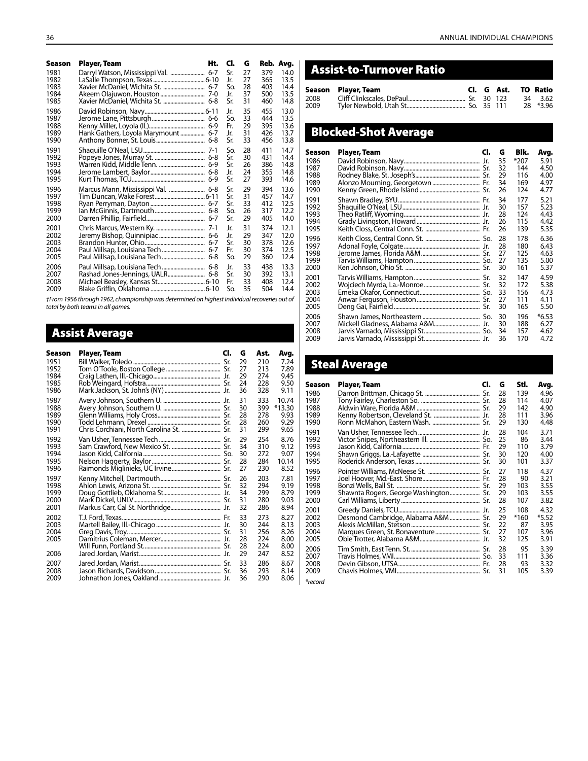| Season | Player, Team                        | Ht. | CI. | G  |     | Reb. Avg. |
|--------|-------------------------------------|-----|-----|----|-----|-----------|
| 1981   |                                     |     | Sr. | 27 | 379 | 14.0      |
| 1982   |                                     |     | Jr. | 27 | 365 | 13.5      |
| 1983   | Xavier McDaniel, Wichita St.  6-7   |     | So. | 28 | 403 | 14.4      |
| 1984   |                                     |     | Jr. | 37 | 500 | 13.5      |
| 1985   | Xavier McDaniel, Wichita St.  6-8   |     | Sr. | 31 | 460 | 14.8      |
| 1986   |                                     |     | Jr. | 35 | 455 | 13.0      |
| 1987   |                                     |     | So. | 33 | 444 | 13.5      |
| 1988   |                                     |     | Fr. | 29 | 395 | 13.6      |
| 1989   | Hank Gathers, Loyola Marymount  6-7 |     | Jr. | 31 | 426 | 13.7      |
| 1990   |                                     |     | Sr. | 33 | 456 | 13.8      |
| 1991   |                                     |     | So. | 28 | 411 | 14.7      |
| 1992   |                                     |     | Sr. | 30 | 431 | 14.4      |
| 1993   |                                     |     | Sr. | 26 | 386 | 14.8      |
| 1994   |                                     |     | Jr. | 24 | 355 | 14.8      |
| 1995   |                                     |     | Sr. | 27 | 393 | 14.6      |
| 1996   | Marcus Mann, Mississippi Val.  6-8  |     | Sr. | 29 | 394 | 13.6      |
| 1997   |                                     |     | Sr. | 31 | 457 | 14.7      |
| 1998   |                                     |     | Sr. | 33 | 412 | 12.5      |
| 1999   |                                     |     | So. | 26 | 317 | 12.2      |
| 2000   |                                     |     | Sr. | 29 | 405 | 14.0      |
| 2001   |                                     |     | Jr. | 31 | 374 | 12.1      |
| 2002   |                                     |     | Jr. | 29 | 347 | 12.0      |
| 2003   |                                     |     | Sr. | 30 | 378 | 12.6      |
| 2004   | Paul Millsap, Louisiana Tech  6-7   |     | Fr. | 30 | 374 | 12.5      |
| 2005   |                                     |     | So. | 29 | 360 | 12.4      |
| 2006   |                                     |     | Jr. | 33 | 438 | 13.3      |
| 2007   |                                     |     | Sr. | 30 | 392 | 13.1      |
| 2008   |                                     |     | Fr. | 33 | 408 | 12.4      |
| 2009   |                                     |     | So. | 35 | 504 | 14.4      |

*†From 1956 through 1962, championship was determined on highest individual recoveries out of total by both teams in all games.*

## Assist Average

| Season                               | Player, Team                             | CI. | G                                | Ast.                                   | Avg.                                         |
|--------------------------------------|------------------------------------------|-----|----------------------------------|----------------------------------------|----------------------------------------------|
| 1951                                 |                                          |     | 29                               | 210                                    | 7.24                                         |
| 1952                                 |                                          |     | 27                               | 213                                    | 7.89                                         |
| 1984                                 |                                          |     | 29                               | 274                                    | 9.45                                         |
| 1985                                 |                                          |     | 24                               | 228                                    | 9.50                                         |
| 1986                                 |                                          |     | 36                               | 328                                    | 9.11                                         |
| 1987                                 |                                          |     | 31                               | 333                                    | 10.74                                        |
| 1988                                 |                                          |     | 30                               | 399                                    | $*13.30$                                     |
| 1989                                 |                                          |     | 28                               | 278                                    | 9.93                                         |
| 1990                                 |                                          |     | 28                               | 260                                    | 9.29                                         |
| 1991                                 | Chris Corchiani, North Carolina St.  Sr. |     | 31                               | 299                                    | 9.65                                         |
| 1992                                 |                                          |     | 29                               | 254                                    | 8.76                                         |
| 1993                                 |                                          |     | 34                               | 310                                    | 9.12                                         |
| 1994                                 |                                          |     | 30                               | 272                                    | 9.07                                         |
| 1995                                 |                                          |     | 28                               | 284                                    | 10.14                                        |
| 1996                                 |                                          |     | 27                               | 230                                    | 8.52                                         |
| 1997                                 |                                          |     | 26                               | 203                                    | 7.81                                         |
| 1998                                 |                                          |     | 32                               | 294                                    | 9.19                                         |
| 1999                                 |                                          |     | 34                               | 299                                    | 8.79                                         |
| 2000                                 |                                          |     | 31                               | 280                                    | 9.03                                         |
| 2001                                 |                                          |     | 32                               | 286                                    | 8.94                                         |
| 2002<br>2003<br>2004<br>2005<br>2006 |                                          |     | 33<br>30<br>31<br>28<br>28<br>29 | 273<br>244<br>256<br>224<br>224<br>247 | 8.27<br>8.13<br>8.26<br>8.00<br>8.00<br>8.52 |
| 2007                                 |                                          |     | 33                               | 286                                    | 8.67                                         |
| 2008                                 |                                          |     | 36                               | 293                                    | 8.14                                         |
| 2009                                 |                                          |     | 36                               | 290                                    | 8.06                                         |

## Assist-to-Turnover Ratio

|      | Season Player, Team |  |  | Cl. G Ast. TO Ratio |
|------|---------------------|--|--|---------------------|
|      |                     |  |  |                     |
| 2008 |                     |  |  | 34 3.62             |
| 2009 |                     |  |  | 28 *3.96            |

## Blocked-Shot Average

| Season | Player, Team | Cl. | G  | Blk. | Avg.    |
|--------|--------------|-----|----|------|---------|
| 1986   |              |     | 35 | *207 | 5.91    |
| 1987   |              |     | 32 | 144  | 4.50    |
| 1988   |              |     | 29 | 116  | 4.00    |
| 1989   |              |     | 34 | 169  | 4.97    |
| 1990   |              |     | 26 | 124  | 4.77    |
| 1991   |              |     | 34 | 177  | 5.21    |
| 1992   |              |     | 30 | 157  | 5.23    |
| 1993   |              |     | 28 | 124  | 4.43    |
| 1994   |              |     | 26 | 115  | 4.42    |
| 1995   |              |     | 26 | 139  | 5.35    |
| 1996   |              |     | 28 | 178  | 6.36    |
| 1997   |              |     | 28 | 180  | 6.43    |
| 1998   |              |     | 27 | 125  | 4.63    |
| 1999   |              |     | 27 | 135  | 5.00    |
| 2000   |              |     | 30 | 161  | 5.37    |
| 2001   |              |     | 32 | 147  | 4.59    |
| 2002   |              |     | 32 | 172  | 5.38    |
| 2003   |              |     | 33 | 156  | 4.73    |
| 2004   |              |     | 27 | 111  | 4.11    |
| 2005   |              |     | 30 | 165  | 5.50    |
| 2006   |              |     | 30 | 196  | $*6.53$ |
| 2007   |              |     | 30 | 188  | 6.27    |
| 2008   |              |     | 34 | 157  | 4.62    |
| 2009   |              |     | 36 | 170  | 4.72    |

## Steal Average

| Season | Player, Team                          | CI. | G  | Stl.   | Avg.  |
|--------|---------------------------------------|-----|----|--------|-------|
| 1986   |                                       |     | 28 | 139    | 4.96  |
| 1987   |                                       |     | 28 | 114    | 4.07  |
| 1988   |                                       |     | 29 | 142    | 4.90  |
| 1989   |                                       |     | 28 | 111    | 3.96  |
| 1990   |                                       |     | 29 | 130    | 4.48  |
| 1991   |                                       |     | 28 | 104    | 3.71  |
| 1992   |                                       |     | 25 | 86     | 3.44  |
| 1993   |                                       |     | 29 | 110    | 3.79  |
| 1994   |                                       |     | 30 | 120    | 4.00  |
| 1995   |                                       |     | 30 | 101    | 3.37  |
| 1996   |                                       |     | 27 | 118    | 4.37  |
| 1997   |                                       |     | 28 | 90     | 3.21  |
| 1998   |                                       |     | 29 | 103    | 3.55  |
| 1999   | Shawnta Rogers, George Washington Sr. |     | 29 | 103    | 3.55  |
| 2000   |                                       |     | 28 | 107    | 3.82  |
| 2001   |                                       |     | 25 | 108    | 4.32  |
| 2002   |                                       |     | 29 | $*160$ | *5.52 |
| 2003   |                                       |     | 22 | 87     | 3.95  |
| 2004   |                                       |     | 27 | 107    | 3.96  |
| 2005   |                                       |     | 32 | 125    | 3.91  |
| 2006   |                                       |     | 28 | 95     | 3.39  |
| 2007   |                                       |     | 33 | 111    | 3.36  |
| 2008   |                                       |     | 28 | 93     | 3.32  |
| 2009   |                                       |     | 31 | 105    | 3.39  |

*\*record*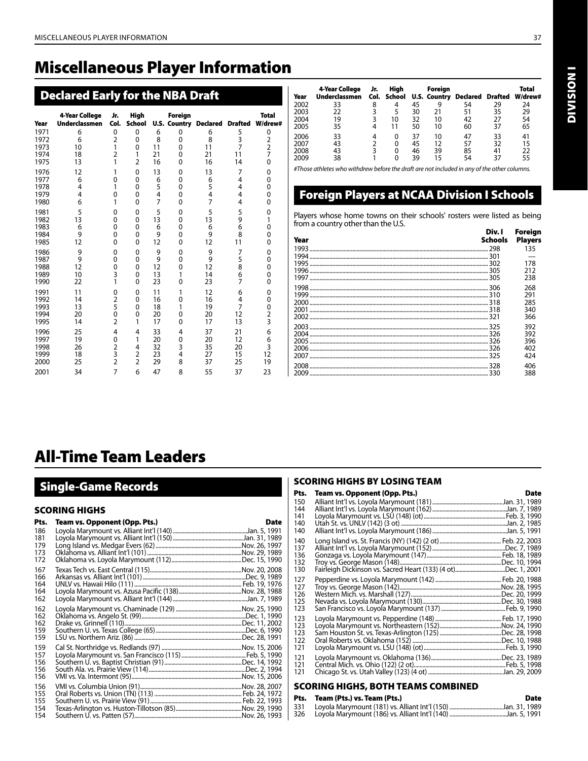## Miscellaneous Player Information

## Declared Early for the NBA Draft

| Year | <b>4-Year College</b><br><b>Underclassmen</b> | Jr.<br>Col.    | <b>High</b><br><b>School</b> |    | Foreign     | <b>U.S. Country Declared</b> | <b>Drafted</b> | <b>Total</b><br>W/drew# |
|------|-----------------------------------------------|----------------|------------------------------|----|-------------|------------------------------|----------------|-------------------------|
| 1971 | 6                                             | 0              | 0                            | 6  | 0           | 6                            | 5              | 0                       |
| 1972 | 6                                             | $\overline{2}$ | 0                            | 8  | 0           | 8                            | 3              | $\overline{\mathbf{c}}$ |
| 1973 | 10                                            | 1              | $\mathbf 0$                  | 11 | $\mathbf 0$ | 11                           | $\overline{7}$ | $\overline{\mathbf{c}}$ |
| 1974 | 18                                            | $\overline{2}$ | 1                            | 21 | 0           | 21                           | 11             | 7                       |
| 1975 | 13                                            | 1              | $\overline{2}$               | 16 | 0           | 16                           | 14             | 0                       |
| 1976 | 12                                            | 1              | 0                            | 13 | 0           | 13                           | 7              | 0                       |
| 1977 | 6                                             | 0              | 0                            | 6  | 0           | 6                            | 4              | 0                       |
| 1978 | 4                                             | 1              | 0                            | 5  | $\mathbf 0$ | 5                            | 4              | 0                       |
| 1979 | 4                                             | 0              | 0                            | 4  | $\mathbf 0$ | 4                            | 4              | 0                       |
| 1980 | 6                                             | 1              | 0                            | 7  | $\mathbf 0$ | 7                            | 4              | 0                       |
| 1981 | 5                                             | 0              | 0                            | 5  | $\mathbf 0$ | 5                            | 5              | 0                       |
| 1982 | 13                                            | 0              | 0                            | 13 | 0           | 13                           | 9              | 1                       |
| 1983 | 6                                             | 0              | 0                            | 6  | 0           | 6                            | 6              | 0                       |
| 1984 | 9                                             | 0              | 0                            | 9  | 0           | 9                            | 8              | 0                       |
| 1985 | 12                                            | 0              | 0                            | 12 | 0           | 12                           | 11             | 0                       |
| 1986 | 9                                             | 0              | 0                            | 9  | 0           | 9                            | 7              | 0                       |
| 1987 | 9                                             | 0              | 0                            | 9  | $\mathbf 0$ | 9                            | 5              | 0                       |
| 1988 | 12                                            | 0              | 0                            | 12 | 0           | 12                           | 8              | 0                       |
| 1989 | 10                                            | 3              | 0                            | 13 | 1           | 14                           | 6              | 0                       |
| 1990 | 22                                            | 1              | 0                            | 23 | 0           | 23                           | $\overline{7}$ | 0                       |
| 1991 | 11                                            | 0              | 0                            | 11 | 1           | 12                           | 6              | 0                       |
| 1992 | 14                                            | $\overline{2}$ | 0                            | 16 | 0           | 16                           | 4              | 0                       |
| 1993 | 13                                            | 5              | 0                            | 18 | 1           | 19                           | 7              | 0                       |
| 1994 | 20                                            | 0              | 0                            | 20 | 0           | 20                           | 12             | 2                       |
| 1995 | 14                                            | $\overline{2}$ | 1                            | 17 | 0           | 17                           | 13             | 3                       |
| 1996 | 25                                            | 4              | 4                            | 33 | 4           | 37                           | 21             | 6                       |
| 1997 | 19                                            | 0              | 1                            | 20 | 0           | 20                           | 12             | 6                       |
| 1998 | 26                                            | 2              | 4                            | 32 | 3           | 35                           | 20             | 3                       |
| 1999 | 18                                            | 3              | $\overline{2}$               | 23 | 4           | 27                           | 15             | 12                      |
| 2000 | 25                                            | $\overline{2}$ | $\overline{2}$               | 29 | 8           | 37                           | 25             | 19                      |
| 2001 | 34                                            | 7              | 6                            | 47 | 8           | 55                           | 37             | 23                      |

| Year | 4-Year College<br><b>Underclassmen</b> | Jr. | Hiah |    | Foreign | Col. School U.S. Country Declared Drafted |    | Total<br>W/drew# |
|------|----------------------------------------|-----|------|----|---------|-------------------------------------------|----|------------------|
| 2002 | 33                                     | 8   | 4    | 45 | 9       | 54                                        | 29 | 24               |
| 2003 | 22                                     |     |      | 30 | 21      | 51                                        | 35 | 29               |
| 2004 | 19                                     | 3   | 10   | 32 | 10      | 42                                        | 27 | 54               |
| 2005 | 35                                     | 4   | 11   | 50 | 10      | 60                                        | 37 | 65               |
| 2006 | 33                                     | 4   | 0    | 37 | 10      | 47                                        | 33 | 41               |
| 2007 | 43                                     |     |      | 45 | 12      | 57                                        | 32 | 15               |
| 2008 | 43                                     | 3   | 0    | 46 | 39      | 85                                        | 41 | 22               |
| 2009 | 38                                     |     |      | 39 | 15      | 54                                        | 37 | 55               |

*#Those athletes who withdrew before the draft are not included in any of the other columns.*

## Foreign Players at NCAA Division I Schools

Players whose home towns on their schools' rosters were listed as being from a country other than the U.S.

| Year | Div. I<br><b>Schools</b> | Foreign<br><b>Players</b> |
|------|--------------------------|---------------------------|
|      |                          | 135                       |
|      |                          |                           |
|      |                          | 178                       |
|      |                          | 212                       |
|      |                          | 238                       |
|      |                          | 268                       |
|      |                          | 291                       |
|      |                          | 285                       |
|      |                          | 340                       |
|      |                          | 366                       |
|      |                          | 392                       |
|      |                          | 392                       |
|      |                          | 396                       |
|      |                          | 402                       |
|      |                          | 424                       |
|      |                          | 406                       |
|      |                          | 388                       |

## All-Time Team Leaders

## Single-Game Records

#### SCORING HIGHS

| Pts.                            | Team vs. Opponent (Opp. Pts.) | <b>Date</b> |
|---------------------------------|-------------------------------|-------------|
| 186<br>181<br>179<br>173<br>172 |                               |             |
| 167<br>166<br>164<br>164<br>162 |                               |             |
| 162<br>162<br>162<br>159<br>159 |                               |             |
| 159<br>157<br>156<br>156<br>156 |                               |             |
| 156<br>155<br>155<br>154<br>154 |                               |             |

#### SCORING HIGHS BY LOSING TEAM

| Pts.                            | Team vs. Opponent (Opp. Pts.)                                 | Date |
|---------------------------------|---------------------------------------------------------------|------|
| 150<br>144                      |                                                               |      |
| 141<br>140<br>140               |                                                               |      |
| 140<br>137<br>136<br>132<br>130 | Fairleigh Dickinson vs. Sacred Heart (133) (4 ot)Dec. 1, 2001 |      |
| 127<br>127<br>126<br>125<br>123 |                                                               |      |
| 123<br>123<br>123<br>122<br>121 |                                                               |      |
| 121<br>121<br>121               |                                                               |      |

#### SCORING HIGHS, BOTH TEAMS COMBINED

| Pts. | Team (Pts.) vs. Team (Pts.) | Date |
|------|-----------------------------|------|
| 331  |                             |      |
| 326  |                             |      |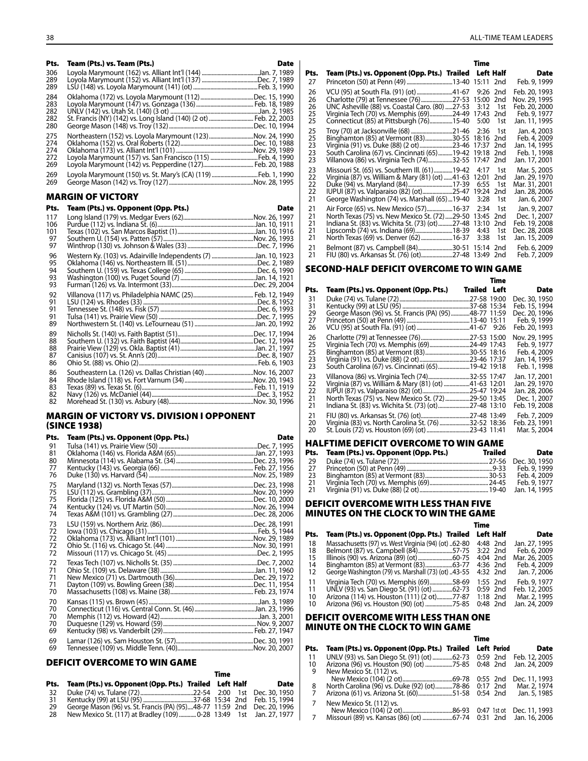Pts. Team (Pts.) vs. Team (Pts.) Date Loyola Marymount (162) vs. Alliant Int'l (144) ........................................Jan. 7, 1989 289 Loyola Marymount (152) vs. Alliant Int'l (137) .......................................Dec. 7, 1989 289 LSU (148) vs. Loyola Marymount (141) (ot).............................................Feb. 3, 1990 Oklahoma (172) vs. Loyola Marymount (112).....................................Dec. 15, 1990 Loyola Marymount (147) vs. Gonzaga (136)........................................ Feb. 18, 1989 282 UNLV (142) vs. Utah St. (140) (3 ot) ..............................................................Jan. 2, 1985 282 St. Francis (NY) (142) vs. Long Island (140) (2 ot)............................... Feb. 22, 2003 George Mason (148) vs. Troy (132)...........................................................Dec. 10, 1994 Northeastern (152) vs. Loyola Marymount (123)...............................Nov. 24, 1990 274 Oklahoma (152) vs. Oral Roberts (122)...................................................Dec. 10, 1988 274 Oklahoma (173) vs. Alliant Int'l (101) ......................................................Nov. 29, 1989 272 Loyola Marymount (157) vs. San Francisco (115) ..................................Feb. 4, 1990<br>269 Loyola Marymount (142) vs. Pepperdine (127)................................... Feb. 20, 1988 Loyola Marymount (150) vs. St. Mary's (CA) (119)................................Feb. 1, 1990 Eeorge Mason (142) vs. Troy (127)...

#### MARGIN OF VICTORY

| Pts.                       | Team (Pts.) vs. Opponent (Opp. Pts.)                            | <b>Date</b> |
|----------------------------|-----------------------------------------------------------------|-------------|
| 117<br>106                 |                                                                 |             |
| 101<br>97<br>97            |                                                                 |             |
| 96<br>95<br>94<br>93<br>93 | Western Ky. (103) vs. Adairville Independents (7) Jan. 10, 1923 |             |
| 92<br>91<br>91<br>91<br>89 |                                                                 |             |
| 89<br>88<br>88<br>87<br>86 |                                                                 |             |
| 86<br>84<br>83<br>82<br>82 | Southeastern La. (126) vs. Dallas Christian (40)Nov. 16, 2007   |             |

#### MARGIN OF VICTORY VS. DIVISION I OPPONENT (Since 1938)

| Pts.                             | Team (Pts.) vs. Opponent (Opp. Pts.) | <b>Date</b> |
|----------------------------------|--------------------------------------|-------------|
| 91<br>81<br>80<br>77             |                                      |             |
| 76<br>75<br>75<br>75<br>74<br>74 |                                      |             |
| 73<br>72<br>72<br>72<br>72       |                                      |             |
| 72<br>71<br>71<br>71<br>70       |                                      |             |
| 70<br>70<br>70<br>70<br>69       |                                      |             |
| 69<br>69                         |                                      |             |

#### DEFICIT OVERCOME TO WIN GAME

|     |                                                                          | Time |             |
|-----|--------------------------------------------------------------------------|------|-------------|
|     | Pts. Team (Pts.) vs. Opponent (Opp. Pts.) Trailed Left Half              |      | <b>Date</b> |
| -32 |                                                                          |      |             |
| 31  |                                                                          |      |             |
| 29  | George Mason (96) vs. St. Francis (PA) (95)48-77 11:59 2nd Dec. 20, 1996 |      |             |
| -28 | New Mexico St. (117) at Bradley (109)   0-28 13:49 1st Jan. 27, 1977     |      |             |

|                            |                                                                                                                                                                                                                                                     | Time                          |                                      |                                                                                  |
|----------------------------|-----------------------------------------------------------------------------------------------------------------------------------------------------------------------------------------------------------------------------------------------------|-------------------------------|--------------------------------------|----------------------------------------------------------------------------------|
| Pts.                       | Team (Pts.) vs. Opponent (Opp. Pts.) Trailed Left Half                                                                                                                                                                                              |                               |                                      | Date                                                                             |
| 27                         | Princeton (50) at Penn (49) 13-40 15:11 2nd                                                                                                                                                                                                         |                               |                                      | Feb. 9, 1999                                                                     |
| 26<br>26<br>26<br>25<br>25 | VCU (95) at South Fla. (91) (ot) 41-67<br>Charlotte (79) at Tennessee (76) 27-53 15:00<br>UNC Asheville (88) vs. Coastal Caro. (80) 27-53<br>Virginia Tech (70) vs. Memphis (69)24-49 17:43<br>Connecticut (85) at Pittsburgh (76)15-40             | 9:26 2nd<br>3:12<br>5:00      | 2 <sub>nd</sub><br>1st<br>2nd<br>1st | Feb. 20, 1993<br>Nov. 29, 1995<br>Feb. 20, 2000<br>Feb. 9, 1977<br>Jan. 11, 1995 |
| 25<br>25<br>23<br>23<br>23 | Troy (70) at Jacksonville (68) 21-46<br>Binghamton (85) at Vermont (83)30-55 18:16 2nd<br>Virginia (91) vs. Duke (88) (2 ot)23-46 17:37<br>South Carolina (67) vs. Cincinnati (65)19-42 19:18<br>Villanova (86) vs. Virginia Tech (74)32-55   17:47 | 2:36                          | 1st<br>2 <sub>nd</sub><br>2nd<br>2nd | Jan. 4, 2003<br>Feb. 4, 2009<br>Jan. 14, 1995<br>Feb. 1, 1998<br>Jan. 17, 2001   |
| 23<br>22<br>22<br>22<br>21 | Missouri St. (65) vs. Southern III. (61)19-42<br>Virginia (87) vs. William & Mary (81) (ot) 41-63<br>George Washington (74) vs. Marshall (65) 19-40                                                                                                 | 4:17<br>12:01<br>6:55<br>3:28 | 1st<br>2nd<br>1st<br>2nd<br>1st      | Mar. 5, 2005<br>Jan. 29, 1970<br>Mar. 31, 2001<br>Jan. 28, 2006<br>Jan. 6, 2007  |
| 21<br>21<br>21<br>21<br>21 | Air Force (65) vs. New Mexico (57)16-37<br>North Texas (75) vs. New Mexico St. (72)29-50<br>Indiana St. (83) vs. Wichita St. (73) (ot)27-48 13:10<br>Lipscomb (74) vs. Indiana (69)18-39<br>North Texas (69) vs. Denver (62)16-37                   | 2:34<br>13:45<br>4:43<br>3:38 | 1st<br>2nd<br>2nd<br>1st<br>1st      | Jan. 9, 2007<br>Dec. 1, 2007<br>Feb. 19, 2008<br>Dec. 28, 2008<br>Jan. 15, 2009  |
| 21<br>21                   | Belmont (87) vs. Campbell (84)30-51 15:14 2nd<br>FIU (80) vs. Arkansas St. (76) (ot)27-48 13:49 2nd                                                                                                                                                 |                               |                                      | Feb. 6, 2009<br>Feb. 7, 2009                                                     |

#### SECOND-HALF DEFICIT OVERCOME TO WIN GAME

|                                                                                     | Time                                                                                                                                                                                                                                                                 |                                                                                                                                                                                                                                                                                                          |
|-------------------------------------------------------------------------------------|----------------------------------------------------------------------------------------------------------------------------------------------------------------------------------------------------------------------------------------------------------------------|----------------------------------------------------------------------------------------------------------------------------------------------------------------------------------------------------------------------------------------------------------------------------------------------------------|
| Team (Pts.) vs. Opponent (Opp. Pts.)                                                |                                                                                                                                                                                                                                                                      | Date                                                                                                                                                                                                                                                                                                     |
|                                                                                     |                                                                                                                                                                                                                                                                      | Dec. 30, 1950<br>Feb. 15, 1994<br>Dec. 20, 1996<br>Feb. 9, 1999<br>Feb. 20, 1993                                                                                                                                                                                                                         |
|                                                                                     |                                                                                                                                                                                                                                                                      | Nov. 29, 1995<br>Feb. 9, 1977<br>Feb. 4, 2009<br>Jan. 14, 1995<br>Feb. 1, 1998                                                                                                                                                                                                                           |
| Villanova (86) vs. Virginia Tech (74)<br>Virginia (87) vs. William & Mary (81) (ot) |                                                                                                                                                                                                                                                                      | Jan. 17, 2001<br>Jan. 29, 1970<br>Jan. 28, 2006<br>Dec. 1, 2007<br>Feb. 19, 2008                                                                                                                                                                                                                         |
| St. Louis (72) vs. Houston (69) (ot)                                                |                                                                                                                                                                                                                                                                      | Feb. 7, 2009<br>Feb. 23, 1991<br>Mar. 5, 2004                                                                                                                                                                                                                                                            |
|                                                                                     | George Mason (96) vs. St. Francis (PA) (95)<br>Virginia Tech (70) vs. Memphis (69)<br>South Carolina (67) vs. Cincinnati (65)<br>North Texas (75) vs. New Mexico St. (72)<br>Indiana St. (83) vs. Wichita St. (73) (ot)<br>Virginia (83) vs. North Carolina St. (76) | <b>Trailed Left</b><br>.27-58 19:00<br>37-68 15:34<br>48-77 11:59<br>13-40 15:11<br>.41-67 9:26<br>27-53 15:00<br>24-49 17:43<br>30-55 18:16<br>23-46 17:37<br>19-42 19:18<br>32-55 17:47<br>.41-63 12:01<br>25-47 19:24<br>.29-50 13:45<br>.27-48 13:10<br>.27-48 13:49<br>.32-52 18:36<br>.23-43 11:41 |

#### Halftime DEFICIT OVERCOME TO WIN GAME

| Pts. | Team (Pts.) vs. Opponent (Opp. Pts.) | Trailed | Date          |
|------|--------------------------------------|---------|---------------|
| -29  |                                      |         |               |
| -27  |                                      |         | Feb. 9, 1999  |
| -23  |                                      |         | Feb. 4, 2009  |
| -21  |                                      |         | Feb. 9, 1977  |
| -21  |                                      |         | Jan. 14, 1995 |

#### DEFICIT OVERCOME WITH LESS THAN FIVE MINUTES ON THE CLOCK TO WIN THE GAME

### **Time is a strategie of the contract of the Strategie of Time**

| Pts. | Team (Pts.) vs. Opponent (Opp. Pts.) Trailed         | Left Half  | <b>Date</b>   |
|------|------------------------------------------------------|------------|---------------|
| 18   | Massachusetts (97) vs. West Virginia (94) (ot) 62-80 | 4:48 2nd   | Jan. 27, 1995 |
| 18   | Belmont (87) vs. Campbell (84)57-75                  | 3:22 2nd   | Feb. 6, 2009  |
| 15   |                                                      | 4:04 2nd   | Mar. 26, 2005 |
| 14   |                                                      | 4:36 2nd   | Feb. 4, 2009  |
| 12   | George Washington (79) vs. Marshall (73) (ot) 43-55  | 4:32 2nd   | Jan. 7, 2006  |
| 11   | Virginia Tech (70) vs. Memphis (69)58-69             | 1:55 2nd   | Feb. 9, 1977  |
| 11   | UNLV (93) vs. San Diego St. (91) (ot) 62-73          | $0:59$ 2nd | Feb. 12, 2005 |
| 10   | Arizona (114) vs. Houston (111) (2 ot)77-87          | 1:18 2nd   | Mar. 2, 1995  |
| 10   |                                                      | 0:48 2nd   | Jan. 24, 2009 |

#### DEFICIT OVERCOME WITH LESS THAN ONE MINUTE ON THE CLOCK TO WIN GAME

|      |                                                          | Time        |                        |
|------|----------------------------------------------------------|-------------|------------------------|
| Pts. | Team (Pts.) vs. Opponent (Opp. Pts.) Trailed Left Period |             | <b>Date</b>            |
| 11   | UNLV (93) vs. San Diego St. (91) (ot) 62-73   0:59   2nd |             | Feb. 12, 2005          |
| 10   |                                                          |             | Jan. 24, 2009          |
| 9    | New Mexico St. (112) vs.                                 |             |                        |
|      |                                                          | $0:55$ 2nd  | Dec. 11, 1993          |
| 8    | North Carolina (96) vs. Duke (92) (ot)78-86              | $0:17$ 2nd  | Mar. 2, 1974           |
| 7    | Arizona (61) vs. Arizona St. (60)51-58                   | $0:54$ 2nd  | Jan. 5, 1985           |
|      | New Mexico St. (112) vs.                                 |             |                        |
|      |                                                          | 0:47 1st ot | Dec. 11, 1993          |
|      |                                                          |             | 0:31 2nd Jan. 16, 2006 |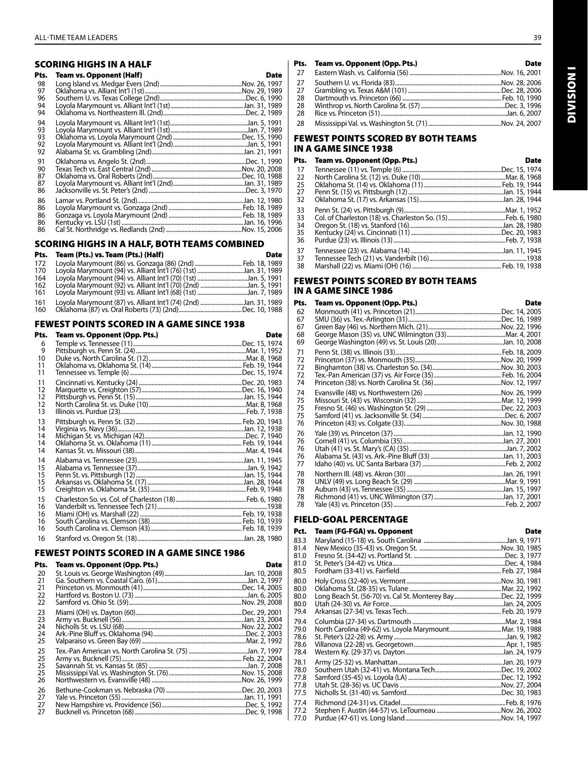## SCORING HIGHS IN A HALF

| Pts.                       | <b>Team vs. Opponent (Half)</b> | Date |
|----------------------------|---------------------------------|------|
| 98<br>97                   |                                 |      |
| 96<br>94<br>94             |                                 |      |
| 94<br>93<br>93<br>92<br>92 |                                 |      |
| 91<br>90<br>87<br>87<br>86 |                                 |      |
| 86<br>86<br>86<br>86<br>86 |                                 |      |

#### SCORING HIGHS IN A HALF, BOTH TEAMS COMBINED

| Pts. | Team (Pts.) vs. Team (Pts.) (Half)                               | <b>Date</b> |
|------|------------------------------------------------------------------|-------------|
| 172  |                                                                  |             |
| 170  | Loyola Marymount (94) vs. Alliant Int'l (76) (1st) Jan. 31, 1989 |             |
| 164  |                                                                  |             |
| 162  | Loyola Marymount (92) vs. Alliant Int'l (70) (2nd) Jan. 5, 1991  |             |
| 161  | Lovola Marymount (93) vs. Alliant Int'l (68) (1st) Jan. 7, 1989  |             |
| 161  | Loyola Marymount (87) vs. Alliant Int'l (74) (2nd) Jan. 31, 1989 |             |
| 160  |                                                                  |             |

#### FEWEST POINTS SCORED IN A GAME SINCE 1938

| Pts.                       | Team vs. Opponent (Opp. Pts.) | <b>Date</b> |
|----------------------------|-------------------------------|-------------|
| 6<br>9<br>10<br>11<br>11   |                               |             |
| 11<br>12<br>12<br>12<br>13 |                               |             |
| 13<br>14<br>14<br>14<br>14 |                               |             |
| 14<br>15<br>15<br>15<br>15 |                               |             |
| 15<br>16<br>16<br>16<br>16 |                               |             |
| 16                         |                               |             |

#### FEWEST POINTS SCORED IN A GAME SINCE 1986

| Pts.                       | Team vs. Opponent (Opp. Pts.) | Date |
|----------------------------|-------------------------------|------|
| 20<br>21<br>21             |                               |      |
| 22<br>22                   |                               |      |
| 23<br>23<br>24<br>24<br>25 |                               |      |
| 25<br>25<br>25<br>25<br>26 |                               |      |
| 26<br>27<br>27<br>27       |                               |      |

|     | Pts. Team vs. Opponent (Opp. Pts.) | <b>Date</b> |
|-----|------------------------------------|-------------|
| 27  |                                    |             |
| 27  |                                    |             |
| 27  |                                    |             |
| -28 |                                    |             |
| -28 |                                    |             |
| -28 |                                    |             |
| -28 |                                    |             |

#### FEWEST POINTS SCORED BY BOTH TEAMS IN A GAME SINCE 1938

| Pts. | Team vs. Opponent (Opp. Pts.) | <b>Date</b> |
|------|-------------------------------|-------------|
| -17  |                               |             |
| 22   |                               |             |
| 25   |                               |             |
| 27   |                               |             |
| 32   |                               |             |
| 33   |                               |             |
| 33   |                               |             |
| 34   |                               |             |
| 35   |                               |             |
| 36   |                               |             |
| 37   |                               |             |
| 37   |                               |             |
| 38   |                               |             |

#### FEWEST POINTS SCORED BY BOTH TEAMS IN A GAME SINCE 1986

| Pts.                       | Team vs. Opponent (Opp. Pts.) | Date |
|----------------------------|-------------------------------|------|
| 62<br>67<br>67<br>68<br>69 |                               |      |
| 71<br>72<br>72<br>72<br>74 |                               |      |
| 74<br>75<br>75<br>75<br>76 |                               |      |
| 76<br>76<br>76<br>76<br>77 |                               |      |
| 78<br>78<br>78<br>78<br>78 |                               |      |

### FIELD-GOAL PERCENTAGE

#### Pct. Team (FG-FGA) vs. Opponent Date

| 83.3<br>81.4<br>81.0<br>81.0<br>80.5 |                                                              |  |
|--------------------------------------|--------------------------------------------------------------|--|
| 80.0<br>80.0<br>80.0<br>80.0<br>79.4 | Long Beach St. (56-70) vs. Cal St. Monterey BayDec. 22, 1999 |  |
| 79.4<br>79.0<br>78.6<br>78.6<br>78.4 |                                                              |  |
| 78.1<br>78.0<br>77.8<br>77.8<br>77.5 |                                                              |  |
| 77.4<br>77.2<br>77.0                 |                                                              |  |

**INOISIMI** Division I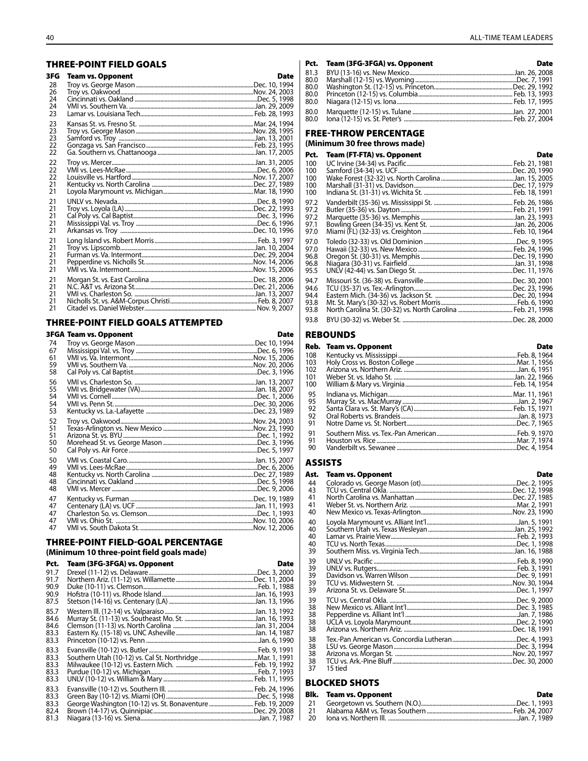#### **THREE-POINT FIELD GOALS**

| 3FG                        | <b>Team vs. Opponent</b> | Date |
|----------------------------|--------------------------|------|
| 28<br>26<br>24<br>24<br>23 |                          |      |
| 23<br>23<br>23<br>22<br>22 |                          |      |
| 22<br>22<br>22<br>21<br>21 |                          |      |
| 21<br>21<br>21<br>21<br>21 |                          |      |
| 21<br>21<br>21<br>21<br>21 |                          |      |
| 21<br>21<br>21<br>21<br>21 |                          |      |

#### THREE-POINT FIELD GOALS ATTEMPTED

|                            | <b>3FGA Team vs. Opponent</b>                                  | Date |
|----------------------------|----------------------------------------------------------------|------|
| 74<br>67<br>61<br>59<br>58 |                                                                |      |
| 56<br>55<br>54<br>54<br>53 |                                                                |      |
| 52<br>51<br>51<br>50<br>50 |                                                                |      |
| 50<br>49<br>48<br>48<br>48 |                                                                |      |
| 47<br>47<br>47<br>47<br>47 | VMI vs. Ohio St. ……………………………………………………………………………………Nov. 10, 2006 |      |

#### **THREE-POINT FIELD-GOAL PERCENTAGE** (Minimum 10 three-point field goals made)

#### Prt. Team (3FG-3FGA) vs. Opponent

| Pct.                                 | <b>Team (3FG-3FGA) vs. Opponent</b>                          | Date |
|--------------------------------------|--------------------------------------------------------------|------|
| 91.7<br>91.7<br>90.9                 |                                                              |      |
| 90.9<br>87.5                         |                                                              |      |
| 85.7<br>84.6<br>84.6<br>83.3<br>83.3 |                                                              |      |
| 83.3<br>83.3<br>83.3<br>83.3<br>83.3 |                                                              |      |
| 83.3<br>83.3<br>83.3<br>82.4<br>81.3 | George Washington (10-12) vs. St. Bonaventure  Feb. 19, 2009 |      |

| <b>Date</b>                       |
|-----------------------------------|
|                                   |
|                                   |
|                                   |
|                                   |
|                                   |
|                                   |
| Pct. Team (3FG-3FGA) vs. Opponent |

## **FREE-THROW PERCENTAGE**

(Minimum 30 free throws made)

| Pct.                                 | Team (FT-FTA) vs. Opponent | <b>Date</b> |
|--------------------------------------|----------------------------|-------------|
| 100<br>100                           |                            |             |
| 100<br>100<br>100                    |                            |             |
| 97.2<br>97.2<br>97.2<br>97.1<br>97.0 |                            |             |
| 97.0<br>97.0<br>96.8<br>96.8<br>95.5 |                            |             |
| 94.7<br>94.6<br>94.4<br>93.8<br>93.8 |                            |             |
| 93.8                                 |                            |             |

#### **REBOUNDS**

|     | Reb. Team vs. Opponent | Date |
|-----|------------------------|------|
| 108 |                        |      |
| 103 |                        |      |
| 102 |                        |      |
| 101 |                        |      |
| 100 |                        |      |
| 95  |                        |      |
| 95  |                        |      |
| 92  |                        |      |
| 92  |                        |      |
| 91  |                        |      |
| 91  |                        |      |
| 91  |                        |      |
| 90  |                        |      |

#### **ASSISTS**

| Ast.                       | <b>Team vs. Opponent</b> | Date |
|----------------------------|--------------------------|------|
| 44<br>43                   |                          |      |
| 41<br>41<br>40             |                          |      |
| 40<br>40<br>40<br>40<br>39 |                          |      |
| 39<br>39<br>39<br>39<br>39 |                          |      |
| 39<br>38<br>38<br>38<br>38 |                          |      |
| 38<br>38<br>38<br>38<br>37 | 15 tied                  |      |

#### **BLOCKED SHOTS**

|    | <b>Blk.</b> Team vs. Opponent | Date |
|----|-------------------------------|------|
| 21 |                               |      |
| 21 |                               |      |
| 20 |                               |      |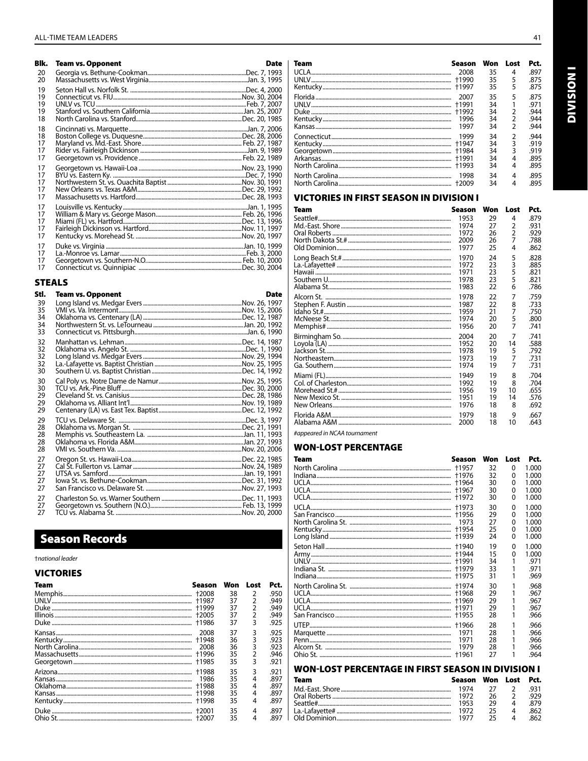| Blk.                       | <b>Team vs. Opponent</b> | <b>Date</b> |
|----------------------------|--------------------------|-------------|
| 20<br>20                   |                          |             |
| 19<br>19<br>19<br>19<br>18 |                          |             |
| 18<br>18<br>17<br>17<br>17 |                          |             |
| 17<br>17<br>17<br>17<br>17 |                          |             |
| 17<br>17<br>17<br>17<br>17 |                          |             |
| 17<br>17<br>17<br>17       |                          |             |

#### **STEALS**

| Stl.     | <b>Team vs. Opponent</b> | <b>Date</b> |
|----------|--------------------------|-------------|
| 39       |                          |             |
| 35       |                          |             |
| 34       |                          |             |
| 34       |                          |             |
| 33       |                          |             |
| 32       |                          |             |
| 32       |                          |             |
| 32<br>32 |                          |             |
| 30       |                          |             |
|          |                          |             |
| 30<br>30 |                          |             |
| 29       |                          |             |
| 29       |                          |             |
| 29       |                          |             |
| 29       |                          |             |
| 28       |                          |             |
| 28       |                          |             |
| 28       |                          |             |
| 28       |                          |             |
| 27       |                          |             |
| 27       |                          |             |
| 27       |                          |             |
| 27       |                          |             |
| 27       |                          |             |
| 27       |                          |             |
| 27       |                          |             |
| 27       |                          |             |

## **Season Records**

### tnational leader

#### **VICTORIES**

| Team | Season  | Won | Lost           | Pct. |
|------|---------|-----|----------------|------|
|      |         | 38  | 2              | .950 |
|      |         | 37  | $\overline{2}$ | .949 |
|      |         | 37  | 2              | .949 |
|      |         | 37  | 2              | .949 |
|      | +1986   | 37  | 3              | .925 |
|      | 2008    | 37  | 3              | .925 |
|      | +1948   | 36  | 3              | .923 |
|      | 2008    | 36  | 3              | .923 |
|      |         | 35  | 2              | .946 |
|      |         | 35  | 3              | .921 |
|      | +1988   | 35  | 3              | .921 |
|      | 1986    | 35  | 4              | .897 |
|      | +1988   | 35  | 4              | .897 |
|      |         | 35  | 4              | .897 |
|      |         | 35  | 4              | .897 |
|      | $+2001$ | 35  | 4              | .897 |
|      |         | 35  | 4              | .897 |

| Team  | Season | Won | Lost           | Pct. |
|-------|--------|-----|----------------|------|
| UCLA. | 2008   | 35  | 4              | .897 |
|       | +1990  | 35  | 5              | .875 |
|       |        | 35  | 5              | .875 |
|       | 2007   | 35  | 5              | .875 |
|       | +1991  | 34  |                | .971 |
|       | +1992  | 34  | 2              | .944 |
|       | 1996   | 34  | $\overline{2}$ | .944 |
|       | 1997   | 34  | $\mathfrak{p}$ | .944 |
|       | 1999   | 34  | 2              | .944 |
|       | +1947  | 34  | 3              | .919 |
|       |        | 34  | 3              | .919 |
|       |        | 34  | 4              | .895 |
|       |        | 34  | 4              | .895 |
|       | 1998   | 34  | 4              | .895 |
|       |        | 34  | 4              | .895 |

### **VICTORIES IN FIRST SEASON IN DIVISION I**

| Team     | Season | Won | Lost           | Pct. |
|----------|--------|-----|----------------|------|
| Seattle# | 1953   | 29  | 4              | .879 |
|          | 1974   | 27  | 2              | .931 |
|          | 1972   | 26  | $\overline{2}$ | .929 |
|          | 2009   | 26  | 7              | .788 |
|          | 1977   | 25  | 4              | .862 |
|          | 1970   | 24  | 5              | .828 |
|          | 1972   | 23  | 3              | .885 |
|          | 1971   | 23  | 5              | .821 |
|          | 1978   | 23  | 5              | .821 |
|          | 1983   | 22  | 6              | .786 |
|          | 1978   | 22  | 7              | .759 |
|          | 1987   | 22  | 8              | .733 |
|          | 1959   | 21  | 7              | .750 |
|          | 1974   | 20  | 5              | .800 |
|          | 1956   | 20  | 7              | .741 |
|          | 2004   | 20  | 7              | .741 |
|          | 1952   | 20  | 14             | .588 |
|          | 1978   | 19  | 5              | .792 |
|          | 1973   | 19  | 7              | .731 |
|          | 1974   | 19  | 7              | .731 |
|          | 1949   | 19  | 8              | .704 |
|          | 1992   | 19  | 8              | .704 |
|          | 1956   | 19  | 10             | .655 |
|          | 1951   | 19  | 14             | .576 |
|          | 1976   | 18  | 8              | .692 |
|          | 1979   | 18  | 9              | .667 |
|          | 2000   | 18  | 10             | .643 |
|          |        |     |                |      |

#appeared in NCAA tournament

#### **WON-LOST PERCENTAGE**

| Team   | Season                                 | Won                        | Lost                  | Pct.                                      |
|--------|----------------------------------------|----------------------------|-----------------------|-------------------------------------------|
|        | +1957                                  | 32<br>32<br>30             | 0<br>0<br>0           | 1.000<br>1.000<br>1.000                   |
|        | +1972                                  | 30<br>30                   | 0<br>0                | 1.000<br>1.000                            |
| LICI A | +1973<br>1973<br>+1954<br>+1939        | 30<br>29<br>27<br>25<br>24 | 0<br>0<br>0<br>0<br>0 | 1.000<br>1.000<br>1.000<br>1.000<br>1.000 |
|        | +1940<br>+1944<br>+1975                | 19<br>15<br>34<br>33<br>31 | 0<br>0<br>1<br>1      | 1.000<br>1.000<br>.971<br>.971<br>.969    |
|        | +1974<br>+1968<br>+1955                | 30<br>29<br>29<br>29<br>28 | 1<br>1<br>1<br>1      | .968<br>.967<br>.967<br>.967<br>.966      |
|        | +1966<br>1971<br>1971<br>1979<br>+1961 | 28<br>28<br>28<br>28<br>27 | 1<br>1<br>1           | .966<br>.966<br>.966<br>.966<br>.964      |

### **WON-LOST PERCENTAGE IN FIRST SEASON IN DIVISION I**

| Team | Season Won Lost Pct. |           |                |      |
|------|----------------------|-----------|----------------|------|
|      | 1974                 | $27 \t 2$ |                | -931 |
|      | 1972                 | 26        | $\overline{2}$ | 979  |
|      | 1953                 | 29        | Δ              | .879 |
|      | 1972                 | 25        | Δ              | 862. |
|      | 1977                 | つち        | Δ              | 862  |

**INOISIAID**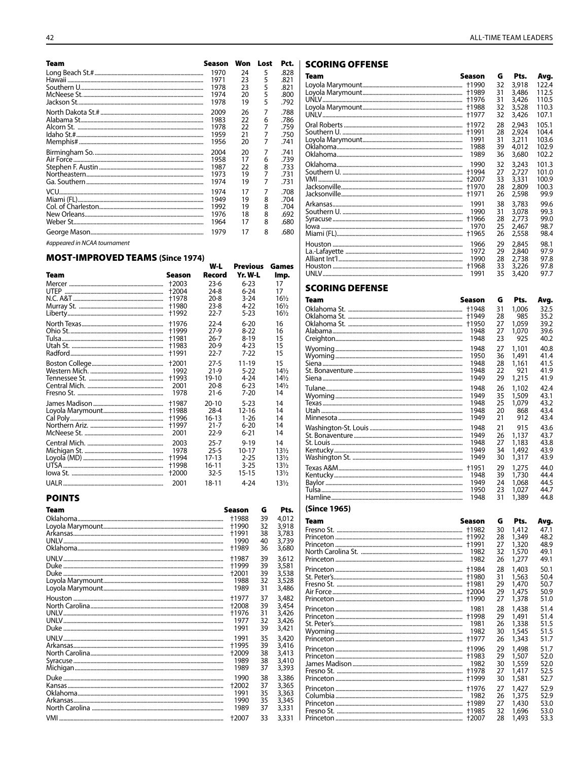| Team | Season | Won | Lost | Pct. |
|------|--------|-----|------|------|
|      | 1970   | 24  | 5    | .828 |
|      | 1971   | 23  | 5    | .821 |
|      | 1978   | 23  | 5    | .821 |
|      | 1974   | 20  | 5    | .800 |
|      | 1978   | 19  | 5    | .792 |
|      | 2009   | 26  | 7    | .788 |
|      | 1983   | 22  | 6    | .786 |
|      | 1978   | 22  | 7    | .759 |
|      | 1959   | 21  | 7    | .750 |
|      | 1956   | 20  | 7    | .741 |
|      | 2004   | 20  | 7    | .741 |
|      | 1958   | 17  | 6    | .739 |
|      | 1987   | 22  | 8    | .733 |
|      | 1973   | 19  |      | .731 |
|      | 1974   | 19  | 7    | .731 |
|      | 1974   | 17  | 7    | .708 |
|      | 1949   | 19  | 8    | .704 |
|      | 1992   | 19  | 8    | .704 |
|      | 1976   | 18  | 8    | .692 |
|      | 1964   | 17  | 8    | .680 |
|      | 1979   | 17  | 8    | .680 |

#appeared in NCAA tournament

## MOST-IMPROVED TEAMS (Since 1974)

| ווען כאווען כאראבן דעם פער וויוו |        |           |                 |                 |
|----------------------------------|--------|-----------|-----------------|-----------------|
|                                  |        | W-L       | <b>Previous</b> | Games           |
| Team                             | Season | Record    | Yr. W-L         | Imp.            |
|                                  | +2003  | 23-6      | $6 - 23$        | 17              |
|                                  | +2004  | 24-8      | $6-24$          | 17              |
|                                  | +1978  | $20 - 8$  | $3-24$          | $16\frac{1}{2}$ |
|                                  | +1980  | $23 - 8$  | 4-22            | $16\frac{1}{2}$ |
|                                  | +1992  | 22-7      | 5-23            | $16\frac{1}{2}$ |
|                                  | +1976  | $22 - 4$  | $6 - 20$        | 16              |
|                                  | +1999  | $27-9$    | $8-22$          | 16              |
|                                  | +1981  | 26-7      | $8-19$          | 15              |
|                                  | +1983  | $20-9$    | 4-23            | 15              |
|                                  | +1991  | 22-7      | 7-22            | 15              |
|                                  | +2001  | $27-5$    | 11-19           | 15              |
|                                  | 1992   | $21-9$    | $5-22$          | $14\frac{1}{2}$ |
|                                  | +1993  | 19-10     | $4 - 24$        | $14\frac{1}{2}$ |
|                                  | 2001   | $20 - 8$  | $6 - 23$        | $14\frac{1}{2}$ |
|                                  | 1978   | $21 - 6$  | 7-20            | 14              |
|                                  | +1987  | $20 - 10$ | $5-23$          | 14              |
|                                  | +1988  | $28 - 4$  | $12 - 16$       | 14              |
|                                  | +1996  | 16-13     | 1-26            | 14              |
|                                  | +1997  | $21 - 7$  | $6 - 20$        | 14              |
|                                  | 2001   | $22-9$    | $6 - 21$        | 14              |
|                                  | 2003   | $25 - 7$  | $9 - 19$        | 14              |
|                                  | 1978   | $25 - 5$  | $10 - 17$       | $13\frac{1}{2}$ |
|                                  | +1994  | $17-13$   | $2 - 25$        | $13\frac{1}{2}$ |
|                                  | +1998  | 16-11     | $3 - 25$        | $13\frac{1}{2}$ |
|                                  | +2000  | $32-5$    | 15-15           | 13½             |
|                                  | 2001   | 18-11     | 4-24            | $13\frac{1}{2}$ |

#### **POINTS**

| Team | Season  | G  | Pts.  |
|------|---------|----|-------|
|      | +1988   | 39 | 4.012 |
|      | +1990   | 32 | 3,918 |
|      | +1991   | 38 | 3,783 |
|      | 1990    | 40 | 3,739 |
|      | +1989   | 36 | 3,680 |
|      | +1987   | 39 | 3,612 |
|      | +1999   | 39 | 3,581 |
|      | +2001   | 39 | 3.538 |
|      | 1988    | 32 | 3,528 |
|      | 1989    | 31 | 3,486 |
|      | +1977   | 37 | 3,482 |
|      | $+2008$ | 39 | 3.454 |
|      | +1976   | 31 | 3,426 |
|      | 1977    | 32 | 3,426 |
|      | 1991    | 39 | 3,421 |
|      | 1991    | 35 | 3,420 |
|      | +1995   | 39 | 3,416 |
|      | +2009   | 38 | 3,413 |
|      | 1989    | 38 | 3.410 |
|      | 1989    | 37 | 3,393 |
|      | 1990    | 38 | 3,386 |
|      | +2002   | 37 | 3,365 |
|      | 1991    | 35 | 3,363 |
|      | 1990    | 35 | 3.345 |
|      | 1989    | 37 | 3,331 |
|      | +2007   | 33 | 3.331 |

### SCORING OFFENSE

| Team | Season | G  | Pts.  | Avg.  |
|------|--------|----|-------|-------|
|      | +1990  | 32 | 3,918 | 122.4 |
|      | +1989  | 31 | 3,486 | 112.5 |
|      | +1976  | 31 | 3,426 | 110.5 |
|      | +1988  | 32 | 3,528 | 110.3 |
|      | +1977  | 32 | 3,426 | 107.1 |
|      | +1972  | 28 | 2,943 | 105.1 |
|      | +1991  | 28 | 2,924 | 104.4 |
|      | 1991   | 31 | 3,211 | 103.6 |
|      | 1988   | 39 | 4,012 | 102.9 |
|      | 1989   | 36 | 3,680 | 102.2 |
|      | 1990   | 32 | 3,243 | 101.3 |
|      | +1994  | 27 | 2.727 | 101.0 |
|      | +2007  | 33 | 3,331 | 100.9 |
|      | +1970  | 28 | 2,809 | 100.3 |
|      | +1971  | 26 | 2,598 | 99.9  |
|      | 1991   | 38 | 3,783 | 99.6  |
|      | 1990   | 31 | 3,078 | 99.3  |
|      | †1966  | 28 | 2.773 | 99.0  |
|      | 1970   | 25 | 2,467 | 98.7  |
|      | +1965  | 26 | 2,558 | 98.4  |
|      | 1966   | 29 | 2,845 | 98.1  |
|      | 1972   | 29 | 2,840 | 97.9  |
|      | 1990   | 28 | 2,738 | 97.8  |
|      | †1968  | 33 | 3,226 | 97.8  |
|      | 1991   | 35 | 3,420 | 97.7  |

#### **SCORING DEFENSE**

| Team | Season | G  | Pts.  | Avg. |
|------|--------|----|-------|------|
|      | +1948  | 31 | 1,006 | 32.5 |
|      | +1949  | 28 | 985   | 35.2 |
|      | +1950  | 27 | 1,059 | 39.2 |
|      | 1948   | 27 | 1.070 | 39.6 |
|      | 1948   | 23 | 925   | 40.2 |
|      | 1948   | 27 | 1,101 | 40.8 |
|      | 1950   | 36 | 1.491 | 41.4 |
|      | 1948   | 28 | 1,161 | 41.5 |
|      | 1948   | 22 | 921   | 41.9 |
|      | 1949   | 29 | 1,215 | 41.9 |
|      | 1948   | 26 | 1,102 | 42.4 |
|      | 1949   | 35 | 1,509 | 43.1 |
|      | 1948   | 25 | 1.079 | 43.2 |
|      | 1948   | 20 | 868   | 43.4 |
|      | 1949   | 21 | 912   | 43.4 |
|      | 1948   | 21 | 915   | 43.6 |
|      | 1949   | 26 | 1,137 | 43.7 |
|      | 1948   | 27 | 1,183 | 43.8 |
|      | 1949   | 34 | 1,492 | 43.9 |
|      | 1949   | 30 | 1,317 | 43.9 |
|      | +1951  | 29 | 1,275 | 44.0 |
|      | 1948   | 39 | 1,730 | 44.4 |
|      | 1949   | 24 | 1.068 | 44.5 |
|      | 1950   | 23 | 1.027 | 44.7 |
|      | 1948   | 31 | 1,389 | 44.8 |

#### (Since 1965)

| Team | Season | G  | Pts.  | Avg. |
|------|--------|----|-------|------|
|      | +1982  | 30 | 1,412 | 47.1 |
|      | +1992  | 28 | 1,349 | 48.2 |
|      | +1991  | 27 | 1,320 | 48.9 |
|      | 1982   | 32 | 1,570 | 49.1 |
|      | 1982   | 26 | 1,277 | 49.1 |
|      | +1984  | 28 | 1,403 | 50.1 |
|      | +1980  | 31 | 1,563 | 50.4 |
|      | +1981  | 29 | 1,470 | 50.7 |
|      | +2004  | 29 | 1.475 | 50.9 |
|      | +1990  | 27 | 1,378 | 51.0 |
|      | 1981   | 28 | 1,438 | 51.4 |
|      | +1998  | 29 | 1,491 | 51.4 |
|      | 1981   | 26 | 1,338 | 51.5 |
|      | 1982   | 30 | 1,545 | 51.5 |
|      | +1977  | 26 | 1,343 | 51.7 |
|      | +1996  | 29 | 1,498 | 51.7 |
|      | +1983  | 29 | 1,507 | 52.0 |
|      | 1982   | 30 | 1,559 | 52.0 |
|      | +1978  | 27 | 1.417 | 52.5 |
|      | +1999  | 30 | 1,581 | 52.7 |
|      | +1976  | 27 | 1,427 | 52.9 |
|      | 1982   | 26 | 1,375 | 52.9 |
|      | +1989  | 27 | 1,430 | 53.0 |
|      | +1985  | 32 | 1,696 | 53.0 |
|      | +2007  | 28 | 1,493 | 53.3 |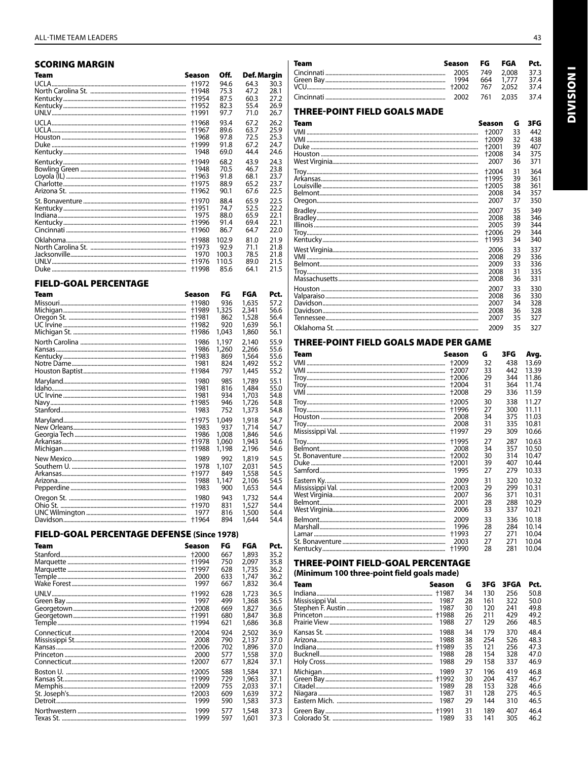| SCORING MARGIN |                                  |                              |                              |                              |
|----------------|----------------------------------|------------------------------|------------------------------|------------------------------|
| Team           | Season                           | Off.                         | Def. Margin                  |                              |
| UCLA.          | +1972<br>+1948<br>+1954<br>+1952 | 94.6<br>75.3<br>87.5<br>82.3 | 64.3<br>47.2<br>60.3<br>55.4 | 30.3<br>28.1<br>27.2<br>26.9 |
|                | +1991                            | 97.7                         | 71.0                         | 26.7                         |
|                | +1968                            | 93.4                         | 67.2                         | 26.2                         |
|                | +1967                            | 89.6                         | 63.7                         | 25.9                         |
|                | 1968                             | 97.8                         | 72.5                         | 25.3                         |
|                | +1999                            | 91.8                         | 67.2                         | 24.7                         |
|                | 1948                             | 69.0                         | 44.4                         | 24.6                         |
|                | +1949                            | 68.2                         | 43.9                         | 24.3                         |
|                | 1948                             | 70.5                         | 46.7                         | 23.8                         |
|                | +1963                            | 91.8                         | 68.1                         | 23.7                         |
|                | +1975                            | 88.9                         | 65.2                         | 23.7                         |
|                | +1962                            | 90.1                         | 67.6                         | 22.5                         |
|                | +1970                            | 88.4                         | 65.9                         | 22.5                         |
|                | +1951                            | 74.7                         | 52.5                         | 22.2                         |
|                | 1975                             | 88.0                         | 65.9                         | 22.1                         |
|                | +1996                            | 91.4                         | 69.4                         | 22.1                         |
|                | +1960                            | 86.7                         | 64.7                         | 22.0                         |
|                | +1988                            | 102.9                        | 81.0                         | 21.9                         |
|                | +1973                            | 92.9                         | 71.1                         | 21.8                         |
|                | 1970                             | 100.3                        | 78.5                         | 21.8                         |
|                | †1976                            | 110.5                        | 89.0                         | 21.5                         |
|                | +1998                            | 85.6                         | 64.1                         | 21.5                         |

#### **FIELD-GOAL PERCENTAGE**

| Team | Season | FG    | FGA   | Pct. |
|------|--------|-------|-------|------|
|      | +1980  | 936   | 1,635 | 57.2 |
|      | +1989  | 1,325 | 2,341 | 56.6 |
|      | +1981  | 862   | 1,528 | 56.4 |
|      | +1982  | 920   | 1,639 | 56.1 |
|      | +1986  | 1.043 | 1,860 | 56.1 |
|      | 1986   | 1,197 | 2,140 | 55.9 |
|      | 1986   | 1,260 | 2.266 | 55.6 |
|      | †1983  | 869   | 1,564 | 55.6 |
|      | 1981   | 824   | 1,492 | 55.2 |
|      | +1984  | 797   | 1,445 | 55.2 |
|      | 1980   | 985   | 1,789 | 55.1 |
|      | 1981   | 816   | 1,484 | 55.0 |
|      | 1981   | 934   | 1,703 | 54.8 |
|      | +1985  | 946   | 1,726 | 54.8 |
|      | 1983   | 752   | 1,373 | 54.8 |
|      | +1975  | 1,049 | 1,918 | 54.7 |
|      | 1983   | 937   | 1,714 | 54.7 |
|      | 1986   | 1,008 | 1,846 | 54.6 |
|      | +1978  | 1,060 | 1,943 | 54.6 |
|      | +1988  | 1,198 | 2.196 | 54.6 |
|      | 1989   | 992   | 1,819 | 54.5 |
|      | 1978   | 1,107 | 2.031 | 54.5 |
|      | +1977  | 849   | 1,558 | 54.5 |
|      | 1988   | 1.147 | 2.106 | 54.5 |
|      | 1983   | 900   | 1,653 | 54.4 |
|      | 1980   | 943   | 1,732 | 54.4 |
|      | +1970  | 831   | 1,527 | 54.4 |
|      | 1977   | 816   | 1,500 | 54.4 |
|      | +1964  | 894   | 1.644 | 54.4 |

### FIELD-GOAL PERCENTAGE DEFENSE (Since 1978)

| Team | Season | FG  | FGA   | Pct. |
|------|--------|-----|-------|------|
|      | +2000  | 667 | 1,893 | 35.2 |
|      | +1994  | 750 | 2.097 | 35.8 |
|      | +1997  | 628 | 1,735 | 36.2 |
|      | 2000   | 633 | 1.747 | 36.2 |
|      | 1997   | 667 | 1,832 | 36.4 |
|      | +1992  | 628 | 1,723 | 36.5 |
|      | 1997   | 499 | 1,368 | 36.5 |
|      | +2008  | 669 | 1,827 | 36.6 |
|      | +1991  | 680 | 1,847 | 36.8 |
|      | †1994  | 621 | 1,686 | 36.8 |
|      | +2004  | 924 | 2,502 | 36.9 |
|      | 2008   | 790 | 2.137 | 37.0 |
|      | +2006  | 702 | 1,896 | 37.0 |
|      | 2000   | 577 | 1,558 | 37.0 |
|      | +2007  | 677 | 1,824 | 37.1 |
|      | +2005  | 588 | 1,584 | 37.1 |
|      | +1999  | 729 | 1,963 | 37.1 |
|      | +2009  | 755 | 2.033 | 37.1 |
|      | +2003  | 609 | 1,639 | 37.2 |
|      | 1999   | 590 | 1,583 | 37.3 |
|      |        |     |       |      |
|      | 1999   | 577 | 1,548 | 37.3 |
|      | 1999   | 597 | 1,601 | 37.3 |

| <b>Team</b> | Season FG FGA |                | Pct. |
|-------------|---------------|----------------|------|
|             |               |                |      |
|             |               | 664 1.777 37.4 |      |
|             |               |                |      |
|             |               |                |      |

### **THREE-POINT FIELD GOALS MADE**

| Team | Season  | G  | 3FG             |
|------|---------|----|-----------------|
|      | +2007   | 33 | 442             |
|      | $+2009$ | 32 | 438             |
|      | +2001   | 39 | 407             |
|      | +2008   | 34 | 375             |
|      | 2007    | 36 | 371             |
|      | +2004   | 31 | 364             |
|      | +1995   | 39 | 361             |
|      | +2005   | 38 | 361             |
|      | 2008    | 34 | 357             |
|      | 2007    | 37 | 35C             |
|      | 2007    | 35 | 34 <sup>c</sup> |
|      | 2008    | 38 | 346             |
|      | 2005    | 39 | 344             |
|      | +2006   | 29 | 344             |
|      | †1993   | 34 | 340             |
|      | 2006    | 33 | 337             |
|      | 2008    | 29 | 336             |
|      | 2009    | 33 | 336             |
|      | 2008    | 31 | 335             |
|      | 2008    | 36 | 331             |
|      | 2007    | 33 | 330             |
|      | 2008    | 36 | 33C             |
|      | 2007    | 34 | 328             |
|      | 2008    | 36 | 328             |
|      | 2007    | 35 | 327             |
|      | 2009    | 35 | 327             |
|      |         |    |                 |

#### THREE-POINT FIELD GOALS MADE PER GAME

| Team                 | Season       | G        | 3FG        | Avg.           |
|----------------------|--------------|----------|------------|----------------|
|                      | +2009        | 32       | 438        | 13.69          |
|                      | +2007        | 33       | 442        | 13.39          |
|                      | +2006        | 29       | 344        | 11.86          |
|                      | +2004        | 31       | 364        | 11.74          |
|                      | +2008        | 29       | 336        | 11.59          |
|                      | +2005        | 30       | 338        | 11.27          |
|                      | +1996        | 27       | 300        | 11.11          |
|                      | 2008<br>2008 | 34<br>31 | 375<br>335 | 11.03<br>10.81 |
|                      | †1997        | 29       | 309        | 10.66          |
|                      | +1995        | 27       | 287        | 10.63          |
|                      | 2008         | 34       | 357        | 10.50          |
|                      | +2002        | 30       | 314        | 10.47          |
|                      | +2001        | 39       | 407        | 10.44          |
|                      | 1995         | 27       | 279        | 10.33          |
|                      | 2009         | 31       | 320        | 10.32          |
|                      | +2003        | 29       | 299        | 10.31          |
|                      | 2007         | 36       | 371        | 10.31          |
|                      | 2001         | 28       | 288        | 10.29          |
|                      | 2006         | 33       | 337        | 10.21          |
|                      | 2009         | 33       | 336        | 10.18          |
|                      | 1996         | 28       | 284        | 10.14          |
|                      | +1993        | 27       | 271        | 10.04          |
|                      | 2003         | 27       | 271        | 10.04          |
| $\mathsf{K}$ ontucky | +1ດດ∩        | າ໑       | 701        | 1001           |

#### THREE-POINT FIELD-GOAL PERCENTAGE

(Minimum 100 three-point field goals made)

| Team | Season                                        | G                                      | 3FG                                           | 3FGA                                          | Pct.                                                 |
|------|-----------------------------------------------|----------------------------------------|-----------------------------------------------|-----------------------------------------------|------------------------------------------------------|
|      | +1987                                         | 34                                     | 130                                           | 256                                           | 50.8                                                 |
|      | 1987                                          | 28                                     | 161                                           | 322                                           | 50.0                                                 |
|      | 1987                                          | 30                                     | 120                                           | 241                                           | 49.8                                                 |
|      | +1988                                         | 26                                     | 211                                           | 429                                           | 49.2                                                 |
|      | 1988                                          | 27                                     | 129                                           | 266                                           | 48.5                                                 |
|      | 1988                                          | 34                                     | 179                                           | 370                                           | 48.4                                                 |
|      | 1988                                          | 38                                     | 254                                           | 526                                           | 48.3                                                 |
|      | +1989                                         | 35                                     | 121                                           | 256                                           | 47.3                                                 |
|      | 1988                                          | 28                                     | 154                                           | 328                                           | 47.0                                                 |
|      | 1988                                          | 29                                     | 158                                           | 337                                           | 46.9                                                 |
|      | 1989<br>+1992<br>1989<br>1987<br>1987<br>1989 | 37<br>30<br>28<br>31<br>29<br>31<br>33 | 196<br>204<br>153<br>128<br>144<br>189<br>141 | 419<br>437<br>328<br>275<br>310<br>407<br>305 | 46.8<br>46.7<br>46.6<br>46.5<br>46.5<br>46.4<br>46.2 |

**INOISIME**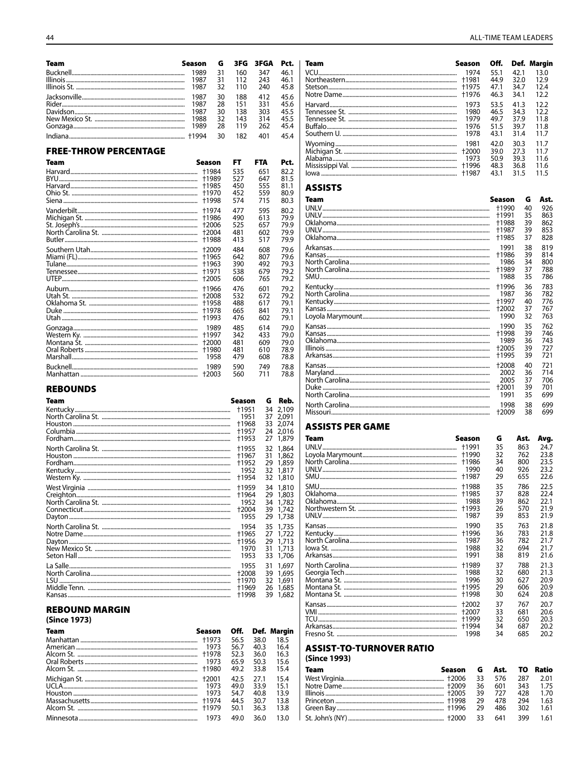| Team | Season | G  |     | 3FG 3FGA | Pct. |
|------|--------|----|-----|----------|------|
|      | 1989   | 31 | 160 | 347      | 46.1 |
|      | 1987   | 31 | 112 | 243      | 46.1 |
|      | 1987   | 32 | 110 | 240      | 45.8 |
|      | 1987   | 30 | 188 | 412      | 45.6 |
|      | 1987   | 28 | 151 | 331      | 45.6 |
|      | 1987   | 30 | 138 | 303      | 45.5 |
|      | 1988   | 32 | 143 | 314      | 45.5 |
|      | 1989   | 28 | 119 | 262      | 45.4 |
|      |        | 30 | 182 | 401      | 454  |

#### **FREE-THROW PERCENTAGE**

| Team | Season  | FT  | <b>FTA</b> | Pct. |
|------|---------|-----|------------|------|
|      | +1984   | 535 | 651        | 82.2 |
|      | +1989   | 527 | 647        | 81.5 |
|      | +1985   | 450 | 555        | 81.1 |
|      | +1970   | 452 | 559        | 80.9 |
|      | +1998   | 574 | 715        | 80.3 |
|      | +1974   | 477 | 595        | 80.2 |
|      | +1986   | 490 | 613        | 79.9 |
|      | +2006   | 525 | 657        | 79.9 |
|      | +2004   | 481 | 602        | 79.9 |
|      | +1988   | 413 | 517        | 79.9 |
|      | $+2009$ | 484 | 608        | 79.6 |
|      | +1965   | 642 | 807        | 79.6 |
|      | +1963   | 390 | 492        | 79.3 |
|      | +1971   | 538 | 679        | 79.2 |
|      | +2005   | 606 | 765        | 79.2 |
|      | +1966   | 476 | 601        | 79.2 |
|      | +2008   | 532 | 672        | 79.2 |
|      | +1958   | 488 | 617        | 79.1 |
|      | +1978   | 665 | 841        | 79.1 |
|      | +1993   | 476 | 602        | 79.1 |
|      | 1989    | 485 | 614        | 79.0 |
|      | +1997   | 342 | 433        | 79.0 |
|      | +2000   | 481 | 609        | 79.0 |
|      | +1980   | 481 | 610        | 78.9 |
|      | 1958    | 479 | 608        | 78.8 |
|      | 1989    | 590 | 749        | 78.8 |
|      | +2003   | 560 | 711        | 78.8 |

#### **REBOUNDS**

| Team             | Season                                   | G                          | Reb.                                      |
|------------------|------------------------------------------|----------------------------|-------------------------------------------|
|                  | +1951                                    | 34                         | 2.109                                     |
|                  | 1951                                     | 37                         | 2.091                                     |
|                  | +1968                                    | 33                         | 2.074                                     |
|                  | +1957                                    | 24                         | 2.016                                     |
|                  | +1953                                    | 27                         | 1,879                                     |
|                  | +1955                                    | 32                         | 1,864                                     |
|                  | +1967                                    | 31                         | 1.862                                     |
|                  | +1952                                    | 29                         | 1,859                                     |
|                  | 1952                                     | 32                         | 1,817                                     |
|                  | +1954                                    | 32                         | 1,810                                     |
|                  | +1959                                    | 34                         | 1,810                                     |
|                  | +1964                                    | 29                         | 1,803                                     |
|                  | 1952                                     | 34                         | 1,782                                     |
|                  | +2004                                    | 39                         | 1,742                                     |
|                  | 1955                                     | 29                         | 1,738                                     |
|                  | 1954                                     | 35                         | 1,735                                     |
|                  | +1965                                    | 27                         | 1,722                                     |
|                  | +1956                                    | 29                         | 1,713                                     |
|                  | 1970                                     | 31                         | 1,713                                     |
|                  | 1953                                     | 33                         | 1,706                                     |
| La Salle<br>i su | 1955<br>+2008<br>+1970<br>+1969<br>+1998 | 31<br>39<br>32<br>26<br>39 | 1,697<br>1,695<br>1.691<br>1.685<br>1,682 |

#### **REBOUND MARGIN**

| (Since 1973) |         |      |      |             |
|--------------|---------|------|------|-------------|
| Team         | Season  | Off. |      | Def. Margin |
|              | +1973   | 56.5 | 38.0 | 18.5        |
|              | 1973    | 56.7 | 40.3 | 16.4        |
|              | +1978   | 52.3 | 36.0 | 16.3        |
|              | 1973    | 65.9 | 50.3 | 15.6        |
|              | +1980   | 49.2 | 33.8 | 15.4        |
|              | $+2001$ | 42.5 | 27.1 | 15.4        |
|              | 1973    | 49.0 | 33.9 | 15.1        |
|              | 1973    | 54.7 | 40.8 | 13.9        |
|              | +1974   | 44.5 | 30.7 | 13.8        |
|              | +1979   | 50.1 | 36.3 | 13.8        |
|              | 1973    | 49.0 | 36.0 | 13.0        |

| Team | Season | Off. |      | Def. Margin |
|------|--------|------|------|-------------|
|      | 1974   | 55.1 | 42.1 | 13.0        |
|      |        | 44.9 | 32.0 | 12.9        |
|      | +1975  | 47.1 | 34.7 | 12.4        |
|      |        | 46.3 | 34.1 | 12.2        |
|      | 1973   | 53.5 | 41.3 | 12.2        |
|      | 1980   | 46.5 | 34.3 | 12.2        |
|      | 1979   | 49.7 | 37.9 | 11.8        |
|      | 1976   | 51.5 | 39.7 | 11.8        |
|      | 1978   | 43.1 | 31.4 | 11.7        |
|      | 1981   | 42.0 | 30.3 | 11.7        |
|      | +2000  | 39.0 | 27.3 | 11.7        |
|      | 1973   | 50.9 | 39.3 | 11.6        |
|      | +1996  | 48.3 | 36.8 | 11.6        |
|      | +1987  | 43.1 | 31.5 | 11.5        |
|      |        |      |      |             |

#### **ASSISTS**

| Team | Season  | G  | Ast. |
|------|---------|----|------|
|      | +1990   | 40 | 926  |
|      | +1991   | 35 | 863  |
|      | +1988   | 39 | 862  |
|      | +1987   | 39 | 853  |
|      | +1985   | 37 | 828  |
|      | 1991    | 38 | 819  |
|      | +1986   | 39 | 814  |
|      | 1986    | 34 | 800  |
|      | +1989   | 37 | 788  |
|      | 1988    | 35 | 786  |
|      | +1996   | 36 | 783  |
|      | 1987    | 36 | 782  |
|      | +1997   | 40 | 776  |
|      | $+2002$ | 37 | 767  |
|      | 1990    | 32 | 763  |
|      | 1990    | 35 | 762  |
|      | +1998   | 39 | 746  |
|      | 1989    | 36 | 743  |
|      | +2005   | 39 | 727  |
|      | +1995   | 39 | 721  |
|      | $+2008$ | 40 | 721  |
|      | 2002    | 36 | 714  |
|      | 2005    | 37 | 706  |
|      | +2001   | 39 | 701  |
|      | 1991    | 35 | 699  |
|      | 1998    | 38 | 699  |
|      | +2009   | 38 | 699  |

#### **ASSISTS PER GAME**

| Team  | Season  | G  | Ast. | Avg. |
|-------|---------|----|------|------|
| UNIV. | +1991   | 35 | 863  | 24.7 |
|       | +1990   | 32 | 762  | 23.8 |
|       | +1986   | 34 | 800  | 23.5 |
|       | 1990    | 40 | 926  | 23.2 |
|       | +1987   | 29 | 655  | 22.6 |
|       | +1988   | 35 | 786  | 22.5 |
|       | +1985   | 37 | 828  | 22.4 |
|       | 1988    | 39 | 862  | 22.1 |
|       | +1993   | 26 | 570  | 21.9 |
|       | 1987    | 39 | 853  | 21.9 |
|       | 1990    | 35 | 763  | 21.8 |
|       | +1996   | 36 | 783  | 21.8 |
|       | 1987    | 36 | 782  | 21.7 |
|       | 1988    | 32 | 694  | 21.7 |
|       | 1991    | 38 | 819  | 21.6 |
|       | +1989   | 37 | 788  | 21.3 |
|       | 1988    | 32 | 680  | 21.3 |
|       | 1996    | 30 | 627  | 20.9 |
|       | +1995   | 29 | 606  | 20.9 |
|       | +1998   | 30 | 624  | 20.8 |
|       | $+2002$ | 37 | 767  | 20.7 |
|       | +2007   | 33 | 681  | 20.6 |
|       | +1999   | 32 | 650  | 20.3 |
|       | +1994   | 34 | 687  | 20.2 |
|       | 1998    | 34 | 685  | 20.2 |

#### **ASSIST-TO-TURNOVER RATIO**

(Since 1993)

| <b>Team</b> | Season G Ast. TO Ratio |      |        |       |          |
|-------------|------------------------|------|--------|-------|----------|
|             |                        | -33  | 576    | - 287 | 2.01     |
|             |                        |      | 36 601 |       | 343 1.75 |
|             |                        | -39  | 727    | 428   | 1.70     |
|             |                        | - 29 | 478    | 294   | 1.63     |
|             |                        |      | 486    | -302  | 1.61     |
|             |                        |      |        | - 399 | 1.61     |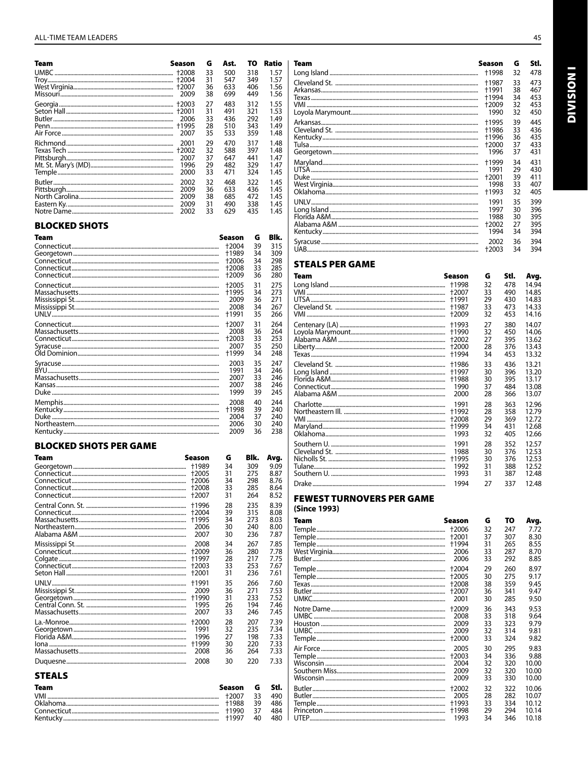| Team | Season                  | G                          | Ast.                            | то                              | Ratio                                |
|------|-------------------------|----------------------------|---------------------------------|---------------------------------|--------------------------------------|
|      |                         | 33                         | 500                             | 318                             | 1.57                                 |
|      | 2009                    | 31                         | 547                             | 349                             | 1.57                                 |
|      |                         | 36                         | 633                             | 406                             | 1.56                                 |
|      |                         | 38                         | 699                             | 449                             | 1.56                                 |
|      | $+2001$<br>2006<br>2007 | 27<br>31<br>33<br>28<br>35 | 483<br>491<br>436<br>510<br>533 | 312<br>321<br>292<br>343<br>359 | 1.55<br>1.53<br>1.49<br>1.49<br>1.48 |
|      | 2001                    | 29                         | 470                             | 317                             | 1.48                                 |
|      | +2002                   | 32                         | 588                             | 397                             | 1.48                                 |
|      | 2007                    | 37                         | 647                             | 441                             | 1.47                                 |
|      | 1996                    | 29                         | 482                             | 329                             | 1.47                                 |
|      | 2000                    | 33                         | 471                             | 324                             | 1.45                                 |
|      | 2002                    | 32                         | 468                             | 322                             | 1.45                                 |
|      | 2009                    | 36                         | 633                             | 436                             | 1.45                                 |
|      | 2009                    | 38                         | 685                             | 472                             | 1.45                                 |
|      | 2009                    | 31                         | 490                             | 338                             | 1.45                                 |
|      | 2002                    | 33                         | 629                             | 435                             | 1.45                                 |

#### **BLOCKED SHOTS**

| Team | Season | G  | Blk. |
|------|--------|----|------|
|      | +2004  | 39 | 315  |
|      | +1989  | 34 | 309  |
|      | +2006  | 34 | 298  |
|      | +2008  | 33 | 285  |
|      | +2009  | 36 | 280  |
|      | +2005  | 31 | 275  |
|      | +1995  | 34 | 273  |
|      | 2009   | 36 | 271  |
|      | 2008   | 34 | 267  |
|      | †1991  | 35 | 266  |
|      | +2007  | 31 | 264  |
|      | 2008   | 36 | 264  |
|      | +2003  | 33 | 253  |
|      | 2007   | 35 | 250  |
|      | †1999  | 34 | 248  |
|      | 2003   | 35 | 247  |
|      | 1991   | 34 | 246  |
|      | 2007   | 33 | 246  |
|      | 2007   | 38 | 246  |
|      | 1999   | 39 | 245  |
|      | 2008   | 40 | 244  |
|      | +1998  | 39 | 240  |
|      | 2004   | 37 | 240  |
|      | 2006   | 30 | 240  |
|      | 2009   | 36 | 238  |

#### **BLOCKED SHOTS PER GAME**

| Team          | Season | G  | Blk. | Avg. |
|---------------|--------|----|------|------|
|               | +1989  | 34 | 309  | 9.09 |
|               | +2005  | 31 | 275  | 8.87 |
|               | +2006  | 34 | 298  | 8.76 |
|               | +2008  | 33 | 285  | 8.64 |
|               | +2007  | 31 | 264  | 8.52 |
|               | +1996  | 28 | 235  | 8.39 |
|               | +2004  | 39 | 315  | 8.08 |
|               | +1995  | 34 | 273  | 8.03 |
|               | 2006   | 30 | 240  | 8.00 |
|               | 2007   | 30 | 236  | 7.87 |
|               | 2008   | 34 | 267  | 7.85 |
|               | +2009  | 36 | 280  | 7.78 |
|               | +1997  | 28 | 217  | 7.75 |
|               | +2003  | 33 | 253  | 7.67 |
|               | +2001  | 31 | 236  | 7.61 |
|               | +1991  | 35 | 266  | 7.60 |
|               | 2009   | 36 | 271  | 7.53 |
|               | +1990  | 31 | 233  | 7.52 |
|               | 1995   | 26 | 194  | 7.46 |
|               | 2007   | 33 | 246  | 7.45 |
|               | +2000  | 28 | 207  | 7.39 |
|               | 1991   | 32 | 235  | 7.34 |
|               | 1996   | 27 | 198  | 7.33 |
|               | +1999  | 30 | 220  | 7.33 |
|               | 2008   | 36 | 264  | 7.33 |
|               | 2008   | 30 | 220  | 7.33 |
| <b>STEALS</b> |        |    |      |      |

| <b>Team</b> | Season G Stl. |      |     |
|-------------|---------------|------|-----|
|             |               |      | 490 |
|             |               | - 39 | 486 |
|             |               |      | 484 |
|             |               | 40.  | 480 |

| <b>Team</b> | Season  | G  | Stl. |
|-------------|---------|----|------|
|             | +1998   | 32 | 478  |
|             | +1987   | 33 | 473  |
|             | +1991   | 38 | 467  |
|             | +1994   | 34 | 453  |
|             | +2009   | 32 | 453  |
|             | 1990    | 32 | 450  |
|             | +1995   | 39 | 445  |
|             | +1986   | 33 | 436  |
|             | +1996   | 36 | 435  |
|             | $+2000$ | 37 | 433  |
|             | 1996    | 37 | 431  |
|             | +1999   | 34 | 431  |
|             | 1991    | 29 | 430  |
|             | +2001   | 39 | 411  |
|             | 1998    | 33 | 407  |
|             | +1993   | 32 | 405  |
|             | 1991    | 35 | 399  |
|             | 1997    | 30 | 396  |
|             | 1988    | 30 | 395  |
|             | +2002   | 27 | 395  |
|             | 1994    | 34 | 394  |
|             | 2002    | 36 | 394  |
|             | +2003   | 34 | 394  |

#### **STEALS PER GAME**

| Team | Season | G  | Stl. | Avg.  |
|------|--------|----|------|-------|
|      | +1998  | 32 | 478  | 14.94 |
|      | +2007  | 33 | 490  | 14.85 |
|      | +1991  | 29 | 430  | 14.83 |
|      | +1987  | 33 | 473  | 14.33 |
|      | +2009  | 32 | 453  | 14.16 |
|      | +1993  | 27 | 380  | 14.07 |
|      | +1990  | 32 | 450  | 14.06 |
|      | +2002  | 27 | 395  | 13.62 |
|      | +2000  | 28 | 376  | 13.43 |
|      | +1994  | 34 | 453  | 13.32 |
|      | +1986  | 33 | 436  | 13.21 |
|      | +1997  | 30 | 396  | 13.20 |
|      | +1988  | 30 | 395  | 13.17 |
|      | 1990   | 37 | 484  | 13.08 |
|      | 2000   | 28 | 366  | 13.07 |
|      | 1991   | 28 | 363  | 12.96 |
|      | +1992  | 28 | 358  | 12.79 |
|      | +2008  | 29 | 369  | 12.72 |
|      | +1999  | 34 | 431  | 12.68 |
|      | 1993   | 32 | 405  | 12.66 |
|      | 1991   | 28 | 352  | 12.57 |
|      | 1988   | 30 | 376  | 12.53 |
|      | +1995  | 30 | 376  | 12.53 |
|      | 1992   | 31 | 388  | 12.52 |
|      | 1993   | 31 | 387  | 12.48 |
|      | 1994   | 27 | 337  | 12.48 |

# **FEWEST TURNOVERS PER GAME**<br>(Since 1993)

| Team | Season  | G  | то  | Avg.  |
|------|---------|----|-----|-------|
|      | +2006   | 32 | 247 | 7.72  |
|      | $+2001$ | 37 | 307 | 8.30  |
|      | +1994   | 31 | 265 | 8.55  |
|      | 2006    | 33 | 287 | 8.70  |
|      | 2006    | 33 | 292 | 8.85  |
|      | +2004   | 29 | 260 | 8.97  |
|      | +2005   | 30 | 275 | 9.17  |
|      | +2008   | 38 | 359 | 9.45  |
|      | +2007   | 36 | 341 | 9.47  |
|      | 2001    | 30 | 285 | 9.50  |
|      | +2009   | 36 | 343 | 9.53  |
|      | 2008    | 33 | 318 | 9.64  |
|      | 2009    | 33 | 323 | 9.79  |
|      | 2009    | 32 | 314 | 9.81  |
|      | +2000   | 33 | 324 | 9.82  |
|      | 2005    | 30 | 295 | 9.83  |
|      | +2003   | 34 | 336 | 9.88  |
|      | 2004    | 32 | 320 | 10.00 |
|      | 2009    | 32 | 320 | 10.00 |
|      | 2009    | 33 | 330 | 10.00 |
|      | +2002   | 32 | 322 | 10.06 |
|      | 2005    | 28 | 282 | 10.07 |
|      | +1993   | 33 | 334 | 10.12 |
|      | +1998   | 29 | 294 | 10.14 |
|      | 1993    | 34 | 346 | 10.18 |
|      |         |    |     |       |

**INOISIAID**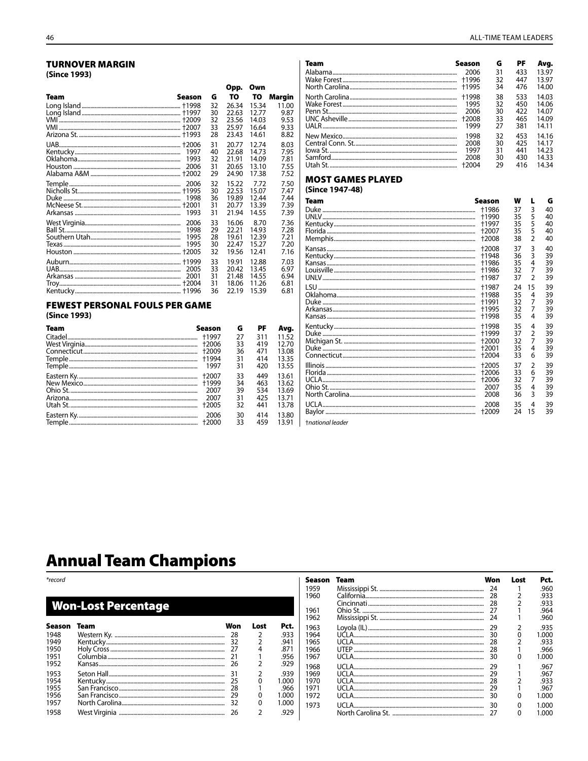#### **TURNOVER MARGIN** (Since 1993)

|                                                       |                      |                                 | Opp.                                            | Own                                             |                                                 |
|-------------------------------------------------------|----------------------|---------------------------------|-------------------------------------------------|-------------------------------------------------|-------------------------------------------------|
| Team                                                  | Season               | G<br>32<br>30<br>32<br>33<br>28 | TO<br>26.34<br>22.63<br>23.56<br>25.97<br>23.43 | TO<br>15.34<br>12.77<br>14.03<br>16.64<br>14.61 | Margin<br>11.00<br>9.87<br>9.53<br>9.33<br>8.82 |
|                                                       | 1993                 | 31<br>40<br>32<br>31<br>29      | 20.77<br>22.68<br>21.91<br>20.65<br>24.90       | 12.74<br>14.73<br>14.09<br>13.10<br>17.38       | 8.03<br>7.95<br>7.81<br>7.55<br>7.52            |
|                                                       | 2006<br>1998<br>1993 | 32<br>30<br>36<br>31<br>31      | 15.22<br>22.53<br>19.89<br>20.77<br>21.94       | 7.72<br>15.07<br>12.44<br>13.39<br>14.55        | 7.50<br>7.47<br>7.44<br><b>7.39</b><br>7.39     |
|                                                       | 1998<br>1995<br>1995 | 33<br>29<br>28<br>30<br>32      | 16.06<br>22.21<br>19.61<br>22.47<br>19.56       | 8.70<br>14.93<br>12.39<br>15.27<br>12.41        | 7.36<br>7.28<br>7.21<br>7.20<br>7.16            |
|                                                       | 2005                 | 33<br>33<br>31<br>31<br>36      | 19.91<br>20.42<br>21.48<br>18.06<br>22.19       | 12.88<br>13.45<br>14.55<br>11.26<br>15.39       | 7.03<br>6.97<br>6.94<br>6.81<br>6.81            |
| <b>FEWEST PERSONAL FOULS PER GAME</b><br>(Since 1993) |                      |                                 |                                                 |                                                 |                                                 |

| Team | Season  | G  | РF  | Avg.  |
|------|---------|----|-----|-------|
|      |         | 27 | 311 | 11.52 |
|      | +2006   | 33 | 419 | 12.70 |
|      | $+2009$ | 36 | 471 | 13.08 |
|      | +1994   | 31 | 414 | 13.35 |
|      | 1997    | 31 | 420 | 13.55 |
|      | +2007   | 33 | 449 | 13.61 |
|      |         | 34 | 463 | 13.62 |
|      | 2007    | 39 | 534 | 13.69 |
|      | 2007    | 31 | 425 | 13.71 |
|      | +2005   | 32 | 441 | 13.78 |
|      | 2006    | 30 | 414 | 13.80 |
|      | +2000   | 33 | 459 | 13.91 |

#### ALL-TIME TEAM LEADERS

| Team | Season  | G  | РF  | Avg.  |
|------|---------|----|-----|-------|
|      | 2006    | 31 | 433 | 13.97 |
|      | +1996   | 32 | 447 | 13.97 |
|      | +1995   | 34 | 476 | 14.00 |
|      | +1998   | 38 | 533 | 14.03 |
|      | 1995    | 32 | 450 | 14.06 |
|      | 2006    | 30 | 422 | 14.07 |
|      | $+2008$ | 33 | 465 | 14.09 |
|      | 1999    | 27 | 381 | 14.11 |
|      | 1998    | 32 | 453 | 14.16 |
|      | 2008    | 30 | 425 | 14.17 |
|      | 1997    | 31 | 441 | 14.23 |
|      | 2008    | 30 | 430 | 14.33 |
|      | $+2004$ | 29 | 416 | 14.34 |

## **MOST GAMES PLAYED**

|  | (Since 1947-48) |
|--|-----------------|
|--|-----------------|

| Team | Season | w  | L              | G  |
|------|--------|----|----------------|----|
|      | +1986  | 37 | 3              | 40 |
|      | +1990  | 35 | 5              | 40 |
|      | +1997  | 35 | 5              | 40 |
|      | +2007  | 35 | 5              | 40 |
|      | +2008  | 38 | $\overline{2}$ | 40 |
|      | +2008  | 37 | 3              | 40 |
|      | +1948  | 36 | 3              | 39 |
|      | +1986  | 35 | 4              | 39 |
|      | +1986  | 32 | 7              | 39 |
|      | +1987  | 37 | $\mathfrak{p}$ | 39 |
|      | +1987  | 24 | 15             | 39 |
|      | +1988  | 35 | 4              | 39 |
|      | +1991  | 32 | 7              | 39 |
|      | +1995  | 32 | 7              | 39 |
|      | +1998  | 35 | 4              | 39 |
|      | +1998  | 35 | 4              | 39 |
|      | +1999  | 37 | $\overline{2}$ | 39 |
|      | +2000  | 32 | $\overline{7}$ | 39 |
|      | +2001  | 35 | 4              | 39 |
|      | +2004  | 33 | 6              | 39 |
|      | +2005  | 37 | 2              | 39 |
|      | +2006  | 33 | 6              | 39 |
|      | +2006  | 32 | 7              | 39 |
|      | 2007   | 35 | 4              | 39 |
|      | 2008   | 36 | 3              | 39 |
|      | 2008   | 35 | 4              | 39 |
|      | +2009  | 24 | 15             | 39 |

tnational leader

# **Annual Team Champions**

| *record |                            |     |      |       | Season | Team  | Won | Lost | Pct.  |
|---------|----------------------------|-----|------|-------|--------|-------|-----|------|-------|
|         |                            |     |      |       | 1959   |       | 24  |      | .960  |
|         |                            |     |      |       | 1960   |       | 28  |      | .933  |
|         | <b>Won-Lost Percentage</b> |     |      |       |        |       | 28  |      | .933  |
|         |                            |     |      |       | 1961   |       |     |      | .964  |
|         |                            |     |      |       | 1962   |       |     |      | .960  |
| Season  | Team                       | Won | Lost | Pct.  | 1963   |       | 29  |      | .935  |
| 1948    |                            |     |      | .933  | 1964   | UCLA. | 30  |      | 1.000 |
| 1949    |                            |     |      | .941  | 1965   |       |     |      | .933  |
| 1950    |                            |     |      | .871  | 1966   |       | 28  |      | .966  |
| 1951    |                            |     |      | .956  | 1967   |       | 30  |      | 1.000 |
| 1952    |                            |     |      | .929  | 1968   |       | 29  |      | .967  |
| 1953    |                            |     |      | .939  | 1969   |       |     |      | .967  |
| 1954    |                            |     |      | 000.1 | 1970   |       | 28  |      | .933  |
| 1955    |                            |     |      | .966  | 1971   |       |     |      | .967  |
| 1956    |                            |     |      | 1.000 | 1972   |       | 30  |      | 1.000 |
| 1957    |                            |     | 0    | 1.000 | 1973   |       | 30  |      | 1.000 |
| 1958    |                            | 26  |      | .929  |        |       |     |      | .000  |
|         |                            |     |      |       |        |       |     |      |       |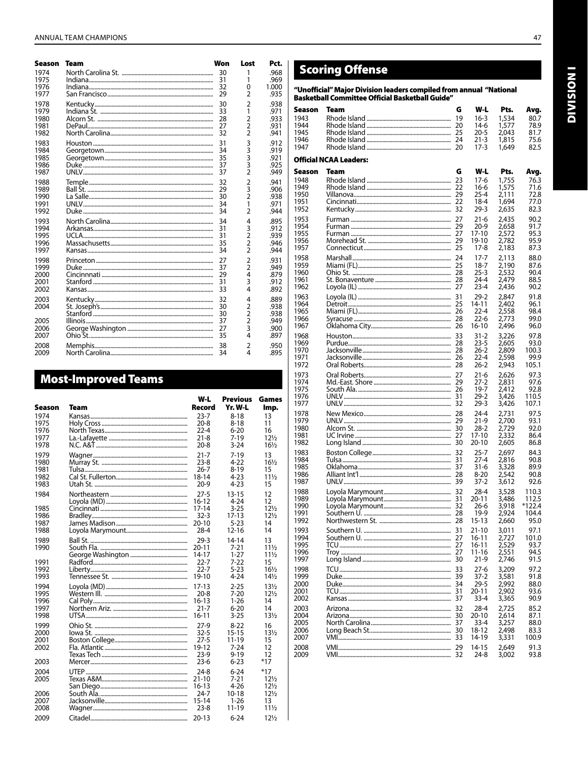| Season | Team | Won | Lost           | Pct.  |
|--------|------|-----|----------------|-------|
| 1974   |      | 30  | 1              | .968  |
| 1975   |      | 31  | 1              | .969  |
| 1976   |      | 32  | 0              | 1.000 |
| 1977   |      | 29  | $\overline{2}$ | .935  |
| 1978   |      | 30  | $\overline{2}$ | .938  |
| 1979   |      | 33  | 1              | .971  |
| 1980   |      | 28  | 2              | .933  |
| 1981   |      | 27  | 2              | .931  |
| 1982   |      | 32  | $\overline{2}$ | .941  |
| 1983   |      | 31  | 3              | .912  |
| 1984   |      | 34  | 3              | .919  |
| 1985   |      | 35  | 3              | .921  |
| 1986   |      | 37  | 3              | .925  |
| 1987   |      | 37  | $\overline{2}$ | .949  |
| 1988   |      | 32  | $\overline{2}$ | .941  |
| 1989   |      | 29  | 3              | .906  |
| 1990   |      | 30  | $\overline{2}$ | .938  |
| 1991   |      | 34  | 1              | .971  |
| 1992   |      | 34  | $\overline{2}$ | .944  |
| 1993   |      | 34  | 4              | .895  |
| 1994   |      | 31  | 3              | .912  |
| 1995   |      | 31  | $\overline{2}$ | .939  |
| 1996   |      | 35  | $\overline{2}$ | .946  |
| 1997   |      | 34  | $\overline{2}$ | .944  |
| 1998   |      | 27  | $\overline{2}$ | .931  |
| 1999   |      | 37  | $\overline{2}$ | .949  |
| 2000   |      | 29  | 4              | .879  |
| 2001   |      | 31  | 3              | .912  |
| 2002   |      | 33  | 4              | .892  |
| 2003   |      | 32  | 4              | .889  |
| 2004   |      | 30  | $\overline{2}$ | .938  |
|        |      | 30  | $\overline{2}$ | .938  |
| 2005   |      | 37  | $\overline{2}$ | .949  |
| 2006   |      | 27  | 3              | .900  |
| 2007   |      | 35  | 4              | .897  |
| 2008   |      | 38  | 2              | .950  |
| 2009   |      | 34  | 4              | .895  |

## **Most-Improved Teams**

| Season | Team | W-L<br>Record | <b>Previous</b><br>Yr. W-L | Games<br>lmp.   |
|--------|------|---------------|----------------------------|-----------------|
| 1974   |      | 23-7          | 8-18                       | 13              |
| 1975   |      | $20 - 8$      | 8-18                       | 11              |
| 1976   |      | $22 - 4$      | 6-20                       | 16              |
| 1977   |      | $21 - 8$      | $7 - 19$                   | $12\frac{1}{2}$ |
| 1978   |      | $20 - 8$      | $3 - 24$                   | $16\frac{1}{2}$ |
| 1979   |      | $21 - 7$      | $7 - 19$                   | 13              |
| 1980   |      | $23-8$        | 4-22                       | $16\frac{1}{2}$ |
| 1981   |      | $26 - 7$      | 8-19                       | 15              |
| 1982   |      | 18-14         | 4-23                       | 11½             |
| 1983   |      | $20-9$        | 4-23                       | 15              |
| 1984   |      | $27 - 5$      | $13 - 15$                  | 12              |
|        |      | 16-12         | 4-24                       | 12              |
| 1985   |      | 17-14         | $3 - 25$                   | $12\frac{1}{2}$ |
| 1986   |      | $32 - 3$      | 17-13                      | $12\frac{1}{2}$ |
| 1987   |      | $20 - 10$     | $5-23$                     | 14              |
| 1988   |      | $28 - 4$      | $12 - 16$                  | 14              |
| 1989   |      | $29 - 3$      | 14-14                      | 13              |
| 1990   |      | 20-11         | 7-21                       | 11½             |
|        |      | 14-17         | $1 - 27$                   | 11½             |
| 1991   |      | $22 - 7$      | $7 - 22$                   | 15              |
| 1992   |      | 22-7          | $5-23$                     | $16\frac{1}{2}$ |
| 1993   |      | 19-10         | 4-24                       | $14\frac{1}{2}$ |
| 1994   |      | $17-13$       | $2 - 25$                   | $13\frac{1}{2}$ |
| 1995   |      | $20 - 8$      | 7-20                       | $12\frac{1}{2}$ |
| 1996   |      | 16-13         | $1 - 26$                   | 14              |
| 1997   |      | $21 - 7$      | $6 - 20$                   | 14              |
| 1998   |      | 16-11         | $3 - 25$                   | $13\frac{1}{2}$ |
| 1999   |      | 27-9          | $8 - 22$                   | 16              |
| 2000   |      | $32 - 5$      | 15-15                      | $13\frac{1}{2}$ |
| 2001   |      | $27 - 5$      | 11-19                      | 15              |
| 2002   |      | 19-12         | 7-24                       | 12              |
|        |      | $23-9$        | $9 - 19$                   | 12              |
| 2003   |      | $23-6$        | 6-23                       | $*17$           |
| 2004   |      | $24-8$        | $6 - 24$                   | $*17$           |
| 2005   |      | 21-10         | $7 - 21$                   | $12\frac{1}{2}$ |
|        |      | $16 - 13$     | $4 - 26$                   | $12\frac{1}{2}$ |
| 2006   |      | $24 - 7$      | 10-18                      | $12\frac{1}{2}$ |
| 2007   |      | $15 - 14$     | $1 - 26$                   | 13              |
| 2008   |      | $23-8$        | 11-19                      | $11\frac{1}{2}$ |
| 2009   |      | 20-13         | $6 - 24$                   | $12\frac{1}{2}$ |

# **Scoring Offense**

"Unofficial" Major Division leaders compiled from annual "National<br>Basketball Committee Official Basketball Guide"

| Season | Team                          | G   | W-L       | Pts.  | Avg.          |
|--------|-------------------------------|-----|-----------|-------|---------------|
| 1943   |                               | 19  | 16-3      | 1,534 | 80.7          |
| 1944   |                               | 20  | 14-6      | 1,577 | 78.9          |
| 1945   |                               |     | 20-5      | 2,043 | 81.7          |
| 1946   |                               |     | 21-3      | 1,815 | 75.6          |
| 1947   |                               |     | 17-3      | 1,649 | 82.5          |
|        |                               |     |           |       |               |
|        | <b>Official NCAA Leaders:</b> |     |           |       |               |
|        |                               |     |           |       |               |
| Season | Team                          | G   | W-L       | Pts.  | Avg.          |
| 1948   |                               | 23  | 17-6      | 1,755 | 76.3          |
| 1949   |                               | 22  | $16-6$    | 1,575 | 71.6          |
| 1950   |                               | 29  | 25-4      | 2,111 | 72.8          |
| 1951   |                               | 22  | $18 - 4$  | 1,694 | 77.0          |
| 1952   |                               |     | 29-3      | 2,635 | 82.3          |
| 1953   |                               | 27  | 21-6      | 2,435 | 90.2          |
| 1954   |                               | 29  | 20-9      | 2,658 | 91.7          |
| 1955   |                               | 27  | $17-10$   | 2,572 | 95.3          |
| 1956   |                               | 29  | 19-10     | 2.782 | 95.9          |
|        |                               |     | $17-8$    |       |               |
| 1957   |                               |     |           | 2,183 | 87.3          |
| 1958   |                               | 24  | $17 - 7$  | 2,113 | 88.0          |
| 1959   |                               | 25  | $18 - 7$  | 2,190 | 87.6          |
| 1960   |                               |     | 25-3      | 2,532 | 90.4          |
| 1961   |                               | 28  | 24-4      | 2,479 | 88.5          |
| 1962   |                               |     | 23-4      | 2,436 | 90.2          |
| 1963   |                               | 31  | 29-2      | 2,847 | 91.8          |
| 1964   |                               | 25  | 14-11     | 2,402 | 96.1          |
| 1965   |                               |     | 22-4      | 2,558 | 98.4          |
| 1966   |                               |     | 22-6      |       | 99.0          |
| 1967   |                               | 28  | 16-10     | 2,773 |               |
|        |                               |     |           | 2,496 | 96.0          |
| 1968   |                               |     | $31 - 2$  | 3,226 | 97.8          |
| 1969   |                               |     | 23-5      | 2,605 | 93.0          |
| 1970   |                               | 28  | 26-2      | 2,809 | 100.3         |
| 1971   |                               |     | 22-4      | 2,598 | 99.9          |
| 1972   |                               |     | $26-2$    | 2,943 | 105.1         |
| 1973   |                               |     | 21-6      | 2,626 | 97.3          |
| 1974   |                               | 29  | 27-2      | 2,831 | 97.6          |
| 1975   |                               | 26  | $19 - 7$  | 2,412 | 92.8          |
| 1976   |                               | 31  | 29-2      | 3,426 | 110.5         |
| 1977   |                               |     | 29-3      | 3,426 | 107.1         |
|        |                               |     |           |       |               |
| 1978   |                               | 28  | 24-4      | 2,731 | 97.5          |
| 1979   |                               | 29  | 21-9      | 2,700 | 93.1          |
| 1980   |                               | 30  | 28-2      | 2,729 | 92.0          |
| 1981   |                               |     | 17-10     | 2,332 | 86.4          |
| 1982   |                               |     | 20-10     | 2,605 | 86.8          |
| 1983   |                               |     | 25-7      | 2,697 | 84.3          |
| 1984   |                               | 31  | 27-4      | 2,816 | 90.8          |
| 1985   |                               |     | 31-6      | 3,328 | 89.9          |
| 1986   |                               | 28  | 8-20      | 2,542 | 90.8          |
| 1987   |                               |     | 37-2      | 3,612 | 92.6          |
| 1988   |                               |     | 28-4      | 3,528 | 110.3         |
| 1989   |                               |     | 20-11     | 3,486 | 112.5         |
| 1990   |                               |     |           | 3,918 | *122.4        |
| 1991   |                               |     | 26-6      |       |               |
| 1992   |                               |     | 19-9      | 2,924 | 104.4<br>95.0 |
|        |                               |     | 15-13     | 2,660 |               |
| 1993   | Southern U. .                 | 31  | 21-10     | 3,011 | 97.1          |
| 1994   |                               | 27  | 16-11     | 2,727 | 101.0         |
| 1995   |                               |     | 16-11     | 2,529 | 93.7          |
| 1996   |                               |     | 11-16     | 2,551 | 94.5          |
| 1997   |                               |     | 21-9      | 2,746 | 91.5          |
| 1998   |                               | 33  | 27-6      | 3,209 | 97.2          |
| 1999   |                               |     | 37-2      | 3,581 | 91.8          |
| 2000   |                               |     | $29 - 5$  | 2,992 | 88.0          |
| 2001   |                               | -31 | 20-11     | 2,902 | 93.6          |
| 2002   |                               | 37  | $33 - 4$  | 3,365 | 90.9          |
|        |                               |     |           |       |               |
| 2003   |                               | 32  | 28-4      | 2,725 | 85.2          |
| 2004   |                               | 30  | $20 - 10$ | 2.614 | 87.1          |
| 2005   |                               |     | 33-4      | 3.257 | 88.0          |
| 2006   |                               | 30  | 18-12     | 2,498 | 83.3          |
| 2007   |                               |     | 14-19     | 3,331 | 100.9         |
| 2008   |                               | 29  | 14-15     | 2,649 | 91.3          |
| 2009   |                               | 32  | 24-8      | 3,002 | 93.8          |

**INOISINI**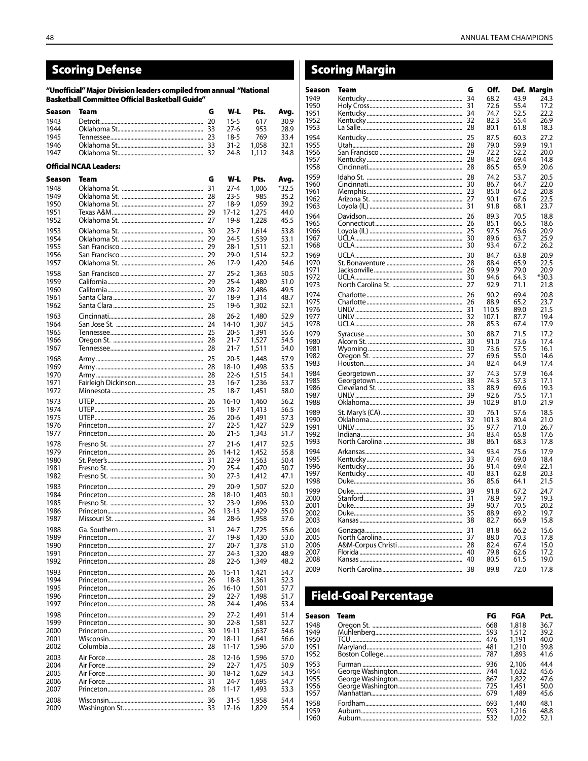## **Scoring Defense**

"Unofficial" Major Division leaders compiled from annual "National **Basketball Committee Official Basketball Guide"** 

| Season       | Team                          | G  | W-L                  | Pts.           | Avg.         | 17<br>19 |
|--------------|-------------------------------|----|----------------------|----------------|--------------|----------|
| 1943         |                               | 20 | 15-5                 | 617            | 30.9         | 19       |
| 1944         |                               | 33 | 27-6                 | 953            | 28.9         | 19       |
| 1945         |                               |    | $18-5$               | 769            | 33.4         | 19       |
| 1946<br>1947 |                               |    | 31-2<br>24-8         | 1,058<br>1,112 | 32.1<br>34.8 | 19<br>19 |
|              |                               |    |                      |                |              | 19       |
|              | <b>Official NCAA Leaders:</b> |    |                      |                |              | 19       |
| Season       | Team                          | G  | W-L                  | Pts.           | Avg.         | 19       |
| 1948         |                               | 31 | $27 - 4$             | 1,006          | *32.5        | 19<br>19 |
| 1949         |                               |    | $23 - 5$             | 985            | 35.2         | 19       |
| 1950<br>1951 |                               |    | 18-9<br>17-12        | 1.059<br>1,275 | 39.2<br>44.0 | 19       |
| 1952         |                               |    | 19-8                 | 1,228          | 45.5         | 19       |
| 1953         |                               |    | $23 - 7$             | 1,614          | 53.8         | 19<br>19 |
| 1954         |                               | 29 | 24-5                 | 1,539          | 53.1         | 19       |
| 1955         |                               |    | $28-1$               | 1,511          | 52.1         | 19       |
| 1956         |                               | 29 | 29-0                 | 1,514          | 52.2         | 19       |
| 1957         |                               |    | 17-9                 | 1,420          | 54.6         | 19<br>19 |
| 1958<br>1959 |                               |    | 25-2<br>$25 - 4$     | 1,363<br>1,480 | 50.5<br>51.0 | 19       |
| 1960         |                               |    | $28-2$               | 1,486          | 49.5         | 19       |
| 1961         |                               |    | $18-9$               | 1,314          | 48.7         | 19       |
| 1962         |                               |    | 19-6                 | 1,302          | 52.1         | 19<br>19 |
| 1963         |                               |    | $26-2$               | 1,480          | 52.9         | 19       |
| 1964         |                               | 24 | 14-10                | 1,307          | 54.5         | 19       |
| 1965<br>1966 |                               |    | $20 - 5$<br>$21 - 7$ | 1,391<br>1,527 | 55.6<br>54.5 | 19<br>19 |
| 1967         |                               |    | 21-7                 | 1,511          | 54.0         | 19       |
| 1968         |                               |    | 20-5                 | 1,448          | 57.9         | 19       |
| 1969         |                               |    | 18-10                | 1,498          | 53.5         | 19       |
| 1970         |                               |    | $22 - 6$             | 1,515          | 54.1         | 19       |
| 1971<br>1972 |                               |    | $16-7$<br>18-7       | 1,236          | 53.7         | 19<br>19 |
|              |                               |    |                      | 1,451          | 58.0         | 19       |
| 1973<br>1974 |                               | 26 | 16-10<br>18-7        | 1,460<br>1,413 | 56.2<br>56.5 | 19       |
| 1975         |                               |    | 20-6                 | 1,491          | 57.3         | 19<br>19 |
| 1976         |                               |    | $22 - 5$             | 1,427          | 52.9         | 19       |
| 1977         |                               |    | 21-5                 | 1,343          | 51.7         | 19       |
| 1978         |                               |    | $21-6$               | 1,417          | 52.5         | 19       |
| 1979<br>1980 |                               |    | 14-12<br>$22-9$      | 1,452<br>1,563 | 55.8<br>50.4 | 19<br>19 |
| 1981         |                               |    | 25-4                 | 1,470          | 50.7         | 19       |
| 1982         |                               |    | $27-3$               | 1,412          | 47.1         | 19       |
| 1983         |                               |    | 20-9                 | 1,507          | 52.0         | 19<br>19 |
| 1984         |                               |    | 18-10                | 1,403          | 50.1         | 20       |
| 1985         |                               |    | $23-9$               | 1,696          | 53.0         | 20       |
| 1986<br>1987 |                               |    | 13-13<br>28-6        | 1,429<br>1,958 | 55.0<br>57.6 | 20<br>20 |
| 1988         |                               |    | $24 - 7$             | 1,725          | 55.6         | 20       |
| 1989         |                               |    | 19-8                 | 1,430          | 53.0         | 20       |
| 1990         |                               |    | 20-7                 | 1,378          | 51.0         | 20       |
| 1991         |                               |    | $24-3$               | 1,320          | 48.9         | 20<br>20 |
| 1992         |                               |    | $22 - 6$             | 1,349          | 48.2         | 20       |
| 1993<br>1994 |                               |    | $15 - 11$<br>18-8    | 1,421<br>1,361 | 54.7<br>52.3 |          |
| 1995         |                               |    | 16-10                | 1,501          | 57.7         |          |
| 1996         |                               |    | $22 - 7$             | 1,498          | 51.7         |          |
| 1997         |                               |    | 24-4                 | 1,496          | 53.4         |          |
| 1998         |                               | 29 | $27-2$               | 1,491          | 51.4         | Se       |
| 1999         |                               |    | 22-8                 | 1,581          | 52.7         | 19       |
| 2000<br>2001 |                               |    | 19-11<br>18-11       | 1,637<br>1,641 | 54.6<br>56.6 | 19       |
| 2002         |                               |    | 11-17                | 1,596          | 57.0         | 19<br>19 |
| 2003         |                               |    | 12-16                | 1,596          | 57.0         | 19       |
| 2004         |                               |    | $22 - 7$             | 1,475          | 50.9         | 19       |
| 2005         |                               |    | 18-12                | 1,629          | 54.3         | 19<br>19 |
| 2006         |                               |    | 24-7                 | 1,695          | 54.7         | 19       |
| 2007         |                               |    | 11-17                | 1,493          | 53.3         | 19       |
| 2008<br>2009 |                               |    | 31-5<br>17-16        | 1,958<br>1,829 | 54.4<br>55.4 | 19       |
|              |                               |    |                      |                |              | 19<br>19 |
|              |                               |    |                      |                |              |          |

| <b>Scoring Margin</b> |      |    |       |      |             |
|-----------------------|------|----|-------|------|-------------|
| Season                | Team | G  | Off.  |      | Def. Margin |
| 1949                  |      |    | 68.2  | 43.9 | 24.3        |
| 1950                  |      |    | 72.6  | 55.4 | 17.2        |
| 1951                  |      |    | 74.7  | 52.5 | 22.2        |
| 1952                  |      |    | 82.3  | 55.4 | 26.9        |
| 1953                  |      |    | 80.1  | 61.8 | 18.3        |
| 1954                  |      |    | 87.5  | 60.3 | 27.2        |
| 1955                  |      |    | 79.0  | 59.9 | 19.1        |
| 1956                  |      |    | 72.2  | 52.2 | 20.0        |
| 1957                  |      |    | 84.2  | 69.4 | 14.8        |
| 1958                  |      |    | 86.5  | 65.9 | 20.6        |
| 1959                  |      |    | 74.2  | 53.7 | 20.5        |
| 1960                  |      |    | 86.7  | 64.7 | 22.0        |
| 1961                  |      |    | 85.0  | 64.2 | 20.8        |
| 1962                  |      |    | 90.1  | 67.6 | 22.5        |
| 1963                  |      |    | 91.8  | 68.1 | 23.7        |
| 1964                  |      | 26 | 89.3  | 70.5 | 18.8        |
| 1965                  |      |    | 85.1  | 66.5 | 18.6        |
| 1966                  |      |    | 97.5  | 76.6 | 20.9        |
| 1967                  |      |    | 89.6  | 63.7 | 25.9        |
| 1968                  |      |    | 93.4  | 67.2 | 26.2        |
| 1969                  |      |    | 84.7  | 63.8 | 20.9        |
| 1970                  |      |    | 88.4  | 65.9 | 22.5        |
| 1971                  |      |    | 99.9  | 79.0 | 20.9        |
| 1972                  |      |    | 94.6  | 64.3 | *30.3       |
| 1973                  |      |    | 92.9  | 71.1 | 21.8        |
| 1974                  |      |    | 90.2  | 69.4 | 20.8        |
| 1975                  |      |    | 88.9  | 65.2 | 23.7        |
| 1976                  |      |    | 110.5 | 89.0 | 21.5        |
| 1977                  |      |    | 107.1 | 87.7 | 19.4        |
| 1978                  |      |    | 85.3  | 67.4 | 17.9        |
| 1979                  |      |    | 88.7  | 71.5 | 17.2        |
| 1980                  |      |    | 91.0  | 73.6 | 17.4        |
| 1981                  |      |    | 73.6  | 57.5 | 16.1        |
| 1982                  |      |    | 69.6  | 55.0 | 14.6        |
| 1983                  |      |    | 82.4  | 64.9 | 17.4        |
| 1984                  |      |    | 74.3  | 57.9 | 16.4        |
| 1985                  |      |    | 74.3  | 57.3 | 17.1        |
| 1986                  |      |    | 88.9  | 69.6 | 19.3        |
| 1987                  |      |    | 92.6  | 75.5 | 17.1        |
| 1988                  |      |    | 102.9 | 81.0 | 21.9        |
| 1989                  |      |    | 76.1  | 57.6 | 18.5        |
| 1990                  |      |    | 101.3 | 80.4 | 21.0        |
| 1991                  |      |    | 97.7  | 71.0 | 26.7        |
| 1992                  |      |    | 83.4  | 65.8 | 17.6        |
| 1993                  |      |    | 86.1  | 68.3 | 17.8        |
| 1994                  |      |    | 93.4  | 75.6 | 17.9        |
| 1995                  |      |    | 87.4  | 69.0 | 18.4        |
| 1996                  |      |    | 91.4  | 69.4 | 22.1        |
| 1997                  |      |    | 83.1  | 62.8 | 20.3        |
| 1998                  |      |    | 85.6  | 64.1 | 21.5        |
| 1999                  |      | 39 | 91.8  | 67.2 | 24.7        |
| 2000                  |      | 31 | 78.9  | 59.7 | 19.3        |
| 2001                  |      |    | 90.7  | 70.5 | 20.2        |
| 2002                  |      |    | 88.9  | 69.2 | 19.7        |
| 2003                  |      |    | 82.7  | 66.9 | 15.8        |
| 2004                  |      |    | 81.8  | 66.2 | 15.6        |
| 2005                  |      |    | 88.0  | 70.3 | 17.8        |
| 2006                  |      |    | 82.4  | 67.4 | 15.0        |
| 2007                  |      |    | 79.8  | 62.6 | 17.2        |
| 2008                  |      |    | 80.5  | 61.5 | 19.0        |
| 2009                  |      |    | 89.8  | 72.0 | 17.8        |

## **Field-Goal Percentage**

| Season | Team | FG  | FGA   | Pct. |
|--------|------|-----|-------|------|
| 1948   |      | 668 | 1,818 | 36.7 |
| 1949   |      | 593 | 1.512 | 39.2 |
| 1950   |      | 476 | 1.191 | 40.0 |
| 1951   |      | 481 | 1.210 | 39.8 |
| 1952   |      | 787 | 1.893 | 41.6 |
| 1953   |      | 936 | 2,106 | 44.4 |
| 1954   |      |     | 1,632 | 45.6 |
| 1955   |      |     | 1.822 | 47.6 |
| 1956   |      |     | 1.451 | 50.0 |
| 1957   |      |     | 1.489 | 45.6 |
| 1958   |      | 693 | 1,440 | 48.1 |
| 1959   |      | 593 | 1,216 | 48.8 |
| 1960   |      | 532 | 1.022 | 52.1 |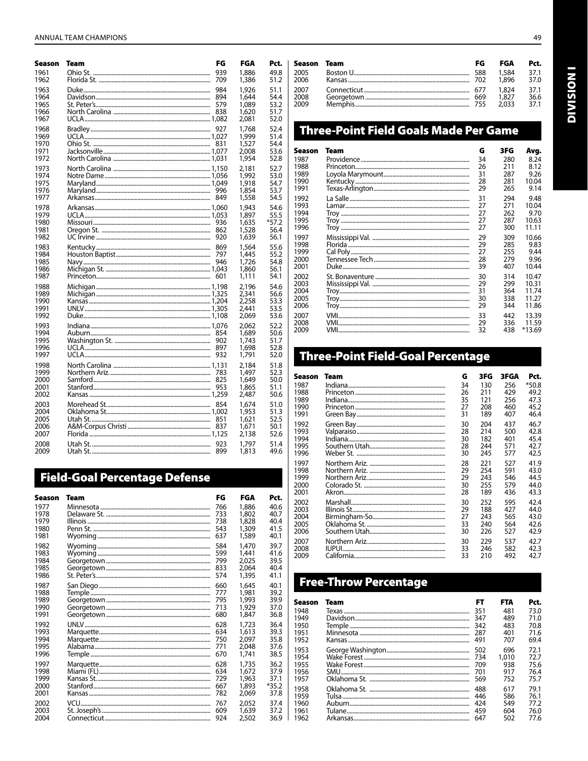| Season                               | Team                                                                                                                                                                                                                           | FG                | FGA                                       | Pct.                                 |
|--------------------------------------|--------------------------------------------------------------------------------------------------------------------------------------------------------------------------------------------------------------------------------|-------------------|-------------------------------------------|--------------------------------------|
| 1961                                 |                                                                                                                                                                                                                                | 939               | 1,886                                     | 49.8                                 |
| 1962                                 |                                                                                                                                                                                                                                | 709               | 1,386                                     | 51.2                                 |
| 1963<br>1964<br>1965<br>1966<br>1967 |                                                                                                                                                                                                                                | 984<br>579<br>838 | 1.926<br>1,644<br>1,089<br>1,620<br>2,081 | 51.1<br>54.4<br>53.2<br>51.7<br>52.0 |
| 1968                                 |                                                                                                                                                                                                                                |                   | 1,768                                     | 52.4                                 |
| 1969                                 |                                                                                                                                                                                                                                |                   | 1,999                                     | 51.4                                 |
| 1970                                 |                                                                                                                                                                                                                                |                   | 1,527                                     | 54.4                                 |
| 1971                                 |                                                                                                                                                                                                                                |                   | 2,008                                     | 53.6                                 |
| 1972                                 |                                                                                                                                                                                                                                |                   | 1,954                                     | 52.8                                 |
| 1973<br>1974<br>1975<br>1976<br>1977 |                                                                                                                                                                                                                                | 996<br>849        | 2,181<br>1,992<br>1,918<br>1,854<br>1,558 | 52.7<br>53.0<br>54.7<br>53.7<br>54.5 |
| 1978                                 |                                                                                                                                                                                                                                |                   | 1,943                                     | 54.6                                 |
| 1979                                 |                                                                                                                                                                                                                                |                   | 1.897                                     | 55.5                                 |
| 1980                                 |                                                                                                                                                                                                                                |                   | 1.635                                     | $*57.2$                              |
| 1981                                 |                                                                                                                                                                                                                                |                   | 1,528                                     | 56.4                                 |
| 1982                                 |                                                                                                                                                                                                                                |                   | 1,639                                     | 56.1                                 |
| 1983                                 |                                                                                                                                                                                                                                |                   | 1,564                                     | 55.6                                 |
| 1984                                 |                                                                                                                                                                                                                                |                   | 1.445                                     | 55.2                                 |
| 1985                                 |                                                                                                                                                                                                                                |                   | 1,726                                     | 54.8                                 |
| 1986                                 |                                                                                                                                                                                                                                |                   | 1,860                                     | 56.1                                 |
| 1987                                 |                                                                                                                                                                                                                                |                   | 1,111                                     | 54.1                                 |
| 1988                                 |                                                                                                                                                                                                                                |                   | 2,196                                     | 54.6                                 |
| 1989                                 |                                                                                                                                                                                                                                |                   | 2,341                                     | 56.6                                 |
| 1990                                 |                                                                                                                                                                                                                                |                   | 2,258                                     | 53.3                                 |
| 1991                                 |                                                                                                                                                                                                                                |                   | 2.441                                     | 53.5                                 |
| 1992                                 |                                                                                                                                                                                                                                |                   | 2,069                                     | 53.6                                 |
| 1993                                 |                                                                                                                                                                                                                                |                   | 2.062                                     | 52.2                                 |
| 1994                                 |                                                                                                                                                                                                                                |                   | 1.689                                     | 50.6                                 |
| 1995                                 |                                                                                                                                                                                                                                |                   | 1.743                                     | 51.7                                 |
| 1996                                 |                                                                                                                                                                                                                                |                   | 1,698                                     | 52.8                                 |
| 1997                                 |                                                                                                                                                                                                                                |                   | 1,791                                     | 52.0                                 |
| 1998<br>1999<br>2000<br>2001<br>2002 |                                                                                                                                                                                                                                | 825<br>953        | 2,184<br>1.497<br>1,649<br>1,865<br>2,487 | 51.8<br>52.3<br>50.0<br>51.1<br>50.6 |
| 2003                                 |                                                                                                                                                                                                                                |                   | 1.674                                     | 51.0                                 |
| 2004                                 |                                                                                                                                                                                                                                |                   | 1,953                                     | 51.3                                 |
| 2005                                 |                                                                                                                                                                                                                                |                   | 1.621                                     | 52.5                                 |
| 2006                                 |                                                                                                                                                                                                                                |                   | 1.671                                     | 50.1                                 |
| 2007                                 |                                                                                                                                                                                                                                |                   | 2,138                                     | 52.6                                 |
| 2008                                 |                                                                                                                                                                                                                                | 923               | 1.797                                     | 51.4                                 |
| 2009                                 | l Itah Standard and the contract of the contract of the contract of the contract of the contract of the contract of the contract of the contract of the contract of the contract of the contract of the contract of the contra | 899               | 1 813                                     | 49 F                                 |

## **Field-Goal Percentage Defense**

| Season | Team | FG  | FGA   | Pct.    |
|--------|------|-----|-------|---------|
| 1977   |      | 766 | 1.886 | 40.6    |
| 1978   |      | 733 | 1,802 | 40.7    |
| 1979   |      | 738 | 1,828 | 40.4    |
| 1980   |      | 543 | 1,309 | 41.5    |
| 1981   |      | 637 | 1,589 | 40.1    |
| 1982   |      | 584 | 1,470 | 39.7    |
| 1983   |      | 599 | 1,441 | 41.6    |
| 1984   |      | 799 | 2.025 | 39.5    |
| 1985   |      | 833 | 2.064 | 40.4    |
| 1986   |      | 574 | 1,395 | 41.1    |
| 1987   |      | 660 | 1,645 | 40.1    |
| 1988   |      | 777 | 1,981 | 39.2    |
| 1989   |      | 795 | 1,993 | 39.9    |
| 1990   |      | 713 | 1,929 | 37.0    |
| 1991   |      | 680 | 1,847 | 36.8    |
| 1992   |      | 628 | 1,723 | 36.4    |
| 1993   |      | 634 | 1,613 | 39.3    |
| 1994   |      | 750 | 2,097 | 35.8    |
| 1995   |      | 771 | 2.048 | 37.6    |
| 1996   |      | 670 | 1,741 | 38.5    |
| 1997   |      | 628 | 1,735 | 36.2    |
| 1998   |      | 634 | 1,672 | 37.9    |
| 1999   |      | 729 | 1,963 | 37.1    |
| 2000   |      | 667 | 1,893 | $*35.2$ |
| 2001   |      | 782 | 2.069 | 37.8    |
| 2002   |      | 767 | 2.052 | 37.4    |
| 2003   |      | 609 | 1,639 | 37.2    |
| 2004   |      | 924 | 2.502 | 36.9    |

| Season Team | FG | FGA   | Pct. |
|-------------|----|-------|------|
| 2005        |    | 1.584 | 37.1 |
| 2006        |    | 1.896 | 37.0 |
| 2007        |    | 1.824 | 37.1 |
| 2008        |    | 1.827 | 36.6 |
| 2009        |    | 2.033 | 37.1 |

## **Three-Point Field Goals Made Per Game**

| Season       | Team | G        | 3FG        | Avg.           |
|--------------|------|----------|------------|----------------|
| 1987         |      | 34       | 280        | 8.24           |
| 1988         |      | 26       | 211        | 8.12           |
| 1989         |      | 31       | 287        | 9.26           |
| 1990         |      | 28       | 281        | 10.04          |
| 1991         |      | 29       | 265        | 9.14           |
| 1992         |      | 31       | 294        | 9.48           |
| 1993         |      | 27       | 271        | 10.04          |
| 1994         |      | 27       | 262        | 9.70           |
| 1995         |      | 27       | 287        | 10.63          |
| 1996         |      | 27       | 300        | 11.11          |
| 1997         |      | 29       | 309        | 10.66          |
| 1998         |      | 29       | 285        | 9.83           |
| 1999         |      | 27       | 255        | 9.44           |
| 2000<br>2001 |      | 28<br>39 | 279<br>407 | 9.96<br>10.44  |
|              |      |          |            |                |
| 2002         |      | 30       | 314        | 10.47          |
| 2003         |      | 29       | 299        | 10.31          |
| 2004<br>2005 |      | 31<br>30 | 364<br>338 | 11.74<br>11.27 |
| 2006         |      | 29       | 344        | 11.86          |
|              |      |          |            |                |
| 2007         |      | 33       | 442        | 13.39          |
| 2008<br>2009 |      | 29       | 336<br>438 | 11.59          |
|              |      | 32       |            | *13.69         |

## **Three-Point Field-Goal Percentage**

| Season       | Team | G        | 3FG        | 3FGA       | Pct.         |
|--------------|------|----------|------------|------------|--------------|
| 1987         |      | 34       | 130        | 256        | $*50.8$      |
| 1988         |      | 26       | 211        | 429        | 49.2         |
| 1989         |      | 35       | 121        | 256        | 47.3         |
| 1990<br>1991 |      | 27<br>31 | 208<br>189 | 460<br>407 | 45.2<br>46.4 |
|              |      |          |            |            |              |
| 1992<br>1993 |      | 30<br>28 | 204<br>214 | 437<br>500 | 46.7<br>42.8 |
| 1994         |      | 30       | 182        | 401        | 45.4         |
| 1995         |      | 28       | 244        | 571        | 42.7         |
| 1996         |      | 30       | 245        | 577        | 42.5         |
| 1997         |      | 28       | 221        | 527        | 41.9         |
| 1998         |      | 29       | 254        | 591        | 43.0         |
| 1999         |      | 29       | 243        | 546        | 44.5         |
| 2000         |      | 30       | 255        | 579        | 44.0         |
| 2001         |      | 28       | 189        | 436        | 43.3         |
| 2002         |      | 30       | 252        | 595        | 42.4         |
| 2003         |      | 29       | 188        | 427        | 44.0         |
| 2004<br>2005 |      | 27<br>33 | 243<br>240 | 565<br>564 | 43.0<br>42.6 |
| 2006         |      | 30       | 226        | 527        | 42.9         |
| 2007         |      | 30       | 229        | 537        | 42.7         |
| 2008         |      | 33       | 246        | 582        | 42.3         |
| 2009         |      | 33       | 210        | 492        | 42.7         |

## **Free-Throw Percentage**

| Season | Team | FT  | FTA   | Pct. |
|--------|------|-----|-------|------|
| 1948   |      | 351 | 481   | 73.0 |
| 1949   |      | 347 | 489   | 71.0 |
| 1950   |      | 342 | 483   | 70.8 |
| 1951   |      | 287 | 401   | 71.6 |
| 1952   |      | 491 | 707   | 69.4 |
| 1953   |      | 502 | 696   | 72.1 |
| 1954   |      | 734 | 1.010 | 72.7 |
| 1955   |      | 709 | 938   | 75.6 |
| 1956   |      | 701 | 917   | 76.4 |
| 1957   |      | 569 | 752   | 75.7 |
| 1958   |      | 488 | 617   | 79.1 |
| 1959   |      | 446 | 586   | 76.1 |
| 1960   |      | 424 | 549   | 77.2 |
| 1961   |      | 459 | 604   | 76.0 |
| 1962   |      | 647 | 502   | 77.6 |

**INOISIMI**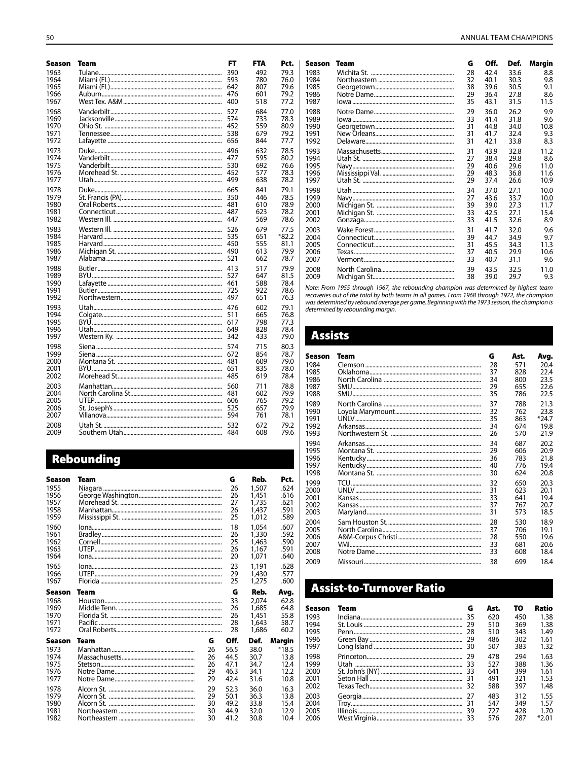| Season       | Team | FT         | FTA        | Pct.         |
|--------------|------|------------|------------|--------------|
| 1963         |      | 390        | 492        | 79.3         |
| 1964         |      | 593        | 780        | 76.0         |
| 1965         |      | 642        | 807        | 79.6         |
| 1966         |      | 476        | 601        | 79.2         |
| 1967         |      | 400        | 518        | 77.2         |
| 1968         |      | 527        | 684        | 77.0         |
| 1969         |      | 574        | 733        | 78.3         |
| 1970         |      | 452        | 559        | 80.9         |
| 1971<br>1972 |      | 538<br>656 | 679<br>844 | 79.2<br>77.7 |
| 1973         |      | 496        | 632        | 78.5         |
| 1974         |      | 477        | 595        | 80.2         |
| 1975         |      | 530        | 692        | 76.6         |
| 1976         |      | 452        | 577        | 78.3         |
| 1977         |      | 499        | 638        | 78.2         |
| 1978         |      | 665        | 841        | 79.1         |
| 1979         |      | 350        | 446        | 78.5         |
| 1980         |      | 481        | 610        | 78.9         |
| 1981         |      | 487        | 623        | 78.2         |
| 1982         |      | 447        | 569        | 78.6         |
| 1983         |      | 526        | 679        | 77.5         |
| 1984         |      | 535        | 651        | *82.2        |
| 1985         |      | 450        | 555        | 81.1         |
| 1986         |      | 490        | 613        | 79.9         |
| 1987         |      | 521        | 662        | 78.7         |
| 1988         |      | 413        | 517        | 79.9         |
| 1989         |      | 527        | 647        | 81.5         |
| 1990<br>1991 |      | 461<br>725 | 588<br>922 | 78.4<br>78.6 |
| 1992         |      | 497        | 651        | 76.3         |
| 1993         |      | 476        | 602        | 79.1         |
| 1994         |      | 511        | 665        | 76.8         |
| 1995         |      | 617        | 798        | 77.3         |
| 1996         |      | 649        | 828        | 78.4         |
| 1997         |      | 342        | 433        | 79.0         |
| 1998         |      | 574        | 715        | 80.3         |
| 1999         |      | 672        | 854        | 78.7         |
| 2000         |      | 481        | 609        | 79.0         |
| 2001         |      | 651        | 835        | 78.0         |
| 2002         |      | 485        | 619        | 78.4         |
| 2003         |      | 560        | 711        | 78.8         |
| 2004         |      | 481        | 602        | 79.9         |
| 2005         |      | 606        | 765        | 79.2         |
| 2006         |      | 525        | 657        | 79.9         |
| 2007         |      | 594        | 761        | 78.1         |
| 2008         |      | 532        | 672        | 79.2         |
| 2009         |      | 484        | 608        | 79.6         |

## Rebounding

| Season | Team |    | G    | Reb.  | Pct.    |
|--------|------|----|------|-------|---------|
| 1955   |      |    | 26   | 1,507 | .624    |
| 1956   |      |    | 26   | 1,451 | .616    |
| 1957   |      |    | 27   | 1,735 | .621    |
| 1958   |      |    | 26   | 1,437 | .591    |
| 1959   |      |    | 25   | 1,012 | .589    |
| 1960   |      |    | 18   | 1,054 | .607    |
| 1961   |      |    | 26   | 1,330 | .592    |
| 1962   |      |    | 25   | 1,463 | .590    |
| 1963   |      |    | 26   | 1,167 | .591    |
| 1964   |      |    | 20   | 1.071 | .640    |
| 1965   |      |    | 23   | 1,191 | .628    |
| 1966   |      |    | 29   | 1,430 | .577    |
| 1967   |      |    | 25   | 1,275 | .600    |
| Season | Team |    | G    | Reb.  | Avg.    |
| 1968   |      |    | 33   | 2.074 | 62.8    |
| 1969   |      |    | 26   | 1,685 | 64.8    |
| 1970   |      |    | 26   | 1,451 | 55.8    |
| 1971   |      |    | 28   | 1,643 | 58.7    |
| 1972   |      |    | 28   | 1,686 | 60.2    |
| Season | Team | G  | Off. | Def.  | Margin  |
| 1973   |      | 26 | 56.5 | 38.0  | $*18.5$ |
| 1974   |      | 26 | 44.5 | 30.7  | 13.8    |
| 1975   |      | 26 | 47.1 | 34.7  | 12.4    |
| 1976   |      | 29 | 46.3 | 34.1  | 12.2    |
| 1977   |      | 29 | 42.4 | 31.6  | 10.8    |
| 1978   |      | 29 | 52.3 | 36.0  | 16.3    |
| 1979   |      | 29 | 50.1 | 36.3  | 13.8    |
| 1980   |      | 30 | 49.2 | 33.8  | 15.4    |
| 1981   |      | 30 | 44.9 | 32.0  | 12.9    |
| 1982   |      | 30 | 41.2 | 30.8  | 10.4    |

| Season | Team | G  | Off. | Def. | Margin |
|--------|------|----|------|------|--------|
| 1983   |      | 28 | 42.4 | 33.6 | 8.8    |
| 1984   |      | 32 | 40.1 | 30.3 | 9.8    |
| 1985   |      | 38 | 39.6 | 30.5 | 9.1    |
| 1986   |      | 29 | 36.4 | 27.8 | 8.6    |
| 1987   |      | 35 | 43.1 | 31.5 | 11.5   |
| 1988   |      | 29 | 36.0 | 26.2 | 9.9    |
| 1989   |      | 33 | 41.4 | 31.8 | 9.6    |
| 1990   |      | 31 | 44.8 | 34.0 | 10.8   |
| 1991   |      | 31 | 41.7 | 32.4 | 9.3    |
| 1992   |      | 31 | 42.1 | 33.8 | 8.3    |
| 1993   |      | 31 | 43.9 | 32.8 | 11.2   |
| 1994   |      | 27 | 38.4 | 29.8 | 8.6    |
| 1995   |      | 29 | 40.6 | 29.6 | 11.0   |
| 1996   |      | 29 | 48.3 | 36.8 | 11.6   |
| 1997   |      | 29 | 37.4 | 26.6 | 10.9   |
| 1998   |      | 34 | 37.0 | 27.1 | 10.0   |
| 1999   |      | 27 | 43.6 | 33.7 | 10.0   |
| 2000   |      | 39 | 39.0 | 27.3 | 11.7   |
| 2001   |      | 33 | 42.5 | 27.1 | 15.4   |
| 2002   |      | 33 | 41.5 | 32.6 | 8.9    |
| 2003   |      | 31 | 41.7 | 32.0 | 9.6    |
| 2004   |      | 39 | 44.7 | 34.9 | 9.7    |
| 2005   |      | 31 | 45.5 | 34.3 | 11.3   |
| 2006   |      | 37 | 40.5 | 29.9 | 10.6   |
| 2007   |      | 33 | 40.7 | 31.1 | 9.6    |
| 2008   |      | 39 | 43.5 | 32.5 | 11.0   |
| 2009   |      | 38 | 39.0 | 29.7 | 9.3    |

Note: From 1955 through 1967, the rebounding champion was determined by highest team<br>recoveries out of the total by both teams in all games. From 1968 through 1972, the champion<br>was determined by rebound average per game.

#### **Assists**

| Season | Team | G  | Ast. | Avg.    |
|--------|------|----|------|---------|
| 1984   |      | 28 | 571  | 20.4    |
| 1985   |      | 37 | 828  | 22.4    |
| 1986   |      | 34 | 800  | 23.5    |
| 1987   |      | 29 | 655  | 22.6    |
| 1988   |      | 35 | 786  | 22.5    |
| 1989   |      | 37 | 788  | 21.3    |
| 1990   |      | 32 | 762  | 23.8    |
| 1991   |      | 35 | 863  | $*24.7$ |
| 1992   |      | 34 | 674  | 19.8    |
| 1993   |      | 26 | 570  | 21.9    |
| 1994   |      | 34 | 687  | 20.2    |
| 1995   |      | 29 | 606  | 20.9    |
| 1996   |      | 36 | 783  | 21.8    |
| 1997   |      | 40 | 776  | 19.4    |
| 1998   |      | 30 | 624  | 20.8    |
| 1999   |      | 32 | 650  | 20.3    |
| 2000   |      | 31 | 623  | 20.1    |
| 2001   |      | 33 | 641  | 19.4    |
| 2002   |      | 37 | 767  | 20.7    |
| 2003   |      | 31 | 573  | 18.5    |
| 2004   |      | 28 | 530  | 18.9    |
| 2005   |      | 37 | 706  | 19.1    |
| 2006   |      | 28 | 550  | 19.6    |
| 2007   |      | 33 | 681  | 20.6    |
| 2008   |      | 33 | 608  | 18.4    |
| 2009   |      | 38 | 699  | 18.4    |

## **Assist-to-Turnover Ratio**

| Season | Team | G   | Ast. | τо  | Ratio   |
|--------|------|-----|------|-----|---------|
| 1993   |      | 35  | 620  | 450 | 1.38    |
| 1994   |      | 29  | 510  | 369 | 1.38    |
| 1995   |      | 28  | 510  | 343 | 1.49    |
| 1996   |      | 29  | 486  | 302 | 1.61    |
| 1997   |      | 30  | 507  | 383 | 1.32    |
| 1998   |      | 29  | 478  | 294 | 1.63    |
| 1999   |      | 33  | 527  | 388 | 1.36    |
| 2000   |      | -33 | 641  | 399 | 1.61    |
| 2001   |      | 31  | 491  | 321 | 1.53    |
| 2002   |      | 32  | 588  | 397 | 1.48    |
| 2003   |      | 27  | 483  | 312 | 1.55    |
| 2004   |      | -31 | 547  | 349 | 1.57    |
| 2005   |      | 39  | 727  | 428 | 1.70    |
| 2006   |      |     | 576  | 287 | $*2.01$ |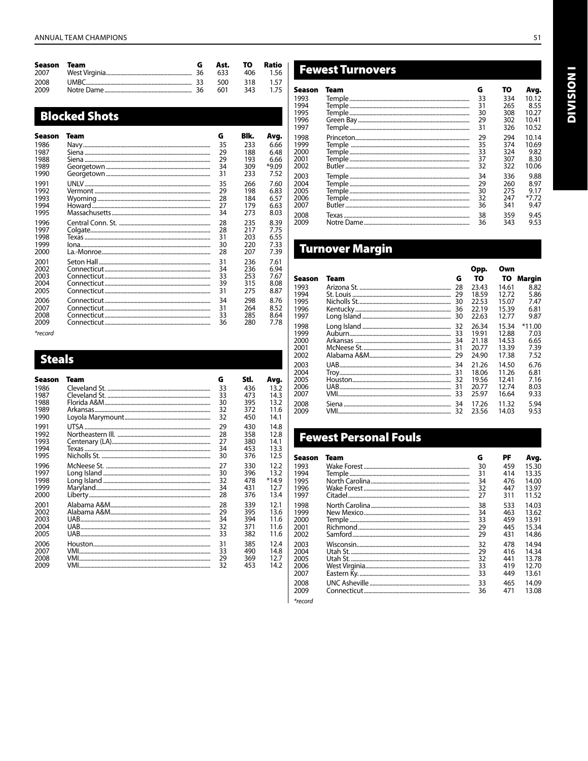| Season Team  |  | Ast. TO Ratio |          |
|--------------|--|---------------|----------|
| 2008<br>2009 |  |               | 343 1.75 |

## **Blocked Shots**

| Season | Team | G  | Blk. | Avg.  |
|--------|------|----|------|-------|
| 1986   |      | 35 | 233  | 6.66  |
| 1987   |      | 29 | 188  | 6.48  |
| 1988   |      | 29 | 193  | 6.66  |
| 1989   |      | 34 | 309  | *9.09 |
| 1990   |      | 31 | 233  | 7.52  |
| 1991   |      | 35 | 266  | 7.60  |
| 1992   |      | 29 | 198  | 6.83  |
| 1993   |      | 28 | 184  | 6.57  |
| 1994   |      | 27 | 179  | 6.63  |
| 1995   |      | 34 | 273  | 8.03  |
| 1996   |      | 28 | 235  | 8.39  |
| 1997   |      | 28 | 217  | 7.75  |
| 1998   |      | 31 | 203  | 6.55  |
| 1999   |      | 30 | 220  | 7.33  |
| 2000   |      | 28 | 207  | 7.39  |
| 2001   |      | 31 | 236  | 7.61  |
| 2002   |      | 34 | 236  | 6.94  |
| 2003   |      | 33 | 253  | 7.67  |
| 2004   |      | 39 | 315  | 8.08  |
| 2005   |      | 31 | 275  | 8.87  |
| 2006   |      | 34 | 298  | 8.76  |
| 2007   |      | 31 | 264  | 8.52  |
| 2008   |      | 33 | 285  | 8.64  |
| 2009   |      | 36 | 280  | 7.78  |

\*record

## **Steals**

| Season       | Team | G        | Stl.       | Avq.            |
|--------------|------|----------|------------|-----------------|
| 1986         |      | 33       | 436        | 13.2            |
| 1987<br>1988 |      | 33<br>30 | 473<br>395 | 14.3<br>13.2    |
| 1989         |      | 32       | 372        | 11.6            |
| 1990         |      | 32       | 450        | 14.1            |
| 1991         |      | 29       | 430        | 14.8            |
| 1992         |      | 28       | 358        | 12.8            |
| 1993<br>1994 |      | 27<br>34 | 380<br>453 | 14.1<br>13.3    |
| 1995         |      | 30       | 376        | 12.5            |
| 1996         |      | 27       | 330        | 12.2            |
| 1997         |      | 30       | 396        | 13.2            |
| 1998<br>1999 |      | 32<br>34 | 478<br>431 | $*14.9$<br>12.7 |
| 2000         |      | 28       | 376        | 13.4            |
| 2001         |      | 28       | 339        | 12.1            |
| 2002         |      | 29       | 395        | 13.6            |
| 2003<br>2004 |      | 34<br>32 | 394<br>371 | 11.6<br>11.6    |
| 2005         |      | 33       | 382        | 11.6            |
| 2006         |      | 31       | 385        | 12.4            |
| 2007         |      | 33       | 490        | 14.8            |
| 2008<br>2009 |      | 29<br>32 | 369<br>453 | 12.7<br>14.2    |
|              |      |          |            |                 |

## **Fewest Turnovers**

| Season | Team | G  | то  | Avg.  |
|--------|------|----|-----|-------|
| 1993   |      | 33 | 334 | 10.12 |
| 1994   |      | 31 | 265 | 8.55  |
| 1995   |      | 30 | 308 | 10.27 |
| 1996   |      | 29 | 302 | 10.41 |
| 1997   |      | 31 | 326 | 10.52 |
| 1998   |      | 29 | 294 | 10.14 |
| 1999   |      | 35 | 374 | 10.69 |
| 2000   |      | 33 | 324 | 9.82  |
| 2001   |      | 37 | 307 | 8.30  |
| 2002   |      | 32 | 322 | 10.06 |
| 2003   |      | 34 | 336 | 9.88  |
| 2004   |      | 29 | 260 | 8.97  |
| 2005   |      | 30 | 275 | 9.17  |
| 2006   |      | 32 | 247 | *7.72 |
| 2007   |      | 36 | 341 | 9.47  |
| 2008   |      | 38 | 359 | 9.45  |
| 2009   |      | 36 | 343 | 9.53  |

## **Turnover Margin**

|        |      |    | Opp.  | Own   |          |
|--------|------|----|-------|-------|----------|
| Season | Team | G  | то    | TO.   | Margin   |
| 1993   |      | 28 | 23.43 | 14.61 | 8.82     |
| 1994   |      | 29 | 18.59 | 12.72 | 5.86     |
| 1995   |      | 30 | 22.53 | 15.07 | 7.47     |
| 1996   |      | 36 | 22.19 | 15.39 | 6.81     |
| 1997   |      | 30 | 22.63 | 12.77 | 9.87     |
| 1998   |      | 32 | 26.34 | 15.34 | $*11.00$ |
| 1999   |      | 33 | 19.91 | 12.88 | 7.03     |
| 2000   |      | 34 | 21.18 | 14.53 | 6.65     |
| 2001   |      | 31 | 20.77 | 13.39 | 7.39     |
| 2002   |      | 29 | 24.90 | 17.38 | 7.52     |
| 2003   |      | 34 | 21.26 | 14.50 | 6.76     |
| 2004   |      | 31 | 18.06 | 11.26 | 6.81     |
| 2005   |      | 32 | 19.56 | 12.41 | 7.16     |
| 2006   |      | 31 | 20.77 | 12.74 | 8.03     |
| 2007   |      | 33 | 25.97 | 16.64 | 9.33     |
| 2008   |      | 34 | 17.26 | 11.32 | 5.94     |
| 2009   |      | 32 | 23.56 | 14.03 | 9.53     |

## **Fewest Personal Fouls**

| Season | Team   | G  | PF  | Avg.  |
|--------|--------|----|-----|-------|
| 1993   |        | 30 | 459 | 15.30 |
| 1994   | Temple | 31 | 414 | 13.35 |
| 1995   |        | 34 | 476 | 14.00 |
| 1996   |        | 32 | 447 | 13.97 |
| 1997   |        | 27 | 311 | 11.52 |
| 1998   |        | 38 | 533 | 14.03 |
| 1999   |        | 34 | 463 | 13.62 |
| 2000   |        | 33 | 459 | 13.91 |
| 2001   |        | 29 | 445 | 15.34 |
| 2002   |        | 29 | 431 | 14.86 |
| 2003   |        | 32 | 478 | 14.94 |
| 2004   |        | 29 | 416 | 14.34 |
| 2005   |        | 32 | 441 | 13.78 |
| 2006   |        | 33 | 419 | 12.70 |
| 2007   |        | 33 | 449 | 13.61 |
| 2008   |        | 33 | 465 | 14.09 |
| 2009   |        | 36 | 471 | 13.08 |

\*record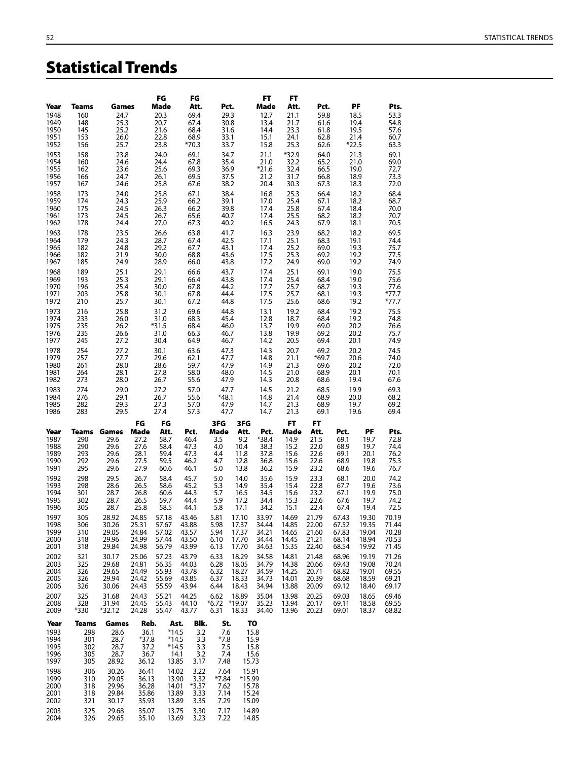# Statistical Trends

|              |              |                |                 | FG              | FG                                |               |                | FT              | FT              |                 |                |                 |                  |
|--------------|--------------|----------------|-----------------|-----------------|-----------------------------------|---------------|----------------|-----------------|-----------------|-----------------|----------------|-----------------|------------------|
| Year<br>1948 | Teams<br>160 | Games<br>24.7  |                 | Made<br>20.3    | Att.<br>69.4                      |               | Pct.<br>29.3   | Made<br>12.7    | Att.<br>21.1    | Pct.<br>59.8    |                | PF<br>18.5      | Pts.<br>53.3     |
| 1949<br>1950 | 148<br>145   | 25.3<br>25.2   |                 | 20.7<br>21.6    | 67.4<br>68.4                      |               | 30.8<br>31.6   | 13.4<br>14.4    | 21.7<br>23.3    | 61.6<br>61.8    |                | 19.4<br>19.5    | 54.8<br>57.6     |
| 1951         | 153          | 26.0           |                 | 22.8            | 68.9                              |               | 33.1           | 15.1            | 24.1            | 62.8            |                | 21.4            | 60.7             |
| 1952<br>1953 | 156<br>158   | 25.7<br>23.8   |                 | 23.8<br>24.0    | $*70.3$<br>69.1                   |               | 33.7<br>34.7   | 15.8<br>21.1    | 25.3<br>$*32.9$ | 62.6<br>64.0    |                | $*22.5$<br>21.3 | 63.3<br>69.1     |
| 1954         | 160          | 24.6           |                 | 24.4            | 67.8                              |               | 35.4           | 21.0            | 32.2            | 65.2            |                | 21.0            | 69.0             |
| 1955<br>1956 | 162<br>166   | 23.6<br>24.7   |                 | 25.6<br>26.1    | 69.3<br>69.5                      |               | 36.9<br>37.5   | $*21.6$<br>21.2 | 32.4<br>31.7    | 66.5<br>66.8    |                | 19.0<br>18.9    | 72.7<br>73.3     |
| 1957         | 167          | 24.6           |                 | 25.8            | 67.6                              |               | 38.2           | 20.4            | 30.3            | 67.3            |                | 18.3            | 72.0             |
| 1958<br>1959 | 173<br>174   | 24.0<br>24.3   |                 | 25.8<br>25.9    | 67.1<br>66.2                      |               | 38.4<br>39.1   | 16.8<br>17.0    | 25.3<br>25.4    | 66.4<br>67.1    |                | 18.2<br>18.2    | 68.4<br>68.7     |
| 1960<br>1961 | 175<br>173   | 24.5<br>24.5   |                 | 26.3<br>26.7    | 66.2<br>65.6                      |               | 39.8<br>40.7   | 17.4<br>17.4    | 25.8<br>25.5    | 67.4<br>68.2    |                | 18.4<br>18.2    | 70.0<br>70.7     |
| 1962         | 178          | 24.4           |                 | 27.0            | 67.3                              |               | 40.2           | 16.5            | 24.3            | 67.9            |                | 18.1            | 70.5             |
| 1963<br>1964 | 178<br>179   | 23.5<br>24.3   |                 | 26.6<br>28.7    | 63.8<br>67.4                      |               | 41.7<br>42.5   | 16.3<br>17.1    | 23.9<br>25.1    | 68.2<br>68.3    |                | 18.2<br>19.1    | 69.5<br>74.4     |
| 1965         | 182          | 24.8           |                 | 29.2            | 67.7                              |               | 43.1           | 17.4            | 25.2            | 69.0            |                | 19.3            | 75.7             |
| 1966<br>1967 | 182<br>185   | 21.9<br>24.9   |                 | 30.0<br>28.9    | 68.8<br>66.0                      |               | 43.6<br>43.8   | 17.5<br>17.2    | 25.3<br>24.9    | 69.2<br>69.0    |                | 19.2<br>19.2    | 77.5<br>74.9     |
| 1968         | 189          | 25.1           |                 | 29.1            | 66.6                              |               | 43.7           | 17.4            | 25.1            | 69.1            |                | 19.0            | 75.5             |
| 1969<br>1970 | 193<br>196   | 25.3<br>25.4   |                 | 29.1<br>30.0    | 66.4<br>67.8                      |               | 43.8<br>44.2   | 17.4<br>17.7    | 25.4<br>25.7    | 68.4<br>68.7    |                | 19.0<br>19.3    | 75.6<br>77.6     |
| 1971<br>1972 | 203<br>210   | 25.8<br>25.7   |                 | 30.1<br>30.1    | 67.8<br>67.2                      |               | 44.4<br>44.8   | 17.5<br>17.5    | 25.7<br>25.6    | 68.1<br>68.6    |                | 19.3<br>19.2    | *77.7<br>$*77.7$ |
| 1973         | 216          | 25.8           |                 | 31.2            | 69.6                              |               | 44.8           | 13.1            | 19.2            | 68.4            |                | 19.2            | 75.5             |
| 1974<br>1975 | 233<br>235   | 26.0<br>26.2   |                 | 31.0<br>$*31.5$ | 68.3<br>68.4                      |               | 45.4<br>46.0   | 12.8<br>13.7    | 18.7<br>19.9    | 68.4<br>69.0    |                | 19.2<br>20.2    | 74.8<br>76.6     |
| 1976<br>1977 | 235<br>245   | 26.6<br>27.2   |                 | 31.0<br>30.4    | 66.3<br>64.9                      |               | 46.7<br>46.7   | 13.8<br>14.2    | 19.9<br>20.5    | 69.2<br>69.4    |                | 20.2<br>20.1    | 75.7<br>74.9     |
| 1978         | 254          | 27.2           |                 | 30.1            | 63.6                              |               | 47.3           | 14.3            | 20.7            | 69.2            |                | 20.2            | 74.5             |
| 1979<br>1980 | 257<br>261   | 27.7<br>28.0   |                 | 29.6<br>28.6    | 62.1<br>59.7                      |               | 47.7<br>47.9   | 14.8<br>14.9    | 21.1<br>21.3    | $*69.7$<br>69.6 |                | 20.6<br>20.2    | 74.0<br>72.0     |
| 1981         | 264          | 28.1           |                 | 27.8            | 58.0                              |               | 48.0           | 14.5            | 21.0            | 68.9            |                | 20.1            | 70.1             |
| 1982<br>1983 | 273<br>274   | 28.0<br>29.0   |                 | 26.7<br>27.2    | 55.6<br>57.0                      |               | 47.9<br>47.7   | 14.3<br>14.5    | 20.8<br>21.2    | 68.6<br>68.5    |                | 19.4<br>19.9    | 67.6<br>69.3     |
| 1984         | 276          | 29.1           |                 | 26.7            | 55.6                              | *48.1         |                | 14.8<br>14.7    | 21.4<br>21.3    | 68.9            |                | 20.0            | 68.2             |
| 1985<br>1986 | 282<br>283   | 29.3<br>29.5   |                 | 27.3<br>27.4    | 57.0<br>57.3                      |               | 47.9<br>47.7   | 14.7            | 21.3            | 68.9<br>69.1    |                | 19.7<br>19.6    | 69.2<br>69.4     |
| Year         | Teams        | Games          | FG<br>Made      | FG<br>Att.      | Pct.                              | 3FG<br>Made   | 3FG<br>Att.    | Pct.            | FT<br>Made      | FT<br>Att.      | Pct.           | PF              | Pts.             |
| 1987         | 290          | 29.6           | 27.2            | 58.7            | 46.4                              | 3.5           | 9.2            | *38.4           | 14.9            | 21.5            | 69.1           | 19.7            | 72.8             |
| 1988<br>1989 | 290<br>293   | 29.6<br>29.6   | 27.6<br>28.1    | 58.4<br>59.4    | 47.3<br>47.3                      | 4.0<br>4.4    | 10.4<br>11.8   | 38.3<br>37.8    | 15.2<br>15.6    | 22.0<br>22.6    | 68.9<br>69.1   | 19.7<br>20.1    | 74.4<br>76.2     |
| 1990<br>1991 | 292<br>295   | 29.6<br>29.6   | 27.5<br>27.9    | 59.5<br>60.6    | 46.2<br>46.1                      | 4.7<br>5.0    | 12.8<br>13.8   | 36.8<br>36.2    | 15.6<br>15.9    | 22.6<br>23.2    | 68.9<br>68.6   | 19.8<br>19.6    | 75.3<br>76.7     |
| 1992         | 298          | 29.5           | 26.7            | 58.4            | 45.7                              | 5.0           | 14.0           | 35.6            | 15.9            | 23.3            | 68.1           | 20.0            | 74.2             |
| 1993<br>1994 | 298<br>301   | 28.6<br>28.7   | 26.5<br>26.8    | 58.6<br>60.6    | 45.2<br>44.3                      | 5.3<br>5.7    | 14.9<br>16.5   | 35.4<br>34.5    | 15.4<br>15.6    | 22.8<br>23.2    | 67.7<br>67.1   | 19.6<br>19.9    | 73.6<br>75.0     |
| 1995<br>1996 | 302<br>305   | 28.7<br>28.7   | 26.5<br>25.8    | 59.7<br>58.5    | 44.4<br>44.1                      | 5.9<br>5.8    | 17.2<br>17.1   | 34.4<br>34.2    | 15.3<br>15.1    | 22.6<br>22.4    | 67.6<br>67.4   | 19.7<br>19.4    | 74.2<br>72.5     |
| 1997         | 305          | 28.92          | 24.85           | 57.18           | 43.46                             | 5.81          | 17.10          | 33.97           | 14.69           | 21.79           | 67.43          | 19.30           | 70.19            |
| 1998<br>1999 | 306<br>310   | 30.26<br>29.05 | 25.31<br>24.84  | 57.67<br>57.02  | 43.88<br>43.57                    | 5.98<br>5.94  | 17.37<br>17.37 | 34.44<br>34.21  | 14.85<br>14.65  | 22.00<br>21.60  | 67.52<br>67.83 | 19.35<br>19.04  | 71.44<br>70.28   |
| 2000         | 318          | 29.96          | 24.99           | 57.44           | 43.50                             | 6.10          | 17.70          | 34.44           | 14.45           | 21.21           | 68.14          | 18.94           | 70.53            |
| 2001<br>2002 | 318<br>321   | 29.84<br>30.17 | 24.98<br>25.06  | 56.79<br>57.23  | 43.99<br>43.79                    | 6.13<br>6.33  | 17.70<br>18.29 | 34.63<br>34.58  | 15.35<br>14.81  | 22.40<br>21.48  | 68.54<br>68.96 | 19.92<br>19.19  | 71.45<br>71.26   |
| 2003<br>2004 | 325<br>326   | 29.68<br>29.65 | 24.81<br>24.49  | 56.35<br>55.93  | 44.03<br>43.78                    | 6.28<br>6.32  | 18.05<br>18.27 | 34.79<br>34.59  | 14.38<br>14.25  | 20.66<br>20.71  | 69.43<br>68.82 | 19.08<br>19.01  | 70.24<br>69.55   |
| 2005         | 326          | 29.94          | 24.42           | 55.69           | 43.85                             | 6.37          | 18.33          | 34.73           | 14.01           | 20.39           | 68.68          | 18.59           | 69.21            |
| 2006<br>2007 | 326<br>325   | 30.06<br>31.68 | 24.43<br>24.43  | 55.59<br>55.21  | 43.94<br>44.25                    | 6.44<br>6.62  | 18.43<br>18.89 | 34.94<br>35.04  | 13.88<br>13.98  | 20.09<br>20.25  | 69.12<br>69.03 | 18.40<br>18.65  | 69.17<br>69.46   |
| 2008         | 328          | 31.94          | 24.45           | 55.43           | 44.10                             |               | *6.72 *19.07   | 35.23           | 13.94           | 20.17           | 69.11          | 18.58           | 69.55            |
| 2009         | *330         | *32.12         | 24.28           | 55.47           | 43.77                             | 6.31          | 18.33          | 34.40           | 13.96           | 20.23           | 69.01          | 18.37           | 68.82            |
| Year<br>1993 | Teams<br>298 | Games<br>28.6  | Reb.<br>36.1    |                 | Blk.<br>Ast.<br>$*14.5$<br>3.2    | St.<br>7.6    |                | TO<br>15.8      |                 |                 |                |                 |                  |
| 1994<br>1995 | 301<br>302   | 28.7<br>28.7   | $*37.8$<br>37.2 |                 | $*14.5$<br>3.3<br>$*14.5$<br>3.3  | $*7.8$<br>7.5 |                | 15.9<br>15.8    |                 |                 |                |                 |                  |
| 1996         | 305          | 28.7           | 36.7            |                 | 14.1<br>3.2                       | 7.4           |                | 15.6            |                 |                 |                |                 |                  |
| 1997<br>1998 | 305<br>306   | 28.92<br>30.26 | 36.12<br>36.41  |                 | 3.17<br>13.85<br>14.02<br>3.22    | 7.48<br>7.64  | 15.73<br>15.91 |                 |                 |                 |                |                 |                  |
| 1999         | 310          | 29.05          | 36.13           |                 | 13.90<br>3.32                     | $*7.84$       | *15.99         |                 |                 |                 |                |                 |                  |
| 2000<br>2001 | 318<br>318   | 29.96<br>29.84 | 36.28<br>35.86  |                 | 14.01<br>$*3.37$<br>3.33<br>13.89 | 7.62<br>7.14  | 15.78          | 15.24           |                 |                 |                |                 |                  |
| 2002         | 321          | 30.17          | 35.93           |                 | 13.89<br>3.35                     | 7.29          |                | 15.09           |                 |                 |                |                 |                  |

325 29.68 35.07 13.75 3.30 7.17 14.89 2004 326 29.65 35.10 13.69 3.23 7.22 14.85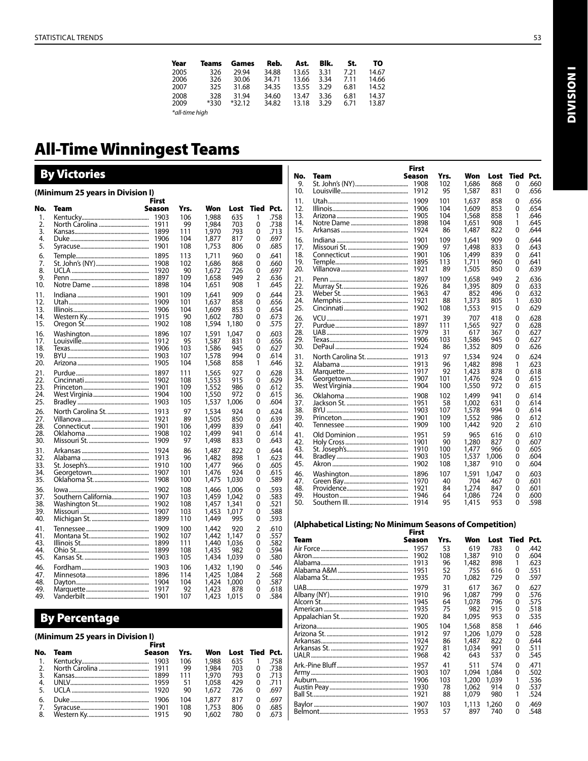| Year           | Teams  | Games    | Reb.  | Ast.  | Blk. | St.  | то    |
|----------------|--------|----------|-------|-------|------|------|-------|
| 2005           | 326    | 29.94    | 34.88 | 13.65 | 3.31 | 7.21 | 14.67 |
| 2006           | 326    | 30.06    | 34.71 | 13.66 | 3.34 | 7.11 | 14.66 |
| 2007           | 325    | 31.68    | 34.35 | 13.55 | 3.29 | 6.81 | 14.52 |
| 2008           | 328    | 31.94    | 34.60 | 13.47 | 3.36 | 6.81 | 14.37 |
| 2009           | $*330$ | $*32.12$ | 34.82 | 13.18 | 3.29 | 6.71 | 13.87 |
| *all-time high |        |          |       |       |      |      |       |

# All-Time Winningest Teams

# By Victories

|            | (Minimum 25 years in Division I) | First        |            |                |                |           |              |
|------------|----------------------------------|--------------|------------|----------------|----------------|-----------|--------------|
| No.        | Team                             | Season       | Yrs.       | Won            | Lost           | Tied Pct. |              |
| 1.         |                                  | 1903         | 106        | 1,988          | 635            | 1         | .758         |
| 2.         |                                  | 1911         | 99         | 1,984          | 703            | 0         | .738         |
| 3.         |                                  | 1899         | 111        | 1,970          | 793            | 0         | .713         |
| 4.<br>5.   |                                  | 1906<br>1901 | 104<br>108 | 1,877<br>1,753 | 817<br>806     | 0<br>0    | .697<br>.685 |
|            |                                  |              |            |                |                |           |              |
| 6.<br>7.   |                                  | 1895<br>1908 | 113<br>102 | 1,711<br>1,686 | 960<br>868     | 0<br>0    | .641<br>.660 |
| 8.         |                                  | 1920         | 90         | 1,672          | 726            | 0         | .697         |
| 9.         |                                  | 1897         | 109        | 1,658          | 949            | 2         | .636         |
| 10.        |                                  | 1898         | 104        | 1,651          | 908            | 1         | .645         |
| 11.        |                                  | 1901         | 109        | 1,641          | 909            | 0         | .644         |
| 12.        |                                  | 1909         | 101        | 1,637          | 858            | 0         | .656         |
| 13.<br>14. |                                  | 1906<br>1915 | 104<br>90  | 1,609<br>1,602 | 853<br>780     | 0<br>0    | .654<br>.673 |
| 15.        |                                  | 1902         | 108        | 1,594          | 1,180          | 0         | .575         |
| 16.        |                                  | 1896         | 107        | 1,591          | 1.047          | 0         | .603         |
| 17.        |                                  | 1912         | 95         | 1,587          | 831            | 0         | .656         |
| 18.        |                                  | 1906         | 103        | 1,586          | 945            | 0         | .627         |
| 19.        |                                  | 1903         | 107<br>104 | 1,578          | 994            | 0<br>1    | .614<br>.646 |
| 20.        |                                  | 1905         |            | 1,568          | 858            |           |              |
| 21.<br>22. | Purdue……………………………………………          | 1897<br>1902 | 111<br>108 | 1,565<br>1,553 | 927<br>915     | 0<br>0    | .628<br>.629 |
| 23.        |                                  | 1901         | 109        | 1,552          | 986            | 0         | .612         |
| 24.        |                                  | 1904         | 100        | 1,550          | 972            | 0         | .615         |
| 25.        |                                  | 1903         | 105        | 1,537          | 1,006          | 0         | .604         |
| 26.        | North Carolina St.               | 1913         | 97         | 1,534          | 924            | 0         | .624         |
| 27.        |                                  | 1921         | 89         | 1,505          | 850            | 0         | .639         |
| 28.<br>28. |                                  | 1901<br>1908 | 106<br>102 | 1,499<br>1,499 | 839<br>941     | 0<br>0    | .641<br>.614 |
| 30.        |                                  | 1909         | 97         | 1,498          | 833            | 0         | .643         |
| 31.        |                                  | 1924         | 86         | 1,487          | 822            | 0         | .644         |
| 32.        |                                  | 1913         | 96         | 1,482          | 898            | 1         | .623         |
| 33.        |                                  | 1910         | 100        | 1,477          | 966            | 0         | .605         |
| 34.<br>35. |                                  | 1907<br>1908 | 101<br>100 | 1,476<br>1,475 | 924<br>1,030   | 0<br>0    | .615<br>.589 |
|            |                                  |              |            |                |                |           |              |
| 36.<br>37. | Southern California              | 1902<br>1907 | 108<br>103 | 1,466<br>1,459 | 1,006<br>1.042 | 0<br>0    | .593<br>.583 |
| 38.        |                                  | 1902         | 108        | 1,457          | 1,341          | 0         | .521         |
| 39.        |                                  | 1907         | 103        | 1,453          | 1,017          | 0         | .588         |
| 40.        |                                  | 1899         | 110        | 1,449          | 995            | 0         | .593         |
| 41.        |                                  | 1909         | 100        | 1,442          | 920            | 2         | .610         |
| 41.        |                                  | 1902         | 107        | 1,442          | 1,147          | 0         | .557         |
| 43.<br>44. |                                  | 1899<br>1899 | 111<br>108 | 1,440<br>1,435 | 1,036<br>982   | 0<br>0    | .582<br>.594 |
| 45.        |                                  | 1903         | 105        | 1,434          | 1,039          | 0         | .580         |
| 46.        |                                  | 1903         | 106        | 1,432          | 1,190          | 0         | .546         |
| 47.        |                                  | 1896         | 114        | 1,425          | 1,084          | 2         | .568         |
| 48.        |                                  | 1904         | 104        | 1,424          | 1,000          | 0         | .587         |
| 49.<br>49. |                                  | 1917         | 92<br>107  | 1,423          | 878            | 0<br>0    | .618<br>.584 |
|            |                                  | 1901         |            | 1,423          | 1,015          |           |              |

## By Percentage

## **(Minimum 25 years in Division I)** First

|          | FIFST |        |       |  |                                                                                                                                                                       |
|----------|-------|--------|-------|--|-----------------------------------------------------------------------------------------------------------------------------------------------------------------------|
| No. Team |       | Yrs.   |       |  |                                                                                                                                                                       |
|          |       | 106    | 1.988 |  |                                                                                                                                                                       |
|          |       |        |       |  |                                                                                                                                                                       |
|          |       | 111    |       |  |                                                                                                                                                                       |
|          |       |        |       |  |                                                                                                                                                                       |
|          |       | 90     |       |  |                                                                                                                                                                       |
|          |       | 104    |       |  | .697                                                                                                                                                                  |
|          |       |        |       |  | .685                                                                                                                                                                  |
|          |       |        |       |  |                                                                                                                                                                       |
|          |       | Season | - 99  |  | Won Lost Tied Pct.<br>635 1 .758<br>1.984 703 0 738<br>1.970 793 0 .713<br>1.058 429 0 .711<br>1.672 726 0 .697<br>1.877 817 0<br>108 1.753 806 0<br>1,602 780 0 .673 |

|                  |      | <b>First</b><br><b>Season</b> | Yrs.      | Won            |                    | Tied           | Pct.         |
|------------------|------|-------------------------------|-----------|----------------|--------------------|----------------|--------------|
| No.<br>9.<br>10. | Team | 1908<br>1912                  | 102<br>95 | 1.686<br>1,587 | Lost<br>868<br>831 | 0<br>0         | .660<br>.656 |
| 11.              |      | 1909                          | 101       | 1,637          | 858                | 0              | .656         |
| 12.              |      | 1906                          | 104       | 1,609          | 853                | 0              | .654         |
| 13.              |      | 1905                          | 104       | 1,568          | 858                | 1              | .646         |
| 14.              |      | 1898                          | 104       | 1,651          | 908                | 1              | .645         |
| 15.              |      | 1924                          | 86        | 1,487          | 822                | 0              | .644         |
| 16.              |      | 1901                          | 109       | 1.641          | 909                | 0              | .644         |
| 17.              |      | 1909                          | 97        | 1,498          | 833                | 0              | .643         |
| 18.              |      | 1901                          | 106       | 1,499          | 839                | 0              | .641         |
| 19.              |      | 1895                          | 113       | 1,711          | 960                | 0              | .641         |
| 20.              |      | 1921                          | 89        | 1,505          | 850                | 0              | .639         |
| 21.              |      | 1897                          | 109       | 1,658          | 949                | $\overline{2}$ | .636         |
| 22.              |      | 1926                          | 84        | 1,395          | 809                | 0              | .633         |
| 23.              |      | 1963                          | 47        | 852            | 496                | 0              | .632         |
| 24.              |      | 1921                          | 88        | 1,373          | 805                | 1              | .630         |
| 25.              |      | 1902                          | 108       | 1,553          | 915                | 0              | .629         |
| 26.              |      | 1971                          | 39        | 707            | 418                | 0              | .628         |
| 27.              |      | 1897                          | 111       | 1,565          | 927                | 0              | .628         |
| 28.              |      | 1979                          | 31        | 617            | 367                | 0              | .627         |
| 29.              |      | 1906                          | 103       | 1,586          | 945                | 0              | .627         |
| 30.              |      | 1924                          | 86        | 1,352          | 809                | 0              | .626         |
| 31.              |      | 1913                          | 97        | 1,534          | 924                | 0              | .624         |
| 32.              |      | 1913                          | 96        | 1,482          | 898                | 1              | .623         |
| 33.              |      | 1917                          | 92        | 1,423          | 878                | 0              | .618         |
| 34.              |      | 1907                          | 101       | 1,476          | 924                | 0              | .615         |
| 35.              |      | 1904                          | 100       | 1,550          | 972                | 0              | .615         |
| 36.              |      | 1908                          | 102       | 1,499          | 941                | 0              | .614         |
| 37.              |      | 1951                          | 58        | 1,002          | 631                | 0              | .614         |
| 38.              |      | 1903                          | 107       | 1,578          | 994                | 0              | .614         |
| 39.              |      | 1901                          | 109       | 1,552          | 986                | 0              | .612         |
| 40.              |      | 1909                          | 100       | 1,442          | 920                | 2              | .610         |
| 41.              |      | 1951                          | 59        | 965            | 616                | 0              | .610         |
| 42.              |      | 1901                          | 90        | 1,280          | 827                | 0              | .607         |
| 43.              |      | 1910                          | 100       | 1.477          | 966                | 0              | .605         |
| 44.              |      | 1903                          | 105       | 1,537          | 1.006              | 0              | .604         |
| 45.              |      | 1902                          | 108       | 1,387          | 910                | 0              | .604         |
| 46.              |      | 1896                          | 107       | 1,591          | 1.047              | 0              | .603         |
| 47.              |      | 1970                          | 40        | 704            | 467                | 0              | .601         |
| 48.              |      | 1921                          | 84        | 1,274          | 847                | 0              | .601         |
| 49.              |      | 1946                          | 64        | 1.086          | 724                | 0              | .600         |
| 50.              |      | 1914                          | 95        | 1,415          | 953                | 0              | .598         |

# All-Time Won-Lost Records **(Alphabetical Listing; No Minimum Seasons of Competition)** First

| Team | Season | Yrs. | Won   | Lost  | Tied | Pct. |
|------|--------|------|-------|-------|------|------|
|      | 1957   | 53   | 619   | 783   | 0    | .442 |
|      | 1902   | 108  | 1,387 | 910   | 0    | .604 |
|      | 1913   | 96   | 1,482 | 898   | 1    | .623 |
|      | 1951   | 52   | 755   | 616   | 0    | .551 |
|      | 1935   | 70   | 1.082 | 729   | 0    | .597 |
|      | 1979   | 31   | 617   | 367   | 0    | .627 |
|      | 1910   | 96   | 1.087 | 799   | 0    | .576 |
|      | 1945   | 64   | 1,078 | 796   | 0    | .575 |
|      | 1935   | 75   | 982   | 915   | 0    | .518 |
|      | 1920   | 84   | 1,095 | 953   | 0    | .535 |
|      | 1905   | 104  | 1,568 | 858   | 1    | .646 |
|      | 1912   | 97   | 1,206 | 1.079 | 0    | .528 |
|      | 1924   | 86   | 1,487 | 822   | 0    | .644 |
|      | 1927   | 81   | 1.034 | 991   | 0    | .511 |
|      | 1968   | 42   | 643   | 537   | 0    | .545 |
|      | 1957   | 41   | 511   | 574   | 0    | .471 |
|      | 1903   | 107  | 1.094 | 1.084 | 0    | .502 |
|      | 1906   | 103  | 1,200 | 1.039 | 1    | .536 |
|      | 1930   | 78   | 1.062 | 914   | 0    | .537 |
|      | 1921   | 88   | 1.079 | 980   | 1    | .524 |
|      | 1907   | 103  | 1,113 | 1,260 | 0    | .469 |
|      | 1953   | 57   | 897   | 740   | 0    | .548 |

**DIVISION I** Division I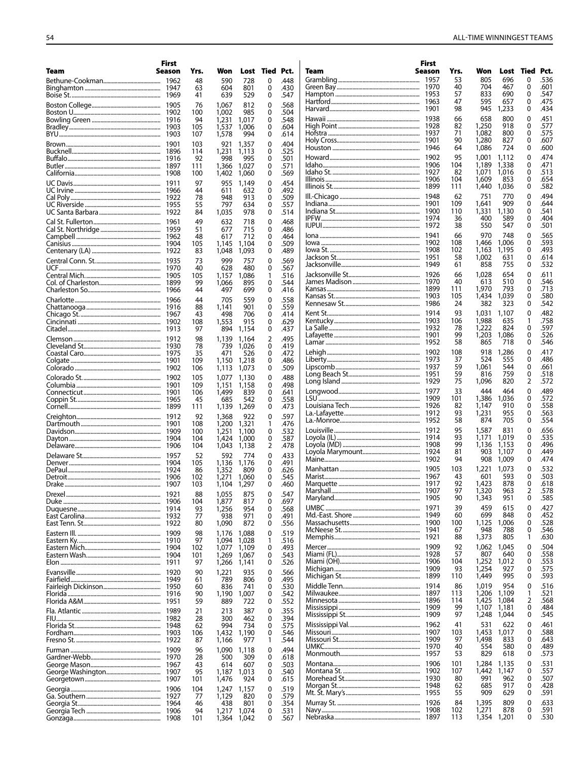|      | First        |            |                |                |           |              |                                     | First  |            |                |                |               |              |
|------|--------------|------------|----------------|----------------|-----------|--------------|-------------------------------------|--------|------------|----------------|----------------|---------------|--------------|
| Team | Season       | Yrs.       | Won            |                | Lost Tied | Pct.         | Team                                | Season | Yrs.       | Won            | Lost           | Tied          | Pct.         |
|      |              | 48         | 590            | 728            | 0         | .448         |                                     |        | 53<br>40   | 805<br>704     | 696<br>467     | $\Omega$<br>0 | .536<br>.601 |
|      |              | 63<br>41   | 604<br>639     | 801<br>529     | 0<br>0    | .430<br>.547 | Green Bay………………………………………………… 1970   |        | 57         | 833            | 690            | 0             | .547         |
|      |              |            |                |                |           |              |                                     |        | 47         | 595            | 657            | 0             | .475         |
|      |              | 76<br>100  | 1,067<br>1,002 | 812<br>985     | 0<br>0    | .568<br>.504 |                                     |        | 98         | 945            | 1,233          | 0             | .434         |
|      |              | 94         | 1,231          | 1,017          | 0         | .548         |                                     |        | 66         | 658            | 800            | 0             | .451         |
|      |              | 105        | 1,537          | 1,006          | 0         | .604         |                                     |        | 82         | 1,250          | 918            | 0             | .577         |
|      |              | 107        | 1,578          | 994            | 0         | .614         |                                     |        | 71         | 1,082          | 800            | 0             | .575         |
|      |              | 103        | 921            | 1,357          | 0         | .404         |                                     |        | 90<br>64   | 1,280<br>1,086 | 827<br>724     | 0<br>0        | .607<br>.600 |
|      |              | 114        | 1,231          | 1,113          | 0         | .525         |                                     |        |            |                |                |               |              |
|      |              | 92         | 998            | 995            | 0         | .501         |                                     | 1906   | 95<br>104  | 1,001<br>1,189 | 1,112<br>1,338 | 0<br>0        | .474<br>.471 |
|      |              | 111<br>100 | 1,366<br>1,402 | 1,027<br>1,060 | 0<br>0    | .571<br>.569 |                                     |        | 82         | 1,071          | 1.016          | 0             | .513         |
|      |              |            |                |                |           |              |                                     |        | 104        | 1,609          | 853            | 0             | .654         |
|      | 1966         | 97<br>44   | 955<br>611     | 1,149<br>632   | 0<br>0    | .454<br>.492 |                                     |        | 111        | 1,440          | 1,036          | 0             | .582         |
|      |              | 78         | 948            | 913            | 0         | .509         |                                     |        | 62         | 751            | 770            | 0             | .494         |
|      |              | 55         | 797            | 634            | 0         | .557         |                                     |        | 109        | 1,641          | 909            | 0             | .644         |
|      |              | 84         | 1,035          | 978            | 0         | .514         |                                     |        | 110        | 1,331          | 1,130          | 0             | .541         |
|      |              | 49         | 632            | 718            | 0         | .468         |                                     |        | 36<br>38   | 400<br>550     | 589<br>547     | 0<br>0        | .404<br>.501 |
|      |              | 51         | 677            | 715            | 0         | .486         |                                     |        |            | 970            |                | 0             | .565         |
|      |              | 48         | 617            | 712<br>1,104   | 0<br>0    | .464<br>.509 |                                     |        | 66<br>108  | 1.466          | 748<br>1,006   | 0             | .593         |
|      |              | 105<br>83  | 1,145<br>1,048 | 1,093          | 0         | .489         |                                     |        | 102        | 1,163          | 1,195          | 0             | .493         |
|      |              | 73         | 999            |                | 0         | .569         |                                     |        | 58         | 1,002          | 631            | 0             | .614         |
|      |              | 40         | 628            | 757<br>480     | 0         | .567         |                                     |        | 61         | 858            | 755            | 0             | .532         |
|      |              | 105        | 1,157          | 1,086          | 1         | .516         |                                     |        | 66         | 1,028          | 654            | 0             | .611         |
|      |              | 99         | 1,066          | 895            | 0         | .544         |                                     |        | 40         | 613            | 510            | 0             | .546         |
|      |              | 44         | 497            | 699            | 0         | .416         |                                     |        | 111        | 1,970          | 793            | 0<br>0        | .713<br>.580 |
|      |              | 44         | 705            | 559            | 0         | .558         |                                     |        | 105<br>24  | 1,434<br>382   | 1.039<br>323   | 0             | .542         |
|      |              | 88         | 1,141          | 901            | 0         | .559         |                                     |        | 93         |                |                |               | .482         |
|      |              | 43<br>108  | 498<br>1,553   | 706<br>915     | 0<br>0    | .414<br>.629 |                                     |        | 106        | 1,031<br>1,988 | 1,107<br>635   | 0             | .758         |
|      |              | 97         | 894            | 1,154          | 0         | .437         | La Salle………………………………………………………… 1932 |        | 78         | 1,222          | 824            | 0             | .597         |
|      |              | 98         | 1,139          | 1,164          | 2         | .495         |                                     |        | 99         | 1,203          | 1,086          | 0             | .526         |
|      |              | 78         | 739            | 1,026          | 0         | .419         |                                     |        | 58         | 865            | 718            | 0             | .546         |
|      |              | 35         | 471            | 526            | 0         | .472         |                                     |        | 108        | 918            | 1,286          | 0             | .417         |
|      |              | 109        | 1,150          | 1,218          | 0         | .486         |                                     |        | 37         | 524            | 555            | 0             | .486         |
|      |              | 106        | 1,113          | 1,073          | 0         | .509         |                                     |        | 59<br>59   | 1,061<br>816   | 544<br>759     | 0<br>0        | .661<br>.518 |
|      | 1902         | 105        | 1,077          | 1,130          | 0         | .488         |                                     |        | 75         | 1,096          | 820            | 2             | .572         |
|      |              | 109        | 1,151          | 1,158          | 0         | .498         |                                     |        | 33         | 444            | 464            | 0             | .489         |
|      |              | 106<br>45  | 1,499<br>685   | 839<br>542     | 0<br>0    | .641<br>.558 |                                     |        | 101        | 1,386          | 1,036          | 0             | .572         |
|      |              | 111        | 1,139          | 1,269          | 0         | .473         |                                     |        | 82         | 1.147          | 910            | 0             | .558         |
|      |              | 92         | 1,368          | 922            | 0         | .597         |                                     |        | 93         | 1,231          | 955            | 0             | .563         |
|      |              | 108        | 1,200          | 1,321          | 1         | .476         |                                     |        | 58         | 874            | 705            | 0             | .554         |
|      |              | 100        | 1,251          | 1,100          | 0         | .532         |                                     |        | 95         | 1,587          | 831            | 0             | .656         |
|      |              | 104        | 1,424          | 1,000          | 0         | .587         |                                     |        | 93         | 1,171          | 1,019          | 0             | .535         |
|      |              | 104        | 1,043          | 1,138          | 2         | .478         |                                     |        | 99<br>81   | 1,136<br>903   | 1,153<br>1,107 | 0<br>0        | .496<br>.449 |
|      |              | 52         | 592            | 774            | 0         | .433         |                                     |        | 94         | 908            | 1,009          | 0             | .474         |
|      |              | 105<br>86  | 1,136<br>1,352 | 1,176<br>809   | 0<br>0    | .491<br>.626 |                                     |        | 103        | 1,221          | 1,073          | 0             | .532         |
|      |              | 102        | 1,271          | 1,060          | 0         | .545         |                                     |        | 43         | 601            | 593            | 0             | .503         |
|      |              | 103        | 1,104          | 1,297          | 0         | .460         |                                     |        | 92         | 1,423          | 878            | 0             | .618         |
|      |              | 88         | 1,055          | 875            | 0         | .547         |                                     |        | 97         | 1,320          | 963            | 2             | .578         |
|      |              | 104        | 1,877          | 817            | 0         | .697         |                                     |        | 90         | 1,343          | 951            | 0             | .585         |
|      |              | 93         | 1,256          | 954            | 0         | .568         |                                     |        | 39         | 459            | 615            | 0             | .427         |
|      |              | 77         | 938            | 971<br>872     | 0         | .491         |                                     |        | 60<br>100  | 699<br>1,125   | 848<br>1,006   | 0<br>0        | .452<br>.528 |
|      |              | 80         | 1,090          |                | 0         | .556         |                                     |        | 67         | 948            | 788            | 0             | .546         |
|      | 1909         | 98<br>97   | 1,176<br>1,094 | 1,088<br>1,028 | 0<br>1    | .519<br>.516 |                                     |        | 88         | 1,373          | 805            | 1             | .630         |
|      | 1904         | 102        | 1,077          | 1,109          | 0         | .493         |                                     |        | 92         | 1,062          | 1,045          | 0             | .504         |
|      |              | 101        | 1,269          | 1,067          | 0         | .543         |                                     |        | 57         | 807            | 640            | 0             | .558         |
|      |              | 97         | 1,266          | 1,141          | 0         | .526         |                                     |        | 104        | 1,252          | 1,012          | 0             | .553         |
|      |              | 90         | 1,221          | 935            | 0         | .566         |                                     |        | 93<br>110  | 1,254<br>1,449 | 927<br>995     | 0<br>0        | .575<br>.593 |
|      |              | 61         | 789            | 806            | 0         | .495         |                                     |        |            |                |                |               |              |
|      |              | 60         | 836            | 741            | 0         | .530         |                                     |        | 86<br>113  | 1,019<br>1,206 | 954<br>1,109   | 0<br>1        | .516<br>.521 |
|      | 1916         | 90<br>59   | 1,190<br>889   | 1,007<br>722   | 0<br>0    | .542<br>.552 |                                     | 1896   | 114        | 1,425          | 1,084          | 2             | .568         |
|      |              |            |                |                | 0         |              |                                     |        | 99         | 1,107          | 1,181          | 0             | .484         |
|      |              | 21<br>28   | 213<br>300     | 387<br>462     | 0         | .355<br>.394 |                                     |        | 97         | 1,248          | 1,044          | 0             | .545         |
|      |              | 62         | 994            | 734            | 0         | .575         |                                     |        | 41         | 531            | 622            | 0             | .461         |
|      |              | 106        | 1,432          | 1,190          | 0         | .546         |                                     | 1907   | 103        | 1,453          | 1,017          | 0             | .588         |
|      |              | 87         | 1,166          | 977            | 1         | .544         | Missouri St………………………………………………       | 1909   | 97         | 1,498          | 833            | 0             | .643         |
|      |              | 96         | 1,090          | 1,118          | 0         | .494         |                                     | 1970   | 40<br>53   | 554<br>829     | 580<br>618     | 0<br>0        | .489<br>.573 |
|      | 1970         | 28         | 500            | 309            | 0         | .618         |                                     |        |            |                |                | 0             |              |
|      | 1967<br>1907 | 43<br>95   | 614<br>1,187   | 607<br>1,013   | 0<br>0    | .503<br>.540 |                                     |        | 101<br>107 | 1,284<br>1,442 | 1,135<br>1,147 | 0             | .531<br>.557 |
|      |              | 101        | 1,476          | 924            | 0         | .615         |                                     |        | 80         | 991            | 962            | 0             | .507         |
|      | 1906         | 104        | 1,247          | 1,157          | 0         | .519         |                                     | 1948   | 62         | 685            | 917            | 0             | .428         |
|      |              | 77         | 1,129          | 820            | 0         | .579         |                                     | 1955   | 55         | 909            | 629            | 0             | .591         |
|      |              | 46         | 438            | 801            | 0         | .354         |                                     |        | 84         | 1,395          | 809            | 0             | .633         |
|      |              | 94         | 1,217          | 1,074          | 0         | .531         |                                     | 1908   | 102        | 1,271          | 878            | 0             | .591         |
|      | 1908         | 101        | 1,364 1,042    |                | 0         | .567         |                                     | 1897   | 113        | 1,354          | 1,201          | 0             | .530         |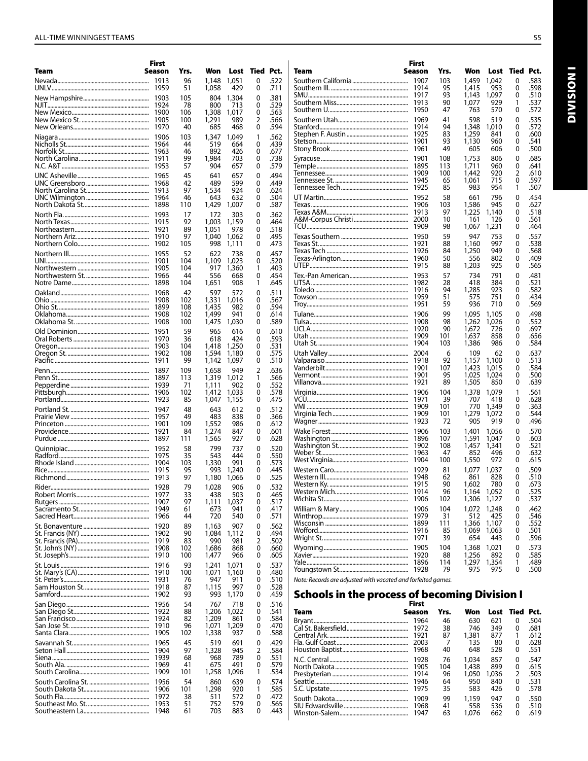|                            | First        |           |                |                |           |              |
|----------------------------|--------------|-----------|----------------|----------------|-----------|--------------|
| Team                       | Season       | Yrs.      | Won            | Lost           | Tied Pct. |              |
|                            | 1913<br>1959 | 96        | 1,148          | 1,051          | 0         | .522         |
| UNLV………………………………………………………… |              | 51        | 1,058          | 429            | 0         | .711         |
|                            | 1903<br>1924 | 105<br>78 | 804<br>800     | 1,304<br>713   | 0<br>0    | .381<br>.529 |
|                            | 1900         | 106       | 1,308          | 1,017          | 0         | .563         |
|                            | 1905         | 100       | 1,291          | 989            | 2         | .566         |
|                            | 1970         | 40        | 685            | 468            | 0         | .594         |
|                            | 1906         | 103       | 1,347          | 1,049          | 1         | .562         |
|                            | 1964<br>1963 | 44<br>46  | 519<br>892     | 664<br>426     | 0<br>0    | .439<br>.677 |
|                            | 1911         | 99        | 1,984          | 703            | 0         | .738         |
|                            | 1953         | 57        | 904            | 657            | 0         | .579         |
|                            | 1965         | 45        | 641            | 657            | 0         | .494         |
|                            | 1968         | 42        | 489            | 599            | 0         | .449         |
|                            | 1913<br>1964 | 97<br>46  | 1,534<br>643   | 924<br>632     | 0<br>0    | .624<br>.504 |
|                            | 1898         | 110       | 1,429          | 1,007          | 0         | .587         |
|                            | 1993         | 17        | 172            | 303            | 0         | .362         |
|                            | 1915         | 92        | 1,003          | 1,159          | 0         | .464         |
|                            | 1921<br>1910 | 89        | 1,051          | 978            | 0         | .518<br>.495 |
|                            | 1902         | 97<br>105 | 1,040<br>998   | 1,062<br>1,111 | 0<br>0    | .473         |
|                            | 1955         | 52        | 622            | 738            | 0         | .457         |
|                            | 1901         | 104       | 1,109          | 1,023          | 0         | .520         |
|                            | 1905         | 104       | 917            | 1,360          | 1         | .403         |
|                            | 1966<br>1898 | 44<br>104 | 556<br>1,651   | 668<br>908     | 0<br>1    | .454<br>.645 |
|                            |              |           |                |                |           |              |
|                            | 1968<br>1908 | 42<br>102 | 597<br>1,331   | 572<br>1,016   | 0<br>0    | .511<br>.567 |
|                            | 1899         | 108       | 1,435          | 982            | 0         | .594         |
|                            | 1908         | 102       | 1.499          | 941            | 0         | .614         |
|                            | 1908         | 100       | 1,475          | 1,030          | 0         | .589         |
|                            | 1951         | 59        | 965            | 616            | 0         | .610         |
|                            | 1970<br>1903 | 36<br>104 | 618<br>1,418   | 424<br>1,250   | 0<br>0    | .593<br>.531 |
|                            | 1902         | 108       | 1,594          | 1,180          | 0         | .575         |
|                            | 1911         | 99        | 1,142          | 1,097          | 0         | .510         |
|                            | 1897         | 109       | 1,658          | 949            | 2         | .636         |
|                            | 1897<br>1939 | 113<br>71 | 1,319<br>1,111 | 1,012<br>902   | 1<br>0    | .566<br>.552 |
|                            | 1906         | 102       | 1,412          | 1,033          | 0         | .578         |
|                            | 1923         | 85        | 1,047          | 1,155          | 0         | .475         |
|                            | 1947         | 48        | 643            | 612            | 0         | .512         |
|                            | 1957         | 49        | 483            | 838            | 0         | .366         |
|                            | 1901<br>1921 | 109<br>84 | 1,552<br>1,274 | 986<br>847     | 0<br>0    | .612<br>.601 |
|                            | 1897         | 111       | 1,565          | 927            | 0         | .628         |
|                            | 1952         | 58        | 799            | 737            | 0         | .520         |
|                            | 1975         | 35        | 543            | 444            | 0         | .550         |
|                            | 1904<br>1915 | 103<br>95 | 1,330<br>993   | 991<br>1,240   | 0<br>0    | .573<br>.445 |
|                            | 1913         | 97        | 1,180          | 1,066          | 0         | .525         |
|                            | 1928         | 79        | 1,028          | 906            | 0         | .532         |
|                            | 1977         | 33        | 438            | 503            | 0         | .465         |
|                            | 1907         | 97        | 1,111          | 1,037          | 0         | .517         |
|                            | 1949<br>1966 | 61<br>44  | 673<br>720     | 941<br>540     | 0<br>0    | .417<br>.571 |
|                            | 1920         | 89        | 1,163          | 907            | 0         | .562         |
|                            | 1902         | 90        | 1,084          | 1,112          | 0         | .494         |
|                            | 1919         | 83        | 990            | 981            | 2         | .502         |
|                            | 1908         | 102       | 1,686          | 868            | 0         | .660         |
|                            | 1910         | 100       | 1,477          | 966            | 0         | .605         |
|                            | 1916<br>1910 | 93<br>100 | 1,241<br>1,071 | 1.071<br>1,160 | 0<br>0    | .537<br>.480 |
|                            | 1931         | 76        | 947            | 911            | 0         | .510         |
|                            | 1918         | 87        | 1,115          | 997            | 0         | .528         |
|                            | 1902         | 93        | 993            | 1,170          | 0         | .459         |
|                            | 1956         | 54        | 767            | 718            | 0         | .516         |
|                            | 1922<br>1924 | 88<br>82  | 1,206<br>1,209 | 1,022<br>861   | 0<br>0    | .541<br>.584 |
|                            | 1910         | 96        | 1,071          | 1,209          | 0         | .470         |
|                            | 1905         | 102       | 1,338          | 937            | 0         | .588         |
|                            | 1965         | 45        | 519            | 691            | 0         | .429         |
|                            | 1904         | 97        | 1,328          | 945            | 2         | .584         |
|                            | 1939<br>1969 | 68<br>41  | 968<br>675     | 789<br>491     | 0<br>0    | .551<br>.579 |
|                            | 1909         | 101       | 1,258          | 1,096          | 1         | .534         |
|                            | 1956         | 54        | 860            | 639            | 0         | .574         |
|                            | 1906         | 101       | 1,298          | 920            | 1         | .585         |
|                            | 1972         | 38        | 511            | 572            | 0         | .472         |
|                            | 1953<br>1948 | 51<br>61  | 752<br>703     | 579<br>883     | 0<br>0    | .565<br>.443 |
|                            |              |           |                |                |           |              |

|      | First        |            |                |                |           |              |
|------|--------------|------------|----------------|----------------|-----------|--------------|
| Team | Season       | Yrs.       | Won            | Lost           | Tied Pct. |              |
|      | 1907<br>1914 | 103<br>95  | 1,459<br>1,415 | 1,042<br>953   | 0<br>0    | .583<br>.598 |
|      | 1917         | 93         | 1,143          | 1,097          | 0         | .510         |
|      | 1913<br>1950 | 90<br>47   | 1,077<br>763   | 929<br>570     | 1<br>0    | .537<br>.572 |
|      | 1969         | 41         | 598            | 519            | 0         | .535         |
|      | 1914         | 94         | 1,348          | 1,010          | 0         | .572         |
|      | 1925         | 83<br>93   | 1,259          | 841            | 0         | .600         |
|      | 1901<br>1961 | 49         | 1,130<br>605   | 960<br>606     | 0<br>0    | .541<br>.500 |
|      | 1901         | 108        | 1,753          | 806            | 0         | .685         |
|      | 1895         | 113        | 1.711          | 960            | 0         | .641         |
|      | 1909<br>1945 | 100<br>65  | 1,442<br>1,061 | 920<br>715     | 2<br>0    | .610<br>.597 |
|      | 1925         | 85         | 983            | 954            | 1         | .507         |
|      | 1952         | 58         | 661            | 796            | 0         | .454         |
|      | 1906<br>1913 | 103<br>97  | 1,586<br>1,225 | 945<br>1,140   | 0<br>0    | .627<br>.518 |
|      | 2000         | 10         | 161            | 126            | 0         | .561         |
|      | 1909         | 98         | 1,067          | 1,231          | 0         | .464         |
|      | 1950<br>1921 | 59<br>88   | 947<br>1,160   | 753<br>997     | 0<br>0    | .557<br>.538 |
|      | 1926         | 84         | 1,250          | 949            | 0         | .568         |
|      | 1960         | 50         | 556            | 802            | 0         | .409         |
|      | 1915         | 88         | 1,203          | 925            | 0         | .565         |
|      | 1953<br>1982 | 57<br>28   | 734<br>418     | 791<br>384     | 0<br>0    | .481<br>.521 |
|      | 1916         | 94         | 1,285          | 923            | 0         | .582         |
|      | 1959<br>1951 | 51<br>59   | 575<br>936     | 751<br>710     | 0<br>0    | .434<br>.569 |
|      | 1906         | 99         | 1,095          | 1,105          | 0         | .498         |
|      | 1908         | 98         | 1,262          | 1,026          | 0         | .552         |
|      | 1920         | 90         | 1,672          | 726            | 0         | .697         |
|      | 1909<br>1904 | 101<br>103 | 1,637<br>1,386 | 858<br>986     | 0<br>0    | .656<br>.584 |
|      | 2004         | 6          | 109            | 62             | 0         | .637         |
|      | 1918         | 92         | 1,157          | 1,100          | 0         | .513         |
|      | 1901<br>1901 | 107<br>95  | 1,423<br>1,025 | 1,015<br>1,024 | 0<br>0    | .584<br>.500 |
|      | 1921         | 89         | 1,505          | 850            | 0         | .639         |
|      | 1906         | 104        | 1,378          | 1,079          | 1         | .561         |
|      | 1971<br>1909 | 39<br>101  | 707<br>770     | 418<br>1,349   | 0<br>0    | .628<br>.363 |
|      | 1909         | 101        | 1,279          | 1,072          | 0         | .544         |
|      | 1923         | 72         | 905            | 919            | 0         | .496         |
|      | 1906<br>1896 | 103<br>107 | 1,401<br>1,591 | 1,056<br>1,047 | 0<br>0    | .570<br>.603 |
|      | 1902         | 108        | 1,457          | 1,341          | 0         | .521         |
|      | 1963         | 47         | 852            | 496            | 0         | .632         |
|      | 1904<br>1929 | 100<br>81  | 1,550<br>1,077 | 972            | 0<br>0    | .615<br>.509 |
|      | 1948         | 62         | 861            | 1,037<br>828   | 0         | .510         |
|      | 1915         | 90         | 1,602          | 780            | 0         | .673         |
|      | 1914<br>1906 | 96<br>102  | 1,164<br>1,306 | 1,052<br>1,127 | 0<br>0    | .525<br>.537 |
|      | 1906         | 104        | 1,072          | 1,248          | 0         | .462         |
|      | 1979         | 31         | 512            | 425            | 0         | .546         |
|      | 1899         | 111        | 1,366          | 1,107          | 0         | .552         |
|      | 1916<br>1971 | 85<br>39   | 1,069<br>654   | 1,063<br>443   | 0<br>0    | .501<br>.596 |
|      | 1905         | 104        | 1,368          | 1,021          | 0         | .573         |
|      | 1920<br>1896 | 88<br>114  | 1,256<br>1,297 | 892            | 0<br>1    | .585<br>.489 |
|      | 1928         | 79         | 975            | 1,354<br>975   | 0         | .500         |
|      |              |            |                |                |           |              |

*Note: Records are adjusted with vacated and forfeited games.*

# Schools in the process of becoming Division I First

|      | rırsı  |      |       |       |           |      |
|------|--------|------|-------|-------|-----------|------|
| Team | Season | Yrs. | Won   | Lost  | Tied Pct. |      |
|      | 1964   | 46   | 630   | 621   | 0         | .504 |
|      | 1972   | 38   | 746   | 349   | 0         | .681 |
|      | 1921   | 87   | 1.381 | 877   | 1         | .612 |
|      | 2003   | 7    | 135   | 80    | $\Omega$  | .628 |
|      | 1968   | 40   | 648   | 528   | 0         | .551 |
|      | 1928   | 76   | 1.034 | 857   | 0         | .547 |
|      | 1905   | 104  | 1,438 | 899   | 0         | .615 |
|      | 1914   | 96   | 1.050 | 1.036 | 2         | .503 |
|      | 1946   | 64   | 950   | 840   | 0         | .531 |
|      | 1975   | 35   | 583   | 426   | 0         | .578 |
|      | 1909   | 99   | 1.159 | 947   | 0         | .550 |
|      | 1968   | 41   | 558   | 536   | 0         | .510 |
|      | 1947   | 63   | 1.076 | 662   | 0         | .619 |

Division I

**INOISINI**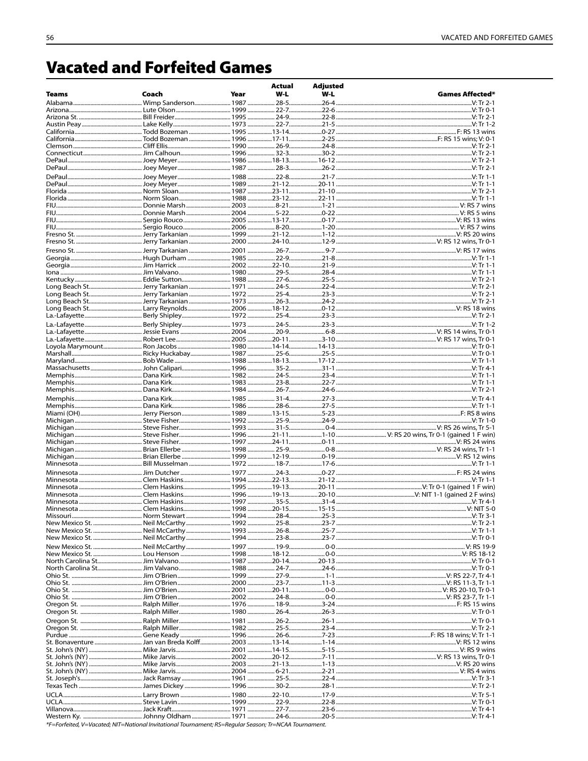# **Vacated and Forfeited Games**

|              |                     |      | Actual   | <b>Adjusted</b> |                                                                                                                                                                                                                                                 |
|--------------|---------------------|------|----------|-----------------|-------------------------------------------------------------------------------------------------------------------------------------------------------------------------------------------------------------------------------------------------|
| <b>Teams</b> | Coach               | Year | $W-L$    | $W-L$           | <b>Games Affected*</b>                                                                                                                                                                                                                          |
|              | Wimp Sanderson 1987 |      | $28 - 5$ | $.26 - 4$       | .V: Tr 2-1                                                                                                                                                                                                                                      |
|              |                     |      |          |                 |                                                                                                                                                                                                                                                 |
|              |                     |      |          |                 |                                                                                                                                                                                                                                                 |
|              |                     |      |          |                 |                                                                                                                                                                                                                                                 |
|              |                     |      |          |                 |                                                                                                                                                                                                                                                 |
|              |                     |      |          |                 |                                                                                                                                                                                                                                                 |
|              |                     |      |          |                 |                                                                                                                                                                                                                                                 |
|              |                     |      |          |                 |                                                                                                                                                                                                                                                 |
|              |                     |      |          |                 |                                                                                                                                                                                                                                                 |
|              |                     |      |          |                 |                                                                                                                                                                                                                                                 |
|              |                     |      |          |                 |                                                                                                                                                                                                                                                 |
|              |                     |      |          |                 |                                                                                                                                                                                                                                                 |
|              |                     |      |          |                 |                                                                                                                                                                                                                                                 |
|              |                     |      |          |                 |                                                                                                                                                                                                                                                 |
|              |                     |      |          |                 |                                                                                                                                                                                                                                                 |
|              |                     |      |          |                 |                                                                                                                                                                                                                                                 |
|              |                     |      |          |                 |                                                                                                                                                                                                                                                 |
|              |                     |      |          |                 |                                                                                                                                                                                                                                                 |
|              |                     |      |          |                 |                                                                                                                                                                                                                                                 |
|              |                     |      |          |                 |                                                                                                                                                                                                                                                 |
|              |                     |      |          |                 |                                                                                                                                                                                                                                                 |
|              |                     |      |          |                 |                                                                                                                                                                                                                                                 |
|              |                     |      |          |                 |                                                                                                                                                                                                                                                 |
|              |                     |      |          |                 |                                                                                                                                                                                                                                                 |
|              |                     |      |          |                 |                                                                                                                                                                                                                                                 |
|              |                     |      |          |                 |                                                                                                                                                                                                                                                 |
|              | Berly Shipley 1973  |      |          |                 |                                                                                                                                                                                                                                                 |
|              |                     |      |          |                 | V: Tr 1-2                                                                                                                                                                                                                                       |
|              |                     |      |          |                 |                                                                                                                                                                                                                                                 |
|              |                     |      |          |                 |                                                                                                                                                                                                                                                 |
|              |                     |      |          |                 |                                                                                                                                                                                                                                                 |
|              |                     |      |          |                 |                                                                                                                                                                                                                                                 |
|              |                     |      |          |                 |                                                                                                                                                                                                                                                 |
|              |                     |      |          |                 |                                                                                                                                                                                                                                                 |
|              |                     |      |          |                 |                                                                                                                                                                                                                                                 |
|              |                     |      |          |                 |                                                                                                                                                                                                                                                 |
|              |                     |      |          |                 |                                                                                                                                                                                                                                                 |
|              |                     |      |          |                 |                                                                                                                                                                                                                                                 |
|              |                     |      |          |                 |                                                                                                                                                                                                                                                 |
|              |                     |      |          |                 |                                                                                                                                                                                                                                                 |
|              |                     |      |          |                 |                                                                                                                                                                                                                                                 |
|              |                     |      |          |                 |                                                                                                                                                                                                                                                 |
|              |                     |      |          |                 |                                                                                                                                                                                                                                                 |
|              |                     |      |          |                 |                                                                                                                                                                                                                                                 |
|              |                     |      |          |                 |                                                                                                                                                                                                                                                 |
|              |                     |      |          |                 |                                                                                                                                                                                                                                                 |
|              |                     |      |          |                 |                                                                                                                                                                                                                                                 |
|              |                     |      |          |                 |                                                                                                                                                                                                                                                 |
|              |                     |      |          |                 |                                                                                                                                                                                                                                                 |
|              |                     |      |          |                 |                                                                                                                                                                                                                                                 |
|              |                     |      |          |                 | Missouri…………………………………………………… Norm Stewart ………………………… 1994 ………………… 28-4……………………25-3 ………………………………………………………………………V: Tr 3-1                                                                                                                         |
|              |                     |      |          |                 |                                                                                                                                                                                                                                                 |
|              |                     |      |          |                 | New Mexico St. ……………………………… Neil McCarthy …………………………… 1993 ………………… 26-8……………………25-7 ……………………………………………………………………V:Tr 1-1<br>New Mexico St. ……………………………… Neil McCarthy…………………………… 1994 ………………… 23-8……………………33-7 ……………………………………………………………………V:Tr 0-1 |
|              |                     |      |          |                 |                                                                                                                                                                                                                                                 |
|              |                     |      |          |                 |                                                                                                                                                                                                                                                 |
|              |                     |      |          |                 |                                                                                                                                                                                                                                                 |
|              |                     |      |          |                 |                                                                                                                                                                                                                                                 |
|              |                     |      |          |                 |                                                                                                                                                                                                                                                 |
|              |                     |      |          |                 |                                                                                                                                                                                                                                                 |
|              |                     |      |          |                 |                                                                                                                                                                                                                                                 |
|              |                     |      |          |                 |                                                                                                                                                                                                                                                 |
|              |                     |      |          |                 |                                                                                                                                                                                                                                                 |
|              |                     |      |          |                 |                                                                                                                                                                                                                                                 |
|              |                     |      |          |                 |                                                                                                                                                                                                                                                 |
|              |                     |      |          |                 |                                                                                                                                                                                                                                                 |
|              |                     |      |          |                 |                                                                                                                                                                                                                                                 |
|              |                     |      |          |                 |                                                                                                                                                                                                                                                 |
|              |                     |      |          |                 |                                                                                                                                                                                                                                                 |
|              |                     |      |          |                 |                                                                                                                                                                                                                                                 |
|              |                     |      |          |                 |                                                                                                                                                                                                                                                 |
|              |                     |      |          |                 | Texas Tech ……………………………………………James Dickey ………………………… 1996 ………………… 30-2…………………28-1 …………………………………………………………………………V:Tr 2-1                                                                                                                           |
|              |                     |      |          |                 |                                                                                                                                                                                                                                                 |
|              |                     |      |          |                 |                                                                                                                                                                                                                                                 |
|              |                     |      |          |                 |                                                                                                                                                                                                                                                 |
| Western Ky   | Johnny Oldham       | 1071 | $24-6$   | $20 - 5$        | $V·$ Tr $A-1$                                                                                                                                                                                                                                   |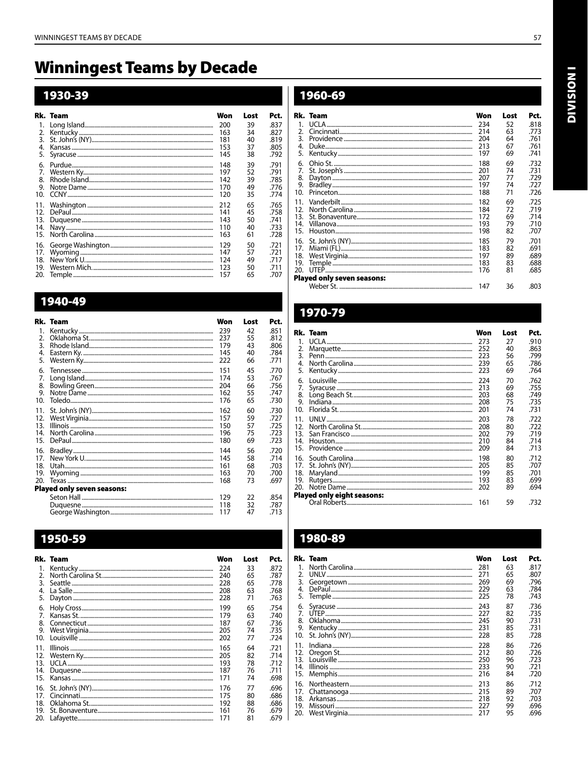# **Winningest Teams by Decade**

# 1930-39

|                 | Rk. Team | Won | Lost | Pct. |
|-----------------|----------|-----|------|------|
| 1.              |          | 200 | 39   | .837 |
| 2.              |          | 163 | 34   | .827 |
| 3.              |          | 181 | 40   | .819 |
| 4.              |          | 153 | 37   | .805 |
| 5.              |          | 145 | 38   | .792 |
| 6.              |          | 148 | 39   | .791 |
| 7.              |          | 197 | 52   | .791 |
| 8.              |          | 142 | 39   | .785 |
| 9.              |          | 170 | 49   | .776 |
| 10 <sub>1</sub> |          | 120 | 35   | .774 |
| 11.             |          | 212 | 65   | .765 |
| 12.             |          | 141 | 45   | .758 |
| 13.             |          | 143 | 50   | .741 |
| 14.             |          | 110 | 40   | .733 |
| 15.             |          | 163 | 61   | .728 |
| 16.             |          | 129 | 50   | .721 |
| 17.             |          | 147 | 57   | .721 |
| 18              |          | 124 | 49   | .717 |
| 19.             |          | 123 | 50   | .711 |
| 20.             |          | 157 | 65   | .707 |

| ٠ | 7 | ı<br>I | 'n | ٠ |
|---|---|--------|----|---|
|   |   |        |    |   |

|                 | Rk. Team                          | Won | Lost | Pct. |
|-----------------|-----------------------------------|-----|------|------|
| 1.              |                                   | 239 | 42   | .851 |
| 2.              |                                   | 237 | 55   | .812 |
| 3.              |                                   | 179 | 43   | .806 |
| 4.              |                                   | 145 | 40   | .784 |
| 5.              |                                   | 222 | 66   | .771 |
| б.              |                                   | 151 | 45   | .770 |
| 7.              |                                   | 174 | 53   | .767 |
| 8.              |                                   | 204 | 66   | .756 |
| 9.              |                                   | 162 | 55   | .747 |
| 10 <sub>1</sub> |                                   | 176 | 65   | .730 |
| 11              |                                   | 162 | 60   | .730 |
| 12.             |                                   | 157 | 59   | .727 |
| 13.             |                                   | 150 | 57   | .725 |
| 14              |                                   | 196 | 75   | .723 |
| 15.             |                                   | 180 | 69   | .723 |
| 16.             |                                   | 144 | 56   | .720 |
| 17.             |                                   | 145 | 58   | .714 |
| 18.             |                                   | 161 | 68   | .703 |
| 19.             |                                   | 163 | 70   | .700 |
| 20.             |                                   | 168 | 73   | .697 |
|                 | <b>Played only seven seasons:</b> |     |      |      |
|                 |                                   | 129 | 22   | .854 |
|                 |                                   | 118 | 32   | .787 |
|                 |                                   | 117 | 47   | .713 |

## 1950-59

| 1.<br>$\mathfrak{D}$<br>3.<br>$\overline{4}$ | Rk. Team | Won<br>224<br>240<br>228<br>208 | Lost<br>33<br>65<br>65<br>63 | Pct.<br>.872<br>.787<br>.778<br>.768 |
|----------------------------------------------|----------|---------------------------------|------------------------------|--------------------------------------|
| 5.                                           |          | 228                             | 71                           | .763                                 |
| 6.                                           |          | 199                             | 65                           | .754                                 |
| 7 <sup>2</sup>                               |          | 179                             | 63                           | .740                                 |
| 8.                                           |          | 187                             | 67                           | .736                                 |
| 9.                                           |          | 205                             | 74                           | .735                                 |
| 10 <sub>1</sub>                              |          | 202                             | 77                           | .724                                 |
| 11.                                          |          | 165                             | 64                           | .721                                 |
| 12.                                          |          | 205                             | 82                           | .714                                 |
| 13.                                          |          | 193                             | 78                           | .712                                 |
| 14.                                          |          | 187                             | 76                           | .711                                 |
| 15.                                          |          | 171                             | 74                           | .698                                 |
| 16.                                          |          | 176                             | 77                           | .696                                 |
| 17.                                          |          | 175                             | 80                           | .686                                 |
| 18.                                          |          | 192                             | 88                           | .686                                 |
| 19.                                          |          | 161                             | 76                           | .679                                 |
| 20.                                          |          | 171                             | 81                           | .679                                 |

# 1960-69

|                 | Rk. Team                          | Won | Lost | Pct. |
|-----------------|-----------------------------------|-----|------|------|
| $1_{-}$         |                                   | 234 | 52   | .818 |
| 2.              |                                   | 214 | 63   | .773 |
| 3.              |                                   | 204 | 64   | .761 |
| 4.              |                                   | 213 | 67   | .761 |
| 5.              |                                   | 197 | 69   | .741 |
| 6.              |                                   | 188 | 69   | .732 |
| 7.              |                                   | 201 | 74   | .731 |
| 8.              |                                   | 207 | 77   | .729 |
| 9.              |                                   | 197 | 74   | .727 |
| 10.             |                                   | 188 | 71   | .726 |
| 11 <sub>1</sub> |                                   | 182 | 69   | .725 |
| 12.             |                                   | 184 | 72   | .719 |
| 13.             |                                   | 172 | 69   | .714 |
| 14.             |                                   | 193 | 79   | .710 |
| 15.             |                                   | 198 | 82   | .707 |
| 16.             |                                   | 185 | 79   | .701 |
| 17.             |                                   | 183 | 82   | .691 |
| 18.             |                                   | 197 | 89   | .689 |
| 19.             |                                   | 183 | 83   | .688 |
| 20.             |                                   | 176 | 81   | .685 |
|                 | <b>Played only seven seasons:</b> |     |      |      |
|                 |                                   | 147 | 36   | .803 |

# 1970-79

|     | Rk. Team                   | Won | Lost | Pct. |
|-----|----------------------------|-----|------|------|
|     |                            | 273 | 27   | .910 |
| 2.  |                            | 252 | 40   | .863 |
| 3.  |                            | 223 | 56   | .799 |
| 4.  |                            | 239 | 65   | .786 |
| 5.  |                            | 223 | 69   | .764 |
| б.  |                            | 224 | 70   | .762 |
| 7.  |                            | 213 | 69   | .755 |
| 8.  |                            | 203 | 68   | .749 |
| 9.  |                            | 208 | 75   | .735 |
| 10. |                            | 201 | 74   | .731 |
| 11. |                            | 203 | 78   | .722 |
| 12. |                            | 208 | 80   | .722 |
| 13. |                            | 202 | 79   | .719 |
| 14. |                            | 210 | 84   | .714 |
| 15. |                            | 209 | 84   | .713 |
| 16. |                            | 198 | 80   | .712 |
| 17. |                            | 205 | 85   | .707 |
| 18. |                            | 199 | 85   | .701 |
| 19. |                            | 193 | 83   | .699 |
| 20. |                            | 202 | 89   | .694 |
|     | Played only eight seasons: |     |      |      |
|     |                            | 161 | 59   | .732 |
|     |                            |     |      |      |

|                | Rk. Team | Won | Lost | Pct. |
|----------------|----------|-----|------|------|
| $1_{-}$        |          | 281 | 63   | .817 |
|                |          | 271 | 65   | .807 |
| 3.             |          | 269 | 69   | .796 |
| 4.             |          | 229 | 63   | .784 |
| 5.             |          | 225 | 78   | .743 |
| 6.             |          | 243 | 87   | .736 |
| 7 <sup>1</sup> |          | 227 | 82   | .735 |
|                |          | 245 | 90   | .731 |
| 9.             |          | 231 | 85   | .731 |
| 10.            |          | 228 | 85   | .728 |
| 11.            |          | 228 | 86   | .726 |
| 12.            |          | 212 | 80   | .726 |
| 13.            |          | 250 | 96   | .723 |
| 14.            |          | 233 | 90   | .721 |
| 15.            |          | 216 | 84   | .720 |
| 16.            |          | 213 | 86   | .712 |
| 17.            |          | 215 | 89   | .707 |
| 18.            |          | 218 | 92   | .703 |
| 19.            |          | 227 | 99   | .696 |
| 20.            |          | 217 | 95   | .696 |
|                |          |     |      |      |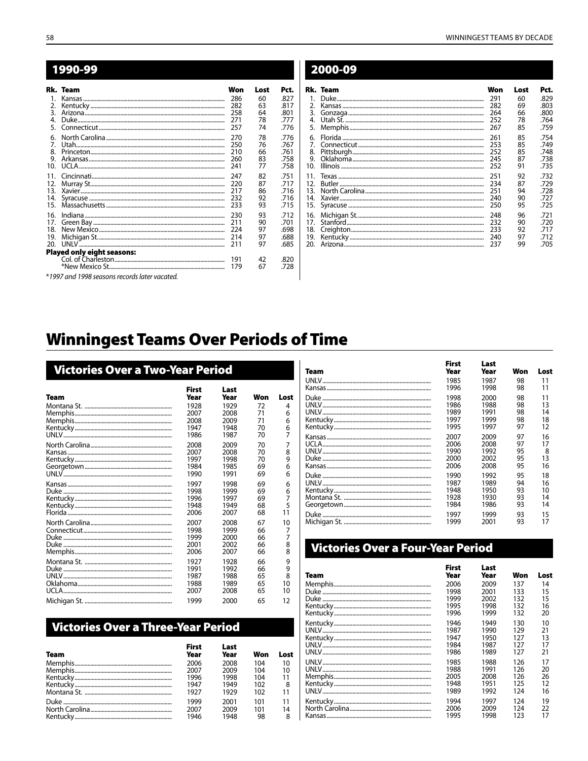|                  | Rk. Team                                      | Won | Lost | Pct. |
|------------------|-----------------------------------------------|-----|------|------|
| 1.               |                                               | 286 | 60   | 827  |
| 2.               |                                               | 282 | 63   | .817 |
| 3.               |                                               | 258 | 64   | .801 |
| 4.               |                                               | 271 | 78   | .777 |
| 5.               |                                               | 257 | 74   | .776 |
| 6.               |                                               | 270 | 78   | .776 |
| $\overline{7}$ . |                                               | 250 | 76   | .767 |
| 8.               |                                               | 210 | 66   | .761 |
| 9.               |                                               | 260 | 83   | .758 |
| 10 <sup>1</sup>  |                                               | 241 | 77   | .758 |
| 11.              |                                               | 247 | 82   | .751 |
| 12.              |                                               | 220 | 87   | .717 |
| 13.              |                                               | 217 | 86   | .716 |
| 14.              |                                               | 232 | 92   | .716 |
| 15.              |                                               | 233 | 93   | .715 |
| 16.              |                                               | 230 | 93   | .712 |
| 17.              |                                               | 211 | 90   | .701 |
| 18.              |                                               | 224 | 97   | .698 |
| 19.              |                                               | 214 | 97   | .688 |
| 20.              |                                               | 211 | 97   | .685 |
|                  | <b>Played only eight seasons:</b>             |     |      |      |
|                  |                                               | 191 | 42   | .820 |
|                  |                                               | 179 | 67   | .728 |
|                  | *1997 and 1998 seasons records later vacated. |     |      |      |

|                | 2000-09  |     |      |      |
|----------------|----------|-----|------|------|
|                | Rk. Team | Won | Lost | Pct. |
| $\mathbf{1}$ . |          | 291 | 60   | .829 |
| 2.             |          | 282 | 69   | .803 |
| 3.             |          | 264 | 66   | .800 |
| 4.             |          | 252 | 78   | .764 |
| 5.             |          | 267 | 85   | .759 |
| 6.             |          | 261 | 85   | .754 |
| 7.             |          | 253 | 85   | .749 |
| 8.             |          | 252 | 85   | .748 |
| 9.             |          | 245 | 87   | .738 |
| 10.            |          | 252 | 91   | .735 |
| 11.            |          | 251 | 92   | .732 |
| 12.            |          | 234 | 87   | .729 |
| 13.            |          | 251 | 94   | .728 |
| 14.            |          | 240 | 90   | .727 |
| 15.            |          | 250 | 95   | .725 |
| 16.            |          | 248 | 96   | .721 |
| 17.            |          | 232 | 90   | .720 |
| 18.            |          | 233 | 92   | .717 |
| 19.            |          | 240 | 97   | .712 |
| 20.            |          | 237 | 99   | .705 |

# **Winningest Teams Over Periods of Time**

| Victories Over a Two-Year Period |                      |              |     |      |  |
|----------------------------------|----------------------|--------------|-----|------|--|
| Team                             | <b>First</b><br>Year | Last<br>Year | Won | Lost |  |
|                                  | 1928                 | 1929         | 72  | 4    |  |
|                                  | 2007                 | 2008         | 71  | 6    |  |
|                                  | 2008                 | 2009         | 71  | 6    |  |
|                                  | 1947                 | 1948         | 70  | 6    |  |
|                                  | 1986                 | 1987         | 70  | 7    |  |
|                                  | 2008                 | 2009         | 70  | 7    |  |
|                                  | 2007                 | 2008         | 70  | 8    |  |
|                                  | 1997                 | 1998         | 70  | 9    |  |
|                                  | 1984                 | 1985         | 69  | 6    |  |
|                                  | 1990                 | 1991         | 69  | 6    |  |
|                                  | 1997                 | 1998         | 69  | 6    |  |
|                                  | 1998                 | 1999         | 69  | 6    |  |
|                                  | 1996                 | 1997         | 69  | 7    |  |
|                                  | 1948                 | 1949         | 68  | 5    |  |
|                                  | 2006                 | 2007         | 68  | 11   |  |
|                                  | 2007                 | 2008         | 67  | 10   |  |
|                                  | 1998                 | 1999         | 66  | 7    |  |
|                                  | 1999                 | 2000         | 66  | 7    |  |
|                                  | 2001                 | 2002         | 66  | 8    |  |
|                                  | 2006                 | 2007         | 66  | 8    |  |
|                                  | 1927                 | 1928         | 66  | 9    |  |
|                                  | 1991                 | 1992         | 66  | 9    |  |
|                                  | 1987                 | 1988         | 65  | 8    |  |
|                                  | 1988                 | 1989         | 65  | 10   |  |
|                                  | 2007                 | 2008         | 65  | 10   |  |
|                                  | 1999                 | 2000         | 65  | 12   |  |

## **Victories Over a Three-Year Period**

| <b>Team</b> | <b>First</b><br>Year | Last<br>Year | Won | Lost |
|-------------|----------------------|--------------|-----|------|
|             | 2006                 | 2008         | 104 | 10   |
|             | 2007                 | 2009         | 104 | 10   |
|             | 1996                 | 1998         | 104 | -11  |
|             | 1947                 | 1949         | 102 | 8    |
|             | 1927                 | 1929         | 102 | 11   |
|             | 1999                 | 2001         | 101 | 11   |
|             | 2007                 | 2009         | 101 | 14   |
|             | 1946                 | 1948         | 98  | 8    |

| Team | <b>First</b><br>Year | Last<br>Year | Won | Lost |
|------|----------------------|--------------|-----|------|
|      | 1985                 | 1987         | 98  | 11   |
|      | 1996                 | 1998         | 98  | 11   |
|      | 1998                 | 2000         | 98  | 11   |
|      | 1986                 | 1988         | 98  | 13   |
|      | 1989                 | 1991         | 98  | 14   |
|      | 1997                 | 1999         | 98  | 18   |
|      | 1995                 | 1997         | 97  | 12   |
|      | 2007                 | 2009         | 97  | 16   |
|      | 2006                 | 2008         | 97  | 17   |
|      | 1990                 | 1992         | 95  | 8    |
|      | 2000                 | 2002         | 95  | 13   |
|      | 2006                 | 2008         | 95  | 16   |
|      | 1990                 | 1992         | 95  | 18   |
|      | 1987                 | 1989         | 94  | 16   |
|      | 1948                 | 1950         | 93  | 10   |
|      | 1928                 | 1930         | 93  | 14   |
|      | 1984                 | 1986         | 93  | 14   |
|      | 1997                 | 1999         | 93  | 15   |
|      | 1999                 | 2001         | 93  | 17   |

# Victories Over a Four-Year Period

| Team | <b>First</b><br>Year | Last<br>Year | Won | Lost |
|------|----------------------|--------------|-----|------|
|      | 2006                 | 2009         | 137 | 14   |
|      | 1998                 | 2001         | 133 | 15   |
|      | 1999                 | 2002         | 132 | 15   |
|      | 1995                 | 1998         | 132 | 16   |
|      | 1996                 | 1999         | 132 | 20   |
|      | 1946                 | 1949         | 130 | 10   |
|      | 1987                 | 1990         | 129 | 21   |
|      | 1947                 | 1950         | 127 | 13   |
|      | 1984                 | 1987         | 127 | 17   |
|      | 1986                 | 1989         | 127 | 21   |
|      | 1985                 | 1988         | 126 | 17   |
|      | 1988                 | 1991         | 126 | 20   |
|      | 2005                 | 2008         | 126 | 26   |
|      | 1948                 | 1951         | 125 | 12   |
|      | 1989                 | 1992         | 174 | 16   |
|      | 1994                 | 1997         | 124 | 19   |
|      | 2006                 | 2009         | 174 | 22   |
|      | 1995                 | 1998         | 123 | 17   |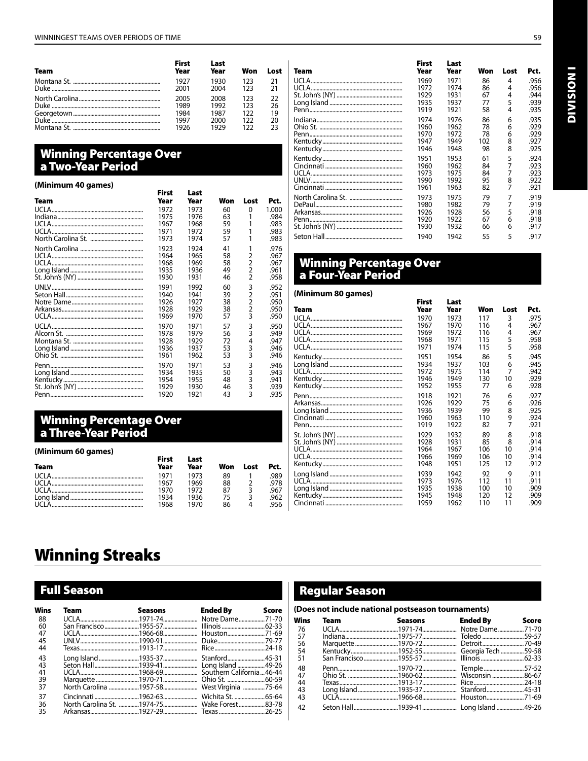| Team           | <b>First</b><br>Year | Last<br>Year | Won | Lost |
|----------------|----------------------|--------------|-----|------|
|                | 1927                 | 1930         | 123 | 21   |
|                | 2001                 | 2004         | 123 | 21   |
| North Carolina | 2005                 | 2008         | 123 | フフ   |
|                | 1989                 | 1992         | 123 | 26   |
|                | 1984                 | 1987         | 122 | 19   |
|                | 1997                 | 2000         | 122 | 20   |
|                | 1976                 | 1979         | 177 | つろ   |

## **Winning Percentage Over** a Two-Year Period

#### (Minimum 40 games) **First** Last **Team** Year Year Won Lost Pct. UCLA. 1972 1973 60  $\pmb{0}$ 1.000 Indiana.. 1975 1976  $63$  $\mathbf{1}$ 59<br>59<br>57 UCLA... .983 1967 1968 1 UCLA. 1971  $.983$ 1972 1 North Carolina St. .....  $.983$ 1973 1974  $\overline{1}$ North Carolina ....... 1923 1924 41  $\mathbf 1$ .976  $\frac{58}{58}$ <br> $\frac{58}{49}$ UCLA.... 1964 1965 .967  $\begin{array}{c} 2 \\ 2 \\ 2 \\ 2 \end{array}$ UCLA. 1968 1969 Long Island. 1935 1936 St. John's (NY) ....... 1930 1931 .958 60<br>39<br>38 .952<br>.951 UNLV... 1991 1992  $\begin{array}{c}\n 3 \\
2 \\
2 \\
3\n \end{array}$ Seton Hall... 1940 1941 Notre Dame........... 1926 1927 .950  $\frac{38}{57}$ Arkansas......... 1928 .950 1929 UCLA....... 1969 1970 .950 57<br>56<br>72<br>53<br>53 UCLA... 1970 1971  $\begin{array}{c} 3 \\ 3 \\ 4 \\ 3 \\ 3 \end{array}$ Alcorn St. 1978 1979 Montana St. ..... 1928 1929 .947<br>.946 Long Island...... 1936 1937  $.946$ Ohio St. ...... 1961 1962 53 1970 1971 .946 Penn.  $\begin{array}{c} 3 \\ 3 \\ 3 \end{array}$ Long Island ......... 1934 1935 50 .943 Enry Bland ........<br>Kentucky .............<br>St. John's (NY) .. 1954 1955 48  $\mathsf{3}$ 1929 1930 46 43  $\overline{3}$ Penn. 1920 1921 .935

## **Winning Percentage Over** a Three-Year Period

#### (Minimum 60 games)

|             | First | Last |     |      |      |
|-------------|-------|------|-----|------|------|
| <b>Team</b> | Year  | Year | Won | Lost | Pct. |
|             | 1971  | 1973 | 89  |      | 989  |
|             | 1967  | 1969 | 88  |      | .978 |
|             | 1970  | 1972 | 87  |      | 967  |
|             | 1934  | 1936 | 75  |      | .962 |
|             | 1968  | 1970 | 86  |      | 956  |

 $\overline{a}$ 

| Team  | rırsı<br>Year | Last<br>Year | Won | Lost | Pct. |
|-------|---------------|--------------|-----|------|------|
| UCLA. | 1969          | 1971         | 86  | 4    | .956 |
|       | 1972          | 1974         | 86  | 4    | .956 |
|       | 1929          | 1931         | 67  | 4    | .944 |
|       | 1935          | 1937         | 77  | 5    | .939 |
|       | 1919          | 1921         | 58  | 4    | .935 |
|       | 1974          | 1976         | 86  | 6    | .935 |
|       | 1960          | 1962         | 78  | 6    | .929 |
|       | 1970          | 1972         | 78  | 6    | .929 |
|       | 1947          | 1949         | 102 | 8    | .927 |
|       | 1946          | 1948         | 98  | 8    | .925 |
|       | 1951          | 1953         | 61  | 5    | .924 |
|       | 1960          | 1962         | 84  |      | .923 |
|       | 1973          | 1975         | 84  | 7    | .923 |
|       | 1990          | 1992         | 95  | 8    | .922 |
|       | 1961          | 1963         | 82  | 7    | .921 |
|       | 1973          | 1975         | 79  | 7    | .919 |
|       | 1980          | 1982         | 79  | 7    | .919 |
|       | 1926          | 1928         | 56  | 5    | .918 |
|       | 1920          | 1922         | 67  | 6    | .918 |
|       | 1930          | 1932         | 66  | 6    | .917 |
|       | 1940          | 1942         | 55  | 5    | .917 |

Eiset

**Look** 

#### **Winning Percentage Over** a Four-Year Period

#### (Minimum 80 games)

.984

.967

.961

.950

.949

.941

.939

|        | First | Last |     |      |      |
|--------|-------|------|-----|------|------|
| Team   | Year  | Year | Won | Lost | Pct. |
| UCI A. | 1970  | 1973 | 117 | 3    | .975 |
|        | 1967  | 1970 | 116 | 4    | .967 |
|        | 1969  | 1972 | 116 | 4    | .967 |
|        | 1968  | 1971 | 115 | 5    | .958 |
|        | 1971  | 1974 | 115 | 5    | .958 |
|        | 1951  | 1954 | 86  | 5    | .945 |
|        | 1934  | 1937 | 103 | 6    | .945 |
|        | 1972  | 1975 | 114 | 7    | .942 |
|        | 1946  | 1949 | 130 | 10   | .929 |
|        | 1952  | 1955 | 77  | 6    | .928 |
|        | 1918  | 1921 | 76  | 6    | .927 |
|        | 1926  | 1929 | 75  | 6    | .926 |
|        | 1936  | 1939 | 99  | 8    | .925 |
|        | 1960  | 1963 | 110 | 9    | .924 |
|        | 1919  | 1922 | 82  | 7    | .921 |
|        | 1929  | 1932 | 89  | 8    | .918 |
|        | 1928  | 1931 | 85  | 8    | .914 |
|        | 1964  | 1967 | 106 | 10   | .914 |
|        | 1966  | 1969 | 106 | 10   | .914 |
|        | 1948  | 1951 | 125 | 12   | .912 |
|        | 1939  | 1942 | 92  | 9    | .911 |
|        | 1973  | 1976 | 112 | 11   | .911 |
|        | 1935  | 1938 | 100 | 10   | .909 |
|        | 1945  | 1948 | 120 | 12   | .909 |
|        | 1959  | 1962 | 110 | 11   | .909 |

# **Winning Streaks**

## **Full Season**

| Wins | Team |                                              | Seasons Ended By Score |  |
|------|------|----------------------------------------------|------------------------|--|
| 88   |      |                                              |                        |  |
| 60   |      |                                              |                        |  |
| 47   |      |                                              |                        |  |
| 45   |      |                                              |                        |  |
| 44   |      |                                              |                        |  |
| 43   |      |                                              |                        |  |
| 43   |      |                                              |                        |  |
| 41   |      |                                              |                        |  |
| 39   |      |                                              |                        |  |
| 37   |      | North Carolina 1957-58 West Virginia 75-64   |                        |  |
| 37   |      |                                              |                        |  |
| 36   |      | North Carolina St. 1974-75 Wake Forest 83-78 |                        |  |
| 35   |      |                                              |                        |  |

### **Regular Season**

#### (Does not include national postseason tournaments)

| <b>Wins</b> | <b>Team</b> | <b>Seasons</b> Ended By Score |  |
|-------------|-------------|-------------------------------|--|
| - 76        |             |                               |  |
| - 57        |             |                               |  |
| 56          |             |                               |  |
| 54          |             |                               |  |
| -51         |             |                               |  |
| 48          |             |                               |  |
| 47          |             |                               |  |
| 44          |             |                               |  |
| 43          |             |                               |  |
| 43          |             |                               |  |
| 42          |             |                               |  |

# **I NOISIAID**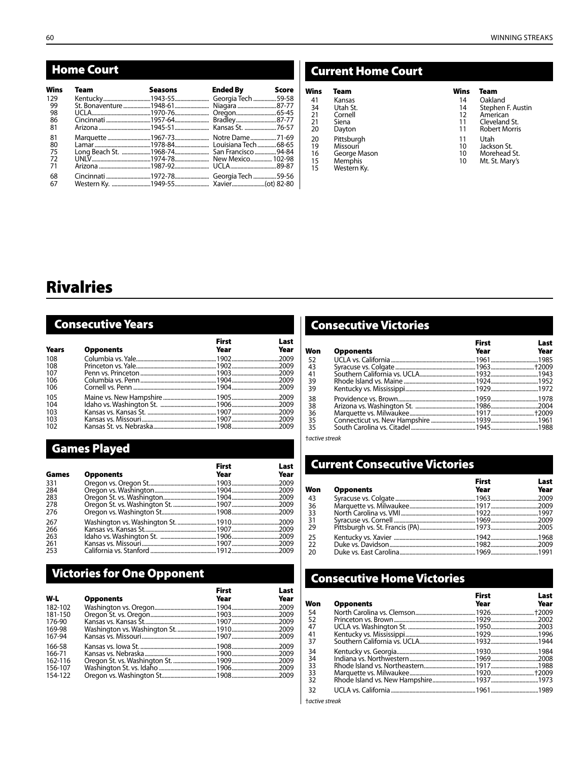## Home Court

| Wins | <b>Team</b> | Seasons Ended By Score              |  |
|------|-------------|-------------------------------------|--|
| 129  |             |                                     |  |
| -99  |             | St. Bonaventure1948-61 Niagara87-77 |  |
| -98  |             |                                     |  |
| 86   |             |                                     |  |
| -81  |             |                                     |  |
| -81  |             | Marquette 1967-73 Notre Dame 71-69  |  |
| -80  |             |                                     |  |
| - 75 |             |                                     |  |
| 72   |             |                                     |  |
| 71   |             |                                     |  |
| 68   |             |                                     |  |
| 67   |             |                                     |  |

## Current Home Court

| Wins | Team         | Wins | Team                 |
|------|--------------|------|----------------------|
| 41   | Kansas       | 14   | Oakland              |
| 34   | Utah St.     | 14   | Stephen F. Austin    |
| 21   | Cornell      | 12   | American             |
| 21   | Siena        | 11   | Cleveland St.        |
| 20   | Dayton       | 11   | <b>Robert Morris</b> |
| 20   | Pittsburgh   | 11   | Utah                 |
| 19   | Missouri     | 10   | Jackson St.          |
| 16   | George Mason | 10   | Morehead St.         |
| 15   | Memphis      | 10   | Mt. St. Mary's       |
| 15   | Western Ky.  |      |                      |

| .            |
|--------------|
| Oakland      |
| Stephen F. A |
|              |

- 
- 11 Cleveland St.<br>11 Robert Morris **Robert Morris** 
	-
- 
- 
- 

# Rivalries

# Consecutive Years

|              |                  | <b>First</b> | Last |
|--------------|------------------|--------------|------|
| <b>Years</b> | <b>Opponents</b> | Year         | Year |
| 108          |                  |              |      |
| 108          |                  |              |      |
| 107          |                  |              |      |
| 106          |                  |              |      |
| 106          |                  |              |      |
| 105          |                  |              |      |
| 104          |                  |              |      |
| 103          |                  |              |      |
| 103          |                  |              |      |
| 102          |                  |              |      |

## Games Played

|       |                  | <b>First</b> | Last |
|-------|------------------|--------------|------|
| Games | <b>Opponents</b> | Year         | Year |
| 331   |                  |              |      |
| 284   |                  |              |      |
| 283   |                  |              |      |
| 278   |                  |              |      |
| 276   |                  |              |      |
| 267   |                  |              |      |
| 266   |                  |              |      |
| 263   |                  |              |      |
| 261   |                  |              |      |
| 253   |                  |              |      |

## Victories for One Opponent

| W-L                          | <b>Opponents</b> | <b>First</b><br>Year | Last<br>Year |
|------------------------------|------------------|----------------------|--------------|
| 182-102<br>181-150<br>176-90 |                  |                      |              |
| 169-98<br>167-94<br>166-58   |                  |                      |              |
| 166-71<br>162-116<br>156-107 |                  |                      |              |
| 154-122                      |                  |                      |              |

## Consecutive Victories

|     |                  | <b>First</b> | Last |
|-----|------------------|--------------|------|
| Won | <b>Opponents</b> | Year         | Year |
| -52 |                  |              |      |
| 43  |                  |              |      |
| 41  |                  |              |      |
| 39  |                  |              |      |
| -39 |                  |              |      |
| 38  |                  |              |      |
| -38 |                  |              |      |
| 36  |                  |              |      |
| 35  |                  |              |      |
| -35 |                  |              |      |
|     |                  |              |      |

†*active streak*

# Current Consecutive Victories

|                 |                  | <b>First</b> | Last |
|-----------------|------------------|--------------|------|
| Won             | <b>Opponents</b> | Year         | Year |
| -43             |                  |              |      |
| 36              |                  |              |      |
| 33              |                  |              |      |
| 31              |                  |              |      |
| $\overline{29}$ |                  |              |      |
| 25              |                  |              |      |
| 22              |                  |              |      |
| -20             |                  |              |      |
|                 |                  |              |      |

## Consecutive Home Victories

|     |                  | <b>First</b> | Last |
|-----|------------------|--------------|------|
| Won | <b>Opponents</b> | Year         | Year |
| -54 |                  |              |      |
| -52 |                  |              |      |
| 47  |                  |              |      |
| -41 |                  |              |      |
| -37 |                  |              |      |
| -34 |                  |              |      |
| -34 |                  |              |      |
| 33  |                  |              |      |
| -33 |                  |              |      |
| 32  |                  |              |      |
| -32 |                  |              |      |

†*active streak*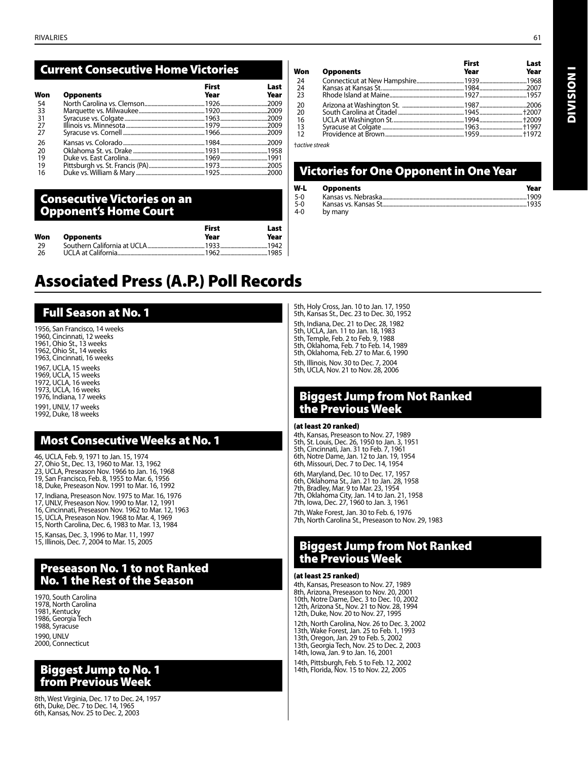## Current Consecutive Home Victories

| Won  | <b>Opponents</b> | <b>First</b><br>Year | Last<br>Year |
|------|------------------|----------------------|--------------|
| -54  |                  |                      |              |
| -33  |                  |                      |              |
| - 31 |                  |                      |              |
| 27   |                  |                      |              |
| - 27 |                  |                      |              |
| 26   |                  |                      |              |
| 20   |                  |                      |              |
| 19   |                  |                      |              |
| 19   |                  |                      |              |
| -16  |                  |                      |              |

#### Consecutive Victories on an Opponent's Home Court

| Won  | <b>Opponents</b> | <b>First</b><br>Year | Last<br>Year |
|------|------------------|----------------------|--------------|
| - 29 |                  |                      |              |
| -26  |                  |                      |              |

# Associated Press (A.P.) Poll Records

## Full Season at No. 1

1956, San Francisco, 14 weeks 1960, Cincinnati, 12 weeks 1961, Ohio St., 13 weeks 1962, Ohio St., 14 weeks 1963, Cincinnati, 16 weeks 1967, UCLA, 15 weeks 1969, UCLA, 15 weeks 1972, UCLA, 16 weeks 1973, UCLA, 16 weeks 1976, Indiana, 17 weeks

1991, UNLV, 17 weeks 1992, Duke, 18 weeks

## Most Consecutive Weeks at No. 1

46, UCLA, Feb. 9, 1971 to Jan. 15, 1974 27, Ohio St., Dec. 13, 1960 to Mar. 13, 1962 23, UCLA, Preseason Nov. 1966 to Jan. 16, 1968 19, San Francisco, Feb. 8, 1955 to Mar. 6, 1956 18, Duke, Preseason Nov. 1991 to Mar. 16, 1992 17, Indiana, Preseason Nov. 1975 to Mar. 16, 1976 17, UNLV, Preseason Nov. 1990 to Mar. 12, 1991 16, Cincinnati, Preseason Nov. 1962 to Mar. 12, 1963 15, UCLA, Preseason Nov. 1968 to Mar. 4, 1969

15, North Carolina, Dec. 6, 1983 to Mar. 13, 1984

15, Kansas, Dec. 3, 1996 to Mar. 11, 1997 15, Illinois, Dec. 7, 2004 to Mar. 15, 2005

## Preseason No. 1 to not Ranked No. 1 the Rest of the Season

1970, South Carolina 1978, North Carolina 1981, Kentucky 1986, Georgia Tech 1988, Syracuse 1990, UNLV 2000, Connecticut

## Biggest Jump to No. 1 from Previous Week

8th, West Virginia, Dec. 17 to Dec. 24, 1957 6th, Duke, Dec. 7 to Dec. 14, 1965 6th, Kansas, Nov. 25 to Dec. 2, 2003

24 Connecticut at New Hampshire.................................1939.................................1968 24 Kansas at Kansas St..........................................................1984.................................2007 Rhode Island at Maine. 20 Arizona at Washington St. ...........................................1987.................................2006 20 South Carolina at Citadel ..............................................1945..............................†2007 16 UCLA at Washington St..................................................1994..............................†2009 13 Syracuse at Colgate .........................................................1963..............................†1997 Providence at Brown. First Last Won Opponents

†*active streak*

## Victories for One Opponent in One Year

| W-L   | <b>Opponents</b> | Year |
|-------|------------------|------|
| $5-0$ |                  |      |
| $5-0$ |                  |      |
| 4-0   | by many          |      |

5th, Holy Cross, Jan. 10 to Jan. 17, 1950 5th, Kansas St., Dec. 23 to Dec. 30, 1952 5th, Indiana, Dec. 21 to Dec. 28, 1982 5th, UCLA, Jan. 11 to Jan. 18, 1983 5th, Temple, Feb. 2 to Feb. 9, 1988 5th, Oklahoma, Feb. 7 to Feb. 14, 1989 5th, Oklahoma, Feb. 27 to Mar. 6, 1990 5th, Illinois, Nov. 30 to Dec. 7, 2004 5th, UCLA, Nov. 21 to Nov. 28, 2006

## Biggest Jump from Not Ranked the Previous Week

#### (at least 20 ranked)

4th, Kansas, Preseason to Nov. 27, 1989 5th, St. Louis, Dec. 26, 1950 to Jan. 3, 1951 5th, Cincinnati, Jan. 31 to Feb. 7, 1961 6th, Notre Dame, Jan. 12 to Jan. 19, 1954 6th, Missouri, Dec. 7 to Dec. 14, 1954

6th, Maryland, Dec. 10 to Dec. 17, 1957 6th, Oklahoma St., Jan. 21 to Jan. 28, 1958 7th, Bradley, Mar. 9 to Mar. 23, 1954 7th, Oklahoma City, Jan. 14 to Jan. 21, 1958

7th, Iowa, Dec. 27, 1960 to Jan. 3, 1961

7th, Wake Forest, Jan. 30 to Feb. 6, 1976 7th, North Carolina St., Preseason to Nov. 29, 1983

## Biggest Jump from Not Ranked the Previous Week

#### (at least 25 ranked)

4th, Kansas, Preseason to Nov. 27, 1989 8th, Arizona, Preseason to Nov. 20, 2001 10th, Notre Dame, Dec. 3 to Dec. 10, 2002 12th, Arizona St., Nov. 21 to Nov. 28, 1994 12th, Duke, Nov. 20 to Nov. 27, 1995

12th, North Carolina, Nov. 26 to Dec. 3, 2002 13th, Wake Forest, Jan. 25 to Feb. 1, 1993 13th, Oregon, Jan. 29 to Feb. 5, 2002 13th, Georgia Tech, Nov. 25 to Dec. 2, 2003

14th, Iowa, Jan. 9 to Jan. 16, 2001 14th, Pittsburgh, Feb. 5 to Feb. 12, 2002

14th, Florida, Nov. 15 to Nov. 22, 2005

**I NOISIAID** Division I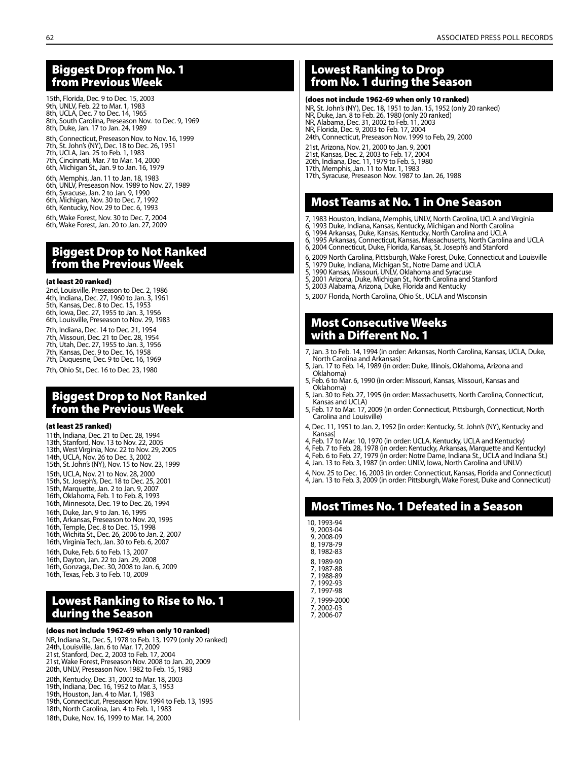### Biggest Drop from No. 1 from Previous Week

15th, Florida, Dec. 9 to Dec. 15, 2003 9th, UNLV, Feb. 22 to Mar. 1, 1983 8th, UCLA, Dec. 7 to Dec. 14, 1965 8th, South Carolina, Preseason Nov. to Dec. 9, 1969 8th, Duke, Jan. 17 to Jan. 24, 1989 8th, Connecticut, Preseason Nov. to Nov. 16, 1999 7th, St. John's (NY), Dec. 18 to Dec. 26, 1951 7th, UCLA, Jan. 25 to Feb. 1, 1983 7th, Cincinnati, Mar. 7 to Mar. 14, 2000 6th, Michigan St., Jan. 9 to Jan. 16, 1979 6th, Memphis, Jan. 11 to Jan. 18, 1983 6th, UNLV, Preseason Nov. 1989 to Nov. 27, 1989 6th, Syracuse, Jan. 2 to Jan. 9, 1990 6th, Michigan, Nov. 30 to Dec. 7, 1992 6th, Kentucky, Nov. 29 to Dec. 6, 1993 6th, Wake Forest, Nov. 30 to Dec. 7, 2004 6th, Wake Forest, Jan. 20 to Jan. 27, 2009

## Biggest Drop to Not Ranked from the Previous Week

#### (at least 20 ranked)

2nd, Louisville, Preseason to Dec. 2, 1986 4th, Indiana, Dec. 27, 1960 to Jan. 3, 1961 5th, Kansas, Dec. 8 to Dec. 15, 1953 6th, Iowa, Dec. 27, 1955 to Jan. 3, 1956 6th, Louisville, Preseason to Nov. 29, 1983 7th, Indiana, Dec. 14 to Dec. 21, 1954 7th, Missouri, Dec. 21 to Dec. 28, 1954 7th, Utah, Dec. 27, 1955 to Jan. 3, 1956 7th, Kansas, Dec. 9 to Dec. 16, 1958 7th, Duquesne, Dec. 9 to Dec. 16, 1969 7th, Ohio St., Dec. 16 to Dec. 23, 1980

#### Biggest Drop to Not Ranked from the Previous Week

#### (at least 25 ranked)

- 11th, Indiana, Dec. 21 to Dec. 28, 1994 13th, Stanford, Nov. 13 to Nov. 22, 2005 13th, West Virginia, Nov. 22 to Nov. 29, 2005 14th, UCLA, Nov. 26 to Dec. 3, 2002 15th, St. John's (NY), Nov. 15 to Nov. 23, 1999 15th, UCLA, Nov. 21 to Nov. 28, 2000 15th, St. Joseph's, Dec. 18 to Dec. 25, 2001 15th, Marquette, Jan. 2 to Jan. 9, 2007 16th, Oklahoma, Feb. 1 to Feb. 8, 1993 16th, Minnesota, Dec. 19 to Dec. 26, 1994 16th, Duke, Jan. 9 to Jan. 16, 1995 16th, Arkansas, Preseason to Nov. 20, 1995 16th, Temple, Dec. 8 to Dec. 15, 1998 16th, Wichita St., Dec. 26, 2006 to Jan. 2, 2007 16th, Virginia Tech, Jan. 30 to Feb. 6, 2007 16th, Duke, Feb. 6 to Feb. 13, 2007 16th, Dayton, Jan. 22 to Jan. 29, 2008 16th, Gonzaga, Dec. 30, 2008 to Jan. 6, 2009
- 16th, Texas, Feb. 3 to Feb. 10, 2009

## Lowest Ranking to Rise to No. 1 during the Season

(does not include 1962-69 when only 10 ranked) NR, Indiana St., Dec. 5, 1978 to Feb. 13, 1979 (only 20 ranked) 24th, Louisville, Jan. 6 to Mar. 17, 2009 21st, Stanford, Dec. 2, 2003 to Feb. 17, 2004 21st, Wake Forest, Preseason Nov. 2008 to Jan. 20, 2009 20th, UNLV, Preseason Nov. 1982 to Feb. 15, 1983 20th, Kentucky, Dec. 31, 2002 to Mar. 18, 2003 19th, Indiana, Dec. 16, 1952 to Mar. 3, 1953 19th, Houston, Jan. 4 to Mar. 1, 1983 19th, Connecticut, Preseason Nov. 1994 to Feb. 13, 1995 18th, North Carolina, Jan. 4 to Feb. 1, 1983 18th, Duke, Nov. 16, 1999 to Mar. 14, 2000

## Lowest Ranking to Drop from No. 1 during the Season

#### (does not include 1962-69 when only 10 ranked)

NR, St. John's (NY), Dec. 18, 1951 to Jan. 15, 1952 (only 20 ranked) NR, Duke, Jan. 8 to Feb. 26, 1980 (only 20 ranked) NR, Alabama, Dec. 31, 2002 to Feb. 11, 2003 NR, Florida, Dec. 9, 2003 to Feb. 17, 2004 24th, Connecticut, Preseason Nov. 1999 to Feb, 29, 2000 21st, Arizona, Nov. 21, 2000 to Jan. 9, 2001 21st, Kansas, Dec. 2, 2003 to Feb. 17, 2004

- 20th, Indiana, Dec. 11, 1979 to Feb. 5, 1980
- 17th, Memphis, Jan. 11 to Mar. 1, 1983 17th, Syracuse, Preseason Nov. 1987 to Jan. 26, 1988

## Most Teams at No. 1 in One Season

- 7, 1983 Houston, Indiana, Memphis, UNLV, North Carolina, UCLA and Virginia
- 6, 1993 Duke, Indiana, Kansas, Kentucky, Michigan and North Carolina
- 6, 1994 Arkansas, Duke, Kansas, Kentucky, North Carolina and UCLA
- 6, 1995 Arkansas, Connecticut, Kansas, Massachusetts, North Carolina and UCLA
- 6, 2004 Connecticut, Duke, Florida, Kansas, St. Joseph's and Stanford
- 6, 2009 North Carolina, Pittsburgh, Wake Forest, Duke, Connecticut and Louisville
- 5, 1979 Duke, Indiana, Michigan St., Notre Dame and UCLA 5, 1990 Kansas, Missouri, UNLV, Oklahoma and Syracuse
- 
- 2001 Arizona, Duke, Michigan St., North Carolina and Stanford 5, 2003 Alabama, Arizona, Duke, Florida and Kentucky
- 5, 2007 Florida, North Carolina, Ohio St., UCLA and Wisconsin

## Most Consecutive Weeks with a Different No. 1

- 7, Jan. 3 to Feb. 14, 1994 (in order: Arkansas, North Carolina, Kansas, UCLA, Duke, North Carolina and Arkansas)
- 5, Jan. 17 to Feb. 14, 1989 (in order: Duke, Illinois, Oklahoma, Arizona and Oklahoma)
- 5, Feb. 6 to Mar. 6, 1990 (in order: Missouri, Kansas, Missouri, Kansas and Oklahoma)
- 5, Jan. 30 to Feb. 27, 1995 (in order: Massachusetts, North Carolina, Connecticut, Kansas and UCLA)
- 5, Feb. 17 to Mar. 17, 2009 (in order: Connecticut, Pittsburgh, Connecticut, North Carolina and Louisville)
- 4, Dec. 11, 1951 to Jan. 2, 1952 [in order: Kentucky, St. John's (NY), Kentucky and Kansas]
- 4, Feb. 17 to Mar. 10, 1970 (in order: UCLA, Kentucky, UCLA and Kentucky)
- 4, Feb. 7 to Feb. 28, 1978 (in order: Kentucky, Arkansas, Marquette and Kentucky)
- 4, Feb. 6 to Feb. 27, 1979 (in order: Notre Dame, Indiana St., UCLA and Indiana St.)
- 4, Jan. 13 to Feb. 3, 1987 (in order: UNLV, Iowa, North Carolina and UNLV)
- 4, Nov. 25 to Dec. 16, 2003 (in order: Connecticut, Kansas, Florida and Connecticut)
- 4, Jan. 13 to Feb. 3, 2009 (in order: Pittsburgh, Wake Forest, Duke and Connecticut)

## Most Times No. 1 Defeated in a Season

- 10, 1993-94
- 9, 2003-04 9, 2008-09
- 8, 1978-79
- 8, 1982-83
- 8, 1989-90
- 7, 1987-88 7, 1988-89
- 7, 1992-93
- 7, 1997-98
- 7, 1999-2000 7, 2002-03
- 7, 2006-07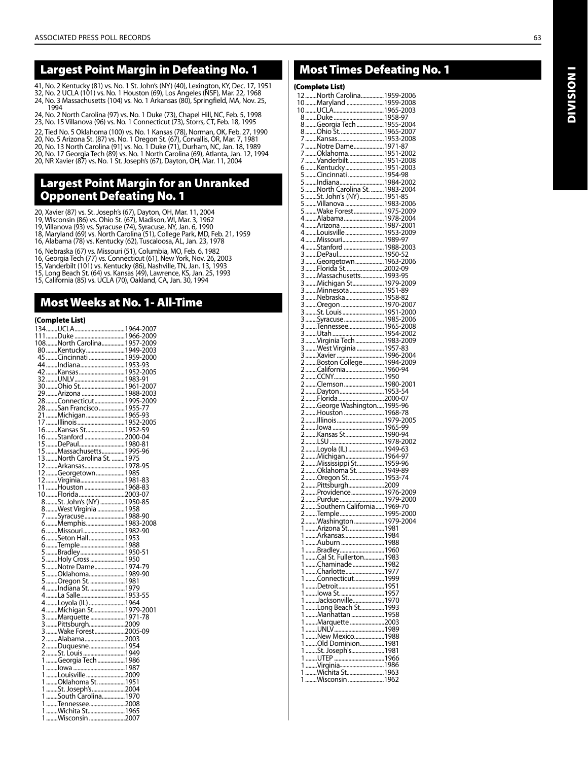## Largest Point Margin in Defeating No. 1

41, No. 2 Kentucky (81) vs. No. 1 St. John's (NY) (40), Lexington, KY, Dec. 17, 1951 32, No. 2 UCLA (101) vs. No. 1 Houston (69), Los Angeles (NSF), Mar. 22, 1968 24, No. 3 Massachusetts (104) vs. No. 1 Arkansas (80), Springfield, MA, Nov. 25, 1994

24, No. 2 North Carolina (97) vs. No. 1 Duke (73), Chapel Hill, NC, Feb. 5, 1998 23, No. 15 Villanova (96) vs. No. 1 Connecticut (73), Storrs, CT, Feb. 18, 1995 22, Tied No. 5 Oklahoma (100) vs. No. 1 Kansas (78), Norman, OK, Feb. 27, 1990

20, No. 5 Arizona St. (87) vs. No. 1 Oregon St. (67), Corvallis, OR, Mar. 7, 1981 20, No. 13 North Carolina (91) vs. No. 1 Duke (71), Durham, NC, Jan. 18, 1989 20, No. 17 Georgia Tech (89) vs. No. 1 North Carolina (69), Atlanta, Jan. 12, 1994 20, NR Xavier (87) vs. No. 1 St. Joseph's (67), Dayton, OH, Mar. 11, 2004

## Largest Point Margin for an Unranked Opponent Defeating No. 1

20, Xavier (87) vs. St. Joseph's (67), Dayton, OH, Mar. 11, 2004<br>19, Wisconsin (86) vs. Ohio St. (67), Madison, WI, Mar. 3, 1962<br>19, Villanova (93) vs. Syracuse (74), Syracuse, NY, Jan. 6, 1990<br>18, Maryland (69) vs. North

16, Nebraska (67) vs. Missouri (51), Columbia, MO, Feb. 6, 1982

16, Georgia Tech (77) vs. Connecticut (61), New York, Nov. 26, 2003

15, Vanderbilt (101) vs. Kentucky (86), Nashville, TN, Jan. 13, 1993 15, Long Beach St. (64) vs. Kansas (49), Lawrence, KS, Jan. 25, 1993 15, California (85) vs. UCLA (70), Oakland, CA, Jan. 30, 1994

#### Most Weeks at No. 1- All-Time

#### **(Com**plete List)

|   | 108North Carolina1957-2009  |  |
|---|-----------------------------|--|
|   |                             |  |
|   | 80Kentucky 1949-2003        |  |
|   | 45 Cincinnati 1959-2000     |  |
|   |                             |  |
|   |                             |  |
|   |                             |  |
|   |                             |  |
|   | 29 Arizona  1988-2003       |  |
|   | 28 Connecticut  1995-2009   |  |
|   | 28 San Francisco 1955-77    |  |
|   |                             |  |
|   | 21Michigan 1965-93          |  |
|   |                             |  |
|   |                             |  |
|   | 16Stanford2000-04           |  |
|   |                             |  |
|   | 15Massachusetts1995-96      |  |
|   | 13 North Carolina St.  1975 |  |
|   | 12Arkansas1978-95           |  |
|   | 12Georgetown 1985           |  |
|   |                             |  |
|   | 12Virginia1981-83           |  |
|   | 11Houston1968-83            |  |
|   |                             |  |
|   |                             |  |
|   | 8 West Virginia  1958       |  |
|   | 7 Syracuse  1988-90         |  |
|   | 6Memphis1983-2008           |  |
|   | 6 Missouri 1982-90          |  |
|   |                             |  |
|   | 6Temple1988                 |  |
|   |                             |  |
|   |                             |  |
|   | 5 Holy Cross  1950          |  |
|   |                             |  |
|   | 5 Oklahoma 1989-90          |  |
|   | 5 Oregon St.  1981          |  |
|   | 4 Indiana St.  1979         |  |
|   | 4 La Salle1953-55           |  |
|   |                             |  |
|   |                             |  |
|   | 3Marquette 1971-78          |  |
|   |                             |  |
|   | 3 Pittsburgh2009            |  |
|   | 3 Wake Forest 2005-09       |  |
|   | 2 Alabama2003               |  |
|   | 2Duquesne 1954              |  |
|   |                             |  |
|   |                             |  |
|   |                             |  |
|   | 1 Louisville 2009           |  |
|   | .<br>1 Oklahoma St. 1951    |  |
|   | 1St. Joseph's2004           |  |
|   | 1South Carolina1970         |  |
|   |                             |  |
|   |                             |  |
| 1 | Wichita St1965              |  |
| 1 | Wisconsin 2007              |  |

## Most Times Defeating No. 1

## (Complete List)

| compiete List). |                                            |  |
|-----------------|--------------------------------------------|--|
|                 | 12North Carolina1959-2006                  |  |
|                 | 10Maryland  1959-2008                      |  |
|                 |                                            |  |
|                 |                                            |  |
|                 |                                            |  |
|                 |                                            |  |
|                 |                                            |  |
|                 |                                            |  |
|                 |                                            |  |
| 7               | Vanderbilt1951-2008                        |  |
|                 | 6Kentucky1951-2003                         |  |
|                 | 5 Cincinnati 1954-98                       |  |
|                 |                                            |  |
|                 |                                            |  |
|                 | St. John's (NY)1951-85                     |  |
| 5               |                                            |  |
|                 |                                            |  |
|                 | 4 Alabama 1978-2004                        |  |
|                 | 4 Arizona  1987-2001                       |  |
|                 |                                            |  |
|                 | 4Louisville1953-2009                       |  |
|                 |                                            |  |
|                 | 4 Stanford 1988-2003                       |  |
|                 | DePaul1950-52                              |  |
|                 |                                            |  |
|                 |                                            |  |
|                 | 3 Massachusetts  1993-95                   |  |
|                 |                                            |  |
|                 | Minnesota 1951-89                          |  |
|                 | 3Nebraska 1958-82                          |  |
|                 | Oregon  1970-2007                          |  |
|                 |                                            |  |
|                 |                                            |  |
|                 |                                            |  |
|                 |                                            |  |
|                 |                                            |  |
|                 | West Virginia  1957-83                     |  |
|                 |                                            |  |
|                 |                                            |  |
|                 |                                            |  |
|                 |                                            |  |
|                 | 2 Clemson  1980-2001                       |  |
|                 |                                            |  |
|                 |                                            |  |
|                 |                                            |  |
|                 |                                            |  |
|                 |                                            |  |
|                 |                                            |  |
|                 | 2 Kansas St 1990-94                        |  |
|                 |                                            |  |
|                 | 2 Loyola (IL)  1949-63                     |  |
|                 |                                            |  |
|                 |                                            |  |
|                 |                                            |  |
|                 | 2Oregon St 1953-74                         |  |
|                 |                                            |  |
|                 |                                            |  |
|                 |                                            |  |
|                 |                                            |  |
|                 | 2Temple 1995-2000                          |  |
|                 | 2 Washington 1979-2004                     |  |
|                 | 1 Arizona St. 1981                         |  |
|                 | 1 Arkansas1984                             |  |
|                 | 1 Auburn 1988                              |  |
|                 |                                            |  |
|                 | 1 Bradley 1960<br>1 Cal St. Fullerton 1983 |  |
| 1               | Chaminade1982                              |  |
| 1               | Charlotte1977                              |  |
| 1               | Connecticut1999                            |  |
| 1               |                                            |  |
| 1               | lowa St. 1957                              |  |
| 1               | Jacksonville1970                           |  |
| 1               |                                            |  |
| 1               |                                            |  |
| 1               | Marquette 2003                             |  |
| 1               |                                            |  |
| 1               | New Mexico1988                             |  |
| 1               | Old Dominion1981                           |  |
| 1               | St. Joseph's1981                           |  |
| 1               |                                            |  |
| 1               |                                            |  |
| 1               |                                            |  |
|                 | 1Wisconsin1962                             |  |
|                 |                                            |  |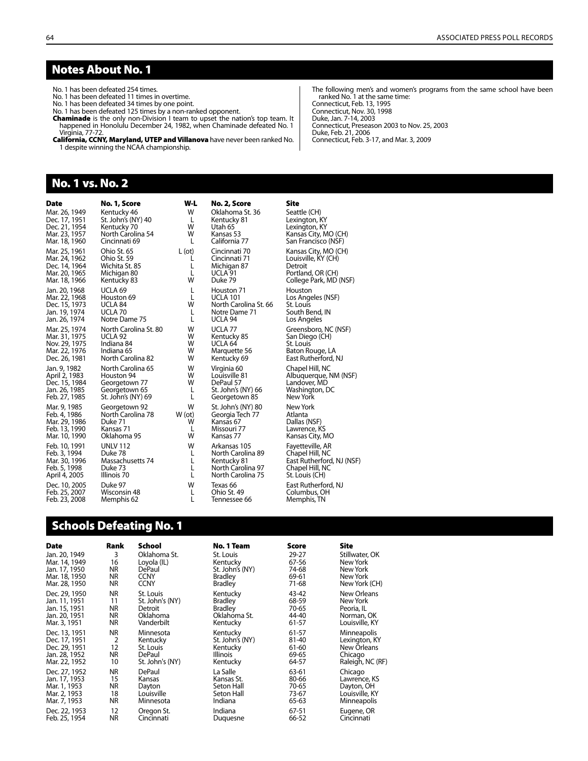#### Notes About No. 1

No. 1 has been defeated 254 times.

No. 1 has been defeated 11 times in overtime. No. 1 has been defeated 34 times by one point.

No. 1 has been defeated 125 times by a non-ranked opponent.

Chaminade is the only non-Division I team to upset the nation's top team. It

happened in Honolulu December 24, 1982, when Chaminade defeated No. 1

Virginia, 77-72. California, CCNY, Maryland, UTEP and Villanova have never been ranked No. 1 despite winning the NCAA championship.

#### No. 1 vs. No. 2

| Date          | No. 1, Score          | W-L    | No. 2, Score          | Site                      |
|---------------|-----------------------|--------|-----------------------|---------------------------|
| Mar. 26, 1949 | Kentucky 46           | W      | Oklahoma St. 36       | Seattle (CH)              |
| Dec. 17, 1951 | St. John's (NY) 40    | L      | Kentucky 81           | Lexington, KY             |
| Dec. 21, 1954 | Kentucky 70           | w      | Utah 65               | Lexington, KY             |
| Mar. 23, 1957 | North Carolina 54     | W      | Kansas 53             | Kansas City, MO (CH)      |
| Mar. 18, 1960 | Cincinnati 69         | L      | California 77         | San Francisco (NSF)       |
| Mar. 25, 1961 | Ohio St. 65           | L (ot) | Cincinnati 70         | Kansas City, MO (CH)      |
| Mar. 24, 1962 | Ohio St. 59           | L      | Cincinnati 71         | Louisville, KY (CH)       |
| Dec. 14, 1964 | Wichita St. 85        | L      | Michigan 87           | Detroit                   |
| Mar. 20, 1965 | Michigan 80           | L      | UCLA 91               | Portland, OR (CH)         |
| Mar. 18, 1966 | Kentucky 83           | W      | Duke 79               | College Park, MD (NSF)    |
| Jan. 20, 1968 | UCLA <sub>69</sub>    | L      | Houston 71            | Houston                   |
| Mar. 22, 1968 | Houston 69            | L      | <b>UCLA 101</b>       | Los Angeles (NSF)         |
| Dec. 15, 1973 | UCLA 84               | W      | North Carolina St. 66 | St. Louis                 |
| Jan. 19, 1974 | UCLA 70               | L      | Notre Dame 71         | South Bend, IN            |
| Jan. 26, 1974 | Notre Dame 75         | L      | UCLA 94               | Los Angeles               |
| Mar. 25, 1974 | North Carolina St. 80 | W      | UCLA <sub>77</sub>    | Greensboro, NC (NSF)      |
| Mar. 31, 1975 | UCLA 92               | W      | Kentucky 85           | San Diego (CH)            |
| Nov. 29, 1975 | Indiana 84            | W      | UCLA 64               | St. Louis                 |
| Mar. 22, 1976 | Indiana 65            | W      | Marquette 56          | Baton Rouge, LA           |
| Dec. 26, 1981 | North Carolina 82     | W      | Kentucky 69           | East Rutherford, NJ       |
| Jan. 9, 1982  | North Carolina 65     | W      | Virginia 60           | Chapel Hill, NC           |
| April 2, 1983 | Houston 94            | W      | Louisville 81         | Albuquerque, NM (NSF)     |
| Dec. 15, 1984 | Georgetown 77         | W      | DePaul 57             | Landover, MD              |
| Jan. 26, 1985 | Georgetown 65         | L      | St. John's (NY) 66    | Washington, DC            |
| Feb. 27, 1985 | St. John's (NY) 69    | L      | Georgetown 85         | New York                  |
| Mar. 9, 1985  | Georgetown 92         | W      | St. John's (NY) 80    | New York                  |
| Feb. 4, 1986  | North Carolina 78     | W(ot)  | Georgia Tech 77       | Atlanta                   |
| Mar. 29, 1986 | Duke 71               | W      | Kansas 67             | Dallas (NSF)              |
| Feb. 13, 1990 | Kansas 71             | L      | Missouri 77           | Lawrence, KS              |
| Mar. 10, 1990 | Oklahoma 95           | W      | Kansas 77             | Kansas City, MO           |
| Feb. 10, 1991 | <b>UNLV 112</b>       | W      | Arkansas 105          | Fayetteville, AR          |
| Feb. 3, 1994  | Duke 78               | L      | North Carolina 89     | Chapel Hill, NC           |
| Mar. 30, 1996 | Massachusetts 74      | L      | Kentucky 81           | East Rutherford, NJ (NSF) |
| Feb. 5, 1998  | Duke 73               | L      | North Carolina 97     | Chapel Hill, NC           |
| April 4, 2005 | Illinois 70           | L      | North Carolina 75     | St. Louis (CH)            |
| Dec. 10, 2005 | Duke 97               | W      | Texas 66              | East Rutherford, NJ       |
| Feb. 25, 2007 | Wisconsin 48          | L      | Ohio St. 49           | Columbus, OH              |
| Feb. 23, 2008 | Memphis 62            | L      | Tennessee 66          | Memphis, TN               |

## Schools Defeating No. 1

| Date          | Rank      | School          | No. 1 Team      | Score | Site               |
|---------------|-----------|-----------------|-----------------|-------|--------------------|
| Jan. 20, 1949 | 3         | Oklahoma St.    | St. Louis       | 29-27 | Stillwater, OK     |
| Mar. 14, 1949 | 16        | Loyola (IL)     | Kentucky        | 67-56 | New York           |
| Jan. 17, 1950 | NR.       | <b>DePaul</b>   | St. John's (NY) | 74-68 | New York           |
| Mar. 18, 1950 | NR.       | <b>CCNY</b>     | <b>Bradley</b>  | 69-61 | New York           |
| Mar. 28, 1950 | NR.       | <b>CCNY</b>     | <b>Bradley</b>  | 71-68 | New York (CH)      |
| Dec. 29, 1950 | <b>NR</b> | St. Louis       | Kentucky        | 43-42 | <b>New Orleans</b> |
| Jan. 11, 1951 | 11        | St. John's (NY) | <b>Bradley</b>  | 68-59 | New York           |
| Jan. 15, 1951 | NR.       | Detroit         | <b>Bradley</b>  | 70-65 | Peoria, IL         |
| Jan. 20, 1951 | <b>NR</b> | Oklahoma        | Oklahoma St.    | 44-40 | Norman, OK         |
| Mar. 3, 1951  | <b>NR</b> | Vanderbilt      | Kentucky        | 61-57 | Louisville, KY     |
| Dec. 13, 1951 | <b>NR</b> | Minnesota       | Kentucky        | 61-57 | Minneapolis        |
| Dec. 17, 1951 | 2         | Kentucky        | St. John's (NY) | 81-40 | Lexington, KY      |
| Dec. 29, 1951 | 12        | St. Louis       | Kentucky        | 61-60 | New Orleans        |
| Jan. 28, 1952 | <b>NR</b> | DePaul          | Illinois        | 69-65 | Chicago            |
| Mar. 22, 1952 | 10        | St. John's (NY) | Kentucky        | 64-57 | Raleigh, NC (RF)   |
| Dec. 27, 1952 | <b>NR</b> | DePaul          | La Salle        | 63-61 | Chicago            |
| Jan. 17, 1953 | 15        | Kansas          | Kansas St.      | 80-66 | Lawrence, KS       |
| Mar. 1, 1953  | NR        | Dayton          | Seton Hall      | 70-65 | Dayton, OH         |
| Mar. 2, 1953  | 18        | Louisville      | Seton Hall      | 73-67 | Louisville, KY     |
| Mar. 7, 1953  | <b>NR</b> | Minnesota       | Indiana         | 65-63 | Minneapolis        |
| Dec. 22, 1953 | 12        | Oregon St.      | Indiana         | 67-51 | Eugene, OR         |
| Feb. 25, 1954 | <b>NR</b> | Cincinnati      | Duguesne        | 66-52 | Cincinnati         |

The following men's and women's programs from the same school have been ranked No. 1 at the same time: Connecticut, Feb. 13, 1995 Connecticut, Nov. 30, 1998 Duke, Jan. 7-14, 2003 Connecticut, Preseason 2003 to Nov. 25, 2003 Duke, Feb. 21, 2006 Connecticut, Feb. 3-17, and Mar. 3, 2009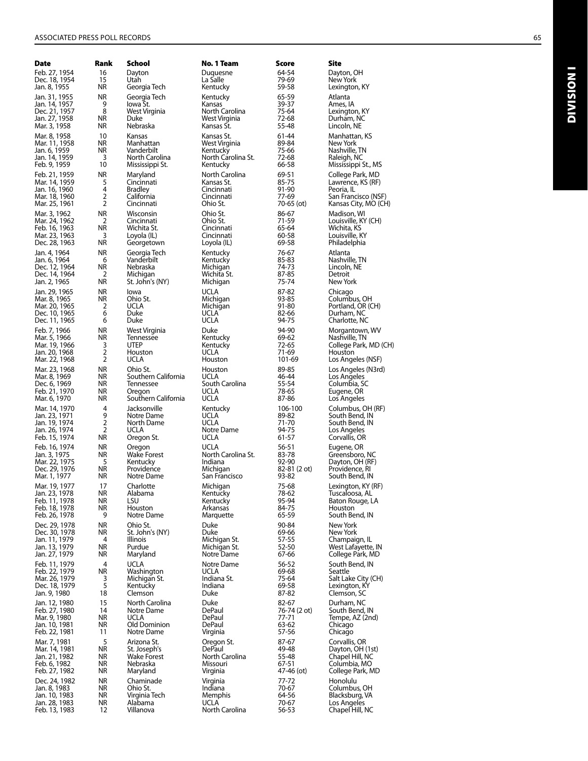| Date                           | Rank                   | School                        | No. 1 Team                   | Score                 | Site                                   |
|--------------------------------|------------------------|-------------------------------|------------------------------|-----------------------|----------------------------------------|
| Feb. 27, 1954                  | 16                     | Dayton                        | Duquesne                     | 64-54                 | Dayton, OH                             |
| Dec. 18, 1954                  | 15<br>ΝR               | Utah                          | La Salle                     | 79-69<br>59-58        | New York<br>Lexington, KY              |
| Jan. 8, 1955                   |                        | Georgia Tech                  | Kentucky                     |                       |                                        |
| Jan. 31, 1955                  | ΝR<br>9                | Georgia Tech<br>lowa St.      | Kentucky<br>Kansas           | 65-59<br>39-37        | Atlanta                                |
| Jan. 14, 1957<br>Dec. 21, 1957 | 8                      | West Virginia                 | North Carolina               | 75-64                 | Ames, IA<br>Lexington, KY              |
| Jan. 27, 1958                  | ΝR                     | Duke                          | West Virginia                | 72-68                 | Durham, NC                             |
| Mar. 3, 1958                   | ΝR                     | Nebraska                      | Kansas St.                   | 55-48                 | Lincoln, NE                            |
| Mar. 8, 1958                   | 10                     | Kansas                        | Kansas St.                   | 61-44                 | Manhattan, KS                          |
| Mar. 11, 1958                  | NR                     | Manhattan                     | West Virginia                | 89-84                 | New York                               |
| Jan. 6, 1959                   | ΝR                     | Vanderbilt                    | Kentucky                     | 75-66                 | Nashville, TN                          |
| Jan. 14, 1959                  | 3                      | North Carolina                | North Carolina St.           | 72-68<br>66-58        | Raleigh, NC                            |
| Feb. 9, 1959                   | 10                     | Mississippi St.               | Kentucky                     |                       | Mississippi St., MS                    |
| Feb. 21, 1959                  | ΝR                     | Maryland                      | North Carolina<br>Kansas St. | 69-51                 | College Park, MD                       |
| Mar. 14, 1959<br>Jan. 16, 1960 | 5<br>4                 | Cincinnati<br><b>Bradley</b>  | Cincinnati                   | 85-75<br>91-90        | Lawrence, KS (RF)<br>Peoria, IL        |
| Mar. 18, 1960                  | $\overline{2}$         | California                    | Cincinnati                   | 77-69                 | San Francisco (NSF)                    |
| Mar. 25, 1961                  | 2                      | Cincinnati                    | Ohio St.                     | 70-65 (ot)            | Kansas City, MO (CH)                   |
| Mar. 3, 1962                   | ΝR                     | Wisconsin                     | Ohio St.                     | 86-67                 | Madison, WI                            |
| Mar. 24, 1962                  | 2                      | Cincinnati                    | Ohio St.                     | 71-59                 | Louisville, KY (CH)                    |
| Feb. 16, 1963                  | NR                     | Wichita St.                   | Cincinnati                   | 65-64                 | Wichita, KS                            |
| Mar. 23, 1963<br>Dec. 28, 1963 | 3<br>ΝR                | Loyola (IL)<br>Georgetown     | Cincinnati                   | 60-58<br>69-58        | Louisville, KY<br>Philadelphia         |
|                                |                        |                               | Loyola (IL)                  |                       |                                        |
| Jan. 4, 1964<br>Jan. 6, 1964   | ΝR<br>6                | Georgia Tech<br>Vanderbilt    | Kentucky<br>Kentucky         | 76-67<br>85-83        | Atlanta<br>Nashville, TN               |
| Dec. 12, 1964                  | ΝR                     | Nebraska                      | Michigan                     | 74-73                 | Lincoln, NE                            |
| Dec. 14, 1964                  | 2                      | Michigan                      | Wichita St.                  | 87-85                 | Detroit                                |
| Jan. 2, 1965                   | ΝR                     | St. John's (NY)               | Michigan                     | 75-74                 | New York                               |
| Jan. 29, 1965                  | ΝR                     | lowa                          | UCLA                         | 87-82                 | Chicago                                |
| Mar. 8, 1965                   | ΝR                     | Ohio St.                      | Michigan                     | 93-85                 | Columbus, OH                           |
| Mar. 20, 1965                  | 2                      | UCLA                          | Michigan                     | 91-80                 | Portland, OR (CH)                      |
| Dec. 10, 1965                  | 6<br>6                 | Duke                          | UCLA<br>UCLA                 | 82-66<br>94-75        | Durham, NC                             |
| Dec. 11, 1965                  |                        | Duke                          |                              |                       | Charlotte, NC                          |
| Feb. 7, 1966                   | ΝR<br>ΝR               | West Virginia<br>Tennessee    | Duke                         | 94-90<br>69-62        | Morgantown, WV                         |
| Mar. 5, 1966<br>Mar. 19, 1966  | 3                      | <b>UTEP</b>                   | Kentucky<br>Kentucky         | 72-65                 | Nashville, TN<br>College Park, MD (CH) |
| Jan. 20, 1968                  | 2                      | Houston                       | UCLA                         | 71-69                 | Houston                                |
| Mar. 22, 1968                  | 2                      | UCLA                          | Houston                      | 101-69                | Los Angeles (NSF)                      |
| Mar. 23, 1968                  | ΝR                     | Ohio St.                      | Houston                      | 89-85                 | Los Angeles (N3rd)                     |
| Mar. 8, 1969                   | ΝR                     | Southern California           | UCLA                         | 46-44                 | Los Angeles                            |
| Dec. 6, 1969                   | ΝR                     | Tennessee                     | South Carolina               | 55-54                 | Columbia, SC                           |
| Feb. 21, 1970<br>Mar. 6, 1970  | ΝR<br>ΝR               | Oregon<br>Southern California | <b>UCLA</b><br><b>UCLA</b>   | 78-65<br>87-86        | Eugene, OR<br>Los Angeles              |
|                                |                        |                               |                              |                       |                                        |
| Mar. 14, 1970<br>Jan. 23, 1971 | 4<br>9                 | Jacksonville<br>Notre Dame    | Kentucky<br>UCLA             | 106-100<br>89-82      | Columbus, OH (RF)<br>South Bend, IN    |
| Jan. 19, 1974                  | $\overline{2}$         | North Dame                    | <b>UCLA</b>                  | 71-70                 | South Bend, IN                         |
| Jan. 26, 1974                  | 2                      | <b>UCLA</b>                   | Notre Dame                   | 94-75                 | Los Angeles                            |
| Feb. 15, 1974                  | ΝR                     | Oregon St.                    | <b>UCLA</b>                  | 61-57                 | Corvallis, OR                          |
| Feb. 16, 1974                  | ΝR                     | Oregon                        | <b>UCLA</b>                  | 56-51                 | Eugene, OR                             |
| Jan. 3, 1975                   | ΝR                     | <b>Wake Forest</b>            | North Carolina St.           | 83-78                 | Greensboro, NC                         |
| Mar. 22, 1975                  | 5                      | Kentucky                      | Indiana                      | 92-90                 | Dayton, OH (RF)                        |
| Dec. 29, 1976<br>Mar. 1, 1977  | ΝR<br>ΝR               | Providence<br>Notre Dame      | Michigan<br>San Francisco    | 82-81 (2 ot)<br>93-82 | Providence, RI<br>South Bend, IN       |
| Mar. 19, 1977                  |                        | Charlotte                     |                              |                       | Lexington, KY (RF)                     |
| Jan. 23, 1978                  | 17<br>ΝR               | Alabama                       | Michigan<br>Kentucky         | 75-68<br>78-62        | Tuscaloosa, AL                         |
| Feb. 11, 1978                  | NR                     | LSU                           | Kentucky                     | 95-94                 | Baton Rouge, LA                        |
| Feb. 18, 1978                  | NR                     | Houston                       | Arkansas                     | 84-75                 | Houston                                |
| Feb. 26, 1978                  | 9                      | Notre Dame                    | Marquette                    | 65-59                 | South Bend, IN                         |
| Dec. 29, 1978                  | NR                     | Ohio St.                      | Duke                         | 90-84                 | New York                               |
| Dec. 30, 1978                  | NR                     | St. John's (NY)               | Duke                         | 69-66                 | New York                               |
| Jan. 11, 1979<br>Jan. 13, 1979 | 4<br>NR                | Illinois<br>Purdue            | Michigan St.<br>Michigan St. | 57-55<br>52-50        | Champaign, IL<br>West Lafayette, IN    |
| Jan. 27, 1979                  | ΝR                     | Maryland                      | Notre Dame                   | 67-66                 | College Park, MD                       |
| Feb. 11, 1979                  | 4                      | <b>UCLA</b>                   | Notre Dame                   | 56-52                 | South Bend, IN                         |
| Feb. 22, 1979                  | ΝR                     | Washington                    | UCLA                         | 69-68                 | Seattle                                |
| Mar. 26, 1979                  | 3                      | Michigan St.                  | Indiana St.                  | 75-64                 | Salt Lake City (CH)                    |
| Dec. 18, 1979                  | $\overline{5}$         | Kentucky                      | Indiana                      | 69-58                 | Lexington, KY                          |
| Jan. 9, 1980                   | 18                     | Clemson                       | Duke                         | 87-82                 | Clemson, SC                            |
| Jan. 12, 1980                  | 15                     | North Carolina                | Duke                         | 82-67                 | Durham, NC                             |
| Feb. 27, 1980<br>Mar. 9, 1980  | 14<br><b>NR</b>        | Notre Dame<br><b>UCLA</b>     | DePaul<br>DePaul             | 76-74 (2 ot)<br>77-71 | South Bend, IN<br>Tempe, AZ (2nd)      |
| Jan. 10, 1981                  | <b>NR</b>              | Old Dominion                  | DePaul                       | 63-62                 | Chicago                                |
| Feb. 22, 1981                  | 11                     | Notre Dame                    | Virginia                     | 57-56                 | Chicago                                |
| Mar. 7, 1981                   | 5                      | Arizona St.                   | Oregon St.                   | 87-67                 | Corvallis, OR                          |
| Mar. 14, 1981                  | <b>NR</b>              | St. Joseph's                  | DePaul                       | 49-48                 | Dayton, OH (1st)                       |
| Jan. 21, 1982                  | <b>NR</b>              | <b>Wake Forest</b>            | North Carolina               | 55-48                 | Chapel Hill, NC                        |
| Feb. 6, 1982                   | <b>NR</b>              | Nebraska                      | Missouri                     | 67-51                 | Columbia, MO                           |
| Feb. 27, 1982                  | ΝR                     | Maryland                      | Virginia                     | 47-46 (ot)            | College Park, MD                       |
| Dec. 24, 1982<br>Jan. 8, 1983  | <b>NR</b><br><b>NR</b> | Chaminade<br>Ohio St.         | Virginia<br>Indiana          | 77-72<br>70-67        | Honolulu<br>Columbus, OH               |
| Jan. 10, 1983                  | <b>NR</b>              | Virginia Tech                 | Memphis                      | 64-56                 | Blacksburg, VA                         |
| Jan. 28, 1983                  | NR                     | Alabama                       | UCLA                         | 70-67                 | Los Angeles                            |
| Feb. 13, 1983                  | 12                     | Villanova                     | North Carolina               | 56-53                 | Chapel Hill, NC                        |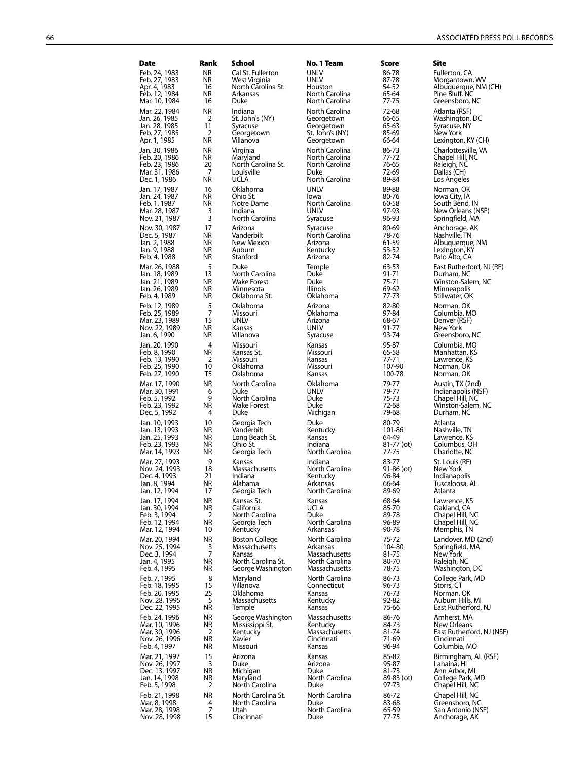| <b>Date</b>                    | Rank                   | School                               | No. 1 Team                       | Score               | Site                                   |
|--------------------------------|------------------------|--------------------------------------|----------------------------------|---------------------|----------------------------------------|
| Feb. 24, 1983                  | ΝR                     | Cal St. Fullerton                    | <b>UNLV</b>                      | 86-78               | Fullerton, CA                          |
| Feb. 27, 1983<br>Apr. 4, 1983  | ΝR<br>16               | West Virginia<br>North Carolina St.  | <b>UNLV</b><br>Houston           | 87-78<br>54-52      | Morgantown, WV<br>Albuquerque, NM (CH) |
| Feb. 12, 1984                  | ΝR                     | Arkansas                             | North Carolina                   | 65-64               | Pine Bluff, NC                         |
| Mar. 10, 1984                  | 16                     | Duke                                 | North Carolina                   | 77-75               | Greensboro, NC                         |
| Mar. 22, 1984                  | ΝR                     | Indiana                              | North Carolina                   | 72-68               | Atlanta (RSF)                          |
| Jan. 26, 1985<br>Jan. 28, 1985 | 2<br>11                | St. John's (NY)<br>Syracuse          | Georgetown<br>Georgetown         | 66-65<br>65-63      | Washington, DC<br>Syracuse, NY         |
| Feb. 27, 1985                  | 2                      | Georgetown                           | St. John's (NY)                  | 85-69               | New York                               |
| Apr. 1, 1985                   | ΝR                     | Villanova                            | Georgetown                       | 66-64               | Lexington, KY (CH)                     |
| Jan. 30, 1986<br>Feb. 20, 1986 | ΝR<br>ΝR               | Virginia<br>Maryland                 | North Carolina<br>North Carolina | 86-73<br>77-72      | Charlottesville, VA<br>Chapel Hill, NC |
| Feb. 23, 1986                  | 20                     | North Carolina St.                   | North Carolina                   | 76-65               | Raleigh, NC                            |
| Mar. 31, 1986                  | 7                      | Louisville                           | Duke                             | 72-69               | Dallas (CH)                            |
| Dec. 1, 1986                   | ΝR                     | <b>UCLA</b>                          | North Carolina                   | 89-84               | Los Angeles                            |
| Jan. 17, 1987<br>Jan. 24, 1987 | 16<br>ΝR               | Oklahoma<br>Ohio St.                 | UNLV<br>lowa                     | 89-88<br>80-76      | Norman, OK<br>lowa City, IA            |
| Feb. 1, 1987                   | ΝR                     | Notre Dame                           | North Carolina                   | 60-58               | South Bend, IN                         |
| Mar. 28, 1987                  | 3<br>3                 | Indiana<br>North Carolina            | <b>UNLV</b><br>Syracuse          | 97-93<br>96-93      | New Orleans (NSF)<br>Springfield, MA   |
| Nov. 21, 1987<br>Nov. 30, 1987 | 17                     | Arizona                              | Syracuse                         | 80-69               | Anchorage, AK                          |
| Dec. 5, 1987                   | ΝR                     | Vanderbilt                           | North Carolina                   | 78-76               | Nashville, TN                          |
| Jan. 2, 1988                   | ΝR                     | New Mexico                           | Arizona                          | 61-59               | Albuquerque, NM                        |
| Jan. 9, 1988<br>Feb. 4, 1988   | ΝR<br>ΝR               | Auburn<br>Stanford                   | Kentucky<br>Arizona              | 53-52<br>82-74      | Lexington, KY<br>Palo Alto, CA         |
| Mar. 26, 1988                  | 5                      | Duke                                 | Temple                           | 63-53               | East Rutherford, NJ (RF                |
| Jan. 18, 1989                  | 13                     | North Carolina                       | Duke                             | 91-71               | Durham, NC                             |
| Jan. 21, 1989<br>Jan. 26, 1989 | ΝR<br>ΝR               | <b>Wake Forest</b><br>Minnesota      | Duke<br>Illinois                 | $75 - 71$<br>69-62  | Winston-Salem, NC                      |
| Feb. 4, 1989                   | ΝR                     | Oklahoma St.                         | Oklahoma                         | $77-73$             | Minneapolis<br>Stillwater, OK          |
| Feb. 12, 1989                  | 5                      | Oklahoma                             | Arizona                          | 82-80               | Norman, OK                             |
| Feb. 25, 1989                  | 7                      | Missouri                             | Oklahoma                         | 97-84               | Columbia, MO                           |
| Mar. 23, 1989<br>Nov. 22, 1989 | 15<br>ΝR               | <b>UNLV</b><br>Kansas                | Arizona<br>UNLV                  | 68-67<br>91-77      | Denver (RSF)<br>New York               |
| Jan. 6, 1990                   | ΝR                     | Villanova                            | Syracuse                         | 93-74               | Greensboro, NC                         |
| Jan. 20, 1990                  | 4                      | Missouri                             | Kansas                           | 95-87               | Columbia, MO                           |
| Feb. 8, 1990                   | ΝR<br>2                | Kansas St.                           | Missouri                         | 65-58<br>$77 - 71$  | Manhattan, KS                          |
| Feb. 13, 1990<br>Feb. 25, 1990 | 10                     | Missouri<br>Oklahoma                 | Kansas<br>Missouri               | 107-90              | Lawrence, KS<br>Norman, OK             |
| Feb. 27, 1990                  | T5                     | Oklahoma                             | Kansas                           | 100-78              | Norman, OK                             |
| Mar. 17, 1990                  | <b>NR</b>              | North Carolina                       | Oklahoma                         | 79-77               | Austin, TX (2nd)                       |
| Mar. 30, 1991<br>Feb. 5, 1992  | 6<br>9                 | Duke<br>North Carolina               | UNLV<br>Duke                     | 79-77<br>75-73      | Indianapolis (NSF)<br>Chapel Hill, NC  |
| Feb. 23, 1992                  | <b>NR</b>              | <b>Wake Forest</b>                   | Duke                             | 72-68               | Winston-Salem, NC                      |
| Dec. 5, 1992                   | 4                      | Duke                                 | Michigan                         | 79-68               | Durham, NC                             |
| Jan. 10, 1993<br>Jan. 13, 1993 | 10<br>ΝR               | Georgia Tech<br>Vanderbilt           | Duke<br>Kentucky                 | 80-79<br>101-86     | Atlanta<br>Nashville, TN               |
| Jan. 25, 1993                  | <b>NR</b>              | Long Beach St.                       | Kansas                           | 64-49               | Lawrence, KS                           |
| Feb. 23, 1993                  | ΝR<br><b>NR</b>        | Ohio St.                             | Indiana<br>North Carolina        | 81-77 (ot)          | Columbus, OH                           |
| Mar. 14, 1993<br>Mar. 27, 1993 | 9                      | Georgia Tech<br>Kansas               | Indiana                          | 77-75<br>83-77      | Charlotte, NC<br>St. Louis (RF)        |
| Nov. 24, 1993                  | 18                     | Massachusetts                        | North Carolina                   | $91-86$ (ot)        | New York                               |
| Dec. 4, 1993                   | 21                     | Indiana                              | Kentucky                         | 96-84               | Indianapolis                           |
| Jan. 8, 1994<br>Jan. 12, 1994  | <b>NR</b><br>17        | Alabama<br>Georgia Tech              | Arkansas<br>North Carolina       | 66-64<br>89-69      | Tuscaloosa, AL<br>Atlanta              |
| Jan. 17, 1994                  | <b>NR</b>              | Kansas St.                           | Kansas                           | 68-64               | Lawrence, KS                           |
| Jan. 30, 1994                  | NR                     | California                           | UCLA                             | 85-70               | Oakland, CA                            |
| Feb. 3, 1994<br>Feb. 12, 1994  | 2<br>NR                | North Carolina<br>Georgia Tech       | Duke<br>North Carolina           | 89-78<br>96-89      | Chapel Hill, NC<br>Chapel Hill, NC     |
| Mar. 12, 1994                  | 10                     | Kentucky                             | Arkansas                         | 90-78               | Memphis, TN                            |
| Mar. 20, 1994                  | <b>NR</b>              | <b>Boston College</b>                | North Carolina                   | 75-72               | Landover, MD (2nd)                     |
| Nov. 25, 1994<br>Dec. 3, 1994  | 3<br>7                 | Massachusetts<br>Kansas              | Arkansas<br>Massachusetts        | 104-80<br>81-75     | Springfield, MA<br>New York            |
| Jan. 4, 1995                   | <b>NR</b>              | North Carolina St.                   | North Carolina                   | 80-70               | Raleigh, NC                            |
| Feb. 4, 1995                   | NR.                    | George Washington                    | Massachusetts                    | 78-75               | Washington, DC                         |
| Feb. 7, 1995                   | 8                      | Maryland                             | North Carolina                   | 86-73               | College Park, MD                       |
| Feb. 18, 1995<br>Feb. 20, 1995 | 15<br>25               | Villanova<br>Oklahoma                | Connecticut<br>Kansas            | 96-73<br>76-73      | Storrs, CT<br>Norman, OK               |
| Nov. 28, 1995                  | 5                      | Massachusetts                        | Kentucky                         | 92-82               | Auburn Hills, MI                       |
| Dec. 22, 1995                  | NR                     | Temple                               | Kansas                           | 75-66               | East Rutherford, NJ                    |
| Feb. 24, 1996<br>Mar. 10, 1996 | <b>NR</b><br><b>NR</b> | George Washington<br>Mississippi St. | Massachusetts<br>Kentucky        | 86-76<br>84-73      | Amherst, MA<br>New Orleans             |
| Mar. 30, 1996                  | 2                      | Kentucky                             | Massachusetts                    | 81-74               | East Rutherford, NJ (NS                |
| Nov. 26, 1996                  | <b>NR</b><br><b>NR</b> | Xavier<br>Missouri                   | Cincinnati<br>Kansas             | 71-69               | Cincinnati                             |
| Feb. 4, 1997                   |                        |                                      |                                  | 96-94               | Columbia, MO                           |
| Mar. 21, 1997<br>Nov. 26, 1997 | 15<br>3                | Arizona<br>Duke                      | Kansas<br>Arizona                | 85-82<br>95-87      | Birmingham, AL (RSF)<br>Lahaina, HI    |
| Dec. 13, 1997                  | <b>NR</b>              | Michigan                             | Duke                             | 81-73               | Ann Arbor, MI                          |
| Jan. 14, 1998<br>Feb. 5, 1998  | NR.<br>2               | Maryland<br>North Carolina           | North Carolina<br>Duke           | 89-83 (ot)<br>97-73 | College Park, MD<br>Chapel Hill, NC    |
| Feb. 21, 1998                  | <b>NR</b>              | North Carolina St.                   | North Carolina                   | 86-72               | Chapel Hill, NC                        |
| Mar. 8, 1998                   | 4                      | North Carolina                       | Duke                             | 83-68               | Greensboro, NC                         |
| Mar. 28, 1998<br>Nov. 28, 1998 | 7<br>15                | Utah<br>Cincinnati                   | North Carolina<br>Duke           | 65-59<br>77-75      | San Antonio (NSF)<br>Anchorage, AK     |

| ank:     | <b>School</b>                           | No. 1 Team                      | Score               | Site                                      |
|----------|-----------------------------------------|---------------------------------|---------------------|-------------------------------------------|
| NR<br>NR | Cal St. Fullerton<br>West Virginia      | UNLV<br><b>UNLV</b>             | 86-78<br>87-78      | Fullerton, CA<br>Morgantown, WV           |
| 16       | North Carolina St.                      | Houston                         | 54-52               | Albuquerque, NM (                         |
| NR       | Arkansas                                | North Carolina                  | 65-64               | Pine Bluff, NC                            |
| 16       | Duke                                    | North Carolina                  | 77-75               | Greensboro, NC                            |
| NR<br>2  | Indiana<br>St. John's (NY)              | North Carolina<br>Georgetown    | 72-68<br>66-65      | Atlanta (RSF)<br>Washington, DC           |
| 11       | Syracuse                                | Georgetown                      | 65-63               | Syracuse, NY                              |
| 2<br>NR  | Georgetown<br>Villanova                 | St. John's (NY)                 | 85-69<br>66-64      | New York                                  |
| NR       | Virginia                                | Georgetown<br>North Carolina    | 86-73               | Lexington, KY (CH)<br>Charlottesville, VA |
| NR       | Maryland                                | North Carolina                  | 77-72               | Chapel Hill, NC                           |
| 20       | North Carolina St.                      | North Carolina                  | 76-65               | Raleigh, NC                               |
| 7<br>NR  | Louisville<br><b>UCLA</b>               | Duke<br>North Carolina          | 72-69<br>89-84      | Dallas (CH)<br>Los Angeles                |
| 16       | Oklahoma                                | UNLV                            | 89-88               | Norman, OK                                |
| NR       | Ohio St.                                | lowa                            | 80-76               | lowa City, IA                             |
| NR<br>3  | Notre Dame<br>Indiana                   | North Carolina<br><b>UNLV</b>   | 60-58<br>97-93      | South Bend, IN<br>New Orleans (NSF)       |
| 3        | North Carolina                          | Syracuse                        | 96-93               | Springfield, MA                           |
| 17       | Arizona                                 | Syracuse                        | 80-69               | Anchorage, AK                             |
| ΝR<br>ΝR | Vanderbilt<br>New Mexico                | North Carolina<br>Arizona       | 78-76<br>61-59      | Nashville, TN<br>Albuquerque, NM          |
| ΝR       | Auburn                                  | Kentucky                        | 53-52               | Lexington, KY                             |
| NR       | Stanford                                | Arizona                         | 82-74               | Palo Alto, CA                             |
| 5<br>13  | Duke<br>North Carolina                  | Temple<br>Duke                  | 63-53<br>91-71      | East Rutherford, NJ<br>Durham, NC         |
| NR       | Wake Forest                             | Duke                            | 75-71               | Winston-Salem, NC                         |
| ΝR       | Minnesota                               | Illinois                        | 69-62               | Minneapolis                               |
| NR<br>5  | Oklahoma St.                            | Oklahoma                        | 77-73               | Stillwater, OK                            |
| 7        | Oklahoma<br>Missouri                    | Arizona<br>Oklahoma             | 82-80<br>97-84      | Norman, OK<br>Columbia, MO                |
| 15       | UNLV                                    | Arizona                         | 68-67               | Denver (RSF)                              |
| NR<br>NR | Kansas<br>Villanova                     | UNLV<br>Syracuse                | 91-77<br>93-74      | New York<br>Greensboro, NC                |
| 4        | Missouri                                | Kansas                          | 95-87               | Columbia, MO                              |
| NR       | Kansas St.                              | Missouri                        | 65-58               | Manhattan, KS                             |
| 2<br>10  | Missouri<br>Oklahoma                    | Kansas<br>Missouri              | 77-71<br>107-90     | Lawrence, KS<br>Norman, OK                |
| T5       | Oklahoma                                | Kansas                          | 100-78              | Norman, OK                                |
| NR       | North Carolina                          | Oklahoma                        | 79-77               | Austin, TX (2nd)                          |
| 6<br>9   | Duke<br>North Carolina                  | UNLV<br>Duke                    | 79-77<br>75-73      | Indianapolis (NSF)<br>Chapel Hill, NC     |
| NR       | <b>Wake Forest</b>                      | Duke                            | 72-68               | Winston-Salem, NC                         |
| 4        | Duke                                    | Michigan                        | 79-68               | Durham, NC                                |
| 10<br>NR | Georgia Tech<br>Vanderbilt              | Duke<br>Kentucky                | 80-79<br>101-86     | Atlanta<br>Nashville, TN                  |
| NR       | Long Beach St.                          | Kansas                          | 64-49               | Lawrence, KS                              |
| NR<br>NR | Ohio St.<br>Georgia Tech                | Indiana<br>North Carolina       | 81-77 (ot)<br>77-75 | Columbus, OH<br>Charlotte, NC             |
| 9        | Kansas                                  | Indiana                         | 83-77               | St. Louis (RF)                            |
| 18       | Massachusetts                           | North Carolina                  | 91-86 (ot)          | New York                                  |
| 21<br>ΝR | Indiana<br>Alabama                      | Kentucky<br>Arkansas            | 96-84<br>66-64      | Indianapolis<br>Tuscaloosa, AL            |
| 17       | Georgia Tech                            | North Carolina                  | 89-69               | Atlanta                                   |
| NR       | Kansas St.                              | Kansas                          | 68-64               | Lawrence, KS                              |
| NR.<br>2 | California<br>North Carolina            | UCLA<br>Duke                    | 85-70<br>89-78      | Oakland, CA<br>Chapel Hill, NC            |
| NR       | Georgia Tech                            | North Carolina                  | 96-89               | Chapel Hill, NC                           |
| 10       | Kentucky                                | Arkansas                        | 90-78               | Memphis, TN                               |
| NR<br>3  | <b>Boston College</b><br>Massachusetts  | North Carolina<br>Arkansas      | 75-72<br>104-80     | Landover, MD (2nd)<br>Springfield, MA     |
| 7        | Kansas                                  | Massachusetts                   | 81-75               | New York                                  |
| NR<br>NR | North Carolina St.<br>George Washington | North Carolina<br>Massachusetts | 80-70<br>78-75      | Raleigh, NC                               |
| 8        | Maryland                                | North Carolina                  | 86-73               | Washington, DC<br>College Park, MD        |
| 15       | Villanova                               | Connecticut                     | 96-73               | Storrs, CT                                |
| 25<br>5  | Oklahoma<br>Massachusetts               | Kansas<br>Kentucky              | 76-73<br>92-82      | Norman, OK                                |
| ΝR       | Temple                                  | Kansas                          | 75-66               | Auburn Hills, MI<br>East Rutherford, NJ   |
| NR       | George Washington                       | Massachusetts                   | 86-76               | Amherst, MA                               |
| NR       | Mississippi St.                         | Kentucky                        | 84-73               | New Orleans                               |
| 2<br>NR  | Kentucky<br>Xavier                      | Massachusetts<br>Cincinnati     | 81-74<br>71-69      | East Rutherford, NJ<br>Cincinnati         |
| NR       | Missouri                                | Kansas                          | 96-94               | Columbia, MO                              |
| 15       | Arizona                                 | Kansas                          | 85-82               | Birmingham, AL (R.                        |
| 3<br>ΝR  | Duke<br>Michigan                        | Arizona<br>Duke                 | 95-87<br>81-73      | Lahaina, HI<br>Ann Arbor, MI              |
| NR       | Maryland                                | North Carolina                  | 89-83 (ot)          | College Park, MD                          |
| 2        | North Carolina                          | Duke                            | 97-73               | Chapel Hill, NC                           |
| NR<br>4  | North Carolina St.<br>North Carolina    | North Carolina<br>Duke          | 86-72<br>83-68      | Chapel Hill, NC<br>Greensboro, NC         |
| 7        | Utah                                    | North Carolina                  | 65-59               | San Antonio (NSF)                         |
| 15       | Cincinnati                              | Duke                            | 77-75               | Anchorage, AK                             |

| ı           | Score               | Site                                    |
|-------------|---------------------|-----------------------------------------|
|             | 86-78<br>87-78      | Fullerton, CA<br>Morgantown, WV         |
|             | 54-52               | Albuquerque, NM                         |
| ina<br>ina  | 65-64<br>77-75      | Pine Bluff, NC<br>Greensboro, NC        |
| ina         | 72-68               | Atlanta (RSF)                           |
| n           | 66-65               | Washington, DC                          |
| n<br>IY)    | 65-63<br>85-69      | Syracuse, NY<br>New York                |
| n           | 66-64               | Lexington, KY (CH)                      |
| ina         | 86-73               | Charlottesville, VA                     |
| ina<br>ina  | 77-72<br>76-65      | Chapel Hill, NC<br>Raleigh, NC          |
|             | 72-69               | Dallas (CH)                             |
| ina         | 89-84<br>89-88      | Los Angeles<br>Norman, OK               |
|             | 80-76               | lowa City, IA                           |
| ina         | 60-58<br>97-93      | South Bend, IN<br>New Orleans (NSF)     |
|             | 96-93               | Springfield, MA                         |
|             | 80-69               | Anchorage, AK                           |
| ina         | 78-76<br>61-59      | Nashville, TN<br>Albuquerque, NM        |
|             | 53-52               | Lexington, KY                           |
|             | 82-74<br>63-53      | Palo Alto, CA<br>East Rutherford, N.    |
|             | 91-71               | Durham, NC                              |
|             | 75-71<br>69-62      | Winston-Salem, NO<br>Minneapolis        |
|             | 77-73               | Stillwater, OK                          |
|             | 82-80               | Norman, OK                              |
|             | 97-84<br>68-67      | Columbia, MO<br>Denver (RSF)            |
|             | 91-77               | New York                                |
|             | 93-74<br>95-87      | Greensboro, NC<br>Columbia, MO          |
|             | 65-58               | Manhattan, KS                           |
|             | 77-71<br>107-90     | Lawrence, KS<br>Norman, OK              |
|             | 100-78              | Norman, OK                              |
|             | 79-77<br>79-77      | Austin, TX (2nd)<br>Indianapolis (NSF)  |
|             | 75-73               | Chapel Hill, NC                         |
|             | 72-68<br>79-68      | Winston-Salem, NO<br>Durham, NC         |
|             | 80-79               | Atlanta                                 |
|             | 101-86<br>64-49     | Nashville, TN                           |
|             | 81-77 (ot)          | Lawrence, KS<br>Columbus, OH            |
| ina         | 77-75               | Charlotte, NC                           |
| ina         | 83-77<br>91-86 (ot) | St. Louis (RF)<br>New York              |
|             | 96-84               | Indianapolis                            |
| ina         | 66-64<br>89-69      | Tuscaloosa, AL<br>Atlanta               |
|             | 68-64               | Lawrence, KS                            |
|             | 85-70<br>89-78      | Oakland, CA<br>Chapel Hill, NC          |
| ina         | 96-89               | Chapel Hill, NC                         |
| ina         | 90-78<br>75-72      | Memphis, TN<br>Landover, MD (2nc        |
|             | 104-80              | Springfield, MA                         |
| etts<br>ina | 81-75<br>80-70      | New York<br>Raleigh, NC                 |
| etts        | 78-75               | Washington, DC                          |
| ina         | 86-73               | College Park, MD                        |
| t           | 96-73<br>76-73      | Storrs, CT<br>Norman, OK                |
|             | 92-82<br>75-66      | Auburn Hills, MI<br>East Rutherford, N. |
| etts        | 86-76               | Amherst, MA                             |
|             | 84-73               | New Orleans                             |
| etts        | 81-74<br>71-69      | East Rutherford, N.<br>Cincinnati       |
|             | 96-94               | Columbia, MO                            |
|             | 85-82<br>95-87      | Birmingham, AL (R<br>Lahaina, Hl        |
|             | 81-73               | Ann Arbor, MI                           |
| lina        | 89-83 (ot)<br>97-73 | College Park, MD<br>Chapel Hill, NC     |
| lina        | 86-72               | Chapel Hill, NC                         |
| lina        | 83-68<br>65-59      | Greensboro, NC<br>San Antonio (NSF)     |
|             | 77-75               | Anchorage, AK                           |
|             |                     |                                         |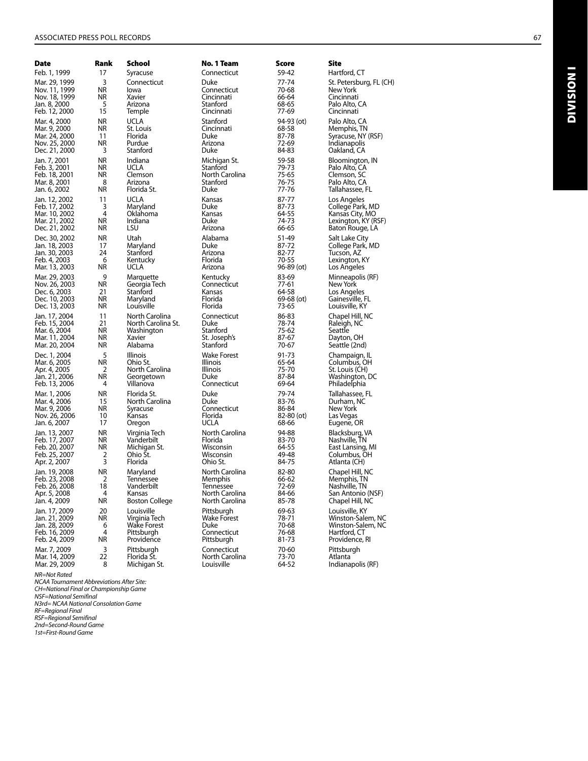| Date          | Rank      | School                | No. 1 Team         | Score        | Site                    |
|---------------|-----------|-----------------------|--------------------|--------------|-------------------------|
| Feb. 1, 1999  | 17        | Syracuse              | Connecticut        | 59-42        | Hartford, CT            |
| Mar. 29, 1999 | 3         | Connecticut           | Duke               | 77-74        | St. Petersburg, FL (CH) |
| Nov. 11, 1999 | NR        | lowa                  | Connecticut        | 70-68        | New York                |
| Nov. 18, 1999 | ΝR        | Xavier                | Cincinnati         | 66-64        | Cincinnati              |
| Jan. 8, 2000  | 5         | Arizona               | Stanford           | 68-65        | Palo Alto, CA           |
| Feb. 12, 2000 | 15        | Temple                | Cincinnati         | 77-69        | Cincinnati              |
| Mar. 4, 2000  | ΝR        | UCLA                  | Stanford           | 94-93 (ot)   | Palo Alto, CA           |
| Mar. 9, 2000  | ΝR        | St. Louis             | Cincinnati         | 68-58        | Memphis, TN             |
| Mar. 24, 2000 | 11        | Florida               | Duke               | 87-78        | Syracuse, NY (RSF)      |
| Nov. 25, 2000 | ΝR        | Purdue                | Arizona            | 72-69        | Indianapolis            |
| Dec. 21, 2000 | 3         | Stanford              | Duke               | 84-83        | Oakland, CA             |
| Jan. 7, 2001  | <b>NR</b> | Indiana               | Michigan St.       | 59-58        | Bloomington, IN         |
| Feb. 3, 2001  | ΝR        | UCLA                  | Stanford           | 79-73        | Palo Alto, CA           |
| Feb. 18, 2001 | ΝR        | Clemson               | North Carolina     | 75-65        | Clemson, SC             |
| Mar. 8, 2001  | 8         | Arizona               | Stanford           | 76-75        | Palo Alto, CA           |
| Jan. 6, 2002  | ΝR        | Florida St.           | Duke               | 77-76        | Tallahassee, FL         |
| Jan. 12, 2002 | 11        | UCLA                  | Kansas             | 87-77        | Los Angeles             |
| Feb. 17, 2002 | 3         | Maryland              | Duke               | 87-73        | College Park, MD        |
| Mar. 10, 2002 | 4         | Oklahoma              | Kansas             | 64-55        | Kansas City, MO         |
| Mar. 21, 2002 | ΝR        | Indiana               | Duke               | 74-73        | Lexington, KY (RSF)     |
| Dec. 21, 2002 | ΝR        | LSU                   | Arizona            | 66-65        | Baton Rouge, LA         |
| Dec. 30, 2002 | ΝR        | Utah                  | Alabama            | 51-49        | Salt Lake City          |
| Jan. 18, 2003 | 17        | Maryland              | Duke               | 87-72        | College Park, MD        |
| Jan. 30, 2003 | 24        | Stanford              | Arizona            | 82-77        | Tucson, AZ              |
| Feb. 4, 2003  | 6         | Kentucky              | Florida            | 70-55        | Lexington, KY           |
| Mar. 13, 2003 | ΝR        | UCLA                  | Arizona            | $96-89$ (ot) | Los Angeles             |
| Mar. 29, 2003 | 9         | Marquette             | Kentucky           | 83-69        | Minneapolis (RF)        |
| Nov. 26, 2003 | ΝR        | Georgia Tech          | Connecticut        | 77-61        | New York                |
| Dec. 6, 2003  | 21        | Stanford              | Kansas             | 64-58        | Los Angeles             |
| Dec. 10, 2003 | ΝR        | Maryland              | Florida            | 69-68 (ot)   | Gainesville, FL         |
| Dec. 13, 2003 | ΝR        | Louisville            | Florida            | 73-65        | Louisville, KY          |
| Jan. 17, 2004 | 11        | North Carolina        | Connecticut        | 86-83        | Chapel Hill, NC         |
| Feb. 15, 2004 | 21        | North Carolina St.    | Duke               | 78-74        | Raleigh, NC             |
| Mar. 6, 2004  | ΝR        | Washington            | Stanford           | 75-62        | Seattle                 |
| Mar. 11, 2004 | ΝR        | Xavier                | St. Joseph's       | 87-67        | Dayton, OH              |
| Mar. 20, 2004 | ΝR        | Alabama               | Stanford           | 70-67        | Seattle (2nd)           |
| Dec. 1, 2004  | 5         | <b>Illinois</b>       | Wake Forest        | 91-73        | Champaign, IL           |
| Mar. 6, 2005  | ΝR        | Ohio St.              | Illinois           | 65-64        | Columbus, OH            |
| Apr. 4, 2005  | 2         | North Carolina        | Illinois           | 75-70        | St. Louis (CH)          |
| Jan. 21, 2006 | ΝR        | Georgetown            | Duke               | 87-84        | Washington, DC          |
| Feb. 13, 2006 | 4         | Villanova             | Connecticut        | 69-64        | Philadelphia            |
| Mar. 1, 2006  | ΝR        | Florida St.           | Duke               | 79-74        | Tallahassee, FL         |
| Mar. 4, 2006  | 15        | North Carolina        | Duke               | 83-76        | Durham, NC              |
| Mar. 9, 2006  | ΝR        | Syracuse              | Connecticut        | 86-84        | New York                |
| Nov. 26, 2006 | 10        | Kansas                | Florida            | 82-80 (ot)   | Las Vegas               |
| Jan. 6, 2007  | 17        | Oregon                | ucla               | 68-66        | Eugene, OR              |
| Jan. 13, 2007 | ΝR        | Virginia Tech         | North Carolina     | 94-88        | Blacksburg, VA          |
| Feb. 17, 2007 | ΝR        | Vanderbilt            | Florida            | 83-70        | Nashville, TN           |
| Feb. 20, 2007 | ΝR        | Michigan St.          | Wisconsin          | 64-55        | East Lansing, MI        |
| Feb. 25, 2007 | 2         | Ohio St.              | Wisconsin          | 49-48        | Columbus, OH            |
| Apr. 2, 2007  | 3         | Florida               | Ohio St.           | 84-75        | Atlanta (CH)            |
| Jan. 19, 2008 | ΝR        | Maryland              | North Carolina     | 82-80        | Chapel Hill, NC         |
| Feb. 23, 2008 | 2         | Tennessee             | Memphis            | 66-62        | Memphis, TN             |
| Feb. 26, 2008 | 18        | Vanderbilt            | <b>Iennessee</b>   | /2-69        | Nashville, TN           |
| Apr. 5, 2008  | 4         | Kansas                | North Carolina     | 84-66        | San Antonio (NSF)       |
| Jan. 4, 2009  | NR        | <b>Boston College</b> | North Carolina     | 85-78        | Chapel Hill, NC         |
| Jan. 17, 2009 | 20        | Louisville            | Pittsburgh         | 69-63        | Louisville, KY          |
| Jan. 21, 2009 | NR        | Virginia Tech         | <b>Wake Forest</b> | 78-71        | Winston-Salem, NC       |
| Jan. 28, 2009 | 6         | <b>Wake Forest</b>    | Duke               | 70-68        | Winston-Salem, NC       |
| Feb. 16, 2009 | 4         | Pittsburgh            | Connecticut        | 76-68        | Hartford, CT            |
| Feb. 24, 2009 | ΝR        | Providence            | Pittsburgh         | 81-73        | Providence, RI          |
| Mar. 7, 2009  | 3         | Pittsburgh            | Connecticut        | 70-60        | Pittsburgh              |
| Mar. 14, 2009 | 22        | Florida St.           | North Carolina     | 73-70        | Atlanta                 |
| Mar. 29, 2009 | 8         | Michigan St.          | Louisville         | 64-52        | Indianapolis (RF)       |

NR=Not Rated<br>NCAA Tournament Abbreviations After Site:<br>CH=National Final or Championship Game<br>NSF=National Semifinal<br>NSTd= NCAA National Consolation Game<br>RF=Regional Semifinal<br>2nd=Second-Round Game<br>21st=First-Round Game

Division I

**DIVISION1**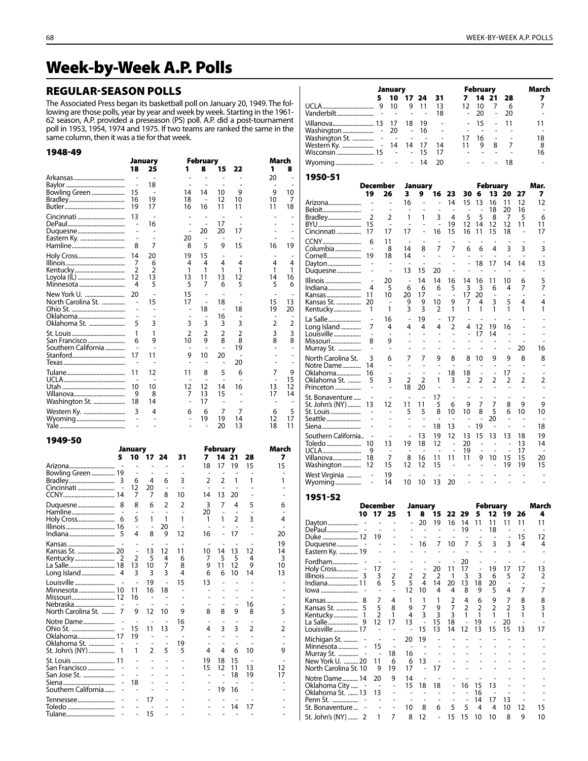# Week-by-Week A.P. Polls

#### Regular-Season Polls

The Associated Press began its basketball poll on January 20, 1949. The following are those polls, year by year and week by week. Starting in the 1961- 62 season, A.P. provided a preseason (PS) poll. A.P. did a post-tournament poll in 1953, 1954, 1974 and 1975. If two teams are ranked the same in the same column, then it was a tie for that week.

#### 1948-49

|                     |                | January |                | <b>February</b> |    |    | March          |                |
|---------------------|----------------|---------|----------------|-----------------|----|----|----------------|----------------|
|                     | 18             | 25      | 1              | 8               | 15 | 22 | 1              | 8              |
|                     |                |         |                |                 |    |    | 20             |                |
|                     |                | 18      |                |                 |    |    |                |                |
| Bowling Green       | 15             |         | 14             | 14              | 10 | 9  | 9              | 10             |
|                     | 16             | 19      | 18             |                 | 12 | 10 | 10             | $\overline{7}$ |
|                     | 19             | 17      | 16             | 16              | 11 | 11 | 11             | 18             |
| Cincinnati          | 13             |         |                |                 |    |    |                |                |
|                     |                | 16      |                |                 | 17 |    |                |                |
|                     |                |         |                | 20              | 20 | 17 |                |                |
|                     |                |         | 20             | ٠               |    |    |                |                |
|                     | 8              | 7       | 8              | 5               | 9  | 15 | 16             | 19             |
|                     | 14             | 20      | 19             | 15              |    |    |                |                |
|                     | 7              | 6       | 4              | 4               | 4  | 4  | 4              | 4              |
| Kentucky            | $\overline{2}$ | 2       | 1              | 1               | 1  | 1  | 1              | 1              |
| Loyola (IL)         | 12             | 13      | 13             | 11              | 13 | 12 | 14             | 16             |
| Minnesota           | 4              | 5       | 5              | 7               | 6  | 5  | 5              | 6              |
| New York U.         | 20             |         | 15             |                 |    |    |                |                |
| North Carolina St.  |                | 15      | 17             |                 | 18 |    | 15             | 13             |
|                     |                |         |                | 18              |    | 18 | 19             | 20             |
|                     |                |         |                |                 | 16 |    |                |                |
| Oklahoma St.        | 5              | 3       | 3              | 3               | 3  | 3  | $\overline{2}$ | $\overline{2}$ |
|                     | 1              | 1       | $\overline{2}$ | 2               | 2  | 2  | 3              | 3              |
| San Francisco       | 6              | 9       | 10             | 9               | 8  | 8  | 8              | 8              |
| Southern California |                |         |                |                 | ä, | 19 |                |                |
|                     | 17             | 11      | 9              | 10              | 20 |    |                |                |
|                     |                |         |                |                 |    | 20 |                |                |
|                     | 11             | 12      | 11             | 8               | 5  | 6  | 7              | 9              |
|                     |                |         |                |                 |    |    |                | 15             |
|                     | 10             | 10      | 12             | 12              | 14 | 16 | 13             | 12             |
|                     | 9              | 8       | 7              | 13              | 15 |    | 17             | 14             |
| Washington St.      | 18             | 14      |                | 17              |    |    |                |                |
| Western Ky.         | 3              | 4       | 6              | 6               | 7  | 7  | 6              | 5              |
| Wyoming             |                |         |                | 19              | 19 | 14 | 12             | 17             |
|                     |                |         |                |                 | 20 | 13 | 18             | 11             |

| 5<br>28<br>10<br>31<br>7<br>7<br>1724<br>15<br>15<br>18<br>19<br>Arizona<br>17<br>Bowling Green  19<br>۰<br>3<br>$\overline{2}$<br>$\overline{2}$<br>1<br>1<br>Bradley<br>6<br>4<br>6<br>3<br>12<br>Cincinnati<br>20<br>7<br>7<br>8<br>13<br>10<br>20<br>14<br>$\overline{2}$<br>3<br>7<br>5<br>8<br>6<br>2<br>4<br>Duquesne<br>8<br>6<br>20<br>5<br>$\overline{2}$<br>3<br>1<br>1<br>Holy Cross<br>1<br>1<br>4<br>1<br>6<br>20<br>$\overline{a}$<br>4<br>8<br>Indiana<br>9<br>12<br>16<br>17<br>20<br>19<br>13<br>11<br>12<br>14<br>13<br>12<br>10<br>14 |          | January        |   |   |   |   | <b>February</b> |   |   | March |
|-----------------------------------------------------------------------------------------------------------------------------------------------------------------------------------------------------------------------------------------------------------------------------------------------------------------------------------------------------------------------------------------------------------------------------------------------------------------------------------------------------------------------------------------------------------|----------|----------------|---|---|---|---|-----------------|---|---|-------|
|                                                                                                                                                                                                                                                                                                                                                                                                                                                                                                                                                           |          |                |   |   |   |   |                 |   |   |       |
|                                                                                                                                                                                                                                                                                                                                                                                                                                                                                                                                                           |          |                |   |   |   |   |                 |   |   |       |
|                                                                                                                                                                                                                                                                                                                                                                                                                                                                                                                                                           |          |                |   |   |   |   |                 |   |   |       |
|                                                                                                                                                                                                                                                                                                                                                                                                                                                                                                                                                           |          |                |   |   |   |   |                 |   |   |       |
|                                                                                                                                                                                                                                                                                                                                                                                                                                                                                                                                                           |          |                |   |   |   |   |                 |   |   |       |
|                                                                                                                                                                                                                                                                                                                                                                                                                                                                                                                                                           |          |                |   |   |   |   |                 |   |   |       |
|                                                                                                                                                                                                                                                                                                                                                                                                                                                                                                                                                           |          |                |   |   |   |   |                 |   |   |       |
|                                                                                                                                                                                                                                                                                                                                                                                                                                                                                                                                                           |          |                |   |   |   |   |                 |   |   |       |
|                                                                                                                                                                                                                                                                                                                                                                                                                                                                                                                                                           |          |                |   |   |   |   |                 |   |   |       |
|                                                                                                                                                                                                                                                                                                                                                                                                                                                                                                                                                           |          |                |   |   |   |   |                 |   |   |       |
|                                                                                                                                                                                                                                                                                                                                                                                                                                                                                                                                                           |          |                |   |   |   |   |                 |   |   |       |
|                                                                                                                                                                                                                                                                                                                                                                                                                                                                                                                                                           |          |                |   |   |   |   |                 |   |   |       |
|                                                                                                                                                                                                                                                                                                                                                                                                                                                                                                                                                           |          |                |   |   |   |   |                 |   |   |       |
|                                                                                                                                                                                                                                                                                                                                                                                                                                                                                                                                                           | Kentucky | $\overline{2}$ | 5 | 4 | 6 | 7 | 5               | 5 | 4 | 3     |
| 7<br>13<br>10<br>8<br>9<br>11<br>12<br>9<br>10                                                                                                                                                                                                                                                                                                                                                                                                                                                                                                            |          |                |   |   |   |   |                 |   |   |       |
| 3<br>3<br>3<br>6<br>6<br>Long Island<br>4<br>10<br>14<br>13                                                                                                                                                                                                                                                                                                                                                                                                                                                                                               |          |                |   |   |   |   |                 |   |   |       |
| Louisville<br>19<br>15<br>13                                                                                                                                                                                                                                                                                                                                                                                                                                                                                                                              |          |                |   |   |   |   |                 |   |   |       |
| 16<br>18<br>11                                                                                                                                                                                                                                                                                                                                                                                                                                                                                                                                            |          |                |   |   |   |   |                 |   |   |       |
| Missouri 12<br>16                                                                                                                                                                                                                                                                                                                                                                                                                                                                                                                                         |          |                |   |   |   |   |                 |   |   |       |
| Nebraska<br>16                                                                                                                                                                                                                                                                                                                                                                                                                                                                                                                                            |          |                |   |   |   |   |                 |   |   |       |
| North Carolina St.<br>8<br>7<br>12<br>9<br>8<br>9<br>8<br>5<br>9<br>10                                                                                                                                                                                                                                                                                                                                                                                                                                                                                    |          |                |   |   |   |   |                 |   |   |       |
| Notre Dame<br>16                                                                                                                                                                                                                                                                                                                                                                                                                                                                                                                                          |          |                |   |   |   |   |                 |   |   |       |
| 3<br>3<br>15<br>11<br>13<br>4<br>2<br>7<br>2                                                                                                                                                                                                                                                                                                                                                                                                                                                                                                              |          |                |   |   |   |   |                 |   |   |       |
| 19<br>ä,                                                                                                                                                                                                                                                                                                                                                                                                                                                                                                                                                  |          |                |   |   |   |   |                 |   |   |       |
| Oklahoma St.<br>19<br>$\qquad \qquad \blacksquare$                                                                                                                                                                                                                                                                                                                                                                                                                                                                                                        |          |                |   |   |   |   |                 |   |   |       |
| 6<br>St. John's (NY)<br>1<br>2<br>5<br>5<br>4<br>10<br>4<br>1<br>9                                                                                                                                                                                                                                                                                                                                                                                                                                                                                        |          |                |   |   |   |   |                 |   |   |       |
| 19<br>18<br>15                                                                                                                                                                                                                                                                                                                                                                                                                                                                                                                                            |          |                |   |   |   |   |                 |   |   |       |
| San Francisco<br>12<br>15<br>11<br>13<br>12                                                                                                                                                                                                                                                                                                                                                                                                                                                                                                               |          |                |   |   |   |   |                 |   |   |       |
| San Jose St.<br>18<br>19<br>17                                                                                                                                                                                                                                                                                                                                                                                                                                                                                                                            |          |                |   |   |   |   |                 |   |   |       |
| 18                                                                                                                                                                                                                                                                                                                                                                                                                                                                                                                                                        |          |                |   |   |   |   |                 |   |   |       |
| Southern California<br>19<br>16                                                                                                                                                                                                                                                                                                                                                                                                                                                                                                                           |          |                |   |   |   |   |                 |   |   |       |
| Tennessee<br>17                                                                                                                                                                                                                                                                                                                                                                                                                                                                                                                                           |          |                |   |   |   |   |                 |   |   |       |
| Toledo<br>14<br>17                                                                                                                                                                                                                                                                                                                                                                                                                                                                                                                                        |          |                |   |   |   |   |                 |   |   |       |
| 15<br>Tulane                                                                                                                                                                                                                                                                                                                                                                                                                                                                                                                                              |          |                |   |   |   |   |                 |   |   |       |

|                                          | January                                |                                |                                |                              |                                            |                | February             |                                |                      |                | March               |
|------------------------------------------|----------------------------------------|--------------------------------|--------------------------------|------------------------------|--------------------------------------------|----------------|----------------------|--------------------------------|----------------------|----------------|---------------------|
|                                          | 5<br>10                                | 17                             | 24                             | 31                           |                                            | 7              | 14                   | 21                             | 28                   |                | 7                   |
| Vanderbilt                               | 9<br>10                                | 9                              | 11                             | 13<br>18                     |                                            | 12             | 10<br>20             | 7<br>$\overline{a}$            | 6<br>20              |                | 7<br>$\overline{a}$ |
| Villanova 13                             | 17                                     | 18                             | 19                             | L                            |                                            | $\overline{a}$ | 15                   |                                | 11                   |                | 11                  |
| Washington                               | 20                                     |                                | 16                             |                              |                                            |                | $\overline{a}$       |                                |                      |                | $\overline{a}$      |
| Washington St.                           | ÷<br>÷,<br>l,<br>14                    | $\overline{a}$<br>14           | ÷,<br>17                       | L,<br>14                     |                                            | 17<br>11       | 16<br>9              | Ĭ.<br>8                        | $\overline{a}$<br>7  |                | 18<br>8             |
| Western Ky.<br>Wisconsin  15             | L,                                     | L,                             | 15                             | 17                           |                                            |                | $\overline{a}$       | $\overline{a}$                 | $\overline{a}$       |                | 16                  |
| Wyoming                                  |                                        |                                | 14                             | 20                           |                                            |                |                      |                                | 18                   |                |                     |
| 1950-51                                  |                                        |                                |                                |                              |                                            |                |                      |                                |                      |                |                     |
|                                          | December                               | January                        |                                |                              |                                            |                |                      | February                       |                      |                | Mar.                |
| 19                                       | 26                                     | 3                              | 9                              | 16                           | 23                                         | 30             | 6                    | 13                             | 20                   | 27             | 7                   |
| Arizona<br>$\overline{a}$                | $\overline{a}$                         | 16<br>$\overline{\phantom{a}}$ | -                              | $\overline{a}$               | 14<br>$\overline{a}$                       | 15<br>Ĭ.       | 13                   | 16<br>18                       | 11                   | 12<br>16       | 12<br>÷,            |
| Beloit<br>2<br>Bradley                   | 2                                      | 1                              | 1                              | 3                            | 4                                          | 5              | 5                    | 8                              | 20<br>7              | 5              | 6                   |
| BYU<br>15                                | $\overline{a}$                         | ÷,                             |                                | $\overline{a}$               | 19                                         | 12             | 14                   | 12                             | 12                   | 11             | 11                  |
| Cincinnati<br>17                         | 17                                     | 17                             |                                | 16                           | 15                                         | 16             | 11                   | 15                             | 18                   |                | 17                  |
| CCNY<br>6<br>Columbia                    | 11<br>8                                | 14                             | 8                              | 7                            | Ĭ.<br>7                                    | 6              | 6                    | 4                              | 3                    | Ĭ.<br>3        | ÷,<br>3             |
| 19<br>Cornell                            | 18                                     | 14                             | $\overline{a}$                 | $\overline{a}$               |                                            |                |                      | L,                             | ÷,                   | ÷,             | ÷,                  |
| Dayton<br>Duquesne<br>$\overline{a}$     |                                        | 13                             | 15                             | 20                           | -<br>÷                                     |                | 18                   | 17                             | 14                   | 14             | 13                  |
| Illinois<br>÷,                           | 20                                     | $\overline{a}$                 | 14                             | 14                           | 16                                         | 14             | 16                   | 11                             | 10                   | 6              | 5                   |
| Indiana<br>4                             | 5                                      | 6                              | 6                              | 6                            | 5                                          | 3              | 3                    | 6                              | 4                    | 7              | 7                   |
| 11<br>Kansas<br>Kansas St.<br>20         | 10<br>$\overline{a}$                   | 20<br>9                        | 17<br>9                        | 10                           | 9                                          | 17<br>7        | 20<br>4              | 3                              | ÷,<br>5              | 4              | 4                   |
| Kentucky<br>1                            | 1                                      | 3                              | 3                              | 2                            | 1                                          | 1              | 1                    | 1                              | 1                    | 1              | 1                   |
| La Salle<br>$\overline{a}$               | 16                                     | $\overline{a}$                 | 19                             | $\overline{a}$               | 17                                         |                |                      | L,                             |                      |                |                     |
| Long Island<br>7<br>$\overline{a}$       | 4<br>L,                                | 4<br>$\overline{a}$            | 4<br>$\overline{a}$            | 4<br>$\overline{a}$          | 2<br>Ĭ.                                    | 4<br>-         | 12                   | 19<br>14                       | 16<br>$\overline{a}$ | $\overline{a}$ |                     |
| Louisville<br>Missouri<br>8              | 9                                      |                                |                                |                              |                                            |                | 17                   |                                | -                    |                |                     |
| Murray St.<br>$\overline{\phantom{0}}$   | $\overline{a}$                         | $\overline{a}$                 | $\overline{a}$                 | $\overline{a}$               | -                                          | -              | -                    | $\overline{a}$                 | ÷,                   | 20             | 16                  |
| North Carolina St.<br>3                  | 6                                      | 7                              | 7                              | 9                            | 8                                          | 8              | 10                   | 9                              | 9                    | 8              | 8                   |
| Notre Dame<br>14<br>Oklahoma<br>16       | $\overline{a}$                         | $\overline{a}$                 | $\overline{a}$                 |                              | Ĭ.<br>18                                   | L,<br>18       | $\overline{a}$       | ÷,<br>$\overline{\phantom{m}}$ | ÷,<br>17             | ÷,             |                     |
| Oklahoma St.<br>5                        | 3                                      | 2                              | 2                              | 1                            | 3                                          | 2              | 2                    | 2                              | 2                    | 2              | 2                   |
| Princeton                                |                                        | 18                             | 20                             |                              |                                            |                |                      |                                |                      |                |                     |
| St. Bonaventure<br>St. John's (NY)<br>13 | Ĭ.<br>12                               | $\overline{a}$<br>11           | $\overline{a}$<br>11           | 17<br>5                      | Ĭ.<br>6                                    | 9              | $\overline{a}$<br>7  | 7                              | 8                    | ÷,<br>9        | $\overline{a}$<br>9 |
| St. Louis                                | -                                      | 5                              | 5                              | 8                            | 10                                         | 10             | 8                    | 5                              | 6                    | 10             | 10                  |
| Seattle<br>Siena<br>$\overline{a}$       |                                        | $\overline{a}$                 | $\overline{a}$                 | 18                           | 13                                         | $\overline{a}$ | $\overline{a}$<br>19 | 20<br>$\overline{a}$           | L,                   | $\overline{a}$ | 18                  |
| Southern California                      |                                        |                                | 13                             | 19                           | 12                                         | 13             | 15                   | 13                             | 13                   | 18             | 19                  |
| Toledo<br>10                             | 13                                     | 19                             | 18                             | 12                           | $\overline{a}$                             | 20             | ÷,                   |                                | Ĭ.                   | 13             | 14                  |
| UCLA<br>9<br>18<br>Villanova             | $\overline{a}$<br>7                    | 8                              | 16                             | 11                           | 11                                         | 19<br>11       | $\overline{a}$<br>9  | 10                             | 15                   | 17<br>15       | 20                  |
| Washington<br>12                         | 15                                     | 12                             | 12                             | 15                           | $\overline{a}$                             |                |                      |                                | 19                   | 19             | 15                  |
| West Virginia<br>$\overline{a}$          | 19                                     |                                |                                |                              | L,                                         |                |                      |                                |                      |                |                     |
| Wyoming<br>-                             | 14                                     | 10                             | 10                             | 13                           | 20                                         |                |                      |                                |                      |                |                     |
| 1951-52                                  |                                        |                                |                                |                              |                                            |                |                      |                                |                      |                |                     |
|                                          | December<br>25                         |                                | January                        |                              |                                            | 29             |                      | <b>February</b>                |                      |                | March               |
| Dayton                                   | $\overline{\phantom{m}}$               | -                              | 20                             | כו<br>19                     | ◢<br>16                                    | 14             | ∍<br>11              | LZ<br>11                       | 11                   | o<br>11        | 11                  |
| DePaul                                   |                                        |                                | $\overline{\phantom{0}}$       | $\overline{a}$               |                                            | 19             | $\overline{a}$       | 18                             | Ĭ.                   | ÷,             |                     |
| Duke  12<br>Duquesne                     | 19                                     |                                | ÷,<br>16                       | $\overline{a}$<br>7          | 10                                         | ÷<br>7         | $\overline{a}$<br>5  | 3                              | 3                    | 15<br>4        | 12<br>4             |
| Eastern Ky.  19                          |                                        |                                |                                | $\qquad \qquad \blacksquare$ | -                                          | $\overline{a}$ | $\overline{a}$       |                                | ÷,                   | -              | -                   |
| Fordham                                  |                                        |                                |                                | $\overline{a}$               | $\overline{a}$                             | 20             |                      |                                |                      | ÷,             |                     |
| Holy Cross<br>3<br>Illinois              | 17<br>$\overline{a}$<br>2<br>3         | ÷,<br>2                        | $\overline{a}$<br>2            | 20<br>2                      | 11<br>1                                    | 17<br>3        | $\overline{a}$<br>3  | 19<br>6                        | 17<br>5              | 17<br>2        | 13<br>2             |
| Indiana 11                               | 5<br>6                                 | 5                              | 4                              | 14                           | 20                                         | 13             | 18                   | 20                             |                      |                |                     |
| lowa                                     | $\overline{\phantom{a}}$               | 12                             | 10                             | 4                            | 4                                          | 8              | 9                    | 5                              | 4                    | 7              | 7                   |
| Kansas<br>8<br>5                         | 4<br>7<br>5<br>8                       | 1<br>9                         | 1<br>7                         | 1<br>9                       | 2<br>7                                     | 4<br>2         | 6<br>2               | 9<br>2                         | 7<br>2               | 8<br>3         | 8<br>3              |
| Kansas St.<br>$\overline{1}$<br>Kentucky | 2<br>1                                 | 4                              | 3                              | 3                            | 3                                          | 1              | 1                    | 1                              | 1                    | 1              | 1                   |
|                                          | 12<br>17                               | 13                             | $\overline{a}$                 | 15                           | 18                                         | $\overline{a}$ | 19                   |                                | 20                   |                | $\overline{a}$      |
| Louisville  17                           | $\overline{a}$                         | $\overline{a}$                 | 15                             | 13<br>÷,                     | 14                                         | 12             | 13                   | 15                             | 15<br>Ĭ.             | 13             | 17                  |
| Michigan St.<br>Minnesota                | $\overline{a}$<br>15                   | 20                             | 19                             |                              |                                            |                |                      |                                |                      |                |                     |
| Murray St.                               | 18<br>$\overline{a}$                   | 16                             | $\overline{a}$                 | $\overline{a}$               | -                                          | -              | -                    |                                |                      |                |                     |
| New York U.  20<br>North Carolina St. 10 | 11<br>6<br>9<br>19                     | 6<br>17                        | 13<br>$\overline{\phantom{0}}$ | $\overline{a}$<br>17         | $\overline{a}$                             | $\overline{a}$ | -                    |                                |                      |                |                     |
| Notre Dame 14                            | 20<br>9                                | 14                             | $\overline{a}$                 |                              |                                            |                | $\overline{a}$       |                                |                      |                |                     |
| Oklahoma City                            | $\overline{a}$                         | 15                             | 18                             | 18                           | -                                          | 16             | 15                   | 13                             |                      |                |                     |
| Oklahoma St.  13<br>Penn St.             | 13<br>$\overline{a}$<br>$\overline{a}$ | -<br>$\overline{a}$            | $\overline{\phantom{0}}$       | $\overline{a}$               | $\overline{\phantom{0}}$<br>$\overline{a}$ | Ĭ.             | 16<br>14             | 17                             | 13                   | $\overline{a}$ | $\overline{a}$      |
| St. Bonaventure                          | $\overline{\phantom{0}}$               | 10                             | 8                              | 6                            | 5                                          | 5              | 4                    | 4                              | 10                   | 12             | 15                  |
| St. John's (NY)<br>2                     | 1<br>7                                 | 8                              | 12                             | $\overline{\phantom{m}}$     | 15                                         | 15             | 10                   | 10                             | 8                    | 9              | 10                  |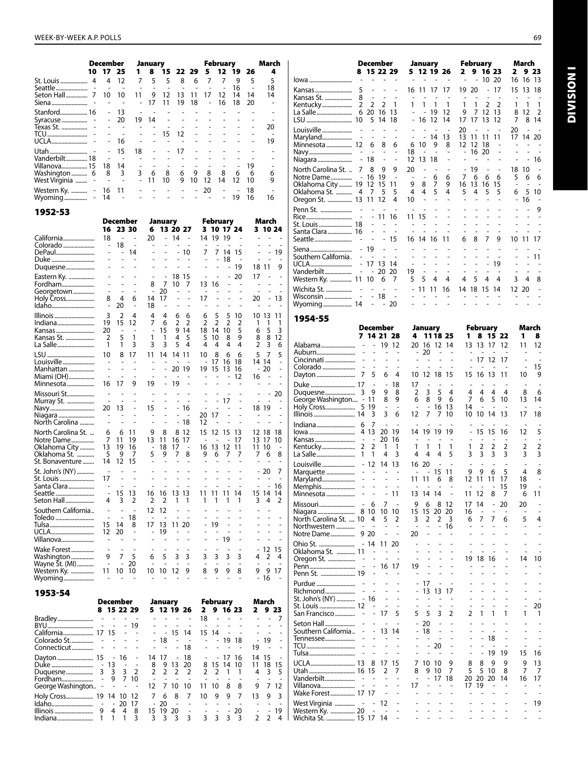Division I

**DIVISION I** 

|                                  | <b>December</b><br>10 17 25 |                                  | 1.                       | January<br>8                  | 15             |                   | 22 29          | 5                                 | <b>February</b><br>12                      | 19        | 26                             | March<br>4                                                                                 |                                                 |                     | December<br>8 15 22 29                                 |                          | January<br>5 12 19 26          |                                    | 2<br>9                 | February<br>16 23                                    |                | March<br>2               | 9 23   |
|----------------------------------|-----------------------------|----------------------------------|--------------------------|-------------------------------|----------------|-------------------|----------------|-----------------------------------|--------------------------------------------|-----------|--------------------------------|--------------------------------------------------------------------------------------------|-------------------------------------------------|---------------------|--------------------------------------------------------|--------------------------|--------------------------------|------------------------------------|------------------------|------------------------------------------------------|----------------|--------------------------|--------|
| St. Louis  4                     | 4                           | -12                              | $7^{\circ}$              | 5                             | 5              | 8                 | 6              | 7                                 | 7                                          | 9         | 5                              | 5                                                                                          | lowa                                            |                     |                                                        |                          |                                |                                    |                        | 10 20                                                |                | 16 16 13                 |        |
|                                  |                             | ٠                                | ÷.                       |                               |                |                   |                |                                   |                                            | 16        |                                | 18                                                                                         | Kansas                                          | 5                   |                                                        |                          | 16 11 17 17                    |                                    | 19<br>20               | $\sim$                                               | 17             | 15                       | 13 18  |
| Seton Hall 7 10                  |                             | 10                               | 11<br>$\sim$             | 9<br>17                       | -12<br>11      | 13 11<br>19       | 18             | 17                                | 12<br>16                                   | 14<br>18  | 14<br>20                       | 14<br>٠                                                                                    | Kansas St.                                      | 8                   |                                                        |                          |                                |                                    |                        |                                                      |                |                          |        |
| Stanford 16                      |                             | -13                              |                          |                               |                |                   |                |                                   |                                            |           |                                |                                                                                            |                                                 |                     | $\overline{1}$                                         | 1                        | $\overline{1}$<br>$- - 19$ 12  |                                    | $\mathbf{1}$<br>9<br>7 | 2 <sub>2</sub><br>12 13                              |                | $\overline{1}$<br>8 12 2 |        |
| - Syracuse •                     |                             | 20                               | 19                       | 14                            |                |                   |                |                                   |                                            |           |                                |                                                                                            |                                                 |                     |                                                        |                          | - 16 12 14                     |                                    | 17 17                  | 13 12                                                |                | 7                        | 8 14   |
|                                  |                             | $\overline{\phantom{a}}$         |                          |                               |                |                   |                |                                   |                                            |           |                                | 20                                                                                         |                                                 |                     |                                                        |                          |                                |                                    |                        |                                                      |                | 20                       | $\sim$ |
|                                  |                             | -16                              |                          |                               | 15             | 12                |                |                                   |                                            |           |                                | $\overline{\phantom{a}}$<br>19                                                             |                                                 |                     | $\sim$<br>$\overline{\phantom{a}}$                     |                          | $-14$ 13                       |                                    | 13<br>-11              | 11                                                   | -11            | 17 14 20                 |        |
|                                  | $\sim$                      | 15                               | 18                       |                               |                | 17                |                |                                   |                                            |           |                                | $\overline{\phantom{a}}$                                                                   |                                                 |                     | 8<br>- 6<br>$\overline{\phantom{a}}$                   | 6 10<br>18               | 9<br>$\overline{\phantom{a}}$  | -8<br>$\overline{\phantom{a}}$     | 12<br>12<br>$\sim$     | 18<br>16 20                                          |                |                          |        |
| Vanderbilt 18                    |                             |                                  |                          |                               |                |                   |                |                                   |                                            |           |                                | ÷.                                                                                         |                                                 |                     | $\sim$                                                 |                          | 12 13 18                       |                                    |                        |                                                      |                |                          | - 16   |
| Villanova 15<br>Washington 6     | 18 14<br>8                  | 3                                | $\sim$<br>3              | 6                             | 8              | 6                 | 9              | 8                                 | 8                                          | 6         | 6                              | $\overline{\phantom{a}}$<br>6                                                              | North Carolina St.  7 8                         |                     | 9<br>9                                                 | 20                       |                                |                                    | 19                     |                                                      |                | 18<br>10                 |        |
| West Virginia    -               |                             |                                  | $\blacksquare$           | -11                           | 10             |                   | 9 10 12        |                                   | 14                                         | 12        | -10                            | 9                                                                                          | Notre Dame                                      |                     | - 16 19<br>$\sim$                                      | $\sim$                   | 6<br>$\mathcal{L}$             | 6                                  | 7<br>6                 | 6                                                    | -6             | 5<br>6                   |        |
| - Western Ky. ………   -            | 16 11                       |                                  |                          |                               |                |                   |                | 20                                |                                            |           | 18                             | $\overline{a}$                                                                             | Oklahoma City  19 12 15 11<br>Oklahoma St.  4 7 |                     | - 5<br>5                                               | 9<br>4                   | 8<br>$\overline{7}$<br>5<br>4  | 9<br>4                             | 13<br>16<br>5<br>4     | 16 15<br>5                                           | 5              |                          | 5 10   |
| Wyoming                          | 14                          |                                  |                          |                               |                |                   |                |                                   |                                            | 19        | 16                             | 16                                                                                         | Oregon St.  13 11 12                            |                     | $\overline{4}$                                         | 10                       | $\sim$                         |                                    |                        |                                                      |                | 16                       |        |
| 1952-53                          |                             |                                  |                          |                               |                |                   |                |                                   |                                            |           |                                |                                                                                            | Penn St.                                        |                     |                                                        |                          |                                |                                    |                        |                                                      |                |                          |        |
|                                  |                             | <b>December</b>                  |                          |                               | January        |                   |                | February                          |                                            |           |                                | March                                                                                      | St. Louis  18                                   |                     | -16<br>- 11                                            | 11                       | 15                             |                                    |                        |                                                      |                |                          |        |
|                                  |                             | 16 23 30                         |                          |                               |                | 6 13 20 27        |                | 3 10 17 24                        |                                            |           |                                | 3 10 24                                                                                    | Santa Clara 16                                  |                     |                                                        |                          | L.                             | $\sim$                             |                        |                                                      |                |                          |        |
| California                       | 18                          | $\overline{\phantom{a}}$         |                          | 20                            | $-14$          |                   | $\overline{a}$ | 14 19 19                          |                                            |           |                                | $\overline{a}$                                                                             |                                                 |                     | $-15$                                                  |                          | 16 14 16 11                    |                                    | 8<br>6                 |                                                      | 9              | 10                       | 11 17  |
| Colorado<br>DePaul               |                             | 18<br>$\overline{\phantom{a}}$   | 14                       |                               |                | $-10$             |                | 7                                 | 7 14 15                                    |           |                                | $\mathcal{L}$<br>19                                                                        |                                                 |                     |                                                        |                          |                                |                                    |                        |                                                      |                |                          |        |
| Duke                             | $\mathcal{L}^{\mathcal{A}}$ | $\overline{\phantom{a}}$         |                          |                               |                | $\sim$ $\sim$     |                |                                   | 18<br>$\sim$                               |           |                                | $\sim$                                                                                     | Southern California.                            | $\sim 100$ $\sim$   | $\overline{\phantom{a}}$<br>$\sim$                     |                          | $\sim$                         |                                    |                        |                                                      |                |                          |        |
| Duquesne                         |                             |                                  |                          |                               |                |                   |                |                                   |                                            | 19        |                                | 18 11<br>9                                                                                 | Vanderbilt                                      |                     | $- - 20$<br>20                                         | 19                       | $\sim$<br>$\sim$               |                                    |                        |                                                      |                |                          |        |
| Eastern Ky.                      | $\overline{a}$              |                                  |                          |                               |                | 18 15             |                |                                   |                                            | 20        | 17                             | $\sim$                                                                                     | Western Ky.  11 10 6                            |                     | 7                                                      | 5                        | 5<br>$\overline{4}$            | 4                                  | 5<br>4                 | 4                                                    |                | 3                        | 8<br>4 |
| Fordham<br>Georgetown            | $\mathbf{r}$                | $\mathbf{L}$                     |                          | 8<br>$\overline{\phantom{a}}$ | 7<br>20        | 10                | 7              | 13 16<br>$\overline{\phantom{a}}$ |                                            |           |                                |                                                                                            |                                                 |                     | $\sim 100$ km s $^{-1}$                                |                          | $-11$ 11 16                    |                                    |                        | 14 18 15 14                                          |                | 12 20                    |        |
| Holy Cross                       | 8                           | $\overline{4}$                   | 6                        | 14                            | 17             |                   |                | 17                                |                                            |           | 20                             | - 13                                                                                       |                                                 |                     | - 18<br>$\sim$                                         |                          |                                |                                    |                        |                                                      |                |                          |        |
| ldaho                            | $\sim$                      | 20                               |                          | 18                            |                |                   |                |                                   |                                            |           |                                |                                                                                            |                                                 |                     | -20<br>$\overline{\phantom{a}}$                        |                          |                                |                                    |                        |                                                      |                |                          |        |
| Illinois                         |                             | $\overline{2}$                   | $\overline{4}$           | 4                             | 4              | 6                 |                | 6                                 | 5                                          | -10       |                                | 10 13 11                                                                                   | 1954-55                                         |                     |                                                        |                          |                                |                                    |                        |                                                      |                |                          |        |
| Indiana<br>Kansas                | 19 15<br>20                 | $\sim$                           | 12<br>$\sim$             | 7<br>$\blacksquare$           | 6<br>15        | 2<br>9 14         | -2             | 2<br>18 14                        | 2<br>$\overline{2}$<br>-10                 | 2<br>5    | 1<br>6                         | $\overline{1}$<br>-1<br>5<br>$\overline{\mathbf{3}}$                                       |                                                 |                     | December                                               |                          | January                        |                                    |                        | February                                             |                |                          | March  |
| Kansas St.                       | $\overline{2}$              | 5                                | $\overline{1}$           | 1                             | $\overline{1}$ | 4                 | - 5            | 5<br>10                           | 8                                          | 9         | 8                              | 8<br>12                                                                                    |                                                 |                     | 7 14 21 28                                             |                          | 4 1118 25                      |                                    |                        | 1 8 15 22                                            |                | 1                        | - 8    |
| La Salle                         | $\overline{1}$              | 1                                | 3                        | 3                             | 3              | 5                 | $\overline{4}$ | 4                                 | 4<br>4                                     | 4         | $\overline{2}$                 | $\overline{\mathbf{3}}$<br>6                                                               |                                                 |                     | -12                                                    |                          | 20 16 12 14<br>$-20$           | $\sim$<br>$\overline{\phantom{a}}$ |                        | 13 13 17 12<br>$\overline{\phantom{a}}$              |                |                          | 11 12  |
| LSU<br>Louisville                | 10 <sup>1</sup>             | 8 17<br>$\overline{\phantom{a}}$ |                          | 11                            | 14             | 14 11             |                | 10<br>- 17                        | 6<br>8<br>16                               | -18       | 5                              | $\overline{7}$<br>5<br>14 14                                                               |                                                 |                     |                                                        |                          |                                |                                    |                        | $-17$ 12 17                                          |                |                          |        |
| Manhattan                        | $\overline{a}$              |                                  |                          |                               |                | 20 19             |                | 19 15 13                          |                                            | -16       |                                | $-20$<br>$\sim$                                                                            |                                                 |                     | $\sim$                                                 |                          |                                |                                    |                        |                                                      |                |                          | - 15   |
| Miami (OH)                       | $\mathbf{r}$                | $\mathcal{L}$                    | $\sim$                   | $\overline{a}$                |                |                   |                |                                   |                                            |           | 16                             | $\sim$                                                                                     |                                                 |                     | 6<br>4                                                 |                          | 10 12 18 15                    |                                    |                        | 15 16 13 11                                          |                | 10                       | q      |
| Minnesota                        |                             | 16 17                            | 9                        | 19                            | $\sim$         | -19               |                |                                   |                                            |           |                                |                                                                                            |                                                 |                     | 18<br>$\sim$<br>$\overline{\phantom{a}}$<br>9<br>8     | 17<br>$\overline{2}$     | 3                              | 5<br>$\overline{4}$                | 4                      | 4<br>4                                               | $\overline{4}$ | 8                        | -6     |
| Missouri St<br>Murray St.        |                             |                                  |                          |                               |                |                   |                |                                   | 17                                         |           |                                | 20<br>$\overline{\phantom{a}}$<br>$\overline{\phantom{a}}$                                 | Duquesne<br>George Washington - 11              | 3                   | 9<br>8<br>9                                            | 6                        | 89                             | 6                                  | $\overline{7}$         | 6                                                    | 5 10           |                          | 13 14  |
| Navy                             | 20 13                       |                                  |                          | 15                            |                | $-16$             |                |                                   |                                            |           |                                | 18 19                                                                                      |                                                 |                     | $\overline{\phantom{a}}$                               | $\overline{\phantom{a}}$ | $\sim$                         | 16 13                              | 14                     | $\overline{\phantom{a}}$<br>$\overline{\phantom{a}}$ |                |                          |        |
| Niagara                          | $\sim$                      | $\sim$                           |                          | $\sim$                        |                | $\sim$            |                | 20<br>17                          |                                            |           |                                | $\sim$                                                                                     |                                                 |                     | 3<br>6                                                 |                          | 12 7                           | 710                                |                        | 10 10 14 13                                          |                | 17 <sup>2</sup>          | 18     |
| North Carolina                   |                             |                                  |                          |                               |                | $-18$             |                | 12                                |                                            |           |                                |                                                                                            |                                                 |                     |                                                        |                          | 14 19 19 19                    |                                    |                        | 15                                                   | -16            | 12                       | 5      |
| North Carolina St.<br>Notre Dame | 6                           | 6 11<br>7 11 19                  |                          | 9<br>13 11                    | 8              | 8 1 2<br>16 17    |                | 15 12 15<br>$\overline{a}$        |                                            | -13<br>17 |                                | 12 18 18<br>13 17 10                                                                       |                                                 |                     | 20 16<br>$\overline{\phantom{a}}$                      |                          |                                |                                    |                        | -15                                                  |                |                          |        |
| Oklahoma City                    |                             | 13 19 16                         |                          | $\sim$                        | 18             | 17                | $\sim$         | 16 13 12                          |                                            | -11       |                                | 11 10                                                                                      |                                                 |                     | $\mathbf{1}$<br>$\overline{1}$                         | 1                        |                                | $\mathbf{1}$<br>1                  | 1                      | 2                                                    | 2              | $\overline{2}$           |        |
| Oklahoma St.                     | 5                           | 9                                | $\overline{7}$           | 5                             | 9              | 7                 | 8              | 9                                 | 7<br>6                                     | 7         | 7                              | - 6<br>8                                                                                   |                                                 |                     | 3<br>4                                                 |                          |                                | 4<br>5                             | 3                      | 3<br>3                                               | 3              | 3                        |        |
| St. Bonaventure                  |                             | 14 12 15                         |                          |                               |                |                   |                |                                   |                                            |           |                                |                                                                                            |                                                 |                     |                                                        | 16 20                    |                                |                                    |                        |                                                      |                |                          |        |
| St. John's (NY)<br>St. Louis     | 17                          |                                  |                          |                               |                |                   |                |                                   |                                            |           |                                | - 20<br>7                                                                                  | Maryland                                        |                     |                                                        |                          | 11 11                          | 15 11<br>6<br>8                    | 9                      | 6<br>9<br>12 11 11 17                                | 5              | 4<br>18                  | 8      |
| Santa Clara.                     |                             |                                  |                          |                               |                |                   |                |                                   |                                            |           |                                | -16                                                                                        | Memphis                                         |                     |                                                        |                          |                                |                                    |                        |                                                      | 15             | 19                       |        |
| Seattle<br>Seton Hall            | 4                           | 15 13<br>3                       | 2                        | 2                             | 2              | 16 16 13 13<br>-1 | -1             | 11 11 11 14<br>1                  |                                            |           | 3                              | 15 14 14<br>$\overline{2}$<br>4                                                            | Minnesota                                       |                     | - 11                                                   |                          | 13 14 14                       | $\sim$ $-$                         | 11 12                  | 8                                                    | - 7            | 6                        | - 11   |
| Southern California              |                             | $\overline{\phantom{a}}$         |                          | 12 12                         |                |                   |                |                                   |                                            |           |                                |                                                                                            |                                                 |                     | 7<br>$\sim$                                            | 9                        | 6                              | 8 12                               | 17 14                  | $\overline{\phantom{a}}$                             | 20             | 20                       |        |
| Toledo                           |                             | $\sim$                           | -18                      |                               |                |                   |                |                                   |                                            |           |                                |                                                                                            | North Carolina St.  10 4                        |                     | 5<br>-2                                                | 3                        | 15 15 20 20<br>2               | 2<br>$\overline{\mathbf{3}}$       | 16<br>6                | 7<br>7                                               | 6              | 5                        | Δ      |
| Tulsa                            | 15 14                       |                                  | -8                       | 17 13                         |                | 11 20             |                | $-19$                             |                                            |           |                                | $\sim$<br>$\overline{\phantom{a}}$                                                         |                                                 |                     | $\overline{\phantom{a}}$                               | $\overline{\phantom{a}}$ | $\overline{\phantom{a}}$       | $\overline{\phantom{a}}$<br>-16    |                        |                                                      |                |                          |        |
| UCLA<br>Villanova                | 12 20                       |                                  |                          |                               | 19             |                   |                |                                   | 19                                         |           |                                | $\overline{\phantom{a}}$<br>$\overline{\phantom{a}}$<br>$\overline{\phantom{a}}$<br>$\sim$ |                                                 |                     | $\sim$<br>$\sim$                                       | 20                       |                                |                                    |                        |                                                      |                |                          |        |
| Wake Forest                      |                             |                                  |                          |                               |                |                   |                |                                   |                                            |           |                                | $-12$ 15                                                                                   |                                                 |                     |                                                        |                          |                                |                                    |                        |                                                      |                |                          |        |
| Washington                       | 9                           | 7                                | - 5                      |                               | 5              | 3                 | 3              | 3                                 | 3<br>3                                     |           | 4                              | $\overline{2}$<br>-4                                                                       | Oklahoma St.  11                                |                     |                                                        |                          |                                |                                    | 19                     | 18<br>-16                                            |                | 14                       | 10     |
| Wayne St. (MI)                   |                             | $\overline{\phantom{a}}$         | 20                       |                               |                |                   |                |                                   | 9                                          |           |                                | $\overline{\phantom{a}}$                                                                   |                                                 |                     |                                                        | 19                       |                                |                                    |                        |                                                      |                |                          |        |
| Western Ky.<br>Wyoming           | 11 10 10                    |                                  |                          |                               | 10 10 12       |                   | -9             | 8                                 | 9                                          | 8         |                                | 9 9 17<br>- 16                                                                             | Penn St.  19                                    |                     |                                                        |                          |                                |                                    |                        |                                                      |                |                          |        |
|                                  |                             |                                  |                          |                               |                |                   |                |                                   |                                            |           |                                |                                                                                            |                                                 |                     |                                                        |                          | - 17                           |                                    |                        |                                                      |                |                          |        |
| 1953-54                          |                             |                                  |                          |                               |                |                   |                |                                   |                                            |           |                                |                                                                                            | St. John's (NY)  - 16                           |                     |                                                        |                          | 13<br>13                       | 17                                 |                        |                                                      |                |                          |        |
|                                  | December                    |                                  |                          |                               | January        |                   |                | February                          |                                            |           |                                | March                                                                                      |                                                 |                     | $\overline{\phantom{a}}$<br>$\overline{\phantom{a}}$   |                          |                                |                                    |                        |                                                      |                |                          | 20     |
|                                  | 8 15 22 29                  |                                  |                          |                               |                | 5 12 19 26        |                | 2 9 16 23<br>18                   | $\overline{a}$<br>$\overline{\phantom{a}}$ |           |                                | 2 9 23<br>7<br>$\overline{\phantom{a}}$                                                    |                                                 |                     | - 17<br>5                                              | 5                        | 5                              | 3<br>2                             | 2                      |                                                      |                |                          | -1     |
|                                  |                             |                                  | $-19$                    |                               |                |                   |                |                                   |                                            |           |                                | $\overline{\phantom{a}}$                                                                   | Seton Hall                                      |                     |                                                        |                          | $-20$                          |                                    |                        |                                                      |                |                          |        |
| California 17 15                 |                             |                                  |                          | $\blacksquare$                |                | - 15 14<br>- 11   |                | 15 14                             |                                            |           |                                | $\sim$                                                                                     | Southern California<br>Tennessee                |                     | 13 14<br>$\sim$                                        |                          | $-18$                          |                                    |                        | 18                                                   |                |                          |        |
| Colorado St.<br>Connecticut      |                             |                                  | $\overline{a}$           |                               | $-18$          |                   | 18             |                                   | $\overline{\phantom{a}}$                   | 19 18     | $\overline{\phantom{a}}$<br>19 | 19<br>$\sim$<br>$\overline{a}$                                                             |                                                 |                     |                                                        |                          | 20<br>$\overline{\phantom{a}}$ |                                    |                        |                                                      |                |                          |        |
|                                  |                             |                                  | $\sim$                   | 14 17                         |                | - 18              |                |                                   | - 17 16                                    |           |                                | 14 15                                                                                      |                                                 |                     |                                                        |                          |                                |                                    |                        | 19                                                   | -19            |                          | 15 16  |
|                                  |                             | $\overline{\phantom{a}}$         | $\overline{\phantom{a}}$ | 8                             |                | 9 13 20           |                |                                   | 8 15 14 10                                 |           |                                | 11 18 15                                                                                   |                                                 |                     |                                                        |                          | 7 10 10                        | 9                                  | 8                      | 8<br>9                                               | 9              | 9                        | -13    |
| Duquesne 3 3                     |                             | 3                                | 2                        | 2                             | 2              | 2                 | 2              | 2<br>$\overline{2}$               | $\overline{1}$                             | -1        | 4                              | 3<br>5                                                                                     |                                                 |                     | 2<br>7                                                 | 8                        | 9<br>10<br>17                  | -7<br>18                           | 5                      | 5 10                                                 | 8<br>-14       | $\overline{7}$           | 7      |
| Fordham<br>George Washington     | 9                           |                                  | 7 10                     | $\sim$                        |                | 12 7 10 10        |                | 11 10                             | 8                                          | 8         | 9                              | 7 12                                                                                       | Villanova                                       | $\sigma_{\rm{max}}$ | $\sim$ $ \sim$                                         | 17                       |                                |                                    | 20 20<br>17 19         | 20                                                   |                |                          | 16 17  |
| Holy Cross 19 14 10 12           |                             |                                  |                          | 7                             | 6              | 8                 | 7              | 10                                | 9                                          |           | 13                             | 9<br>3                                                                                     | Wake Forest  17 17                              |                     |                                                        |                          |                                |                                    |                        |                                                      |                |                          |        |
|                                  | $\sim$                      |                                  | 20 17                    | $\overline{\phantom{a}}$      | 20             |                   |                |                                   |                                            |           |                                | $\overline{a}$<br>$\overline{\phantom{a}}$                                                 | West Virginia  - - 12                           |                     |                                                        |                          |                                |                                    |                        |                                                      |                |                          | 19     |
| Illinois                         | 9 4                         | 4                                | 8<br>3                   |                               |                |                   | 3              | 3                                 | 3<br>3                                     | 20<br>- 3 | 2                              | - 19<br>$\overline{2}$<br>$\overline{4}$                                                   | Western Ky.  20<br>Wichita St.  15 17 14        |                     | $\overline{\phantom{a}}$<br>$\sim$<br>$\sim$<br>$\sim$ |                          |                                |                                    |                        |                                                      |                |                          |        |
|                                  |                             |                                  |                          |                               |                |                   |                |                                   |                                            |           |                                |                                                                                            |                                                 |                     |                                                        |                          |                                |                                    |                        |                                                      |                |                          |        |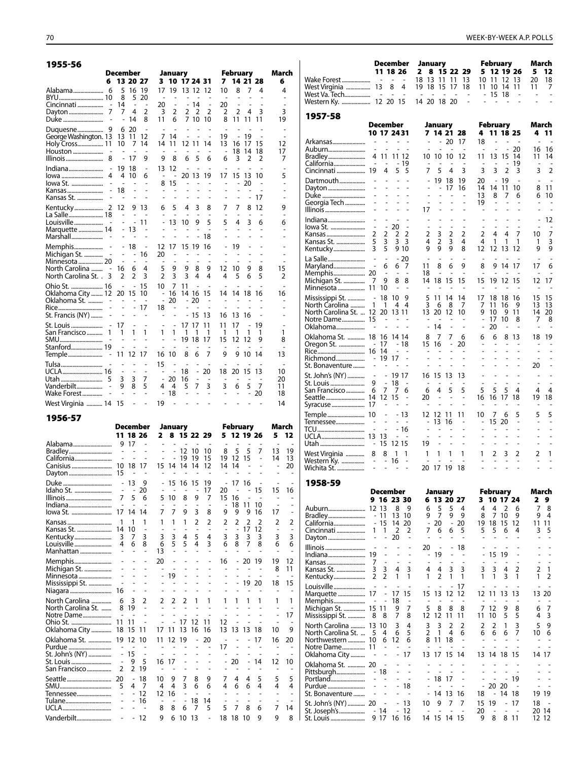|                                                                                                                                       | <b>December</b>                                                          |                                                  |                                                  |                                                 | January                                             |                                      |                                                            |                                                                |                                                | <b>February</b>                                |                                       |                                              | March                                         |
|---------------------------------------------------------------------------------------------------------------------------------------|--------------------------------------------------------------------------|--------------------------------------------------|--------------------------------------------------|-------------------------------------------------|-----------------------------------------------------|--------------------------------------|------------------------------------------------------------|----------------------------------------------------------------|------------------------------------------------|------------------------------------------------|---------------------------------------|----------------------------------------------|-----------------------------------------------|
| 6                                                                                                                                     |                                                                          | 13 20 27                                         |                                                  | 3                                               |                                                     | 10 17 24 31                          |                                                            |                                                                | 7                                              |                                                | 14 21 28                              |                                              | 6                                             |
| Cincinnati<br>$\overline{a}$<br>7<br>Dayton<br>$\overline{a}$                                                                         | 5<br>8<br>14<br>7<br>$\overline{a}$                                      | 16<br>5<br>$\sim$<br>4<br>14                     | -19<br>20<br>$\overline{\phantom{a}}$<br>2<br>8  | 17<br>20<br>3<br>11                             | 19<br>2<br>6                                        | 2                                    | 13 12<br>14<br>2<br>7 10                                   | 12<br>L,<br>2<br>10                                            | 10<br>20<br>2<br>8                             | 8<br>$\overline{2}$<br>11                      | 7<br>4<br>11                          | 4<br>3<br>11                                 | 4<br>$\overline{a}$<br>3<br>19                |
| Duke                                                                                                                                  |                                                                          |                                                  |                                                  | ÷,                                              |                                                     |                                      |                                                            |                                                                |                                                |                                                |                                       |                                              |                                               |
| Duquesne<br>9<br>George Washington. 13<br>Holy Cross 11<br>Houston<br>Illinois<br>8                                                   | 6<br>13<br>10<br>$\overline{a}$                                          | 20<br>11<br>7<br>17                              | $\overline{a}$<br>12<br>14<br>÷<br>9             | 7<br>14<br>9                                    | $\overline{a}$<br>14<br>11<br>8                     | $\overline{a}$<br>12<br>6            | 11<br>5                                                    | $\overline{a}$<br>14<br>6                                      | ٠<br>19<br>13<br>$\overline{\phantom{a}}$<br>6 | $\overline{a}$<br>16<br>18<br>3                | 19<br>17<br>14<br>$\overline{2}$      | $\overline{a}$<br>15<br>18<br>$\overline{2}$ | $\overline{a}$<br>12<br>17<br>7               |
| Indiana<br>$\overline{\phantom{a}}$<br>lowa<br>4<br>lowa St.<br>Kansas<br>Kansas St.                                                  | 19<br>4<br>L,<br>18<br>$\overline{a}$                                    | 18<br>10                                         | $\overline{\phantom{m}}$<br>6<br>÷<br>L,<br>۰    | 13<br>$\overline{a}$<br>8<br>$\overline{a}$     | 12<br>$\overline{a}$<br>15<br>÷,                    | 20<br>$\overline{a}$<br>L,<br>÷.     | 13<br>٠<br>٠                                               | 19<br>۰<br>۰<br>۰                                              | 17<br>٠<br>٠<br>٠                              | 15<br>÷,<br>۰<br>$\overline{a}$                | -13<br>20<br>$\overline{a}$           | 10<br>17                                     | 5<br>÷.<br>$\overline{a}$                     |
| La Salle 18<br>Louisville<br>÷,<br>Marquette  14<br>Marshall                                                                          | 12<br>$\overline{a}$<br>L,<br>$\overline{\phantom{0}}$<br>$\overline{a}$ | 9<br>$\overline{a}$<br>13<br>$\overline{a}$      | 13<br>÷,<br>11<br>÷                              | 6<br>L,                                         | 5<br>$\overline{a}$<br>13                           | 4<br>$\overline{a}$<br>10            | 3<br>9                                                     | 8<br>$\overline{a}$<br>5<br>٠<br>18                            | 7<br>5                                         | 7<br>÷,<br>4<br>$\overline{a}$                 | 8<br>$\overline{a}$<br>3<br>٠         | 12<br>÷,<br>6<br>÷.                          | 9<br>L,<br>6                                  |
| Memphis<br>$\overline{a}$<br>Michigan St.<br>$\overline{\phantom{a}}$<br>Minnesota  20<br>North Carolina  -<br>North Carolina St. . 3 | $\overline{\phantom{0}}$<br>-<br>$\overline{a}$<br>16<br>$\overline{2}$  | 18<br>$\overline{a}$<br>$\overline{a}$<br>6<br>2 | $\overline{a}$<br>16<br>$\overline{a}$<br>4<br>3 | 12<br>20<br>$\overline{a}$<br>5<br>2            | 17<br>$\overline{a}$<br>-<br>9<br>3                 | 15<br>۰<br>$\overline{a}$<br>9<br>3  | 19<br>$\overline{a}$<br>$\overline{\phantom{a}}$<br>8<br>4 | 16<br>$\qquad \qquad \blacksquare$<br>$\overline{a}$<br>9<br>4 | ÷,<br>12<br>4                                  | 19<br>٠<br>٠<br>10<br>5                        | $\overline{a}$<br>9<br>6              | $\overline{a}$<br>8<br>5                     | 15<br>$\overline{2}$                          |
| Ohio St.  16<br>0klahoma City  12<br>Oklahoma St.<br>÷,<br>Rice<br>$\overline{a}$<br>St. Francis (NY)                                 | $\overline{a}$<br>20<br>L,                                               | $\overline{a}$<br>15<br>$\overline{a}$           | 15<br>10<br>÷,<br>-17                            | 10<br>$\overline{a}$<br>÷,<br>18                | 7<br>16<br>20<br>$\overline{a}$                     | 11<br>$\overline{\phantom{0}}$       | $\overline{a}$<br>14 16<br>$-20$<br>$-15$                  | ٠<br>15<br>÷,<br>Ĭ.<br>13                                      | 14<br>L,<br>$\overline{a}$<br>16               | ÷<br>14<br>L,<br>13                            | 18<br>16                              | 16                                           | $\overline{a}$<br>16<br>L,                    |
| St. Louis<br>$\overline{\phantom{a}}$<br>San Francisco<br>1<br>SMU<br>Stanford 19                                                     | 17<br>1<br>$\overline{a}$<br>÷,<br>11                                    | $\overline{\phantom{a}}$<br>1<br>L,<br>L,<br>12  | $\overline{\phantom{a}}$<br>1<br>÷,<br>÷,<br>-17 | $\overline{\phantom{a}}$<br>1<br>L,<br>÷,<br>16 | $\qquad \qquad \blacksquare$<br>1<br>L,<br>÷,<br>10 | 17<br>1<br>19<br>$\overline{a}$<br>8 | 17<br>1<br>18<br>L,<br>6                                   | 11<br>1<br>17<br>$\overline{a}$<br>7                           | 11<br>1<br>15<br>٠<br>9                        | 17<br>1<br>12<br>$\overline{\phantom{a}}$<br>9 | L,<br>1<br>12<br>$\overline{a}$<br>10 | 19<br>1<br>9<br>÷,<br>14                     | ٠<br>1<br>8<br>$\overline{\phantom{a}}$<br>13 |
| Tulsa<br>UCLA 16<br>Utah<br>5<br>Vanderbilt<br>Wake Forest                                                                            | $\qquad \qquad \blacksquare$<br>3<br>9<br>÷,                             | $\overline{\phantom{m}}$<br>3<br>8<br>L.         | ٠<br>7<br>5<br>$\overline{a}$                    | 15<br>÷,<br>4                                   | ÷,<br>20<br>4<br>18                                 | $\overline{a}$<br>18<br>16<br>5      | Ĭ.<br>$\overline{a}$<br>7                                  | 20<br>$\overline{a}$<br>3<br>$\overline{a}$                    | 18<br>3<br>÷,                                  | 20<br>6<br>L,                                  | 15<br>5<br>÷,                         | 13<br>7<br>20                                | 10<br>20<br>11<br>18                          |
| West Virginia  14                                                                                                                     | 15                                                                       | $\overline{a}$                                   | $\overline{a}$                                   | 19                                              |                                                     | $\overline{a}$                       |                                                            |                                                                | ٠                                              |                                                |                                       |                                              | 14                                            |
| 1956-57                                                                                                                               |                                                                          |                                                  |                                                  |                                                 |                                                     |                                      |                                                            |                                                                |                                                |                                                |                                       |                                              |                                               |

|                              | December       |                          |                |                              | January                  |                |                |                |                          | <b>February</b>          |                          |                |                | March          |
|------------------------------|----------------|--------------------------|----------------|------------------------------|--------------------------|----------------|----------------|----------------|--------------------------|--------------------------|--------------------------|----------------|----------------|----------------|
|                              |                | 11 18 26                 |                | 2                            |                          |                |                | 8 15 22 29     | 5.                       |                          | 12 19 26                 |                | 5              | 12             |
| Alabama                      | 9              | 17                       |                |                              |                          |                |                |                |                          |                          |                          |                |                |                |
| Bradley                      |                | L.                       |                |                              |                          | 12             | 10             | 10             | 8                        | 5                        | 5                        | 7              | 13             | 19             |
| California                   |                |                          |                |                              |                          | 19             | 19             | 15             | 19                       | 12                       | 15                       | L,             | 14             | 13             |
| Canisius                     | 10             | 18                       | 17             | 15                           | 14                       | -14            | 14             | 12             | 14                       | 14                       | L,                       |                | $\overline{a}$ | 20             |
| Dayton                       | 15             |                          |                |                              |                          |                |                |                |                          |                          |                          |                |                |                |
| Duke                         | $\overline{a}$ | 13                       | 9              |                              | 15                       | 16             | 15             | 19             | $\overline{\phantom{m}}$ | 17                       | -16                      |                |                |                |
| Idaho St.                    |                | $\overline{a}$           | 20             |                              | ÷,                       | L,             | $\overline{a}$ | 17             | 20                       | -                        |                          | 15             | 15             | 16             |
| Illinois                     | 7              | 5                        | 6              | 5                            | 10                       | 8              | 9              | 7              | 15                       | 16                       |                          | ÷,             | L,             |                |
| Indiana                      |                | ä,                       |                |                              | ٠<br>7                   |                | 3              | $\overline{a}$ |                          | 18                       | 11                       | 10             |                |                |
| lowa St.                     | 17             | 14                       | 14             | 7                            |                          | 9              |                | 8              | 9                        | 9                        | 9                        | 16             | 17             |                |
| Kansas                       | 1              | 1                        | 1              | 1                            | 1                        | 1              | $\mathfrak{p}$ | $\overline{2}$ | $\overline{2}$           | $\overline{2}$           | $\overline{2}$           | $\overline{2}$ | $\overline{2}$ | $\overline{2}$ |
| Kansas St.                   | 14             | 10                       | L,             |                              |                          |                |                | $\overline{a}$ | $\overline{a}$           | $\overline{a}$           | 17                       | 12             | $\overline{a}$ |                |
| Kentucky                     | 3              | 7                        | 3              | 3                            | 3                        | 4              | 5              | 4              | 3                        | 3                        | 3                        | 3              | 3              | 3              |
| Louisville                   | 4              | 6                        | 8              | 6<br>13                      | 5                        | 5              | 4              | 3              | 6                        | 8                        | $\overline{7}$           | 8              | 6              | 6              |
| Manhattan                    |                |                          |                |                              |                          |                |                |                |                          |                          |                          |                |                |                |
| Memphis                      |                |                          |                | 20                           |                          |                | -              |                | 16                       | $\overline{\phantom{m}}$ | 20                       | 19             | 19             | 12             |
| Michigan St.                 |                |                          |                |                              |                          |                |                | ä,             | $\overline{a}$           | $\overline{a}$           |                          |                | 8              | 11             |
| Minnesota                    |                |                          |                |                              | 19                       |                |                |                |                          | $\overline{a}$           |                          |                | ÷,             |                |
| Mississippi St.              | 16             |                          |                |                              |                          |                |                |                |                          |                          | 19                       | 20             | 18             | 15             |
| Niagara                      |                |                          |                |                              |                          |                |                |                |                          |                          |                          |                |                |                |
| North Carolina               | 6              | 3                        | $\overline{2}$ | 2                            | 2                        | 2              | 1              | 1              | 1                        | 1                        | 1                        | 1              | 1              | 1              |
| North Carolina St.           | 8              | 19                       |                |                              |                          |                |                |                |                          |                          |                          |                |                |                |
| Notre Dame                   | 11             | 11                       |                |                              |                          |                |                | 11             | 12                       |                          |                          |                |                | 17             |
|                              | 18             | 15                       | 11             | 17                           | 11                       | 17<br>13       | 12<br>16       | 16             | 13                       | 13                       | 13                       | 18             | 10             | 9              |
| Oklahoma City                |                |                          |                |                              |                          |                |                |                |                          |                          |                          |                |                |                |
| Oklahoma St.                 | 19             | 12                       | 10             | 11                           | 12                       | 19             | $\overline{a}$ | 20             |                          |                          |                          | 17             | 16             | 20             |
| Purdue                       | $\overline{a}$ | 15                       | $\overline{a}$ |                              |                          |                | $\overline{a}$ | ÷.<br>÷.       | 17                       |                          |                          |                |                |                |
| St. John's (NY)<br>St. Louis | $\overline{a}$ | 9                        | 5              | 16                           | 17                       |                | $\overline{a}$ | -              | $\overline{a}$           | 20                       | $\overline{a}$           | 14             | 12             | 10             |
| San Francisco                | 2              | $\overline{2}$           | 19             | $\overline{\phantom{a}}$     |                          | ٠              | ٠              | Ĭ.             |                          |                          | ٠                        |                |                |                |
|                              |                |                          |                |                              |                          |                |                |                |                          |                          |                          |                |                |                |
| Seattle                      | 20             | $\overline{\phantom{0}}$ | 18<br>7        | 10<br>$\overline{4}$         | 9<br>4                   | 7<br>3         | 8              | 9              | 7<br>4                   | 4                        | 4<br>6                   | 5<br>4         | 5              | 5              |
| Tennessee                    | 5              | 4                        | 12             | 12                           | 16                       | L,             | 6<br>L,        | 6<br>ä,        |                          | 6                        |                          |                | 4              | 4              |
| Tulane                       |                | $\overline{a}$           | 16             | $\qquad \qquad \blacksquare$ | $\overline{\phantom{a}}$ | $\overline{a}$ | 18             | 14             | $\overline{a}$           | ٠                        | $\overline{\phantom{a}}$ | ۰              |                |                |
|                              |                |                          |                | 8                            | 8                        | 6              | 7              | 5              | 5                        | 7                        | 8                        | 6              | 7              | 14             |
|                              |                |                          |                |                              |                          |                |                |                |                          |                          |                          |                |                |                |
| Vanderbilt                   |                |                          | 12             | 9                            | 6                        | 10             | 13             |                | 18                       | 18                       | 10                       | 9              | 9              | 8              |

| Wake Forest                                                                     |                                                           | December<br>11 18 26                                           | $\overline{\phantom{a}}$              |                                                                        | January<br>2<br>8<br>18 13                    | 11                                                   | 11                                                        | 15 22 29<br>13                                   | 5.                                                             | 10 11                                                          | February<br>12 19 26                          | 12 13                         | March<br>5<br>20                                 | 12<br>18                            |
|---------------------------------------------------------------------------------|-----------------------------------------------------------|----------------------------------------------------------------|---------------------------------------|------------------------------------------------------------------------|-----------------------------------------------|------------------------------------------------------|-----------------------------------------------------------|--------------------------------------------------|----------------------------------------------------------------|----------------------------------------------------------------|-----------------------------------------------|-------------------------------|--------------------------------------------------|-------------------------------------|
| West Virginia<br>West Va. Tech<br>Western Ky.                                   |                                                           | 13<br>$\overline{a}$<br>12 20 15                               | 8<br>÷,                               | 4<br>÷,                                                                | 19<br>18<br>14 20 18 20                       | 15                                                   | 17                                                        | 18<br>$\overline{a}$                             | 11                                                             | 10                                                             | -14<br>15 18                                  | 11                            | 11                                               | 7                                   |
| 1957-58                                                                         |                                                           |                                                                |                                       |                                                                        |                                               |                                                      |                                                           |                                                  |                                                                |                                                                |                                               |                               |                                                  |                                     |
|                                                                                 |                                                           | December<br>10 17 2431                                         |                                       |                                                                        |                                               | January                                              | 7 14 21 28                                                |                                                  | 4                                                              | February                                                       | 11 18 25                                      |                               | March<br>4                                       | 11                                  |
| Arkansas<br>Auburn<br>Bradley                                                   | $\overline{a}$<br>4                                       | 11                                                             | 11 12                                 |                                                                        | $\overline{a}$<br>10                          | ÷,<br>10                                             | $-20$<br>10                                               | 17<br>12                                         | 18<br>L,<br>11                                                 | Ĭ.<br>13                                                       | $\overline{a}$<br>15                          | 20<br>14                      | 16<br>11                                         | 16<br>14                            |
| California<br>Cincinnati                                                        | 19                                                        | 4                                                              | 5                                     | - 19<br>5                                                              | 7                                             | 5                                                    | 4                                                         | 3                                                | 3                                                              | $\overline{a}$<br>3                                            | $\overline{\phantom{a}}$<br>2                 | 19<br>3                       | L,<br>3                                          | L,<br>$\overline{2}$                |
| Dartmouth<br>Dayton<br>Duke<br>Georgia Tech                                     |                                                           |                                                                |                                       | $\overline{a}$                                                         | $\overline{a}$<br>$\overline{a}$              | 19<br>$\overline{a}$<br>$\overline{a}$               | 18<br>17<br>L<br>$\overline{a}$                           | 19<br>16                                         | 20<br>14<br>13<br>19                                           | $\overline{a}$<br>14<br>8<br>$\overline{a}$                    | 19<br>11<br>7                                 | ÷,<br>10<br>6                 | ÷,<br>8<br>6<br>L,                               | 11<br>10                            |
| Illinois<br>Indiana                                                             | ÷,<br>$\overline{a}$                                      | $\overline{a}$                                                 | ÷,                                    |                                                                        | 17                                            | $\overline{a}$<br>$\overline{a}$                     | $\overline{a}$<br>$\overline{a}$                          |                                                  |                                                                | $\overline{\phantom{a}}$                                       |                                               |                               | $\overline{a}$                                   | 12                                  |
| lowa St.<br>Kansas<br>Kansas St.<br>Kentucky                                    | $\overline{a}$<br>2<br>5<br>3                             | $\overline{a}$<br>2<br>3<br>5                                  | 20<br>2<br>3                          | $\overline{a}$<br>2<br>3<br>9 10                                       | L,<br>2<br>4<br>9                             | $\overline{a}$<br>3<br>2<br>9                        | ÷,<br>2<br>3<br>9                                         | ÷,<br>2<br>4<br>8                                | $\overline{a}$<br>2<br>4<br>12                                 | ÷,<br>4<br>1<br>12                                             | $\overline{a}$<br>4<br>1<br>13                | 7<br>1<br>12                  | L,<br>10<br>1<br>9                               | 7<br>3<br>9                         |
| La Salle<br>Maryland<br>Memphis 20<br>Michigan St.                              | $\overline{a}$<br>7                                       | ÷,<br>6<br>٠<br>9                                              | 6<br>÷,<br>8                          | $-20$<br>7<br>÷,<br>8                                                  | 11<br>18<br>14                                | 8<br>٠<br>18                                         | 6<br>15                                                   | ٠<br>9<br>٠<br>15                                | 8<br>15                                                        | 9<br>19                                                        | 14<br>12                                      | -17<br>-15                    | 17<br>12                                         | 6<br>17                             |
| Minnesota  11<br>Mississippi St.<br>North Carolina                              | $\overline{a}$<br>1                                       | 10<br>18<br>1                                                  | 10<br>4                               | 9<br>4                                                                 | 5<br>3                                        | 11<br>6                                              | 14<br>8                                                   | 14<br>7                                          | ٠<br>17<br>7                                                   | 18<br>11                                                       | 18<br>16                                      | 16<br>9                       | Ē,<br>15<br>13                                   | 15<br>13                            |
| North Carolina St.  12<br>Notre Dame 15<br>Oklahoma                             |                                                           | 20<br>$\overline{a}$                                           | 13 11                                 |                                                                        | 13<br>$\qquad \qquad \blacksquare$            | 20<br>14                                             | 12<br>$\overline{a}$                                      | 10<br>$\overline{\phantom{a}}$                   | 9<br>÷,<br>$\overline{a}$                                      | 10<br>17<br>20                                                 | 9<br>10<br>-                                  | 11<br>8<br>٠                  | 14<br>7<br>$\overline{a}$                        | 20<br>8<br>٠                        |
| Oklahoma St.  18                                                                |                                                           | 16<br>17<br>14                                                 | 14 14<br>$\overline{a}$               | - 18                                                                   | 8<br>15                                       | 7<br>16<br>$\overline{\phantom{a}}$                  | 7<br>$\overline{a}$<br>$\overline{a}$                     | 6<br>20<br>÷,                                    | 6<br>۰<br>$\overline{a}$                                       | 6<br>L,<br>L,                                                  | 8<br>L,<br>L,                                 | 13<br>$\overline{a}$          | 18<br>$\overline{a}$<br>٠                        | 19<br>٠<br>L,                       |
| Richmond<br>St. Bonaventure                                                     | $\overline{\phantom{a}}$                                  | 19                                                             | 17                                    | L,                                                                     | $\overline{a}$                                | L<br>$\overline{a}$                                  | L,<br>$\overline{a}$                                      | ä,<br>J.                                         | L,<br>L,                                                       | L,                                                             | $\overline{a}$                                | L,                            | ٠<br>20                                          | L,                                  |
| St. John's (NY)<br>St. Louis<br>San Francisco<br>Seattle                        | $\overline{\phantom{a}}$<br>9<br>6<br>14                  | $\qquad \qquad \blacksquare$<br>$\overline{a}$<br>7<br>12<br>٠ | 19 17<br>18<br>7<br>15                | 6<br>÷,                                                                | 16<br>6<br>20<br>٠                            | 15<br>4<br>$\overline{a}$<br>$\overline{a}$          | 13<br>5<br>$\overline{a}$<br>$\overline{a}$               | 13<br>٠<br>5<br>L,<br>٠                          | $\overline{a}$<br>$\overline{a}$<br>5<br>16<br>÷               | $\overline{a}$<br>$\overline{a}$<br>5<br>16                    | $\overline{a}$<br>$\overline{a}$<br>5<br>17   | ٠<br>L,<br>4<br>18<br>۰       | $\overline{a}$<br>$\overline{a}$<br>4<br>19<br>- | $\overline{a}$<br>4<br>18           |
| Syracuse  17<br>Temple 10<br>Tennessee                                          | L,                                                        | $\overline{a}$<br>$\overline{\phantom{0}}$                     |                                       | - 13<br>÷,                                                             | 12<br>$\overline{a}$                          | 12<br>13                                             | 11<br>16                                                  | 11<br>٠                                          | 10<br>÷,                                                       | 7<br>15                                                        | 6<br>20                                       | 5<br>L,                       | 5<br>٠                                           | 5<br>L,                             |
| TCU<br>Utah                                                                     | $\overline{a}$<br>-                                       | $\overline{a}$<br>13<br>15                                     | $\overline{\phantom{a}}$<br>12 15     | - 16<br>÷,                                                             | $\overline{a}$<br>L,<br>19                    | L,                                                   | L,                                                        | ٠<br>L,                                          | L,<br>L,                                                       | ٠<br>ä,                                                        |                                               | $\overline{a}$<br>L<br>L,     | $\overline{a}$<br>L,<br>$\overline{a}$           | L,<br>L,<br>L,                      |
| West Virginia<br>Western Ky. ……………<br>Wichita St.                               | 8<br>$\overline{\phantom{a}}$<br>$\overline{\phantom{a}}$ | 8<br>$\overline{\phantom{a}}$<br>L,                            | 1<br>16<br>$\overline{\phantom{a}}$   | 1<br>-<br>$\overline{a}$                                               | 1<br>÷<br>20                                  | 1<br>÷,<br>17                                        | 1<br>$\overline{\phantom{a}}$<br>19                       | 1<br>$\overline{\phantom{a}}$<br>18              | 1<br>ä,<br>L                                                   | 2<br>$\overline{a}$<br>$\overline{a}$                          | 3<br>$\sim$<br>$\overline{a}$                 | 2<br>$\sim$<br>L.             | 2<br>$\overline{\phantom{m}}$<br>L,              | 1<br>$\frac{1}{2}$                  |
| 1958-59                                                                         |                                                           | December                                                       |                                       |                                                                        |                                               | January                                              |                                                           |                                                  |                                                                |                                                                | February                                      |                               | March                                            |                                     |
|                                                                                 |                                                           | 9 16 23 30                                                     |                                       |                                                                        | 6                                             |                                                      | 13 20 27                                                  |                                                  | 3                                                              |                                                                | 10 17 24                                      |                               | 2                                                | 9                                   |
| Auburn<br>Bradley<br>California<br>Cincinnati                                   | 12 13<br>1<br>$\overline{\phantom{m}}$                    | - 11<br>- 15<br>1<br>$\overline{a}$                            | 8<br>13<br>14<br>$\overline{2}$<br>20 | 9<br>10<br>20<br>2<br>$\overline{a}$                                   | 6<br>9<br>$\overline{\phantom{a}}$<br>7<br>÷, | 5<br>7<br>20<br>6<br>$\overline{a}$                  | 5<br>9<br>$\overline{\phantom{a}}$<br>6<br>÷,             | 4<br>9<br>20<br>5<br>÷,                          | 4<br>8<br>19<br>5<br>$\overline{a}$                            | 4<br>7<br>18<br>5<br>L,                                        | 2<br>10<br>15<br>6<br>÷,                      | 6<br>9<br>12<br>4<br>٠        | 7<br>9<br>11<br>3<br>$\overline{\phantom{a}}$    | 8<br>4<br>11<br>5<br>$\overline{a}$ |
| Dayton<br>Illinois<br>Indiana<br>Kansas                                         | 19<br>7                                                   | $\overline{a}$<br>L.                                           | ÷,<br>$\overline{a}$                  | $\overline{\phantom{m}}$<br>$\overline{\phantom{m}}$<br>$\overline{a}$ | 20<br>$\overline{\phantom{m}}$<br>÷,          | $\overline{a}$<br>19<br>$\qquad \qquad \blacksquare$ | ÷,<br>$\overline{a}$                                      | 18<br>$\overline{\phantom{m}}$<br>$\overline{a}$ | $\overline{\phantom{0}}$                                       | 15<br>$\overline{\phantom{m}}$                                 | 19<br>$\overline{a}$                          | $\overline{a}$<br>L,          | L,<br>L,                                         | ÷,<br>$\overline{a}$<br>L,          |
| Kansas St.<br>Kentucky                                                          | 3<br>2                                                    | 3<br>2                                                         | 4<br>1                                | 3<br>1                                                                 | 4<br>1                                        | 4<br>2                                               | 3<br>1                                                    | 3<br>1                                           | 3<br>1                                                         | 3<br>1                                                         | 4<br>3                                        | 2<br>1                        | 2<br>1                                           | 1<br>2                              |
| Louisville<br>Marquette<br>Memphis<br>Michigan St.                              | $\overline{a}$<br>17<br>$\overline{a}$<br>15 11           | L,<br>L,<br>$\overline{a}$                                     | L,<br>17<br>18<br>9                   | $\overline{a}$<br>15<br>$\overline{\phantom{a}}$<br>7                  | L,<br>15<br>$\qquad \qquad \blacksquare$<br>5 | ÷,<br>13<br>٠<br>8                                   | $\qquad \qquad \blacksquare$<br>12<br>$\overline{a}$<br>8 | 17<br>12<br>$\overline{a}$<br>8                  | -<br>12<br>$\overline{a}$<br>7                                 | 11<br>٠<br>12                                                  | L,<br>13<br>÷,<br>9                           | 13<br>٠<br>8                  | ÷<br>13<br>٠<br>6                                | 20<br>7                             |
| Mississippi St.<br>North Carolina  13<br>North Carolina St.<br>Northwestern  10 | 8<br>5                                                    | 8<br>10<br>4<br>6<br>$\overline{a}$                            | 7<br>3<br>6<br>12                     | 8<br>4<br>5<br>6                                                       | 12<br>3<br>2<br>8                             | 12<br>3<br>1<br>11                                   | 11<br>2<br>4<br>18                                        | 11<br>2<br>6                                     | 11<br>2<br>6<br>$\qquad \qquad \blacksquare$<br>$\overline{a}$ | 10<br>2<br>6<br>$\overline{a}$<br>L,                           | 5<br>1<br>6<br>$\overline{\phantom{0}}$<br>L, | 5<br>3<br>7<br>$\overline{a}$ | 4<br>5<br>10                                     | 3<br>9<br>6<br>$\overline{a}$       |
| Notre Dame 11<br>Oklahoma City<br>Oklahoma St.  20                              |                                                           |                                                                | $\qquad \qquad \blacksquare$          | 17<br>÷                                                                | 13                                            | 17                                                   | 15                                                        | 14<br>$\overline{a}$                             | -                                                              | $\overline{a}$                                                 | 13 14 18 15<br>-                              |                               | 14 17                                            |                                     |
| Pittsburgh<br>Portland<br>Purdue                                                | ۰<br>÷,<br>$\overline{a}$                                 | 18<br>$\overline{\phantom{0}}$<br>$\overline{a}$               | -                                     | $\overline{a}$<br>18<br>÷,                                             | -<br>-                                        | 18<br>$\overline{\phantom{a}}$<br>14                 | 17<br>$\overline{\phantom{a}}$<br>13                      | -<br>$\overline{a}$<br>16                        | -<br>$\qquad \qquad \blacksquare$                              | $\qquad \qquad \blacksquare$<br>20<br>$\overline{\phantom{m}}$ | ÷,<br>20<br>14                                | 19<br>$\overline{a}$<br>18    | 19 19                                            |                                     |
| St. Bonaventure<br>St. John's (NY)  20<br>St. Joseph's<br>St. Louis             |                                                           | $\overline{\phantom{m}}$<br>- 14<br>917                        | $\overline{\phantom{m}}$<br>÷,        | 13<br>-12<br>16 16                                                     | 10                                            | 9<br>14 15                                           | 7<br>14 15                                                | 7                                                | 18<br>15<br>20<br>9                                            | 19<br>$\overline{a}$<br>8                                      | $\overline{\phantom{0}}$<br>811               | 17<br>$\overline{a}$          | 18<br>20 14                                      | 12 12                               |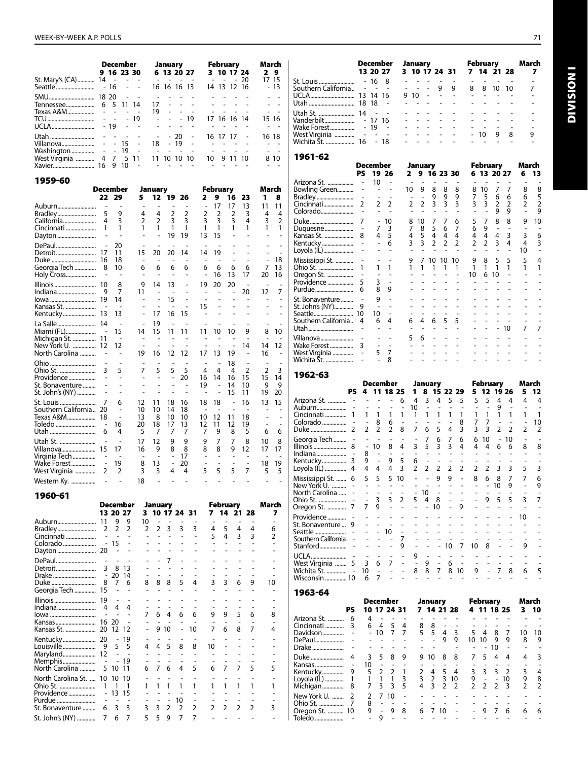|  | ٠ |
|--|---|
|  |   |

Division I

**INOISIVID** 

|                                            | <b>December</b><br>9 16 23 30                  | January<br>6 13 20 27                                                                                 | <b>February</b><br>3 10 17 24                                              | March<br>2 <sub>9</sub>                              | <b>December</b><br>13 20 27                                            | January<br>3 10 17 24 31                                                                                              | February<br>7 14 21 28                                       | March<br>$\overline{\mathbf{z}}$ |
|--------------------------------------------|------------------------------------------------|-------------------------------------------------------------------------------------------------------|----------------------------------------------------------------------------|------------------------------------------------------|------------------------------------------------------------------------|-----------------------------------------------------------------------------------------------------------------------|--------------------------------------------------------------|----------------------------------|
| St. Mary's (CA) 14                         | $\sim$<br>$\sim$ $\sim$<br>$\blacksquare$      | and the contract of the<br>$\sim$<br>16 16 16 13                                                      | 20<br>$\sim$ $ \sim$<br>$\sim$ $-$<br>14 13 12 16                          | 17 15<br>$-13$                                       | - 8<br>Southern California - -<br>$\sim$                               | 9<br>9<br>$\sim$ $\sim$                                                                                               | 8<br>8<br>10<br>-10                                          | 7                                |
|                                            |                                                |                                                                                                       |                                                                            | $\overline{a}$                                       |                                                                        | 9 10<br>$\sim$<br>$\sim$                                                                                              |                                                              |                                  |
|                                            |                                                | 17                                                                                                    |                                                                            | $\sim$<br>$\sim$                                     |                                                                        | $\sim$<br>$\sim$                                                                                                      |                                                              |                                  |
|                                            | $\sim$<br>$\sim$                               | 19<br>$\mathbf{r}$<br>$\omega$<br>$\sim$                                                              | $\mathcal{L}_{\mathcal{A}}$<br>$\sim$                                      | $\sim 100$                                           | Utah St.  14                                                           | $\mathbf{r}$                                                                                                          |                                                              |                                  |
|                                            | $-19$                                          | $-19$<br>$\sim$<br>$\mathcal{L}_{\mathcal{A}}$                                                        | 17 16 16 14                                                                | 15 16                                                |                                                                        |                                                                                                                       |                                                              |                                  |
|                                            | $\blacksquare$<br>$\sim$                       | $\mathbf{r}$<br>$\sim$                                                                                | $\sim$                                                                     | $\sim$<br>$\sim$                                     | 19<br>Wake Forest<br>$\sim$<br>$\sim$<br>$\sim$                        | $\sim$                                                                                                                | 10<br>8<br>9                                                 | 9                                |
|                                            |                                                | $-20$<br>$\overline{\phantom{a}}$<br>18<br>$-19$<br>$\sim$                                            | 16 17 17                                                                   | 16 18<br>$\sim 100$ km s $^{-1}$                     | - 18                                                                   |                                                                                                                       |                                                              |                                  |
|                                            | $\sim$                                         | $\sim$<br><b>Contract Contract</b>                                                                    |                                                                            | $\sim 100$                                           |                                                                        |                                                                                                                       |                                                              |                                  |
| West Virginia  4 7 5 11<br>Xavier 16 9 10  | $\sim$                                         | 11 10 10 10<br>÷.<br>$\sim$                                                                           | 10 9 11 10                                                                 | 8 10<br>$\sim 100$ km s $^{-1}$                      | 1961-62<br>December                                                    | January                                                                                                               | February                                                     | March                            |
| 1959-60                                    |                                                |                                                                                                       |                                                                            |                                                      | <b>PS</b><br>19 26<br>10<br>$\overline{\phantom{a}}$                   | 2 9 16 23 30<br>$\sim$<br>$\sim$                                                                                      | 6 13 20 27                                                   | 6 13                             |
|                                            | <b>December</b><br>22 29                       | January<br>5.<br>12 19 26                                                                             | <b>February</b><br>29<br>16<br>23                                          | March<br>$\mathbf{1}$<br>8                           | $\sim$                                                                 | 10<br>9<br>8<br>8<br>8<br>$\sim$<br>9<br>9<br>9<br>$\sim$                                                             | 8 10<br>7<br>7<br>5<br>$\overline{7}$<br>6<br>6              | 8<br>8<br>5<br>6                 |
| Auburn                                     |                                                |                                                                                                       | $-17$<br>17<br>13                                                          | 11<br>11                                             | $\overline{2}$<br>$\overline{2}$                                       | $\overline{2}$<br>$\overline{2}$<br>$\overline{3}$<br>3<br>3                                                          | 3<br>3<br>$\overline{2}$<br>$\overline{2}$                   | $\overline{2}$<br>$\overline{2}$ |
|                                            | 9                                              | $\overline{2}$<br>$\overline{2}$<br>$\overline{4}$<br>4                                               | $\overline{2}$<br>2<br>2<br>3                                              | 4<br>$\overline{4}$                                  | $\sim$<br>$\sim$                                                       |                                                                                                                       | 9<br>9                                                       | 9                                |
| California                                 | 3<br>4                                         | $\overline{2}$<br>2<br>3<br>$\overline{\mathbf{3}}$                                                   | 3<br>$\overline{4}$<br>3<br>3                                              | $\overline{2}$<br>3                                  | 10<br>$\overline{\phantom{a}}$                                         | 8 10<br>6                                                                                                             | $\mathsf{\overline{8}}$<br>8<br>5                            | 10<br>9                          |
| Cincinnati<br>Dayton                       | $\overline{1}$<br>$\mathbf{1}$                 | $\mathbf{1}$<br>$\mathbf{1}$<br>$\mathbf{1}$<br>1<br>19<br>-19                                        | $\mathbf{1}$<br>$\overline{1}$<br>$\mathbf{1}$<br>1<br>13<br>- 15          | 1<br>$\mathbf{1}$                                    | 3<br>$\overline{7}$<br>5<br>4                                          | $7^{\circ}$<br>8<br>5<br>6<br>$\overline{7}$<br>4<br>5<br>$\overline{4}$<br>$\overline{4}$<br>$\overline{4}$          | 6<br>9<br>$\overline{3}$<br>4<br>4<br>4                      | 3<br>6                           |
|                                            |                                                |                                                                                                       |                                                                            |                                                      | 6<br>$\overline{\phantom{a}}$                                          | $\overline{3}$<br>3<br>2<br>$\overline{2}$<br>$\overline{2}$                                                          | $\overline{2}$<br>2<br>3<br>4                                | 3<br>4                           |
|                                            | 20                                             | 20 14<br>15<br>20                                                                                     | 14 19                                                                      |                                                      | Loyola (IL)<br>$\sim$                                                  |                                                                                                                       |                                                              | 10 <sup>°</sup>                  |
|                                            |                                                | $\sim$                                                                                                | $\sim$                                                                     | 18<br>$\sim$                                         | Mississippi St.<br>$\overline{\phantom{a}}$                            | 9<br>7 10 10 10                                                                                                       | 8<br>9<br>5                                                  | 5<br>4                           |
|                                            |                                                | 6<br>6<br>6<br>6                                                                                      | 6<br>6<br>6<br>6                                                           | $\overline{7}$<br>13                                 | $\overline{1}$<br>$\mathbf{1}$<br>1                                    | $\mathbf{1}$<br>$\mathbf{1}$<br>$\mathbf{1}$<br>$\mathbf{1}$<br>$\overline{1}$                                        | $\mathbf{1}$<br>$\mathbf{1}$<br>$\mathbf{1}$<br>$\mathbf{1}$ | $\mathbf{1}$                     |
| Holy Cross                                 |                                                | ÷.<br>$\overline{\phantom{a}}$                                                                        | 16<br>13<br>17<br>$\sim$                                                   | 20<br>16                                             | $\mathbf{r}$<br>$\overline{\phantom{a}}$<br>5<br>$\sim$                | $\overline{\phantom{a}}$                                                                                              | 10<br>6<br>10                                                |                                  |
|                                            | 8                                              | 13<br>9<br>14                                                                                         | 20<br>20<br>19<br>$\overline{\phantom{a}}$                                 | $\overline{\phantom{a}}$<br>$\sim$                   | 3<br>Providence<br>8<br>9                                              |                                                                                                                       |                                                              |                                  |
|                                            | $\overline{7}$                                 | 11<br>$\sim$<br>15<br>$\overline{a}$<br>$\sim$<br>$\sim$                                              | 20                                                                         | 12<br>$\overline{7}$                                 | 9<br>St. Bonaventure<br>$\overline{a}$                                 |                                                                                                                       |                                                              |                                  |
|                                            |                                                |                                                                                                       | 15                                                                         |                                                      | 9<br>St. John's (NY)<br>$\overline{\phantom{a}}$                       |                                                                                                                       |                                                              |                                  |
| Kentucky 13 13                             |                                                | 17<br>16<br>- 15                                                                                      |                                                                            |                                                      | 10<br>$\sim$                                                           | $\mathcal{L}$<br>$\sim$<br>$\sim$                                                                                     |                                                              |                                  |
| La Salle 14                                |                                                | 19                                                                                                    |                                                                            | $\overline{\phantom{a}}$                             | Southern California 4<br>6<br>4<br>$\sim$                              | 5<br>5<br>6<br>4<br>6                                                                                                 |                                                              |                                  |
|                                            |                                                | 14 15<br>11 11                                                                                        | 9<br>11 10<br>10                                                           | 10<br>8                                              |                                                                        |                                                                                                                       |                                                              |                                  |
|                                            |                                                |                                                                                                       | 14                                                                         | 14<br>12                                             | $\overline{a}$                                                         | 6<br>$\sim$<br>$\sim$                                                                                                 |                                                              |                                  |
| New York U.  12 12                         |                                                | 12 12<br>19<br>16                                                                                     | 17 13<br>- 19                                                              | 16<br>$\overline{\phantom{a}}$                       | 5<br>$\overline{7}$                                                    | $\mathbf{r}$                                                                                                          |                                                              |                                  |
|                                            |                                                |                                                                                                       | 18                                                                         |                                                      | 8<br>Wichita St.<br>$\sim$                                             | $\mathcal{L}$<br>$\sim$<br>$\overline{a}$                                                                             |                                                              |                                  |
| Ohio St.                                   | 3<br>5                                         | $\overline{7}$<br>5<br>5<br>5                                                                         | $\overline{4}$<br>$\overline{4}$<br>$\overline{2}$<br>4                    | 2<br>3                                               |                                                                        |                                                                                                                       |                                                              |                                  |
| Providence                                 |                                                | 20<br>$\mathcal{L}_{\mathcal{A}}$                                                                     | 16<br>14<br>16<br>15                                                       | 15<br>14                                             | 1962-63                                                                |                                                                                                                       |                                                              |                                  |
| St. Bonaventure<br>St. John's (NY)         |                                                | $\overline{a}$<br>$\overline{\phantom{a}}$                                                            | 19<br>14<br>10<br>$\sim$<br>$\overline{\phantom{a}}$<br>15<br>$\sim$<br>11 | 9<br>9<br>19<br>20                                   | December<br>PS 4 11 18 25                                              | January<br>1 8 15 22 29                                                                                               | February<br>5 12 19 26                                       | March<br>5 12                    |
|                                            |                                                |                                                                                                       |                                                                            | 13<br>15                                             | Arizona St.  -<br><b>Service State</b>                                 | 6<br>$\overline{4}$<br>$3 \t4 \t5$<br>$\overline{5}$                                                                  | $\sqrt{5}$<br>5<br>$\overline{4}$<br>$\overline{4}$          | $4\quad 4$                       |
| St. Louis<br>Southern California 20        | 6<br>$\overline{7}$                            | 12<br>18<br>-11<br>-16<br>10<br>10<br>14<br>18                                                        | 16<br>18 18<br>$\sim$<br>$\overline{\phantom{a}}$<br>٠.                    | $\overline{\phantom{a}}$                             |                                                                        | 10<br>$\mathbb{L}$<br>$\sim$                                                                                          | 9<br>$\sim$                                                  |                                  |
|                                            | $\sim$                                         | 13<br>-8<br>10<br>10                                                                                  | 10<br>-12<br>11<br>-18                                                     | L.<br>$\overline{\phantom{a}}$                       | $\overline{1}$<br>$\mathbf{1}$                                         | $\mathbf{1}$<br>$\mathbf{1}$                                                                                          |                                                              |                                  |
|                                            |                                                | 20<br>18<br>17<br>13                                                                                  | 12 11<br>12<br>19                                                          | $\overline{\phantom{a}}$<br>$\overline{\phantom{a}}$ | 8<br>6<br>$\sim$<br>$\overline{2}$<br>$\overline{2}$<br>$\overline{2}$ | 8<br>$\overline{7}$<br>5<br>8<br>6<br>4<br>3                                                                          | $\overline{2}$<br>$\overline{2}$<br>3                        | 10<br>2<br>$\mathcal{P}$         |
|                                            | $\overline{\mathbf{4}}$                        | 5<br>7<br>7<br>7                                                                                      | 9<br>8<br>-5<br>7                                                          | 6<br>6                                               | Georgia Tech                                                           | 6<br>7<br>6                                                                                                           | 6<br>10                                                      |                                  |
| Villanova 15 17                            |                                                | 9<br>9<br>17<br>12<br>8<br>8<br>16<br>9                                                               | $\overline{7}$<br>8<br>9<br>7<br>8<br>9<br>8<br>12                         | 8<br>10<br>17<br>17                                  | 8<br>$-10$                                                             | $\overline{3}$<br>$\overline{4}$<br>5<br>$\overline{3}$<br>3<br>$\overline{4}$                                        | 6<br>4<br>6<br>4                                             | 8                                |
|                                            | - -                                            | $\sim$<br>17<br>$\overline{\phantom{a}}$<br>$\overline{\phantom{a}}$                                  | $\sim$<br>$\overline{\phantom{a}}$                                         |                                                      | 8<br>$\sim$<br>$\sim$                                                  | $\sim$<br>$\sim$<br>$\sim$                                                                                            |                                                              |                                  |
|                                            |                                                | 8<br>13<br>$\overline{\phantom{a}}$<br>20                                                             |                                                                            | 18<br>19                                             | 9<br>Kentucky 3<br>$\sim$<br>9                                         | 5<br>6                                                                                                                |                                                              |                                  |
| West Virginia  2 2                         |                                                | 3<br>3<br>4<br>4                                                                                      | $\overline{7}$<br>5<br>5<br>5                                              | 5<br>5                                               | $\overline{4}$<br>$\overline{4}$<br>Loyola (IL)  4 4                   | $\overline{3}$<br>$\overline{2}$<br>$\overline{2}$<br>$\overline{2}$<br>$\overline{2}$<br>$\overline{2}$              | $\overline{2}$                                               | 5                                |
| Western Ky.                                |                                                | 18                                                                                                    |                                                                            |                                                      | 5 10<br>Mississippi St.  6 5<br>- 5<br>New York U. $- - - - - -$       | 9<br>$\mathsf{Q}$<br>$\Delta \sim 100$ km s $^{-1}$<br>$\sim$<br>and the state of the<br>$\sim$ 100 $\sim$ 100 $\sim$ | 8<br>6<br>8<br>7<br>9<br>$-10$                               | $\overline{7}$<br>6              |
| 1960-61                                    |                                                |                                                                                                       |                                                                            |                                                      | North Carolina  -<br>$\sim$<br>$\sim$<br>$\overline{\phantom{a}}$      | 10<br>$\mathcal{A}$<br>$\overline{\phantom{a}}$                                                                       |                                                              |                                  |
|                                            | <b>December</b>                                | January                                                                                               | February                                                                   | March                                                | 3<br>3<br>$\sim$<br>9<br>$\sim$<br>7                                   | $\overline{2}$<br>5<br>4<br>8<br>q<br>$\sim$<br>10                                                                    | 5<br>5<br>9                                                  | 3<br>7                           |
|                                            | 13 20 27                                       | 3 10 17 24 31                                                                                         | 7 14 21 28                                                                 | 7                                                    | Providence                                                             |                                                                                                                       |                                                              | 10                               |
|                                            | 99                                             | 10<br>$\sim$<br>$\overline{\phantom{a}}$                                                              |                                                                            |                                                      | St. Bonaventure  9                                                     |                                                                                                                       |                                                              |                                  |
|                                            | 2<br>2                                         | 3<br>2<br>3<br>3<br>2                                                                                 | 5<br>4<br>4<br>4                                                           | 6                                                    | 10                                                                     |                                                                                                                       |                                                              |                                  |
| Cincinnati<br>Colorado                     | $-15$                                          |                                                                                                       | 5<br>4<br>3<br>3                                                           | 2<br>$\overline{\phantom{a}}$                        | Southern California. -                                                 |                                                                                                                       |                                                              |                                  |
|                                            |                                                |                                                                                                       |                                                                            |                                                      | Stanford                                                               | $\overline{7}$<br>9<br>10                                                                                             | 10<br>8                                                      |                                  |
| DePaul                                     |                                                |                                                                                                       |                                                                            |                                                      | UCLA<br>$\overline{7}$                                                 | 9<br>9                                                                                                                |                                                              |                                  |
|                                            |                                                |                                                                                                       |                                                                            |                                                      | West Virginia  5<br>3<br>6<br>$\sim$<br>$\sim$                         | 6<br>8<br>$\overline{7}$<br>8<br>8 10                                                                                 | 9                                                            | 5<br>6                           |
|                                            |                                                |                                                                                                       |                                                                            |                                                      | Wisconsin  10<br>6<br>7                                                |                                                                                                                       |                                                              |                                  |
| Georgia Tech  15                           | 6                                              | 8<br>5<br>8                                                                                           | 9                                                                          | 10<br>$\overline{\phantom{a}}$                       |                                                                        |                                                                                                                       |                                                              |                                  |
|                                            |                                                |                                                                                                       |                                                                            |                                                      | 1963-64                                                                |                                                                                                                       |                                                              |                                  |
|                                            | 4<br>$\overline{4}$                            |                                                                                                       |                                                                            | $\overline{\phantom{a}}$                             | <b>December</b>                                                        | January                                                                                                               | <b>February</b>                                              | March                            |
|                                            | $\sim$                                         | 6<br>6<br>7<br>6                                                                                      | 9<br>9<br>6                                                                | 8                                                    | PS.<br>10 17 24 31                                                     | 7 14 21 28                                                                                                            | 4 11 18 25                                                   | $3-10$                           |
|                                            |                                                |                                                                                                       |                                                                            | $\overline{\phantom{a}}$                             | 4<br>Arizona St.<br>6<br>$\overline{4}$<br>5<br>6                      | $\overline{4}$<br>8<br>8                                                                                              |                                                              |                                  |
| Kansas St.  20 12 12                       |                                                | 10<br>$-910$<br>$\overline{\phantom{a}}$                                                              | 7<br>6<br>7                                                                | 4                                                    | $-10$<br>7                                                             | 5<br>$\overline{7}$<br>5<br>$\overline{4}$<br>3                                                                       | 8<br>5<br>$\overline{4}$<br>7                                | 10<br>10                         |
|                                            | - 19                                           |                                                                                                       |                                                                            |                                                      | DePaul                                                                 | 9<br>9                                                                                                                | 9<br>10 10<br>9                                              | 8<br>9                           |
| Maryland 12                                | - 5<br>5<br>$\sim$<br>$\overline{\phantom{a}}$ | 8<br>4<br>5<br>4                                                                                      | 10                                                                         |                                                      | Drake                                                                  |                                                                                                                       | 10                                                           |                                  |
|                                            |                                                |                                                                                                       |                                                                            |                                                      | Duke<br>3<br>5<br>8                                                    | 9<br>9<br>8<br>8<br>10                                                                                                | 5<br>4                                                       | 3<br>4                           |
| North Carolina  5 10 11                    |                                                | 5<br>$\overline{4}$<br>6<br>7<br>6                                                                    | 6<br>5                                                                     | 5                                                    | 10<br>Kansas<br>$\overline{2}$<br>9<br>5<br>$\overline{2}$<br>Kentucky | 5<br>$\mathbf{1}$<br>2<br>4<br>$\overline{4}$                                                                         | 3<br>3<br>3<br>$\overline{2}$                                | 3<br>$\boldsymbol{\Delta}$       |
| North Carolina St.  10 10 10               |                                                |                                                                                                       |                                                                            |                                                      | 1<br>$\mathbf{1}$<br>1                                                 | $\overline{2}$<br>3<br>3<br>310                                                                                       | 9<br>$\overline{\phantom{a}}$<br>- 10                        | 9<br>8                           |
|                                            | $\overline{1}$                                 |                                                                                                       |                                                                            |                                                      | 3<br>3<br>7                                                            | 5<br>4<br>3<br>2<br>2                                                                                                 | 2<br>$\overline{2}$<br>2<br>3                                | $\overline{2}$<br>$\overline{2}$ |
|                                            |                                                |                                                                                                       |                                                                            |                                                      |                                                                        |                                                                                                                       |                                                              |                                  |
|                                            | - 13 15                                        |                                                                                                       |                                                                            |                                                      | $\overline{2}$<br>New York U.<br>2<br>10                               |                                                                                                                       |                                                              |                                  |
|                                            | $\sim$<br>$\sim$                               | 10                                                                                                    |                                                                            |                                                      | 8                                                                      |                                                                                                                       |                                                              |                                  |
| Providence<br>Purdue<br>St. Bonaventure  6 | 3<br>3                                         | $\overline{2}$<br>3<br>$\overline{2}$<br>3<br>2<br>$\overline{7}$<br>$\overline{7}$<br>5<br>-5<br>- 9 | $\overline{2}$<br>$\overline{2}$<br>$\overline{2}$<br>2                    | 3<br>$\sim$                                          | 9<br>9<br>Oregon St.  10<br>9<br>Toledo<br>$\overline{\phantom{a}}$    | 8<br>7<br>10<br>6                                                                                                     | 9<br>7<br>6                                                  | 6<br>6                           |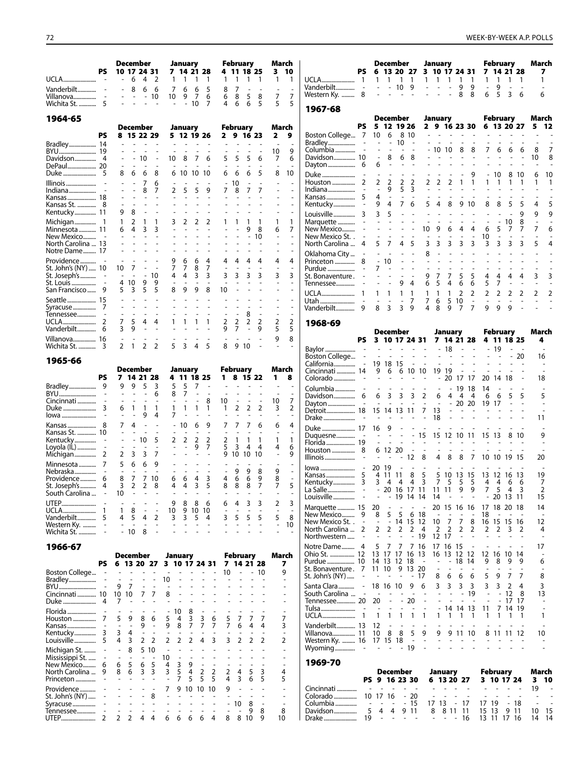|                                                         | PS.                      | December<br>10 17 24 31<br>$\sim$                    | $\overline{4}$<br>6                                          | 2                                           |                                     | January<br>$1 \quad 1$           | 7 14 21 28<br>-1                       |                          | 1                   | <b>February</b><br>$\overline{1}$           | 4 11 18 25<br>$\overline{1}$<br>$\overline{1}$ | March<br>$3 - 10$<br>$\mathbf{1}$ | $\mathbf{1}$                  |                                                            |                          |                                                      | December<br>1 1 1                  | $\overline{1}$                                                 |                                                           | January<br>$1\quad1$                                                                 | PS 6 13 20 27 3 10 17 24 31<br>$\mathbf{1}$<br>$\mathbf{1}$ |                          | $\mathbf{1}$                         | <b>February</b><br>7 14 21 28<br>$\mathbf{1}$ | $\overline{1}$      | March<br>7<br>1                |        |
|---------------------------------------------------------|--------------------------|------------------------------------------------------|--------------------------------------------------------------|---------------------------------------------|-------------------------------------|----------------------------------|----------------------------------------|--------------------------|---------------------|---------------------------------------------|------------------------------------------------|-----------------------------------|-------------------------------|------------------------------------------------------------|--------------------------|------------------------------------------------------|------------------------------------|----------------------------------------------------------------|-----------------------------------------------------------|--------------------------------------------------------------------------------------|-------------------------------------------------------------|--------------------------|--------------------------------------|-----------------------------------------------|---------------------|--------------------------------|--------|
| Wichita St.  5                                          |                          | $\overline{\phantom{a}}$                             | 8<br>6<br>$\overline{\phantom{a}}$<br>$\mathbb{L}$<br>$\sim$ | 6<br>- 10<br>$\sim$                         | $7^{\circ}$<br>10<br>$\sim$         | 6<br>- 9<br>$\sim$               | 6<br>$\overline{7}$<br>10 <sup>1</sup> | 5<br>6<br>$\overline{7}$ | 8<br>6<br>4         | $\overline{7}$<br>8<br>6                    | $\overline{\phantom{a}}$<br>5<br>8<br>6<br>5   | $\overline{7}$<br>5               | $\overline{7}$<br>-5          | Western Ky.  8                                             |                          | $\sim$<br>$\blacksquare$                             | $-109$<br><b>Carl Carl Carl</b>    |                                                                |                                                           | $\mathcal{L}^{\text{max}}$ , where $\mathcal{L}^{\text{max}}$<br>$\omega_{\rm{max}}$ | 9<br>8<br>$\blacksquare$                                    | 9<br>8                   | $\sim$<br>6                          | 9<br>$\sim$<br>5<br>$\mathbf{3}$              | 6                   | 6                              |        |
|                                                         |                          |                                                      |                                                              |                                             |                                     |                                  |                                        |                          |                     |                                             |                                                |                                   |                               | 1967-68                                                    |                          |                                                      |                                    |                                                                |                                                           |                                                                                      |                                                             |                          |                                      |                                               |                     |                                |        |
| 1964-65                                                 |                          |                                                      | December                                                     |                                             |                                     | January                          |                                        |                          | <b>February</b>     |                                             |                                                | March                             |                               |                                                            | PS.                      |                                                      | December<br>5 12 19 26             |                                                                |                                                           | January                                                                              |                                                             | 2 9 16 23 30             |                                      | February<br>6 13 20 27                        |                     | March<br>5 <sub>12</sub>       |        |
|                                                         | <b>PS</b>                | 8 15 22 29                                           |                                                              |                                             |                                     |                                  | 5 12 19 26                             |                          |                     |                                             | 2 9 16 23                                      | $\mathbf{2}$                      | 9                             | Boston College 7 10                                        |                          |                                                      | - 6                                | 8 10                                                           |                                                           | $\omega_{\rm{max}}$<br>$\omega_{\rm{max}}$                                           | $\sim$<br>$\sim$                                            |                          |                                      |                                               |                     |                                |        |
| Bradley 14                                              |                          | $\frac{1}{2}$                                        | and a state<br>and a state                                   |                                             | $\mathcal{L}^{\mathcal{A}}$         | $\omega_{\rm{eff}}=2.0$          | $\sim$<br>$\sim$                       | $\sim$                   | $\omega_{\rm{max}}$ |                                             |                                                | 10                                | 9                             |                                                            |                          | $\sim$<br>$\overline{\phantom{a}}$                   | $\overline{\phantom{a}}$<br>$\sim$ | $10 -$<br>$\sim 100$ $\sim$                                    |                                                           |                                                                                      | $-10108$                                                    | 8                        | $\overline{7}$                       | 6 6                                           | - 6                 | 8                              |        |
|                                                         |                          |                                                      | $- - 10$                                                     | $\sim$                                      | 10 <sup>°</sup>                     | - 8                              | 7                                      | 6                        | 5                   | - 5                                         | 5<br>6                                         | 7                                 | 6                             | Davidson 10                                                |                          | $\mathbb{R}^{\mathbb{Z}}$                            | 8                                  | 6 8                                                            |                                                           | $\omega_{\rm{max}}$                                                                  | $\sim$                                                      | $\sim$                   |                                      |                                               | $\sim$              | 10<br>8                        |        |
| DePaul 20                                               |                          | $\overline{\phantom{a}}$<br>8                        | $\sim$<br>$\sim$<br>6<br>6                                   | 8                                           |                                     |                                  | 6 10 10 10                             |                          |                     |                                             | 6<br>5                                         | 8                                 | 10                            |                                                            |                          | 6                                                    | $\sim$<br>$\sim$                   | $\sim 100$                                                     |                                                           |                                                                                      |                                                             |                          |                                      | 8<br>10                                       | -10                 | 6<br>-10                       |        |
|                                                         |                          |                                                      | $\overline{7}$                                               | 6                                           |                                     |                                  |                                        |                          | $-10$               |                                             |                                                |                                   |                               |                                                            |                          |                                                      | 2 <sub>2</sub>                     | 2 <sub>2</sub>                                                 |                                                           | 2 <sub>2</sub>                                                                       | $\overline{2}$                                              | $\mathbf{1}$             |                                      |                                               |                     |                                |        |
| Kansas  18                                              |                          | $\overline{\phantom{a}}$                             | 8<br>$\sim$                                                  | 7                                           | $\overline{2}$<br>$\sim$            | - 5                              | 5<br>$\sim$                            | 9                        | 7 8                 |                                             | $\overline{7}$<br>7                            |                                   |                               |                                                            |                          | $-9$<br>$\overline{4}$                               | $\sim$                             | 5 <sup>3</sup><br>$\omega_{\rm{max}}$                          | $\sim$                                                    | $\sim$                                                                               | $\sim$                                                      |                          |                                      |                                               |                     |                                |        |
| Kansas St.  8                                           |                          |                                                      | $\sim$                                                       |                                             |                                     |                                  |                                        |                          |                     |                                             |                                                |                                   |                               |                                                            |                          | 9 4                                                  |                                    | 7 6                                                            |                                                           | 5 4 8                                                                                |                                                             | 9 10                     | 8                                    | - 8<br>$\overline{5}$                         | $\overline{5}$      |                                |        |
| Kentucky 11                                             |                          | 9                                                    | 8                                                            |                                             |                                     |                                  |                                        |                          |                     |                                             |                                                |                                   |                               |                                                            |                          | 3 <sub>5</sub>                                       |                                    | $\Delta \sim 10^{-1}$                                          |                                                           | $\omega_{\rm{max}}$                                                                  |                                                             |                          |                                      |                                               | $\mathsf{Q}$        | q<br>$\mathsf{Q}$              |        |
| Minnesota  11                                           |                          | $\mathbf{1}$<br>64                                   | 2<br>- 1<br>$\mathbf{3}$                                     | $\mathbf{1}$<br>3                           | 3<br>$\blacksquare$                 | 2<br>$\sim$                      | 2<br>$\sim$                            | 2                        |                     |                                             | 9<br>8                                         | 1<br>6                            | 1<br>$\overline{7}$           | New Mexico                                                 | $\sim$                   | $\overline{\phantom{a}}$                             | and the same<br>$\sim$             |                                                                | $- - 109$                                                 |                                                                                      | and the state of the state<br>6<br>4                        | $\overline{4}$           | 6                                    | $-10$<br>5<br>7                               | 8<br>$\overline{7}$ | 7                              |        |
| New Mexico                                              |                          | $\overline{\phantom{a}}$                             | $\sim$<br>$\sim$                                             | $\sim$                                      | $\mathbb{L}$                        | $\overline{a}$                   |                                        |                          |                     |                                             | 10                                             |                                   | $\overline{\phantom{a}}$      | New Mexico St                                              | $\blacksquare$           | $\Box$                                               | $\sim$                             | $\sim 10^{-1}$ m $^{-1}$                                       | $\sim$                                                    | $\sim$                                                                               | $\sim$<br>$\sim$                                            |                          | 10                                   |                                               |                     |                                |        |
| North Carolina  13<br>Notre Dame 17                     |                          | $\overline{\phantom{a}}$<br>$\overline{\phantom{0}}$ | $\sim$<br>$\sim$                                             |                                             | $\mathbb{Z}^{\mathbb{Z}}$           |                                  |                                        |                          |                     |                                             |                                                |                                   |                               | North Carolina  4                                          |                          |                                                      | 5 7<br>$\sim$                      | 4 5<br>$\sim$ $ \sim$                                          | 8                                                         | 3 <sup>3</sup><br>$\sim$                                                             | $3 \quad 3 \quad 3$<br>$\mathbb{Z}^2$                       |                          | 3                                    | 3<br>3                                        | 3                   | 5                              |        |
|                                                         |                          | $\blacksquare$                                       | $\sim$                                                       |                                             | 9                                   | 6                                | 6                                      | $\overline{4}$           | 4                   | $\overline{4}$                              | 4                                              | 4                                 | 4                             | Oklahoma City  -                                           |                          | $-10$                                                |                                    | $\Delta \sim 100$ km s $^{-1}$                                 |                                                           |                                                                                      | $\mathcal{L}=\mathcal{L}=\mathcal{L}=\mathcal{L}$           | $\sim$                   | $\overline{\phantom{a}}$             |                                               |                     |                                |        |
| St. John's (NY)  10<br>St. Joseph's $\ldots$ $\ldots$ - |                          | $10 \quad 7$<br>$\sim$<br>$\sim$ $-$                 |                                                              | $\sim 100$ $\sim$<br>$-10$                  | $7^{\circ}$<br>4                    | 7<br>$\overline{4}$              | 8<br>$\overline{3}$                    | $\overline{7}$<br>3      | 3 <sup>3</sup>      |                                             | 3<br>3                                         | 3                                 | $\overline{\phantom{a}}$<br>3 | St. Bonaventure . -                                        |                          | 7<br>$\overline{\phantom{a}}$                        | $\sim$<br>$\mathbb{Z}^2$           | $\mathcal{L}^{\mathcal{L}}$<br>$\sim$<br>$\omega_{\rm{max}}$   | <b>Contract</b>                                           | 9 7 7                                                                                | $\sim 100$ km s $^{-1}$<br>5                                | 5                        | $\overline{4}$                       |                                               |                     |                                |        |
|                                                         |                          | 4 10                                                 | 9                                                            | - 9                                         | $\overline{\phantom{a}}$            | $\overline{\phantom{a}}$         | $\sim$                                 | $\sim$                   |                     |                                             |                                                |                                   |                               |                                                            |                          |                                                      |                                    | 94                                                             |                                                           | 6 <sub>5</sub>                                                                       | 6<br>4                                                      | 6                        | 5                                    | $\overline{7}$                                |                     |                                |        |
| San Francisco 9                                         |                          | 5                                                    | 5<br>$\overline{3}$                                          | 5                                           |                                     | 89                               | 9                                      | 8                        | 10                  |                                             |                                                |                                   |                               |                                                            |                          |                                                      | $1\quad1$                          | $1 \quad 1$                                                    |                                                           | $1 \quad 1$                                                                          | $\mathbf{1}$<br>$\overline{2}$                              | $\overline{2}$           | $\overline{2}$                       | $\overline{2}$                                | 2                   | $\overline{2}$                 |        |
| Seattle 15                                              |                          | $\overline{\phantom{a}}$                             |                                                              |                                             | $\mathcal{L}$                       |                                  |                                        |                          |                     |                                             |                                                |                                   |                               |                                                            |                          | $\sim$                                               | $\sim$<br>8 3 3 9                  | $-7$                                                           | $7^{\circ}$                                               | 6<br>4 8                                                                             | 5<br>10<br>- 9<br>$\overline{7}$                            | $\sim$<br>$\overline{7}$ | $\sim$<br>9                          | 9<br>9                                        |                     |                                |        |
|                                                         |                          |                                                      | $\sim$                                                       | $\sim 10^{-1}$ m $^{-1}$                    | $\overline{a}$                      |                                  |                                        |                          |                     |                                             |                                                |                                   |                               |                                                            |                          |                                                      |                                    |                                                                |                                                           |                                                                                      |                                                             |                          |                                      |                                               |                     |                                |        |
| Vanderbilt 6                                            |                          | $7^{\circ}$<br>$\overline{3}$                        | 5<br>$\overline{4}$<br>9<br>$\sim$                           | 4<br>$\sim$                                 | $\mathbf{1}$                        |                                  |                                        | 1                        | 2<br>q              | $\overline{2}$<br>$\overline{7}$            | 2<br>2<br>9                                    | $\overline{2}$<br>5               | $\overline{2}$<br>5           | 1968-69                                                    |                          |                                                      |                                    |                                                                |                                                           |                                                                                      |                                                             |                          |                                      |                                               |                     |                                |        |
| Villanova 16                                            |                          |                                                      |                                                              |                                             |                                     |                                  |                                        |                          |                     |                                             |                                                | 9                                 | 8                             |                                                            |                          |                                                      | December                           |                                                                |                                                           |                                                                                      | January<br>PS 3 10 17 24 31 7 14 21 28                      |                          |                                      | February<br>4 11 18 25                        |                     | March<br>4                     |        |
| Wichita St.  3                                          |                          | $2 \quad 1$                                          |                                                              | 2 <sub>2</sub>                              |                                     | 5 <sup>3</sup>                   | 4                                      | 5                        | 8                   | 9 10                                        |                                                |                                   |                               |                                                            |                          |                                                      |                                    |                                                                |                                                           |                                                                                      |                                                             | $- - - 19$               |                                      |                                               |                     |                                |        |
| 1965-66                                                 |                          |                                                      |                                                              |                                             |                                     |                                  |                                        |                          |                     |                                             |                                                |                                   |                               | Boston College -                                           |                          |                                                      |                                    |                                                                | and the second control of the second<br>$\sim 10^{-1}$ km |                                                                                      | <b>Carl Contractor</b>                                      | $\sim$                   | $\mathcal{L}$<br>$\omega_{\rm{max}}$ |                                               |                     | 16                             |        |
|                                                         | PS.                      | December                                             |                                                              |                                             |                                     | January                          |                                        |                          | <b>February</b>     |                                             | 1 8 15 22                                      | March                             |                               | Cincinnati  14 9 6 6 10 10 19 19                           |                          |                                                      |                                    |                                                                |                                                           |                                                                                      |                                                             | $\sim$                   |                                      |                                               |                     |                                |        |
|                                                         |                          | 7 14 21 28                                           | 9 9 5 3                                                      |                                             | 5                                   | - 5                              | 4 11 18 25<br>$\overline{7}$           | $\sim$                   |                     | $\omega_{\rm{max}}$ and $\omega_{\rm{max}}$ |                                                | $\mathbf{1}$                      | 8                             |                                                            |                          |                                                      | the company of the company         |                                                                |                                                           | $\sim$ $-$                                                                           | $- - - - - - - 201717$                                      |                          |                                      | 20 14 18                                      |                     | 18                             |        |
|                                                         |                          | $\sim$                                               | $\sim$<br>$\sim 100$                                         | 6                                           | 8                                   | $\overline{7}$                   | $\overline{\phantom{a}}$               |                          | $\mathbf{r}$        |                                             |                                                |                                   |                               | Davidson 6                                                 |                          |                                                      | 6 3 3 3 2                          |                                                                |                                                           | 6                                                                                    | 4<br>$\overline{4}$                                         | $\overline{4}$           | - 6                                  | - 6<br>5                                      | 5                   | 5                              |        |
|                                                         |                          | 6                                                    | $\sim$<br>$\sim$<br>$\mathbf{1}$<br>$\overline{1}$           | $\mathbf{1}$                                | $\sim$<br>$\mathbf{1}$              |                                  | $\mathbb{Z}^2$<br>1                    | 8<br>$\mathbf{1}$        | 10<br>$\mathbf{1}$  | 2                                           | $\sim$<br>$\overline{a}$<br>2<br>2             | 10<br>3                           | 7<br>2                        | Detroit 18 15 14 13 11 7 13                                |                          |                                                      |                                    |                                                                | and the second control of the                             |                                                                                      | $-2020$                                                     |                          | 19 17                                |                                               |                     |                                |        |
|                                                         |                          |                                                      | 9                                                            | 4                                           | 7                                   |                                  |                                        |                          |                     |                                             |                                                |                                   |                               |                                                            |                          | $\sim$                                               | $\sim$<br>$\sim$ $-$               |                                                                |                                                           | 18                                                                                   |                                                             |                          |                                      |                                               |                     | 11                             |        |
| Kansas St.  10                                          |                          | 7                                                    | $\overline{4}$<br>$\overline{\phantom{a}}$<br>$\sim$         | $\overline{\phantom{a}}$                    |                                     | $-10$                            | 6                                      | 9                        |                     |                                             |                                                | 6                                 | 4                             |                                                            |                          |                                                      |                                    |                                                                |                                                           |                                                                                      |                                                             |                          |                                      |                                               |                     |                                |        |
|                                                         |                          |                                                      | $-10$                                                        | 5                                           |                                     | 2 <sub>2</sub>                   | $\overline{2}$                         | $\overline{2}$           | $\overline{2}$      |                                             |                                                | $\mathbf{1}$                      | $\mathbf{1}$                  | Florida 19                                                 |                          |                                                      | <b>Carl All An</b>                 |                                                                | <b>Contract</b>                                           |                                                                                      |                                                             | 15 12 10 11              | 15 13                                |                                               |                     | 9                              |        |
|                                                         |                          | $\omega$                                             | $\sim$<br>$\sim$ $-$<br>2 3 3 7                              | $\sim$                                      | $\sim$<br>$\mathbb{Z}^{\mathbb{Z}}$ | $\sim$<br>$\sim$                 | 9<br>$\mathcal{L}$                     | $\overline{7}$<br>$\sim$ | 5<br>9 10           | $\overline{\mathbf{3}}$<br>10               | 4<br>-4<br>-10                                 | 4<br>$\mathbf{r}$                 | 6<br>9                        |                                                            |                          |                                                      | 6 12 20                            | $\sim$                                                         | $\sim$                                                    | $\sim$                                                                               |                                                             |                          |                                      |                                               |                     |                                |        |
|                                                         |                          | 5<br>- 6                                             |                                                              | 69                                          |                                     |                                  |                                        |                          |                     |                                             |                                                |                                   |                               |                                                            |                          | $\sim 10^{-1}$ m $^{-1}$                             |                                    | $-12$ 8                                                        |                                                           | 4                                                                                    | 8<br>8                                                      |                          |                                      | 7 10 10 19 15                                 |                     | 20                             |        |
|                                                         |                          | $\overline{\phantom{a}}$                             | $\sim$                                                       |                                             |                                     |                                  |                                        |                          |                     |                                             | 9<br>8                                         | 9                                 |                               | Kansas 5 4 11 11 8 5 5 10 13 15 13 12 16 13                |                          | 20 19                                                |                                    | $\overline{a}$                                                 |                                                           |                                                                                      |                                                             |                          |                                      |                                               |                     | 19                             |        |
| Providence 6                                            |                          | 8                                                    | $\overline{7}$<br>3 2 2 8                                    | 7 10                                        | 6                                   | - 6<br>4 4                       | $\overline{4}$<br>35                   | 3                        | 4<br>8              | 6                                           | 6<br>9<br>8 8 7                                | 8<br>7                            | 5                             | Kentucky 3 3 4 4 4 3 7 5 5 5 4 4 6 6                       |                          |                                                      |                                    |                                                                |                                                           |                                                                                      |                                                             |                          |                                      |                                               |                     | 7                              |        |
| South Carolina                                          | $\overline{\phantom{a}}$ | 10                                                   | $\overline{\phantom{a}}$                                     |                                             |                                     |                                  |                                        |                          |                     |                                             |                                                |                                   |                               | La Salle                                                   |                          | $\overline{\phantom{a}}$<br>$\overline{\phantom{a}}$ | 20 16 17 11                        | - 19 14 14                                                     |                                                           | 11<br>14                                                                             | 11<br>9                                                     | 9                        | 7                                    | 5<br>20 13 11                                 | 4 3                 | 2<br>15                        |        |
| UTEP                                                    |                          | $\mathbf{1}$                                         | 8                                                            | $\sim$                                      | 9<br>10                             | 8<br>9                           | 8<br>10                                | 6<br>10                  | 6                   |                                             | 3                                              | 2                                 | 3                             | Marquette  15 20                                           |                          |                                                      | $\sim$                             | $\overline{\phantom{a}}$                                       | $\sim$                                                    |                                                                                      |                                                             |                          |                                      | 20 15 16 16 17 18 20 18                       |                     | 14                             |        |
| Vanderbilt 5                                            |                          | 4                                                    | 5<br>4                                                       | 2                                           | 3                                   | 3                                | 5                                      | 4                        | 3                   |                                             | 5<br>5                                         | 5                                 | 8                             | New Mexico St. . -                                         |                          | 8<br>$\overline{\phantom{a}}$                        | 5<br>5                             |                                                                | 6 18<br>$-14$ 15 12 10 7                                  |                                                                                      | $\overline{\phantom{a}}$                                    | 7 8                      | 18                                   | 16 15 15 16                                   | $\sim$ $ \sim$      | $\overline{\phantom{a}}$<br>12 |        |
| Western Ky.                                             |                          | $-10$                                                | $\overline{\phantom{a}}$<br>8                                | $\overline{\phantom{a}}$                    |                                     |                                  |                                        |                          |                     |                                             |                                                | $\overline{\phantom{a}}$          | 10                            | North Carolina  2                                          |                          | 2                                                    | $\overline{2}$                     | $\overline{2}$                                                 | $2 \quad 4$                                               | $\overline{2}$                                                                       | $\overline{2}$<br>$\overline{2}$                            | 2                        | 2                                    | 2                                             | 32                  | 4                              |        |
|                                                         |                          |                                                      |                                                              |                                             |                                     |                                  |                                        |                          |                     |                                             |                                                |                                   |                               | Northwestern                                               |                          |                                                      |                                    |                                                                | - 19                                                      | 12 17                                                                                |                                                             |                          |                                      |                                               |                     |                                |        |
| 1966-67                                                 |                          | December                                             |                                                              |                                             |                                     | January                          |                                        |                          |                     | <b>February</b>                             |                                                | March                             |                               | Notre Dame 4<br>Ohio St.  12    13    17    17    16    13 |                          | 5                                                    | 7 7 7 16                           |                                                                |                                                           |                                                                                      | 17 16 15                                                    |                          |                                      | 16 13 12 12 12 16 10 14                       |                     | 17                             |        |
|                                                         | PS                       | 6 13 20 27 3 10 17 24 31                             |                                                              |                                             |                                     |                                  |                                        |                          |                     |                                             | 7 14 21 28                                     |                                   | 7                             | Purdue  10 14 13 12 18                                     |                          |                                                      |                                    |                                                                | $\sim$                                                    |                                                                                      | $- - 1814$                                                  |                          | 9                                    | 8<br>9                                        | 9                   | 6                              |        |
| Boston College                                          |                          | $\sim$                                               | $\sim$                                                       |                                             | $\overline{\phantom{a}}$            |                                  |                                        |                          | 10                  |                                             | $- - 10$                                       |                                   | 9                             | St. Bonaventure. 7 11 10 9 13 20<br>St. John's (NY)        |                          |                                                      |                                    | $\sim$                                                         | -17                                                       | 8                                                                                    | 6<br>6                                                      | 6                        | 5                                    | 9                                             |                     | 8                              |        |
| Bradley                                                 |                          | $\overline{\phantom{a}}$<br>$\sim$<br>9 7            | $\blacksquare$<br>$\blacksquare$                             | $\sim$<br>$\overline{a}$                    | 10                                  |                                  |                                        |                          |                     |                                             |                                                |                                   |                               |                                                            |                          |                                                      |                                    | 9                                                              | -6                                                        | 3                                                                                    | 3<br>3                                                      |                          |                                      | 2<br>3                                        |                     | 3                              |        |
| Cincinnati  10                                          |                          | 10 10                                                | $\overline{7}$                                               | $\overline{7}$                              | 8                                   |                                  |                                        |                          |                     |                                             |                                                |                                   |                               | South Carolina<br>Tennessee 20 20                          | $\overline{\phantom{a}}$ | $\sim$                                               | $\sim$                             | $\sim$<br>$\sim$<br>20                                         | $\sim$                                                    |                                                                                      |                                                             | 19                       |                                      | $\sim$<br>12<br>$\blacksquare$                | -8                  | 13                             |        |
| Florida                                                 |                          | 7                                                    |                                                              |                                             | 10                                  | 8                                |                                        |                          |                     |                                             |                                                |                                   |                               |                                                            |                          | $\overline{\phantom{a}}$                             | $\sim$                             | $\overline{\phantom{a}}$<br>$\overline{\phantom{a}}$<br>$\sim$ | $\overline{\phantom{a}}$                                  | $\blacksquare$                                                                       | 14 14 13                                                    |                          | -11                                  | 7 14 19                                       | 17 17               |                                |        |
|                                                         |                          | 9<br>5                                               | 8                                                            | 6                                           | 5                                   | 3<br>4                           | 3                                      | 6                        | 5                   |                                             | 7                                              |                                   | $\overline{7}$                |                                                            |                          | 1 1                                                  |                                    | $\mathbf{1}$<br>-1                                             | $\overline{1}$                                            |                                                                                      |                                                             |                          |                                      |                                               |                     | 1                              |        |
| Kansas<br>Kentucky                                      | 3                        | $\overline{\phantom{a}}$<br>3<br>4                   | 9<br>$\overline{\phantom{a}}$                                | $\sim$<br>$\overline{a}$                    | 9<br>$\sim$                         | 8<br>7                           | $\overline{7}$                         | 7                        | $\overline{7}$      | 6                                           | 4<br>4                                         |                                   | 3<br>$\overline{\phantom{a}}$ | Vanderbilt 13<br>Villanova 11                              |                          | - 12<br>10 <sub>8</sub>                              |                                    | 5<br>8                                                         | 9                                                         | 9                                                                                    | 9 11 10                                                     |                          | 8                                    |                                               |                     | 10                             |        |
| Louisville                                              | 5                        | 3<br>4                                               | $\overline{2}$                                               | $\overline{2}$                              | $\overline{2}$                      | $\overline{2}$<br>$\overline{2}$ |                                        |                          |                     |                                             | $\overline{2}$                                 |                                   | $\overline{2}$                | Western Ky.  16 17 15 18                                   |                          |                                                      |                                    | $\sim$                                                         | $\sim$                                                    | $\sim$                                                                               |                                                             |                          |                                      |                                               |                     |                                |        |
| Michigan St.                                            |                          | 8<br>$\overline{\phantom{a}}$                        |                                                              | 5 10                                        |                                     |                                  |                                        |                          |                     |                                             |                                                |                                   |                               |                                                            |                          |                                                      |                                    |                                                                |                                                           |                                                                                      |                                                             |                          |                                      |                                               |                     |                                |        |
| Mississippi St.                                         |                          | $\overline{\phantom{a}}$<br>5<br>6                   | 6                                                            | $\overline{\phantom{a}}$<br>$5\overline{5}$ | 10<br>4                             | 9<br>3                           |                                        |                          |                     |                                             |                                                |                                   | $\overline{\phantom{a}}$      | 1969-70                                                    |                          |                                                      |                                    |                                                                |                                                           |                                                                                      |                                                             |                          |                                      |                                               |                     |                                |        |
| North Carolina  9                                       |                          | 6<br>8                                               | 3                                                            | $\overline{\mathbf{3}}$                     | 3                                   | 5<br>4                           | $\overline{2}$<br>5                    | 2<br>5                   | 2<br>4              |                                             | 5<br>3                                         |                                   | 4                             |                                                            |                          |                                                      | December                           |                                                                |                                                           | January                                                                              |                                                             |                          |                                      | February                                      |                     | March                          |        |
| Princeton<br>Providence                                 |                          |                                                      |                                                              | $\sim$                                      | 7                                   | 5<br>7<br>9<br>10                |                                        |                          | 9                   | 3                                           | 5<br>6                                         |                                   | 5<br>$\overline{\phantom{a}}$ | Cincinnati                                                 |                          |                                                      | PS 9 16 23 30<br>$\sim$            | $\sim$ $\sim$                                                  |                                                           |                                                                                      | 6 13 20 27                                                  |                          |                                      | 3 10 17 24                                    |                     | 3 10<br>19<br>$\sim$           |        |
| St. John's (NY)                                         |                          |                                                      |                                                              | 8                                           |                                     |                                  |                                        |                          |                     |                                             |                                                |                                   |                               | Colorado                                                   |                          | 10 17 16                                             |                                    | $-20$                                                          |                                                           |                                                                                      |                                                             |                          |                                      |                                               |                     |                                |        |
| Syracuse<br>Tennessee                                   |                          |                                                      |                                                              |                                             |                                     |                                  |                                        |                          |                     | 10                                          | 8<br>8<br>9                                    |                                   | 8                             | Columbia<br>Davidson                                       | 5                        | $\overline{\phantom{a}}$                             | $\sim$<br>44                       | $-15$<br>9 11                                                  |                                                           | 17 13                                                                                | - 17<br>8 8 11 11                                           |                          | 17 19<br>15 13                       | 9 11                                          | - 18                | 10 15                          | $\sim$ |
| UTEP                                                    | 2                        | 2                                                    |                                                              |                                             | 2 4 4 6 6 6 6 4                     |                                  |                                        |                          |                     |                                             | 8 8 10 9                                       | 10                                |                               | Drake                                                      | 19                       |                                                      | the company of                     |                                                                |                                                           |                                                                                      | $- - - 16$                                                  |                          |                                      | 13 11 17 16                                   |                     | 14 14                          |        |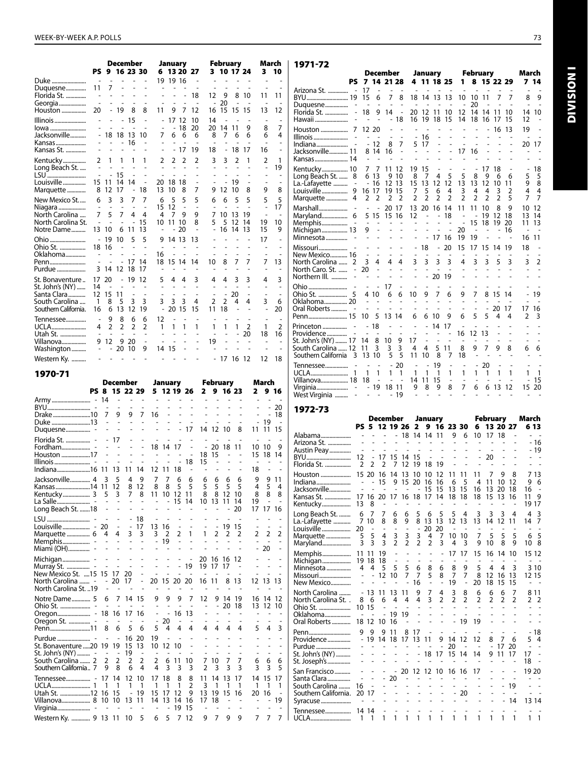|                                                    |                     |                                |                      | <b>December</b><br>9 16 23 30              |                                  |                      | January        |                          |                          |                      |                | <b>February</b> |                     |                                            | March                |
|----------------------------------------------------|---------------------|--------------------------------|----------------------|--------------------------------------------|----------------------------------|----------------------|----------------|--------------------------|--------------------------|----------------------|----------------|-----------------|---------------------|--------------------------------------------|----------------------|
|                                                    | PS                  |                                |                      |                                            |                                  |                      |                |                          | 6 13 20 27               |                      |                | 3 10 17 24      |                     | 3                                          | 10                   |
| Duke<br>Duquesne                                   | 11                  | 7                              |                      |                                            |                                  |                      | 19 19 16       |                          |                          |                      |                |                 |                     |                                            |                      |
| Florida St.                                        |                     | ÷.                             |                      | $\overline{a}$<br>$\overline{\phantom{a}}$ | $\overline{a}$<br>$\overline{a}$ |                      |                | $\overline{a}$           | 18<br>L,                 | 12                   | 9<br>20        | 8<br>÷,         | 10<br>L,            | 11<br>÷,                                   | 11                   |
| Georgia<br>Houston                                 | 20                  | $\overline{\phantom{0}}$       | 19                   | 8                                          | 8                                | 11                   | 9              | 7                        | 12                       | 16                   | 15             | 15              | 15                  | 13                                         | 12                   |
| Illinois                                           |                     | $\overline{\phantom{0}}$       |                      | 15                                         | ÷,                               |                      | 17             | 12                       | 10                       | 14                   |                |                 |                     | ٠                                          | $\overline{7}$       |
| lowa<br>Jacksonville                               |                     |                                | 18 18                | 13                                         | 10                               | 7                    | 6              | 18<br>6                  | 20<br>6                  | 20<br>8              | 14<br>7        | 11<br>6         | 9<br>6              | 8<br>6                                     | 4                    |
| Kansas<br>Kansas St.                               | $\overline{a}$      | ä,                             | $\overline{a}$       | 16                                         | L,<br>$\overline{a}$             |                      | $\overline{a}$ | L,<br>17                 | L,<br>19                 | $\overline{a}$<br>18 | $\overline{a}$ | L,<br>18        | L,<br>17            | ä,<br>16                                   | L,<br>$\overline{a}$ |
| Kentucky                                           | $\overline{2}$      | 1                              | 1                    | 1                                          | 1                                | 2                    | 2              | 2                        | 2                        | 3                    | 3              | $\overline{2}$  | 1                   | 2                                          | 1                    |
| Long Beach St.<br>LSU                              | ÷.<br>L,            | ÷,                             | $\overline{a}$<br>15 | ÷,                                         | ÷,                               | $\overline{a}$<br>÷. |                |                          | L,<br>÷.                 |                      | ÷,             | L,<br>L,        |                     | $\overline{a}$<br>$\overline{\phantom{m}}$ | 19                   |
| Louisville                                         | 15                  | 11                             | 14                   | 14                                         | $\overline{a}$                   | 20                   | 18             | 18                       | $\overline{a}$           |                      |                | 19              | $\overline{a}$      |                                            |                      |
| Marquette<br>New Mexico St                         | 8                   | 12<br>3                        | 17<br>3              |                                            | 18                               | 13                   | 10<br>5        | 8                        | 7                        | 9                    | 12             | 10<br>5         | 8<br>5              | 9<br>5                                     | 8<br>5               |
| Niagara                                            | 6<br>$\overline{a}$ |                                |                      | 7                                          | 7<br>$\overline{a}$              | 6<br>15              | 12             | 5<br>÷,                  | 5<br>$\overline{a}$      | 6                    | 6              |                 | L,                  | $\overline{a}$                             | 17                   |
| North Carolina<br>North Carolina St.<br>Notre Dame | 7<br>13             | 5<br>10                        | 7<br>L,<br>6         | 4<br>11                                    | 4<br>15<br>13                    | 4<br>10              | 7<br>11        | 9<br>10<br>20            | 9<br>8                   | 7<br>5               | 10<br>5<br>16  | -13<br>12<br>14 | -19<br>14<br>13     | $\overline{a}$<br>19<br>15                 | 10<br>9              |
| Ohio                                               |                     | 19                             | 10                   | 5                                          | 5                                |                      | 9 14 13        |                          | 13                       |                      |                |                 |                     | 17                                         |                      |
| Ohio St.<br>Oklahoma                               | 18                  | 16                             |                      |                                            |                                  | 16                   |                |                          |                          |                      |                |                 | $\overline{a}$      |                                            |                      |
| Penn<br>Purdue                                     | L,                  | 3 14                           | 12                   | 17<br>18                                   | 14<br>17                         | 18                   | 15 14          |                          | 14                       | 10                   | 8              | 7               | 7<br>L,             | 7<br>L,                                    | 13                   |
| St. Bonaventure                                    | 17                  | 20                             |                      | 19                                         | 12                               | 5                    | 4              | 4                        | 3                        | 4                    | 4              | 3               | 3                   | 4                                          | 3                    |
| St. John's (NY)<br>Santa Clara                     | 14<br>12            | 15                             | $\overline{a}$<br>11 | $\blacksquare$                             | $\overline{\phantom{a}}$         | $\overline{a}$       |                | $\overline{\phantom{a}}$ | $\overline{\phantom{a}}$ | $\overline{a}$       | $\overline{a}$ | ÷,<br>20        | $\overline{a}$      | ä,<br>٠                                    |                      |
| South Carolina                                     | 1                   | 8                              | 5                    | 3                                          | 3                                | 3                    | 3              | 3                        | 4                        | $\overline{2}$       | $\overline{2}$ | 4               | 4                   | 3                                          | 6                    |
| Southern California.                               | 16                  | 6                              | 13                   | 12                                         | 19                               | L,                   | 20             | 15                       | 15                       | 11                   | 18             |                 |                     |                                            | 20                   |
| Tennessee<br>UCLA                                  | 4                   | 9<br>$\overline{2}$            | 8<br>$\overline{2}$  | 6<br>$\overline{2}$                        | 6<br>$\overline{2}$              | 12<br>1              | 1              | 1                        | 1                        | 1                    | 1              | 1               | ٠<br>$\overline{2}$ | 1                                          | $\overline{2}$       |
| Utah St.<br>Villanova                              | 9                   | $\overline{\phantom{a}}$<br>12 | ÷<br>9               | ÷<br>20                                    | $\overline{a}$                   |                      |                |                          | L,<br>$\overline{a}$     | ÷,<br>19             | L,             | $\overline{a}$  | 20                  | 18                                         | 16                   |
| Washington                                         |                     |                                | 20                   | 10                                         | 9                                |                      | 14 15          |                          |                          |                      |                |                 |                     |                                            |                      |
| Western Ky.                                        |                     |                                |                      |                                            |                                  |                      |                |                          |                          |                      | 17             | 16              | -12                 | 12                                         | 18                   |
|                                                    |                     |                                |                      |                                            |                                  |                      |                |                          |                          |                      |                |                 |                     |                                            |                      |

| 4<br>л. |  |
|---------|--|
|---------|--|

|                                         |                               |                                 | <b>December</b>               |                      |                                  | January                          |                                  |                                  |                          | <b>February</b>                |                      |                        |          | March                             |
|-----------------------------------------|-------------------------------|---------------------------------|-------------------------------|----------------------|----------------------------------|----------------------------------|----------------------------------|----------------------------------|--------------------------|--------------------------------|----------------------|------------------------|----------|-----------------------------------|
|                                         |                               |                                 | PS 8 15 22 29                 |                      |                                  |                                  |                                  | 5 12 19 26                       | $\mathbf{2}$             |                                | 9 16 23              |                        | 2        | 9 16                              |
|                                         | 14                            | $\overline{a}$                  | $\overline{a}$                | $\overline{a}$       | $\overline{a}$<br>$\overline{a}$ | $\overline{\phantom{a}}$         | $\overline{\phantom{a}}$         | $\overline{a}$<br>$\overline{a}$ | ÷<br>÷.                  | $\overline{a}$                 | $\blacksquare$       | ÷,<br>L,               | ٠        | ä,<br>-20                         |
| Drake10                                 | 7                             | 9                               | 9                             | 7                    | 16                               | $\overline{a}$                   | $\overline{a}$                   |                                  | L,                       | L.                             |                      | $\overline{a}$         |          | $-18$                             |
| Duke 13                                 |                               | ÷,                              |                               |                      |                                  |                                  |                                  | L,<br>17                         | $\overline{\phantom{a}}$ | 14 12 10                       |                      | $\overline{a}$<br>8    | 11       | -19<br>$\overline{a}$<br>11<br>15 |
| Florida St.                             | $\overline{\phantom{0}}$      | 17                              |                               |                      |                                  |                                  |                                  |                                  |                          |                                |                      |                        |          |                                   |
| Houston 17                              |                               | ÷.                              | $\overline{a}$<br>L.          | ÷,                   | 18<br>L,                         | -14<br>$\overline{a}$            | 17<br>L,                         | ÷.<br>$\overline{a}$             | ÷,<br>18                 | 20<br>15                       | 18<br>$\frac{1}{2}$  | 11<br>L,               | 10<br>15 | 10<br>9<br>18<br>14               |
| Indiana16                               | 11                            | 13                              | 11                            | $\overline{a}$<br>14 | Ĭ.<br>12                         | 11                               | $\overline{a}$<br>18             | 18<br>L,                         | 15<br>$\overline{a}$     | L,<br>L,                       |                      |                        | ٠<br>18  |                                   |
|                                         |                               |                                 |                               |                      |                                  |                                  |                                  |                                  |                          |                                |                      |                        |          |                                   |
| Jacksonville 4<br>Kansas 14             | 3<br>11                       | 5<br>12                         | 4<br>8                        | 9<br>12              | 7<br>8                           | 7<br>8                           | 6<br>5                           | 6<br>5                           | 6<br>5                   | 6<br>5                         | 6<br>5               | 6<br>5                 | 9<br>4   | 9<br>11<br>5<br>4                 |
|                                         | 5                             | 3                               | 7                             | 8                    | 11                               | 10 12                            |                                  | 11                               | 8                        | 8                              | 12                   | 10                     | 8        | 8<br>8                            |
|                                         |                               | $\overline{a}$                  |                               | L,                   |                                  |                                  | 15                               | 14                               | 10                       | 13                             | 11                   | 14                     | 19       | $\overline{a}$<br>$\overline{a}$  |
| Long Beach St. 18                       |                               | $\overline{a}$                  |                               |                      |                                  |                                  | $\overline{\phantom{0}}$         | $\overline{a}$                   |                          |                                | L,                   | 20                     | 17       | 17<br>-16                         |
|                                         |                               | $\overline{a}$                  | $\overline{a}$                | 18                   | $\overline{\phantom{a}}$         | $\overline{\phantom{a}}$         | ٠                                |                                  |                          |                                |                      |                        |          |                                   |
| Marquette  6                            | 20<br>4                       | $\overline{\phantom{m}}$<br>4   | $\overline{\phantom{a}}$<br>3 | 17<br>3              | 13<br>3                          | 16<br>$\overline{2}$             | $\overline{\phantom{m}}$<br>2    | $\overline{\phantom{a}}$<br>1    | 1                        | $\overline{2}$                 | 19<br>$\overline{2}$ | 15<br>$\overline{2}$   | 2        | $\overline{2}$<br>2               |
|                                         | $\overline{a}$                | $\overline{\phantom{a}}$        | $\overline{\phantom{a}}$      | ÷,                   | $\overline{a}$                   | 19                               | $\overline{a}$                   | ÷,                               |                          |                                | L.                   |                        |          |                                   |
|                                         |                               |                                 | ÷,                            |                      |                                  | $\overline{a}$                   |                                  |                                  |                          |                                |                      |                        |          | 20                                |
|                                         | $\overline{a}$                | $\overline{a}$                  | $\overline{\phantom{a}}$      |                      |                                  |                                  |                                  | $\overline{a}$                   | 20                       | 16                             | 16                   | -12                    |          |                                   |
|                                         |                               | ÷,                              | $\overline{a}$                | L,<br>÷,             | $\qquad \qquad \blacksquare$     | $\overline{a}$<br>$\overline{a}$ | $\overline{a}$<br>$\overline{a}$ | 19                               | 19<br>$\overline{a}$     | 17<br>$\overline{\phantom{a}}$ | 17<br>$\overline{a}$ |                        |          |                                   |
| New Mexico St. 15<br>North Carolina  -  | 15 17<br>$\blacksquare$       | 20                              | 20<br>17                      | $\overline{a}$       | $\overline{\phantom{a}}$<br>20   |                                  | 15 20 20                         | $\overline{a}$                   | 16 11                    |                                |                      | $\overline{a}$<br>8 13 | 12       | 13<br>-13                         |
| North Carolina St. 19                   | $\overline{a}$                |                                 |                               |                      |                                  |                                  |                                  |                                  |                          |                                |                      |                        |          |                                   |
| Notre Dame 5                            | 6                             | 7                               | 14 15                         |                      | 9                                | 9                                | 9                                | 7                                | 12                       | 9                              | 14                   | 19                     | 16       | 14<br>-12                         |
|                                         |                               | ÷,                              |                               | ÷,                   |                                  |                                  | $\overline{a}$                   | $\overline{a}$                   | L,                       | $\overline{a}$                 | 20                   | 18                     | 13       | 12<br>10                          |
|                                         | 18                            | -16<br>$\overline{\phantom{0}}$ | 17                            | 16                   |                                  | $\overline{a}$<br>20             | 16                               | 13                               |                          | $\overline{a}$                 | $\overline{a}$       |                        | L,       |                                   |
| Penn11                                  | 8                             | 6                               | 5                             | 6                    | 5                                | 4                                | 4                                | 4                                | 4                        | 4                              | 4                    | 4                      | 5        | 3<br>4                            |
|                                         |                               | $\overline{a}$                  | 16                            | 20                   | 19                               |                                  |                                  |                                  |                          |                                |                      |                        |          |                                   |
| St. Bonaventure 20                      | 19                            | 19                              | 15                            | 13                   | 10                               | 12                               | 10                               | $\overline{a}$                   |                          |                                |                      |                        |          |                                   |
| St. John's (NY)  -<br>South Carolina  2 | $\overline{\phantom{a}}$<br>2 | $\overline{\phantom{a}}$<br>2   | 19<br>2                       | $\overline{a}$<br>2  | 2                                | 6                                | 11                               | 10                               | 7                        | 10                             | 7                    | 7                      | 6        | 6<br>6                            |
| Southern California 7                   | 9                             | 8                               | 6                             | 4                    | 4                                | 3                                | 3                                | 3                                | $\mathfrak{p}$           | 3                              | 3                    | 3                      | 3        | 3<br>5                            |
| Tennessee                               | -17                           | 14                              | 12                            | 10                   | 17                               | 18                               | 8                                | 8                                | 11                       | 14                             | 13                   | 17                     | 14       | 15<br>17                          |
|                                         | 1                             | 1                               | 1                             | 1                    | 1                                | 1                                | 1                                | $\overline{2}$                   | 3                        | 1                              | 1                    | 1                      | 1        | 1<br>1                            |
| Utah St. 12<br>Villanova 8              | -16<br>10                     | 15<br>10                        | $\frac{1}{2}$<br>13           | 19<br>11             | 15<br>14                         | 17<br>13                         | 12<br>14                         | 9<br>16                          | 13<br>17                 | 19<br>18                       | 15                   | 16                     | 20       | 16<br>$\overline{a}$<br>19        |
|                                         |                               |                                 |                               |                      |                                  |                                  | 19                               | 15                               |                          |                                |                      |                        |          |                                   |
| Western Ky.  9 13 11                    |                               |                                 | 10                            | 5                    | 6                                | 5                                | 7                                | 12                               | 9                        | 7                              | 9                    | 9                      | 7        | 7<br>7                            |

| 1971-72                                                                                                                         |                                                              |                                                                            |                                                      |                          |                                      |                                      |                                   |                                    |                                                    |                                        |                                                       |                                      |                               |                           |                        |
|---------------------------------------------------------------------------------------------------------------------------------|--------------------------------------------------------------|----------------------------------------------------------------------------|------------------------------------------------------|--------------------------|--------------------------------------|--------------------------------------|-----------------------------------|------------------------------------|----------------------------------------------------|----------------------------------------|-------------------------------------------------------|--------------------------------------|-------------------------------|---------------------------|------------------------|
|                                                                                                                                 |                                                              |                                                                            | December                                             |                          |                                      | January                              |                                   |                                    |                                                    | <b>February</b>                        |                                                       |                                      |                               | March                     |                        |
| PS                                                                                                                              |                                                              |                                                                            | 7 14 21 28                                           |                          |                                      |                                      |                                   | 4 11 18 25                         | 1.                                                 |                                        |                                                       | 8 15 22 29                           |                               | 7                         | 14                     |
| Arizona St.<br>Duquesne                                                                                                         | 17<br>15<br>$\overline{a}$                                   | $\overline{a}$<br>6<br>L,                                                  | $\overline{a}$<br>7                                  | $\overline{a}$<br>8<br>٠ | $\overline{a}$<br>18<br>÷            | $\overline{\phantom{a}}$<br>-14<br>÷ | $\overline{\phantom{a}}$<br>13 13 | $\overline{a}$<br>÷                | ٠<br>10<br>$\overline{a}$                          | $\overline{a}$<br>10<br>20             | ٠<br>11                                               | 7                                    | 7                             | ٠<br>8<br>ä,              | 9                      |
| Florida St.<br>Hawaii                                                                                                           | 18<br>L.                                                     | 9<br>L,                                                                    | 14<br>-                                              | $\overline{a}$<br>18     | 20<br>16                             | 12<br>19                             | 11<br>18                          | 10<br>15                           | 12<br>14                                           | 14<br>18                               | -14<br>16                                             | 11<br>17                             | 10<br>15                      | 14<br>12                  | 10                     |
| 7<br>Houston<br>Illinois                                                                                                        |                                                              | 12 20                                                                      |                                                      | ٠                        |                                      | 16                                   |                                   |                                    |                                                    |                                        |                                                       | 16                                   | 13<br>$\overline{a}$          | 19                        |                        |
| Indiana<br>Jacksonville 11<br>Kansas  14                                                                                        | $\overline{\phantom{a}}$<br>$\overline{a}$                   | 12<br>8 14<br>L,                                                           | 8<br>16                                              | 7<br>÷,                  | 5                                    | 17                                   |                                   | L,                                 | L,<br>17                                           | 16                                     |                                                       |                                      |                               | 20                        | 17                     |
| Kentucky 10<br>Long Beach St.<br>8<br>La.-Lafayette<br>Louisville<br>9<br>4                                                     | 7<br>$\overline{a}$<br>2                                     | 7<br>6 13<br>16<br>16 17<br>$\overline{2}$                                 | 11 12<br>12 13<br>19 15<br>$\overline{2}$            | 9 10<br>2                | 19<br>8<br>15<br>7<br>$\overline{2}$ | 15<br>7<br>13<br>5<br>$\overline{2}$ | 4<br>12<br>6<br>2                 | 5<br>12<br>4<br>$\overline{2}$     | 5<br>13<br>3<br>$\overline{2}$                     | 8<br>13<br>4<br>$\overline{2}$         | 17<br>9<br>12<br>4<br>$\overline{2}$                  | 18<br>6<br>10<br>3<br>$\overline{2}$ | 6<br>11<br>2<br>5             | -<br>5<br>9<br>4<br>7     | 18<br>5<br>8<br>4<br>7 |
| Marquette<br>Marshall<br>$\overline{a}$<br>Maryland<br>6<br>Memphis<br>$\overline{\phantom{a}}$<br>Michigan 13<br>Minnesota     | $\overline{a}$<br>۰<br>9                                     | $\overline{a}$<br>5 15<br>$\overline{\phantom{a}}$<br>$\overline{a}$<br>÷, | 20<br>15 16<br>$\overline{a}$                        | 17<br>$\overline{a}$     | 13<br>12                             | 20                                   | 16<br>-<br>17                     | 14<br>18<br>L,<br>16               | 11<br>$\overline{a}$<br>$\overline{a}$<br>20<br>19 | 11<br>15<br>$\overline{a}$<br>19       | 10<br>19<br>18                                        | 8<br>12<br>19                        | 9<br>18<br>20<br>16           | 10<br>13<br>11<br>16      | 12<br>14<br>13<br>11   |
| Missouri<br>New Mexico 16<br>North Carolina<br>2<br>North Caro. St.<br>Northern III.                                            | 3<br>20                                                      | $\overline{\phantom{a}}$<br>4<br>$\overline{a}$<br>L,                      | 4<br>L.<br>L,                                        | ÷<br>4                   | 3<br>٠<br>$\overline{a}$             | 18<br>3<br>$\overline{a}$            | 3<br>$\overline{a}$<br>20         | 20<br>3<br>19                      | 15<br>4                                            | 17<br>3                                | 15<br>3                                               | 14<br>5                              | 19<br>3                       | 18<br>3                   | $\overline{2}$         |
| Ohio<br>Oklahoma 20<br>Oral Roberts                                                                                             | $\overline{\phantom{a}}$<br>$\overline{\phantom{a}}$<br>10   | $\overline{\phantom{a}}$<br>4 10<br>÷,<br>5                                | 17<br>6<br>13 14                                     | ٠<br>6                   | 10<br>6                              | 9<br>6                               | 7<br>10                           | 6<br>$\overline{a}$<br>9           | 9<br>۰<br>L,<br>6                                  | 7<br>5                                 | 8<br>5                                                | 15<br>20<br>4                        | 14<br>17<br>4                 | 17<br>2                   | 19<br>16<br>3          |
| Princeton<br>Providence<br>$\overline{a}$<br>St. John's (NY)  17<br>12  South Carolina<br>Southern California<br>$\overline{3}$ | $\overline{\phantom{a}}$<br>$\overline{a}$<br>14<br>11<br>13 | 18<br>L,<br>8<br>3<br>10                                                   | L,<br>10<br>3<br>5                                   | 9<br>3<br>5              | $\overline{a}$<br>17<br>4<br>11      | $\overline{a}$<br>4<br>10            | 14<br>L,<br>5<br>8                | 17<br>ä,<br>11<br>7                | $\overline{a}$<br>16<br>ä,<br>8<br>18              | L,<br>12<br>÷.<br>9                    | $\overline{\phantom{a}}$<br>13<br>$\overline{a}$<br>7 | 9                                    | $\overline{\phantom{a}}$<br>8 | $\overline{a}$<br>6       | $\overline{a}$<br>6    |
| Tennessee<br>UCLA<br>1<br>Villanova 18<br>Virginia<br>West Virginia<br>$\overline{a}$                                           | 1<br>18<br>Ĭ.                                                | $\overline{a}$<br>1<br>$\overline{\phantom{a}}$<br>L,                      | 1<br>$\overline{a}$<br>$-19$ 18 11<br>$\overline{a}$ | $-20$<br>1<br>-19        | 1<br>14<br>9                         | 1<br>11<br>8<br>L,                   | 19<br>1<br>15<br>9                | 1<br>$\overline{\phantom{a}}$<br>8 | 1<br>$\frac{1}{2}$<br>7                            | 1<br>$\qquad \qquad \blacksquare$<br>6 | 20<br>1<br>$\overline{a}$<br>6                        | 1<br>-13                             | 1<br>$\overline{a}$<br>12     | 1<br>$\overline{a}$<br>15 | 1<br>15<br>20          |

|                                                                                    |                                            |                                                          | December                                                     |                               |                                                 |                                                               | January                              |                           |                                       |                            |                            | <b>February</b>                                          |                                      |                                              | March                                                                    |
|------------------------------------------------------------------------------------|--------------------------------------------|----------------------------------------------------------|--------------------------------------------------------------|-------------------------------|-------------------------------------------------|---------------------------------------------------------------|--------------------------------------|---------------------------|---------------------------------------|----------------------------|----------------------------|----------------------------------------------------------|--------------------------------------|----------------------------------------------|--------------------------------------------------------------------------|
|                                                                                    |                                            |                                                          | PS 5 12 19 26                                                |                               |                                                 | 2                                                             |                                      |                           | 9 16 23 30                            |                            | 6                          |                                                          | 13 20 27                             |                                              | 6 13                                                                     |
| Alabama<br>Arizona St.<br>Austin Peay                                              |                                            |                                                          |                                                              |                               | 18                                              | 14                                                            | 14<br>$\overline{\phantom{a}}$       | -11                       | 9<br>L,                               | 6                          | 10                         | 17                                                       | 18                                   |                                              | - 16<br>$-19$                                                            |
| BYU<br>Florida St.                                                                 | 12<br>$\overline{2}$                       | 2                                                        | 17<br>$\overline{2}$                                         | 15<br>7                       | -14<br>12                                       | 15<br>19                                                      | $\overline{a}$<br>18                 | 19                        |                                       |                            |                            | 20                                                       |                                      |                                              | ÷,                                                                       |
| Houston<br>Indiana<br>Jacksonville<br>Kansas St.<br>Kentucky                       | 15<br>13                                   | 20<br>17 16<br>8                                         | 16<br>15<br>20                                               | 14<br>9<br>17                 | 13<br>15<br>16                                  | 10<br>20<br>18                                                | 10<br>16<br>15<br>17                 | 12<br>16<br>15<br>14      | 11<br>6<br>13<br>18                   | 11<br>5<br>15<br>18        | 11<br>4<br>16<br>18        | 7<br>11<br>13<br>15                                      | 9<br>10<br>20<br>13                  | 8<br>12<br>18<br>16                          | 13<br>7<br>9<br>6<br>16<br>$\overline{a}$<br>9<br>11<br>17<br>19         |
| Long Beach St.<br>La.-Lafayette<br>Louisville<br>Marquette<br>Maryland             | 6<br>7<br>20<br>5<br>3                     | 7<br>10<br>5<br>3                                        | 7<br>8<br>4<br>3                                             | 6<br>8<br>3<br>$\mathfrak{p}$ | 6<br>9<br>$\overline{a}$<br>3<br>$\overline{2}$ | 5<br>8<br>$\qquad \qquad \blacksquare$<br>3<br>$\overline{2}$ | 6<br>13<br>20<br>4<br>$\overline{2}$ | 5<br>13<br>20<br>7<br>3   | 5<br>12<br>÷<br>10<br>4               | 4<br>13<br>10<br>3         | 3<br>13<br>7<br>9          | 3<br>14<br>5<br>10                                       | 3<br>12<br>5<br>8                    | 4<br>11<br>5<br>9                            | 3<br>4<br>7<br>14<br>٠<br>5<br>6<br>8<br>10                              |
| Memphis<br>Michigan<br>Minnesota<br>Missouri<br>New Mexico                         | 11<br>19<br>4                              | 11<br>18<br>$\overline{4}$                               | 19<br>18<br>5<br>12                                          | 5<br>10                       | ٠<br>$\overline{a}$<br>5<br>7                   | L,<br>6<br>7<br>16                                            | 8<br>5                               | 6<br>8<br>$\overline{a}$  | 17<br>٠<br>8<br>7<br>19               | 17<br>9<br>7<br>L,         | 15<br>5<br>8<br>20         | 16<br>4<br>12<br>18                                      | 14<br>4<br>16<br>15                  | 10<br>3<br>13<br>15                          | 15<br>12<br>3 10<br>12 15                                                |
| North Carolina<br>North Carolina St<br>Ohio St.<br>Oklahoma<br>Oral Roberts        | 8                                          | - 13<br>6<br>10 15<br>18 12                              | 11<br>6<br>10                                                | 13<br>4<br>19<br>16           | 11<br>4<br>19                                   | 9<br>4                                                        | 7<br>3                               | 4<br>$\overline{2}$<br>L. | 3<br>$\overline{2}$<br>$\overline{a}$ | 8<br>$\overline{2}$<br>19  | 6<br>$\overline{2}$<br>19  | 6<br>$\overline{2}$                                      | 6<br>$\overline{2}$                  | 7<br>$\overline{2}$<br>ä,                    | 8 1 1<br>$\overline{2}$<br>2<br>ä,                                       |
| Penn<br>Providence<br>Purdue<br>St. John's (NY)<br>St. Joseph's                    | 9<br>$\overline{a}$<br>L,<br>L,<br>L,      | 9<br>19<br>$\overline{\phantom{a}}$                      | 9<br>14<br>$\overline{a}$                                    | 11<br>18<br>÷,                | 8<br>17                                         | 17<br>13                                                      | 11<br>$\overline{a}$<br>18           | 9<br>$\overline{a}$<br>17 | 14<br>20<br>15                        | 12<br>$\overline{a}$<br>14 | 12<br>÷,<br>14             | 8<br>9                                                   | 7<br>17<br>11                        | 6<br>20<br>17                                | - 18<br>5<br>4<br>L,<br>$\overline{\phantom{a}}$<br>17<br>L,<br>18<br>L, |
| San Francisco<br>Santa Clara<br>South Carolina<br>Southern California.<br>Syracuse | $\overline{\phantom{0}}$<br>L,<br>16<br>20 | $\overline{a}$<br>$\overline{a}$<br>$\overline{a}$<br>17 | $\overline{a}$<br>$\overline{a}$<br>$\overline{\phantom{a}}$ | 20                            | 20                                              | 12<br>L,                                                      | $12 \overline{ }$<br>L,<br>÷.        | 10<br>L,<br>L,            | 16<br>$\overline{a}$                  | 16<br>20                   | 17<br>ä,<br>$\overline{a}$ | $\overline{a}$<br>$\overline{a}$<br>L,<br>$\overline{a}$ | L,<br>÷.<br>$\overline{\phantom{0}}$ | $\overline{a}$<br>$\overline{a}$<br>19<br>14 | 19<br>20<br>٠<br>13 14                                                   |
| Tennessee<br>UCLA                                                                  | 14<br>1                                    | 14<br>1                                                  | 1                                                            | 1                             | 1                                               | 1                                                             | 1                                    | 1                         | 1                                     | 1                          | 1                          | 1                                                        | 1                                    | 1                                            | 1<br>1                                                                   |

**DIVISION1** Division I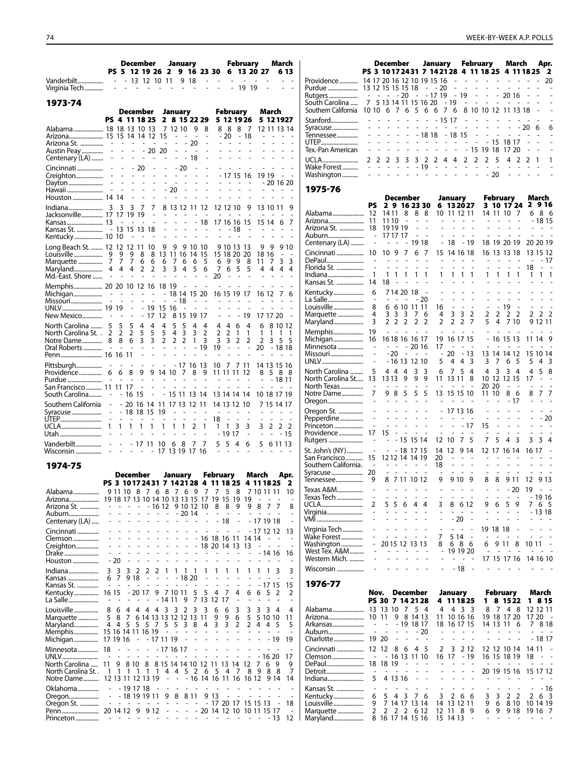|                                       |                            |                                   |                                 | December<br>PS 5 12 19 26 2      |                                            |                                            | January                                    |                           |                          | 9 16 23 30                        |                                                   | 6                    |                                            | February                       | 13 20 27                        |                     | March                          | 6 13                          |
|---------------------------------------|----------------------------|-----------------------------------|---------------------------------|----------------------------------|--------------------------------------------|--------------------------------------------|--------------------------------------------|---------------------------|--------------------------|-----------------------------------|---------------------------------------------------|----------------------|--------------------------------------------|--------------------------------|---------------------------------|---------------------|--------------------------------|-------------------------------|
| Vanderbilt<br>Virginia Tech           |                            | $\overline{\phantom{a}}$<br>L.    |                                 | $-13$ 12 10 11                   |                                            |                                            |                                            | $\overline{a}$            | 9 18<br>$\sim$           | $\overline{a}$<br>L.              | $\overline{\phantom{a}}$                          |                      | $\overline{\phantom{a}}$<br>$\overline{a}$ | L.<br>19 19                    |                                 |                     |                                |                               |
| 1973-74                               |                            |                                   |                                 | December                         |                                            |                                            | January                                    |                           |                          |                                   |                                                   |                      | February                                   |                                |                                 | March               |                                |                               |
|                                       |                            |                                   |                                 | PS 4 11 18 25                    |                                            |                                            |                                            |                           | 2 8 15 22 29             |                                   |                                                   |                      |                                            | 5 12 19 26                     |                                 | 5 12 19 27          |                                |                               |
| Alabama 18 18 13 10 13                |                            |                                   |                                 |                                  |                                            |                                            | 7 12 10                                    |                           | 9                        | 8                                 | 8                                                 | 8                    | 8                                          | -7                             |                                 | 12 11 13 14         |                                |                               |
| Arizona 15 15 14 14 12                |                            |                                   |                                 |                                  |                                            | 15                                         | $\overline{a}$                             |                           |                          | $\overline{a}$                    |                                                   | $-20$                |                                            | - 18                           |                                 |                     |                                |                               |
| Arizona St.<br>Austin Peay            |                            | $\frac{1}{2}$                     | $\frac{1}{2}$                   | $\qquad \qquad \blacksquare$     | $\overline{\phantom{a}}$<br>20             | 20                                         | $\overline{a}$                             | $\overline{a}$            | 20<br>÷,                 |                                   |                                                   |                      |                                            |                                |                                 |                     |                                |                               |
| Centenary (LA)                        | Ĭ.                         | $\overline{a}$                    |                                 |                                  | $\sim$                                     | $\overline{a}$                             | $\overline{a}$                             |                           | $-18$                    |                                   |                                                   |                      |                                            |                                |                                 |                     |                                |                               |
| Cincinnati                            |                            | $\overline{a}$                    |                                 | - 20                             | $\overline{a}$                             | $\overline{a}$                             |                                            | $-20$                     | $\overline{a}$           |                                   |                                                   |                      |                                            |                                |                                 |                     |                                |                               |
| Creighton<br>Dayton                   | $\overline{a}$             | $\overline{a}$<br>$\overline{a}$  | ÷,                              | $\overline{a}$<br>$\overline{a}$ | L<br>L,                                    | L,                                         | $\overline{a}$                             | L,                        |                          | L,                                | $\overline{a}$                                    | - 17 15              | L,                                         | 16<br>$\overline{\phantom{a}}$ |                                 | 19 19<br>- 20 16 20 |                                |                               |
|                                       |                            | ÷,                                | $\overline{a}$                  | $\overline{a}$                   | $\overline{a}$                             | ÷.                                         | 20                                         | L,                        |                          |                                   |                                                   |                      |                                            |                                |                                 |                     | ٠                              |                               |
| Houston  14 14                        |                            |                                   | $\overline{a}$                  | $\overline{a}$                   | $\overline{a}$                             |                                            |                                            |                           |                          |                                   |                                                   |                      |                                            |                                |                                 |                     |                                |                               |
| Indiana                               | 3                          | 3                                 | 3                               | 7                                | 7                                          |                                            |                                            |                           | 8 13 12 11 12            |                                   |                                                   | 12 12 10             |                                            | 9                              |                                 | 13 10 11            |                                | 9                             |
| Jacksonville 17 17 19 19<br>Kansas 13 |                            | ÷.                                | ٠                               | L.                               | ÷.<br>÷.                                   | ÷<br>L.                                    | ÷                                          | L.<br>$\overline{a}$      |                          | $\overline{\phantom{a}}$<br>$-18$ | $\overline{a}$                                    |                      | 17 16 16 15                                | $\overline{\phantom{a}}$       | $\overline{a}$                  | 15 14               | 6                              | 7                             |
|                                       |                            | 13                                |                                 | 15 13                            | 18                                         | L.                                         | L.                                         | $\overline{a}$            | $\overline{a}$           | $\sim$                            |                                                   |                      | - 18                                       | $\overline{\phantom{a}}$       | ٠                               |                     |                                |                               |
| Kentucky 10 10                        |                            |                                   |                                 |                                  |                                            |                                            |                                            |                           |                          |                                   |                                                   |                      |                                            |                                |                                 |                     |                                |                               |
| Long Beach St.  12 12 12 11           |                            |                                   |                                 |                                  | 10                                         | 9                                          | 9                                          |                           | 9 10 10                  |                                   |                                                   | 9 10 13              |                                            | -13                            | 9                               | 9                   |                                | 9 10                          |
| Louisville<br>Marquette               | 9<br>7                     | 9<br>7                            | 9<br>7                          | 8<br>6                           | 8<br>6                                     | 6                                          | 13 11 16 14<br>7                           | 6                         | 6                        | 15<br>5                           |                                                   | 69                   | 15 18 20 20<br>- 9                         | 8                              | 11                              | 18 16<br>7          | $\overline{a}$<br>3            | 3                             |
| Maryland                              | 4                          | 4                                 | 4                               | 2                                | 2                                          | 3                                          | 3                                          | 4                         | 5                        | 6                                 | 7                                                 | 6                    | 5                                          | 5                              | 4                               | 4                   | 4                              | 4                             |
| Md.-East. Shore                       |                            |                                   |                                 |                                  |                                            |                                            |                                            |                           | ÷.                       | ÷,                                | 20                                                |                      | ÷.                                         | $\overline{a}$                 |                                 |                     |                                |                               |
| Memphis 20 20 10 12 16 18 19          |                            |                                   |                                 |                                  |                                            |                                            |                                            |                           |                          |                                   |                                                   |                      |                                            |                                |                                 |                     |                                |                               |
| Michigan<br>Missouri                  | Ĥ<br>÷,                    | $\sim$<br>L,                      | $\frac{1}{2}$<br>$\overline{a}$ | $\overline{a}$<br>$\overline{a}$ | $\overline{\phantom{a}}$<br>$\overline{a}$ | $\overline{\phantom{a}}$<br>$\overline{a}$ | 18 14                                      | - 18                      | 15 20                    |                                   | ٠                                                 | ٠                    | 16 15 19 17                                |                                |                                 | 16 12               | 7                              | 6                             |
|                                       |                            |                                   | $\overline{\phantom{a}}$        |                                  | - 19                                       | 15                                         | -16                                        | ÷,                        | ÷                        | L,                                |                                                   |                      |                                            | ÷,                             | L,                              | ٠                   |                                |                               |
| New Mexico                            | $\overline{\phantom{a}}$   | $\overline{a}$                    | $\overline{a}$                  | $\overline{a}$                   | 17                                         | 12                                         |                                            | 8 1 5                     | 19                       | 17                                | $\overline{a}$                                    | Ĭ.                   | $\overline{a}$                             | 19                             |                                 | 17 17 20            |                                | L,                            |
| North Carolina                        | 5                          | 5                                 | 5                               | 4                                | 4                                          | 4                                          | 5                                          | 5                         | 4                        | 4                                 | 4                                                 | 4                    | 6                                          | 4                              | 6                               |                     | 8 10 12                        |                               |
| North Carolina St. .                  | 2<br>8                     | 2<br>8                            | 2<br>6                          | 5<br>3                           | 5<br>3                                     | 5<br>$\overline{2}$                        | 4<br>$\overline{2}$                        | 3<br>2                    | 3<br>1                   | 2<br>3                            | 2<br>3                                            | 2<br>3               | 1<br>2                                     | 1<br>2                         | 1<br>$\overline{2}$             | 1<br>3              | 1<br>5                         | 1<br>5                        |
| Notre Dame<br>Oral Roberts            | $\sim$                     | $\overline{a}$                    | L.                              |                                  |                                            |                                            |                                            |                           |                          | $-19$                             | 19                                                | ÷                    |                                            |                                | 20                              |                     | - 18 18                        |                               |
| Penn 16 16 11                         |                            |                                   |                                 |                                  | $\overline{a}$                             | $\overline{a}$                             | $\overline{a}$                             |                           |                          |                                   |                                                   |                      | $\overline{a}$                             |                                |                                 |                     |                                |                               |
| Pittsburgh                            |                            |                                   |                                 |                                  |                                            |                                            |                                            |                           | - 17 16 13               |                                   | 10                                                | -7                   | 711                                        |                                |                                 | 14 13 15 16         |                                |                               |
| Providence                            | 6                          | 6                                 | 8                               | 9                                | 9                                          | 14 10                                      |                                            | 7                         | 8                        | 9                                 |                                                   | 11 11 11             |                                            | 12                             | 8                               |                     | 588                            |                               |
| Purdue<br>San Francisco 11            | $\overline{\phantom{a}}$   | $\overline{\phantom{a}}$<br>11 17 | $\overline{\phantom{a}}$        | $\overline{a}$                   |                                            |                                            |                                            |                           |                          |                                   |                                                   |                      |                                            |                                |                                 | $\overline{a}$      | $-1811$<br>÷.                  |                               |
| South Carolina                        | $\overline{a}$             |                                   | - 16                            | 15                               | $\overline{\phantom{a}}$                   |                                            |                                            |                           | - 15 11 13 14            |                                   |                                                   |                      | 13 14 14 14                                |                                |                                 | 10 18 17 19         |                                |                               |
| Southern California                   | $\overline{a}$             |                                   |                                 | $-20$ 16 14                      |                                            | 11                                         |                                            | 17 13                     | 12 11                    |                                   |                                                   | 14 13 12             |                                            | 10                             |                                 | 7 15 14 17          |                                |                               |
| Syracuse                              | $\frac{1}{2}$              |                                   |                                 | - 18 18 15                       |                                            | 19                                         |                                            |                           |                          |                                   |                                                   |                      |                                            |                                |                                 |                     |                                |                               |
| UTEP                                  | $\overline{\phantom{a}}$   | $\overline{\phantom{a}}$<br>1     | $\sim$<br>1                     | $\overline{a}$<br>1              | $\overline{\phantom{a}}$<br>1              | L,<br>1                                    | L,<br>1                                    | L,<br>1                   | ÷,<br>2                  | L,<br>1                           | 18<br>1                                           | L,<br>1              | 3                                          | 3                              | 3                               | L.<br>2             | ÷<br>2                         | 2                             |
| Utah                                  |                            |                                   |                                 |                                  |                                            |                                            |                                            |                           | ÷,                       | ÷,                                |                                                   | - 19 17              |                                            | $\overline{a}$                 |                                 |                     |                                | - 15                          |
| Vanderbilt                            | $\overline{\phantom{a}}$   | $\overline{\phantom{a}}$          |                                 | $-1711$                          |                                            | 10                                         | 6                                          | 8                         | 7                        | 7                                 | 5                                                 | 5                    | 4                                          | 6                              | 5                               |                     | 6 11 13                        |                               |
| Wisconsin                             | $\overline{a}$             | ÷.                                |                                 |                                  |                                            | 17                                         |                                            |                           | 13 19 17 16              |                                   |                                                   |                      |                                            |                                |                                 |                     |                                |                               |
| 1974-75                               |                            |                                   |                                 |                                  |                                            |                                            |                                            |                           |                          |                                   |                                                   |                      |                                            |                                |                                 |                     |                                |                               |
|                                       |                            |                                   |                                 | <b>December</b>                  |                                            |                                            | January                                    |                           |                          |                                   | February                                          |                      |                                            |                                | March                           |                     |                                | Apr.                          |
|                                       |                            |                                   |                                 |                                  |                                            |                                            |                                            |                           |                          |                                   | PS 3 10172431 7 142128 4 11 18 25                 |                      |                                            |                                | 4 11 18 25                      |                     |                                | - 2                           |
| Alabama                               |                            |                                   |                                 | 9 11 10 8 7                      |                                            |                                            |                                            |                           |                          |                                   |                                                   |                      |                                            |                                | 6 8 7 6 9 7 7 5 8 7 10 11 11 10 |                     |                                |                               |
| Arizona<br>Arizona St.                |                            |                                   |                                 |                                  |                                            | - 16 12                                    |                                            |                           | 9 10 12 10               |                                   | 19 18 17 13 10 14 10 13 13 15 17 19 15 19 19<br>8 | 8                    | 9                                          |                                | $\sim$<br>98                    | 7                   | 7                              | $\overline{a}$<br>8           |
| Auburn                                |                            |                                   |                                 |                                  |                                            | $\overline{\phantom{0}}$                   |                                            |                           | $-2014$                  | $\overline{\phantom{m}}$          |                                                   | $\overline{a}$       |                                            |                                |                                 |                     |                                | $\overline{a}$                |
| Centenary (LA)                        |                            |                                   |                                 |                                  |                                            |                                            | $\overline{a}$                             | $\overline{\phantom{a}}$  | $\overline{\phantom{a}}$ | $\overline{a}$                    |                                                   | - 18                 | $\frac{1}{2}$                              |                                | $-171918$                       |                     |                                | $\overline{a}$                |
| Cincinnati                            |                            |                                   |                                 |                                  |                                            |                                            |                                            |                           |                          | ÷,                                | L,                                                |                      | L,                                         |                                | - 17 12 12                      |                     |                                | 13                            |
| Clemson<br>Creighton                  |                            |                                   |                                 |                                  |                                            |                                            |                                            | $\overline{a}$            | $\blacksquare$           |                                   | - 16 18 16 11<br>18 20 14 13                      |                      |                                            | 14 14<br>13                    | $\sim$                          | $\overline{a}$      |                                | $\overline{\phantom{a}}$      |
| Drake                                 | ۰                          | L,                                |                                 |                                  |                                            | L,<br>Ĭ.                                   |                                            | L,                        | $\overline{a}$           | $\qquad \qquad \blacksquare$      | $\overline{\phantom{0}}$                          | $\overline{a}$       | $\qquad \qquad \blacksquare$               | $\qquad \qquad \blacksquare$   |                                 | $-1416$             |                                | 16                            |
| Houston                               |                            | - 20                              | L,                              |                                  |                                            |                                            |                                            |                           |                          | Ĭ.                                |                                                   |                      |                                            |                                |                                 |                     |                                |                               |
| Indiana                               | 3                          | 3                                 | 3                               | 2                                | 2                                          | 2<br>1                                     | 1                                          | 1                         | 1                        | 1                                 | 1                                                 | 1                    | 1                                          | 1                              | 1                               | 1                   | 3                              | 3                             |
| Kansas<br>Kansas St.                  | 6<br>ä,                    | 7<br>$\overline{\phantom{a}}$     | 918                             | ۰                                | $\overline{a}$<br>L,                       | ÷,<br>L,<br>÷                              | $\overline{a}$                             | - 18 20<br>$\overline{a}$ | $\overline{a}$           | ٠<br>$\overline{a}$               | L,<br>$\overline{a}$                              | ÷,<br>$\overline{a}$ | Ĭ.<br>$\overline{a}$                       | $\overline{a}$                 |                                 | - 17 15             |                                | 15                            |
| Kentucky                              | 16 15                      |                                   |                                 | - 20 17                          |                                            | 9                                          | 7 10 11                                    |                           | 5                        | 5                                 | 4                                                 | 7                    | 4                                          | 6                              | 6                               | 5                   | 2                              | 2                             |
| La Salle                              | $\overline{a}$             | $\overline{a}$                    | ä,                              | $\overline{a}$                   | $\overline{a}$                             | - 14 11                                    |                                            | 9                         | 7                        |                                   | 13 12 17                                          |                      | $\overline{a}$                             | $\overline{\phantom{a}}$       | $\overline{\phantom{a}}$        | ÷,                  | ÷,                             | ٠                             |
| Louisville                            | 8                          | 6                                 | 4                               | 44                               | -4                                         | 3                                          | 3                                          | 2                         | 3                        | 3                                 | 6                                                 | 6                    | 3                                          | 3                              | 3                               | 3 4                 |                                | 4                             |
| Marquette                             | 5                          | 8<br>4 4 5                        | 7                               | 6 14 13 13 12 12 13 11           |                                            |                                            |                                            |                           |                          |                                   | 9                                                 | 9<br>3               | 6<br>2                                     | 5<br>2                         | 4                               | 5 10 10             |                                | 11                            |
| Maryland<br>Memphis                   |                            |                                   |                                 | 5<br>15 16 14 11 16 19           | 57                                         | $\overline{\phantom{a}}$                   | 5 5<br>$\sim$                              | 3<br>$\overline{a}$       | 8<br>÷,                  | 4<br>÷,                           | 3<br>$\qquad \qquad \blacksquare$                 | $\overline{a}$       | $\overline{a}$                             | $\overline{\phantom{m}}$       | $\frac{1}{2}$                   | 4<br>$\overline{a}$ | -5<br>$\overline{\phantom{a}}$ | 5<br>$\overline{\phantom{a}}$ |
| Michigan                              | 17 19 16                   |                                   |                                 | $\overline{\phantom{a}}$         |                                            | - 17 11 19                                 |                                            | $\overline{a}$            | $\overline{a}$           | $\overline{a}$                    | $\overline{a}$                                    | $\overline{a}$       |                                            | $\overline{a}$                 |                                 | - 19                |                                | 19                            |
| Minnesota                             | 18                         |                                   |                                 | $\overline{a}$                   |                                            | - 17 16 17                                 |                                            |                           |                          |                                   |                                                   | L,                   |                                            |                                |                                 |                     |                                | $\overline{a}$                |
| UNLV                                  | $\overline{\phantom{a}}$   | ÷,                                |                                 | $\overline{a}$                   | ÷,                                         | $\overline{a}$<br>$\overline{a}$           | $\overline{a}$                             | $\overline{a}$            | $\overline{a}$           | $\overline{a}$                    | $\overline{\phantom{a}}$                          | $\overline{a}$       | $\overline{a}$                             | $\overline{a}$                 |                                 | $-1620$             |                                | 17                            |
| North Carolina<br>North Carolina St   | 11<br>1                    | 9<br>1                            | 8 10<br>1                       | 1                                | 8<br>1<br>$\mathbf{1}$                     | 4                                          | 4                                          | 5                         | 2                        | 6                                 | 8 15 14 14 10 12 11 13 14<br>5                    | 4                    | 7                                          | 12<br>8                        | 7<br>-9                         | 6<br>8              | 9<br>- 8                       | 9<br>7                        |
| Notre Dame                            |                            |                                   |                                 | 12 13 11 12 13 19                |                                            | $\overline{\phantom{a}}$                   | $\frac{1}{2}$                              |                           |                          |                                   | - 16 14 16 11 16 16 12                            |                      |                                            |                                |                                 | 9 14                |                                | 14                            |
| Oklahoma                              | $\overline{a}$             |                                   |                                 | - 19 17 18                       |                                            | L,                                         |                                            | ٠                         | ٠                        |                                   |                                                   |                      |                                            |                                |                                 |                     |                                | ۰                             |
| Oregon                                | $\overline{a}$             |                                   |                                 | - 18 19 19 11                    |                                            | 9                                          | 8                                          |                           | 8 1 1                    |                                   | 913                                               | $\overline{a}$       | ÷,                                         |                                |                                 |                     |                                | $\overline{\phantom{a}}$      |
| Oregon St.<br>Penn                    | $\overline{a}$<br>20 14 12 |                                   | $\omega_{\rm{eff}}$ and         | $\sim$<br>9                      | $\overline{a}$<br>$\sim$<br>9 1 2          | $\overline{\phantom{a}}$<br>$\overline{a}$ | $\overline{\phantom{a}}$<br>$\overline{a}$ | $\frac{1}{2}$<br>÷,       | $\overline{\phantom{a}}$ |                                   | - 17 20 17<br>- 20 14 12 10                       |                      |                                            |                                | 15 15 13<br>10 11 15 17         |                     | $\overline{\phantom{a}}$       | 18<br>$\overline{a}$          |
| Princeton                             | $\sim$                     | $\overline{\phantom{a}}$          | $\overline{\phantom{a}}$        | $\overline{\phantom{a}}$         | ä,                                         | L,<br>٠                                    | L,                                         | L,                        | L,                       | $\overline{a}$                    | ÷                                                 | $\overline{a}$       | ٠                                          | $\overline{\phantom{a}}$       | $\overline{a}$                  | - 13                |                                | 12                            |

|                                                  |                                        |                                            | December                                                       |                                                         |                                 |                                      | January                                      |                                                                      |                                               | February                                                                       |                                            |                                  |                                    | March                             |                               |                          | Apr.                           |
|--------------------------------------------------|----------------------------------------|--------------------------------------------|----------------------------------------------------------------|---------------------------------------------------------|---------------------------------|--------------------------------------|----------------------------------------------|----------------------------------------------------------------------|-----------------------------------------------|--------------------------------------------------------------------------------|--------------------------------------------|----------------------------------|------------------------------------|-----------------------------------|-------------------------------|--------------------------|--------------------------------|
|                                                  |                                        |                                            |                                                                |                                                         |                                 |                                      | PS 3 10172431 7 142128 4 11 18 25 4 11 18 25 |                                                                      |                                               |                                                                                |                                            |                                  |                                    |                                   |                               |                          | 2                              |
| Providence                                       |                                        |                                            |                                                                |                                                         |                                 |                                      | 14 17 20 16 12 10 19 15 16                   | $\overline{\phantom{a}}$                                             |                                               | $\sim$                                                                         | $\omega_{\rm{max}}$                        | $\overline{a}$                   |                                    |                                   |                               |                          | 20                             |
| Purdue                                           |                                        |                                            | 13 12 15 15 15 18                                              |                                                         |                                 |                                      | $- - 20$<br>$-1719$                          | $\overline{a}$                                                       |                                               | $\mathbb{L}$                                                                   | $\sim$<br>$\blacksquare$<br>$\blacksquare$ | $\overline{a}$                   | $\sim$                             | $\overline{a}$                    |                               |                          | $\overline{\phantom{a}}$<br>L. |
| Rutgers<br>South Carolina<br>Southern California | $\overline{\phantom{a}}$<br>7<br>10 10 | $\sim$ $ \sim$                             | 6                                                              | - 20<br>$7^{\circ}$<br>6                                | $\sim$                          |                                      | 5 13 14 11 15 16 20<br>5667                  | - 19<br>6                                                            | $-19$                                         | $\overline{a}$<br>$\frac{1}{2}$<br>8 10 10 12 11 13 18                         | $\sim$<br>$\overline{\phantom{a}}$         |                                  | $-2016$<br>$\omega_{\rm{eff}}=2.0$ | $\overline{\phantom{a}}$          |                               |                          |                                |
| Stanford                                         |                                        | $\overline{\phantom{0}}$                   | $\overline{a}$                                                 | -<br>÷,                                                 | $\blacksquare$                  |                                      | $\sim$                                       | $-1517$                                                              |                                               | ÷,<br>$\overline{a}$                                                           | $\overline{a}$                             |                                  |                                    |                                   |                               |                          |                                |
| Syracuse<br>Tennessee                            |                                        |                                            |                                                                |                                                         |                                 | - 18 18                              |                                              | - 18 15                                                              |                                               |                                                                                | $\overline{a}$                             | $\sim$                           | $\overline{\phantom{a}}$           | ÷,                                | - 20                          | 6<br>L,                  | 6                              |
| UTEP<br>Tex.-Pan American                        | $\overline{a}$                         |                                            |                                                                |                                                         |                                 | $\overline{\phantom{a}}$             | $\overline{\phantom{a}}$                     | $\overline{a}$<br>$\frac{1}{2}$<br>÷,<br>$\overline{a}$              |                                               | $\frac{1}{2}$<br>- 15 19 18                                                    |                                            | $-15$                            | 18 17                              | 17 20                             |                               |                          |                                |
| UCLA                                             | 2                                      | 2                                          | 2                                                              | 3<br>3                                                  | 3                               | 2                                    | 2                                            | 4<br>4                                                               |                                               | 2<br>2                                                                         | 2                                          | 5                                | 4                                  | 2                                 | 2                             | 1                        | 1                              |
| Wake Forest<br>Washington                        | $\overline{a}$                         | ÷,                                         | $\overline{a}$                                                 | $\overline{\phantom{a}}$<br>÷,<br>÷,                    | $\overline{a}$                  | - 19<br>$\qquad \qquad \blacksquare$ | $\sim$<br>$\overline{\phantom{0}}$           | $\sim$<br>$\overline{\phantom{a}}$<br>÷,<br>$\overline{\phantom{a}}$ |                                               | $\overline{a}$<br>$\overline{\phantom{a}}$<br>$\overline{a}$<br>$\overline{a}$ | ÷,                                         | $\overline{\phantom{a}}$<br>- 20 | L,                                 |                                   | $\overline{a}$                | L,<br>$\overline{a}$     |                                |
| 1975-76                                          |                                        |                                            |                                                                |                                                         |                                 |                                      |                                              |                                                                      |                                               |                                                                                |                                            |                                  |                                    |                                   |                               |                          |                                |
|                                                  | PS                                     |                                            | December<br>2 9 16 23 30                                       |                                                         |                                 |                                      |                                              | January<br>6 13 20 27                                                |                                               |                                                                                |                                            | February<br>3 10 17 24           |                                    |                                   |                               | March<br>2916            |                                |
| Alabama                                          | 12                                     |                                            | 14 11                                                          | 8                                                       | 8                               | 8                                    |                                              | 10 11 12 11                                                          |                                               |                                                                                |                                            | 14 11 10                         |                                    | 7                                 | 6                             |                          | 86                             |
| Arizona                                          | 11                                     |                                            | 11 10                                                          | $\overline{a}$                                          | $\overline{a}$                  | ٠                                    | $\overline{\phantom{a}}$                     | $\sim$                                                               | $\mathbf{r}$                                  |                                                                                | $\overline{\phantom{a}}$                   | ٠                                | ÷                                  |                                   |                               |                          | - 18 15                        |
| Arizona St.<br>Auburn                            | 18                                     | $\qquad \qquad \blacksquare$               | 191919<br>17 17 17                                             |                                                         | $\overline{a}$                  | L,                                   | ÷.                                           | $\frac{1}{2}$                                                        | $\overline{a}$<br>$\mathcal{L}^{\mathcal{A}}$ | $\overline{a}$                                                                 | $\overline{a}$                             | ÷,                               | L.<br>$\overline{a}$               | ÷,                                | L.<br>÷                       | $\sim$<br>÷,             | $\sim$                         |
| Centenary (LA)                                   |                                        | -                                          |                                                                |                                                         | 19 18                           |                                      | $\qquad \qquad \blacksquare$                 | 18                                                                   |                                               | - 19                                                                           |                                            | 18 19 20 19                      |                                    |                                   |                               |                          | 20 20 19                       |
| Cincinnati                                       | 10                                     |                                            | 9<br>10                                                        | 7                                                       | 6                               | 7                                    | 15                                           |                                                                      | 14 16 18                                      |                                                                                |                                            | 16 13 13 18                      |                                    |                                   |                               | 13 15 12                 |                                |
| DePaul                                           |                                        |                                            |                                                                |                                                         |                                 |                                      |                                              |                                                                      |                                               |                                                                                |                                            |                                  |                                    |                                   |                               |                          | - 17                           |
| Florida St.                                      |                                        | 1                                          | 1<br>1                                                         | 1                                                       | 1                               | 1                                    | 1                                            | 1                                                                    | 1                                             | 1                                                                              | 1                                          | 1                                | 1                                  | 1                                 | 18<br>1                       | $\overline{a}$<br>1      | 1                              |
| Indiana<br>Kansas St.                            | 14                                     |                                            | 18                                                             |                                                         |                                 |                                      |                                              |                                                                      |                                               |                                                                                |                                            |                                  |                                    |                                   |                               |                          |                                |
| Kentucky                                         |                                        | 6                                          | 714 20 18                                                      |                                                         |                                 | $\overline{a}$                       | $\qquad \qquad \blacksquare$                 | $\overline{a}$                                                       | $\overline{a}$                                | ٠                                                                              | $\overline{a}$                             | $\overline{a}$                   | $\overline{a}$                     | $\overline{a}$                    |                               | $\overline{\phantom{a}}$ |                                |
| La Salle                                         |                                        | $\overline{\phantom{a}}$                   |                                                                |                                                         |                                 | - 20                                 | L,                                           |                                                                      |                                               | L,                                                                             |                                            |                                  | ÷,                                 |                                   |                               |                          |                                |
| Louisville<br>Marquette                          |                                        | 8<br>4                                     | 6<br>3<br>3                                                    | 6 10 11 11<br>3                                         | 7                               | 6                                    | 16<br>4                                      | ۰<br>3                                                               | $\blacksquare$<br>3                           | ٠<br>2                                                                         | $\overline{a}$<br>2                        | 2                                | - 19<br>2                          | $\qquad \qquad \blacksquare$<br>2 | $\overline{\phantom{a}}$<br>2 | $\frac{1}{2}$<br>2       | ÷,<br>2                        |
| Maryland                                         |                                        | 3                                          | 2 2 2                                                          |                                                         | 2                               | 2                                    | 2                                            | 2                                                                    | $\overline{2}$                                | 7                                                                              | 5                                          | 4                                |                                    | 7 10                              |                               | 9 12 11                  |                                |
| Memphis                                          | 19                                     |                                            | $\omega_{\rm{max}}=1$                                          |                                                         | $\sim$                          | ÷,                                   | $\overline{a}$                               | L,                                                                   | L,                                            | $\overline{a}$                                                                 |                                            | $\overline{\phantom{a}}$         | ٠                                  |                                   | ÷.                            |                          |                                |
| Michigan                                         | 16                                     |                                            | 16 18 16 16 17                                                 |                                                         |                                 |                                      | 19                                           |                                                                      | 16 17 15                                      |                                                                                |                                            |                                  | 16 15 13                           |                                   |                               | 11 14                    | 9                              |
| Minnesota<br>Missouri                            |                                        | $\overline{a}$                             | - 20                                                           | $\overline{\phantom{a}}$                                | $-2016$<br>$\sim$ $-$           |                                      | 17<br>$\overline{a}$                         | 20                                                                   |                                               | - 13                                                                           |                                            | 13 14 14 12                      |                                    |                                   |                               | 15 10 14                 |                                |
| UNLV                                             |                                        | $\overline{a}$                             |                                                                | - 16 13                                                 | 12 10                           |                                      | 5                                            | 4                                                                    | 4                                             | 3                                                                              | 3                                          | 7                                | 6                                  | 5                                 | 5                             | 4                        | 3                              |
| North Carolina                                   | 5                                      |                                            | 44                                                             | 4                                                       | 3                               | 3                                    | 6                                            | 7                                                                    | 5                                             | 4                                                                              | 4                                          | 3                                | 3                                  | 4                                 | 4                             | 5                        | 8                              |
| North Carolina St                                | 13                                     |                                            | 1313                                                           | 9                                                       | 9                               | 9                                    | 11                                           | 13 11                                                                |                                               | 8                                                                              |                                            | 10 12                            | 12 15                              |                                   | 17                            |                          |                                |
| North Texas<br>Notre Dame                        | 7                                      | $\overline{\phantom{a}}$                   | $\tilde{\phantom{a}}$<br>9<br>8                                | 5                                                       | 5                               | L,<br>5                              | 13                                           |                                                                      | 15 15 10                                      |                                                                                |                                            | 20 20<br>11 10                   | $\sim$<br>8                        | $\overline{\phantom{a}}$<br>6     | $\overline{\phantom{a}}$<br>8 | L,<br>7                  | $\overline{a}$<br>7            |
| Oregon                                           |                                        | ÷,                                         |                                                                | $\overline{\phantom{a}}$                                | $\blacksquare$                  | L,                                   |                                              | ٠                                                                    | ٠                                             |                                                                                |                                            |                                  |                                    | - 17                              | $\overline{\phantom{a}}$      |                          |                                |
| Oregon St.                                       |                                        | ÷                                          | ÷<br>$\overline{a}$                                            | ÷                                                       | $\qquad \qquad \blacksquare$    | $\overline{\phantom{m}}$             |                                              |                                                                      | 17 13 16                                      |                                                                                |                                            |                                  |                                    |                                   |                               | ٠                        |                                |
| Pepperdine                                       |                                        | $\overline{a}$<br>$\frac{1}{2}$            | L.<br>÷.<br>$\overline{a}$                                     | $\overline{a}$<br>$\overline{a}$<br>L,                  | $\frac{1}{2}$<br>$\overline{a}$ | L.<br>$\overline{a}$                 | $\overline{a}$<br>$\overline{a}$             | $\overline{a}$                                                       |                                               | $\sim$                                                                         | ÷,                                         | $\overline{a}$<br>$\overline{a}$ | L,<br>$\overline{a}$               | $\overline{a}$<br>$\overline{a}$  | L.                            | ä,                       | 20                             |
| Princeton<br>Providence                          | 17                                     |                                            | 15                                                             |                                                         |                                 |                                      |                                              |                                                                      |                                               | - 17                                                                           | 15                                         |                                  |                                    |                                   |                               |                          | $\sim$                         |
| Rutgers                                          |                                        |                                            |                                                                | - 15 15 14                                              |                                 |                                      | 12                                           | -10                                                                  | 7                                             | 5                                                                              | 7                                          | 5                                | 4                                  | 3                                 | 3                             | 3                        | 4                              |
| St. John's (NY)                                  |                                        | $\qquad \qquad \blacksquare$               | $- 181715$                                                     |                                                         |                                 |                                      | 14                                           | 12                                                                   |                                               | 9 14                                                                           |                                            | 12 17 16 14                      |                                    |                                   | 16 17                         |                          |                                |
| San Francisco                                    | 15                                     |                                            | 12 12 14 14 19                                                 |                                                         |                                 |                                      | 20                                           |                                                                      | $\overline{a}$                                |                                                                                |                                            |                                  |                                    |                                   |                               |                          |                                |
| Southern California.<br>Syracuse                 | $\sim$<br>20                           |                                            | ÷,                                                             | $\sigma$ , and $\sigma$ , and $\sigma$<br>$\frac{1}{2}$ | ÷,                              |                                      | 18                                           |                                                                      | ÷,                                            | $\sim$                                                                         | $\overline{a}$                             | ÷,                               | $\overline{a}$                     | ÷,                                | $\overline{a}$                | $\overline{a}$           |                                |
| Tennessee                                        | 9                                      |                                            | 8 7 11 10 12                                                   |                                                         |                                 |                                      | 9                                            |                                                                      | 9 10                                          | 9                                                                              | 8                                          | 8                                |                                    | 9 11                              | 12                            |                          | 9 13                           |
| Texas A&M                                        | $\overline{a}$                         |                                            |                                                                |                                                         |                                 |                                      |                                              |                                                                      |                                               |                                                                                |                                            |                                  |                                    | - 20                              | 19                            | $\overline{\phantom{a}}$ |                                |
| Texas Tech                                       |                                        | $\overline{a}$                             | $\overline{a}$<br>$\overline{a}$                               | $\overline{a}$                                          | $\overline{a}$                  | ٠                                    | ٠                                            |                                                                      | $\overline{\phantom{a}}$                      | $\overline{\phantom{a}}$                                                       | $\overline{a}$                             |                                  | ÷                                  | $\overline{a}$                    |                               | - 19 16                  |                                |
| UCLA<br>Virginia                                 | 2<br>$\qquad \qquad \blacksquare$      |                                            | 5<br>5<br>$\overline{\phantom{a}}$<br>$\overline{\phantom{a}}$ | 6<br>$\overline{a}$                                     | 4<br>$\overline{\phantom{a}}$   | 4<br>$\overline{a}$                  | 3<br>$\overline{\phantom{0}}$                | 8<br>$\qquad \qquad \blacksquare$                                    | $\sim$                                        | 6 12<br>$\qquad \qquad \blacksquare$                                           | 9<br>$\overline{\phantom{0}}$              | 6<br>$\overline{\phantom{a}}$    | 5<br>$\qquad \qquad \blacksquare$  | 9<br>$\frac{1}{2}$                | 7                             | - 6<br>- 13 18           | $5\phantom{.0}$                |
| VMI                                              |                                        | $\overline{a}$                             | $\overline{a}$<br>$\overline{a}$                               | L,                                                      | $\overline{a}$                  | $\overline{a}$                       | $\overline{a}$                               |                                                                      | - 20                                          | ÷,                                                                             | $\overline{a}$                             | L.                               | $\overline{a}$                     | $\overline{a}$                    |                               |                          |                                |
| Virginia Tech                                    |                                        | $\overline{a}$                             |                                                                |                                                         |                                 | $\overline{a}$                       | $\overline{a}$                               | $\overline{a}$                                                       |                                               | $\overline{a}$                                                                 |                                            | 19 18 18                         |                                    | $\overline{a}$                    |                               | $\overline{a}$           |                                |
| Wake Forest                                      |                                        | -                                          |                                                                |                                                         |                                 |                                      | 7                                            |                                                                      | 5 14                                          | $\frac{1}{2}$                                                                  | $\qquad \qquad \blacksquare$               |                                  |                                    |                                   |                               |                          |                                |
| Washington<br>West Tex. A&M                      |                                        | $\overline{\phantom{0}}$<br>$\overline{a}$ | 20 15 12 13 13                                                 |                                                         |                                 |                                      | 8<br>$\overline{\phantom{0}}$                |                                                                      | 68<br>19 19 20                                | 6                                                                              | 6<br>$\overline{a}$                        |                                  | 911                                | 8                                 | 10 11                         |                          | $\overline{a}$                 |
| Western Mich.                                    |                                        | $\overline{a}$                             |                                                                |                                                         |                                 |                                      | ÷,                                           | $\overline{a}$                                                       | $\overline{\phantom{a}}$                      | L,                                                                             |                                            | 17 15 17 16                      |                                    |                                   |                               |                          | 14 16 10                       |
| Wisconsin                                        |                                        | ÷,                                         |                                                                |                                                         |                                 |                                      | $\qquad \qquad \blacksquare$                 |                                                                      | - 18                                          | $\overline{\phantom{a}}$                                                       |                                            |                                  |                                    |                                   | $\overline{a}$                |                          |                                |
|                                                  |                                        |                                            |                                                                |                                                         |                                 |                                      |                                              |                                                                      |                                               |                                                                                |                                            |                                  |                                    |                                   |                               |                          |                                |
| 1976-77                                          |                                        |                                            |                                                                |                                                         |                                 |                                      |                                              |                                                                      |                                               |                                                                                |                                            |                                  |                                    |                                   |                               |                          |                                |
|                                                  |                                        | Nov.                                       | PS 30 7 14 21 28                                               | December                                                |                                 |                                      | 4                                            | January                                                              | 111825                                        |                                                                                | 1                                          | <b>February</b>                  | 8 15 22                            |                                   | 1.                            | March                    | 8 1 5                          |
| Alabama                                          |                                        |                                            | 13 13 10                                                       | 7                                                       |                                 | 54                                   | 4                                            |                                                                      | 433                                           |                                                                                | 8                                          | 7                                |                                    | 48                                |                               |                          | 12 12 11                       |
| Arizona                                          |                                        | 10 11                                      | 9                                                              |                                                         | 8 14 13                         |                                      | 11                                           |                                                                      | 10 16 16                                      |                                                                                |                                            | 19 18 17 20                      |                                    |                                   |                               | 17 20                    |                                |
| Arkansas                                         |                                        | $\overline{a}$                             | $\overline{\phantom{a}}$<br>$\overline{a}$                     | - 19 18 17                                              |                                 |                                      | 18                                           |                                                                      | 16 17 15                                      |                                                                                |                                            | 14 13 11                         |                                    | 6                                 | 7                             |                          | 8 1 8                          |
| Auburn<br>Charlotte                              |                                        | $\overline{\phantom{a}}$<br>19 20          |                                                                | ÷<br>$\overline{a}$                                     | $\overline{a}$                  | $-20$<br>$\overline{a}$              | $\overline{a}$<br>$\overline{a}$             | -                                                                    | $\overline{a}$<br>$\overline{a}$              | ٠                                                                              | -                                          | $\overline{\phantom{a}}$         | ÷,<br>-                            | $\overline{a}$                    | $\sim$                        | $\sim$                   | $\sim$<br>- 18 17              |
| Cincinnati                                       | 12                                     | 12                                         | 8                                                              | 6                                                       | 4                               | 5                                    | 2                                            | 3                                                                    |                                               | 2 12                                                                           |                                            | 12 12 10 14                      |                                    |                                   | 14 11                         |                          |                                |
| Clemson                                          |                                        | $\overline{a}$                             | - 16 13 11 10                                                  |                                                         |                                 |                                      | 16                                           | 17                                                                   |                                               | - 19                                                                           |                                            | 16 15 18 19                      |                                    |                                   | 18                            | $\overline{a}$           | $\overline{\phantom{a}}$       |
| DePaul                                           | 18                                     |                                            | 18 19                                                          | $\overline{a}$                                          |                                 | L,                                   | $\overline{a}$                               | ÷,                                                                   | L,                                            | $\overline{a}$                                                                 | L,                                         | $\overline{a}$                   | ÷.                                 |                                   | ÷.                            | $\frac{1}{2}$            | $\sim$                         |
| Detroit<br>Indiana                               |                                        | $\overline{\phantom{a}}$<br>5              | $\sim$<br>$\sim$<br>4 13 16                                    | ÷,                                                      | $\overline{a}$                  | $\overline{a}$                       | $\overline{a}$<br>$\overline{a}$             |                                                                      | $\overline{a}$<br>$\overline{a}$              | $\overline{a}$<br>$\overline{a}$                                               | 20                                         | 19 15 16                         |                                    |                                   |                               |                          | 15 17 12                       |
| Kansas St.                                       |                                        | $\overline{a}$                             |                                                                |                                                         |                                 |                                      | $\overline{a}$                               | ٠                                                                    |                                               | ٠                                                                              |                                            | $\overline{a}$                   | $\overline{a}$                     |                                   | $\overline{a}$                |                          | - 16                           |
| Kentucky                                         |                                        | 6                                          | 5<br>4                                                         | 3                                                       | 7                               | 6                                    | 3                                            | 2                                                                    | 6                                             | 6                                                                              | 3                                          | 3                                | 2                                  | 2                                 | 2                             | 6                        | -3                             |
| Louisville                                       |                                        | 9                                          | 7 14 17                                                        |                                                         |                                 | 13 14                                |                                              | 14 13 12 11                                                          |                                               |                                                                                | 9                                          | 6                                |                                    | 8 10                              |                               |                          | 10 14 19                       |
| Marquette<br>Maryland                            |                                        | 2<br>8                                     | 2<br>2<br>16 17 14 15 16                                       | 2                                                       |                                 | 6 12                                 | 12<br>15                                     | 11<br>14 13                                                          | 8                                             | 9<br>$\overline{a}$                                                            | 6                                          | 9                                | $\overline{\phantom{a}}$           | 9 18<br>$\sim$                    | $\overline{\phantom{a}}$      | 19 16<br>$\sim$          | 7                              |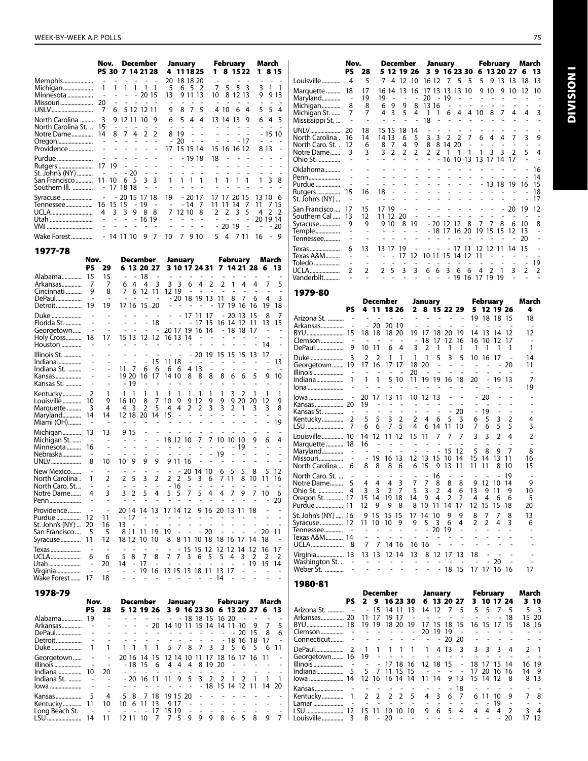|                                                                            | Nov.                                    |                          |                                                 |                                       | December                   |                     |                    | January       |                   |                             |               |                                      | February                     |           |                              | March          |                               |
|----------------------------------------------------------------------------|-----------------------------------------|--------------------------|-------------------------------------------------|---------------------------------------|----------------------------|---------------------|--------------------|---------------|-------------------|-----------------------------|---------------|--------------------------------------|------------------------------|-----------|------------------------------|----------------|-------------------------------|
|                                                                            | PS 30                                   |                          | 7 14 21 28                                      |                                       |                            |                     | 4                  | 111825        |                   |                             | 1             |                                      | 8 15 22                      |           |                              |                | 8 1 5                         |
| Memphis<br>Michigan<br>Minnesota<br>Missouri<br>UNLV                       | 1<br>20<br>7                            | $1 \quad$<br>6           | $\overline{\phantom{a}}$                        | $\overline{\phantom{a}}$<br>$1\quad1$ | 1<br>$-2015$<br>5 12 12 11 | 1                   | 20<br>5<br>13<br>9 |               | 65<br>9 1 1<br>87 | 18 18 20<br>- 2<br>-13<br>5 | 7<br>10       | 5<br>4 10                            | 5<br>8 12 13<br>6            | 3<br>4    | 3<br>9<br>5.                 | $\overline{1}$ | - 1<br>9 1 3<br>54            |
| North Carolina<br>North Carolina St.<br>Notre Dame<br>Oregon<br>Providence | 3<br>15<br>14                           | $\overline{\phantom{a}}$ | 9 12 11 10<br>$\overline{\phantom{a}}$<br>8 7 4 |                                       | $\overline{2}$             | 9<br>2              | 6<br>8<br>17       | 5<br>19<br>20 | 4                 | 4<br>15 15 14               | L.            | 13 14 13                             | $\sim$ $\sim$<br>15 16 16 12 | 9<br>- 17 | 6                            | 4<br>8 1 3     | -5<br>$-1510$                 |
| Purdue<br>Rutgers<br>St. John's (NY)<br>San Francisco<br>Southern III.     | 17 19<br>$\overline{\phantom{a}}$<br>11 | $\sim$<br>10             | 17 18 18                                        | - 20<br>65                            |                            | 3 <sup>3</sup>      | 1                  | $\mathbf{1}$  | 1                 | - 19 18<br>1                | 18<br>1       |                                      |                              | 1         | 1                            | 3              | 8                             |
| Syracuse<br>Tennessee<br>UCLA<br>Utah<br>VMI                               | 16 15 15<br>4                           | 3                        | - 20 15 17 18<br>3                              | $\overline{\phantom{m}}$<br>9         | -19<br>8<br>$-1619$        | $\overline{a}$<br>8 | 19<br>7            | 12 10         | $-14$             | - 20 17<br>7<br>8           | 17<br>11<br>2 | 17<br>11<br>$\mathcal{P}$<br>- 20 19 | 20 15<br>14<br>3             | 7<br>5    | 13 10<br>11<br>4<br>20 19 14 | $\mathcal{P}$  | 7 15<br>$\mathcal{P}$<br>- 20 |
| Wake Forest<br>1977-78                                                     |                                         |                          | 14 11 10                                        |                                       | 9                          | 7                   | 10                 | 7             | 9                 | 10                          | 5             | 4                                    |                              | 7 1 1     | 16                           | ٠              | - 9                           |

|                       | Nov.                     |                | <b>December</b>          |                |                |                          |                | January                  |                |                |                          |                         | February       |                | March          |                |
|-----------------------|--------------------------|----------------|--------------------------|----------------|----------------|--------------------------|----------------|--------------------------|----------------|----------------|--------------------------|-------------------------|----------------|----------------|----------------|----------------|
|                       | PS                       | 29             | 6 13 20 27               |                |                |                          |                |                          |                | 3 10 17 24 31  |                          |                         |                | 7 14 21 28     | 6              | 13             |
| Alabama               | 15                       | 15             |                          | 18             |                |                          |                |                          |                |                |                          |                         |                |                |                |                |
| Arkansas              | 7                        | 7              | 4<br>6                   | 4              | 3              | 3                        | 3              | 6                        | 4              | $\overline{2}$ | $\overline{2}$           | 1                       | 4              | 4              | 7              | 5              |
| Cincinnati            | 9                        | 8              | 6<br>7                   | 12             | 11             |                          | 12 19          | $\overline{a}$           | $\overline{a}$ | $\overline{a}$ | $\overline{\phantom{a}}$ | ÷,                      | $\overline{a}$ |                |                |                |
| DePaul                |                          | $\overline{a}$ |                          |                |                |                          |                |                          |                | $-20$ 18 19 13 | 11                       | 8                       | 7              | 6              | 4              | $\overline{3}$ |
| Detroit               | 19                       | 19             | 17 16                    | 15             | 20             |                          |                |                          |                |                | 17                       | 19                      | 16             | 16             | 19             | 18             |
| Duke                  |                          |                |                          |                |                |                          |                |                          | 17 11 17       |                | $\overline{\phantom{a}}$ | 20                      | -13            | 15             | 8              | 7              |
| Florida St.           |                          | ٠              |                          |                | 18             | $\overline{\phantom{a}}$ | L,             | $\overline{\phantom{0}}$ |                | 17 15          | 16                       | 14 12                   |                | 11             | 13             | 15             |
| Georgetown            | $\overline{\phantom{a}}$ | ٠              |                          |                |                |                          |                |                          | 20 17 19 16 14 |                |                          |                         | $-1818$        | 17             | L,             | L,             |
| Holy Cross            | 18                       | 17             | 15 13 12 12              |                |                |                          |                | 16 13 14                 |                |                |                          |                         |                |                |                |                |
| Houston               |                          |                | $\overline{a}$           |                | $\overline{a}$ |                          | $\sim$         |                          |                |                |                          |                         |                |                | 14             | $\overline{a}$ |
| Illinois St.          |                          |                |                          |                |                |                          |                |                          | $-20$          |                | 19 15 15 15              |                         |                | 13             | 17             |                |
| Indiana               |                          |                | $\overline{\phantom{a}}$ | $\overline{a}$ | 15             |                          | 11 18          | $\overline{a}$           | $\overline{a}$ |                |                          |                         | $\overline{a}$ |                | $\overline{a}$ | 13             |
| Indiana St.           |                          |                | 11<br>7                  | 6              | 6              | 6                        | 6              |                          | 4 13           | $\overline{a}$ |                          |                         |                |                |                |                |
| Kansas                |                          |                | 19 20                    | 16             | 17             |                          | 14 10          | 8                        | 8              | 8              | 8                        | 6                       | 6              | 5              | 9              | 10             |
| Kansas St.            |                          |                | $-19$                    |                |                |                          |                |                          |                |                |                          |                         |                |                | $\overline{a}$ |                |
| Kentucky              | $\overline{2}$           | 1              | 1<br>1                   | 1              | 1              | 1                        | 1              | 1                        | 1              | 1              | 1                        | 3                       | 2              | 1              | 1              | 1              |
| Louisville            | 10                       | 9              | 16 10                    | 8              | 7              | 10                       | 9              | 9                        | 12             | 9              | 9                        | 9                       | 20             | 20             | 12             | 9              |
| Marquette             | 3                        | 4              | 4<br>3                   | $\overline{2}$ | 5              | 4                        | 4              | $\overline{2}$           | $\overline{2}$ | 3              | 3                        | 2                       | 1              | 3              | 3              | 8              |
| Maryland              | 14                       | 14             | 12 18                    | 20             | 14             | 15                       | L,             |                          |                |                |                          |                         |                |                | L,             |                |
| Miami (OH)            |                          |                |                          |                |                |                          |                |                          |                |                |                          |                         |                |                |                | 19             |
|                       | 13                       |                |                          |                |                |                          |                |                          |                |                |                          |                         |                |                |                |                |
| Michigan              | $\overline{a}$           | 13             | 9 15                     |                |                |                          | 18 12 10       |                          | 7              | 7              | 10                       | 10 10                   |                |                | 6              | 4              |
| Michigan St.          | 16                       |                |                          |                |                |                          |                |                          |                |                |                          |                         | 19             | 9              |                |                |
| Minnesota<br>Nebraska | $\overline{a}$           | ٠              |                          |                |                | $\overline{a}$           |                |                          |                | $\overline{a}$ | 19                       |                         | L,             |                |                |                |
| UNLV                  |                          | 10             | 9<br>10                  | 9              | 9              |                          | 9 11 16        |                          |                |                |                          |                         |                |                |                |                |
|                       |                          |                |                          |                |                |                          |                |                          |                |                |                          |                         |                |                |                |                |
| New Mexico            | $\overline{a}$           |                |                          |                |                |                          |                | 20                       | 14             | 10             | 6                        | 5                       | 5              | 8              | 5              | 12             |
| North Carolina.       | 1                        | 2              | 5<br>$\overline{2}$      | 3              | $\overline{2}$ | 2                        | 2              | 5                        | 3              | 6              | 7                        | 11                      | 8              | 10             | 11             | 16             |
| North Caro. St        | $\overline{a}$           | $\overline{a}$ | 3<br>$\overline{2}$      | 5              | 4              | 5                        | $-16$<br>5     | 7                        | 5              |                |                          |                         | 9              | 7              |                |                |
| Notre Dame            | 4                        | 3              |                          |                |                |                          |                |                          |                | 4              | 4                        | 7                       |                |                | 10             | 6              |
| Penn                  |                          |                |                          |                |                |                          |                |                          |                |                |                          |                         |                |                |                | 20             |
| Providence            | $\overline{a}$           | $\overline{a}$ | 20 14                    | 14             | 13             |                          | 17 14 12       |                          |                |                | 9 16 20 13 11            |                         |                | 18             |                |                |
| Purdue                | 12                       | 11             | - 17                     |                |                |                          |                |                          |                |                |                          |                         |                |                |                |                |
| St. John's (NY)       | 20                       | 16             | 13                       |                |                |                          |                |                          |                |                |                          |                         |                |                |                |                |
| San Francisco         | 5                        | -5             | 8 11                     | 11             | 19             | 19                       | $\overline{a}$ | $\overline{a}$           |                | $-20$          |                          |                         |                |                | 20             | 11             |
| Syracuse              | 11                       | 12             | 18 12                    | 10             | 10             | 8                        | 8              | 11                       | 10             | 18             | 18                       | 16                      | 17             | 14             | 18             |                |
| Texas                 | ٠                        | ٠              |                          |                |                |                          |                | 15                       | 15             | 12             | 12                       | 12                      | 14             | 12             | 16             | 17             |
| UCLA                  | 6                        | 6              | 5<br>8                   | 7              | 8              | 7                        | 7              | 3                        | 6              | 5              | 5                        | $\overline{\mathbf{4}}$ | 3              | $\overline{2}$ | $\overline{2}$ | $\overline{2}$ |
| Utah                  | L,                       | 20             | 14<br>$\overline{a}$     | 17             | L,             | L,                       | $\overline{a}$ | $\overline{a}$           | L,             |                |                          | L,                      | ÷,             | 19             | 15             | 14             |
| Virginia              |                          | $\overline{a}$ |                          | 19             | 16             |                          |                |                          | 13 15 13 18 11 |                | 13 17                    |                         | ÷,             | L,             | $\overline{a}$ |                |
| Wake Forest           | 17                       | 18             |                          |                |                | ٠                        | $\overline{a}$ | $\overline{a}$           |                | $\overline{a}$ | 14                       |                         |                | ÷,             |                |                |

| 1978-79        |           |                  |                 |          |                                           |    |          |         |   |                   |     |                  |                |                                         |                          |
|----------------|-----------|------------------|-----------------|----------|-------------------------------------------|----|----------|---------|---|-------------------|-----|------------------|----------------|-----------------------------------------|--------------------------|
|                | Nov.      |                  |                 | December |                                           |    |          | January |   |                   |     | February         |                | March                                   |                          |
|                | PS –      | 28               |                 |          |                                           |    |          |         |   |                   |     |                  |                | 5 12 19 26 3 9 16 23 30 6 13 20 27 6 13 |                          |
| Alabama        | 19        |                  |                 |          |                                           |    |          |         |   | $-18$ 18 15 16 20 |     |                  |                |                                         |                          |
| Arkansas       |           |                  |                 |          | - 20 14 10 11 15 14 14 11 10              |    |          |         |   |                   |     |                  | - 9            | 7                                       | - 5                      |
| DePaul         |           |                  |                 |          |                                           |    |          |         |   |                   |     | $-20$            | 15             | - 8                                     | - 6                      |
| Detroit        |           |                  |                 |          |                                           |    |          |         |   | $\sim 100$        |     | $-1816$          | -18            | 17                                      | $\sim$                   |
| Duke           | $1 \quad$ |                  | 1 1 1 1 1       |          |                                           |    |          |         |   | 5 7 8 7 3 3 5 6   |     |                  | - 5            | 6                                       | -11                      |
| Georgetown     |           |                  |                 |          | 20 16 14 15 12 14 10 11 17 18 16 17 16 11 |    |          |         |   |                   |     |                  |                |                                         | $\overline{a}$           |
| Illinois       |           |                  |                 | - 18 15  | 6                                         |    | 4 4      | 4       |   | 8 19 20           |     |                  |                |                                         |                          |
| Indiana        | 10        | 20               |                 |          |                                           |    |          |         |   |                   |     |                  |                |                                         |                          |
| Indiana St.    |           |                  | - 20 16 11 11   |          |                                           |    |          |         |   | 9 5 3 2           | 2 1 | $\mathcal{L}$    | $\overline{1}$ | $\overline{1}$                          | $\overline{\phantom{0}}$ |
| lowa           |           |                  |                 |          |                                           |    |          |         |   |                   |     | - 18 15 14 12 11 |                | 14                                      | 20                       |
| Kansas         | 5         |                  | 4 5 8           | 7        | 18                                        |    | 19 15 20 |         |   |                   |     |                  |                |                                         |                          |
| Kentucky………….  | 11        | 10               | 10              | 6 11     | 13                                        |    | 9 17     |         |   |                   |     |                  |                |                                         |                          |
| Long Beach St. |           | $\sim$ 100 $\pm$ |                 |          | 17                                        | 15 | 19       |         |   |                   |     |                  |                |                                         |                          |
| LSU            | 14        |                  | $11 \quad 1211$ | - 10     |                                           |    | 5        | 9       | 9 | 9                 | 8   | 6 5              | 8              | 9                                       | $\overline{7}$           |

|                                                                      | Nov.                |                                      | December<br>5 12 19 26 |                                  |                                |                                |                           |                                     | January          |                       |                               |                     |                              | February                            |                           | March                               |                            |
|----------------------------------------------------------------------|---------------------|--------------------------------------|------------------------|----------------------------------|--------------------------------|--------------------------------|---------------------------|-------------------------------------|------------------|-----------------------|-------------------------------|---------------------|------------------------------|-------------------------------------|---------------------------|-------------------------------------|----------------------------|
|                                                                      | PS                  | 28                                   |                        |                                  |                                |                                |                           |                                     | 3 9 16 23 30     |                       |                               | 6.                  |                              |                                     | 13 20 27                  | 6                                   | 13                         |
| Louisville                                                           | 4                   | 5                                    | 7                      | 4                                | 12                             | 10                             | 16 12                     |                                     | 7                | 5                     | 5                             | 5                   | 9                            | 13                                  | 13                        | 18                                  | 13                         |
| Marquette<br>Maryland<br>Michigan<br>Michigan St.<br>Mississippi St. | 18<br>٠<br>8<br>7   | 17<br>19<br>8<br>7<br>$\overline{a}$ | 16<br>19<br>6<br>4     | 14<br>٠<br>9<br>3                | 13<br>9<br>5                   | 16<br>$\overline{a}$<br>8<br>4 | 17<br>20<br>13<br>1<br>18 | 13<br>$\overline{a}$<br>16<br>1     | 13<br>19<br>6    | 13<br>4               | 10<br>4                       | 9<br>L,<br>10       | 10<br>8                      | 9<br>7                              | 10<br>٠<br>4              | 12<br>4                             | 10<br>3                    |
| UNLV<br>North Carolina.<br>North Caro. St<br>Notre Dame<br>Ohio St.  | 20<br>16<br>12<br>3 | 18<br>14<br>6<br>3                   | 15<br>14<br>8<br>3     | -15<br>13<br>7<br>$\overline{2}$ | 18<br>6<br>4<br>$\overline{2}$ | 14<br>5<br>9<br>$\overline{2}$ | 3<br>8<br>$\mathfrak{p}$  | $\mathbf{3}$<br>8<br>$\mathfrak{p}$ | 2<br>14 20<br>16 | 2<br>10               | 7<br>13                       | 6                   | 4<br>3<br>13 17              | 4<br>3<br>14                        | 7<br>$\mathfrak{D}$<br>17 | 3<br>5                              | 9<br>4                     |
| Oklahoma<br>Penn<br>Purdue<br>Rutgers<br>St. John's (NY)             | 15                  | 16                                   | 18                     |                                  |                                |                                |                           |                                     |                  |                       |                               |                     | - 13 18                      |                                     | -19                       | 16                                  | 16<br>14<br>15<br>18<br>17 |
| San Francisco<br>Southern Cal<br>Syracuse<br>Temple<br>Tennessee     | 17<br>13<br>9       | 15<br>12<br>9                        | 17 19<br>11 12         | 9 10                             | 20<br>8                        | 19                             |                           | $-2012$                             | - 18 17 16       | 12                    | 8<br>-20                      | 7<br>19             | 7<br>15                      | $\overline{\phantom{0}}$<br>8<br>15 | 20<br>6<br>12             | 19<br>10<br>13<br>20                | 12<br>8                    |
| Texas<br>Texas A&M<br>Toledo<br><b>UCLA</b><br>Vanderbilt            | 6<br>2              | 13<br>٠<br>2                         | 13<br>$\mathfrak{p}$   | 17<br>5                          | 19<br>17<br>3                  | 12<br>3                        | 10 11<br>6                | 6                                   | 15<br>3          | 17<br>14<br>- 6<br>19 | $\mathcal{P}$<br>1<br>6<br>16 | 12<br>11<br>4<br>17 | 12<br>$\mathcal{P}$<br>19 19 | 11<br>1                             | 14<br>3                   | 15<br>$\overline{\phantom{m}}$<br>2 | 19<br>$\overline{2}$       |
| 1979-80                                                              |                     |                                      |                        |                                  |                                |                                |                           |                                     |                  |                       |                               |                     |                              |                                     |                           |                                     |                            |

|                     |                |                              |                | December                 |                          |                          |                          | January        |                |                | <b>February</b>              | March          |                              |    |                |
|---------------------|----------------|------------------------------|----------------|--------------------------|--------------------------|--------------------------|--------------------------|----------------|----------------|----------------|------------------------------|----------------|------------------------------|----|----------------|
|                     | PS             |                              |                | 4 11 18 26               |                          | $\mathbf{2}$             |                          |                |                | 8 15 22 29     |                              | 5 12 19 26     |                              |    | 4              |
| Arizona St.         |                |                              |                |                          |                          |                          |                          |                |                |                |                              | 19 18 18 15    |                              |    | 18             |
| Arkansas            |                | $\overline{a}$               | -20            | 20 19                    |                          |                          |                          |                |                |                | $\overline{a}$               | $\overline{a}$ |                              |    | ٠              |
|                     |                |                              | 18 18          | 18 20                    |                          | 19                       | 17                       | 18             | 20             | 19             | 14                           | 13             | -14                          | 12 | 12             |
| Clemson             |                | $\overline{\phantom{a}}$     |                |                          |                          |                          | 18                       | 17             | 12             | 16             | 16                           | 10             |                              |    | $\overline{a}$ |
| DePaul              | 9              | 10                           | 11             | 6                        | 4                        | 3                        | $\overline{2}$           | 1              | 1              | 1              | 1                            | 1              | 1                            | 1  | 1              |
| Duke                | 3              | $\overline{2}$               | 2              | 1                        | 1                        | 1                        | 1                        | 5              | 3              | 5              | 10                           | -16            | 17                           |    | 14             |
| Georgetown 19       |                | 17                           | 16             | 17                       | 17                       | 18                       | 20                       | L.             | $\sim$         | ÷,             | L,                           |                |                              | 20 | 11             |
| Illinois            | L,             |                              |                |                          |                          | 20                       |                          |                |                |                |                              |                |                              |    | $\overline{a}$ |
| Indiana             | 1              | 1                            | $\mathbf{1}$   | 5 10                     |                          | 11                       | 19                       |                | 19 16 18       |                | 20                           | $\overline{a}$ | 19                           | 13 | 7              |
| lona                |                |                              |                |                          |                          |                          |                          |                |                |                |                              |                |                              |    | 19             |
| lowa                |                | 20                           | 17             | 13 11                    |                          | 10                       | -12                      | 13             |                |                |                              | -20            |                              |    |                |
|                     |                | 19                           | $\overline{a}$ |                          |                          |                          |                          |                |                |                |                              |                |                              |    |                |
| Kansas St.          |                |                              |                |                          |                          |                          |                          |                |                | -20            | $\qquad \qquad \blacksquare$ | 19             | $\qquad \qquad \blacksquare$ |    |                |
| Kentucky            | $\overline{2}$ | 5                            | 5              | 3                        | $\overline{2}$           | 2                        | 4                        | 6              | 5              | 3              | 6                            | 5              | 3                            | 2  | 4              |
| LSU                 | 7              | 6                            | 6              | $\overline{7}$           | 5                        | 4                        | 6                        | 14             | 11             | 10             | 7                            | 6              | 5                            | 5  | 3              |
| Louisville 10       |                | 14                           | 12             | 11 12                    |                          | 15                       | 11                       | 7              | 7              | 7              | 3                            | 3              | $\overline{2}$               | 4  | $\overline{2}$ |
| Marquette  18       |                | 16                           | ÷,             |                          |                          |                          |                          |                |                |                |                              |                |                              |    |                |
| Maryland            |                | ٠                            | $\blacksquare$ | $\sim$                   |                          |                          |                          |                | 15             | 12             | 5                            | 8              | 9                            | 7  | 8              |
| Missouri            |                | $\qquad \qquad \blacksquare$ | 19             | 16 13                    |                          | 12                       | 13                       | 15             | 10             | 14             | 15                           | 14             | 13                           | 11 | 16             |
| North Carolina      | 6              | 8                            | 8              | 8                        | 6                        | 6                        | 15                       | 9              | 13             | 11             | 11                           | 11             | 8                            | 10 | 15             |
| North Caro. St.     |                |                              |                |                          | $\overline{a}$           |                          |                          | 16             |                |                |                              |                |                              | 19 | $\overline{a}$ |
| Notre Dame          | 5              | 4                            | 4              | 4                        | 3                        | 7                        | 7                        | 8              | 8              | 8              | 9                            | 12             | 10                           | 14 | 9              |
| Ohio St.            | 4              | 3                            | 3              | $\overline{2}$           | $\overline{7}$           | 5                        | 3                        | $\overline{2}$ | $\overline{4}$ | 6              | 13                           | 9              | 11                           | 9  | 10             |
| Oregon St.  17      |                | 15                           | 14             | 19                       | 18                       | 14                       | 9                        | 4              | $\overline{2}$ | $\overline{2}$ | 4                            | 4              | 6                            | 6  | 5              |
| Purdue  11          |                | 12                           | 9              | 9                        | 8                        | 8                        | 10                       | 11             | 14             | 17             | 12                           | 15             | 15                           | 18 | 20             |
| St. John's (NY)  16 |                | 9                            | 15             | 15                       | -15                      | 17                       | 14                       | 10             | 9              | 9              | 8                            | 7              | 7                            | 8  | 13             |
| Syracuse 12         |                | 11                           | 10             | 10                       | 9                        | 9                        | 5                        | 3              | 6              | 4              | $\mathfrak{p}$               | $\mathfrak{p}$ | 4                            | 3  | 6              |
| Tennessee           |                |                              |                |                          |                          |                          | L,                       | 20             | 19             |                |                              |                |                              |    |                |
| Texas A&M 14        |                |                              |                |                          |                          |                          |                          |                |                |                |                              |                |                              |    |                |
| UCLA                | 8              | 7                            | 7              | 14                       | -16                      | 16                       | 16                       |                |                |                |                              |                |                              |    |                |
| Virginia 13         |                | 13                           | -13            | 12 14                    |                          | 13                       | 8                        |                | 12 17          | 13             | 18                           |                |                              |    |                |
| Washington St.      |                |                              |                |                          |                          | $\overline{\phantom{a}}$ |                          |                |                |                |                              |                | 20                           |    |                |
| Weber St.           |                | $\overline{\phantom{a}}$     | ٠              | $\overline{\phantom{a}}$ | $\overline{\phantom{a}}$ | $\overline{a}$           | $\overline{\phantom{a}}$ |                | $-18$ 15       |                | 17                           | 17             | 16                           | 16 | 17             |

|                                                           |      |                     | December                 |       |    |            |                                               | January |    |                    |                 | <b>February</b> |    |                | March                |                |
|-----------------------------------------------------------|------|---------------------|--------------------------|-------|----|------------|-----------------------------------------------|---------|----|--------------------|-----------------|-----------------|----|----------------|----------------------|----------------|
|                                                           | PS – |                     |                          |       |    |            | 2 9 16 23 30 6 13 20 27 3 10 17 24            |         |    |                    |                 |                 |    |                |                      | 310            |
|                                                           |      |                     |                          | 14 11 |    | -13        |                                               |         |    |                    | 14 12 7 5 5 5 7 |                 |    | - 5            |                      | 5 <sup>3</sup> |
| Arkansas 20 11                                            |      |                     | 17                       | 19    | 17 | $\sim$ $-$ | and a series of the series                    |         |    |                    |                 |                 |    | 18             |                      | 15 20          |
|                                                           |      |                     |                          |       |    |            |                                               |         |    | 17 15 18 15        |                 | 16 15 17 15     |    |                |                      | 18 16          |
|                                                           |      |                     |                          |       |    |            | 20                                            | -19     | 19 |                    |                 |                 |    |                |                      | $\sim$ $ \sim$ |
| $Connecticut     -   -   -   -   -   -   -   -  $         |      |                     |                          |       |    |            |                                               |         |    |                    | $-2020 - - - -$ |                 |    |                | $\sim$ $\sim$ $\sim$ |                |
|                                                           |      |                     |                          |       |    |            |                                               |         |    |                    |                 |                 |    |                |                      | 2 <sub>1</sub> |
| Georgetown 16 19 - - - - - - - - -                        |      |                     |                          |       |    |            |                                               |         |    |                    |                 |                 |    |                |                      | $\sim$ $\sim$  |
| Illinois  -   -   -   17 18 16 12 18 15   -   18 17 15 14 |      |                     |                          |       |    |            |                                               |         |    |                    |                 |                 |    |                |                      | 16 19          |
|                                                           |      |                     |                          |       |    | - 15       | and the company of                            |         |    |                    | 17              | 20              | 16 | 16             | 14                   | - 9            |
| lowa  14   12  16  16  14  14                             |      |                     |                          |       |    |            | 11 14 9 13                                    |         |    |                    |                 | 15 14 12        |    | -8             |                      | 8 13           |
| Kansas                                                    |      |                     |                          |       |    |            | . <b>18</b>                                   |         |    |                    |                 |                 |    |                |                      | $\sim$ $\sim$  |
| Kentucky 1 2 2 2 2 5 4 3 6 7                              |      |                     |                          |       |    |            |                                               |         |    |                    |                 | 6 11 10         |    | $\overline{9}$ |                      | 7 8            |
|                                                           |      | and a series of the |                          |       |    |            |                                               |         |    | and a straight and |                 |                 | 19 |                |                      | $\sim$ $ \sim$ |
|                                                           |      |                     |                          |       |    |            |                                               |         |    | 9 6 5 4            | $\overline{4}$  | 4               | 4  |                | 2 3 4                |                |
| Louisville ……………… 3                                       |      | 8                   | $\overline{\phantom{a}}$ | 20    |    |            | in the state of the state of the state of the |         |    |                    |                 |                 |    | 20             |                      | -12            |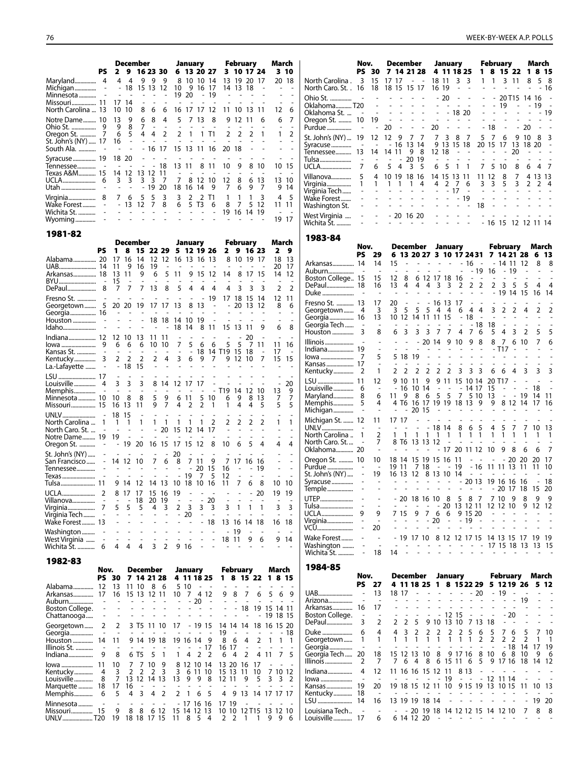|                                                              |      |                                                           | December                                             |                                                          |                          |        | January                  |                                 |                         | February                  |                 |                | March                         |                     |                                        | Nov.                 |                          |                                                         | December                                                                                                       |                 |                                                               | January                                                                    |                                                               |                              | February                         |              | March                     |                |
|--------------------------------------------------------------|------|-----------------------------------------------------------|------------------------------------------------------|----------------------------------------------------------|--------------------------|--------|--------------------------|---------------------------------|-------------------------|---------------------------|-----------------|----------------|-------------------------------|---------------------|----------------------------------------|----------------------|--------------------------|---------------------------------------------------------|----------------------------------------------------------------------------------------------------------------|-----------------|---------------------------------------------------------------|----------------------------------------------------------------------------|---------------------------------------------------------------|------------------------------|----------------------------------|--------------|---------------------------|----------------|
|                                                              | PS.  |                                                           | 4 4                                                  | 2 9 16 23 30 6 13 20 27<br>9                             |                          |        |                          | 9 9 8 10 10 14                  |                         | 3 10 17 24<br>13 19 20 17 |                 |                | 310<br>20 18                  |                     | North Carolina . 3 15 17 17            |                      |                          | PS 30 7 14 21 28 4 11 18 25                             |                                                                                                                |                 | - - 18 11                                                     | 3 <sup>3</sup>                                                             |                                                               | $1 \quad 1$                  | 1 8 15 22 1<br>3 11              |              | 8 15<br>8                 | 5 8            |
|                                                              |      | $\sim$                                                    | $\sim$ $-$                                           | - 18 15 13 12 10 9 16 17<br>$\sim$<br>$\sim$             |                          | 19 20  |                          | - 19                            |                         | 14 13 18                  |                 |                |                               |                     | North Caro. St. . 16 18 18 15 15 17    |                      |                          |                                                         |                                                                                                                |                 | 16 19                                                         |                                                                            |                                                               |                              |                                  |              |                           | - 16           |
| Missouri 11 17 14                                            |      | 10 10                                                     |                                                      | $\sim$<br>- 6                                            |                          |        |                          |                                 |                         |                           |                 |                |                               | 6                   | Ohio St.<br>OklahomaT20                | $\sim 10^{-1}$       |                          | and the second control of<br>the company of the company |                                                                                                                |                 | $-20$<br>$\overline{\phantom{a}}$<br>$\overline{\phantom{a}}$ | $\sim$                                                                     | $\sim$                                                        | $\sim$                       | 20T15 14 16 -<br>19              |              |                           |                |
| North Carolina  13<br>Notre Dame 10                          |      | -13                                                       | 9                                                    | 8<br>8<br>6                                              | - 6<br>$\overline{4}$    | 5      | 7 13                     | 16 17 17 12 11 10 13 11<br>8    |                         | 9 12                      |                 |                | 12<br>6                       | -7                  | Oklahoma St.  - -<br>Oregon St.  10 19 |                      |                          | <b>Contract Contract</b><br><b>Contract Contract</b>    |                                                                                                                | $\sim$          | $\mathbb{Z}^2$<br>$\sim$                                      | $-1820$<br>$\omega_{\rm{eff}}$ , $\omega_{\rm{eff}}$ , $\omega_{\rm{eff}}$ |                                                               | $\sim$                       |                                  |              |                           |                |
|                                                              |      | 9<br>6                                                    | 8<br>5                                               | 7<br>$\sim$<br>$\overline{4}$<br>4                       | $\sim$<br>$\overline{2}$ | $\sim$ | $\sim$                   | 2 1 1 T1                        | $\mathbf{2}$            | 2                         |                 | $\overline{1}$ | $\mathbf{1}$                  | $\mathcal{L}$       |                                        |                      | $\sim$                   | 20                                                      | $\mathcal{L}_{\mathcal{A}}$                                                                                    | $\sim$          | 20<br>$\sim$                                                  | $\sim 100$                                                                 |                                                               | $-18$                        |                                  | 20           |                           |                |
| St. John's (NY)  17 16                                       |      |                                                           | $\overline{\phantom{a}}$<br>$\overline{\phantom{a}}$ | $\sim 100$                                               | $\sim$ $-$               |        |                          | - 16 17 15 13 11 16 20 18       |                         |                           |                 |                |                               |                     | St. John's (NY)  19 12 12<br>Syracuse  | $\sim$               | $\overline{\phantom{a}}$ | - 9                                                     | 77<br>- 16 13 14                                                                                               |                 | $\overline{7}$                                                | 3 8 7<br>9 13 15 18                                                        |                                                               | 5<br>$\overline{7}$          | 6<br>20 15 17 13                 | 10<br>9      | 18 20                     |                |
| Syracuse 19 18 20                                            |      |                                                           |                                                      |                                                          |                          |        |                          |                                 |                         |                           |                 |                |                               |                     | Tennessee 13 14 14 11                  |                      | $\sim$                   | $\sim$<br>$\overline{\phantom{a}}$                      | 98<br>20 19                                                                                                    |                 | 12 18<br>$\sim$<br>$\sim$                                     | $\sim$<br>$\sim$                                                           | $\sim$ $-$<br>$\overline{a}$                                  | $\sim$ $\sim$                |                                  |              |                           |                |
| Tennessee<br>Texas A&M 15 14 12 13 12 11                     |      |                                                           |                                                      |                                                          | - 18                     |        |                          | 13 11 8 11<br>$\overline{a}$    | 10                      |                           |                 |                | 10 15                         |                     |                                        |                      | 6                        | 54                                                      | 3 <sub>5</sub>                                                                                                 |                 | 6 5                                                           | -1                                                                         | $\overline{1}$                                                | 7 5 10                       |                                  | 6<br>8       |                           |                |
|                                                              |      | $\sim$ $ \sim$                                            | 3 <sup>3</sup>                                       | 3 3 7<br>- 19 20                                         |                          | 7      | 18 16 14                 | 8 12 10<br>9                    | 12<br>7                 | 8<br>6                    | 6<br>9          | -13<br>7       | 13 10<br>9 14                 |                     |                                        |                      |                          | 4 10 19 18 16<br>1 1 1 1 4                              |                                                                                                                |                 | 4 2                                                           | 14 15 13 11<br>7 6                                                         |                                                               | 11 12<br>$\overline{3}$<br>3 | 8<br>5                           | 2<br>3       | 4 13 13<br>2 <sub>1</sub> |                |
| Virginia 8 7 6 5                                             |      |                                                           |                                                      | 5                                                        | 3                        | 3      | 2                        | 2 T1                            |                         |                           |                 | 3              | 4                             | - 5                 | Virginia Tech<br>Wake Forest           |                      |                          | $\sim 100$ km s $^{-1}$                                 | $\sim 100$ km s $^{-1}$                                                                                        |                 |                                                               | $-17$                                                                      | 19                                                            |                              |                                  |              |                           |                |
| Wake Forest      -                                           |      |                                                           | $\sim$ $ \sim$                                       | - 13 12 7<br>$\sim 100$                                  | 8<br>$\sim$              | 6      | 5 T3                     | - 6                             | - 8                     | - 7<br>19 16 14 19        | - 5 12          |                | 11 11<br>$\sim$ $ -$          |                     | Washington St.                         |                      |                          |                                                         | $\mathcal{L}^{\mathcal{A}}$ , and $\mathcal{L}^{\mathcal{A}}$ , and $\mathcal{L}^{\mathcal{A}}$<br>$-20$ 16 20 |                 |                                                               |                                                                            | 18                                                            |                              |                                  |              |                           |                |
|                                                              |      |                                                           |                                                      |                                                          |                          |        |                          |                                 |                         |                           |                 |                | 19 17                         |                     | West Virginia  -<br>Wichita St.        |                      |                          |                                                         | and a strain and                                                                                               |                 |                                                               |                                                                            |                                                               |                              | - 16 15 12 12 11 14              |              |                           |                |
| 1981-82                                                      |      |                                                           | December                                             |                                                          |                          |        | January                  |                                 |                         | <b>February</b>           |                 |                | March                         |                     | 1983-84                                |                      |                          |                                                         |                                                                                                                |                 |                                                               |                                                                            |                                                               |                              |                                  |              |                           |                |
|                                                              | PS.  |                                                           |                                                      | 1 8 15 22 29 5 12 19 26                                  |                          |        |                          |                                 |                         | 2 9 16 23                 |                 |                | 2 <sub>9</sub>                |                     |                                        | Nov.<br><b>PS</b> 29 |                          |                                                         | December January                                                                                               |                 |                                                               |                                                                            | 6 13 20 27 3 10 17 24 31 7 14 21 28                           |                              | February                         |              | March<br>6 13             |                |
| Alabama 20 17 16 14 12 12 16 13 16 13                        |      |                                                           |                                                      | - 19                                                     | $\sim$                   |        | <b>Contract Contract</b> |                                 |                         | 8 10 19 17                |                 |                | 18 13<br>20                   | 17                  | Arkansas 14                            |                      | 14                       | 15                                                      |                                                                                                                |                 | and the state of                                              |                                                                            | - 16<br>$\sim$                                                |                              | - 14 11 12                       |              |                           | 8 8            |
| Arkansas 18 13 11                                            |      |                                                           | $\sim$ $-$                                           | 96<br>$\sim 100$ km s $^{-1}$                            | $\sim$                   | 5 11   |                          | 9 15 12 14                      |                         |                           | 8 17 15         |                | 14 12                         |                     | Auburn<br>Boston College 15            |                      | $\sim$<br>15             | $\sim$                                                  | $\overline{\phantom{a}}$<br>12 8 6 12 17 18 16                                                                 | $\sim$          | $\sim$                                                        |                                                                            |                                                               | $-19$ 16                     | $-19$                            |              |                           |                |
|                                                              |      | $\overline{7}$                                            | $\overline{7}$                                       | 7 13 8 5                                                 |                          |        | 4                        | $\overline{4}$                  |                         |                           |                 |                | $\overline{2}$                | 2                   | DePaul 18<br>Duke                      |                      | 16                       | 13 4                                                    |                                                                                                                |                 | 4 4 3 3                                                       | 2                                                                          | 2 2                                                           | 2                            | - 3<br>- 5<br>19 14 15           | - 5          | 16 14                     | 4 4            |
| Georgetown 5 20 20 19 17 17 13 8 13                          |      |                                                           | $\sim$ $-$                                           |                                                          |                          |        |                          | 19                              | 17                      | 18                        | -15<br>20 13 12 |                | 12<br>8                       | 11<br>-6            | Fresno St.  13                         |                      | 17                       | 20                                                      | $\sim$                                                                                                         |                 | - 16 13 17                                                    |                                                                            |                                                               |                              |                                  |              |                           |                |
| Georgia 16                                                   |      | $\sim$ $ \sim$                                            |                                                      | and the second control of the second<br>- 18 18 14 10 19 | $\sim$ $-$               |        |                          |                                 |                         |                           |                 |                |                               |                     | Georgetown 4<br>Georgia 16             |                      | 3<br>13                  | 3                                                       | - 5<br>5<br>10 12 14 11 11 15                                                                                  | - 5             | $\overline{4}$                                                | 6<br>4                                                                     | $\overline{4}$<br>$\overline{4}$<br>- 18<br>$\sim$            | 3                            |                                  |              |                           |                |
|                                                              |      |                                                           | $\overline{\phantom{a}}$                             |                                                          |                          |        |                          | $-18$ 14 8 11                   | 15 13 11                |                           |                 |                | 6                             | 8                   | Georgia Tech                           |                      | 8                        |                                                         | the company of the company of<br>6 3 3 3 7 7 4                                                                 |                 |                                                               | $\sim$                                                                     | $-18$ 18<br>76                                                | 5                            | 4                                | 3            |                           |                |
|                                                              |      |                                                           | 6 6 6                                                |                                                          | 10 10 7                  |        | 5 6                      | - 6                             | 5.                      | 5                         | $\overline{7}$  | 11             | 11 16                         |                     | Illinois                               |                      |                          |                                                         |                                                                                                                |                 |                                                               | $-20$ 14 9 10                                                              | 98                                                            | 8                            | 7                                | 6            |                           |                |
|                                                              |      |                                                           | the company of the com-                              | 2 2 2 2 4 3 6 9 7                                        | <b>Contract</b>          |        |                          | - - 18 14 T19 15 18             |                         | 9 12 10                   |                 | 7              | 17<br>15                      | 15                  | Indiana 19                             |                      | 5                        |                                                         | $51819 - - -$                                                                                                  |                 |                                                               |                                                                            | $\sim$ $\sim$                                                 |                              | - T17                            |              |                           |                |
| La.-Lafayette                                                |      |                                                           | - 18 15                                              | $\sim$<br>$\sim$                                         | $\sim$                   | $\sim$ |                          |                                 |                         |                           |                 |                |                               |                     | Kansas 17                              |                      | $\sim$<br>$\mathbf{1}$   |                                                         | $\sim$ $\sim$<br>2 2 2 2 2 2                                                                                   | <b>Contract</b> | $\sim 10^{-1}$ m $^{-1}$                                      | $\sim$                                                                     | 3 3 3                                                         | 6                            | 6                                | 4            |                           |                |
| Louisville 4                                                 |      | $\mathcal{L}^{\text{max}}$ and $\mathcal{L}^{\text{max}}$ | $3 \quad 3 \quad 3$                                  |                                                          | 8 14 12 17 17            |        |                          |                                 |                         |                           |                 |                | $\overline{\phantom{a}}$      | 20                  |                                        |                      | 12                       |                                                         | 9 10 11<br>16<br>10                                                                                            | 14              |                                                               |                                                                            | 9 9 11 15 10 14 20 T17 -<br>- - - 14 17 15                    |                              |                                  |              | 18                        |                |
| Minnesota  10 10 8                                           |      | $\sim$                                                    | $\sim 100$<br>8                                      | $\sim$<br>5                                              | 9                        |        | 6 11                     | 5<br>10                         | T19 14<br>6             | 9                         | 12<br>8         | -10            | 13<br>7                       | 9<br>$\overline{7}$ | Maryland 8                             |                      | 6                        | 11                                                      | - 8<br>- 9                                                                                                     | - 6             |                                                               |                                                                            | 5 5 7 5 10 13 - - 19                                          |                              |                                  |              | 14 11                     |                |
|                                                              |      |                                                           |                                                      |                                                          | 97422                    |        |                          | $\overline{1}$                  |                         |                           |                 |                | 5                             | 5                   | Michigan                               |                      | 4                        | 4 T6                                                    | 20                                                                                                             |                 |                                                               |                                                                            | 16 17 19 19 18 13 9 9 8 12 14                                 |                              |                                  |              | 17 16                     |                |
| North Carolina  1 1 1 1                                      |      |                                                           |                                                      | $\sim$                                                   | $1 \t1 \t1$              |        | -1                       | $\overline{1}$                  |                         |                           |                 |                |                               | $\mathbf{1}$        | Michigan St.  12<br>UNLV               |                      | 11<br>$\sim$             | 17 17                                                   |                                                                                                                |                 | 18 14                                                         | 8                                                                          | 6<br>- 5                                                      | 4                            | 5                                |              | 10 13                     |                |
| North Caro. St.  -<br>Notre Dame 19 19                       |      | $\sim$                                                    |                                                      | $\sim$<br>$\sim$                                         | $\sim$ $-$               | $\sim$ | $\sim$                   | $-20$ 15 12 14 17<br>$\sim$ $-$ |                         |                           |                 |                |                               |                     | North Carolina  1                      |                      | $\overline{2}$<br>7      |                                                         | $1 \t1 \t1$<br>8 T6 13 13 12                                                                                   | -1              | $\overline{1}$<br>$\overline{1}$                              | $\mathbf{1}$                                                               | 1 1                                                           | $\mathbf{1}$                 |                                  |              |                           |                |
| Oregon St.  - - 19 20 16 15 17 15 12 8<br>St. John's (NY)  - |      |                                                           |                                                      |                                                          |                          | 20     |                          |                                 | - 10                    |                           |                 |                | 4                             | $\overline{4}$      | North Caro. St<br>Oklahoma 20          |                      |                          |                                                         |                                                                                                                |                 |                                                               |                                                                            | $-17$ 20 11 12 10 9 8                                         |                              |                                  |              |                           |                |
| San Francisco - 14 12 10                                     |      |                                                           |                                                      |                                                          |                          |        |                          | 7 6 8 7 11 9<br>20 15           | - 16                    | 7 17 16                   |                 |                |                               |                     | Oregon St.  10<br>Purdue               | $\sim$               | 10<br>$\sim$             |                                                         | 18 14 15 19 15 16 11<br>19 11 7 18                                                                             |                 |                                                               | - - 19                                                                     | $-16$ 11 11 13 11                                             |                              | - 20                             |              | 20 17<br>11 10            |                |
|                                                              |      |                                                           |                                                      |                                                          |                          |        |                          |                                 | 12                      | $7^{\circ}$               |                 |                | 10 10                         |                     | St. John's (NY)  -<br>Syracuse         |                      | 19<br>$\sim 10^{-11}$    |                                                         |                                                                                                                |                 |                                                               |                                                                            | 16 13 12 8 13 10 14 - -<br>$- - - - - - - - 2013$ 19 16 16 16 |                              |                                  |              |                           | - 18           |
| Tulsa 11 9 14 12 14 13 10 18 10 16 11                        |      |                                                           | 8 17 17                                              | 15 16                                                    |                          | -19    |                          |                                 |                         |                           | 6               | - 8<br>20      | 19                            | - 19                | Temple                                 |                      |                          |                                                         |                                                                                                                |                 |                                                               |                                                                            |                                                               |                              | - 20<br>-17                      | 18           | 15 20                     |                |
| Villanova                                                    |      | 5                                                         | 18<br>5                                              | 20<br>5<br>4                                             | 19<br>3                  | 2      | 3                        | 20<br>3<br>3                    |                         |                           |                 |                | 3                             | 3                   | UTEP<br>Tulsa                          |                      |                          |                                                         | $-20$ 18 16 10 8                                                                                               |                 | 20                                                            |                                                                            | 587<br>13 12 11 12 12 10                                      |                              | 7 10 9                           | 8<br>9       | 9<br>12 12                | - 9            |
| Virginia Tech<br>Wake Forest 13                              |      |                                                           |                                                      |                                                          |                          |        | 20                       | 18                              | 13                      | 16                        | 14              | -18            | 16 18                         |                     | UCLA<br>Virginia                       | 9                    | 9                        | 715                                                     | 9                                                                                                              | 7               | 6<br>20                                                       | 6                                                                          | 9 15 20<br>19                                                 |                              |                                  |              |                           |                |
| Washington                                                   |      |                                                           |                                                      |                                                          |                          |        |                          |                                 |                         | 19                        |                 |                |                               |                     | VCU                                    |                      | 20                       |                                                         |                                                                                                                |                 |                                                               |                                                                            |                                                               |                              |                                  |              |                           |                |
| West Virginia<br>Wichita St.                                 | 6    | 4                                                         |                                                      | 3<br>4                                                   | 2                        | 9 16   |                          |                                 | 18                      | 11                        | 9               | 6              | 9 14                          |                     | Wake Forest<br>Washington              |                      |                          |                                                         | 19                                                                                                             | 17 10           | 812                                                           | -12                                                                        | 15                                                            |                              | 14 13 15 17<br>17 15 18 13 13 15 |              | 19 19                     |                |
| 1982-83                                                      |      |                                                           |                                                      |                                                          |                          |        |                          |                                 |                         |                           |                 |                |                               |                     | Wichita St.                            |                      | 18                       | 14                                                      |                                                                                                                |                 |                                                               |                                                                            |                                                               |                              |                                  |              |                           |                |
|                                                              | Nov. |                                                           |                                                      | <b>December</b><br>PS 30 7 14 21 28                      |                          |        | January                  | 4 11 18 25                      |                         | <b>February</b>           |                 |                | March<br>1 8 15 22 1 8 15     |                     | 1984-85                                | Nov.                 |                          |                                                         | December                                                                                                       |                 |                                                               | January                                                                    |                                                               |                              | February March                   |              |                           |                |
| Alabama                                                      | 12   | 13                                                        | 11 10                                                | 8                                                        | - 6                      | 5 10   |                          |                                 |                         |                           |                 |                |                               |                     |                                        | PS                   | 27                       |                                                         | 4 11 18 25 1                                                                                                   |                 |                                                               |                                                                            | 8 15 22 29 5 12 19 26                                         |                              | $-19$<br>$\sim$                  |              |                           | 512            |
| Arkansas<br>Auburn                                           | 17   |                                                           |                                                      | 16 15 13 12 11                                           |                          |        | 20                       | 10 7 4 12                       |                         | 8                         |                 |                | 5<br>6                        | q                   | UAB<br>Arizona                         |                      | 13                       | 18 17                                                   |                                                                                                                |                 |                                                               |                                                                            | $-20$                                                         |                              |                                  | $\sim$<br>19 |                           |                |
| Boston College.<br>Chattanooga                               |      |                                                           |                                                      |                                                          |                          |        |                          |                                 |                         |                           | 18              |                | 19 15 14 11<br>19 18 15       |                     | Arkansas 16<br>Boston College.         |                      | 17                       |                                                         |                                                                                                                |                 |                                                               | 12 15                                                                      |                                                               |                              | 20                               |              |                           |                |
| Georgetown                                                   | 2    |                                                           |                                                      |                                                          |                          |        |                          |                                 | 14                      |                           | 14              | 18             | 16 15 20                      |                     | DePaul<br>Duke                         | 3<br>6               | 2<br>4                   | 2<br>4                                                  | 2<br>5<br>3<br>2                                                                                               |                 |                                                               | 9 10 13 10                                                                 | 7 13                                                          | -18                          |                                  |              |                           | 7 10           |
| Georgia                                                      |      | 11                                                        |                                                      | 19<br>14                                                 | 18                       | 19 16  | 14                       | 9                               | 19<br>8                 | 6                         | 4               | 2              | - 18<br>$\overline{1}$<br>1 1 |                     | Georgetown                             | -1                   | 1                        |                                                         |                                                                                                                |                 |                                                               |                                                                            | 2                                                             | $\overline{2}$               | 2<br>2                           | 2            | 1                         | $\blacksquare$ |
| Illinois St.<br>Indiana                                      | 9    | 8                                                         | 6 T5                                                 | 5                                                        | -1                       | 1      | 4                        | 17<br>2<br>2                    | 16<br>6                 | 17<br>4                   | 2               | 411            | 7                             | -5                  | Georgia<br>Georgia Tech  20            |                      | 18                       | 15                                                      | 12<br>13                                                                                                       | 10              | 8                                                             | 9                                                                          | 8<br>17 16                                                    | 10                           | - 18<br>6<br>- 8                 | 14<br>-10    | 17 19                     | 96             |
| lowa<br>Kentucky                                             | -11  | 10<br>3                                                   | 7<br>2                                               | 7<br>10<br>2<br>2                                        | 9<br>3                   | 3      |                          | 8 12 10 14<br>6 11 10           | 13 20 16 17<br>15 13 11 |                           |                 | 10             | 7 10 12                       |                     | Illinois<br>Indiana                    | 2<br>4               | 7<br>12                  | 7                                                       | 6<br>4<br>11 16 16 15 12 11                                                                                    | 8               |                                                               | 6 15 11<br>8                                                               | 5<br>6                                                        |                              | 9 17 16 18 14 12                 |              |                           |                |
| Louisville                                                   | 8    | $\overline{7}$                                            | 13                                                   | 12<br>14 13<br>$\overline{\phantom{a}}$                  |                          | 13     | 9                        | 8<br>9                          | 12 11                   |                           | 9               |                | 3<br>3                        |                     | lowa                                   |                      | 20                       |                                                         |                                                                                                                |                 | 19                                                            |                                                                            | 19 18 15 12 11 10 9 15 19 13 10 15 11 10 13                   |                              | - 12 11 14                       |              |                           |                |
| Marquette  18<br>Memphis                                     | 6    | 17<br>5                                                   | 16<br>4                                              | 3<br>4                                                   | 2                        | 2      |                          | 6<br>5                          |                         | 9                         |                 |                | 13 14 17 17 17                |                     | Kentucky 18                            |                      |                          |                                                         |                                                                                                                |                 |                                                               |                                                                            |                                                               |                              |                                  |              |                           |                |
| Minnesota<br>Missouri 15                                     |      | 9                                                         | 8                                                    | - 8                                                      | 6 12                     |        |                          | - 17 16 16<br>15 14 12 13       | 17 19                   |                           |                 |                | 10 10 12 T15 13 12 10         |                     | Louisiana Tech                         |                      | 16                       |                                                         | 13 19 19 18 14                                                                                                 |                 |                                                               |                                                                            | - 20 19 18 14 12 12 15 14 12 10                               |                              |                                  | 7            | 19 20                     | 8 8            |
| UNLV T20                                                     |      |                                                           |                                                      | 19 18 18 17 15                                           |                          | - 11   |                          | 8 5 4                           | 2 2                     |                           | $\overline{1}$  | 1              | 9<br>9                        | 6                   |                                        |                      | 6                        |                                                         | 6 14 12 20                                                                                                     |                 | $\sim$                                                        |                                                                            |                                                               |                              |                                  |              |                           |                |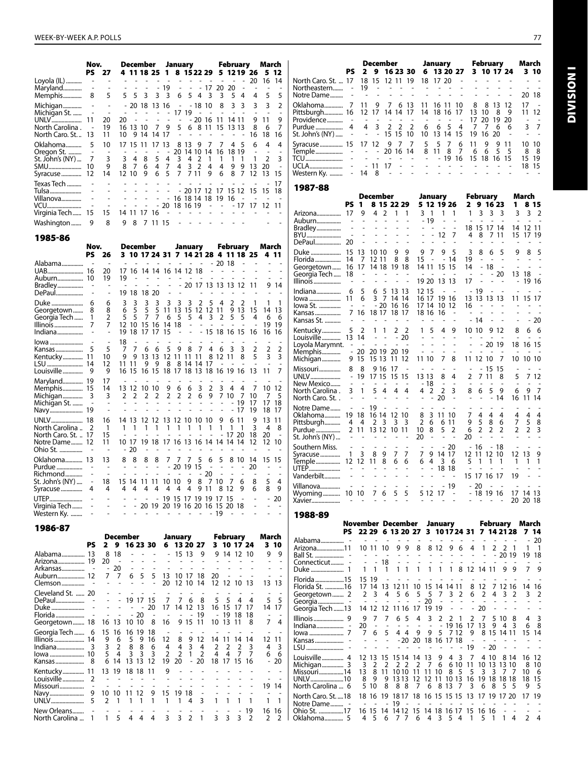Kentucky............... <sup>11</sup> <sup>13</sup> <sup>19</sup> <sup>18</sup> <sup>18</sup> <sup>11</sup> <sup>9</sup> - - - - - - - - - Louisville............... <sup>2</sup> - - - - - - - - - - - - - - - Missouri................. - - - - - - - - - - - - - - <sup>19</sup> <sup>14</sup>

New Orleans........ - - - - - - - - - - - - - 19 16 16 North Carolina ... 1 1 5 4 4 4 3 3 2 1 3 3 3 2 2 2

Navy........................ <sup>9</sup> <sup>10</sup> <sup>10</sup> <sup>11</sup> <sup>12</sup> <sup>9</sup> <sup>15</sup> <sup>19</sup> <sup>18</sup> - - - - - - - UNLV....................... <sup>5</sup> <sup>2</sup> <sup>1</sup> <sup>1</sup> <sup>1</sup> <sup>1</sup> <sup>1</sup> <sup>1</sup> <sup>4</sup> <sup>3</sup> <sup>1</sup> <sup>1</sup> <sup>1</sup> <sup>1</sup> <sup>1</sup> <sup>1</sup>

|                               | Nov.<br>PS                     | - 27                  |                                             |                          |                          |                                 | December January<br>4 11 18 25 1 8 15 22 29 5 12 19 26 |                          |                          | February                  |        | March<br>5 12                       |                          |                                                                     | PS.                    |                          | <b>December</b>                                                                                 |                                                                |                       |                               | January                  | 2 9 16 23 30 6 13 20 27                      |         | February                 | 3 10 17 24               |                | March<br>3 10                   |
|-------------------------------|--------------------------------|-----------------------|---------------------------------------------|--------------------------|--------------------------|---------------------------------|--------------------------------------------------------|--------------------------|--------------------------|---------------------------|--------|-------------------------------------|--------------------------|---------------------------------------------------------------------|------------------------|--------------------------|-------------------------------------------------------------------------------------------------|----------------------------------------------------------------|-----------------------|-------------------------------|--------------------------|----------------------------------------------|---------|--------------------------|--------------------------|----------------|---------------------------------|
| Loyola (IL)                   |                                |                       |                                             |                          | <b>Contract Contract</b> | $\sim$                          |                                                        | <b>Contract Contract</b> |                          | <b>Contract Contract</b>  | 20     | 16 14                               |                          | North Caro. St.  17 18 15 12 11 19 18 17 20                         |                        |                          |                                                                                                 |                                                                |                       |                               |                          |                                              |         |                          |                          |                |                                 |
| Maryland<br>Memphis           | 8                              | 5                     | 5 5                                         |                          | $-19$<br>3 3 3 6         |                                 | - - - 17 20 20<br>5 4 3                                |                          | $\overline{\mathbf{3}}$  | 5 4                       | 4      | 5                                   | 5                        | Northeastern - 19<br>Notre Dame                                     |                        |                          | $\sim$                                                                                          | $\sim$ $\sim$ $\sim$ $\sim$ $\sim$<br>$\overline{\phantom{a}}$ |                       |                               |                          |                                              |         |                          |                          |                | 20 18                           |
| Michigan                      |                                |                       |                                             |                          | $-20$ 18 13 16           | $\sim$ $-$                      | - 18 10                                                |                          | 8                        | 3 <sub>3</sub>            | 3      | 3                                   | $\overline{2}$           |                                                                     |                        |                          |                                                                                                 |                                                                |                       |                               |                          |                                              | 8       | - 8                      | 13 12                    |                | 17                              |
| Michigan St.                  |                                |                       |                                             |                          |                          | $- - 1719$                      |                                                        |                          | $\sim$                   |                           |        |                                     |                          | Pittsburgh 16    12    17    14    14    17    14    18    16    17 |                        |                          |                                                                                                 |                                                                |                       |                               |                          |                                              |         | 13 10                    | - 8<br>- 9               |                | 11 12                           |
| UNLV<br>North Carolina.       | 11<br>$\overline{\phantom{a}}$ | 20<br>19              | 20<br>$\sim$<br>16 13 10 7                  | $\sim$                   | $\sim 100$ km s $^{-1}$  | $\sim$ $-$<br>9<br>5            | - 20 16 11 14 11<br>6 8 11 15 13 13                    |                          |                          |                           | 9<br>8 | -11<br>- 6                          | 9<br>$\overline{7}$      | Providence                                                          |                        | $\sim$<br>4              | $\sim$<br>3                                                                                     | $\sim$ $\sim$<br>2 2 2                                         |                       | 6                             | 6<br>5                   | $\overline{4}$                               | 17<br>7 | 20<br>7                  | 19 20<br>6               | 6              | $ -$<br>3 <sub>7</sub>          |
| North Caro. St.  13           |                                | 11                    | 10 9 14 14 17                               |                          |                          |                                 |                                                        |                          |                          |                           | 16     | 18                                  | 16                       | St. John's (NY)                                                     | $\sim$                 | $\sim$ $-$               |                                                                                                 |                                                                | - 15 15 10            |                               |                          | 10 13 14 15                                  | 19      | 16                       | 20                       |                | $\sim$                          |
| Oklahoma                      | 5                              | 10                    | 17 15 11 17 13                              |                          |                          |                                 | 8 13 9                                                 | - 7                      | 7                        | 4 5                       | 6      |                                     | 4                        | Syracuse 15 17 12 9 7 7                                             |                        |                          |                                                                                                 |                                                                |                       | 5                             | - 5                      | $\overline{7}$<br>6                          | 11      | 9                        | 9 11                     |                | 10 10                           |
| Oregon St.<br>St. John's (NY) | 7                              |                       | 3<br>4                                      | 8                        | 5<br>4                   | 20<br>3                         | 14 10 14<br>4<br>2                                     |                          | 16                       | 18 19                     |        | 2                                   | 3                        | Temple -                                                            |                        |                          |                                                                                                 | 20 16 14<br>$\sim$                                             | $\sim$ $-$            |                               | 8 11 8<br>- 19           | 7<br>-16                                     | 6       | - 6                      | 5<br>- 5<br>15 18 16 15  |                | 8 8<br>15 19                    |
| SMU                           | 10                             | 9                     | 7<br>8                                      | 6                        | $\overline{4}$<br>7      | 4                               | 3<br>2                                                 | 4                        | 4                        | 99                        | -13    | -20                                 |                          |                                                                     |                        |                          | $-11$ 17                                                                                        | $\sim$                                                         |                       |                               |                          |                                              |         |                          |                          |                | 18 15                           |
| Syracuse  12                  |                                | 14                    | 12 10 9                                     |                          | 5<br>6                   |                                 | 7 7 11                                                 | 9                        | 6                        | 8<br>7                    |        | 13<br>15                            |                          | Western Ky.  - 14 8                                                 |                        |                          |                                                                                                 |                                                                |                       |                               |                          |                                              |         |                          |                          |                |                                 |
| Texas Tech                    |                                |                       |                                             |                          |                          |                                 |                                                        |                          |                          |                           |        | -17<br>- 20 17 12 17 15 12 15 15 18 |                          | 1987-88                                                             |                        |                          |                                                                                                 |                                                                |                       |                               |                          |                                              |         |                          |                          |                |                                 |
| Tulsa<br>Villanova            |                                |                       |                                             |                          |                          |                                 | $- - 161814181916$                                     |                          |                          | $\sim$                    |        |                                     |                          |                                                                     |                        |                          | December                                                                                        |                                                                |                       |                               | January                  |                                              |         | <b>February</b>          |                          |                | March                           |
| VCU                           |                                |                       |                                             |                          |                          |                                 | $-20$ 18 16 19                                         | $\sim$ $-$               |                          |                           |        | - -17 17 12 11                      |                          |                                                                     |                        |                          | PS 1 8 15 22 29                                                                                 |                                                                |                       | 5 12 19 26                    |                          |                                              |         | 2 9 16 23                |                          |                | 1 8 15                          |
| Virginia Tech  15             |                                | 15                    | 14 11 17 16                                 |                          |                          |                                 |                                                        |                          |                          |                           |        |                                     |                          | Arizona 17 9 4 2 1 1<br>Auburn                                      |                        |                          | $\sim$ $\sim$                                                                                   |                                                                |                       | 3 <sub>1</sub><br>$-19$       |                          | $1 \quad 1$                                  |         | $1 \t3 \t3 \t3$          |                          |                | $3 \t3 \t2$                     |
| Washington                    | 9                              | 8                     | 98                                          |                          | 7 11 15                  |                                 |                                                        |                          |                          |                           |        |                                     |                          | Bradley                                                             |                        |                          |                                                                                                 |                                                                |                       |                               | $\overline{\phantom{a}}$ |                                              |         | 18 15 17 14              |                          |                | 14 12 11                        |
| 1985-86                       |                                |                       |                                             |                          |                          |                                 |                                                        |                          |                          |                           |        |                                     |                          | BYU                                                                 |                        |                          |                                                                                                 |                                                                |                       |                               | $-12$ 7                  |                                              | 4       | 8<br>7                   | -11                      |                | 15 17 19                        |
|                               | Nov.                           |                       | December                                    |                          |                          |                                 | January                                                |                          |                          | February                  |        | March                               |                          |                                                                     |                        |                          |                                                                                                 | 9                                                              | - 9                   | 7<br>9                        | 9                        | -5                                           |         |                          | 5                        |                | 85                              |
|                               | PS 26                          |                       |                                             |                          |                          |                                 | 3 10 17 24 31 7 14 21 28 4 11 18 25                    |                          | 20 18                    |                           |        | - 4 11                              |                          | Florida 14 7 12 11 8 8                                              |                        |                          |                                                                                                 |                                                                |                       | - 15<br>$\sim$                |                          | - 14                                         | 19      |                          |                          |                |                                 |
| Alabama                       |                                | 20                    | 17 16 14 14 16 14 12 18                     |                          |                          |                                 |                                                        |                          |                          |                           |        |                                     |                          | Georgetown 16 17 14 18 19 18                                        |                        |                          |                                                                                                 |                                                                |                       | 14 11 15 15                   |                          |                                              |         | 14 - 18                  |                          |                |                                 |
| Auburn 10                     |                                | 19                    |                                             |                          |                          |                                 |                                                        |                          |                          |                           |        |                                     |                          | Georgia Tech  18<br>Illinois                                        |                        |                          |                                                                                                 | and a state of                                                 |                       | 19 20 13 13                   |                          |                                              | 17      |                          | 20                       |                | $13 \t18 -$<br>- 19 16          |
| Bradley<br>DePaul             |                                |                       | 19 18 18 20                                 |                          |                          |                                 | 20 17 13 13 13 12 11                                   |                          |                          |                           |        | 914                                 |                          |                                                                     |                        | 5                        | 6                                                                                               | 5 13 13                                                        |                       | 12 15                         |                          | $\sim$ $\sim$                                | $-19$   |                          |                          |                |                                 |
| Duke                          | 6                              | 6                     | 3                                           |                          |                          |                                 | 3<br>2                                                 | 5                        |                          |                           |        |                                     |                          |                                                                     |                        | 6                        |                                                                                                 | 3 7 14 14                                                      |                       | 16 17 19 16                   |                          |                                              |         | 13 13 13 13              |                          |                | 11 15 17                        |
| Georgetown                    | 8                              | 8                     | -5<br>6                                     | 5                        | 5                        | 11 13                           | 15                                                     | 12 12 11                 |                          | 9 13 15                   |        | 14 13                               |                          | lowa St.                                                            | $\sim$                 | $\overline{\phantom{a}}$ |                                                                                                 | $-20$ 16 16                                                    |                       | 17 14 10 12<br>18 16 16       |                          |                                              | 16      |                          |                          |                |                                 |
| Georgia Tech<br>Illinois      | $\overline{1}$<br>7            | 2<br>7                | - 5<br>5<br>12 10 15 16 14 18               |                          | 7 7                      | - 5<br>6                        | 5<br>$\sim$<br>$\overline{\phantom{a}}$                | 4 3 2                    | 5                        | 5                         | 4      | 6<br>19 19                          | - 6                      | Kansas St.                                                          |                        |                          |                                                                                                 |                                                                |                       |                               |                          |                                              | - 14    | $\overline{\phantom{a}}$ |                          |                | - 20                            |
| Indiana                       |                                |                       | 19 18                                       |                          | 17 17 15                 |                                 | $\sim$                                                 | - 15 18 16 15 16         |                          |                           |        | 16 16                               |                          |                                                                     |                        |                          | 1 1 2 2                                                                                         |                                                                |                       |                               | 1 5 4 9                  |                                              |         | 10 10 9 12               |                          | 8              | 6 6                             |
| lowa                          |                                |                       |                                             |                          |                          |                                 |                                                        |                          |                          |                           |        |                                     |                          | Louisville 13 14<br>Loyola Marymnt. - -                             |                        |                          |                                                                                                 | $- - - 20$                                                     | $\sim 100$            |                               |                          |                                              |         | - 20 19                  |                          |                | 18 16 15                        |
| Kansas                        | -5                             | 5                     |                                             | 6                        | 6<br>5                   |                                 | 987                                                    | 4                        | - 6<br>- 3               |                           |        | 2<br>3                              | $\overline{2}$           | Memphis - 20 20 19 20 19                                            |                        |                          |                                                                                                 |                                                                |                       | $\sim$ $ \sim$                | $\sim$                   | $\sim$                                       |         |                          |                          |                |                                 |
| Kentucky……………                 | 11                             | 10<br>12              | 9<br>- 9<br>11 11                           |                          |                          |                                 | 13 13 12 11 11 11<br>9 9 8 8 14 14 17                  |                          | 8 12 11 8                |                           | 5      |                                     | 3                        | Michigan 9 15 15 13 11 12                                           |                        |                          |                                                                                                 |                                                                |                       | 11 10 7 8                     |                          |                                              |         | 11 12 10 7               |                          |                | 10 10 10                        |
|                               |                                | 9                     | 16 15 16 15 18 17 18 13 18 16 19 16 13      |                          |                          |                                 |                                                        |                          |                          |                           |        |                                     |                          | UNLV                                                                |                        |                          | 9 16 17<br>- 19 17 15 15 15                                                                     |                                                                | $\sim$                | $\sim$<br>$\sim$<br>13 13 8 4 | $\sim$                   |                                              |         | $- - 15$ 15<br>2 7 11 8  |                          |                | 5 7 12                          |
| Maryland 19                   |                                | 17                    |                                             |                          |                          |                                 |                                                        |                          |                          |                           |        |                                     |                          | New Mexico                                                          |                        |                          | the company of the company of                                                                   |                                                                |                       | $-18$                         | $\overline{a}$           | $\sim$                                       |         |                          |                          |                |                                 |
| Memphis 15<br>Michigan        | 3                              | 14<br>3               | 13 12 10 10<br>2 <sub>2</sub>               | 2                        | 2                        | 9<br>- 6<br>$\overline{2}$<br>2 | - 6<br>3<br>$2\t6\t9$                                  | $\overline{2}$           | 34<br>7 10               | 7                         | -10    | 10 12<br>7                          | -5                       | North Carolina .                                                    | $\mathbf{3}$<br>$\sim$ | $\overline{1}$           | 5 4 4 4<br>$\sim$                                                                               |                                                                | $\sim$                | 4 2<br>$\sim$                 | $\overline{2}$<br>20     | 3                                            | 8       | 5<br>6                   | 9<br>14                  | 6<br>16        | 97<br>11 14                     |
| Michigan St.                  |                                |                       |                                             |                          |                          |                                 | $\overline{\phantom{a}}$<br>$\sim$                     |                          |                          | 19                        | -17    | 17 18                               |                          | North Caro. St<br>Notre Dame                                        |                        | - - 19                   | $\sim$                                                                                          | <b>Contract Contract</b>                                       |                       |                               |                          |                                              |         |                          |                          |                |                                 |
|                               |                                |                       |                                             |                          |                          |                                 |                                                        |                          |                          |                           | 19     | 18 17                               |                          | Oklahoma 19 18 16 14 12 10                                          |                        |                          |                                                                                                 |                                                                |                       |                               | 8 3 11 10                |                                              |         | 4                        | 4                        | 4              | 4<br>4                          |
| North Carolina  2             |                                | 16<br>$\overline{1}$  | 14 13 12 12 13 12 10 10 10                  |                          |                          | $\mathbf{1}$                    | $\overline{1}$                                         | 1 1                      | 9<br>6<br>$\overline{1}$ |                           | 9<br>3 | 13 11<br>4                          | 8                        | Pittsburgh 4 4 2 3 3 3                                              |                        |                          |                                                                                                 |                                                                |                       | $2\overline{6}$               |                          | 6 11                                         | 95      | - 8                      | 6                        | $7^{\circ}$    | 5 8                             |
| North Caro. St.   17          |                                | 15                    |                                             |                          |                          |                                 |                                                        |                          |                          | 20                        | 18     | -20                                 |                          | St. John's (NY)                                                     |                        |                          | $\sim 10^{-1}$ m $^{-1}$                                                                        |                                                                |                       | 8<br>10<br>20                 |                          | 5 <sub>2</sub>                               | 6<br>20 | $\overline{2}$           | 2 <sub>2</sub>           | $\overline{2}$ | 2 3                             |
| Notre Dame 12<br>Ohio St.     |                                | 11                    | 10 17 19 18 17 16 13 16 14 14 14 14<br>- 20 |                          |                          |                                 |                                                        |                          |                          |                           | 12     | 12 10                               |                          | Southern Miss.                                                      |                        |                          | $\sim$ $ \sim$                                                                                  |                                                                | $\sim$                |                               |                          | $-20$                                        | - 16    |                          | - 18                     |                |                                 |
| Oklahoma 13                   |                                | 13                    | 8<br>8                                      | 8                        | 8                        | 77                              | 7<br>5                                                 | 6                        | 5                        |                           |        | 8 10 14 15 15                       |                          | Syracuse  1 3 8 9 7 7                                               |                        |                          |                                                                                                 |                                                                |                       |                               | 7 9 14 17                |                                              |         | 12 11 12 10              |                          | 12 13          | 9                               |
| Purdue                        |                                |                       |                                             |                          |                          |                                 | $-201915$                                              | $\sim$                   | $\overline{\phantom{a}}$ |                           | 20     |                                     |                          | Temple 12 12 11 8 6 6                                               |                        |                          |                                                                                                 |                                                                |                       |                               | 6 4 3 6<br>$- 1818$      |                                              | 5       |                          |                          |                |                                 |
| St. John's (NY)               |                                |                       | 18 15 14 11 11 10 10 9                      |                          |                          |                                 | $- - - - - - - - 20$                                   | 8 7 10 7                 | $\sim$                   |                           |        |                                     |                          | Vanderbilt                                                          |                        |                          | $\mathcal{L}=\mathcal{L}=\mathcal{L}=\mathcal{L}$ .                                             |                                                                |                       |                               | and a state of           |                                              |         | 15 17 16 17              |                          | 19             |                                 |
| Syracuse                      | 4                              | 4                     | 4<br>4                                      | 44                       |                          |                                 | 4 4 4 9 11 8 12                                        |                          |                          | 9                         | 6      | C<br>8                              | 4<br>- 9                 | Villanova                                                           |                        |                          | $\mathcal{A}^{\mathcal{A}}$ , and $\mathcal{A}^{\mathcal{A}}$ , and $\mathcal{A}^{\mathcal{A}}$ |                                                                |                       |                               |                          | - 19                                         | - 20    |                          | $\sim 10^{-1}$ m $^{-1}$ |                | <b>Contractor</b>               |
| UTEP                          |                                |                       |                                             |                          |                          |                                 | - 19 15 17 19 19 17 15                                 |                          |                          |                           |        | $-20$                               |                          | Wyoming 10 10 7 6 5 5<br>Xavier                                     |                        |                          |                                                                                                 |                                                                |                       |                               | 5 12 17 -                |                                              |         |                          |                          |                | - 18 19 16 17 14 13<br>20 20 18 |
| Virginia Tech                 |                                |                       |                                             |                          |                          |                                 | - 20 19 20 19 16 20 16 15 20 18                        | - 19                     |                          |                           |        |                                     |                          |                                                                     |                        |                          |                                                                                                 |                                                                |                       |                               |                          |                                              |         |                          |                          |                |                                 |
| Western Ky.                   |                                |                       |                                             |                          |                          |                                 |                                                        |                          |                          |                           |        |                                     |                          | 1988-89                                                             |                        |                          | November December January                                                                       |                                                                |                       |                               |                          |                                              |         |                          |                          |                |                                 |
| 1986-87                       |                                |                       |                                             |                          |                          |                                 |                                                        |                          |                          |                           |        |                                     |                          |                                                                     |                        |                          |                                                                                                 |                                                                |                       |                               |                          | PS 22 29 6 13 20 27 3 10 17 24 31 7 14 21 28 |         |                          |                          |                | February March<br>714           |
|                               |                                |                       | December                                    |                          |                          | January                         |                                                        |                          | February                 |                           |        | March                               |                          | Alabama                                                             |                        |                          |                                                                                                 |                                                                |                       |                               |                          |                                              |         |                          |                          |                | $-20$                           |
| Alabama 13                    | PS.                            | 8 18                  | 2 9 16 23 30<br>$\sim$                      | $\overline{\phantom{a}}$ | $\sim$                   |                                 | 6 13 20 27<br>$-15139$                                 |                          |                          | 3 10 17 24<br>9 14 12 10  |        | 310<br>99                           |                          | Arizona11                                                           |                        |                          | 10 11 10                                                                                        | 9                                                              | 9                     | 8                             | 12                       | 9<br>6                                       | 4       |                          | 2 2 1<br>- 20 19         |                | $1 \quad 1$<br>19 18            |
| Arizona 19 20                 |                                |                       |                                             |                          |                          |                                 |                                                        |                          |                          |                           |        | $\overline{\phantom{a}}$            |                          | Connecticut -                                                       |                        |                          | 18                                                                                              |                                                                |                       |                               |                          |                                              |         |                          |                          |                |                                 |
| Arkansas  -<br>Auburn 12      |                                | - 20<br>77            | 6                                           | 5                        | 5                        |                                 | 13 10 17 18                                            | 20                       |                          |                           |        | $\overline{a}$<br>$\overline{a}$    |                          |                                                                     |                        | $\mathbf{1}$             | -1                                                                                              |                                                                | 1 1                   | -1                            |                          | 1 1 1 8 12 14 11                             |         |                          | 9                        | -9             | $7^{\circ}$                     |
| Clemson                       |                                |                       |                                             |                          | 20                       | 12 10                           | 14                                                     |                          | 12 12 10                 |                           |        | 13 13                               |                          | Florida 15                                                          |                        | 15 19                    |                                                                                                 |                                                                |                       |                               |                          |                                              |         |                          |                          |                |                                 |
| Cleveland St.  20             |                                |                       |                                             |                          |                          |                                 |                                                        |                          |                          |                           |        | $\overline{\phantom{a}}$            | $\overline{\phantom{a}}$ | Florida St. 16<br>Georgetown 2                                      |                        | 2 3                      | 17 14 13                                                                                        | 4<br>5                                                         | 6                     | 5<br>5                        | 7                        | 12 11 10 15 14 14 11<br>3 2                  | 6       | $\overline{2}$           | $\overline{4}$           | 3 2            | 8 12 7 12 16 14 16<br>3<br>-2   |
| DePaul                        |                                |                       |                                             | 19 17 15                 |                          | 7                               | 6<br>-8                                                |                          |                          |                           |        | 5 <sub>5</sub>                      |                          |                                                                     |                        |                          |                                                                                                 |                                                                |                       | 20                            |                          |                                              |         |                          |                          |                |                                 |
| Duke<br>Florida               |                                |                       |                                             | 20<br>- 20               | 17                       |                                 | 14 12 13<br>- 19                                       |                          |                          | 16 15 17 17<br>- 19 18 18 |        | 14 17<br>$\overline{\phantom{a}}$   |                          | Georgia Tech 13                                                     |                        |                          | 14 12 12 11 16 17 19 19                                                                         |                                                                |                       |                               |                          | $\sim$                                       | - 20    |                          |                          |                |                                 |
| Georgetown 18                 |                                |                       | 16 13 10 10 8                               |                          | 16                       |                                 | 9 15 11                                                |                          |                          | 10 13 11 8                |        | $\overline{7}$                      | $\overline{4}$           | $Indian$ $-$                                                        |                        | 9<br>20                  | $\overline{7}$<br>7                                                                             |                                                                | 6 5<br>$\overline{4}$ | 3                             | 2                        | 2<br>-1<br>19 16 17                          | 2       | 7<br>13                  | 5<br>10 8<br>43<br>9.    |                | 3<br>4<br>6 8                   |
| Georgia Tech  6               |                                |                       | 15 16 16 19 18                              |                          |                          |                                 |                                                        |                          |                          |                           |        |                                     |                          |                                                                     |                        | 76                       |                                                                                                 | 5                                                              |                       |                               |                          |                                              | 9       |                          |                          |                | 8 15 14 11 15 14                |
|                               |                                | 9 6<br>3 <sub>2</sub> | $\overline{5}$<br>8                         | 916<br>8                 | 12<br>6<br>4             | 8<br>4                          | 9 12<br>3                                              | 4<br>2                   | 2                        | 14 11 14 14<br>2          | 3      | 12 11<br>4                          | $\overline{\mathbf{3}}$  |                                                                     |                        |                          |                                                                                                 |                                                                |                       |                               |                          | -20 20 18 16 17 18<br>$\sim$                 | -19     | $-20$                    | $\sim$                   |                |                                 |
|                               |                                | 5 4                   |                                             | 3 3 3                    | 2                        | $\overline{2}$                  | $1\quad 2$                                             | 4                        |                          | 4 7 7                     |        | 6 6                                 |                          | Louisville 4 12 13 15 15 14 14 13 9 4 3 7 4 10 8 14 16 12           |                        |                          |                                                                                                 |                                                                |                       |                               |                          |                                              |         |                          |                          |                |                                 |
|                               |                                |                       | 6 14 13 13 12 19 20 - 20 18 17 15 16        |                          |                          |                                 |                                                        |                          |                          |                           |        | $-20$                               |                          | Michiaan                                                            |                        |                          | $\mathcal{D}$                                                                                   |                                                                | າ າ                   | $\mathcal{D}$                 | 76                       | 6 10 11 10 12 12 10                          |         |                          |                          |                | <b>Q</b> 10                     |

Louisville................ 4 12 13 15 15 14 14 13 9 4 3 7 4 10 8 14 16 12<br>Michigan................ 3 3 2 2 2 2 2 7 6 6 10 11 10 13 13 10 8 10 Michigan............... 3 3 2 2 2 2 2 7 6 6 10 11 10 13 13 10 8 10 Missouri.................14 13 8 11 10 10 11 11 10 8 5 5 3 3 7 7 10 6 UNLV.......................10 8 9 9 13 13 12 12 11 10 13 16 19 18 18 18 18 15 North Carolina ... 6 5 10 8 8 8 7 6 8 13 7 3 6 8 5 5 9 5 North Caro. St. ....18 18 16 19 18 17 18 16 15 15 15 13 17 19 17 20 17 19 Notre Dame......... - - - - <sup>19</sup> - - - - - - - - - - - - - Ohio St. .................17 <sup>16</sup> <sup>15</sup> <sup>14</sup> <sup>14</sup> <sup>12</sup> <sup>15</sup> <sup>14</sup> <sup>18</sup> <sup>16</sup> <sup>17</sup> <sup>15</sup> <sup>16</sup> <sup>16</sup> - - - - Oklahoma............. <sup>5</sup> <sup>4</sup> <sup>5</sup> <sup>6</sup> <sup>7</sup> <sup>7</sup> <sup>6</sup> <sup>4</sup> <sup>3</sup> <sup>5</sup> <sup>4</sup> <sup>1</sup> <sup>5</sup> <sup>1</sup> <sup>1</sup> <sup>4</sup> <sup>2</sup> <sup>4</sup>

**DIVISION I** Division I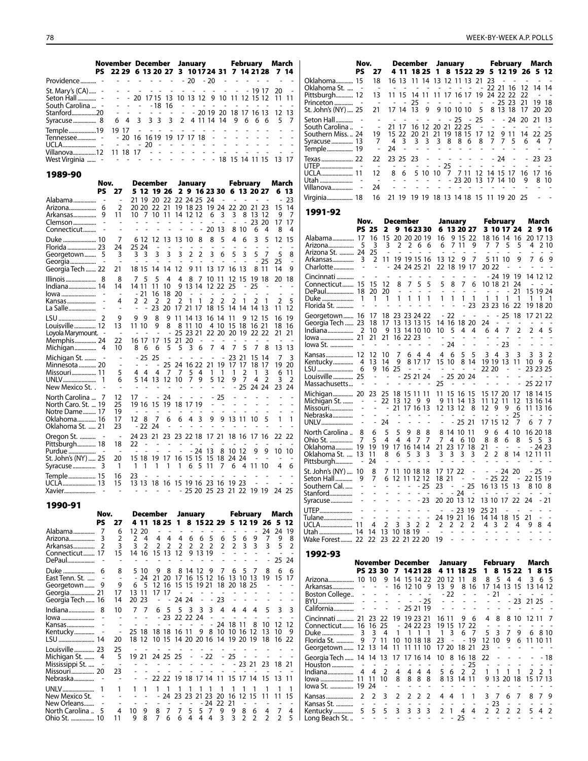|                                                                 |  |  |  |  |  |  |  |  | November December January February March                                           |  |
|-----------------------------------------------------------------|--|--|--|--|--|--|--|--|------------------------------------------------------------------------------------|--|
|                                                                 |  |  |  |  |  |  |  |  | PS 22 29 6 13 20 27 3 1017 24 31 7 14 21 28 7 14                                   |  |
| Providence                                                      |  |  |  |  |  |  |  |  | . 20 - 20 -                                                                        |  |
|                                                                 |  |  |  |  |  |  |  |  |                                                                                    |  |
| South Carolina  - - - - - - - 18 16 - - - - - - - - - - - - - - |  |  |  |  |  |  |  |  |                                                                                    |  |
| Stanford20                                                      |  |  |  |  |  |  |  |  | $- - - - - - - - - - - 201920181716131213$<br>6 4 3 3 3 3 2 4 11 14 14 9 6 6 6 5 7 |  |
| Temple19                                                        |  |  |  |  |  |  |  |  | 1917                                                                               |  |
| Tennessee - - 20 16 16 19 19 17 17 18 - - - - - - - - - -       |  |  |  |  |  |  |  |  |                                                                                    |  |
|                                                                 |  |  |  |  |  |  |  |  |                                                                                    |  |
|                                                                 |  |  |  |  |  |  |  |  |                                                                                    |  |
| West Virginia  - - - - - - - - - - - - - - 18 15 14 11 15 13 17 |  |  |  |  |  |  |  |  |                                                                                    |  |

|                                      | Nov. |                          | December                                  |                                |                                |                          |                            | January                       |                     |                     |                          | <b>February</b>          |                |                          | March          |                |
|--------------------------------------|------|--------------------------|-------------------------------------------|--------------------------------|--------------------------------|--------------------------|----------------------------|-------------------------------|---------------------|---------------------|--------------------------|--------------------------|----------------|--------------------------|----------------|----------------|
|                                      | PS   | 27                       | 5 12 19 26                                |                                |                                |                          |                            |                               |                     |                     |                          | 2 9 16 23 30 6 13 20 27  |                |                          | 6              | 13             |
| Alabama                              |      |                          | 21<br>19                                  | 20                             | 22                             |                          | 22 24 25                   |                               | -24                 |                     |                          |                          |                |                          |                | 23             |
| Arizona                              | 6    | 2                        | 20 20                                     | 22                             | 21                             |                          | 19 18 23                   |                               | 19                  | 24                  |                          | 22 20 21 23              |                |                          | 15             | 14             |
| Arkansas<br>Clemson                  | 9    | 11<br>$\overline{a}$     | $7^{\circ}$<br>10<br>$\overline{a}$<br>L, | 10<br>$\overline{\phantom{0}}$ | 11<br>$\overline{\phantom{0}}$ | $\overline{\phantom{a}}$ | 14 12 12<br>$\overline{a}$ | $\overline{\phantom{a}}$      | 6<br>٠              | 3<br>÷              | 3                        | 8<br>L,                  | 13<br>23       | 12<br>20                 | 9<br>17        | 7<br>17        |
| Connecticut                          |      |                          |                                           |                                |                                |                          |                            |                               | 20                  | 13                  | 8                        | 10                       | 6              | 4                        | 8              | 4              |
|                                      |      | 7                        | 6 12                                      | 12                             | 13                             | 13                       | 10                         | 8                             | 8                   | 5                   | 4                        | 6                        | 3              | 5                        | 12             | 15             |
| Florida  23                          |      | 24                       | 25 24                                     |                                |                                |                          |                            |                               |                     |                     |                          |                          |                | $\overline{\phantom{a}}$ | $\overline{a}$ |                |
| Georgetown                           | 5    | 3                        | 3<br>$\overline{\mathbf{3}}$              | 3                              | 3                              | 3                        | 2                          | $\overline{2}$                | 3                   | 6                   | 5                        | 3                        | 5              | -7                       | 5              | 8              |
| Georgia                              |      | ä,                       | ٠<br>÷                                    |                                |                                |                          |                            |                               |                     |                     |                          |                          | ÷,             | 25                       | 25             | ä,             |
| Georgia Tech  22                     |      | 21                       | 18 15                                     | 14                             | 14                             | 12                       |                            | 9 11                          | 13                  | 17                  | 16                       | -13                      | 8              | 11                       | 14             | 9              |
| Illinois                             | 8    | 8                        | 5<br>7                                    | 5                              | 4                              | 4                        | 8                          | 7                             | 10                  | -11                 | 12                       | 15                       | 19             | -18                      | 20             | 18             |
| Indiana 14                           |      | 14                       | 14 11                                     | 11                             | 10                             | 9                        | 13 14                      |                               | 12 22               |                     | 25                       |                          | 25             |                          |                |                |
| lowa<br>Kansas                       |      | $\overline{a}$<br>4      | - 21<br>$\overline{2}$<br>2               | 16<br>$\overline{2}$           | 18<br>$\overline{2}$           | 20<br>$\overline{2}$     | $\overline{a}$<br>1        | $\overline{\phantom{a}}$<br>1 | $\overline{a}$<br>2 | $\overline{a}$<br>2 | $\overline{a}$<br>2      | 1                        | 2              | 1                        | $\overline{2}$ | 5              |
| La Salle                             |      | $\overline{a}$           |                                           | 23                             | 20                             | 17                       | 21 17                      |                               | 18                  | 15                  | 14                       | 14                       | 14             | 13                       | 11             | 12             |
|                                      |      | 9                        |                                           |                                |                                |                          |                            |                               |                     |                     |                          |                          |                |                          |                | 19             |
| Louisville  12                       |      | 13                       | 9<br>9<br>11 10                           | 8<br>9                         | 9<br>8                         | 11<br>8                  | 14 13<br>11                | 10                            | 16<br>4             | 14<br>10            | 11<br>15                 | 9<br>18                  | 12<br>16       | 15<br>-21                | 16<br>18       | 16             |
| Loyola Marymount.                    |      | $\overline{\phantom{a}}$ |                                           |                                |                                | 25                       | 23 21                      |                               |                     | 22 20               | 20 19                    |                          | 22 22          |                          | 21             | 21             |
| Memphis 24                           |      | 22                       | 16 17                                     | 17                             | 15                             | 21                       | 20                         |                               | $\overline{a}$      | ٠                   | $\overline{\phantom{a}}$ | $\overline{\phantom{a}}$ | $\overline{a}$ |                          |                |                |
| Michigan                             | 4    | 10                       | 8<br>6                                    | 6                              | 5                              | 5                        | 3                          | 6                             | 7                   | 4                   | 7                        | 5                        | 7              | 8                        | 13             | 13             |
| Michigan St.                         |      |                          | $-25$                                     | 25                             |                                |                          |                            |                               |                     |                     | 23                       | 21                       | 15             | 14                       | 7              | 3              |
| Minnesota  20                        |      |                          |                                           |                                | 25                             |                          | 24 16 22                   |                               | 21                  | 19                  | 17                       | 17                       | 18             | 17                       | 19             | 20             |
| Missouri 11                          |      | 5                        | 44                                        | 4                              | 7                              | 7                        | 5                          | 4                             | 1                   | 1                   | 1                        | $\overline{2}$           | 1              | 3                        | 6              | 11             |
| UNLV                                 | 1    | 6<br>$\overline{a}$      | 5 14                                      | 13                             | 12                             | 10                       | 7                          | 9                             | 5                   | 12                  | 9                        | 7<br>25                  | 4              | $\overline{2}$           | 3              | $\overline{2}$ |
| New Mexico St                        |      |                          |                                           |                                |                                |                          |                            | $\overline{\phantom{a}}$      | ä,                  |                     |                          |                          | 24 24          |                          | 23             | 24             |
| North Carolina                       | 7    | 12                       | 17                                        |                                | 24                             |                          |                            | $\overline{a}$                |                     | - 25                |                          |                          |                |                          |                |                |
| North Caro. St.  19<br>Notre Dame 17 |      | 25<br>19                 | 19 16                                     | 15                             | 19                             |                          | 18 17 19                   |                               | $\overline{a}$      | ÷,                  |                          |                          |                | $\overline{a}$           |                |                |
| Oklahoma 16                          |      | 17                       | 12<br>8                                   |                                | 6                              | 6                        | 4                          | 3                             | 9                   | 9                   | 13 11                    |                          | 10             | 5                        | 1              | 1              |
| Oklahoma St.  21                     |      | 23                       | $-22$                                     | 24                             |                                |                          |                            |                               |                     |                     |                          |                          |                |                          |                |                |
| Oregon St.                           |      | $\overline{\phantom{a}}$ | 24 23                                     | 21                             | 23 23 22 18 17 21              |                          |                            |                               |                     |                     | 18 16                    |                          | 17 16          |                          | 22             | 22             |
| Pittsburgh 18                        |      | 18                       | 22<br>$\overline{a}$                      |                                |                                |                          |                            |                               |                     | $\overline{a}$      |                          |                          |                |                          |                |                |
| Purdue                               |      | $\overline{\phantom{a}}$ | L,                                        |                                |                                |                          |                            | - 24                          | 13                  | 8                   | 10                       | 12                       | 9              | 9                        | 10             | 10             |
| St. John's (NY)  25                  |      | 20                       | 15 18                                     | 19                             | 17                             |                          | 16 15 15                   |                               | 15                  | 18                  | 24 24                    |                          |                |                          |                |                |
| Syracuse                             |      | 1                        | 1<br>1                                    | 1                              | 1                              | 1                        | 6                          | 5                             | 11                  | 7                   | 6                        | 4                        | 11             | 10                       | 4              | 6              |
| Temple 15                            |      | 16                       | 23                                        |                                |                                |                          |                            |                               |                     |                     |                          |                          |                |                          |                |                |
|                                      |      | 15<br>٠                  | 13 13                                     | 18                             | 16                             |                          |                            |                               | 15 19 16 23 16      | $-2520252321$       | 19 23                    | 22                       |                |                          |                |                |
| Xavier                               |      |                          |                                           |                                |                                |                          |                            |                               |                     |                     |                          |                          | 19             | -19                      | 24             | 25             |

| Nov.                      |                |                |               | December       |                |                | January                  |                |                          |                          |             |                | February                |    | March            |                |
|---------------------------|----------------|----------------|---------------|----------------|----------------|----------------|--------------------------|----------------|--------------------------|--------------------------|-------------|----------------|-------------------------|----|------------------|----------------|
| PS                        | 27             | 4              |               | 11 18 25       |                |                |                          |                |                          |                          |             |                | 1 8 15 22 29 5 12 19 26 |    | 5                | 12             |
|                           | 6              |                | 12 20         |                |                | ۰              |                          |                |                          |                          |             |                |                         | 24 | 24               | 19             |
| 3<br>Arizona              | $\overline{2}$ | $\overline{2}$ | 4             | 4              | 4              | 4              | 6                        | 6              | -5                       | 6                        | 5           | 6              | 9                       | 7  | 9                | 8              |
| $\mathcal{P}$<br>Arkansas | 3              | $\mathbf{R}$   | $\mathcal{P}$ | $\overline{2}$ | $\overline{2}$ | $\overline{2}$ | $\overline{2}$           |                | 2 <sub>2</sub>           | $\overline{2}$           | $2^{\circ}$ | 3              | 3                       | 3  | 5                | $\overline{2}$ |
| Connecticut 17            | 15             |                | 14 16         |                | 15 13          | 12             |                          | 9 13 19        |                          |                          |             |                |                         |    |                  |                |
| DePaul                    |                |                |               |                |                |                |                          |                |                          |                          |             |                |                         |    | 25               | -24            |
| Duke<br>6                 | 8              |                | 5 10          | 9              | 8              | 8              | 14 12 9                  |                |                          | 7                        | 6           | 5              | 7                       | 8  | 6                | 6              |
| East Tenn. St.            |                |                | 24            | 21             | 20             | 17             | 16                       | 15 12          |                          | 16                       | 13          | 10             | 13                      | 19 | 15               | 17             |
| Georgetown<br>9           | 9              |                |               |                | 16             | 15             | 15                       | 19 21          |                          | 18                       |             | 20 18 25       |                         |    |                  |                |
| Georgia 21                | 17             | 13             | -11           | 17             | 17             |                |                          |                |                          |                          |             |                |                         |    |                  |                |
| Georgia Tech  16          | 14             | 20             | 23            |                |                | 24 24          |                          | $\overline{a}$ | $\overline{a}$           | 23                       |             |                |                         |    |                  |                |
| Indiana<br>8              | 10             |                | 7             | 6              | 5              | 5              | - 3                      | 3              | 3                        | 4                        | 4           | 4              | 4                       | 5  | 3                | 3              |
| lowa                      |                |                |               |                |                | 23 22 22 24    |                          |                | ٠                        |                          |             |                |                         |    |                  |                |
| Kansas                    |                |                |               |                |                | ٠              |                          |                | $\overline{\phantom{a}}$ | 24                       | 18 11       |                | 8                       | 10 | 12               | 12             |
| Kentucky                  | $\overline{a}$ | 25 18          |               |                | 18 18          | 16 11          |                          | 9              | 8                        | 10                       |             | 10 16          | 12                      | 13 | 10               | 9              |
| LSU  14                   | 20             | 18 12          |               |                | 10 15          |                |                          |                |                          | 14 20 20 16 14           |             | 19 20 19       |                         | 18 | 16               | 22             |
| Louisville 23             | 25             |                |               |                |                |                |                          |                | $\sim 10^{-10}$          |                          |             |                |                         |    |                  |                |
| Michigan St.<br>4         | 5              |                |               | 19 21 24 25 25 |                |                | $\overline{\phantom{a}}$ |                | $-22$                    |                          | $-25 -$     |                |                         |    |                  |                |
| Mississippi St.           | ٠              |                |               |                |                |                |                          |                | $\sim$                   | $\overline{\phantom{a}}$ |             |                |                         |    | - 23 21 23 18 21 |                |
| Missouri 20               | 23             |                |               |                |                |                |                          |                |                          |                          |             |                |                         |    |                  |                |
| Nebraska                  |                |                |               | <b>22.22</b>   |                | -19            | 18                       | 17 14          |                          | 11                       | 15          | 17 14          |                         | 15 | 13               | 11             |
| UNLV<br>1                 | 1              |                |               |                |                |                |                          |                |                          |                          |             |                |                         |    |                  |                |
| New Mexico St.            |                |                |               |                | - 74           | 23             | 23                       | 21             | 23                       | 20                       | 16          | 12             | 15                      |    |                  | 15             |
| New Orleans               |                |                |               |                |                |                |                          |                | 24                       | 22                       | 21          |                |                         |    |                  |                |
| North Carolina<br>5       | 4              | 10             | 9             |                | 8 7            | 7              | 5                        | 5              | 7                        | 9                        | 9           | 8              | 6                       | 4  | 7                | 4              |
| Ohio St.<br>10            | 11             | 9              | 8             | 7              | 6              | 6              | 4                        | 4              | 4                        | 3                        | 3           | $\mathfrak{p}$ | $\mathcal{P}$           | C  | $\mathcal{P}$    | 5              |
|                           |                |                |               |                |                |                |                          |                |                          |                          |             |                |                         |    |                  |                |

|                                   | Nov.                             |                                            |                                            |                                   | December                          |                                |                                      |                                | January                       |                                   |                                                      |                                            |                                  |                                         | February                          |                                | March                         |                                  |
|-----------------------------------|----------------------------------|--------------------------------------------|--------------------------------------------|-----------------------------------|-----------------------------------|--------------------------------|--------------------------------------|--------------------------------|-------------------------------|-----------------------------------|------------------------------------------------------|--------------------------------------------|----------------------------------|-----------------------------------------|-----------------------------------|--------------------------------|-------------------------------|----------------------------------|
|                                   | PS                               | 27                                         |                                            | 4                                 | 11                                |                                | 18 25                                | 1                              |                               |                                   | 8 15 22 29 5 12 19 26                                |                                            |                                  |                                         |                                   |                                | 5                             | 12                               |
| Oklahoma 15<br>Oklahoma St.  -    |                                  | 18<br>$\overline{\phantom{a}}$             |                                            | 16 13<br>٠                        | ٠                                 | 11                             | -14                                  | ٠                              | $\overline{\phantom{a}}$      | $\overline{\phantom{a}}$          | 13 12 11 13 21<br>$\overline{\phantom{a}}$           | ٠                                          | 23                               | 22 21 16                                |                                   | 12                             | 14                            | 14                               |
| Pittsburgh 12                     |                                  | 13                                         |                                            | 11 15                             |                                   | 14 11                          |                                      | 11                             |                               | 17 16 17                          |                                                      | 19 24 22 22                                |                                  |                                         |                                   | 22                             |                               |                                  |
| St. John's (NY)  25               |                                  | ٠<br>21                                    |                                            | $\overline{\phantom{a}}$<br>17 14 | ÷,                                | 25<br>13                       | ÷,<br>9                              | ٠                              | $\overline{\phantom{a}}$      | $\sim$<br>9 10 10 10              | $\overline{\phantom{a}}$                             | $\sim$<br>5                                |                                  | $-2523$<br>8 13 18                      |                                   | 21<br>17                       | 19<br>20                      | 18<br>20                         |
| Seton Hall                        |                                  | ٠                                          |                                            |                                   |                                   |                                |                                      |                                | ä,                            | 25                                | 25<br>$\overline{\phantom{a}}$                       |                                            | $\overline{a}$                   | - 24                                    |                                   | 20                             | 21                            | 13                               |
| South Carolina                    | L,                               | $\overline{a}$                             |                                            | 21                                | 17                                | 16 12                          |                                      | 20 21 22 25                    |                               |                                   |                                                      | $\overline{\phantom{a}}$                   | L,                               | ÷,                                      | ٠                                 | $\overline{\phantom{a}}$       |                               | ٠                                |
| Southern Miss.  24<br>Syracuse 13 |                                  | 19<br>7                                    |                                            | 15<br>4                           | 22<br>3                           | 20<br>3                        | 21<br>3                              | 21<br>3                        | 8                             | 19 18 15<br>8                     | - 6                                                  | 17<br>8                                    | 12<br>7                          | 9 11<br>7                               | 5                                 | 14<br>6                        | 22<br>4                       | 25<br>7                          |
| Temple 19                         |                                  | $\overline{a}$                             |                                            | 24                                | ÷,                                | $\overline{a}$                 | $\overline{\phantom{a}}$             | $\overline{\phantom{a}}$       | $\overline{\phantom{a}}$      | ÷,                                | ÷,                                                   | $\overline{\phantom{a}}$                   |                                  |                                         |                                   |                                |                               |                                  |
| Texas  22                         |                                  | 22<br>$\overline{\phantom{a}}$             |                                            | 23 25<br>$\overline{\phantom{a}}$ | $\overline{a}$                    | 23<br>$\overline{\phantom{a}}$ | $\overline{a}$<br>$\overline{a}$     | $-25$                          | $\overline{a}$                | $\overline{\phantom{a}}$          | ÷,<br>$\overline{\phantom{a}}$                       | $\overline{a}$<br>$\overline{\phantom{a}}$ | $\overline{a}$<br>$\overline{a}$ | 24                                      | $\overline{a}$<br>L,              | ÷,<br>L,                       | 23<br>٠                       | 23                               |
| UCLA 11                           |                                  | 12                                         |                                            | 8                                 | 6                                 | 5.                             | 10                                   | 10                             | 7                             | 7 11                              |                                                      | 12                                         |                                  | 14 15 17                                |                                   | 16                             | 17                            | 16                               |
| Utah<br>Villanova                 |                                  | $\overline{a}$<br>24                       |                                            | ä,<br>L,                          | $\overline{\phantom{a}}$          | $\overline{\phantom{a}}$       | ÷,                                   | $\overline{\phantom{0}}$       |                               | L,                                | $-232013$                                            | ÷,                                         | 17<br>L,                         | 14 10                                   |                                   | 9<br>L,                        | 8<br>÷,                       | 10                               |
| Virginia 18                       |                                  | 16                                         |                                            | 21 19                             |                                   | 19 19                          |                                      |                                |                               |                                   | 18 13 14 18 15 11 19 20                              |                                            |                                  |                                         |                                   | 25                             |                               |                                  |
|                                   |                                  |                                            |                                            |                                   |                                   |                                |                                      |                                |                               |                                   |                                                      |                                            |                                  |                                         |                                   |                                |                               |                                  |
| 1991-92                           | Nov.                             |                                            |                                            | December                          |                                   |                                |                                      |                                |                               | January                           |                                                      |                                            |                                  | February                                |                                   |                                | March                         |                                  |
|                                   | PS                               | -25                                        | 2                                          |                                   |                                   |                                | 9 162330                             |                                |                               | 6 13 20 27                        |                                                      |                                            |                                  |                                         | 3 10 17 24                        |                                | 2916                          |                                  |
| Alabama 17                        |                                  | 16                                         | 15                                         |                                   |                                   |                                | 20 20 20 19                          | 16                             |                               | 9 15 22                           |                                                      |                                            |                                  | 18 16 14                                | 16                                |                                | 20 17 13                      |                                  |
| Arizona St.  24                   |                                  | 3<br>25                                    | 3<br>$\overline{\phantom{a}}$              | 2<br>$\overline{\phantom{a}}$     | $\blacksquare$                    | 26<br>٠                        | 6<br>٠                               | 6<br>$\overline{\phantom{a}}$  | $\overline{\phantom{a}}$      | 7 11<br>÷,                        | 9<br>$\overline{\phantom{a}}$                        | 7<br>$\overline{\phantom{a}}$              | 7                                | 5<br>$\overline{\phantom{a}}$           | 5<br>٠                            | 4<br>٠                         | $\overline{\phantom{a}}$      | 2 10                             |
| Arkansas                          | 3                                | 2                                          | 11                                         |                                   |                                   |                                | 19 19 15 16                          |                                | 13 12                         | 9                                 | 7                                                    |                                            |                                  | 5 11 10                                 | 9                                 | 7                              | 6                             | 9                                |
| Charlotte                         | $\overline{\phantom{a}}$         | ÷,                                         | $\overline{\phantom{a}}$                   |                                   | 24 24 25 21                       |                                |                                      |                                |                               | 22 18 19 17                       |                                                      |                                            | 20 22                            | L,                                      | ÷,                                |                                |                               |                                  |
| Cincinnati<br>Connecticut 15      |                                  | 15                                         | ÷<br>12                                    | ÷,<br>8                           | L,<br>7                           | 5                              | 5                                    | 5                              | L,<br>8                       | 7                                 | 6                                                    |                                            |                                  | - 24 19<br>10 18 21                     | 19<br>24                          | ٠                              | 14 12 12<br>٠                 |                                  |
| DePaul 18                         |                                  | 20                                         | 20                                         | $\overline{a}$                    |                                   | ÷,                             | $\overline{a}$                       | $\overline{\phantom{a}}$       | $\overline{\phantom{a}}$      |                                   | $\overline{a}$                                       | $\overline{\phantom{a}}$                   |                                  | $\overline{\phantom{a}}$                | 21                                |                                | 15 19 24                      |                                  |
| Duke<br>Florida St.               | 1                                | 1<br>÷,                                    | 1<br>L,                                    | 1                                 | 1                                 | 1                              | 1                                    | 1                              | 1<br>L,                       | 1                                 | 1<br>$-23$                                           | 1                                          | 1                                | 1                                       | 1<br>23 23 16 22                  | 1                              | 1<br>19 18 20                 | -1                               |
| Georgetown 16                     |                                  | 17                                         | 18                                         | 23 23 24 22                       |                                   |                                |                                      |                                | - 22                          |                                   | ٠                                                    | $\sim$                                     | ٠                                | 25                                      | 18                                |                                | 17 21                         | 22                               |
| Georgia Tech  23                  |                                  | 18                                         | 17                                         | 13 13 13 15                       |                                   |                                |                                      |                                | 14 16                         | 18 20                             |                                                      | 24                                         | L,                               | $\overline{a}$                          | L.                                | $\overline{\phantom{a}}$       | $\overline{\phantom{a}}$      |                                  |
| lowa  21                          |                                  | 10<br>21                                   | 9<br>21                                    | 13 14 10 10                       | 16 22 23                          |                                |                                      | 10                             | 5<br>$\overline{\phantom{a}}$ | 4<br>÷,                           | 4<br>L,                                              | 6<br>÷,                                    | 4                                | 7                                       | 2                                 | 2                              | 4                             | 5                                |
| lowa St.                          |                                  | $\overline{a}$                             | ٠                                          | ٠                                 | $\overline{\phantom{m}}$          |                                | $\overline{a}$                       |                                | - 24                          | $\qquad \qquad \blacksquare$      | $\overline{a}$                                       | $\overline{a}$                             | $\overline{\phantom{a}}$         | 23                                      | $\overline{a}$                    | $\overline{\phantom{0}}$       | $\overline{a}$                |                                  |
| Kansas  12                        | 4                                | 12<br>13                                   | 10<br>14                                   | 7<br>9                            | 6                                 | - 4                            | - 4<br>8 17 17                       | 4                              | 6<br>15 10                    | 5                                 | 5<br>8 14                                            | 3                                          | $\overline{4}$<br>19 19 13       | 3                                       | 3<br>11                           | 3<br>10                        | 3<br>9                        | 2<br>- 6                         |
| Kentucky……………<br>LSU              | 6                                | 9                                          | 16 25                                      |                                   | $\overline{\phantom{a}}$          | $\sim$                         | $\sim$                               | ä,                             | $\sim$                        | ÷,                                | $\sim$                                               | 22 20                                      |                                  | $\overline{a}$                          | $\overline{a}$                    |                                | 23 23 25                      |                                  |
| Louisville 25                     |                                  | $\overline{\phantom{a}}$<br>$\overline{a}$ | $\overline{\phantom{a}}$<br>$\overline{a}$ | $\blacksquare$<br>$\overline{a}$  |                                   |                                | 25 21 24                             | ÷,                             |                               | 25 20 24                          |                                                      | $\overline{\phantom{a}}$<br>L,             | $\overline{\phantom{a}}$         | L,<br>$\overline{a}$                    | L,<br>$\overline{a}$              | ٠                              |                               |                                  |
| Massachusetts                     | $\overline{a}$                   | 23                                         | 25                                         | 18 15 11 11                       |                                   |                                |                                      | 25<br>11                       |                               | 15 16 15                          |                                                      |                                            | 15 17 20                         |                                         | 17                                |                                | 25 22 17<br>18 14 15          |                                  |
| Michigan 20<br>Michigan St.       | $\overline{a}$                   | $\overline{\phantom{a}}$                   | 22                                         | 13 12                             |                                   | 9                              | 9                                    |                                |                               | 9 11 14 13                        |                                                      |                                            | 11 12 11                         |                                         | 12                                |                                | 13 16 14                      |                                  |
| Missouri<br>Nebraska              | $\overline{a}$<br>$\overline{a}$ | L,                                         | $\overline{\phantom{a}}$<br>$\overline{a}$ | 21                                |                                   |                                | 17 16 13<br>L,                       |                                | ٠                             | 12 13 12<br>$\sim$                | 8<br>$\overline{a}$                                  | 12<br>$\overline{\phantom{a}}$             | 9<br>÷,                          | 9<br>÷,                                 | - 6<br>25                         | $\blacksquare$                 | 11 13 16<br>$\sim$            | $\overline{\phantom{a}}$         |
| UNLV                              | $\overline{a}$                   | $\overline{\phantom{a}}$                   | 24                                         | $\overline{a}$                    | ÷,                                | Ĭ.                             | Ĭ.                                   | $\overline{a}$                 |                               | - 25 21                           |                                                      |                                            | 17 15 12                         |                                         | 7                                 | 6                              | 7                             | 7                                |
| North Carolina                    | 8                                | 6                                          | 5                                          | 5                                 | 9                                 | 8                              | 8                                    | 8                              |                               | 14 10 11                          |                                                      | 9                                          | 6                                | 4                                       | 10                                |                                | 16 20 18                      |                                  |
| Ohio St.<br>Oklahoma 19           | 7                                | 5<br>19                                    | 4<br>19                                    | 4<br>17                           | 4<br>16 14 14                     | 7                              | 7                                    | 7<br>21                        | 4                             | 23 17 18                          | 6 10                                                 | 8<br>21                                    | 8<br>$\sim$                      | 6<br>$\overline{\phantom{a}}$           | 8<br>$\overline{\phantom{a}}$     | 5                              | 5<br>$-2423$                  | - 3                              |
| Oklahoma St.  13                  |                                  | 11                                         | 8                                          | 6                                 | 5                                 | 3                              | 3                                    | 3                              | 3                             | 3                                 | 3                                                    | 2                                          | 2                                | 8                                       | -14                               |                                | 12 11 11                      |                                  |
| Pittsburgh                        | $\qquad \qquad \blacksquare$     | 24                                         | $\overline{a}$                             | $\overline{a}$                    | L,                                | L,                             | L,                                   | ÷,                             | L,                            | $\overline{a}$                    | L,                                                   |                                            |                                  |                                         |                                   |                                |                               |                                  |
| St. John's (NY)  10<br>Seton Hall | 9                                | 8<br>7                                     |                                            | 7 11 10 18 18<br>6 12 11 12 12    |                                   |                                |                                      | 18 21                          |                               | 17 17 22                          | ۳<br>$\mathcal{L}^{\text{max}}_{\text{max}}$         | $\sim 10$                                  | $-252$                           | $-2420$                                 |                                   | - 22 15 19                     | - 25                          |                                  |
| Southern Cal.                     | -                                | $\overline{a}$                             | $\sim$ $ -$                                |                                   | $- 25$                            |                                |                                      | $23 - -$                       |                               |                                   | 25                                                   | 16 13 15 13                                |                                  |                                         |                                   |                                | 8 10                          | - 8                              |
| Stanford<br>Syracuse              |                                  | $\overline{a}$                             | -                                          | -                                 |                                   |                                | $\overline{\phantom{a}}$<br>- 23     | ٠                              |                               | $-24$<br>20 20 13 12              | $\sim$ $-$                                           | $\overline{\phantom{a}}$                   | $\sim$                           | $\overline{\phantom{a}}$<br>13 10 17 22 | $\overline{a}$                    | $\overline{\phantom{a}}$<br>24 |                               | - 21                             |
| UTEP                              |                                  | L,                                         | $\overline{\phantom{m}}$                   | L,                                | ÷                                 | -                              |                                      | ٠                              |                               | - 23 19                           |                                                      | 25 21                                      |                                  | ٠                                       |                                   |                                |                               |                                  |
| Tulane                            | $\overline{a}$                   | ÷,                                         | $\overline{\phantom{a}}$                   | $\overline{a}$                    | $\overline{a}$                    | $\frac{1}{2}$                  | $\overline{\phantom{a}}$             |                                |                               | 24 19 21 16                       |                                                      |                                            |                                  | 14 14 18 15                             |                                   | 21                             | $\overline{a}$                | ٠                                |
| UCLA                              | -11                              | 4<br>14                                    | 2<br>13                                    | 3<br>10 18 19                     | 3                                 | 2                              | 2<br>$\overline{\phantom{a}}$        | 2<br>٠                         | 2<br>٠                        | 2<br>$\qquad \qquad \blacksquare$ | 2<br>$\qquad \qquad \blacksquare$                    | 4<br>$\overline{a}$                        | 3<br>$\overline{\phantom{a}}$    | 2<br>$\overline{\phantom{a}}$           | 4<br>$\overline{a}$               | 9<br>$\overline{\phantom{a}}$  | 8<br>$\overline{\phantom{a}}$ | 4<br>$\overline{a}$              |
| Wake Forest 22                    |                                  | 22                                         | 23 22 21 22 20                             |                                   |                                   |                                |                                      | 19                             | $\overline{a}$                | $\overline{a}$                    | $\overline{a}$                                       |                                            | L.                               | L.                                      |                                   |                                |                               | $\overline{a}$                   |
| 1992-93                           |                                  |                                            |                                            |                                   |                                   |                                |                                      |                                |                               |                                   |                                                      |                                            |                                  |                                         |                                   |                                |                               |                                  |
|                                   |                                  | November December                          |                                            |                                   |                                   |                                |                                      |                                |                               | January                           |                                                      |                                            |                                  | February                                |                                   |                                | March                         |                                  |
| Arizona 10 10                     |                                  | PS 23 30                                   | 9                                          | $\overline{\mathbf{z}}$<br>14     |                                   |                                | 142128<br>15 14 22                   |                                | 20 12                         | 4 11 18 25<br>11                  | 8                                                    | 1.<br>8                                    | 5                                | 4                                       | 8 15 22<br>-4                     | 1<br>3                         | - 6                           | 8 15<br>-5                       |
| Arkansas                          | $\overline{a}$                   | $\qquad \qquad \blacksquare$               | -                                          | 16                                |                                   |                                | 12 10 9                              |                                | 139                           |                                   | 8 16                                                 |                                            |                                  |                                         | 17 14 13 15                       |                                |                               | 13 14 12                         |
| Boston College<br>BYU             | ÷,<br>$\overline{\phantom{0}}$   | $\overline{a}$<br>-                        | $\overline{a}$<br>÷,                       | $\overline{a}$<br>$\overline{a}$  | ٠<br>$\overline{a}$               |                                | $ -$<br>- 25                         | $\qquad \qquad \blacksquare$   | - 22<br>$\overline{a}$        | ÷<br>$\overline{a}$               | $\overline{\phantom{m}}$<br>$\overline{\phantom{m}}$ | $\overline{a}$                             | - 21<br>$\overline{a}$           | $\overline{a}$                          | $\overline{\phantom{a}}$<br>$-23$ | ٠                              | 21 25                         | $\overline{a}$                   |
| California                        | $\overline{a}$                   | $\overline{a}$                             | $\overline{a}$                             | $\overline{\phantom{a}}$          |                                   |                                | 25 21 19                             | L,                             | $\overline{a}$                | L,                                | $\overline{a}$                                       | $\overline{a}$                             | $\overline{a}$                   | L,                                      |                                   |                                |                               | L,                               |
| Cincinnati  21                    |                                  | 23                                         | -22                                        |                                   | 19 19 23 21                       |                                |                                      |                                | 16 11                         | 9                                 | 6                                                    | 4                                          | 8                                | 8                                       | 10                                |                                | 12 11                         | 7                                |
| Connecticut 16<br>Duke            | 3                                | 16 25<br>3                                 | 4                                          | 1                                 | $-242223$<br>1                    | 1                              | 1                                    | $\overline{1}$                 | 19 15<br>3                    | 6                                 | 17 22<br>7                                           | $\overline{a}$<br>5                        | $\overline{a}$<br>3              | $\overline{a}$<br>7                     | 9                                 | 6                              |                               | 8 10                             |
| Florida St.                       | 9                                | 7                                          | 11                                         | 10                                |                                   |                                | 10 18 18                             | 23                             | $\overline{\phantom{a}}$      |                                   | - 19                                                 |                                            | 12 10                            | 9                                       | 6                                 |                                | 11 10 11                      |                                  |
| Georgetown 12                     |                                  | 13                                         | 14                                         | 11                                |                                   |                                | 11 11 10                             |                                | 17 20                         | 18 21                             |                                                      | 23                                         | $\overline{a}$                   |                                         | ٠                                 |                                |                               |                                  |
| Georgia Tech  14<br>Houston       | $\overline{a}$                   | 14<br>$\overline{a}$                       | 13<br>÷                                    | 17<br>$\overline{a}$              | -                                 | $\overline{a}$                 | 17 16 14<br>$\overline{\phantom{m}}$ | 10<br>$\overline{\phantom{a}}$ | 8<br>$\overline{\phantom{a}}$ |                                   | 16 18<br>- 25                                        | 22<br>$\overline{\phantom{a}}$             | -<br>$\overline{a}$              | $\overline{a}$<br>÷,                    | L,<br>÷,                          | $\overline{a}$                 | $\overline{\phantom{a}}$      | - 18<br>$\overline{\phantom{a}}$ |
| Indiana                           | 4                                | 4                                          | 2                                          | 4                                 | 4                                 | 4                              | 4                                    | 5                              | 6                             | 2                                 | 2                                                    | 1                                          | 1                                | 1                                       | 1                                 | 2                              | 2                             | 1                                |
| lowa St.  19                      |                                  | 11<br>24                                   | 10<br>$\overline{\phantom{m}}$             | 8<br>$\overline{a}$               | 8<br>$\qquad \qquad \blacksquare$ | 8                              | 8<br>$\overline{a}$                  |                                |                               | 8 13 14 11                        |                                                      | $\overline{a}$                             |                                  |                                         | 9 13 20 18                        |                                | 15 17 13                      |                                  |
| Kansas                            | 2                                | 2                                          | 3                                          | 2                                 | 2                                 | 2                              | 2                                    | 4                              | 4                             | 1                                 | 1                                                    | 3                                          | 7                                | 6                                       | 7                                 | 8                              | 7                             | 9                                |
| Kansas St.                        | $\overline{\phantom{a}}$         | $\overline{a}$                             | $\overline{\phantom{a}}$                   | $\overline{a}$                    | $\overline{a}$                    | $\overline{a}$                 | $\overline{\phantom{a}}$             | $\overline{\phantom{a}}$       | $\overline{\phantom{a}}$      | $\overline{a}$                    | $\qquad \qquad \blacksquare$                         |                                            | $-23$                            | $\overline{a}$                          | $\overline{a}$                    |                                |                               | $\overline{\phantom{a}}$         |
| Kentucky<br>Long Beach St.        | 5<br>$\overline{\phantom{a}}$    | 5                                          | 5<br>÷,                                    | 3<br>$\overline{a}$               | 3                                 | 3                              | 3<br>$\overline{a}$                  | 2<br>$\overline{a}$            | 1<br>-                        | 4<br>25                           | 4<br>$\overline{a}$                                  | 2                                          | 2                                | 2                                       | 2                                 | 5                              | 4                             | 2                                |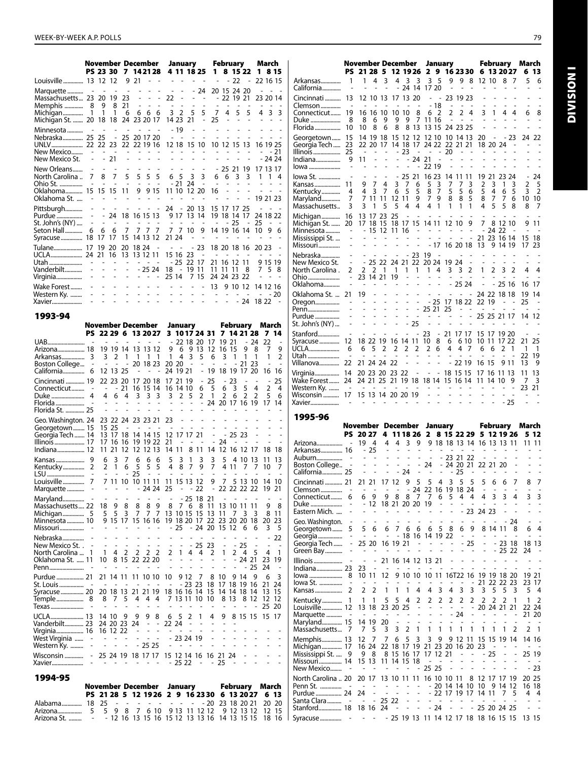|                                                                                   |                                           |                                                  | November December<br>PS 23 30 7 14 21 28                                                                                                     |                                                     |                                                                                                                                                            |                                                            |                                                                                       |                                     |                                                              |                                                                                                                 | January<br>4 11 18 25                                                          | $\mathbf{1}$                                                                          |                                            | February<br>8 15 22                                                  |                                                           | 1.                                         | March                                                                        | 8 1 5                                       |
|-----------------------------------------------------------------------------------|-------------------------------------------|--------------------------------------------------|----------------------------------------------------------------------------------------------------------------------------------------------|-----------------------------------------------------|------------------------------------------------------------------------------------------------------------------------------------------------------------|------------------------------------------------------------|---------------------------------------------------------------------------------------|-------------------------------------|--------------------------------------------------------------|-----------------------------------------------------------------------------------------------------------------|--------------------------------------------------------------------------------|---------------------------------------------------------------------------------------|--------------------------------------------|----------------------------------------------------------------------|-----------------------------------------------------------|--------------------------------------------|------------------------------------------------------------------------------|---------------------------------------------|
| Louisville  13 12 12                                                              |                                           |                                                  |                                                                                                                                              |                                                     | 9 21                                                                                                                                                       |                                                            | $\sim$ $ \sim$                                                                        |                                     | $\omega_{\rm{eff}}$ , $\omega_{\rm{eff}}$                    |                                                                                                                 | $\sim$                                                                         |                                                                                       |                                            | $-22$                                                                | $\blacksquare$                                            |                                            | 22 16 15                                                                     |                                             |
| Massachusetts 23<br>Memphis<br>Michigan 1 1<br>Michigan St.  20 18 18 24 23 20 17 | 8                                         | $\overline{a}$                                   | $\overline{\phantom{a}}$<br>20 19<br>9 8 21<br>1 6                                                                                           | $\overline{\phantom{a}}$<br>23                      | $\overline{a}$                                                                                                                                             | $\overline{a}$<br>$\mathcal{L}^{\text{max}}$<br>$\sim$ $-$ | $\frac{1}{2}$<br>÷,<br>666                                                            | $\sim$ $-$<br>22<br>$\sim 10^{-10}$ | $\overline{\phantom{a}}$<br>$\overline{a}$<br>3 <sub>2</sub> | L.<br>5<br>14 23 21                                                                                             | $-24$<br>$\sim$ $ \sim$ $-$<br>$\overline{a}$<br>5<br>$\overline{\phantom{a}}$ | L.<br>7<br>25                                                                         | $\sim$<br>4<br>$\mathcal{L}_{\mathcal{A}}$ | 20 15 24 20<br>$-22$ 19 21<br>$\sim$<br>5<br>÷,                      | $\overline{a}$<br>5<br>$\sim$                             | L,<br>$\overline{a}$<br>$\sim$             | $\overline{a}$<br>23 20 14<br>4 3 3                                          | $\sim$ $\sim$                               |
| Minnesota<br>Nebraska 25 25 - 25 20 17 20<br>New Mexico St.                       | $\sim$<br>$\overline{\phantom{a}}$        | $\sim$                                           | $\sim$<br><b>Service</b><br>$-21$                                                                                                            | $\sim$ $\sim$<br>$\sim$                             | <b>Contract Contract</b><br>$\mathcal{L}^{\mathcal{A}}$ , and $\mathcal{L}^{\mathcal{A}}$ , and $\mathcal{L}^{\mathcal{A}}$<br>$\mathcal{L}^{\mathcal{A}}$ |                                                            | $\sim$                                                                                |                                     | $-19$<br>$\sim 100$                                          | $\sim$<br>$\sim$ $-$<br>$\mathbf{L} = \mathbf{L} \mathbf{L} + \mathbf{L} \mathbf{L}$<br>$\sim 100$ km s $^{-1}$ | $\sim$<br>$\overline{\phantom{a}}$<br>12 18 15 10<br>$\sim$<br>÷,              | $\overline{a}$<br>÷,<br>$\overline{a}$<br>÷,                                          | $\sim$<br>÷,                               | ÷.<br>10 12 15 13<br>$\sim$<br>$\overline{a}$                        | $\overline{\phantom{a}}$<br>$\overline{\phantom{a}}$      |                                            | 16 19 25<br>$- -21$<br>$-2424$                                               | J.<br>$\sim$ $\sim$                         |
| New Orleans<br>North Carolina<br>Ohio St.<br>Oklahoma 15<br>Oklahoma St.          | 7<br>$\sim$                               | $\sim 100$<br>8<br>$\mathcal{L}$<br>15           | $\sim$<br>$\overline{7}$<br>$\sim$<br>15 11                                                                                                  | $\sim$<br>5<br>$\overline{\phantom{a}}$             | $\sim$<br>5<br>$\frac{1}{2}$                                                                                                                               | $\overline{\phantom{a}}$<br>5<br>$\overline{\phantom{a}}$  | $\sim$<br>5<br>$\overline{a}$<br>9 9 15                                               |                                     | $\omega_{\rm{max}}$ and $\omega_{\rm{max}}$<br>6 5           | $\sim$<br>3<br>$-21$ 24                                                                                         | $\sim$ $-$<br>3<br>$\sim$<br>11 10 12 20                                       | 6<br>$\mathcal{L}_{\mathcal{A}}$<br>16<br>$\qquad \qquad \blacksquare$                | $\overline{a}$<br>$\overline{a}$           | $-252119$<br>6<br>3<br>$\sim$<br>L.<br>$\frac{1}{2}$                 | 3<br>$\sim$<br>$\blacksquare$<br>$\overline{\phantom{a}}$ |                                            | 17 13 17<br>$1 \t1 \t4$<br>$\overline{a}$<br>$\mathcal{L}^{\pm}$<br>19 21 23 | $ -$<br>$\sim$ $\sim$                       |
| Pittsburgh<br>Purdue<br>St. John's (NY)<br>Seton Hall<br>Syracuse 18              | $\overline{a}$<br>$\overline{a}$<br>6     | ÷,<br>6<br>-17                                   | $-24$ 18 16 15 13<br>$\sim$<br>- 6<br>17                                                                                                     | $\overline{a}$<br>$\sim 10$<br>$\overline{7}$<br>15 | 777<br>14 13 12                                                                                                                                            | ÷,                                                         | $\sim$<br>$\omega_{\rm{max}}$ and $\omega_{\rm{max}}$                                 | 21 24                               | $\sim 100$ km s $^{-1}$                                      | 7 7 10<br>$\overline{\phantom{a}}$                                                                              | 24 - 20 13<br>9 17 13 14<br>$\sim$ $ \sim$ $ -$<br>9<br>$\sim$                 | $\sim 10^{-11}$<br>$\qquad \qquad \blacksquare$                                       | $\qquad \qquad \blacksquare$               | 15 17 17 25<br>19 18 14 17<br>$-25$<br>14 19 16 14<br>$\overline{a}$ | $\sim$ $-$<br>÷,                                          | $\overline{\phantom{a}}$<br>24 18 22<br>25 | 1096                                                                         | $\sim$ $ \sim$                              |
| Tulane 17<br>Utah<br>Vanderbilt<br>Virginia                                       | $\sim$<br>$\overline{a}$<br>$\frac{1}{2}$ | 19<br>$\overline{a}$<br>$\overline{\phantom{a}}$ | -20<br>and the control<br>$\overline{a}$<br>$\sim$                                                                                           | 20<br>$\overline{\phantom{a}}$<br>$\frac{1}{2}$     | 18 24<br>13 12 11                                                                                                                                          |                                                            | $\overline{a}$<br>$\omega_{\rm{max}}$ and $\omega_{\rm{max}}$<br>$-2524$<br>an ann an | 25 14                               | <b>Contract Contract</b><br>15 16 23                         | 18 - 19 11                                                                                                      | $-23$<br>$\sim$ $-$<br>- 25 22 17<br>7 15                                      | $\sim$                                                                                | $\blacksquare$                             | 18 20 18 16<br>21 16 12 11<br>11 11 11<br>24 24 23 22                | - 8                                                       | $\overline{\phantom{a}}$                   | 20 23<br>9 15 19<br>758<br>$\overline{a}$                                    | $\overline{a}$                              |
| Wake Forest<br>Western Ky.<br>Xavier                                              | $\overline{a}$                            | L.                                               | L                                                                                                                                            | $\overline{a}$<br>$\overline{a}$                    | $\overline{a}$                                                                                                                                             |                                                            |                                                                                       |                                     | $\overline{\phantom{a}}$<br>$\sim 10^{-1}$<br>$\overline{a}$ | $\overline{a}$                                                                                                  | $\overline{\phantom{a}}$<br>ä,<br>÷,                                           | 13<br><b>Contractor</b>                                                               | $\overline{\phantom{a}}$<br>$\overline{a}$ | 9 10 12                                                              | $\sim$<br>$\blacksquare$<br>$-24$                         |                                            | 14 12 16<br>$\sim$<br>18 22                                                  | $-20$<br>$\sim$                             |
| 1993-94                                                                           |                                           |                                                  |                                                                                                                                              |                                                     |                                                                                                                                                            |                                                            |                                                                                       |                                     |                                                              |                                                                                                                 |                                                                                |                                                                                       |                                            |                                                                      |                                                           |                                            |                                                                              |                                             |
|                                                                                   |                                           |                                                  | November December                                                                                                                            |                                                     |                                                                                                                                                            |                                                            |                                                                                       |                                     |                                                              | January                                                                                                         |                                                                                |                                                                                       |                                            | February                                                             |                                                           |                                            | March                                                                        |                                             |
| UAB<br>Arizona 18<br>Boston College -<br>California 6                             | $\sim$                                    |                                                  | PS 22 29 6 13 20 27<br>$\omega_{\rm{eff}}$ , $\omega_{\rm{eff}}$ , $\omega_{\rm{eff}}$<br>19 19 14<br>3 2 1<br>$\sim 100$ $\sim$<br>12 13 25 | L,                                                  | 13 13 12<br>20 18 23                                                                                                                                       |                                                            | $\mathbf{L} = \mathbf{L} \times \mathbf{L}$<br>1 1 1                                  | 1<br>20 20                          | 24 19 21                                                     | $-221820$<br>9 6 9 13<br>4 <sub>3</sub><br>$\sim$ $-$                                                           | - 5                                                                            | 3 1017 24 31 7 14 21 28<br>17<br>-12<br>6<br>$\sim 100$ km s $^{-1}$<br>- 19 18 19 17 | 19 21<br>16 15<br>3 1<br>$\sim 100$        |                                                                      | 9<br>1<br>$-2123$                                         | $-24$<br>8<br>1<br>20                      | 7<br>22<br>7<br>1<br>$\overline{a}$<br>16                                    | 14<br>L,<br>9<br>$\overline{2}$<br>÷,<br>16 |
| Cincinnati  19<br>Connecticut<br>Duke<br>Florida St.  25                          | $\overline{a}$<br>4                       | $\sim$<br>4<br>$\sim$<br>$\sim$                  | 22 23 20<br>$\sim$<br>$\overline{a}$                                                                                                         | $-21$<br>6 4<br>÷,<br>$\overline{a}$                | 17 20 18<br>$\mathbf{3}$                                                                                                                                   |                                                            | 16 15 14<br>3 <sup>3</sup><br>$\overline{\phantom{a}}$                                | $\overline{3}$<br>÷.                | 17 21 19<br>16 14 10<br>$\sim$                               | 2 <sub>5</sub><br>$\overline{\phantom{a}}$<br>$\overline{a}$                                                    | 6                                                                              | $-25$<br>5<br>2 <sub>1</sub><br>- 24 20 17 16 19                                      | $\overline{2}$                             | $-23$<br>6 <sup>3</sup><br>6                                         | $\overline{\phantom{a}}$<br>5<br>$\overline{2}$           | $\sim$<br>4<br>$\overline{2}$              | $\overline{\phantom{a}}$<br>$\overline{2}$<br>5<br>17 14                     | 25<br>$\overline{4}$<br>6                   |
| Geo. Washington. 24<br>Georgetown 15<br>Georgia Tech  14                          |                                           |                                                  | 23 22 24 23 23 21<br>15 25<br>13 17 18 14 14 15 12 17 17 21                                                                                  |                                                     |                                                                                                                                                            |                                                            | and the state of the                                                                  | 23<br>$\sim$                        | $\overline{a}$                                               | $\sim 100$ $\sim$                                                                                               |                                                                                | $\frac{1}{2}$<br>$\overline{a}$                                                       |                                            | $\sim$<br>- 25 23                                                    | $\overline{\phantom{a}}$                                  | ÷.                                         |                                                                              | $\overline{a}$                              |

| Duke<br>4<br>Florida<br>Florida St.  25                                               |                          | 4<br>6                                                                                                        |                               | 4 3 3 3                                           |                                                                      |                                                 | $\overline{3}$<br>$\sim$                   |                                                           | 2 <sub>5</sub><br>$\overline{a}$ |                                          | $2 \quad 1$<br>$-24$ 20 17 16 19 | $\overline{2}$       | 6                      | $\overline{2}$                         | 2                   | 5                         | 6<br>17 14                 |
|---------------------------------------------------------------------------------------|--------------------------|---------------------------------------------------------------------------------------------------------------|-------------------------------|---------------------------------------------------|----------------------------------------------------------------------|-------------------------------------------------|--------------------------------------------|-----------------------------------------------------------|----------------------------------|------------------------------------------|----------------------------------|----------------------|------------------------|----------------------------------------|---------------------|---------------------------|----------------------------|
| Geo. Washington. 24<br>Georgetown 15<br>Georgia Tech  14<br>Illinois 17<br>Indiana 12 | 17<br>11                 | 15 25<br>13 17<br>16<br>21                                                                                    | 18<br>16<br>12                | 23 22 24 23 23 21<br>12                           | $\overline{a}$<br>19 19 22<br>12 13                                  |                                                 | 23<br>$\sim$<br>14 14 15 12 17 17 21<br>21 | $\sim$ $-$<br>-<br>14 11                                  | 8                                | -11                                      | $\overline{\phantom{a}}$<br>14   | 24                   | $-2523$<br>12 16 12    |                                        | -17                 | 18                        | 18                         |
| Kansas<br>9<br>Kentucky<br>LSU<br>Louisville<br>7<br>Marquette                        | 6<br>$\overline{2}$      | 3<br>1<br>7 11 10                                                                                             | 7<br>6                        | 6<br>5<br>25<br>10 11 11<br>$\overline{a}$        | 6<br>5<br>24 24                                                      | 6<br>5<br>$\sim$                                | 5<br>4<br>$\overline{\phantom{a}}$<br>25   | 3<br>8<br>$\overline{a}$<br>11 15 13 12                   | 1<br>$\overline{7}$              | 3<br>9<br>$\overline{\phantom{a}}$<br>22 | 3<br>7<br>9<br>L,                | 5<br>7               | 4 1 1                  | 4 10 13<br>7<br>5 13 10<br>22 22 22 22 | 7                   | 11<br>10<br>14<br>19      | 13<br>7<br>10<br>21        |
| Maryland<br>Massachusetts 22<br>Minnesota  10<br>Missouri                             | 5.                       | 18 9<br>5<br>÷,                                                                                               | 8<br>3                        | 8<br>$\overline{7}$<br>9 15 17 15 16 16           | $\overline{7}$                                                       | 89<br>$\overline{7}$                            | 8<br>13                                    | 7<br>10 15<br>19 18 20<br>$-25$                           | - 25<br>6                        | 18<br>8<br>15<br>17<br>$-24$             | 21<br>11<br>13<br>22<br>20       | 13<br>11<br>23<br>15 | 10 11<br>7<br>20<br>12 | 3<br>20<br>6                           | 11<br>3<br>18<br>6  | 9<br>8<br>20<br>3         | 8<br>11<br>23<br>5         |
| Nebraska<br>New Mexico St<br>North Carolina<br>1<br>Oklahoma St.  11<br>Penn          | $\mathbf{1}$<br>10       |                                                                                                               | 4 2                           | 8 15 22 22 20                                     | 2 <sub>2</sub>                                                       | 2                                               | $\overline{2}$<br>$\blacksquare$           | -<br>$\mathbf{1}$<br>÷,                                   | $\overline{\phantom{a}}$         | 4 4<br>÷,                                | - 25 23<br>2                     | $\mathbf{1}$<br>L,   | $\overline{2}$         | $- - 25$<br>4<br>$-2421$               | 5<br>25             | 4<br>23<br>24             | 22<br>$\overline{1}$<br>19 |
| Purdue  21<br>St. Louis<br>Syracuse  20<br>Texas                                      | $\overline{\phantom{a}}$ | $\overline{a}$<br>8 7 5                                                                                       | $\sim$                        | 21 14 11 11 10 10<br>ä,<br>20 18 13 21 21 19<br>4 |                                                                      | 44                                              | 10                                         | 18 16 16 14<br>7 13 11 10<br>$\qquad \qquad \blacksquare$ | 9 12<br>$-23, 23$                | 7<br>$\overline{a}$                      | 8<br>18<br>15<br>10              | 10<br>17<br>14       | 9.<br>18<br>14<br>8 13 | 14<br>19<br>-18<br>8                   | 9<br>16<br>14<br>12 | 6<br>21<br>13<br>12<br>25 | 3<br>24<br>15<br>12<br>20  |
| UCLA 13<br>Vanderbilt 23<br>Virginia 16<br>West Virginia<br>Western Ky.               |                          | 14 10<br>24 20 23<br>16 12 22<br>$\qquad \qquad \blacksquare$<br>$\sim$ 100 $\mu$<br>$\overline{\phantom{a}}$ | 9<br>$\overline{\phantom{a}}$ | 9<br>24<br>$\sim$                                 | 9<br>$\overline{\phantom{a}}$<br>$\overline{\phantom{a}}$<br>$-2525$ | 8<br>$\blacksquare$<br>$\overline{\phantom{a}}$ | 6<br>22 24                                 | 5<br>- 23 24 19                                           | 2                                | 1                                        | 4                                | 9                    |                        | 8 15 15                                |                     | 15                        | 17                         |
| Wisconsin<br>$\overline{\phantom{0}}$<br>Xavier                                       |                          |                                                                                                               |                               | 25 24 19 18 17 17                                 |                                                                      |                                                 |                                            | 15 12 14 16<br>$-2522$                                    |                                  | $\qquad \qquad \blacksquare$             | 16 21<br>٠                       | 25                   | -24                    |                                        |                     |                           |                            |

|                                                                     |  |  |  |  | November December January February March         |  |  |  |
|---------------------------------------------------------------------|--|--|--|--|--------------------------------------------------|--|--|--|
|                                                                     |  |  |  |  | PS 21 28 5 12 19 26 2 9 16 23 30 6 13 20 27 6 13 |  |  |  |
| Alabama 18 25 - - - - - - - - - - 20 23 18 20 21 20 20              |  |  |  |  |                                                  |  |  |  |
|                                                                     |  |  |  |  |                                                  |  |  |  |
| Arizona St. ……… - - 12 16 13 15 16 15 12 13 13 16 14 13 15 15 18 16 |  |  |  |  |                                                  |  |  |  |

|                                   |                                            | November December              |                                   |                   |                           |                          |                                   |                              |                                  | January                                              |                                           |                                                          |                               |                               | February                  |                          | March                            |                                                      |
|-----------------------------------|--------------------------------------------|--------------------------------|-----------------------------------|-------------------|---------------------------|--------------------------|-----------------------------------|------------------------------|----------------------------------|------------------------------------------------------|-------------------------------------------|----------------------------------------------------------|-------------------------------|-------------------------------|---------------------------|--------------------------|----------------------------------|------------------------------------------------------|
|                                   | PS                                         |                                | 21 28 5                           |                   | 12 19 26                  |                          |                                   |                              |                                  | 2 9 16 23 30                                         |                                           |                                                          |                               |                               | 6 13 20 27                |                          | 6                                | 13                                                   |
| Arkansas<br>California            | 1                                          | 1                              | 4                                 | 3                 | 4                         | 3                        | 3<br>24 14                        | 3                            | 5<br>17 20                       | 9                                                    | 9                                         | 8                                                        |                               | 12 10                         | 8                         | 7                        | 5                                | 6                                                    |
| Cincinnati<br>Clemson             | 13<br>$\overline{\phantom{a}}$             |                                | 12 10 13                          |                   | 17                        |                          | 13 20<br>$\overline{\phantom{a}}$ |                              | $\overline{\phantom{a}}$<br>- 18 | $\overline{a}$                                       | 23 19 23                                  |                                                          |                               | L,                            | $\overline{a}$            |                          |                                  |                                                      |
| Connecticut                       | 19                                         |                                | 16 16 10                          |                   | 10                        | 10                       | 8                                 | 6                            | 2                                | 2                                                    | 2                                         | 4                                                        | 3                             | 1                             | 4                         | 4                        | 6                                | 8                                                    |
| Duke                              | 8                                          | 8                              | 6                                 | 9                 | 9                         | 9                        | 7                                 |                              | 11 16                            | $\overline{\phantom{a}}$                             | ÷,                                        |                                                          |                               |                               |                           |                          |                                  |                                                      |
| Florida                           | 10                                         | 10                             | 8                                 | 6                 | 8                         | 8                        | -13                               |                              | 13 15                            |                                                      | 24 23 25                                  |                                                          | ÷,                            |                               |                           |                          |                                  |                                                      |
| Georgetown<br>Georgia Tech        | 15<br>23                                   |                                | 14 19 18<br>22 20 17              |                   |                           | 15 12 12                 |                                   | 14 18 17 24 22 22 21 21      | 12 10                            |                                                      | 10 14 13                                  |                                                          | 20                            | $\overline{a}$<br>18 20 24    | - 23                      |                          | 24                               | 22                                                   |
| Illinois                          | 25                                         | $\sim$                         | $\blacksquare$                    |                   |                           | - 23                     | $\sim$                            | $\sim 100$ m $^{-1}$         | $\overline{\phantom{a}}$         | 20                                                   | ٠                                         | $\overline{a}$                                           | ä,                            |                               |                           |                          |                                  |                                                      |
| Indiana<br>lowa                   | 9                                          | 11                             |                                   | L.                | ÷.                        |                          | - 24 21                           | $-2219$                      | $\overline{a}$                   | $\overline{\phantom{a}}$<br>$\overline{\phantom{0}}$ | L.<br>$\overline{a}$                      | L<br>$\overline{a}$                                      |                               | L.                            | ÷.                        |                          |                                  |                                                      |
| lowa St.                          | $\overline{a}$                             | $\overline{\phantom{a}}$       | $\overline{\phantom{a}}$          | $\overline{a}$    | $\overline{\phantom{a}}$  | 25                       | 21                                |                              | 16 23                            | 14                                                   | 11                                        | 11                                                       | 19                            | 21                            | 23 24                     |                          |                                  | 24                                                   |
| Kansas                            | 11                                         | 9                              | 7                                 | 4                 | 3                         | 7                        | 6                                 | 5                            | 3                                | 7                                                    | 7                                         | 3                                                        | 2                             | 3                             | 1                         | 3                        | 2                                | 5                                                    |
| Kentucky                          | 4<br>7                                     | 4<br>7                         | 3<br>11                           | 7<br>11           | 6<br>12                   | 5<br>11                  | 5<br>9                            | 8<br>7                       | 7<br>9                           | 5<br>8                                               | 5<br>8                                    | 6<br>5                                                   | 5<br>8                        | 4<br>7                        | 6<br>7                    | 5<br>6                   | 3<br>10                          | 2<br>10                                              |
| Maryland<br>Massachusetts         | 3                                          | 3                              | 1                                 | 5                 | 5                         | 4                        | 4                                 | 4                            | 1                                | 1                                                    | 1                                         | 1                                                        | 4                             | 5                             | 5                         | 8                        | 8                                | 7                                                    |
| Michigan                          | 16                                         | 13                             | 17                                | 23                | 25                        |                          |                                   |                              |                                  |                                                      |                                           |                                                          |                               |                               |                           |                          |                                  |                                                      |
| Michigan St.<br>Minnesota         | 20                                         |                                | 17 18<br>15                       | 15<br>12          | 11 16                     | 18 17                    | 15                                |                              | 14 11                            | 12 10                                                |                                           | 9                                                        | 7                             | - 24 22                       | 8 12 10                   |                          |                                  | 911                                                  |
| Mississippi St.                   |                                            |                                |                                   |                   |                           |                          |                                   |                              |                                  |                                                      |                                           |                                                          |                               |                               | 21 23 16 14               |                          | 15                               | 18                                                   |
| Missouri                          | L                                          |                                |                                   |                   |                           |                          |                                   |                              |                                  | - 17 16 20 18                                        |                                           |                                                          | 13                            |                               | 9 14 19                   |                          | 17                               | 23                                                   |
| Nebraska                          | $\frac{1}{2}$                              |                                |                                   | 22                |                           |                          | - 23                              | 19                           |                                  | 19 24                                                |                                           | $\overline{a}$                                           | $\frac{1}{2}$                 | $\overline{\phantom{a}}$      | $\overline{a}$            | $\overline{a}$           |                                  |                                                      |
| New Mexico St.<br>North Carolina. | 2                                          | 2                              | 25<br>2                           | 1                 | 24<br>1                   | 21<br>1                  | 22<br>1                           | 20 24<br>1                   | 4                                | 3                                                    | 3                                         | 2                                                        | 1                             | 2                             | 3                         | 2                        | 4                                | 4                                                    |
| Ohio                              | L,                                         |                                | 23 14 21                          |                   | 19                        |                          |                                   |                              | ٠                                |                                                      |                                           |                                                          |                               |                               |                           | ÷,                       | $\overline{\phantom{a}}$         | ٠                                                    |
| Oklahoma                          | $\overline{a}$                             |                                |                                   |                   |                           |                          | ÷,                                |                              | L,                               |                                                      | 25 24                                     |                                                          | $\overline{a}$                | $\overline{\phantom{0}}$      | 25 16                     |                          | 16                               | 17                                                   |
| Oklahoma St.<br>Oregon            | 21<br>$\overline{a}$                       | 19<br>$\overline{\phantom{a}}$ | ÷.                                |                   | $\overline{a}$            | $\overline{\phantom{0}}$ | $\overline{a}$                    |                              | - 25                             | 17                                                   | ÷,<br>18 22                               | $\sim$                                                   | 22 19                         |                               | 24 22 18 18               |                          | 19<br>25                         | 14                                                   |
| Penn                              |                                            |                                | $\overline{a}$                    | $\overline{a}$    | $\overline{a}$            | ä,                       | L,                                | 25 21                        |                                  | 25                                                   | ۰                                         | $\overline{\phantom{a}}$                                 | $\overline{a}$                | $\overline{a}$                |                           |                          |                                  |                                                      |
| Purdue<br>St. John's (NY)         | -                                          |                                | $\overline{a}$                    |                   | L.<br>L,                  | $\overline{\phantom{0}}$ | $\overline{a}$<br>25              | $\overline{a}$               | L,                               | ÷,                                                   | L,                                        | $\overline{a}$                                           | ٠                             | $\overline{a}$                | 25 25 21 17               |                          | 14                               | -12                                                  |
| Stanford                          | $\overline{a}$                             |                                |                                   |                   |                           |                          |                                   | 23                           | $\qquad \qquad \blacksquare$     |                                                      | 21 17 17                                  |                                                          |                               |                               | 15 17 19 20               |                          |                                  |                                                      |
| Syracuse                          | 12                                         | 18 22                          |                                   | 19                | 16 14 11                  |                          |                                   | 10                           | 8                                | 6                                                    |                                           | 6 10                                                     | 10 11                         |                               | 17 22                     |                          | 21                               | 25                                                   |
| UCLA<br>Utah                      | 6<br>$\overline{a}$                        | 6                              | 5                                 | 2                 | 2                         | 2                        | 2                                 | 2                            | 6                                | 4                                                    | 4<br>L,                                   | - 7                                                      | 6<br>÷,                       | 6<br>L,                       | 2<br>÷,                   | 1                        | - 1<br>22                        | - 1<br>19                                            |
| Villanova                         | 22                                         |                                |                                   | 21 24 24 22       |                           |                          |                                   |                              |                                  |                                                      | - 22 19                                   |                                                          | 16 15                         |                               | 9 11                      |                          | 13                               | 9                                                    |
| Virginia                          | 14                                         |                                |                                   | 20 23 20 23 22    |                           |                          |                                   | $\overline{\phantom{0}}$     | $\qquad \qquad \blacksquare$     |                                                      | 18 15 15                                  |                                                          |                               |                               | 17 16 11 13               |                          | 11                               | 13                                                   |
| Wake Forest<br>Western Ky.        | 24<br>$\sim$                               | $\sim$                         | 24 21 25                          |                   | 21                        | 19 18                    |                                   | 18 14                        | $\overline{a}$                   | 15 16 14<br>$\overline{\phantom{a}}$                 | $\overline{a}$                            | $\overline{a}$                                           |                               | 11 14 10<br>$\overline{a}$    |                           | 9                        | 7<br>23.                         | 3<br>21                                              |
|                                   |                                            |                                |                                   |                   |                           |                          |                                   |                              |                                  |                                                      |                                           |                                                          |                               |                               |                           |                          |                                  |                                                      |
| Wisconsin                         | 17                                         |                                |                                   | 15 13 14 20 20 19 |                           |                          |                                   | $\overline{a}$               |                                  |                                                      |                                           |                                                          |                               |                               | $\overline{a}$            |                          |                                  |                                                      |
| Xavier                            |                                            |                                |                                   |                   |                           |                          |                                   |                              |                                  |                                                      |                                           |                                                          |                               |                               | - 25                      |                          |                                  |                                                      |
| 1995-96                           |                                            |                                |                                   |                   |                           |                          |                                   |                              |                                  |                                                      |                                           |                                                          |                               |                               |                           |                          |                                  |                                                      |
|                                   | November December                          |                                |                                   |                   |                           |                          |                                   |                              |                                  | January                                              |                                           |                                                          |                               |                               | February March            |                          |                                  |                                                      |
|                                   |                                            | PS 20 27                       |                                   | 4                 |                           |                          | 11 18 26                          | 2                            |                                  | 8 15 22 29                                           |                                           |                                                          |                               |                               | 5 12 19 26                |                          |                                  | 5 12                                                 |
| Arizona                           | $\sim$                                     |                                | 19 4<br>$-25$                     | 4                 | 4                         | 3<br>L,                  | 9<br>ä,                           | ٠                            |                                  | ٠                                                    | ۰                                         | $\overline{\phantom{a}}$                                 |                               |                               | 9 18 18 13 14 16 13 13 11 |                          | 11                               | 11                                                   |
| Arkansas 16<br>Auburn             | $\sim$                                     | ÷.                             | $\overline{a}$                    |                   | L,                        | L,                       |                                   | Ĭ.                           |                                  | - 23 21 22                                           |                                           |                                                          |                               |                               |                           |                          |                                  |                                                      |
| Boston College                    | $\qquad \qquad \blacksquare$               | $\overline{a}$                 |                                   |                   |                           | Ĭ.                       | $\overline{\phantom{0}}$          | 24                           | $\overline{\phantom{a}}$         |                                                      | 24 20 21                                  |                                                          |                               | 22 21 20                      |                           | ٠                        |                                  |                                                      |
| California 25                     |                                            | $\qquad \qquad \blacksquare$   |                                   |                   |                           | 24                       |                                   |                              |                                  |                                                      | - 25                                      |                                                          |                               |                               |                           |                          |                                  | 7                                                    |
| Cincinnati  21<br>Clemson         |                                            | 21 21                          |                                   |                   | 17 12                     | 9                        | 5<br>24                           | 5                            | 4                                | 3<br>22 16 19 18 24                                  | 5                                         | 5                                                        | 5                             | 6                             | 6                         | $\overline{7}$           | 8                                |                                                      |
| Connecticut                       | 6                                          | 6                              | 9                                 | 9                 | 8                         | 8                        | $\overline{7}$                    | - 7                          | 6                                | 5                                                    | 4<br>$\overline{\phantom{a}}$             | 4                                                        | 4<br>$\overline{\phantom{a}}$ | 3<br>$\overline{\phantom{a}}$ | 3                         | 4                        | 3<br>$\overline{a}$              | 3                                                    |
| Duke<br>Eastern Mich.             | $\overline{\phantom{m}}$<br>$\overline{a}$ | ۰                              | 12                                |                   | 18 21 20 20 19            |                          |                                   |                              | $\overline{\phantom{m}}$         | $\overline{\phantom{a}}$<br>-                        |                                           | $\overline{\phantom{a}}$                                 | - 23 24 23                    |                               | $\overline{a}$<br>÷,      | $\overline{a}$           | $\overline{a}$                   | $\qquad \qquad \blacksquare$<br>$\overline{a}$       |
| Geo. Washington.                  |                                            | $\overline{a}$                 | $\qquad \qquad \blacksquare$      | $\overline{a}$    | $\overline{a}$            |                          |                                   | $\qquad \qquad \blacksquare$ |                                  |                                                      |                                           |                                                          |                               |                               |                           | - 24                     | $\overline{a}$                   |                                                      |
| Georgetown                        | 5                                          | 5                              | 6                                 | 6                 | 7                         | 6                        | 6                                 | 6                            | 5                                | 8                                                    | 6                                         | 9                                                        |                               |                               | 8 14 11                   | 8                        | 6                                | 4                                                    |
| Georgia<br>Georgia Tech           | -                                          |                                | 25 20                             |                   | 16 19 21                  |                          | -                                 | - 18 16 14 19 22             |                                  | $\overline{a}$                                       | -                                         | - 25                                                     |                               |                               | 23 18                     |                          |                                  | 18 13                                                |
| Green Bay                         |                                            | $\overline{a}$                 | $\qquad \qquad \blacksquare$      |                   |                           | $\overline{a}$           | L,                                |                              |                                  |                                                      |                                           | $\overline{a}$                                           | $\overline{a}$                | $\overline{\phantom{a}}$      | 25 22                     |                          | 24                               | $\overline{a}$                                       |
| Illinois                          |                                            | $\qquad \qquad \blacksquare$   | $\qquad \qquad \blacksquare$      |                   | 21 16 14 12               |                          |                                   | 13                           | 21                               |                                                      |                                           |                                                          |                               |                               |                           |                          |                                  |                                                      |
| Indiana 23<br>lowa                | 8                                          | 23                             | $\overline{\phantom{a}}$<br>10 11 | 12                |                           |                          | 9 10 10                           |                              | 10 11                            |                                                      | 16T22 16                                  |                                                          |                               |                               | 19 19 18 20               |                          |                                  | 19 21                                                |
| lowa St.                          | ÷,                                         |                                |                                   |                   | ÷,                        |                          | ٠                                 |                              | $\overline{a}$                   | $\overline{a}$                                       | $\overline{a}$                            | $\qquad \qquad \blacksquare$                             | 21                            |                               | 22 22 23                  |                          |                                  | 23 17                                                |
| Kansas                            | 2                                          | 2                              | 2                                 | 1                 | 1                         | 1                        | 4                                 | 4                            | 3                                | 4                                                    | 3                                         | 3                                                        | 3                             | 5                             | 5                         | 3                        | 5                                | 4                                                    |
| Kentucky<br>Louisville  12        | 1                                          | 1                              | 1<br>13 18                        | 5<br>23           | 5<br>20                   | 4<br>25                  | 2<br>÷                            | 2<br>-                       | 2<br>÷                           | 2<br>$\qquad \qquad \blacksquare$                    | 2<br>$\overline{\phantom{a}}$             | 2<br>$\overline{\phantom{0}}$                            | 2                             | 2                             | 2<br>20 24 21 21          | 1                        | 1                                | 2<br>22 24                                           |
| Marquette                         | ÷,                                         |                                |                                   |                   |                           | $\overline{a}$           | -                                 | Ĭ,                           | $\overline{\phantom{a}}$         | $\blacksquare$                                       | 24                                        | $\qquad \qquad \blacksquare$                             | $\overline{\phantom{a}}$      | $\overline{a}$                | $\overline{a}$            | $\overline{a}$           | 21 20                            |                                                      |
| Maryland 15                       | 7                                          | 7                              | 14 19<br>5                        | 20<br>3           | $\overline{a}$<br>3       | Ĭ.<br>2                  | $\overline{a}$<br>1               | $\overline{a}$<br>1          | L,<br>1                          | ÷,<br>1                                              | ÷,<br>1                                   | ä,<br>1                                                  | L,<br>1                       | 1                             | L,<br>1                   | L,<br>2                  | ٠<br>2                           | 1                                                    |
| Massachusetts<br>Memphis 13       |                                            | 12                             | 7                                 | 7                 | 6                         | 5                        | 3                                 | 3                            | 9                                |                                                      | 9 12 11                                   |                                                          |                               |                               | 15 15 19                  | 14                       |                                  | 14 16                                                |
| Michigan 17                       |                                            |                                | 16 24                             |                   | 22 18 17 19               |                          |                                   |                              |                                  | 21 23 20 16 20                                       |                                           |                                                          | 23                            | $\overline{a}$                |                           |                          | ٠                                |                                                      |
| Mississippi St.                   | - 9                                        | 9<br>15 13                     | 8                                 |                   | 8 15 16 17<br>11 14 15 18 |                          |                                   |                              | 17 12 21<br>Ĭ.                   |                                                      | -                                         | $\overline{\phantom{0}}$                                 | ۳                             | 25                            | -                         |                          | 25 19                            |                                                      |
| Missouri 14<br>New Mexico         |                                            |                                |                                   |                   |                           |                          |                                   |                              | 25 25                            |                                                      |                                           |                                                          |                               |                               |                           |                          |                                  | - 23                                                 |
| North Carolina  20                |                                            | 20 17                          |                                   |                   | 13 10 11 11               |                          |                                   |                              | 16 10 10                         |                                                      | -11                                       | 8                                                        | 12                            |                               | 17 17                     | 19                       | 20 25                            |                                                      |
| Penn St.<br>Purdue  24            |                                            | 24                             | -                                 | ÷,                | ÷                         |                          |                                   |                              |                                  | - 20 14 14 10                                        |                                           |                                                          | -10<br>- 22 17 19 17 14 11    |                               | 9 14 12<br>7              | 5                        | 16 18<br>4                       | 4                                                    |
| Santa Clara<br>Stanford 18        | $\sim$                                     | $\overline{\phantom{a}}$       | $\overline{a}$<br>18 16 24        |                   | 25 22<br>$\overline{a}$   | ÷,<br>$\frac{1}{2}$      | $\overline{a}$<br>$\overline{a}$  | $\blacksquare$               | $\sim$<br>- 24                   | $\overline{\phantom{a}}$<br>÷,                       | $\overline{\phantom{a}}$<br>$\frac{1}{2}$ | $\qquad \qquad \blacksquare$<br>$\overline{\phantom{a}}$ | $\overline{\phantom{a}}$      | $\overline{\phantom{a}}$      | 25 20 24 25               | $\overline{\phantom{a}}$ | $\overline{a}$<br>$\overline{a}$ | $\overline{\phantom{a}}$<br>$\overline{\phantom{a}}$ |

Syracuse............... - - - - 25 19 13 11 14 12 17 18 18 16 15 15 13 15

**INOISIMI** Division I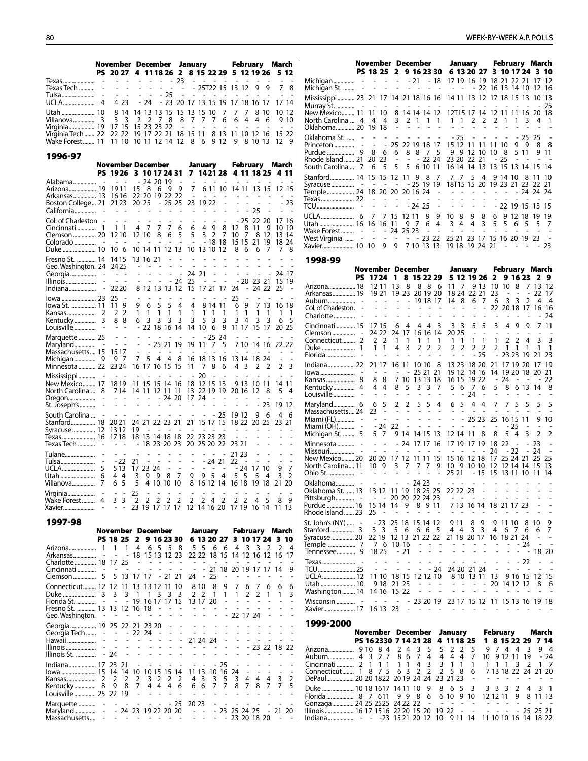|                                                                    | November December January February March         |  |  |  |  |  |  |  |  |
|--------------------------------------------------------------------|--------------------------------------------------|--|--|--|--|--|--|--|--|
|                                                                    | PS 20 27 4 11 18 26 2 8 15 22 29 5 12 19 26 5 12 |  |  |  |  |  |  |  |  |
|                                                                    |                                                  |  |  |  |  |  |  |  |  |
| Texas Tech  - - - - - - - - - - - 25T22 15 13 12 9 9 7 8           |                                                  |  |  |  |  |  |  |  |  |
|                                                                    |                                                  |  |  |  |  |  |  |  |  |
|                                                                    |                                                  |  |  |  |  |  |  |  |  |
| Utah  10 8 14 14 13 13 15 15 13 15 10 7 7 7 8 10 10 12             |                                                  |  |  |  |  |  |  |  |  |
| Villanova 3 3 3 2 2 7 8 8 7 7 7 6 6 4 4 6 9 10                     |                                                  |  |  |  |  |  |  |  |  |
| Virginia 19 17 15 15 23 23 22 - - - - - - - - - - - - -            |                                                  |  |  |  |  |  |  |  |  |
| Virginia Tech 22 22 22 19 17 22 21 18 15 11 8 13 11 10 12 16 15 22 |                                                  |  |  |  |  |  |  |  |  |
| Wake Forest 11 11 10 10 11 12 14 12 8 6 9 12 9 8 10 13 12 9        |                                                  |  |  |  |  |  |  |  |  |

1996-97

| <b>November December</b>                                                                       |                                                                                                   | January                                                                     |                                                                                                        | February March                                   |                                                 |                                                                |                                                      |                                                                                           |                                                             |                                                                                                                                              |                                      |                                        |                                         |
|------------------------------------------------------------------------------------------------|---------------------------------------------------------------------------------------------------|-----------------------------------------------------------------------------|--------------------------------------------------------------------------------------------------------|--------------------------------------------------|-------------------------------------------------|----------------------------------------------------------------|------------------------------------------------------|-------------------------------------------------------------------------------------------|-------------------------------------------------------------|----------------------------------------------------------------------------------------------------------------------------------------------|--------------------------------------|----------------------------------------|-----------------------------------------|
|                                                                                                | PS 1926                                                                                           | 3 10 17 24 31                                                               |                                                                                                        |                                                  |                                                 |                                                                |                                                      | 7 1421 28 4 11 18 25 4 11                                                                 |                                                             |                                                                                                                                              |                                      |                                        |                                         |
| Arizona 19<br>Arkansas 13<br>Boston College 21<br>California                                   | $\sim$ $ \sim$<br>1911<br>1616<br>21 23<br>$\overline{\phantom{a}}$<br>$\sim 10^{-11}$            | 15<br>22 20 19 22 22<br>20 25<br>$\overline{\phantom{a}}$                   | - 24 20 19<br>8<br>6<br>$\overline{a}$<br>$\overline{\phantom{0}}$                                     | 9<br>$-2525$<br>-                                | 9<br>$\qquad \qquad \blacksquare$               | 7<br>$\overline{\phantom{a}}$                                  | $ -$<br>23 19 22<br>-                                | 6 11 10<br>$\overline{\phantom{a}}$<br>$\overline{\phantom{a}}$                           | $\sim$<br>14 11 13 15<br>L,<br>$\overline{\phantom{a}}$     | $\sim$<br>$\overline{a}$<br>$\overline{a}$<br>$\overline{\phantom{a}}$<br>$\overline{a}$<br>25<br>$\overline{a}$                             | $\overline{\phantom{a}}$<br>L,<br>÷, | L,                                     | 12 15<br>$-23$<br>$\overline{a}$        |
| Col. of Charleston -<br>Clemson 20<br>Duke  10                                                 | $\sim$<br>1 1<br>1210<br>10 6                                                                     | $\sim$<br>4<br>12 10<br>10 14 11 12 13                                      | $\overline{7}$<br>$\overline{7}$<br>8                                                                  | 7<br>6                                           | 6<br>5                                          | $\overline{\phantom{a}}$<br>6<br>5<br>$\overline{a}$           | $\overline{\phantom{a}}$<br>$\overline{4}$<br>3      | $\overline{\phantom{a}}$<br>9<br>8<br>$\overline{2}$<br>7<br>$-1818$<br>10 13 10 12       | $-25$<br>12<br>10<br>15 15<br>8                             | 8<br>-11<br>7<br>8<br>21<br>6<br>6                                                                                                           | 22 20<br>9<br>-12<br>19<br>7         | 13<br>7                                | 17 16<br>10 10<br>-14<br>18 24<br>- 8   |
| Fresno St.  14<br>Geo. Washington. 24<br>Georgia<br>Illinois<br>$\overline{a}$<br>Indiana<br>÷ | 1415<br>2425<br>$\sim$ $  -$<br>$\sim$<br>$\overline{\phantom{a}}$<br>22 20                       | 13 16 21<br>$\sim 100$<br>$\overline{a}$<br>÷,                              | $\blacksquare$<br>$\sim$ $-$<br>$\overline{a}$<br>L,<br>$\overline{a}$<br>$\overline{a}$<br>8 12 13 13 | $\overline{a}$<br>÷,                             | L,<br>÷,<br>÷,<br>$-24$<br>12                   | $\overline{a}$<br>÷,<br>25<br>15                               | L.<br>$\sim 100$ km s $^{-1}$<br>24 21<br>÷,         | ÷,<br>÷,<br>÷,<br>$\sim$<br>÷,<br>÷,<br>÷,<br>17 21 17                                    | $\overline{\phantom{a}}$<br>$\sim$<br>24                    | $\overline{a}$<br>$\overline{\phantom{a}}$<br>$\overline{\phantom{a}}$<br>$\overline{a}$<br><b>Contract</b><br>$-20$ 23 21<br>$\overline{a}$ | $\overline{a}$<br>24 22              | L,<br>$\overline{a}$<br>25             | 24 17<br>15 19                          |
| lowa  23<br>lowa St.  11<br>Kentucky<br>3                                                      | 25<br>$\overline{a}$<br>9<br>11<br>$\overline{2}$<br>2<br>88<br>$\overline{a}$<br>$\sim$          | 9<br>1<br>6                                                                 | 5<br>6<br>1<br>1<br>3<br>3<br>$-22$ 18 16 14                                                           | 5<br>1<br>3                                      | 4<br>1<br>3                                     | 4<br>1<br>3<br>14                                              | 1<br>5<br>10                                         | 8 14 11<br>$\mathbf{1}$<br>$\overline{1}$<br>3<br>3<br>6<br>9                             | 25<br>6<br>1<br>3<br>$\overline{4}$<br>11 17 15 17          | $\overline{a}$<br>9<br>1<br>1<br>3                                                                                                           | 7 13<br>1<br>3                       | 1<br>6                                 | 16 18<br>$\overline{1}$<br>- 5<br>20 25 |
| Marquette  25<br>Maryland<br>$\sim$<br>Massachusetts 15<br>Minnesota  22                       | $\sim$ $ \sim$<br>$\sim$<br>$\sim$<br>1517<br>97<br>23 24                                         | $\overline{a}$<br>$\sim$<br>$\overline{a}$<br>$7^{\circ}$<br>16 17 16 15 15 | $\overline{\phantom{a}}$<br>ä,<br>$-252119$<br>5<br>4                                                  | 4                                                | 8                                               | 19<br>16<br>11                                                 | 11<br>7                                              | $-2524$<br>5<br>7<br>18 13 16<br>8<br>6                                                   | ÷,<br>13 14<br>4 <sub>3</sub>                               | ÷,<br>7 10 14 16<br>18 24<br>$\overline{2}$                                                                                                  | $\overline{2}$                       | 22<br>$\overline{a}$<br>$\overline{2}$ | 22<br>$\overline{3}$                    |
| New Mexico 17<br>North Carolina<br>8<br>Oregon<br>St. Joseph's                                 | $\sim$<br>$\sim$ $-$<br>1819<br>714<br>÷,<br>$\sim$<br>$\overline{a}$<br>$\overline{\phantom{a}}$ | 11 15 15 14 16<br>14 11 12 11 11<br>$- - - 2420$<br>the company of the      |                                                                                                        |                                                  |                                                 | 18<br>17 24                                                    | 20<br>and the control of                             | 12 15 13<br>13 22 19 19<br>$\sim$<br>$\overline{a}$<br>$\overline{a}$                     | $\sim$ $-$<br>$\overline{\phantom{a}}$<br>20 16             | 9 13 10 11<br>-12                                                                                                                            | 8<br>- 23                            | 5<br>19                                | 14 11<br>-4<br>12                       |
| South Carolina<br>Stanford 18<br>Syracuse  12<br>Texas  16<br>Texas Tech                       | $\sim$<br>$\overline{\phantom{a}}$<br>2021<br>1312<br>1718<br>$ -$                                | $\sim 100$<br>24 21 22 23 21<br>19<br>18 13 14 18 18                        | a car a car an<br>$\frac{1}{2}$<br>$\overline{a}$<br>$-18232023$                                       | $\overline{\phantom{a}}$                         | $\overline{a}$                                  | $\overline{a}$                                                 | $\overline{\phantom{a}}$<br>$\overline{\phantom{a}}$ | - 25<br>21 15 17 15<br>$\overline{a}$<br>$\sim$<br>22 23 23 23<br>20 25 20 22             | 19 12<br>18 22 20 25<br>$\sim$<br>$\sim$<br>$\sim$<br>23 21 | 9<br>L,                                                                                                                                      | 6                                    | 4<br>23                                | 6<br>21                                 |
| Tulane<br>Tulsa<br>$\overline{a}$<br>UCLA<br>5<br>7<br>Villanova                               | $-22$<br>513<br>44<br>5<br>6                                                                      | 21<br>17<br>3<br>9<br>5                                                     | 23 24<br>9<br>4 10                                                                                     | $\overline{\phantom{a}}$<br>$\sim$<br>8<br>10 10 | $\blacksquare$<br>$\overline{\phantom{a}}$<br>7 | $\overline{\phantom{a}}$<br>$\overline{\phantom{a}}$<br>9<br>8 | $\sim$<br>9 <sub>5</sub>                             | $\sim$<br>$-2421$<br>$\sim$<br>$\qquad \qquad \blacksquare$<br>$\overline{4}$<br>16 12 14 | 21 23<br>22<br>$\sim$<br>$-24$<br>5<br>5<br>16 18           | $\overline{a}$<br>5<br>19                                                                                                                    | 17 10<br>4<br>18                     | 9<br>3<br>21                           | $\overline{7}$<br>2<br>20               |
| Virginia<br>Wake Forest<br>4<br>Xavier                                                         | 3<br>3<br>$\overline{\phantom{m}}$<br>$\overline{\phantom{m}}$                                    | 25<br>$\overline{2}$<br>$\overline{2}$<br>23                                | $\overline{2}$<br>19 17 17 17                                                                          | $\overline{2}$                                   | $\overline{2}$                                  | $\overline{2}$                                                 | $\overline{2}$                                       | $\overline{2}$<br>$\overline{4}$<br>12 14 16 20 17 19 16 14                               | $\overline{2}$<br>$\overline{2}$                            | 4                                                                                                                                            | 5                                    | 8<br>11 13                             | -9                                      |

|                                                                                                                                                                                              | November December |            |            |  |  |  |  |  |                                                  |  |               | January February March |                               |  |
|----------------------------------------------------------------------------------------------------------------------------------------------------------------------------------------------|-------------------|------------|------------|--|--|--|--|--|--------------------------------------------------|--|---------------|------------------------|-------------------------------|--|
|                                                                                                                                                                                              |                   |            |            |  |  |  |  |  | PS 18 25 2 9 16 23 30 6 13 20 27 3 10 17 24 3 10 |  |               |                        |                               |  |
| Arizona 1 1 1 4<br>Arkansas - - - 18 15 13 12 23 22 22 18 15 14 12 16 12 16 17<br>Charlotte 18 17 25 - - - - - - - - - - - -                                                                 |                   |            |            |  |  |  |  |  | 6 5 5 8 5 5 6 6 4 3 3 2 2 4                      |  |               |                        |                               |  |
| Clemson 5 5 13 17 17 - 21 21 24 - 25 -                                                                                                                                                       |                   |            |            |  |  |  |  |  | - - - - - - - - - 21 18 20 19 17 17 14 9         |  | $\sim$ $   -$ |                        | and the state of the state of |  |
| Connecticut 12 12 11 13 13 12 11 10 8 10 8<br>Fresno St.  13 13 12 16 18 - - - - - - - - - - - - - - - -<br>Geo. Washington. -                                                               |                   | $\sim$ $-$ | $\sim$ $-$ |  |  |  |  |  | . 22 17 24                                       |  |               |                        | 9 7 6 7 6 6 6                 |  |
| Georgia 19 25 22 21 23 20 - - - - - - - - - - - - - -<br>Georgia Tech  - - - 22 24 -                                                                                                         |                   |            |            |  |  |  |  |  | the contract of the contract of the              |  |               |                        |                               |  |
| Indiana 17 23 21 - - - - - - - - - 25 - - - - - -<br>lowa  15 14 14 10 10 15 15 14 11 13 10 16 24 - - - - -<br>Kentucky 8 9 8 7 4 4 4 6 6 6 7 7 8 7 8 7 7 5<br>Louisville 25 22 19 - - - - - |                   |            |            |  |  |  |  |  | and the state of the state of                    |  |               |                        | and the state of the state of |  |
| Marquette  - - - - - - - - - 25 20 23 - - - - - - - - -<br>Maryland - - 24 23 19 22 20 20 - - - 23 25 24 25 - 21 20<br>Massachusetts - - - - - - - - - - - - - 23 20 18 20 - -               |                   |            |            |  |  |  |  |  |                                                  |  |               |                        |                               |  |

|                                                                     | November December                                                           |                                                                             |                                                                                              |                                            |                                                                        | January                                                                             |                                              | <b>February March</b>                                                                                         |                                       |                                                      |
|---------------------------------------------------------------------|-----------------------------------------------------------------------------|-----------------------------------------------------------------------------|----------------------------------------------------------------------------------------------|--------------------------------------------|------------------------------------------------------------------------|-------------------------------------------------------------------------------------|----------------------------------------------|---------------------------------------------------------------------------------------------------------------|---------------------------------------|------------------------------------------------------|
|                                                                     | PS 18 25 2 9 16 23 30<br>and a strain                                       | $- - - - 21 - 18$<br>$\overline{a}$                                         | $\overline{a}$                                                                               |                                            |                                                                        | 6 13 20 27 3 10 17 24 3 10<br>17 19 16 19 18 21 22 21 17<br>- 22                    |                                              | 16 13 14 10                                                                                                   | 12                                    | 12<br>16                                             |
| Mississippi 23 21 17 14 21 18 16 16                                 |                                                                             |                                                                             |                                                                                              |                                            |                                                                        | 14 11 13 12 17 18 15 13                                                             |                                              |                                                                                                               | 10                                    | 13                                                   |
| New Mexico 11<br>North Carolina  4                                  | $\sim$<br>$\overline{\phantom{a}}$<br>11 10<br>4 4                          | $\overline{\phantom{a}}$<br>$\blacksquare$                                  | $\overline{\phantom{a}}$<br>8 14 14 14 12<br>$3 \t2 \t1 \t1$                                 | 1                                          | $\mathbf{1}$<br>$\mathbf{1}$                                           | $\overline{\phantom{a}}$<br>12T15 17 14 12 11 11 16 20<br>2 <sub>2</sub>            | $\overline{\phantom{a}}$<br>$\overline{2}$   | $1 \t1 \t3$                                                                                                   | 4                                     | 25<br>18<br>1                                        |
| Oklahoma 20 19 18<br>Oklahoma St.                                   |                                                                             | $\sim$<br>$\sim$<br>$\overline{\phantom{a}}$<br>÷.                          | $\sim$ $-$<br>÷<br>$\overline{\phantom{a}}$                                                  | ÷                                          | ÷<br>÷.<br>$-25$                                                       | ÷.<br>$\tilde{\phantom{a}}$<br>$\overline{\phantom{a}}$<br>$\overline{\phantom{a}}$ | $\sim$<br>$\overline{\phantom{a}}$<br>$\sim$ | $-25$ 25                                                                                                      |                                       |                                                      |
| Princeton                                                           | $\sim$                                                                      | - 25 22 19 18 17                                                            | 8 8 7 5                                                                                      |                                            | 15 12                                                                  | 11 11<br>9 9 12 10                                                                  | 11 10<br>8<br>10                             | 99<br>5 11                                                                                                    | 8                                     | 8<br>9 11                                            |
| Rhode Island  21 20 23<br>South Carolina  7                         | - 5<br>- 6                                                                  | 5                                                                           | - - - 22 24<br>5 6 10 11                                                                     |                                            | 23 20 22 21<br>16 14 14 13                                             |                                                                                     | - 25                                         | $\overline{\phantom{a}}$<br>13 15 13 14                                                                       | $\overline{a}$<br>15                  | 14                                                   |
| Stanford 14 15 15 12                                                | $\sim$<br>$\sim$ $-$                                                        | -11<br>$\sim$                                                               | 9<br>8<br>$-25$ 19 19                                                                        | 7                                          | 7<br>7                                                                 | 5<br>4<br>18T15 15 20                                                               | 9 14 10                                      | 8<br>19 23 21 23                                                                                              | 11<br>22                              | 10<br>21                                             |
| Temple 24 18 20 20 20 16 24                                         | $\alpha$ - $\alpha$ - $\alpha$ - $\alpha$ - $\alpha$<br>$\omega_{\rm{max}}$ | $\overline{\phantom{a}}$                                                    | $\overline{\phantom{a}}$<br>٠                                                                | $\overline{\phantom{a}}$<br>$\overline{a}$ | and the company<br>$\overline{a}$<br>$\sim$                            | $\sim$<br>$\overline{a}$<br>$\blacksquare$                                          | $\sim$<br>$\sim$<br>$\overline{\phantom{a}}$ | $\sim$<br>- 24 24<br>$\sim$<br>$\sim$                                                                         | $\overline{\phantom{a}}$              | 24                                                   |
|                                                                     |                                                                             | $\overline{\phantom{a}}$                                                    | $-2425$<br>9                                                                                 | $\overline{\phantom{a}}$<br>9              | $\sim$<br>$\overline{\phantom{a}}$<br>10 <sub>8</sub>                  | $\sim$<br>$\frac{1}{2}$<br>9<br>8                                                   | 6                                            | - 22 19 15 13<br>9 12 18 19                                                                                   |                                       | 15<br>19                                             |
| Utah  16 16 16 11<br>Wake Forest  - - - 24 25 23                    |                                                                             |                                                                             | 97<br>6<br>$\overline{\phantom{a}}$                                                          | 4<br>$\overline{\phantom{a}}$              | 3<br>$\overline{4}$<br>$\overline{a}$<br>$\overline{a}$                | 4<br>3<br>$\sim 100$ $\sim$                                                         | 5<br>$\overline{\phantom{a}}$<br>$\sim$      | 5 6<br>5<br>$\sim$<br>$\overline{\phantom{a}}$                                                                | 5<br>$\sim$                           | 7                                                    |
| West Virginia  -<br>Xavier 10 10 9 9 7 10 13 13                     | $\overline{a}$                                                              | $\omega_{\rm{max}}$                                                         | $- 2322$                                                                                     |                                            | 25 21 23 17<br>19 18 19 24                                             |                                                                                     | 21                                           | 15 16 20 19 23<br><b>Contract Contract</b><br>$\overline{\phantom{a}}$                                        | $\overline{\phantom{a}}$              | 23                                                   |
| 1998-99                                                             |                                                                             |                                                                             |                                                                                              |                                            |                                                                        |                                                                                     |                                              |                                                                                                               |                                       |                                                      |
| PS                                                                  | November December<br>$1724$ 1                                               |                                                                             | 8 15 22 29                                                                                   |                                            |                                                                        | January<br>5 12 19 26 2                                                             |                                              | February March<br>9 16 23                                                                                     | - 2                                   | 9                                                    |
| Arizona 18<br>Arkansas 19                                           | 12 11<br>19 21                                                              | 13<br>8                                                                     | 88<br>19 23 20 19 20                                                                         | 6                                          | 11<br>7<br>18 24                                                       | 9 13<br>22 21                                                                       | 10 10<br>23<br>$\sim$                        | 8<br>$\overline{\phantom{a}}$                                                                                 | 7 13<br>$\mathcal{L}_{\mathcal{A}}$   | -12<br>22 17                                         |
| Col. of Charleston. -                                               | $\sim 100$ $\sim$                                                           | $\sim$ $-$<br>$\overline{\phantom{a}}$                                      | 19 18 17                                                                                     |                                            | 14<br>8                                                                | 6<br>7<br>$\overline{a}$<br>$\overline{\phantom{0}}$                                | 6                                            | 3<br>3<br>2<br>22 20 18 17                                                                                    | 4<br>16 16                            | - 4                                                  |
|                                                                     | $\sim$ $ \sim$                                                              | $\sim$<br>÷,                                                                | $\overline{a}$                                                                               | ÷,                                         | $\overline{a}$<br>$\sim$                                               | ÷,<br>$\overline{a}$                                                                | $\overline{\phantom{a}}$                     |                                                                                                               |                                       | -24                                                  |
| Cincinnati  15<br>Connecticut 2                                     | 17 15<br>24 22<br>2 2                                                       | - 6<br>4<br>24 17<br>1<br>$\overline{1}$                                    | 4<br>- 4<br>16 16 14<br>$\mathbf{1}$<br>$\overline{1}$                                       | 3<br>1                                     | 3<br>3<br>20 25<br>$\mathbf{1}$<br>1                                   | 5<br>5<br>$\omega$<br>$\sim$<br>1<br>1                                              | 3<br>$\overline{\phantom{a}}$<br>2<br>1      | 4<br>-9<br>9<br>$\overline{\phantom{a}}$<br>$\overline{a}$<br>$\overline{\phantom{a}}$<br>$\overline{2}$<br>4 | 7<br>$\overline{\phantom{a}}$<br>3    | 11<br>3                                              |
|                                                                     | 1<br>$\mathbf{1}$<br>$\overline{\phantom{a}}$<br>$\overline{a}$             | 3<br>4<br>$\overline{a}$<br>L,                                              | 2<br>2                                                                                       | 2<br>$\overline{a}$                        | 2<br>2<br>$\overline{\phantom{a}}$<br>٠                                | 2<br>$\overline{2}$<br>$-25$                                                        | 2<br>1<br>$\sim$                             | 1<br>1<br>23 23 19 21                                                                                         | 1                                     | $\overline{1}$<br>23                                 |
| Indiana 22                                                          | 21 17                                                                       |                                                                             | 16 11 10 10                                                                                  | 8                                          | 13 23                                                                  | 18 20                                                                               | 21                                           | 17 19 20                                                                                                      | 17                                    | 19                                                   |
| Kansas 8                                                            | $\sim 100$ $\sim$<br>88                                                     | $\sim$<br>$\sim$ $-$                                                        | 25 21 21<br>7 10 13 13 18                                                                    |                                            | 19 12<br>16 15                                                         | 14 16<br>19 22                                                                      | 14<br>- 24                                   | 19 20 18<br>$\sim$<br>$\sim$                                                                                  | -20<br>$\overline{\phantom{a}}$       | 21<br>22                                             |
|                                                                     | 4 4                                                                         | 8<br>5                                                                      | 3<br>3                                                                                       | 7                                          | 6<br>5                                                                 | 7<br>6<br>24                                                                        | 5                                            | 8<br>6 13                                                                                                     | 14                                    | 8                                                    |
| Maryland 6<br>Massachusetts 24                                      | 6 5<br>23 -                                                                 | $\overline{2}$<br>2<br>$\overline{\phantom{a}}$<br>$\overline{\phantom{a}}$ | 5<br>5                                                                                       | 4<br>$\overline{\phantom{a}}$              | 5<br>6                                                                 | 4 4<br>$\overline{a}$                                                               | 7                                            | 7<br>5<br>5                                                                                                   | 5                                     | 5                                                    |
| Miami (FL) -<br>Miami (OH) -                                        | $\sim 10$<br>$-24$                                                          | $\mathbb{L}$<br>$\overline{\phantom{a}}$<br>$\overline{\phantom{a}}$<br>22  | $\overline{a}$<br>$\overline{a}$<br>$\overline{a}$<br>$\overline{a}$                         | $\overline{\phantom{a}}$<br>$\overline{a}$ | $\overline{\phantom{a}}$<br>$\overline{a}$<br>$\overline{a}$           | $-2523$<br>$\sim$ $-$<br>$\sim$                                                     | 25<br>$\overline{\phantom{a}}$               | 16 15 11<br>- 25                                                                                              | 9<br>$\overline{a}$                   | 10                                                   |
| Michigan St.  5<br>Minnesota                                        | 57                                                                          | $- - - 24$ 17 17 16                                                         | 9 14 14 15 13                                                                                |                                            | 12 14 11<br>17 19 17 19                                                | 8                                                                                   | 8<br>18 22                                   | 54<br>3<br>$\sim$                                                                                             | 2<br>$-23$                            | 2<br>$\overline{a}$                                  |
| New Mexico 20 20 20 17 12 11 11 15                                  | $\sim 100$ km s $^{-1}$                                                     | $\sim$<br>$\overline{\phantom{a}}$                                          | $\overline{\phantom{a}}$                                                                     | $\overline{\phantom{a}}$                   | $\overline{a}$<br>$\overline{\phantom{a}}$<br>15 16 12 18              | $ -$                                                                                | 24                                           | - 22<br>17 25 24 21                                                                                           | $-24$<br>25                           | $\overline{a}$<br>25                                 |
| North Carolina 11                                                   | $\sim$<br>$\sim$ $-$                                                        | 10 9 3 7                                                                    | 7<br>7                                                                                       | 9                                          | 10 9 10 10<br>25 21                                                    | $-15$                                                                               |                                              | 12 12 14 14 15<br>15 13 11 10 11                                                                              |                                       | 13<br>14                                             |
| Oklahoma - - - - - - 24 23<br>Oklahoma St.  13 13 12 11 19 18 25 25 |                                                                             |                                                                             |                                                                                              | $\overline{\phantom{a}}$                   | ÷,                                                                     | <b>Contract Contract</b><br>$22223 -$                                               | $\overline{\phantom{a}}$<br>$\overline{a}$   | $\overline{a}$<br>$\overline{a}$<br>.                                                                         |                                       |                                                      |
| Purdue  16                                                          | 15 14<br>25                                                                 | $- 2020222423$<br>14 9<br>$\overline{a}$                                    | 8911                                                                                         |                                            | $\sim$ 100 $\sim$ 100 $\sim$                                           | 7 13 16 14                                                                          | $\overline{\phantom{a}}$                     | 18 21 17 23                                                                                                   | $\qquad \qquad \blacksquare$          | $\overline{\phantom{a}}$<br>$\overline{\phantom{0}}$ |
| Rhode Island  23<br>St. John's (NY)  -                              | - 23                                                                        | 25 18 15 14 12                                                              |                                                                                              |                                            | 9 1 1                                                                  | 8<br>-9                                                                             | 9 11 10                                      |                                                                                                               | 810                                   | 9                                                    |
| Syracuse  20                                                        | 3 <sub>3</sub><br>22 19                                                     | 56                                                                          | 6 6 5                                                                                        |                                            | 44<br>12 13 21 22 22 21 18 20 17 16 18 21 24                           | 3 3                                                                                 | 4                                            | 676                                                                                                           | 6<br>$\blacksquare$                   | 7<br>$\overline{\phantom{a}}$                        |
|                                                                     | 76<br>18 25                                                                 | 10 16<br>- 21                                                               | $\omega_{\rm{eff}}$ , $\omega_{\rm{eff}}$ , $\omega_{\rm{eff}}$                              |                                            | $\overline{\phantom{a}}$<br>$\frac{1}{2}$                              | $\overline{\phantom{a}}$<br>$\overline{a}$<br>$\overline{a}$                        | ÷,                                           | - 24<br>$\overline{\phantom{a}}$                                                                              | $\overline{\phantom{a}}$<br>- - 18 20 | ÷,                                                   |
|                                                                     | $\sim$ $ \sim$                                                              | $\overline{\phantom{a}}$<br>÷,                                              | $- 24$                                                                                       | $\overline{\phantom{a}}$                   | ÷,                                                                     | 24 20 21 24                                                                         | $\overline{\phantom{a}}$                     | - 22<br>÷,<br>$\overline{\phantom{a}}$<br>$\sim$                                                              | $\overline{a}$<br>$\overline{a}$      | $\overline{a}$<br>L,                                 |
| UCLA 12<br>Washington  14                                           | 11 10<br>9 18                                                               | 18 15<br>21 25<br>14 16 15 22                                               | 12 12 10<br>$\overline{a}$<br>$\overline{\phantom{a}}$<br>$\overline{\phantom{a}}$<br>$\sim$ | ۰<br>$\overline{\phantom{a}}$              | $\overline{\phantom{a}}$<br>$\sim$ $^{-1}$<br>$\overline{\phantom{a}}$ | 8 10 13 11<br>÷<br>$\overline{a}$<br>$\overline{a}$<br>÷,                           | 13<br>20<br>$\overline{\phantom{a}}$         | 9 16 15 12 15<br>14 12 12<br>$\overline{\phantom{a}}$                                                         | 8<br>$\overline{\phantom{a}}$         | -6<br>$\overline{a}$                                 |
| Xavier 17                                                           | $\sim$<br>$\sim$<br>16 13 23                                                | $\sim$<br>$\overline{\phantom{a}}$                                          | $\sim$<br>$\sim$                                                                             | $\sim$                                     | - 23 20 19 23 17 15 12 11 15 13 16 19 18<br>$\sim$ $ \sim$             | ÷<br>$\blacksquare$                                                                 | $\sim$                                       | $\overline{\phantom{a}}$<br>$\overline{a}$<br>٠                                                               |                                       | $\overline{\phantom{a}}$                             |
| 1999-2000                                                           |                                                                             |                                                                             |                                                                                              |                                            |                                                                        |                                                                                     |                                              |                                                                                                               |                                       |                                                      |
|                                                                     | November December                                                           |                                                                             |                                                                                              |                                            | January                                                                |                                                                                     | February                                     |                                                                                                               | March                                 |                                                      |
|                                                                     | PS 16 2330 7 14 21 28<br>84                                                 | $\overline{4}$<br>2                                                         | 3<br>5                                                                                       | 5                                          | 4 11 18 25<br>2<br>2                                                   | 1<br>5<br>9                                                                         | 74                                           | 8 15 22 29 7 14<br>3<br>4                                                                                     |                                       | 94                                                   |
| Auburn 4<br>Cincinnati  2                                           | 27<br>-3<br>$\overline{1}$<br>$1\;1$                                        | 86<br>$\mathbf{1}$<br>$\mathbf{1}$                                          | 4<br>7<br>3<br>4                                                                             | 4<br>3                                     | 4<br>$\overline{4}$<br>$\overline{1}$<br>1                             | 7<br>10<br>1<br>1                                                                   | 9 12 11<br>1<br>1                            | 19<br>2<br>3                                                                                                  | $\mathbf{1}$                          | $-24$<br>- 7                                         |
| Connecticut 1 8 7 5<br>DePaul 20 20 1822 20 19 24 24 23 21 23       |                                                                             | 6 3                                                                         | 2<br>2                                                                                       | 2                                          | 5<br>- 8                                                               | 6<br>$\sim$                                                                         | ÷.                                           | 7 13 18 22 24 21 20<br>and a state of                                                                         | $\sim$                                |                                                      |

Duke ...................... 10 18 1617 14 11 10 9 8 6 5 3 3 3 3 2 4 3 1 Florida................... 8 7 611 9 9 8 6 6 10 9 10 12 12 11 9 8 11 13 Gonzaga............... <sup>24</sup> <sup>25</sup> <sup>2525</sup> <sup>24</sup> <sup>22</sup> <sup>22</sup> - - - - - - - - - - - - Illinois.................... <sup>16</sup> <sup>17</sup> <sup>1516</sup> <sup>22</sup> <sup>20</sup> <sup>15</sup> <sup>20</sup> <sup>19</sup> <sup>22</sup> - - - - - - <sup>25</sup> <sup>25</sup> <sup>21</sup> Indiana.................. - - -23 15 21 20 12 10 9 11 14 11 10 10 16 14 18 22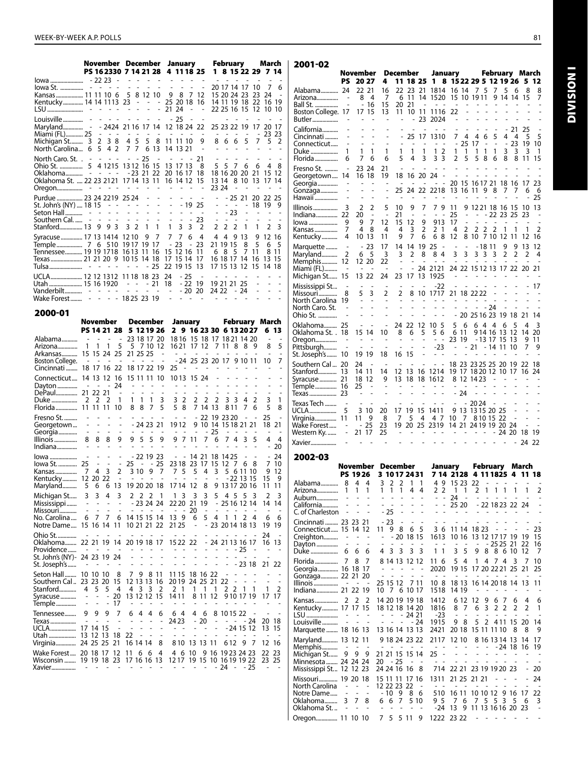|                                      | November December<br>PS 162330 7 14 21 28 |                                            |                                                                 |                                                        |                                            |                                            | January                                    |                                            |                                                      |                                                                                 | February                           |                                                 |                                  |                 | March                   |                            |                          |                          |                                |
|--------------------------------------|-------------------------------------------|--------------------------------------------|-----------------------------------------------------------------|--------------------------------------------------------|--------------------------------------------|--------------------------------------------|--------------------------------------------|--------------------------------------------|------------------------------------------------------|---------------------------------------------------------------------------------|------------------------------------|-------------------------------------------------|----------------------------------|-----------------|-------------------------|----------------------------|--------------------------|--------------------------|--------------------------------|
|                                      |                                           |                                            |                                                                 |                                                        |                                            | L,                                         |                                            |                                            | $\overline{a}$                                       |                                                                                 |                                    | 4 11 18 25                                      | 1<br>÷.                          |                 | L.                      | $\overline{a}$             | 8 15 22 29 7             | ÷.                       |                                |
| lowa<br>lowa St.                     |                                           |                                            | - 22 23<br>2020au                                               | $\sim$                                                 | $\blacksquare$<br>÷,                       | L,                                         | ÷<br>$\overline{a}$                        | $\overline{\phantom{a}}$<br>$\overline{a}$ | ä,                                                   | $\overline{\phantom{a}}$<br>$\overline{a}$                                      |                                    |                                                 |                                  |                 |                         | 20 17 14 17                | 10                       | 7                        | 6                              |
| Kansas  11 11 10 6                   |                                           |                                            |                                                                 |                                                        | 5                                          |                                            | 8 12 10                                    |                                            | 9                                                    | 8                                                                               | 7                                  | 12                                              |                                  |                 |                         | 15 20 24 23                | 23                       | 24                       | $\overline{a}$                 |
| Kentucky 14 14 11 13 23<br>LSU       | $\overline{\phantom{a}}$                  |                                            |                                                                 |                                                        |                                            | $\sim$<br>$\overline{a}$                   | $\overline{\phantom{a}}$<br>$\overline{a}$ | $\overline{\phantom{a}}$<br>$\overline{a}$ | 25<br>21 24                                          | 20 18                                                                           |                                    | 16                                              |                                  |                 |                         | 14 11 19 18<br>22 25 16 15 | 22<br>12                 | 16<br>10                 | 19<br>10                       |
| Louisville                           |                                           |                                            |                                                                 |                                                        |                                            |                                            |                                            |                                            |                                                      | - 25                                                                            |                                    |                                                 |                                  |                 |                         |                            |                          |                          |                                |
| Maryland -<br>Miami (FL) 25          |                                           |                                            | $\sigma_{\rm{eff}}$ , $\sigma_{\rm{eff}}$ , $\sigma_{\rm{eff}}$ |                                                        | - 2424 2116 17<br>$\sim$ $ \sim$           |                                            |                                            | 14                                         |                                                      | 12 18 24                                                                        |                                    | 22                                              |                                  |                 |                         | 25 23 22 19                | 17                       | 20 17<br>23              | 23                             |
| Michigan St                          | 3                                         |                                            | 2 3 8                                                           |                                                        | $\frac{4}{5}$                              |                                            | 5                                          | 8                                          |                                                      | 11 11 10                                                                        |                                    | 9                                               | 8                                | 6               | 6                       | 5                          | 7                        | 5                        | 2                              |
| North Carolina                       | 6                                         |                                            | 5<br>$\sim$                                                     | 4 2                                                    | 7                                          | 7                                          | 6                                          | -13                                        |                                                      | 14 13 21                                                                        |                                    |                                                 |                                  |                 |                         |                            |                          |                          |                                |
| North Caro. St                       | $\overline{\phantom{a}}$                  |                                            | 4 1 2 1 5                                                       |                                                        | 13 12 16 15                                | - 25                                       |                                            |                                            | 13                                                   | 17 13                                                                           |                                    | 21<br>8                                         | 5                                | 5               | 7                       | 6                          | 6                        | 4                        | 8                              |
| Oklahoma - - - - - - 23 21 22        |                                           |                                            |                                                                 |                                                        |                                            |                                            |                                            |                                            |                                                      | 20 16 17                                                                        |                                    | 18                                              |                                  |                 |                         |                            | 18 16 20 20 21           |                          | 15 12                          |
| Oklahoma St.  22 23 2121 17 14 13 11 |                                           | $\sim$                                     |                                                                 | $\frac{1}{2} \left( \frac{1}{2} \right) = \frac{1}{2}$ | $\overline{\phantom{a}}$                   |                                            | $\overline{a}$                             | $\overline{\phantom{a}}$                   | $\sim$                                               | 16 14 12                                                                        |                                    | 15                                              | 23 24                            | 13 14           | $\overline{a}$          | 8 10                       | -13                      | 17                       | 14                             |
| Purdue  23 24 2219 25 24             |                                           |                                            |                                                                 |                                                        |                                            |                                            |                                            | ÷,                                         |                                                      |                                                                                 |                                    | ٠                                               |                                  |                 | $-2521$                 |                            | 20                       | 22 25                    |                                |
| St. John's (NY)  18 15               |                                           |                                            | $\overline{a}$                                                  | $ -$                                                   |                                            |                                            |                                            | $\overline{a}$                             | $\overline{\phantom{0}}$                             |                                                                                 | - 19                               | 25                                              | $\overline{a}$                   |                 | $ -$                    | $\overline{a}$             | 18                       | -19                      | 9                              |
| Seton Hall<br>Southern Cal -         |                                           | $\overline{\phantom{a}}$<br>$\overline{a}$ |                                                                 | $\sim$<br>$\sim$                                       | $\overline{a}$<br>$\sim$ $\sim$            | $\overline{a}$                             | ÷,<br>$\overline{a}$                       | $\overline{a}$<br>L,                       | $\overline{\phantom{a}}$<br>$\overline{\phantom{0}}$ | ÷,<br>$\overline{a}$                                                            | $\sim$<br>$\overline{\phantom{a}}$ | $\sim$<br>23                                    | L,<br>L,                         | $\overline{a}$  | $-23$<br>$\overline{a}$ | L,<br>L,                   | $\overline{a}$           | ÷,                       |                                |
| Stanford 13 9 9 3                    |                                           |                                            |                                                                 |                                                        | 3                                          | $\overline{2}$                             | 1                                          | 1                                          | 1                                                    | 3                                                                               | 3                                  | 2                                               | 2                                | 2               | $\overline{2}$          | 1                          | 1                        | 2                        | 3                              |
| Syracuse  17 13 1414 12 10           |                                           |                                            |                                                                 |                                                        |                                            |                                            | 9                                          | 7                                          | 7                                                    | 7                                                                               | 6                                  | $\overline{4}$                                  |                                  | 4 4             |                         | 9 13                       | 9                        | 12 16                    |                                |
| Temple 7 6 510 1917 19 17            |                                           |                                            |                                                                 |                                                        |                                            |                                            |                                            |                                            |                                                      | $-23$<br>12 16                                                                  | $\sim$                             | 23                                              |                                  | 21 19 15        | - 5                     | 8                          | 5                        | 6<br>8                   | -5<br>11                       |
| Texas  21 21 20 9 10 15 14 18        |                                           |                                            |                                                                 |                                                        | 16 13 11 16                                |                                            |                                            |                                            | 15<br>17                                             | 15 14                                                                           |                                    | 11<br>17                                        | 6                                | - 8<br>16 18 17 |                         | 7<br>14                    | 11<br>16                 | 13                       | 15                             |
| Tulsa                                |                                           |                                            |                                                                 | $ -$                                                   |                                            |                                            | - 25                                       |                                            | 22 19 15                                             |                                                                                 |                                    | 13                                              |                                  | 17 15 13        |                         | -12                        | 15                       | 14                       | 18                             |
| Utah  15 16 1920                     |                                           |                                            |                                                                 |                                                        |                                            |                                            | $-21$                                      |                                            | 24<br>18                                             |                                                                                 | - 25<br>$-22$                      | $\overline{a}$<br>- 19                          |                                  | 19 21 21 25     |                         |                            |                          |                          |                                |
| Vanderbilt - - - -                   |                                           |                                            |                                                                 |                                                        | $\sim$ $\sim$                              |                                            | $\sim$ $ \sim$                             |                                            | $\overline{\phantom{a}}$                             |                                                                                 | - 20 20                            |                                                 | 24 22                            |                 |                         | - 24                       |                          |                          |                                |
| Wake Forest                          |                                           |                                            |                                                                 |                                                        | 1825 23 19                                 |                                            |                                            |                                            |                                                      |                                                                                 |                                    |                                                 |                                  |                 |                         |                            |                          |                          |                                |
| 2000-01                              |                                           |                                            |                                                                 |                                                        |                                            |                                            |                                            |                                            |                                                      |                                                                                 |                                    |                                                 |                                  |                 |                         |                            |                          |                          |                                |
|                                      |                                           |                                            | November                                                        | PS 14 21 28                                            |                                            |                                            |                                            | December<br>5 12 19 26                     | 2                                                    | January                                                                         |                                    | 9 16 23 30 6 13 20 27                           |                                  |                 |                         |                            | February March           | 6                        | 13                             |
| Alabama                              |                                           | $\sim$                                     |                                                                 |                                                        |                                            |                                            |                                            | 23 18 17 20                                |                                                      |                                                                                 |                                    | 18 16 15 18 17 18 21 14 20                      |                                  |                 |                         |                            |                          | $\overline{a}$           |                                |
| Arizona                              | -1                                        | 1                                          | 1                                                               | 5<br>25                                                | 5                                          |                                            |                                            | 7 10 12                                    |                                                      | 16 21<br>٠                                                                      |                                    | 17 12<br>ä,<br>L,                               | ÷,                               | 711             |                         | 88                         | 9                        | 8<br>٠                   | 5<br>٠                         |
| Arkansas 15 15 24<br>Boston College. | $\sim$                                    |                                            | $\sim$ $  -$                                                    | $\sim$                                                 |                                            |                                            | 21 25 25<br>and the control                | $\overline{a}$                             |                                                      |                                                                                 |                                    | -24 25 23 20 17                                 |                                  |                 |                         | 9 10 11                    |                          | 10                       | 7                              |
| Cincinnati                           |                                           |                                            |                                                                 | 18 17 16 22                                            |                                            |                                            |                                            | 18 17 22 19                                | 25                                                   |                                                                                 |                                    |                                                 |                                  |                 |                         |                            |                          |                          |                                |
| Connecticut                          |                                           |                                            | 14 13 12                                                        | 16                                                     |                                            |                                            |                                            | 15 11 11 10                                |                                                      | 1013                                                                            |                                    | 15 24                                           |                                  |                 |                         |                            |                          |                          |                                |
| DePaul 21 22 21                      |                                           | $\overline{a}$                             | $\overline{a}$                                                  | 24<br>$\overline{a}$                                   | $\overline{\phantom{m}}$<br>$\overline{a}$ | $\overline{\phantom{a}}$<br>$\overline{a}$ | $\overline{\phantom{a}}$<br>$\overline{a}$ | ÷<br>÷,                                    |                                                      | $\overline{a}$<br>L,                                                            | ÷,                                 | L,                                              | $\overline{a}$<br>$\blacksquare$ | ÷,              |                         |                            |                          |                          |                                |
| Duke                                 | - 2                                       | - 2                                        | $\overline{2}$                                                  | 1                                                      | 1                                          | 1                                          | 1                                          | 3                                          |                                                      | 3<br>$\overline{2}$                                                             |                                    | 2<br>2                                          | 2                                |                 | 3 <sub>3</sub>          | 4                          | 2                        | 3                        | 1                              |
| Florida                              |                                           |                                            | 11 11 11                                                        | 10                                                     | 8                                          | 8                                          | 7                                          | 5                                          |                                                      | 5<br>8                                                                          |                                    | 7 14 13                                         |                                  |                 | 811                     | 7                          | 6                        | 5                        | 8                              |
| Fresno St.<br>Georgetown             | $\overline{a}$                            | $\overline{a}$                             | -                                                               | -                                                      |                                            | ÷,                                         | ÷                                          | L,<br>- 24 23 21                           |                                                      | $\overline{a}$<br>1912                                                          | $\overline{\phantom{a}}$           | - 22<br>9 10 14 15 18 21 21                     |                                  | 19 23 20        |                         | $\overline{a}$             | $\overline{\phantom{m}}$ | 25<br>18                 | $\overline{a}$<br>21           |
| Georgia                              | $\overline{a}$                            | $\frac{1}{2}$                              | $\blacksquare$                                                  | $\overline{\phantom{a}}$                               | $\overline{\phantom{a}}$                   | $\sim$                                     | $\overline{\phantom{a}}$                   | $\overline{\phantom{a}}$                   |                                                      | $\overline{\phantom{a}}$<br>$\overline{\phantom{a}}$                            |                                    | $\overline{\phantom{a}}$                        | - 25                             |                 | $\sim$<br>$\sim$        | $\sim$ $-$                 | $\overline{\phantom{a}}$ | $\overline{\phantom{a}}$ |                                |
| Illinois                             |                                           | 8 8                                        | 8<br>$\overline{a}$                                             | 9                                                      | 9                                          | 5                                          | 5                                          | 9                                          |                                                      | 9<br>7                                                                          | 11                                 | 7                                               | 6                                | 7               | 4                       | 3                          | 5                        | 4<br>$\overline{a}$      | 4                              |
| Indiana<br>lowa                      |                                           |                                            |                                                                 |                                                        |                                            |                                            |                                            | - 22 19 23                                 |                                                      | $\frac{1}{2} \left( \frac{1}{2} \right) \frac{1}{2} \left( \frac{1}{2} \right)$ |                                    | 14 21 18 14 25                                  |                                  |                 |                         |                            |                          |                          | 20<br>24                       |
| lowa St 25                           |                                           | $\overline{a}$                             | $\overline{\phantom{a}}$                                        | $\blacksquare$                                         | 25                                         | $\overline{a}$                             |                                            | - 25                                       |                                                      | 23 18                                                                           |                                    | 23 17                                           |                                  | 15 12           | 7                       | 6                          | 8                        | 7                        | 10                             |
|                                      |                                           | 4                                          | 3                                                               | 2                                                      |                                            | 3 10                                       | 9                                          | 7                                          |                                                      | 75                                                                              |                                    | 5<br>4                                          | 3                                |                 |                         | 5 6 11 10                  |                          | 9                        | 12                             |
| Kentucky 12 20 22<br>Maryland        | 5                                         | 6                                          | 6                                                               | $\overline{\phantom{a}}$                               | $\overline{a}$<br>13 19 20 20 18           |                                            |                                            |                                            |                                                      | $\overline{a}$<br>17 14 12                                                      |                                    | $\overline{\phantom{a}}$<br>$\overline{a}$<br>8 | $\overline{a}$                   |                 |                         | $-221315$<br>9 13 17 20 16 |                          | 15<br>11                 | 9<br>11                        |
| Michigan St                          | 3                                         | 3                                          | 4                                                               | 3                                                      | 2                                          | 2                                          | 2                                          | 1                                          |                                                      | 3<br>1                                                                          |                                    | 3<br>3                                          | 5                                | 4               | 5                       | 5                          | 3                        | 2                        | 3                              |
| Mississippi                          | $\overline{a}$                            | $\overline{a}$                             |                                                                 |                                                        |                                            |                                            |                                            | - 23 24 24                                 |                                                      | 22 20                                                                           | 21                                 | 19                                              | $\overline{\phantom{a}}$         |                 |                         | 25 16 12 14                |                          | 14                       | 14                             |
| Missouri                             | ÷,<br>6                                   | $\overline{a}$<br>7                        | Ĭ.<br>7                                                         | $\overline{a}$<br>6                                    | $\overline{a}$                             |                                            |                                            | 14 15 15 14                                |                                                      | $\overline{\phantom{a}}$<br>$\sim$<br>139                                       | 20                                 | $\overline{\phantom{a}}$<br>5<br>6              | $\overline{a}$<br>4              | 1               | 1                       | L,<br>2                    | 4                        | L,<br>6                  | $\overline{a}$<br>6            |
| No. Carolina<br>Notre Dame           |                                           |                                            | 15 16 14                                                        | 11                                                     |                                            |                                            |                                            | 10 21 21 22                                |                                                      | 21 25                                                                           |                                    | $\qquad \qquad \blacksquare$                    | - 23 20 14 18 13                 |                 |                         |                            |                          | 19                       | 19                             |
| Ohio St.                             |                                           |                                            |                                                                 |                                                        | Ĭ.                                         |                                            |                                            | ٠                                          |                                                      | i,                                                                              |                                    |                                                 |                                  |                 |                         |                            |                          | 24                       | $\overline{\phantom{a}}$       |
| Oklahoma<br>Providence               |                                           |                                            | 22 21 19                                                        | 14                                                     |                                            | -                                          | $\overline{a}$                             | 20 19 18 17<br>٠                           |                                                      | 15 22<br>-<br>-                                                                 | 22                                 | ÷<br>$\overline{a}$                             | ٠                                | $\overline{a}$  |                         | 24 21 13 16 17<br>- 25     | $\overline{a}$           | 16<br>$\overline{a}$     | 13<br>$\overline{\phantom{0}}$ |
| St. John's (NY)-                     |                                           |                                            | 24 23 19                                                        | 24                                                     |                                            | L                                          | L,                                         | Ĭ.                                         |                                                      | $\overline{a}$<br>L                                                             |                                    | L                                               | $\overline{a}$                   | $\overline{a}$  | L,                      | ٠                          |                          | L                        |                                |
| St. Joseph's……                       |                                           |                                            |                                                                 |                                                        | Ĭ.                                         |                                            |                                            | L,                                         |                                                      | L                                                                               |                                    |                                                 |                                  |                 |                         | - 23 18                    |                          | 21                       | 22                             |
| Seton Hall                           |                                           | 10 10 10                                   |                                                                 | 8                                                      | 7                                          | 9                                          | 8                                          | -11                                        |                                                      | 11 15                                                                           |                                    | 18 16 22                                        |                                  |                 | $\overline{a}$          | $\overline{a}$             | ÷,                       | L,                       | $\overline{\phantom{a}}$       |
| Southern Cal<br>Stanford             | 4                                         | 23 23 20<br>5                              | 5                                                               | 15<br>4                                                | 4                                          | 3                                          | 3                                          | 12 13 13 16<br>2                           |                                                      | 20 19<br>2 1                                                                    |                                    | 24 25 21<br>1<br>1                              | 1                                | 22<br>2         | 2                       | 1                          | 1                        | 1                        | 2                              |
| Syracuse                             | $\overline{a}$                            | $\qquad \qquad \blacksquare$               | ۰                                                               | 20                                                     |                                            |                                            |                                            | 13 12 12 15                                |                                                      | 14 11                                                                           |                                    | 8<br>11                                         | 12                               |                 |                         | 910 17 19                  |                          | 17                       | 17                             |
| lemple                               | Ĭ.                                        | $\overline{a}$                             | $\overline{a}$                                                  | 17                                                     | ÷                                          |                                            |                                            |                                            |                                                      |                                                                                 |                                    |                                                 |                                  |                 |                         |                            |                          |                          |                                |
| Tennessee<br>Texas                   | 9<br>$\overline{\phantom{a}}$             | 9<br>$\overline{a}$                        | 9<br>÷,                                                         | 7<br>$\overline{\phantom{0}}$                          | 6<br>$\qquad \qquad \blacksquare$          | 4<br>$\qquad \qquad \blacksquare$          | 4<br>$\overline{\phantom{a}}$              | 6<br>$\overline{a}$                        |                                                      | 64<br>2423                                                                      | 4                                  | 6<br>20<br>۰                                    | ÷                                | 8 10 15 22      | -                       |                            | - 24                     | 20                       | 18                             |
| UCLA                                 |                                           | 17 14 15                                   |                                                                 | $\overline{a}$                                         | ÷,                                         | $\overline{a}$                             | ÷,                                         | $\qquad \qquad \blacksquare$               |                                                      | $\overline{\phantom{0}}$                                                        |                                    |                                                 | -                                |                 |                         | - 24 15 12                 |                          | 13                       | 15                             |
| Utah<br>Virginia 24 25 25 21         |                                           | 13 12 13                                   |                                                                 | 18                                                     | 22                                         | $\qquad \qquad \blacksquare$               | 16 14 14                                   | ÷,<br>8                                    |                                                      |                                                                                 |                                    | 810 13 13 11                                    |                                  |                 | 612                     | 9                          | 7                        | 12                       | 16                             |
|                                      |                                           |                                            |                                                                 |                                                        |                                            |                                            |                                            |                                            |                                                      |                                                                                 |                                    |                                                 |                                  |                 |                         |                            |                          |                          |                                |

Wake Forest.... 20 18 17 12 11 6 6 4 4 6 10 9 16 19 23 24 23 22 23 Wisconsin ........ 19 19 18 23 17 16 16 13 12 17 19 15 10 16 19 19 22 23 25 Xavier................. - - - - - - - - - - - - - 24 - - 25 - -

|                                      |                              | November                      |                               | December                                                        |                                            |                          |                                  | January                                          |                                                          |                          |                                  |                          |                                        |                          | February March |                                |
|--------------------------------------|------------------------------|-------------------------------|-------------------------------|-----------------------------------------------------------------|--------------------------------------------|--------------------------|----------------------------------|--------------------------------------------------|----------------------------------------------------------|--------------------------|----------------------------------|--------------------------|----------------------------------------|--------------------------|----------------|--------------------------------|
|                                      | PS                           | 20 27                         |                               | 4                                                               | 11                                         |                          | 18 25                            | 1<br>8                                           | 15 22 29 5 12 19 26                                      |                          |                                  |                          |                                        |                          | 5              | 12                             |
| Alabama 24                           |                              | 22 21                         |                               | 16                                                              | 22                                         |                          | 23 21                            | 1814                                             | 16 14                                                    |                          | 75                               | 7                        | 5                                      | 6                        | 8              | 8                              |
| Arizona                              |                              | 8                             | 4                             | 7                                                               | 6                                          | -11                      | 14                               | 1520                                             | 15 10 19 11                                              |                          |                                  |                          | 9 14 14                                |                          | 15             | 7                              |
| Ball St.                             |                              |                               | 16                            | 15                                                              |                                            | 20 21                    |                                  |                                                  |                                                          |                          |                                  |                          |                                        |                          |                |                                |
| Boston College. 17<br>Butler………………   |                              | 17                            | 15<br>L,                      | 13                                                              | 11                                         | 10                       | -11<br>23                        | 1116<br>2024                                     | 22                                                       |                          |                                  |                          |                                        |                          |                |                                |
| California                           |                              |                               |                               |                                                                 |                                            |                          |                                  | L,                                               |                                                          |                          |                                  |                          | $\overline{\phantom{0}}$               | 21                       | 25             |                                |
| Cincinnati<br>Connecticut            | L,                           | L,                            | L,<br>L,                      | $\overline{\phantom{a}}$                                        | L,                                         | 25<br>÷,                 | 17<br>٠                          | 1310<br>٠<br>$\overline{\phantom{a}}$            | 7<br>4<br>25<br>$\overline{a}$                           | 4<br>17                  | 6<br>$\overline{a}$              | 5<br>$\overline{a}$      | 4<br>$\sim$                            | 4<br>23                  | 5<br>19        | 5<br>10                        |
| Duke                                 | 1                            | 1                             | 1                             | 1                                                               | 1                                          | 1                        | 1                                | 1<br>2                                           | 1<br>1                                                   | 1                        | 1                                | 1                        | 3                                      | 3                        | 3              | 1                              |
| Florida                              | 6                            | 7                             | 6                             | 6                                                               | 5                                          | 4                        | 3                                | 3<br>3                                           | 5<br>2                                                   | 5                        | 8                                | 6                        | 8                                      | 8                        | 11             | 15                             |
| Fresno St.                           | ÷,                           |                               | 23 24                         | 21                                                              |                                            |                          |                                  |                                                  |                                                          |                          |                                  |                          |                                        |                          |                |                                |
| Georgetown                           | 14                           | 16                            | 18                            | 19                                                              | 18                                         | 16                       | 20                               | 24                                               | L,                                                       | ٠                        |                                  |                          |                                        |                          |                |                                |
| Georgia                              | $\overline{a}$               | ٠                             | ٠                             |                                                                 |                                            |                          |                                  | L,                                               | 20 15 16 17 21                                           |                          |                                  |                          | 18 16                                  |                          | 17             | 23                             |
| Gonzaga                              | ÷,                           |                               | L                             |                                                                 | 25                                         | 24                       | 22                               | 2218<br>÷.                                       | 13                                                       | 16 11                    | 9                                | 8                        | 7                                      | 7                        | 6              | 6                              |
| Hawaii                               | ÷,                           |                               |                               |                                                                 |                                            |                          |                                  |                                                  |                                                          |                          |                                  |                          |                                        |                          |                | 25                             |
| Illinois                             | 3                            | 2                             | 2<br>L.                       | 5<br>$\overline{\phantom{a}}$                                   | 10                                         | 9                        | 7                                | 7<br>9                                           | 11                                                       | 9 12 21 18 16 15         |                                  |                          |                                        |                          | 10             | 13                             |
| Indiana 22<br>lowa                   | 9                            | 20<br>9                       | 7                             | 12                                                              | 21<br>15                                   | 12                       | 9                                | 913                                              | 25<br>17<br>$\overline{\phantom{0}}$                     | ÷,                       | $\overline{\phantom{a}}$         | $\sim$                   | $-2222325$<br>$\overline{\phantom{a}}$ |                          | 23             |                                |
| Kansas                               | 7                            | 4                             | 8                             | 4                                                               | 4                                          | 3                        | 2                                | 2<br>$\overline{1}$                              | 2<br>$\overline{4}$                                      | $\overline{2}$           | 2                                | 2                        | 1                                      | 1                        | 1              | 2                              |
| Kentucky                             | 4                            | 10                            | 13                            | 11                                                              | 9                                          | 7                        | 6                                | 68                                               | 12                                                       | 8 10                     |                                  | 7 10                     | 12                                     | 11                       | 12             | 16                             |
| Marquette                            | $\overline{\phantom{m}}$     | $\overline{\phantom{0}}$      | 23                            | 17                                                              | 14                                         | 14                       | 19                               | 25                                               | $\overline{a}$                                           |                          | - 18 11                          |                          | 9                                      | 9                        | 13             | 12                             |
| Maryland                             | 2                            | 6                             | 5                             | -3                                                              | 3                                          | 2                        | 8                                | 84                                               | 3<br>3                                                   | 3                        | 3                                | 3                        | 2                                      | 2                        | 2              | 4                              |
| Memphis                              | -12                          | 12.                           | 20                            | 22                                                              |                                            |                          |                                  |                                                  |                                                          |                          |                                  |                          |                                        |                          |                |                                |
| Miami (FL)                           | $\overline{a}$               |                               |                               | $\overline{\phantom{a}}$                                        |                                            |                          | 24                               | 2121                                             | 24 22 15 12 13                                           |                          |                                  |                          | 17                                     | 22                       | 20 21          |                                |
| Michigan St 15                       |                              | 13                            | 22                            | 24                                                              | 23                                         | 17                       | 13                               | 1925                                             |                                                          |                          |                                  |                          |                                        |                          |                |                                |
| Mississippi St                       |                              | 5                             | 3                             | $\overline{a}$<br>2                                             | 2                                          |                          |                                  | -22<br>1717                                      |                                                          |                          |                                  |                          |                                        |                          |                | 17                             |
| Missouri<br>North Carolina 19        | 8                            |                               |                               |                                                                 |                                            | 8                        | 10                               |                                                  | 21 18 22 22                                              |                          |                                  |                          |                                        |                          |                |                                |
| North Caro. St.                      |                              |                               |                               |                                                                 |                                            |                          |                                  |                                                  |                                                          | $\frac{1}{2}$            |                                  | - 24                     |                                        |                          |                |                                |
| Ohio St.                             |                              |                               | ÷,                            | ÷,                                                              |                                            |                          |                                  |                                                  | - 20 25 16 23 19                                         |                          |                                  |                          |                                        | 18                       | 21             | 14                             |
| Oklahoma 25                          |                              |                               |                               | $\overline{a}$                                                  | 24                                         | 22                       | 12                               | -5<br>10                                         | 5<br>6                                                   | 6                        | -4                               | - 4                      | 6                                      | 5                        | 4              | 3                              |
| Oklahoma St. .                       | 18                           | 15 14                         |                               | 10                                                              | 8                                          | 6                        | 5                                | 56                                               | 6 11                                                     |                          | 9 14 16                          |                          | -13                                    | 12                       | 14             | 20                             |
| Oregon                               |                              |                               | $\overline{a}$                | $\overline{a}$                                                  |                                            |                          |                                  | $ -$                                             | 23 19                                                    |                          |                                  | $-131715$                |                                        | 13                       | 9              | 11                             |
| Pittsburgh<br>St. Joseph's…….  10    | L,                           | 19 19                         | $\overline{a}$                | L<br>18                                                         | 16                                         | 15                       |                                  | $-23$                                            | $\overline{a}$                                           | - 21                     |                                  | - 14 11                  |                                        | 10                       | 7              | 9                              |
|                                      |                              |                               |                               |                                                                 |                                            |                          |                                  |                                                  |                                                          |                          |                                  |                          |                                        |                          |                |                                |
| Southern Cal  20<br>Stanford 13      |                              | 24<br>14 11                   | L,                            | L,<br>14                                                        | 12                                         | 13                       | 16                               | 1214                                             | 18 23 23 25 25 20 19<br>19 17 18 20 12 10 17             |                          |                                  |                          |                                        |                          | 22<br>16       | 18<br>24                       |
| Syracuse 21                          |                              | 18 12                         |                               | 9                                                               | 13                                         | 18                       | 18                               | 1612                                             | 8 12 14 23                                               |                          |                                  | ٠                        |                                        |                          | ٠              |                                |
| Temple 16                            |                              | 25                            | $\overline{a}$                | $\overline{\phantom{a}}$                                        | $\overline{a}$                             |                          |                                  | ٠<br>$\overline{a}$                              | $\overline{a}$<br>٠                                      |                          |                                  |                          |                                        |                          |                |                                |
|                                      |                              |                               | L,                            | L,                                                              |                                            |                          |                                  |                                                  | 24                                                       |                          |                                  |                          |                                        |                          |                |                                |
| Texas Tech                           | ÷,                           |                               | $\overline{a}$                |                                                                 | $\overline{a}$                             |                          |                                  |                                                  | $\overline{a}$                                           | $-2024$                  |                                  |                          |                                        |                          |                |                                |
| UCLA                                 | 5                            |                               | 3 10                          | 20                                                              | 17                                         | 19                       | 15                               | 1411                                             | 9 13 13 15 20 25                                         |                          |                                  |                          |                                        |                          |                |                                |
| Virginia 11                          | $\overline{a}$               | 11<br>- 25                    | 9                             | 8<br>23                                                         | 7<br>19                                    | 5<br>20                  | 4<br>-25                         | 47<br>2319                                       | 7<br>10<br>14 21 24 19 19 20 24                          |                          |                                  | 8 10 15 22               |                                        | $\overline{a}$           | ÷,             | L<br>÷,                        |
| Wake Forest<br>Western Ky.           | $\qquad \qquad \blacksquare$ | 21 17                         |                               | 25                                                              | $\overline{a}$                             |                          |                                  |                                                  |                                                          |                          |                                  |                          | - 24 20                                |                          | 18             | 19                             |
|                                      |                              |                               |                               |                                                                 |                                            |                          |                                  |                                                  |                                                          |                          |                                  |                          |                                        |                          | 24             | 22                             |
|                                      |                              |                               |                               |                                                                 |                                            |                          |                                  |                                                  |                                                          |                          |                                  |                          |                                        |                          |                |                                |
| 2002-03                              |                              |                               |                               |                                                                 |                                            |                          |                                  |                                                  |                                                          |                          |                                  |                          |                                        |                          |                |                                |
|                                      |                              | November                      |                               | December                                                        |                                            |                          |                                  | January                                          |                                                          |                          |                                  | <b>February</b>          |                                        |                          | March          |                                |
|                                      |                              | PS 1926                       |                               | 3 10 17 24 31                                                   |                                            |                          |                                  |                                                  | 7 14 2128 4 11 1825                                      |                          |                                  |                          |                                        | 4                        | 11             | 18                             |
| Alabama                              | 8                            | 4                             | 4                             | 3<br>2                                                          | 2                                          | 1                        | 1                                | 9<br>4                                           | 15 23                                                    | -22                      | L,                               |                          |                                        |                          |                |                                |
| Arizona                              | 1                            | 1                             | 1                             | 1<br>1                                                          | 1                                          | 4                        | 4                                | 22                                               | 1<br>1<br>24                                             | 2                        | 1                                | 1                        | 1                                      | 1                        | 1              | 2                              |
| Auburn<br>California                 |                              |                               |                               | $\sim$                                                          |                                            |                          |                                  |                                                  | 25 20                                                    |                          |                                  |                          | - 22 18 23 22 24                       |                          |                |                                |
| C. of Charleston                     | ÷                            |                               |                               | - 25                                                            |                                            |                          |                                  |                                                  |                                                          | $\overline{\phantom{0}}$ |                                  |                          | $\overline{\phantom{a}}$               | $\overline{\phantom{a}}$ |                |                                |
| Cincinnati  23 23 21                 |                              |                               |                               | - 23                                                            | $\overline{a}$                             |                          |                                  | $\overline{a}$<br>$\overline{a}$                 |                                                          | $\overline{a}$           |                                  |                          |                                        |                          |                |                                |
| Connecticut 15 14 12                 |                              |                               |                               | 11                                                              | 98                                         | 6                        | 5                                | 36                                               | 11 14                                                    | 18 23                    |                                  |                          | $\sim$ $ \sim$                         |                          | ÷,             | 23                             |
| Creighton                            | -                            | $\overline{\phantom{0}}$      |                               | $\qquad \qquad \blacksquare$                                    |                                            | $-201815$                |                                  | 1613                                             | 10 16 13 12 17 17 19 19                                  |                          |                                  |                          |                                        |                          |                | 15                             |
| Dayton                               | $\overline{\phantom{m}}$     | -                             | $\qquad \qquad \blacksquare$  |                                                                 |                                            |                          |                                  | $\overline{\phantom{a}}$                         | $\qquad \qquad \blacksquare$<br>$\overline{\phantom{a}}$ |                          |                                  |                          | - 25 25 21                             |                          | 22             | 16                             |
| Duke                                 | 6                            | 6                             | 6                             | 3<br>4                                                          | 3                                          | 3                        | 3                                | 11                                               | 3<br>5                                                   | 9                        |                                  |                          | 8 8 6 10 12                            |                          |                | 7                              |
| Florida                              | - 7                          | 8                             | 7                             | 8 14 13 12 12                                                   |                                            |                          |                                  | 116                                              | 5<br>4                                                   | 1                        | 4                                |                          | 74                                     | 3                        | 7              | 10                             |
| Georgia 16 18 17<br>Gonzaga 22 21 20 |                              |                               |                               | $\overline{a}$<br>$\overline{a}$                                | $\overline{\phantom{a}}$<br>$\overline{a}$ | $\overline{a}$           | ÷,                               | 2020<br>٠<br><b>.</b>                            | 19 15                                                    |                          |                                  |                          | 17 20 22 21 25                         |                          | 21             | 25<br>$\overline{\phantom{0}}$ |
|                                      |                              | $\sim$ $ -$                   |                               | 25 15 12                                                        |                                            |                          | 7 11                             | 108                                              | 18 13                                                    |                          |                                  |                          | 16 14 20 18 14 13                      |                          |                | 11                             |
| Indiana 21 22 19                     |                              |                               |                               | 10<br>7                                                         |                                            | 6 10 17                  |                                  | 1518                                             | 14 19                                                    | $\overline{a}$           | $\overline{a}$                   | $\overline{a}$           |                                        |                          |                | $\overline{\phantom{a}}$       |
|                                      |                              | 2                             | 2                             | 14 20 19 19 18                                                  |                                            |                          |                                  | 1412                                             | 6 12                                                     | 12                       | 9                                |                          | 6 7                                    | 6                        | 4              | 6                              |
| Kentucky 17 17 15                    |                              |                               |                               | 18 12 18 14 20                                                  |                                            |                          |                                  | 1816                                             | 8<br>7                                                   | 6                        | 3                                |                          | 22                                     | 2                        | 2              | 1                              |
| LSU                                  | $\overline{\phantom{a}}$     | $\sim$                        | $\sim$                        | $\sim$ 100 $\pm$                                                |                                            | - 24 21                  |                                  | -23                                              | $\sim$<br>٠                                              | ÷,                       | $\blacksquare$                   | L,                       |                                        |                          |                | ÷,                             |
| Louisville ……….                      | ÷,                           | $\overline{a}$                | $\overline{\phantom{a}}$      | $\overline{\phantom{a}}$                                        | $\mathcal{L}^{\text{max}}$                 |                          | - 24                             | 1915                                             | 9<br>8                                                   | 5                        | 2                                |                          | 411 15                                 |                          | 20             | 14                             |
| Marquette  18 16 13                  |                              |                               |                               | 13 16 14 13 13                                                  |                                            |                          |                                  | 2421                                             | 20 18                                                    | 15 11 11 10              |                                  |                          |                                        | 8                        | 8              | 9                              |
| Maryland 13 12 11                    |                              |                               |                               | 9 18 24 23 22                                                   |                                            |                          |                                  | 2117                                             | 12 10                                                    |                          |                                  |                          | 8 16 13 14 13                          |                          | 14             | 17                             |
| Memphis<br>Michigan St               | 9                            | 9                             | 9                             | 21 21 15 15 14                                                  |                                            |                          |                                  | $\overline{a}$<br>25<br>$\overline{\phantom{a}}$ | $\overline{a}$<br>L,                                     | ٠                        | $\overline{a}$<br>$\overline{a}$ | $\overline{a}$           | -24 18                                 |                          | 16             | 19<br>$\overline{\phantom{a}}$ |
| Minnesota  24 24 24                  |                              |                               |                               | 20 - 25                                                         |                                            | $\sim$                   | $\sim$                           | $\sim$ $ \sim$                                   | L,<br>L,                                                 | ٠                        | ÷,                               | ÷,                       | ÷,                                     |                          |                | ÷,                             |
| Mississippi St 12 12 23              |                              |                               |                               | 24 24 16 16                                                     |                                            |                          | 8                                | 714                                              | 22 21                                                    |                          |                                  |                          | 23 19 19 20 23                         |                          | $\overline{a}$ | 20                             |
| Missouri 19 20 18                    |                              |                               |                               | 15 11 11 17 16                                                  |                                            |                          |                                  | 1311                                             | 21 25                                                    | 21 21                    |                                  | $\overline{a}$           |                                        | ۰                        |                | 24                             |
| North Carolina                       | $\overline{\phantom{m}}$     | $\overline{\phantom{a}}$      | $\overline{\phantom{a}}$      | 12 22 23 22                                                     |                                            |                          | $\overline{\phantom{a}}$         | $ -$                                             | $\overline{a}$<br>$\overline{\phantom{a}}$               | $\sim$                   | $\overline{\phantom{a}}$         | $\overline{\phantom{a}}$ | $\overline{\phantom{a}}$               | L,                       | $\overline{a}$ | $\overline{\phantom{a}}$       |
| Notre Dame                           | $\overline{a}$               | $\overline{a}$                | $\overline{a}$                | - 10                                                            | 9                                          | 8                        | -6                               | 510                                              | 16 11                                                    |                          |                                  |                          | 10 10 12 9 16                          |                          | -17            | 22                             |
| Oklahoma<br>Oklahoma St.             | 3<br>$\overline{a}$          | 7<br>$\overline{\phantom{a}}$ | 8<br>$\overline{\phantom{a}}$ | 6<br>-6<br>$\overline{\phantom{a}}$<br>$\overline{\phantom{a}}$ | 7<br>$\overline{\phantom{a}}$              | $\overline{\phantom{a}}$ | 5 10<br>$\overline{\phantom{a}}$ | 95<br>-24                                        | 7<br>6<br>13                                             | 7<br>9 11 13 16 16 20 23 | 5                                | -5                       | -3                                     | 5                        | 6              | 3<br>$\overline{a}$            |
|                                      |                              |                               |                               |                                                                 |                                            |                          |                                  |                                                  |                                                          |                          |                                  |                          |                                        |                          |                |                                |
| Oregon 11 10 10                      |                              |                               |                               | 5<br>7                                                          |                                            | 511                      | 9                                | 1222                                             | 23 22                                                    | $\overline{a}$           | $\overline{a}$                   | $\overline{a}$           |                                        |                          |                | $\overline{a}$                 |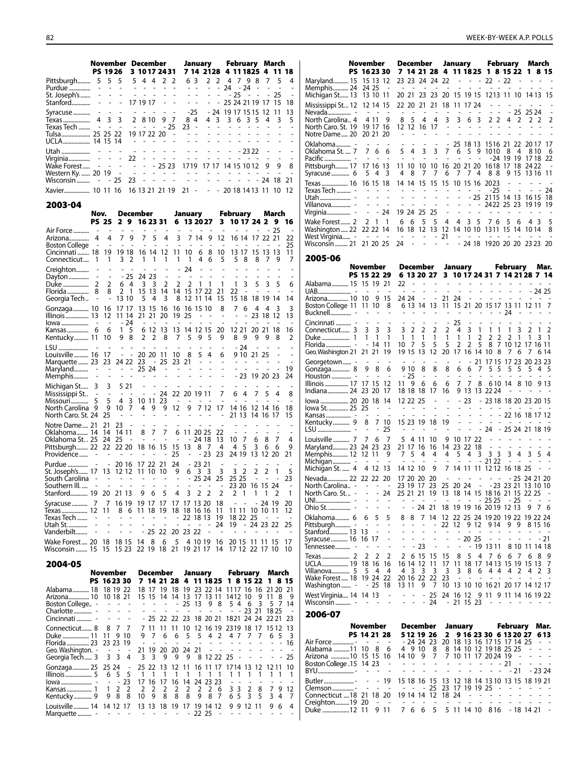|                                                                                  | November December |  |                                                 |  |  | January February March |  |  |  |  |       |     |
|----------------------------------------------------------------------------------|-------------------|--|-------------------------------------------------|--|--|------------------------|--|--|--|--|-------|-----|
|                                                                                  |                   |  | PS 1926 3 1017 2431 7 14 2128 4 11 1825 4 11 18 |  |  |                        |  |  |  |  |       |     |
| Pittsburgh 5 5 5 5 6 4 4 2 2 6 3 2 2 4 7 9 8 7 5 4                               |                   |  |                                                 |  |  |                        |  |  |  |  |       | - 1 |
|                                                                                  |                   |  |                                                 |  |  |                        |  |  |  |  |       |     |
|                                                                                  |                   |  |                                                 |  |  |                        |  |  |  |  |       |     |
|                                                                                  |                   |  |                                                 |  |  |                        |  |  |  |  |       |     |
|                                                                                  |                   |  |                                                 |  |  |                        |  |  |  |  |       |     |
|                                                                                  |                   |  |                                                 |  |  |                        |  |  |  |  |       | ΙI  |
|                                                                                  |                   |  |                                                 |  |  |                        |  |  |  |  |       |     |
| - Tulsa  25 25 22 19 17 22 20 - - - - - - - - - - - - - -                        |                   |  |                                                 |  |  |                        |  |  |  |  |       |     |
|                                                                                  |                   |  |                                                 |  |  |                        |  |  |  |  |       |     |
|                                                                                  |                   |  |                                                 |  |  |                        |  |  |  |  |       |     |
|                                                                                  |                   |  |                                                 |  |  |                        |  |  |  |  |       |     |
| Wake Forest      -   -   -   -   -   - 25 23   1719   17 17  14 15 10 12   9   9 |                   |  |                                                 |  |  |                        |  |  |  |  | 8 I F |     |

| 2003-04                                                      |  |  |  |
|--------------------------------------------------------------|--|--|--|
| Xavier 10 11 16 16 13 21 21 19 21 - - - 20 18 14 13 11 10 12 |  |  |  |
| Wisconsin  - - 25 23 - - - - - - - - - - - - - 24 18 21      |  |  |  |
|                                                              |  |  |  |
|                                                              |  |  |  |

|                                                                                   | Nov.                                        |                                                                                            | December                                                                                                     |                                                |                                          | January                                                     |                                                  |                                         |                                                 | February                      |                                                           |                                                                                                  | March                                              |                 |                          |                                              |
|-----------------------------------------------------------------------------------|---------------------------------------------|--------------------------------------------------------------------------------------------|--------------------------------------------------------------------------------------------------------------|------------------------------------------------|------------------------------------------|-------------------------------------------------------------|--------------------------------------------------|-----------------------------------------|-------------------------------------------------|-------------------------------|-----------------------------------------------------------|--------------------------------------------------------------------------------------------------|----------------------------------------------------|-----------------|--------------------------|----------------------------------------------|
|                                                                                   |                                             | <b>PS 25</b>                                                                               | 29                                                                                                           | 16 23 31                                       |                                          |                                                             |                                                  | 6 13 20 27                              |                                                 |                               | 3                                                         | 10 17 24 2                                                                                       |                                                    |                 | 9                        | 16                                           |
| Air Force<br>Arizona<br><b>Boston College</b><br>Cincinnati  18                   | 4                                           | 4<br>٠<br>19                                                                               | 7<br>9<br>19 18                                                                                              | 7<br>16 14                                     | 5                                        | 4<br>12                                                     | 3<br>11                                          | 10                                      | 714<br>6                                        | 9<br>8                        | 12<br>10                                                  | 16 14<br>13 17                                                                                   | 17<br>15 13 13                                     | 22 21           | 25                       | 22<br>25<br>11                               |
| Connecticut                                                                       | 1                                           | 1                                                                                          | 3<br>$\overline{2}$                                                                                          | 1                                              | 1                                        | 1                                                           | 1                                                | 1                                       | 4                                               | 6                             | 5                                                         | 5<br>8                                                                                           | 8                                                  | 7               | 9                        | 7                                            |
| Creighton<br>Dayton<br>Duke<br>Florida                                            | $\overline{a}$<br>2<br>8                    | $\overline{a}$<br>2<br>8                                                                   | $-25$<br>6<br>- 4<br>2<br>1                                                                                  | 24 23<br>3<br>15 13                            | 3                                        | $\overline{\phantom{m}}$<br>2<br>14                         | L,<br>2<br>14                                    | 24<br>$\sim$<br>$\overline{2}$          | 1<br>15 17 22                                   | 1                             | $\overline{a}$<br>1<br>21                                 | 3<br>1<br>22<br>$\overline{a}$                                                                   | 5                                                  | 3               | 5                        | 6<br>٠                                       |
| Georgia Tech                                                                      | $\overline{a}$                              | L,                                                                                         | 13 10                                                                                                        | 5                                              | 4                                        | 3                                                           | 8                                                | 12                                      | 11                                              | 14                            | 15                                                        | 15 18                                                                                            |                                                    |                 | 18 19 14                 | 14                                           |
| Gonzaga 10<br>Illinois 13                                                         |                                             | 16<br>12<br>$\overline{\phantom{a}}$                                                       | 17 17<br>11 14<br>- 24                                                                                       | 13<br>21<br>$\overline{\phantom{a}}$           | 15<br>21<br>$\overline{a}$               | 16<br>20<br>$\overline{a}$                                  | 16<br>19<br>٠                                    | 16<br>25<br>$\overline{a}$              | 15 10                                           |                               | 8<br>$\overline{a}$<br>$\qquad \qquad \blacksquare$       | 7<br>6                                                                                           | 4<br>23                                            | 4<br>18 12      | 3                        | 3<br>13                                      |
| Kentucky 11                                                                       |                                             | 6<br>10                                                                                    | 5<br>1<br>9<br>8                                                                                             | 6 12<br>$\overline{2}$                         | 2                                        | 13<br>8                                                     | 13<br>7                                          | 5                                       | 14 12 15<br>9                                   | 5                             | 20<br>9                                                   | 12 21<br>8<br>9                                                                                  | 20 21<br>9                                         | 9               | 18<br>8                  | 16<br>$\overline{2}$                         |
| LSU<br>Louisville 16<br>Marquette  23<br>Maryland<br>Memphis                      | $\overline{\phantom{0}}$                    | 17<br>23<br>$\qquad \qquad \blacksquare$                                                   | $\overline{\phantom{a}}$<br>$\frac{1}{2}$<br>24 22<br>$\sim$ $ \sim$                                         | 20 20<br>23<br>25 24                           | $\overline{\phantom{m}}$                 | 11<br>25<br>$\overline{a}$                                  | 10<br>23                                         | 8<br>21                                 | 5<br>÷,                                         | 4<br>$\overline{\phantom{a}}$ | 6<br>$\overline{\phantom{a}}$<br>$\overline{\phantom{0}}$ | $-24$<br>9 10 21 25<br>$\qquad \qquad \blacksquare$<br>$\overline{a}$<br>$\overline{a}$<br>$-23$ | 19 20 23                                           |                 | $\overline{\phantom{a}}$ | $\overline{a}$<br>$\overline{a}$<br>19<br>24 |
| Michigan St<br>Mississippi St<br>Missouri<br>North Carolina<br>North Caro. St. 24 | 3<br>$\qquad \qquad \blacksquare$<br>5<br>9 | 3<br>$\overline{a}$<br>5<br>9<br>25                                                        | 5 2 1<br>$\overline{\phantom{a}}$<br>$\overline{\phantom{a}}$<br>3<br>$\overline{4}$<br>$\overline{7}$<br>10 | 10 11<br>4                                     | 9<br>$\overline{a}$                      | -24<br>23<br>9<br>$\overline{a}$                            | $\overline{\phantom{a}}$<br>12<br>$\overline{a}$ | 22 20 19 11<br>9                        |                                                 | 7 12                          | 7<br>$\overline{\phantom{a}}$<br>17<br>$\overline{a}$     | 6<br>4<br>14 16<br>21 13                                                                         | 7<br>12 14 16<br>14 16                             | 5               | 4<br>-17                 | 8<br>18<br>15                                |
| Notre Dame 21<br>Oklahoma 14<br>Oklahoma St. . 25<br>Pittsburgh 22<br>Providence  |                                             | 21<br>14<br>24<br>22                                                                       | 23<br>14 11<br>25<br>$\overline{a}$<br>22 20                                                                 | 8<br>$\overline{\phantom{a}}$<br>18 16         | 7<br>$\overline{a}$                      | 7<br>$\overline{a}$<br>15                                   | 6<br>$\overline{\phantom{a}}$<br>15<br>25        | 13<br>$\overline{a}$                    | 11 20 25<br>- 24 18<br>8                        | - 7<br>- 23                   | 22<br>13<br>4<br>23                                       | 7<br>10<br>5<br>4<br>24 19                                                                       | 6<br>3<br>13                                       | 8<br>6<br>12 20 | 7<br>6                   | 4<br>9<br>21                                 |
| Purdue<br>St. Joseph's 17<br>South Carolina<br>Southern III.<br>Stanford 19       | ÷<br>$\overline{a}$                         | $\qquad \qquad \blacksquare$<br>13<br>$\qquad \qquad \blacksquare$<br>$\overline{a}$<br>20 | 20 16<br>12 12<br>$\overline{a}$<br>$\sim$<br>$\overline{\phantom{a}}$<br>21 13                              | 17 22<br>11<br>$\overline{\phantom{a}}$<br>9   | -10<br>$\qquad \qquad \blacksquare$<br>6 | 21<br>10<br>$\overline{\phantom{m}}$<br>$\overline{a}$<br>5 | 24<br>9<br>$\overline{\phantom{a}}$<br>4         | 6<br>$\overline{\phantom{a}}$<br>٠<br>3 | $-2321$<br>3<br>25 24<br>$\sim$<br>2            | 3<br>÷<br>$\overline{2}$      | 3<br>25<br>$\overline{a}$<br>$\overline{2}$               | 3<br>$\overline{2}$<br>25 25<br>23 20<br>$\overline{2}$<br>1                                     | 2<br>$\qquad \qquad \blacksquare$<br>16 15 24<br>1 | 2<br>1          | 1<br>$\overline{a}$<br>2 | 5<br>23<br>$\overline{a}$<br>$\mathbf{1}$    |
| Syracuse 7<br>Texas  12<br>Texas Tech<br>Utah St<br>Vanderbilt                    |                                             | 7<br>11<br>$\overline{a}$<br>$\overline{\phantom{a}}$                                      | 16 19<br>8 6<br>$\overline{a}$<br>÷,<br>$\overline{\phantom{a}}$<br>$\overline{a}$                           | 19 17<br>11 18<br>$\qquad \qquad \blacksquare$ | 25                                       | 17<br>19<br>22                                              | 17<br>18<br>20                                   | 17<br>L<br>23 22                        | 13 20<br>18 16 16<br>22 18 13<br>$\overline{a}$ | L,                            | 18<br>11<br>19<br>24                                      | 11 11<br>18 22<br>19                                                                             | $\overline{a}$<br>10 10 11<br>25<br>$-24232$       | -24             | -19                      | 20<br>12<br>25                               |
| Wake Forest  20<br>Wisconsin  15                                                  |                                             | 18<br>15                                                                                   | 18 15<br>15 23                                                                                               | 14<br>22 19                                    | 8                                        | 6<br>18                                                     | 5<br>21                                          |                                         | 4 10 19<br>19 21 17                             |                               | 16<br>14                                                  | 20 15<br>17 12 22 17                                                                             | 11                                                 | -11             | -15<br>10                | 17<br>10                                     |

|                                                                                                                                                                                                                                 | November                                          |          | December January February March                                                                                     |           |                              |
|---------------------------------------------------------------------------------------------------------------------------------------------------------------------------------------------------------------------------------|---------------------------------------------------|----------|---------------------------------------------------------------------------------------------------------------------|-----------|------------------------------|
|                                                                                                                                                                                                                                 | PS 1623 30 7 14 21 28 4 11 18 25 1 8 15 22 1 8 15 |          |                                                                                                                     |           |                              |
| Alabama 18<br>Arizona 10 10 18 21<br>Boston College -                                                                                                                                                                           | 18 19 22<br><b>Contract Contract</b>              | 18 17 19 | 18 19<br>15 15 14 14 13 17 13 11 1412 10 9 11 8 9<br>$-25$ 13 9 8 5 4 6 3 5 7 14<br>- - - - - - - - - - 23 21 18 25 |           | 23 22 14 1117 16 16 21 20 21 |
| Connecticut 8 8 7 7 7 11<br>Duke  11 11 9 10<br>Florida 23 23 23 19 - - - - - - - - - - - - - - 16<br>Geo. Washington. - - - - 21 19 20 20 24 21 - - - - - - - - - -<br>Georgia Tech  3 3 3 4 3 3 9 9 9 8 12 22 25 - - - - - 25 |                                                   |          | 11 10 12 16 19 2319 18 17 15 12 13<br>9 7 6 6 5 5 4 2 4 7 7 7 6 5                                                   |           | - 3                          |
| Gonzaga 25 25 24 - 25 22 13 12 11 16 11 17 1714 13 12 12 11 10<br>Illinois5 6 5 5 1 1 1 1 1 1 1 1 1 1 1 1 1 1 1 1<br>Kentucky 9 9 8 8 10 9 8 8 8 9 8 7 6 5 3 5 3 4 7                                                            |                                                   |          | $16$ 14 24 23 23 - - - -                                                                                            |           | $\overline{\phantom{0}}$     |
| Louisville  14 14 12 17 13 13 18 19 17 19 14 12<br>Marquette                                                                                                                                                                    | and the second control of the                     |          | 22 25<br>$\overline{\phantom{a}}$                                                                                   | 9 9 12 11 | 964                          |

|                                          | November                                                                     | December                                       |                                                                      |                          |                               |                                |                                  |                          | January February              |                                                                |                                                      |                                    | March                                        |                                                      |
|------------------------------------------|------------------------------------------------------------------------------|------------------------------------------------|----------------------------------------------------------------------|--------------------------|-------------------------------|--------------------------------|----------------------------------|--------------------------|-------------------------------|----------------------------------------------------------------|------------------------------------------------------|------------------------------------|----------------------------------------------|------------------------------------------------------|
|                                          | PS 1623 30                                                                   |                                                |                                                                      |                          |                               |                                |                                  |                          |                               | 7 14 21 28 4 11 18 25 1 8 15 22                                |                                                      |                                    | 1.                                           | 815                                                  |
| Maryland 15                              | 15 13<br>-12                                                                 |                                                | 23 23 24 24 22                                                       |                          |                               |                                | ÷,                               | ÷,                       | $\frac{1}{2}$                 | $22 - 22$                                                      |                                                      | ÷,                                 |                                              |                                                      |
| Memphis 24                               | 24 25                                                                        | ÷,                                             | $\overline{a}$                                                       | $\overline{\phantom{a}}$ | L.                            | $\overline{\phantom{a}}$       | ä,                               | L.                       | ÷.                            | $\sim$ $ \sim$                                                 | $\sim$                                               | L.                                 | ä,                                           | ÷                                                    |
| Michigan St 13                           | 13 10 11                                                                     |                                                | 20 21                                                                | 23                       | 23                            | 20                             |                                  | 15 19 15                 |                               | 1213 11 10                                                     |                                                      |                                    | 14 13                                        | 15                                                   |
| Mississippi St 12                        | 12 14                                                                        | 15                                             | 22 20                                                                | 21                       | 21                            | 18                             | 11                               |                          | 17 24                         |                                                                |                                                      | ÷                                  |                                              |                                                      |
| North Carolina 4                         | $\sim$<br>4 11                                                               | ÷,<br>9                                        | 5<br>8                                                               | 4                        | $\overline{\phantom{a}}$<br>4 | $\overline{a}$<br>3            | $\overline{\phantom{m}}$<br>3    | $\overline{a}$<br>6      | $\overline{\phantom{a}}$<br>3 | $\qquad \qquad \blacksquare$<br>$\overline{\phantom{a}}$<br>22 | 4                                                    | 25<br>2                            | 25 24<br>$\mathbf{2}$                        | 2<br>2                                               |
| North Caro. St. 19 19 17                 |                                                                              | 16                                             | 12 12                                                                | 16                       | 17                            | $\overline{\phantom{a}}$       | ÷                                |                          |                               |                                                                |                                                      |                                    |                                              |                                                      |
| Notre Dame 20                            | 20 21                                                                        | 20                                             | ٠                                                                    |                          |                               | $\overline{\phantom{0}}$       | $\overline{\phantom{a}}$         | $\overline{a}$           | ÷.                            | L.<br>÷,                                                       | $\overline{a}$                                       | L.                                 |                                              | $\overline{a}$<br>L.                                 |
| Oklahoma -                               |                                                                              |                                                |                                                                      |                          |                               | $\overline{\phantom{a}}$       |                                  | 25 18 13                 |                               | 1516 21 22                                                     |                                                      |                                    | 20 17                                        | 17                                                   |
| Oklahoma St.  7                          | 7<br>6                                                                       | 6                                              | 5<br>4                                                               | 3                        | 3                             | 7                              | 6                                | 5                        | 9                             | 1010                                                           | 8                                                    | 4                                  | 810                                          | 6                                                    |
|                                          | $\overline{\phantom{a}}$<br>$\overline{a}$                                   | ÷,                                             |                                                                      | $\overline{\phantom{a}}$ |                               |                                | $\overline{\phantom{a}}$         | $\overline{a}$           | $\sim$                        | -24                                                            | 19 19                                                |                                    | 1718                                         | 22                                                   |
| Pittsburgh 17                            | 17 16<br>13                                                                  |                                                | 11 10                                                                | 10                       | 10                            | 16                             |                                  | 20 21 20                 |                               | 1618                                                           |                                                      | 17 18                              | 24 22                                        | $\overline{\phantom{a}}$                             |
| Syracuse…………… 6                          | 5<br>4                                                                       | 3<br>4                                         | 8                                                                    | 7                        | 7                             | 6                              | 7                                | 7                        | 4                             | 88                                                             |                                                      | 9 15                               | 1316                                         | 11                                                   |
| Texas  16                                | 16 15 18                                                                     |                                                | 14 14                                                                | 15                       | 15                            | 15                             |                                  |                          |                               | 10 15 16 2023                                                  | $\qquad \qquad \blacksquare$                         | $\overline{a}$                     |                                              | L,                                                   |
| Texas Tech  -                            | L.                                                                           | L.                                             |                                                                      | L.                       |                               |                                |                                  |                          | $\overline{\phantom{a}}$      | $-25$                                                          | $\overline{\phantom{0}}$                             |                                    | - -                                          | 24                                                   |
| Villanova -                              | $\overline{\phantom{0}}$                                                     | $\overline{a}$                                 |                                                                      | $\overline{a}$           | ä,                            | ä,                             | $\overline{a}$                   |                          |                               | - 25 2115 14 13<br>$- 2422 25 23$                              |                                                      |                                    | 16 15<br>1919                                | 18<br>19                                             |
| Virginia -                               | - 24<br>۰                                                                    |                                                | 19 24                                                                | 25                       | 25                            | ÷,                             | $\overline{a}$                   | $\overline{a}$           | $\overline{a}$                | - -                                                            | $\overline{\phantom{a}}$                             |                                    |                                              |                                                      |
|                                          |                                                                              |                                                |                                                                      |                          |                               |                                |                                  |                          |                               |                                                                |                                                      |                                    |                                              |                                                      |
| Wake Forest 2<br>Washington  22 22 22 14 | 2<br>- 1                                                                     | 1<br>6                                         | 6<br>16 18                                                           | 5<br>12                  | 5<br>13                       | 4<br>12 <sup>12</sup>          | 4                                |                          | 3 5                           | 76<br>14 10 10 1311                                            | 5<br>15                                              | 6<br>-14                           | 43<br>1014                                   | 5<br>8                                               |
| West Virginia -                          | $\sim$ $ \sim$                                                               | $\overline{\phantom{a}}$<br>$\sim$             |                                                                      |                          |                               | 21                             | ۰                                |                          | $\sim$ $ \sim$                | $\sim$ $\sim$                                                  |                                                      |                                    |                                              |                                                      |
| Wisconsin  21                            | 21 20 25                                                                     | 24                                             |                                                                      |                          |                               |                                |                                  |                          |                               |                                                                |                                                      |                                    | - 24 18 1920 20 20 23 23 20                  |                                                      |
|                                          |                                                                              |                                                |                                                                      |                          |                               |                                |                                  |                          |                               |                                                                |                                                      |                                    |                                              |                                                      |
| 2005-06                                  |                                                                              |                                                |                                                                      |                          |                               |                                |                                  |                          |                               |                                                                |                                                      |                                    |                                              |                                                      |
|                                          | November                                                                     |                                                | December                                                             |                          |                               |                                | January                          |                          |                               |                                                                | February                                             |                                    |                                              | Mar.                                                 |
|                                          | PS 15 22 29                                                                  |                                                | 6 13 20 27                                                           |                          |                               |                                |                                  |                          |                               |                                                                |                                                      |                                    | 3 10 17 24 31 7 14 21 28 7 14                |                                                      |
| Alabama 15                               | 15 19                                                                        | 21                                             | 22<br>$\frac{1}{2}$                                                  |                          |                               |                                | ÷                                |                          |                               |                                                                | ÷.<br>$\overline{a}$                                 |                                    |                                              |                                                      |
|                                          | $\sim$<br>$\sim$                                                             | $\sim$                                         | ÷,<br>$\sim$ $-$                                                     |                          |                               | $\overline{a}$                 | $\overline{a}$                   | L                        | $\overline{a}$                |                                                                | $\mathcal{L}^{\pm}$<br>$\overline{a}$                | $\overline{a}$                     |                                              | - 24 25                                              |
| Arizona 10 10                            | 9                                                                            | 15<br>8                                        | 24 24<br>6 13 14                                                     | $\overline{a}$           | $\overline{a}$<br>13          | 21<br>11                       | 24                               | $\overline{a}$           | $\blacksquare$                | $\sim$                                                         |                                                      |                                    | $\overline{a}$<br>15 21 20 15 17 13 11 12 11 | $\overline{\phantom{a}}$<br>7                        |
| Boston College 11 11 10                  | $\overline{a}$                                                               | $\overline{\phantom{a}}$                       | $\overline{\phantom{a}}$                                             |                          | $\qquad \qquad \blacksquare$  | $\overline{\phantom{a}}$       | $\sim$ $-$                       | $\overline{\phantom{a}}$ | $\frac{1}{2}$                 |                                                                | 24<br>$\sim$                                         |                                    |                                              |                                                      |
|                                          |                                                                              | $\overline{a}$                                 |                                                                      |                          |                               |                                | 25                               |                          |                               |                                                                |                                                      |                                    |                                              |                                                      |
| Cincinnati  -<br>Connecticut 3           | 3<br>3                                                                       | 3                                              | 3<br>2                                                               | 2                        | 2                             | 2                              | 4                                | 3                        | 1                             | 1                                                              | 1<br>1                                               | 3                                  | 2                                            | 2<br>1                                               |
|                                          | 1<br>1                                                                       | 1                                              | 1<br>1                                                               | 1                        | 1                             | 1                              | 1                                | 1                        | 2                             | 2                                                              | 2<br>2                                               | 1                                  | $\mathbf{1}$                                 | 3<br>$\overline{1}$                                  |
|                                          | - 14                                                                         | 11<br>10                                       | 7                                                                    | 5                        | 5                             | 5                              | 2                                | 2                        | 5                             | 8                                                              | $\overline{7}$                                       |                                    | 10 12 17 16 11                               |                                                      |
| Geo. Washington 21 21 21                 |                                                                              | 19                                             | 19 15                                                                | 13                       | 12                            | 20                             | 17                               |                          |                               | 16 14 10 8                                                     |                                                      | 76                                 | 7                                            | 6 14                                                 |
| Georgetown -                             | $\overline{\phantom{a}}$<br>$\overline{a}$                                   | $\overline{a}$                                 | $\overline{\phantom{a}}$<br>$\overline{a}$                           | $\overline{a}$           | $\overline{\phantom{a}}$      | $\overline{a}$                 | $\frac{1}{2}$                    | ÷.                       | 21                            |                                                                |                                                      |                                    | 17 15 17 23 20 23 23                         |                                                      |
| Gonzaga 8                                | 8<br>9                                                                       | 6                                              | 9 10                                                                 | 8                        | 8                             | 8                              | 6                                | 6                        | 7                             | 5<br>- 5                                                       | 5                                                    | 5                                  | 5                                            | 4<br>- 5                                             |
|                                          | $\overline{\phantom{a}}$<br>$\overline{\phantom{a}}$                         | $\overline{\phantom{a}}$                       | - 25                                                                 | $\overline{a}$           | $\overline{a}$                | $\overline{a}$                 | $\overline{\phantom{a}}$         | $\sim$                   | $\overline{\phantom{a}}$      | $\overline{a}$                                                 | ÷.<br>L.                                             | ÷,                                 | ٠                                            | ٠<br>$\overline{\phantom{a}}$                        |
| Illinois 17                              | 17 15                                                                        | 12                                             | 9<br>11 -                                                            | 6                        | 6                             | 6                              | 7                                | 7                        | 8                             |                                                                | 610 14                                               | 8                                  | 10                                           | 9 13                                                 |
| Indiana 24 23 20                         |                                                                              | 17                                             | 18 18                                                                | 18                       | 17                            | 16                             |                                  |                          |                               | 9 13 13 22 24                                                  |                                                      |                                    |                                              |                                                      |
| lowa  20                                 | 20 18                                                                        | 14                                             | 12 22 25                                                             |                          |                               | L,                             |                                  | 23                       |                               |                                                                |                                                      |                                    | - 23 18 18 20 23 20 15                       |                                                      |
| lowa St.  25                             | 25<br>$\overline{a}$<br>$\overline{a}$                                       | $\overline{\phantom{m}}$<br>$\overline{a}$     | L,                                                                   |                          | L,                            | L,                             | ÷.                               | $\sim$ $-$<br>÷.         | $\frac{1}{2}$                 | $\overline{\phantom{a}}$                                       | $\overline{\phantom{a}}$                             | $\sim$<br>$\sim 100$               | $\sim$                                       | $\blacksquare$                                       |
|                                          | 7                                                                            |                                                | 15 23 19                                                             |                          |                               | L.<br>19                       | $\overline{a}$<br>$\overline{a}$ | L,                       |                               |                                                                | L,<br>$\overline{\phantom{a}}$                       | $\sim$                             | 22 16 18 17 12                               |                                                      |
| Kentucky 9                               | 8<br>$\sim$<br>$\overline{\phantom{a}}$                                      | 10<br>25                                       |                                                                      |                          | 18                            | $\qquad \qquad \blacksquare$   | $\overline{a}$                   | $\overline{a}$           | $\overline{\phantom{a}}$      | 24                                                             |                                                      |                                    | - 25 24 21 18 19                             |                                                      |
|                                          |                                                                              |                                                |                                                                      |                          |                               |                                |                                  |                          |                               |                                                                |                                                      |                                    |                                              |                                                      |
| Louisville7<br>Maryland 23               | 7<br>6<br>24 23                                                              | 7<br>23                                        | 5<br>4<br>21 17                                                      | -11<br>16                | 10<br>16                      | 9<br>14                        | 10 17 22<br>23                   | 22                       | 18                            | $\frac{1}{2}$                                                  | $\overline{\phantom{a}}$<br>$\overline{\phantom{a}}$ | $\blacksquare$                     | $\overline{a}$                               |                                                      |
| Memphis 12 12 11                         |                                                                              | 9                                              | 5<br>7                                                               | 4                        | 4                             | 4                              | 5                                | 4                        | 3                             | 33                                                             | 3                                                    | 4                                  | 3                                            | 5<br>4                                               |
|                                          | $\overline{\phantom{a}}$                                                     | $\overline{a}$                                 |                                                                      |                          | ÷.                            |                                |                                  | $\overline{a}$           |                               | $-2122$                                                        | $\overline{\phantom{a}}$                             | $\overline{\phantom{a}}$           |                                              |                                                      |
| Michigan St.  4 4 12                     |                                                                              | 13                                             | 14 12 10                                                             |                          | 9                             | 7                              |                                  |                          |                               | 14 11 11 12 12 16 18 25                                        |                                                      |                                    |                                              |                                                      |
| Nevada 22 22 22                          |                                                                              | -20                                            | 17 20 20                                                             |                          | 20                            |                                | $\qquad \qquad \blacksquare$     | $\overline{a}$           |                               | $\omega_{\rm{max}}$                                            |                                                      |                                    | - 25 24 21 20                                |                                                      |
| North Carolina $  -$                     |                                                                              | $\sim$                                         | 23 19 17                                                             |                          | 23                            |                                |                                  |                          |                               |                                                                |                                                      |                                    | 25 20 24 - -23 23 21 13 10 10                |                                                      |
| North Caro. St.  -                       |                                                                              | 24                                             | 25 21 21                                                             |                          | 19                            |                                |                                  |                          |                               |                                                                |                                                      |                                    | 13 18 14 15 18 16 21 15 22 25 -              |                                                      |
|                                          | $\qquad \qquad \blacksquare$<br>$\qquad \qquad \blacksquare$                 | $\qquad \qquad \blacksquare$<br>$\overline{a}$ | $\overline{\phantom{0}}$                                             |                          | $\overline{\phantom{a}}$      | $\sim$                         | $\overline{\phantom{a}}$         | $\overline{\phantom{a}}$ |                               | $-2525$                                                        |                                                      | - 25                               | $\sim 100$                                   |                                                      |
|                                          | $\blacksquare$<br>$\qquad \qquad \blacksquare$                               |                                                | ÷,<br>$\qquad \qquad \blacksquare$                                   | 24 21                    |                               |                                |                                  |                          |                               | 18 19 19 16 20 19 12 13                                        |                                                      |                                    | 97                                           | - 6                                                  |
| Oklahoma 6                               | 5<br>6                                                                       | 5                                              | 8<br>8                                                               | 7                        | 14                            |                                |                                  |                          |                               |                                                                |                                                      |                                    | 12 22 25 24 19 20 19 22 19 22 24             |                                                      |
| Pittsburgh -<br>Stanford 13              | $\overline{\phantom{a}}$<br>$\overline{\phantom{a}}$<br>13<br>$\blacksquare$ | $\overline{\phantom{a}}$<br>$\frac{1}{2}$      | $\overline{\phantom{a}}$<br>$\qquad \qquad \blacksquare$<br>Ĩ,<br>L, | ÷,<br>÷,                 | -<br>$\overline{\phantom{a}}$ | 22<br>$\overline{\phantom{a}}$ | 12<br>$\overline{\phantom{a}}$   | $\overline{\phantom{a}}$ | $\overline{\phantom{a}}$      | 9 12 9 14<br>$\sim$ $ \sim$                                    | $\qquad \qquad \blacksquare$                         | 99<br>$\overline{\phantom{a}}$     | 8 15 16<br>$\overline{a}$                    | $\overline{\phantom{a}}$                             |
| Syracuse  16 16 17                       |                                                                              | ÷,                                             | L,<br>$\frac{1}{2}$                                                  | $\overline{a}$           | -                             | $\overline{a}$                 |                                  | $-20.25$                 |                               | $\sim$ $ \sim$                                                 | L.                                                   | $\overline{a}$                     | $\overline{a}$                               | - 21                                                 |
| Tennessee -                              | $\overline{\phantom{a}}$<br>$\overline{a}$                                   | $\overline{\phantom{a}}$                       | $\blacksquare$                                                       | $-23$                    | $\overline{\phantom{m}}$      | $\blacksquare$                 | $\blacksquare$                   |                          |                               | - 19 13 11                                                     |                                                      |                                    | 8 10 11 14 18                                |                                                      |
|                                          | 2<br>2                                                                       | 2                                              | 2                                                                    | 6 15                     | 15                            | 15                             | 8                                | 5                        | 4                             | 76                                                             | 6                                                    | -7                                 | 6                                            | 8<br>9                                               |
| UCLA 19                                  | 18 16                                                                        | 16                                             | 16 14 12                                                             |                          | 11                            | 17                             |                                  |                          |                               |                                                                |                                                      |                                    | 11 18 17 14 13 15 19 15 13                   | 7                                                    |
| Villanova 5                              | 5 4                                                                          | - 4                                            | 4 3                                                                  | - 3                      | $\overline{\mathbf{3}}$       | 3                              |                                  | 3 8                      |                               |                                                                |                                                      |                                    | 6 4 4 4 2 4 2 3                              |                                                      |
| Wake Forest 18 19 24                     |                                                                              | -22                                            | 20 16 22 22                                                          |                          |                               | 23                             | $\overline{\phantom{a}}$         | $\overline{\phantom{a}}$ | $\sim$                        | $\sim$ $\sim$                                                  |                                                      | $\sim$<br>$\overline{\phantom{a}}$ | $\sim$                                       | $\overline{\phantom{a}}$<br>$\overline{\phantom{a}}$ |
| Washington -                             | - 25                                                                         | 18                                             | 13 11                                                                | 9                        | - 7                           | 10                             |                                  |                          |                               |                                                                |                                                      |                                    | 13 10 10 16 21 20 17 14 12 17                |                                                      |
| West Virginia 14 14 13                   |                                                                              | $\overline{\phantom{a}}$                       | ÷<br>$\overline{\phantom{a}}$                                        |                          | $-25$                         | 24                             | 16 12                            |                          |                               |                                                                |                                                      |                                    | 9 11 9 11 14 16 19 22                        |                                                      |
| Wisconsin  -                             | $\sim$<br>$\sim$                                                             | $\overline{\phantom{a}}$                       | $\blacksquare$<br>$\sim$                                             |                          | $-24$                         |                                | - 21 15 23                       |                          |                               | $\sim$                                                         | $\overline{\phantom{a}}$                             |                                    |                                              |                                                      |
| 2006-07                                  |                                                                              |                                                |                                                                      |                          |                               |                                |                                  |                          |                               |                                                                |                                                      |                                    |                                              |                                                      |
|                                          | November                                                                     |                                                | December                                                             |                          |                               |                                |                                  |                          |                               |                                                                | February                                             |                                    |                                              | Mar.                                                 |
|                                          | PS 14 21 28                                                                  |                                                | 5 12 19 26                                                           |                          |                               | 2                              | January                          |                          |                               |                                                                |                                                      |                                    | 9 16 23 30 6 13 20 27 6 13                   |                                                      |
| Air Force  - 2011                        | $\overline{\phantom{a}}$                                                     | $\sim$                                         |                                                                      |                          |                               |                                |                                  |                          |                               | - 24 24 23 20 18 13 16 17 15 17 14 25                          |                                                      |                                    |                                              | $\sim$ $ \sim$                                       |
| Alabama 11 10                            | 8                                                                            | 6                                              | 4 9 10                                                               |                          | 8                             |                                |                                  |                          |                               | 8 14 10 12 19 18 25 25                                         |                                                      |                                    | $\sim$                                       | $\overline{a}$                                       |
| Arizona 10 15 15                         |                                                                              | -16                                            | 14 10                                                                | 9                        | 7                             |                                |                                  |                          |                               | 7 10 11 17 20 24 19 -                                          |                                                      |                                    | $\sim$                                       | $\sim$<br>$\frac{1}{2}$                              |
| Boston College .15 14 23                 |                                                                              |                                                |                                                                      | $\frac{1}{2}$            | $\overline{\phantom{m}}$      | $\overline{a}$                 |                                  |                          |                               |                                                                | - 21                                                 | $\overline{\phantom{a}}$           |                                              |                                                      |
| BYU-                                     | $\overline{a}$<br>$\sim$                                                     | $\overline{a}$                                 | $\overline{a}$<br>÷,                                                 | $\overline{a}$           | $\overline{\phantom{a}}$      | $\overline{a}$                 | $\overline{a}$                   | $\overline{a}$           | $\overline{a}$                | $\overline{\phantom{m}}$                                       | $\overline{\phantom{m}}$                             | - 21                               |                                              | - 23 24                                              |
| Butler-                                  | - - 19                                                                       |                                                | 15 18 16 15                                                          |                          |                               | 13                             |                                  |                          |                               |                                                                |                                                      |                                    | 12 18 14 13 10 13 15 18 19 21                |                                                      |
| Clemson -                                | and the control                                                              |                                                | $- - - 25$                                                           |                          |                               |                                | 23 17 19 19 25                   |                          |                               |                                                                | $\overline{\phantom{a}}$<br>$\overline{\phantom{0}}$ | $\overline{\phantom{m}}$           |                                              |                                                      |
| Connecticut  18 21 18 20                 |                                                                              |                                                | 19 14 14 12                                                          |                          |                               |                                | 18 24                            |                          | $\qquad \qquad \blacksquare$  |                                                                | $\frac{1}{2}$                                        |                                    |                                              |                                                      |
| Creighton19 20                           | $\overline{\phantom{a}}$                                                     | $\sim$                                         | $\overline{\phantom{a}}$<br>$\qquad \qquad \blacksquare$             | $\overline{a}$           | $\overline{\phantom{a}}$      | $\overline{a}$                 | $\overline{a}$                   | $\overline{a}$           | $\overline{a}$                |                                                                |                                                      | $\overline{a}$                     | $\overline{a}$                               | L,                                                   |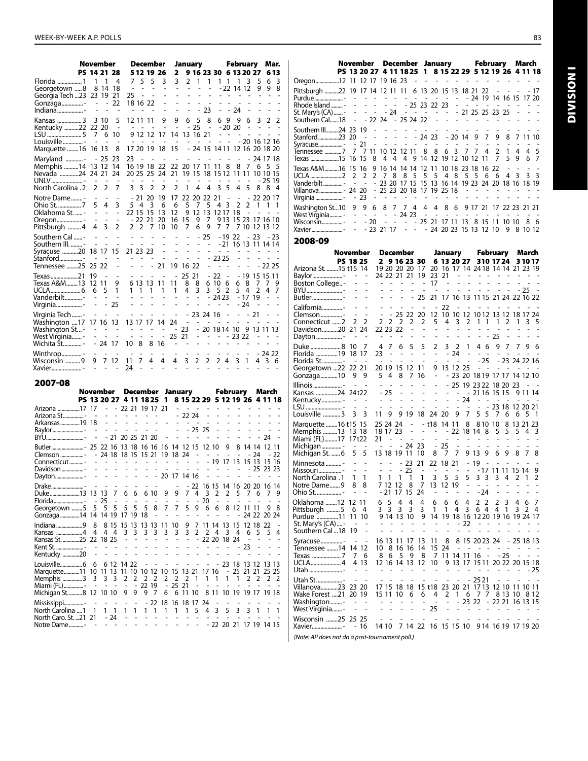|                                                                                                    | November                                                     |                                                                      |                                                                                    |                                                                    |                                                                 |                                                      | December                                                        |                                                         |                                                                               | January                                                                                          |                                                                   |                                                                              |                                                                      |                                           | February                                                        |                                           |                                                                      | Mar.                                                               |                                       |
|----------------------------------------------------------------------------------------------------|--------------------------------------------------------------|----------------------------------------------------------------------|------------------------------------------------------------------------------------|--------------------------------------------------------------------|-----------------------------------------------------------------|------------------------------------------------------|-----------------------------------------------------------------|---------------------------------------------------------|-------------------------------------------------------------------------------|--------------------------------------------------------------------------------------------------|-------------------------------------------------------------------|------------------------------------------------------------------------------|----------------------------------------------------------------------|-------------------------------------------|-----------------------------------------------------------------|-------------------------------------------|----------------------------------------------------------------------|--------------------------------------------------------------------|---------------------------------------|
|                                                                                                    | PS 14 21 28                                                  |                                                                      |                                                                                    |                                                                    |                                                                 |                                                      | 5 12 19 26                                                      |                                                         | 2                                                                             |                                                                                                  |                                                                   |                                                                              |                                                                      |                                           | 9 16 23 30 6 13 20 27                                           |                                           |                                                                      |                                                                    | 6 13                                  |
| Florida 1<br>Georgetown 8<br>Georgia Tech 23 23 19<br>Gonzaga- - -<br>Indiana-                     | 1                                                            | 1<br>8 14                                                            | 4<br>18<br>21<br>22                                                                | 25                                                                 | $\sim$                                                          | 7 5 5<br>$\overline{a}$<br>÷,<br>18 16 22            |                                                                 | 3<br>÷,                                                 | 3<br>$\overline{a}$<br>$\overline{a}$<br>L,<br>L,                             | $\mathbf{2}$<br>$\sim$<br>$\overline{a}$<br>$\overline{\phantom{a}}$<br>$\overline{\phantom{a}}$ | $\mathbf{1}$<br>٠<br>$\overline{a}$<br>÷,                         | $\mathbf{1}$<br>$\overline{a}$<br>- 23                                       | ä,<br>$\overline{\phantom{0}}$                                       | 11<br>$ -$<br>L,                          | 1<br>- 22 14 12<br>$\overline{\phantom{a}}$<br>÷,<br>- 24       | 3<br>$\overline{a}$<br>$\overline{a}$     | 5<br>9<br>÷,                                                         | 6<br>9<br>L,                                                       | 3<br>8                                |
| Kansas 3 3 10<br>Kentucky 22 22 20<br>LSU 5                                                        | 7                                                            | 6                                                                    | 5<br>$\overline{\phantom{a}}$<br>10                                                |                                                                    |                                                                 | 12 11 11<br>9 12 12                                  |                                                                 | 9<br>÷,<br>17                                           | 9<br>$\overline{a}$<br>14                                                     | 6                                                                                                | 5<br>- 25<br>13 16 21                                             | 8<br>$\sim$                                                                  |                                                                      | 69<br>$\sim$ $\sim$<br>÷,                 | 9<br>$-20, 20$<br>$\overline{\phantom{a}}$                      | 6<br>$\overline{\phantom{a}}$<br>÷,       | 3<br>$\overline{a}$                                                  | 2                                                                  | 2                                     |
| Marquette 16 16 13                                                                                 | $\sim$ $-$                                                   | $\overline{\phantom{a}}$                                             | $\overline{\phantom{a}}$<br>8                                                      |                                                                    |                                                                 | 17 20 19                                             |                                                                 | 18                                                      | 15                                                                            |                                                                                                  | $\sim$                                                            | $\overline{\phantom{a}}$                                                     | $\overline{\phantom{a}}$                                             |                                           |                                                                 |                                           |                                                                      | - 20 16 12 16<br>- 24 15 14 11 12 16 20 18 20                      |                                       |
| Maryland -<br>Memphis 14 13 12<br>Nevada 24 24 21<br>UNLV-<br>North Carolina . 2                   | $\sim$<br>2                                                  | - 25<br>$\overline{\phantom{a}}$<br>2                                | 23<br>14<br>24<br>$\sim$<br>7                                                      | 23<br>3                                                            | $\sim$<br>$\sim$<br>3                                           | 16 19 18                                             | $\sim$<br>2                                                     | 22<br>$\overline{\phantom{a}}$<br>2                     | 22 20 17 11 11<br>20 25 25 24 21 19 15 18 15 12 11 11 10 10 15<br>$\sim$<br>2 | $\overline{\phantom{a}}$<br>$\sim$<br>1                                                          | $\overline{\phantom{a}}$<br>4                                     | $\sim$<br>4                                                                  | 3                                                                    | 8<br>$\sim$ $ \sim$<br>5                  | L,<br>8<br>$\sim$<br>4                                          | $\sim$<br>5                               |                                                                      | $-241718$<br>7 6 5<br>- 25 19<br>88                                | 5<br>4                                |
| Notre Dame-<br>Ohio St.  7<br>Oklahoma St. -<br>Oregon-<br>Pittsburgh 4                            | ٠<br>5<br>÷,<br>$\overline{a}$<br>4                          | $\overline{\phantom{a}}$<br>4<br>$\overline{\phantom{a}}$<br>÷,<br>3 | $\overline{a}$<br>3<br>$\frac{1}{2}$<br>$\overline{a}$<br>2                        |                                                                    | - 21<br>54<br>22 15<br>2 2                                      | 20<br>15<br>- 22 21                                  | 3<br>7                                                          | 19<br>6<br>13<br>20<br>10                               | 17<br>6<br>12<br>16<br>10                                                     | 5<br>9<br>15<br>7                                                                                | 22 20 22 21<br>7<br>12<br>9<br>6                                  | 5<br>13<br>7<br>9                                                            | 43                                                                   | $\overline{\phantom{a}}$<br>1217 18<br>77 | $\sim$<br>2                                                     | 2                                         | $\mathbf{1}$<br><b>Contract Contract</b>                             | - 22 20 17<br>$\mathbf{1}$<br>9 13 15 23 17 16 10<br>7 10 12 13 12 | 1                                     |
| Southern Cal -<br>-  III.<br>Syracuse 20<br>Stanford-<br>Tennessee 25                              | L,<br>18<br>٠<br>25 22                                       | ÷,<br>17<br>$\sim$                                                   | $\overline{a}$<br>$\overline{\phantom{a}}$<br>15<br>$\overline{\phantom{a}}$<br>÷, |                                                                    | $\sim 10^{-1}$ $\sim$<br>$\sim$<br>$\blacksquare$               | 21 23 23                                             | $\overline{\phantom{a}}$<br>21                                  | $\overline{a}$<br>L,<br>$\overline{a}$                  | $\overline{a}$<br>$\overline{a}$<br>÷,<br>19 16 22                            | $\overline{a}$<br>$\overline{\phantom{a}}$                                                       | $\sim$<br>$\overline{a}$<br>$\overline{a}$<br>÷,                  | 25<br>$\overline{\phantom{a}}$<br>$\overline{\phantom{0}}$<br>$\overline{a}$ | $\overline{a}$<br>23 25<br>$\overline{\phantom{a}}$                  | $\sim$ 10 $\pm$<br>٠                      | ٠                                                               | <b>Contract Contract</b><br>$\sim$ $\sim$ |                                                                      | $-1922 - 23 - 23$<br>- 21 16 13 11 14 14<br>- 22 25                |                                       |
| Texas 21<br>Texas A&M13<br>UCLA6<br>-Hoderbilt<br>Virginia -                                       | 19<br>6<br>$\sim$                                            | $\sim$<br>12 11<br>5<br>$\sim$                                       | $\overline{\phantom{a}}$<br>9<br>1<br>$\sim$<br>25                                 | $\overline{\phantom{a}}$<br>÷.                                     | $\overline{\phantom{a}}$<br>$\mathbf{1}$                        | $\mathbf{1}$                                         | $\overline{a}$<br>6 13 13 11<br>$\mathbf{1}$<br>$\overline{a}$  | $\overline{\phantom{a}}$<br>1<br>L,                     | $\overline{a}$<br>11<br>1<br>$\overline{\phantom{a}}$<br>$\overline{a}$       | 25<br>8<br>4<br>$\overline{\phantom{a}}$                                                         | 21<br>8<br>3<br>$\overline{a}$<br>$\frac{1}{2}$                   | 3                                                                            | $-22$<br>6 10 6<br>52<br>$-2423$<br>$\overline{\phantom{a}}$         | $\sim$                                    |                                                                 | 68<br>54<br>$-1719$<br>- 24               | 7<br>2                                                               | - 19 15 15 11<br>7<br>4                                            | 9<br>7                                |
| Virginia Tech  -<br>17 Washington<br>Washington St -<br>West Virginia -<br>Wichita St-             | 17 16                                                        | $\overline{\phantom{a}}$<br>$\overline{\phantom{a}}$<br>$-24$ 17     | $\overline{a}$<br>-13<br>٠<br>$\overline{a}$                                       | $\overline{\phantom{a}}$<br>$\sim$<br>$\overline{a}$               | $\overline{a}$<br>10 8                                          | 8                                                    | 13 17 17 14<br>$\overline{\phantom{a}}$<br>$\overline{a}$<br>16 | ÷,                                                      | $\overline{a}$<br>24<br>- 23<br>25.<br>$\overline{\phantom{a}}$               | $\sim 100$<br>21<br>$\sim$                                                                       | - 23 24 16<br>$\alpha$ , $\alpha$ , $\alpha$ , $\alpha$           | $\mathbf{r}$<br>٠                                                            | $\overline{a}$                                                       | $\sim$<br>÷,                              | $\overline{\phantom{a}}$<br>$-2322$<br>$\overline{\phantom{a}}$ | $\overline{\phantom{a}}$                  | 21<br><b>Carl Carl</b><br>$\overline{\phantom{a}}$<br>$\overline{a}$ | ÷,<br>20 18 14 10 9 13 11 13                                       | ÷,                                    |
| Winthrop-<br>Wisconsin 9<br>Xavier-                                                                | $\overline{\phantom{a}}$<br>9<br>$\mathcal{L}^{\mathcal{L}}$ | $\mathcal{L}_{\mathcal{A}}$<br>7<br>$\overline{a}$                   | $\sim$<br>12<br>÷,                                                                 | $\overline{a}$<br>11<br>24                                         | $\overline{a}$<br>7<br>L,                                       | 4                                                    | $\overline{a}$                                                  | $\sim$<br>4<br>÷.                                       | $\overline{\phantom{a}}$<br>4<br>$\overline{\phantom{a}}$                     | $\sim$<br>3<br>$\overline{a}$                                                                    | $\overline{\phantom{a}}$<br>2<br>$\mathcal{L}_{\mathcal{A}}$      | $\overline{\phantom{a}}$<br>2                                                | $\sim$<br>2                                                          | $\sim$<br>-4                              | $\overline{\phantom{a}}$<br>3                                   | ٠<br>1                                    | 4                                                                    | $-2422$<br>3                                                       | 6                                     |
| 2007-08                                                                                            |                                                              |                                                                      |                                                                                    |                                                                    |                                                                 |                                                      |                                                                 |                                                         |                                                                               |                                                                                                  |                                                                   |                                                                              |                                                                      |                                           |                                                                 |                                           |                                                                      |                                                                    |                                       |
|                                                                                                    | November                                                     |                                                                      |                                                                                    |                                                                    |                                                                 |                                                      |                                                                 |                                                         | December January                                                              |                                                                                                  |                                                                   |                                                                              |                                                                      |                                           | February                                                        |                                           |                                                                      | March                                                              |                                       |
| Arizona 17 17                                                                                      |                                                              |                                                                      |                                                                                    | PS 13 20 27 4 11 18 25 1<br>$- 2221191721$                         |                                                                 |                                                      |                                                                 |                                                         |                                                                               | $\omega_{\rm{max}}$ and $\omega_{\rm{max}}$                                                      |                                                                   | $\overline{\phantom{a}}$                                                     | $\frac{1}{2}$                                                        | $\overline{a}$                            | $\overline{\phantom{a}}$                                        | $\mathbf{r}$                              | L,                                                                   | 8 15 22 29 5 12 19 26 4 11 18                                      |                                       |
| Arkansas 19 18<br>Baylor-<br>BYU-                                                                  | $\sim$                                                       | $\overline{a}$<br>$\mathcal{L}^{\pm}$                                | L,<br>$\omega_{\rm{eff}}$                                                          | $\sim$ 100 $\sim$<br>$\overline{a}$<br>$\sim$<br>- 21 20 25 21 20  | $\overline{\phantom{a}}$                                        | $\sim$ 100 $\mu$<br>$\overline{a}$<br>$\overline{a}$ | $\overline{a}$<br>$\sim$                                        | ٠<br>$\overline{a}$                                     | $\mathbf{r}$<br>$\overline{a}$<br>$\overline{a}$                              | - 22 24<br>$\mathcal{L}^{\pm}$                                                                   | $\omega_{\rm{max}}$ and $\omega_{\rm{max}}$<br>- 25<br>÷.         | ÷,<br>25                                                                     | $\overline{a}$<br>$\overline{a}$<br>$\overline{a}$<br>$\overline{a}$ | ٠                                         |                                                                 |                                           |                                                                      | 24                                                                 |                                       |
| Clemson -<br>Connecticut-                                                                          |                                                              |                                                                      |                                                                                    | 24 18 18 15 15 21 19 18 24                                         |                                                                 |                                                      |                                                                 |                                                         | $\sim$ 100 $\mu$                                                              | $\sim$                                                                                           | k,<br>$\overline{a}$                                              |                                                                              | $\sim$ $ \sim$                                                       | 9<br>$\sim$<br>- 19 17                    | 8<br>$\overline{a}$                                             | - 24                                      |                                                                      | 14 14 12 11<br>13 15 13 15 16                                      | - 22                                  |
| Davidson -<br>Dayton                                                                               |                                                              | $\overline{a}$                                                       | $\overline{a}$                                                                     |                                                                    | L,                                                              | $\overline{a}$                                       |                                                                 | $\sim$                                                  | $\omega$<br>20 17 14 16                                                       |                                                                                                  | $\sim 10$                                                         | $\overline{a}$                                                               | $\overline{a}$<br>$\overline{a}$                                     | $\overline{a}$                            | ÷,                                                              |                                           | $\sim$ $\sim$                                                        | - 25 23 23                                                         |                                       |
| Drake<br>Duke13 13 13<br>Florida-<br>Georgetown 5                                                  | $\qquad \qquad \blacksquare$<br>5                            | $\overline{a}$<br>- 25<br>5                                          | $\overline{\phantom{a}}$<br>7<br>$\overline{\phantom{a}}$<br>5                     | $\overline{\phantom{a}}$<br>6<br>$\qquad \qquad \blacksquare$<br>5 | $\overline{\phantom{a}}$<br>6<br>$\overline{\phantom{a}}$<br>5  | $\overline{a}$<br>6 10<br>$\overline{a}$<br>5        | 8                                                               | 9<br>$\overline{a}$<br>7                                | $\overline{a}$<br>9<br>$\overline{a}$<br>7                                    | $\overline{\phantom{a}}$<br>7<br>$\overline{\phantom{0}}$<br>5                                   | 22 16 15<br>4<br>9                                                | $\overline{\mathbf{3}}$<br>$-20$<br>6                                        | 2<br>$\overline{\phantom{a}}$<br>6                                   | 2<br>$\overline{a}$<br>8                  | 14 16 20 20<br>5<br>٠                                           | 7.<br>12 11 11                            | 6<br>٠                                                               | 16 14<br>7<br>$\overline{a}$<br>9                                  | 9<br>$\overline{a}$<br>8              |
| Gonzaga14 14 14 19 17 19 18<br>Indiana 9                                                           | 8                                                            |                                                                      | 8 15                                                                               | 15 13                                                              |                                                                 | 13 13                                                | $\overline{a}$                                                  | 11                                                      | L,<br>10                                                                      | $\overline{a}$<br>9                                                                              | $\overline{\phantom{m}}$<br>7                                     | $\overline{a}$<br>11 14                                                      |                                                                      | $\overline{a}$<br>13                      | $\overline{a}$<br>15                                            | 12 18                                     |                                                                      | 24 22 20 24<br>22                                                  |                                       |
| Kansas 4<br>Kansas St. 25 22 18 25<br>Kent St.  -<br>Kentucky 20                                   | 4<br>$\overline{a}$                                          | 4<br>$\overline{a}$                                                  | $\overline{4}$<br>$\overline{a}$                                                   | 3<br>$\overline{\phantom{m}}$<br>L,                                | 3<br>$\overline{a}$                                             | 3<br>$\overline{a}$<br>L,<br>$\overline{a}$          | 3<br>$\frac{1}{2}$<br>$\overline{a}$                            | 3<br>$\overline{a}$<br>$\overline{a}$<br>$\overline{a}$ | 3<br>$\overline{a}$<br>$\overline{a}$<br>$\overline{a}$                       | 3<br>$\frac{1}{2}$<br>$\overline{a}$<br>$\overline{a}$                                           | 2<br>$\overline{\phantom{a}}$<br>$\overline{a}$<br>$\overline{a}$ | 2<br>-                                                                       | 4<br>$\overline{a}$<br>$\overline{a}$                                | 3<br>22 20 18 24<br>-                     | 4<br>۰                                                          | 6<br>$\overline{\phantom{a}}$<br>23       | 5<br>$\overline{\phantom{a}}$<br>$\overline{\phantom{m}}$            | 5<br>$\overline{a}$                                                | 4<br>$\overline{a}$<br>$\overline{a}$ |
| Marquette11 10 11 13 11 10 10 12 10 15 13 21<br>Memphis 3<br>Miami (FL) -<br>Michigan St8 12 10 10 | 6<br>3<br>$\overline{\phantom{a}}$                           | 3<br>$\overline{\phantom{a}}$                                        | 3<br>$\overline{\phantom{a}}$                                                      | 6 12 14 22<br>2<br>$\overline{\phantom{a}}$<br>9                   | 2<br>$\blacksquare$<br>9                                        | $\overline{\phantom{0}}$<br>2<br>22 19<br>9          | $\overline{a}$<br>2<br>-7                                       | $\overline{a}$<br>2<br>$\overline{\phantom{a}}$<br>6    | $\overline{a}$<br>2<br>25                                                     | $\overline{a}$<br>2<br>21<br>6 11 10                                                             | $\overline{a}$<br>1<br>$\overline{a}$                             | -<br>17 16<br>1<br>$\overline{a}$                                            | 1                                                                    | 1                                         | - 25 21 21<br>1<br>8 11 10 19 19 17                             | 2                                         | 2                                                                    | - 23 18 13 12 13 13<br>25 25<br>2<br>19 18                         | 2                                     |
| Mississippi-<br>North Carolina  1<br>North Caro. St. 21 21<br>Notre Dame-                          | 1                                                            | 1                                                                    | 1<br>- 24                                                                          | $\overline{a}$<br>1<br>$\overline{\phantom{0}}$<br>$\overline{a}$  | $\overline{\phantom{m}}$<br>1<br>$\overline{\phantom{m}}$<br>Ĭ. | ۰<br>1<br>٠                                          | 22<br>1<br>$\overline{a}$                                       | 1                                                       | 18 16 18 17<br>1                                                              | 1<br>÷<br>$\overline{a}$                                                                         | 5<br>$\overline{a}$                                               | 24<br>4                                                                      | 3                                                                    | 5                                         | 3                                                               | 3                                         | 1                                                                    | 1<br>- 22 20 21 17 19 14 15                                        | 1                                     |

|                                                                                                                                                                                                            |  |  |  |  |  |  |  |              | November December January February March |  |  |  |  |                                                                         |  |  |  |           |  |
|------------------------------------------------------------------------------------------------------------------------------------------------------------------------------------------------------------|--|--|--|--|--|--|--|--------------|------------------------------------------|--|--|--|--|-------------------------------------------------------------------------|--|--|--|-----------|--|
|                                                                                                                                                                                                            |  |  |  |  |  |  |  |              |                                          |  |  |  |  | PS 13 20 27 4 11 18 25 1 8 15 22 29 5 12 19 26 4 11 18                  |  |  |  |           |  |
| Oregon12 11 12 17 19 16 23 - - - - - - - - - - - - - - -                                                                                                                                                   |  |  |  |  |  |  |  |              |                                          |  |  |  |  |                                                                         |  |  |  |           |  |
| Pittsburgh 22 19 17 14 12 11 11 6 13 20 15 13 18 21 22 - - - - 17                                                                                                                                          |  |  |  |  |  |  |  |              |                                          |  |  |  |  |                                                                         |  |  |  |           |  |
| Stanford23 20 - - - - - - 24 23 - 20 14 9 7 9 8 7 11 10<br>Ténnessee 7 7 7 11 10 12 12 11 8 8 6 3 7 7 4 2 1 4 4 5                                                                                          |  |  |  |  |  |  |  |              |                                          |  |  |  |  |                                                                         |  |  |  |           |  |
| Texas A&M16 15 16 9 16 14 14 14 12 11 10 18 23 18 16 22 - -<br>Vanderbilt……………- - - - - 23 20 17 15 15 13 16 14 19 23 24 20 18 16 18 19<br>Villanova 24 20 - 25 23 20 18 17 19 25 18 - - - - - - - - -     |  |  |  |  |  |  |  |              |                                          |  |  |  |  |                                                                         |  |  |  |           |  |
| Washington St10 9 9 6 8 7 7 4 4 4 8 6 9 17 21 17 22 23 21 21<br>------ -----------------<br>Wisconsin- - - 20 - - - - - 25 21 17 11 13 8 15 11 10 10 8 6<br>Xavier - - 23 21 17 - - - 24 20 23 15 13 12 10 |  |  |  |  |  |  |  |              |                                          |  |  |  |  |                                                                         |  |  |  | 9 8 10 12 |  |
| 2008-09                                                                                                                                                                                                    |  |  |  |  |  |  |  |              |                                          |  |  |  |  |                                                                         |  |  |  |           |  |
| November                                                                                                                                                                                                   |  |  |  |  |  |  |  |              |                                          |  |  |  |  | December January February March                                         |  |  |  |           |  |
| PS 18 25<br>Arizona St. 15 t15 14                                                                                                                                                                          |  |  |  |  |  |  |  | 2 9 16 23 30 |                                          |  |  |  |  | 6 13 20 27 310 17 24<br>19 20 20 20 17 20 16 17 14 24 18 14 14 21 23 19 |  |  |  | 31017     |  |

| November                       |                               |                     |                              |                | December    |                |                          |                                      | January                       |                               |                               |                     |                              | February   |         |                     | March |        |
|--------------------------------|-------------------------------|---------------------|------------------------------|----------------|-------------|----------------|--------------------------|--------------------------------------|-------------------------------|-------------------------------|-------------------------------|---------------------|------------------------------|------------|---------|---------------------|-------|--------|
|                                | <b>PS 18 25</b>               |                     | 2                            |                |             | 9 16 23 30     |                          |                                      | 6 13 20 27                    |                               |                               |                     |                              | 310 17 24  |         |                     | 31017 |        |
| Arizona St. 15 t15  14         |                               |                     |                              |                |             | 19 20 20 20 17 |                          | 20                                   | 16 17 14 24 18 14 14 21 23 19 |                               |                               |                     |                              |            |         |                     |       |        |
| Baylor -                       |                               |                     |                              |                | 24 22 21 21 |                | 19                       | 23                                   | 21                            |                               |                               |                     |                              |            |         |                     |       |        |
| Boston College-                |                               |                     | $\qquad \qquad \blacksquare$ | ۰              |             |                |                          | 17                                   |                               |                               |                               |                     |                              |            |         |                     |       |        |
| BYU -                          |                               |                     |                              |                |             |                |                          |                                      |                               |                               |                               |                     |                              |            |         |                     | - 25  |        |
| Butler-                        |                               |                     |                              |                |             | ÷              | 25                       | 21                                   |                               | 17 16 13 11 15 21 24 22 16 22 |                               |                     |                              |            |         |                     |       |        |
| California-                    |                               |                     |                              |                |             |                |                          |                                      | 22                            |                               |                               |                     |                              |            |         |                     |       |        |
| Clemson -                      | $\overline{a}$                | ÷,                  |                              |                | 25          | 22             | 20                       | 12                                   | 10                            | 10                            | 12                            |                     |                              |            |         | 10 12 13 12 18 17   |       | 24     |
| Connecticut 2                  | 2                             | 2                   | 2                            | 2              | 2           | 2              | 2                        | 5                                    | 4                             | 3                             | 2                             | 1                   | 1                            | 1          | 2       | 1                   | 3     | 5      |
| Davidson20                     | 21 24                         |                     |                              | 22 23 22       |             | $\overline{a}$ | $\frac{1}{2}$            | ÷,                                   | -                             | $\overline{a}$                | $\overline{\phantom{a}}$      |                     |                              |            |         |                     |       |        |
| Dayton -                       |                               |                     |                              |                |             |                |                          |                                      |                               |                               |                               |                     |                              | - 25       |         |                     |       |        |
| Duke 8                         | -10                           | 7                   | 4                            | 7              | 6           | 5              | 5                        | $\overline{2}$                       | 3                             | 2                             | 1                             | 4                   | 6                            | 9          | 7       | 7                   | 9     | 6      |
| Florida 19                     | 18 17                         |                     | 23                           |                |             |                | $\overline{a}$           | $\overline{a}$                       |                               | - 24                          | -                             | ä,                  | $\qquad \qquad \blacksquare$ |            |         |                     |       |        |
| Florida St-                    |                               |                     |                              |                |             |                | $\overline{\phantom{a}}$ | $\overline{a}$                       | $\overline{a}$                | $\overline{a}$                | $\overline{a}$                |                     | $-25$                        |            |         | - 23 24 22 16       |       |        |
| Georgetown 22                  | 22 21                         |                     |                              |                | 20 19 15 12 |                | -11                      | 9                                    | 13                            | 12 25                         |                               |                     |                              |            |         |                     |       |        |
| Gonzaga10                      | 9                             | 9                   | 5                            | 4              | 8           | 7              | 16                       | ÷,                                   |                               | - 23 20 18 19 17 17 14 12 10  |                               |                     |                              |            |         |                     |       |        |
| Illinois -                     |                               |                     |                              | -              |             |                |                          |                                      |                               |                               | 25 19 23 22 18 20 23          |                     |                              |            |         |                     |       |        |
| Kansas 24 24t22                |                               |                     |                              | - 25           |             |                |                          |                                      |                               |                               |                               | - 21 16 15 15       |                              |            |         |                     | 9 1 1 | 14     |
| Kentucky-                      |                               |                     |                              |                |             |                |                          |                                      |                               |                               | -24                           |                     |                              |            |         |                     |       |        |
| LSU -<br>Louisville 3          | 3                             | Ĭ.<br>3             | 11                           | 9              |             | 919            | -18                      | ٠<br>24                              | -20                           | 9                             | $\overline{\phantom{a}}$<br>7 | $\overline{a}$<br>5 | 5                            | 7          | 6       | 23 18 12 20 21<br>6 | 5     | 1      |
|                                |                               |                     |                              |                |             |                |                          |                                      |                               |                               |                               |                     |                              |            |         |                     |       |        |
| Marquette  16 t15 15           |                               |                     | 25 24 24                     |                |             |                |                          | - t18                                | 14                            | -11                           | 8                             |                     | 810                          | 10         |         | 8 13 21             |       | 23     |
| Memphis 13 13 18               |                               |                     | 18 17 23                     |                |             | ÷,             | $\overline{\phantom{0}}$ | $\qquad \qquad \blacksquare$         |                               | 22                            | 18 14                         |                     | - 8                          | 5          | 5       | 5                   | 4     | 3      |
| Miami (FL)17 17t22             |                               |                     | 21                           | $\overline{a}$ |             |                |                          |                                      |                               |                               |                               |                     |                              |            |         |                     |       |        |
| Michigan -<br>Michigan St.  6  | $\overline{\phantom{a}}$<br>5 | $\overline{a}$<br>5 |                              | 13 18 19       |             | - 24 23<br>11  | 10                       | $\qquad \qquad \blacksquare$<br>8    | 25<br>7                       | 7                             |                               | 9 13                | 9                            | 6          | 9       | 8                   | 7     |        |
|                                |                               |                     |                              |                |             |                |                          |                                      |                               |                               |                               |                     |                              |            |         |                     |       |        |
| Minnesota  -                   |                               |                     |                              |                |             | 23<br>25       | 21                       | 22                                   | 18                            | 21                            | $\blacksquare$                | 19                  | $\overline{a}$               |            |         |                     |       |        |
| Missouri-<br>1. North Carolina | 1                             | 1                   | 1                            | 1              | 1           | 1              | 1                        | 3                                    | 5                             | 5                             | 5                             |                     | - 17<br>3 <sub>3</sub>       | 11 11<br>3 | 4       | 15 14<br>2          | 1     | 9<br>2 |
| Notre Dame9                    | 8                             | 8                   |                              | 7 12           | 12          | 8              | 7                        | 13                                   | 12                            | 19                            |                               |                     |                              |            |         |                     |       |        |
| Ohio St.  -                    |                               |                     |                              | - 21           | 17          | 15             | 24                       |                                      |                               |                               | $\qquad \qquad \blacksquare$  |                     | - 24                         |            |         |                     |       |        |
| .0klahoma 12                   | 12 11                         |                     |                              | 5              | 4           | 4              | 4                        | 6                                    |                               |                               | 4                             | 2                   | 2                            | 2          | 3       | 4                   | 6     | 7      |
| Pittsburgh 5                   | 6                             | 4                   | 6<br>3                       | 3              | 3           | 3              | 3                        | 1                                    | 6<br>1                        | 6<br>4                        | 3                             | 64                  |                              | 4          | 1       | 3                   | 2     | 4      |
| Purdue 11                      | 11                            | 10                  |                              | 9 14 13        |             | 10             | 9                        | 14                                   |                               | 19 18 16 12 20                |                               |                     |                              | 19 16      |         | 19 24 17            |       |        |
| St. Mary's (CA)-               |                               |                     |                              |                |             |                |                          |                                      |                               |                               | 22                            | ä,                  |                              |            |         |                     |       |        |
| Southern Cal18                 | -19                           |                     |                              |                |             |                |                          |                                      |                               |                               |                               |                     |                              |            |         |                     |       |        |
| -                              |                               |                     | 16 13                        |                | 11          | 17             | 13                       | 11                                   | 8                             |                               | 8 15 20 23 24                 |                     |                              |            |         | - 25 18 13          |       |        |
| Tennessee 14                   |                               | 14 12               | 10                           |                | 816         | 16             | 14                       | 15                                   | 24                            | $\overline{a}$                | $\sim$                        | $\sim$              |                              |            |         |                     |       |        |
|                                | 7                             | 6                   | 8                            | 6              | 5           | 9              | 8                        | 7                                    | 11                            | 14 11 16                      |                               |                     | $\qquad \qquad \blacksquare$ |            | - 25    | $\overline{a}$      |       |        |
| UCLA 4                         |                               | 4 13                |                              |                | 12 16 14 13 |                | 12                       | 10                                   |                               | 9 13 17 15 11 20 22 20 15 18  |                               |                     |                              |            |         |                     |       |        |
| Utah -                         |                               |                     |                              |                |             |                |                          |                                      |                               |                               |                               |                     |                              |            |         |                     |       | 25     |
| Utah St-                       |                               |                     |                              |                |             |                |                          |                                      |                               |                               |                               | - 25 21             |                              |            |         |                     |       |        |
| Villanova23                    | 23 20                         |                     | 17 15                        |                | -18         | 18             |                          | 15 t18 23 20 21 17 13 12 10 11 10 11 |                               |                               |                               |                     |                              |            |         |                     |       |        |
| Wake Forest 21                 | 20 19                         |                     | 15 11                        |                | 10          | 6              | 6                        | 4                                    | 2                             | 1                             | 6                             | - 7                 | 7                            |            | 8 13 10 |                     |       | 8 1 2  |
| Washington -                   |                               |                     |                              |                |             |                | $\overline{a}$           | $\overline{\phantom{a}}$             | ÷,                            |                               | $-2322$                       |                     |                              |            |         | - 22 21 16 13 15    |       |        |
| West Virginia-                 |                               | -                   |                              |                |             |                |                          | 25                                   |                               |                               |                               |                     |                              |            |         |                     |       |        |
| Wisconsin 25 25 25             |                               |                     |                              |                |             |                |                          |                                      |                               |                               |                               |                     |                              |            |         |                     |       |        |
| Xavier-                        |                               | 16                  | 14 10                        |                |             | 7 14 22        |                          |                                      | 16 15 15 10                   |                               |                               |                     |                              |            |         | 9 14 16 19 17 19 20 |       |        |
|                                |                               |                     |                              |                |             |                |                          |                                      |                               |                               |                               |                     |                              |            |         |                     |       |        |

*(Note: AP does not do a post-tournament poll.)*

Division I

**DIVISION1**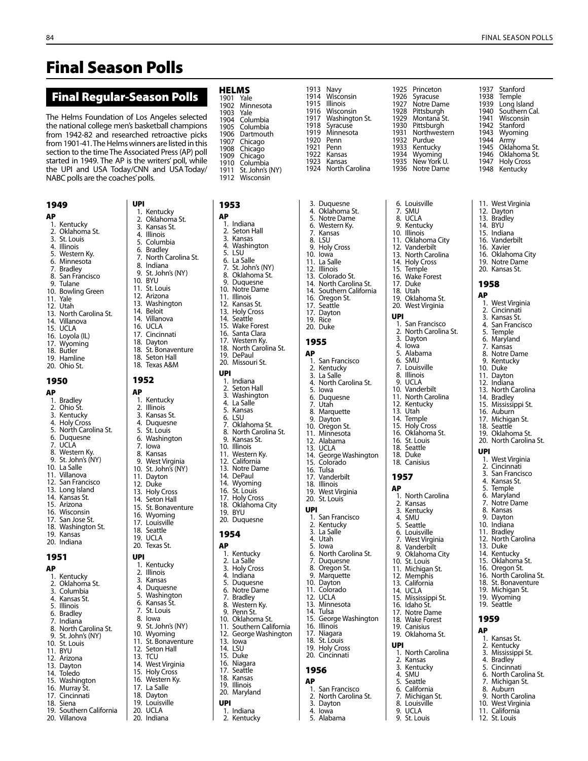# Final Season Polls

## Final Regular-Season Polls

The Helms Foundation of Los Angeles selected the national college men's basketball champions from 1942-82 and researched retroactive picks from 1901-41. The Helms winners are listed in this section to the time The Associated Press (AP) poll started in 1949. The AP is the writers' poll, while the UPI and USA Today/CNN and USAToday/ NABC polls are the coaches' polls.

### 1949 AP

- 1. Kentucky
- 2. Oklahoma St.
- 3. St. Louis 4. Illinois
- 5. Western Ky.<br>6. Minnesota
- 6. Minnesota<br>7. Bradley
- 7. Bradley San Francisco
- 9. Tulane
- 10. Bowling Green
- 11. Yale
- 12. Utah
- 13. North Carolina St. 14. Villanova
- 15. UCLA
- 16. Loyola (IL)
- 17. Wyoming
- 18. Butler
- 19. Hamline 20. Ohio St.
- 

## 1950

AP 1. Bradley 2. Ohio St. Kentucky 4. Holy Cross 5. North Carolina St. 6. Duquesne 7. UCLA 8. Western Ky. 9. St. John's (NY) 10. La Salle 11. Villanova 12. San Francisco 13. Long Island 14. Kansas St. 15. Arizona 16. Wisconsin 17. San Jose St. 18. Washington St. 19. Kansas 20. Indiana 1951 AP 1. Kentucky 2. Oklahoma St.<br>3. Columbia **Columbia** 4. Kansas St. 5. Illinois 6. Bradley 7. Indiana 8. North Carolina St. 9. St. John's (NY) 10. St. Louis

- 
- 11. BYU
- 12. Arizona
- 13. Dayton
- 14. Toledo
- 15. Washington
- 16. Murray St.
- 17. Cincinnati<br>18. Siena
- Siena
- 19. Southern California
- 20. Villanova

UPI 1. Kentucky<br>2. Oklahoma 2. Oklahoma St.<br>3. Kansas St. Kansas St. 4. Illinois 5. Columbia 6. Bradley 7. North Carolina St. 8. Indiana 9. St. John's (NY) 10. BYU 11. St. Louis 12. Arizona 13. Washington 14. Beloit 14. Villanova 16. UCLA<br>17. Cincin Cincinnati 18. Dayton 18. St. Bonaventure 18. Seton Hall 18. Texas A&M 1952 AP 1. Kentucky 2. Illinois

- 3. Kansas St. 4. Duquesne<br>5. St. Louis
- St. Louis 6. Washington
- 7. Iowa
- 8. Kansas<br>9. West Vi
- West Virginia 10. St. John's (NY)
- 11. Dayton
- 12. Duke
- 13. Holy Cross
- 14. Seton Hall<br>15. St. Bonaver 15. St. Bonaventure
- **Wyoming**
- 17. Louisville 18. Seattle
- 19. UCLA
- 20. Texas St.

- UPI 1. Kentucky 2. Illinois<br>3. Kansas 3. Kansas 4. Duquesne 5. Washington 6. Kansas St. 7. St. Louis 8. Iowa 9. St. John's (NY) 10. Wyoming 11. St. Bonaventure<br>12. Seton Hall Seton Hall 13. TCU 14. West Virginia 15. Holy Cross 16. Western Ky. 17. La Salle Dayton 19. Louisville
- 20. UCLA
- 20. Indiana

# HELMS<br>1901 Yale

- 1901<br>1902 Minnesota<br>Yale 1903<br>1904 1904 Columbia<br>1905 Columbia 1905 Columbia 1906 Dartmouth<br>1907 Chicago 1907 Chicago<br>1908 Chicago 1908 Chicago<br>1909 Chicago 1909 Chicago<br>1910 Columbi
- 1910 Columbia<br>1911 St. John's (
- Wisconsin

AP

- 1953 1. Indiana<br>2. Seton H 2. Seton Hall<br>3. Kansas 3. Kansas<br>4. Washin 4. Washington 5. LSU 6. La Salle 6. La Salle<br>7. St. John's (NY)<br>8. Oklahoma St. 8. Oklahoma St.<br>8. Oklahoma St.<br>9. Duquesne 9. Duquesne<br>10. Notre Dam Notre Dame 11. Illinois 12. Kansas St.<br>13. Holy Cross 13. Holy Cross<br>14. Seattle 14. Seattle 15. Wake Forest 16. Santa Clara<br>17. Western Kv. Western Ky. 18. North Carolina St. 19. DePaul 20. Missouri St. - . .<br>1. Indiana<br>2. Seton H 2. Seton Hall<br>3. Washingto 3. Washington 4. La Salle 5. Kansas<br>6. LSU<br>7. Oklahoi 6. LSU 7. Oklahoma St. 8. North Carolina St.<br>9. Kansas St. 9. Kansas St. 11. Western Ky.<br>12. California California 13. Notre Dame 14. Wyoming 16. St. Louis 20. Duquesne 1. Kentucky<br>2. La Salle 2. La Salle<br>3. Holy Cro 3. Holy Cross 4. Indiana 5. Duquesne<br>6. Notre Dam 6. Notre Dame 7. Bradley 8. Western Ky.<br>9. Penn St. 9. Penn St.<br>10. Oklahom 10. Oklahoma St.<br>11. Southern Calif 11. Southern California<br>12. George Washington George Washington 13. Iowa 14. LSU 15. Duke<br>16. Niaga 16. Niagara<br>17. Seattle 17. Seattle<br>18. Kansas
- 18. Kansas<br>19. Illinois **Illinois**
- 20. Maryland
- UPI
- 1. Indiana 2. Kentucky

10. Iowa 11. La Salle 12. Illinois 13. Colorado St. 14. North Carolina St. 14 Southern California 16. Oregon St. 17. Seattle 17. Dayton 19. Rice 20. Duke 1955 AP 1. San Francisco 2. Kentucky 3. La Salle 4. North Carolina St. 5. Iowa 6. Duquesne 7. Utah 8. Marquette 9. Dayton<br>10. Oregon Oregon St. 11. Minnesota 12. Alabama 13. UCLA 14. George Washington 15. Colorado<br>16. Tulsa 16. Tulsa<br>17. Vand 17. Vanderbilt<br>18. Illinois 18. Illinois<br>19. West Vi **West Virginia** 20. St. Louis UPI 1. San Francisco 2. Kentucky 3. La Salle 4. Utah 5. Iowa 6. North Carolina St.<br>7. Duquesne 7. Duquesne Oregon St. 9. Marquette 10. Dayton 11. Colorado 12. UCLA 13. Minnesota 14. Tulsa 15. George Washington 16. Illinois 17. Niagara 18. St. Louis 19. Holy Cross 20. Cincinnati 1956 AP 1. San Francisco **North Carolina St.** 2. North C<br>3. Dayton

4. Iowa<br>5. Alaba 5. Alabama

8. UCLA<br>9. Kentu 9. Kentucky 10. Illinois 11. Oklahoma City<br>12. Vanderbilt Vanderbilt 12. Vanacibile<br>13. North Carolina 14. Holy Cross<br>15. Temple Temple 16. Wake Forest 17. Duke 18. Utah 19. Oklahoma St. 20. West Virginia UPI 1. San Francisco<br>2. North Carolina North Carolina St. 3. Dayton 4. Iowa 5. Alabama 6. SMU<br>7. Louis 7. Louisville 8. Illinois<br>9. LICLA 9. UCLA<br>10. Vande **Vanderbilt** 11. North Carolina 12. Kentucky 13. Utah<br>14. Temp Temple 15. Holy Cross 16. Oklahoma St. 16. St. Louis 18. Seattle 18. Duke 18. Canisius 1957 AP 1. North Carolina 2. Kansas 3. Kentucky<br>4. SMU 4. SMU<br>5. Seatt 5. Seattle<br>6. Louisvi 6. Louisville 7. West Virginia 8. Vanderbilt 9. Oklahoma City 10. St. Louis 11. Michigan St. 12. Memphis<br>13. California California 14. UCLA 15. Mississippi St. 16. Idaho St. 17. Notre Dame 18. Wake Forest 19. Canisius 19. Oklahoma St. UPI 1. North Carolina 2. Kansas<br>3. Kentuck 3. Kentucky 4. SMU<br>5. Seattl 5. Seattle<br>6. Califorr California Michigan St. 7. Michigan<br>8. Louisville<br>9. UCLA

9. UCLA 9. St. Louis 1937 Stanford<br>1938 Temple 1938 Temple<br>1939 Long Isl 1939 Long Island<br>1940 Southern Ca 1940 Southern Cal.<br>1941 Wisconsin 1941 Wisconsin<br>1942 Stanford 1942 Stanford<br>1943 Wyoming 1943 Wyoming<br>1944 Army 1944 Army 1945 Oklahoma St. 1946 Oklahoma St.<br>1947 Holy Cross 1947 Holy Cross<br>1948 Kentucky Kentucky

- 11. West Virginia 12. Dayton 13. Bradley 14. BYU 15. Indiana 16. Vanderbilt 16. Xavier 16. Oklahoma City 19. Notre Dame 20. Kansas St. 1958 AP 1. West Virginia<br>2. Cincinnati Cincinnati 3. Kansas St.<br>4. San Franci 4. San Francisco **Temple** 6. Maryland 7. Kansas 8. Notre Dame 9. Kentucky 10. Duke 11. Dayton
- 12. Indiana 13. North Carolina 14. Bradley 15. Mississippi St. 16. Auburn 17. Michigan St.<br>18. Seattle 18. Seattle<br>19. Oklahoi Oklahoma St. 20. North Carolina St. UPI 1. West Virginia 2. Cincinnati<br>3. San Franci San Francisco 4. Kansas St. 5. Temple 6. Maryland Notre Dame 8. Kansas 9. Dayton 10. Indiana 11. Bradley 12. North Carolina 13. Duke 14. Kentucky 15. Oklahoma St.<br>16. Oregon St. Oregon St. 16. North Carolina St. 18. St. Bonaventure 19. Michigan St. 19. Wyoming 19. Seattle 1959 AP 1. Kansas St.

### 2. Kentucky 3. Mississippi St. 4. Bradley 5. Cincinnati 6. North Carolina St. 7. Michigan St. 8. Auburn 9. North Carolina 10. West Virginia 11. California

12. St. Louis

- 
- 1911 St. John's (NY)<br>1912 Wisconsin

1913 Navy 1914 Wisconsin 1915 Illinois<br>1916 Wiscon 1916 Wisconsin<br>1917 Washingto 1917 Washington St.<br>1918 Syracuse 1918 Syracuse<br>1919 Minnesot 1919 Minnesota 1920 Penn 1921 Penn 1922 Kansas<br>1923 Kansas 1923 Kansas<br>1924 North C North Carolina

3. Duquesne 4. Oklahoma St.

5. Notre Dame Western Ky. 7. Kansas

6. Louisville 7. SMU

1925 Princeton<br>1926 Syracuse 1926 Syracuse<br>1927 Notre Day 1927 Notre Dame<br>1928 Pittsburgh 1928 Pittsburgh<br>1929 Montana S 1929 Montana St.<br>1930 Pittsburgh 1930 Pittsburgh<br>1931 Northweste 1931 Northwestern<br>1932 Purdue 1932 Purdue<br>1933 Kentuck 1933 Kentucky<br>1934 Wyoming 1934 Wyoming<br>1935 New York 1935 New York U.<br>1936 Notre Dame Notre Dame

8. LSU 9. Holy Cross

- 
- 
- 
- 

UPI

- 
- 
- 
- 
- 10. Illinois<br>11. Wester
- 
- 
- **DePaul**
- 
- 17. Holy Cross
- 18. Oklahoma City
- 19. BYU

### 1954

- 
- $AP$ <sub>1</sub>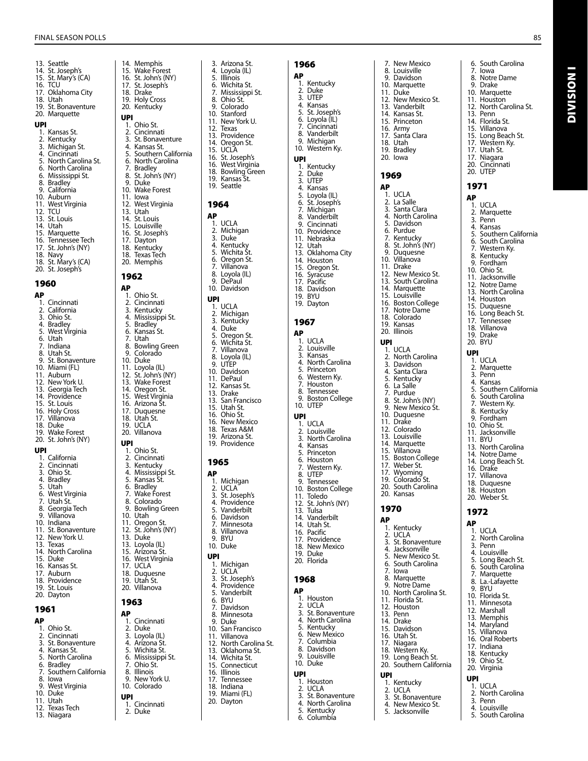13. Seattle 14. St. Joseph's 15. St. Mary's (CA) 16. TCU 17. Oklahoma City 18. Utah 19. St. Bonaventure 20. Marquette UPI<br>1. Kansas St. 2. Kentucky 3. Michigan St. 4. Cincinnati<br>5. North Card 5. North Carolina St.<br>6. North Carolina 6. North Carolina<br>6. Mississippi St. 6. Mississippi St.<br>6. Mississippi St.<br>8. Bradley 8. Bradley<br>9. Californi California 10. Auburn 11. West Virginia<br>12. TCU TCU. 13. St. Louis 14. Utah 15. Marquette<br>16. Tennessee 16. Tennessee Tech<br>17. St. John's (NY) St. John's (NY) 18. Navy 18. St. Mary's (CA) 20. St. Joseph's 1960 AP 1. Cincinnati 2. California 2. Camon...<br>3. Ohio St.<br>4. Bradley 4. Bradley<br>5. West Vir 5. West Virginia 6. Utah<br>7. India 7. Indiana 8. Utah St.<br>9. St. Bona St. Bonaventure 10. Miami (FL) 11. Auburn 12. New York U. 13. Georgia Tech 14. Providence 15. St. Louis 16. Holy Cross<br>17. Villanova Villanova 18. Duke 19. Wake Forest 20. St. John's (NY) UPI 1. California 2. Cincinnati<br>3. Ohio St. 3. Ohio St. 4. Bradley<br>5. Utah 5. Utah 6. West Virginia 7. Utah St. en Starrou.<br>8. Georgia Tech<br>9. Villanova Villanova 10. Indiana<br>11. St. Bona St. Bonaventure 12. New York U. 13. Texas 14. North Carolina 15. Duke<br>16. Kansa Kansas St. 17. Auburn 18. Providence 19. St. Louis 20. Dayton 1961 AP

1. Ohio St. 2. Cincinnati<br>3. St Bonave 3. St. Bonaventure<br>4. Kansas St. 4. Kansas St. 5. North Carolina<br>6. Bradley 6. Bradley<br>7. Souther Southern California 8. Iowa 9. West Virginia 10. Duke 11. Utah<br>12. Texa **Texas Tech** 

13. Niagara

14. Memphis<br>15. Wake Fore 15. Wake Forest<br>16. St. John's (N' 16. St. John's (NY)<br>17. St. Joseph's St. Joseph's 18. Drake<br>19. Holy C Holy Cross 20. Kentucky UPI 1. Ohio St.<br>2. Cincinna 2. Cincinnati<br>3. St. Bonave 3. St. Bonaventure 4. Kansas St. 5. Southern California 6. North Carolina<br>7. Bradley 7. Bradley 8. St. John's (NY) 9. Duke<br>10. Wake **Wake Forest** 11. Iowa 12. West Virginia 13. Utah<br>14. St. Lo 14. St. Louis<br>15. Louisville 15. Louisville<br>16. St. Joseph St. Joseph's 17. Dayton 18. Kentucky 18. Texas Tech 20. Memphis 1962 AP 1. Ohio St. 2. Cincinnati<br>3. Kentucky 3. Kentucky<br>4. Mississipp 3. Refreely<br>4. Mississippi St.<br>5. Bradley 5. Bradley 6. Kansas St. 6. Kansa<br>7. Utah<br>8. Bowli 8. Bowling Green 9. Colorado 10. Duke<br>11. Loyol 11. Loyola (IL)<br>12. St. John's ( St. John's (NY) 13. Wake Forest<br>14. Oregon St. Oregon St. 15. West Virginia 16. Arizona Št.<br>17. Duquesne 17. Duquesne<br>18. Utah St. 18. Utah St.<br>19. UCI A **UCLA** 20. Villanova UPI 1. Ohio St.<br>2. Cincinna 2. Cincinnati<br>3. Kentucky 3. Kentucky<br>4. Mississipp 4. Mississippi St.<br>5. Kansas St. 5. Kansas St. 6. Bradley 7. Wake Forest 7. Wake Fore<br>8. Colorado<br>9. Bowling C 9. Bowling Green 10. Utah<br>11. Orego 11. Oregon St.<br>12. St. John's (I 12. St. John's (NY)<br>13. Duke Duke 13. Loyola (IL) 15. Arizona St. West Virginia 17. UCLA 18. Duquesne 19. Utah St. Villanova 1963 AP 1. Cincinnati 2. Duke<br>3. Lovola 3. Loyola (IL)<br>4. Arizona St.<br>5. Wichita St. 4. Arizona St. 5. Wichita St.<br>6. Mississippi 6. Mississippi St. 7. Ohio St. **Illinois** 

9. New York U. 10. Colorado

# UPI<br>1.

- 1. Cincinnati
- 2. Duke

3. Arizona St.<br>4. Loyola (IL) 4. Loyola (IL)<br>5. Illinois 5. Illinois<br>6. Wichita Wichita St. 7. Mississippi St. 8. Ohio St.<br>9. Colorado 9. Colorado<br>10. Stanford 10. Stanford<br>11. New York 11. New York U.<br>12. Texas **Texas** 13. Providence 14. Oregon St. 15. UCLA 16. St. Joseph's<br>16. West Virgin West Virginia 18. Bowling Green 19. Kansas St. 19. Seattle 1964 AP 1. UCLA<br>2. Michio 2. Michigan 3. Duke 4. Kentucky 5. Wichita St. 6. Oregon St. 6. Oregon St.<br>7. Villanova<br>8. Loyola (IL) 8. Loyola (IL)<br>9. DePaul DePaul 10. Davidson UPI 1. UCLA 2. Michigan<br>3. Kentucky Kentucky 3. Kenta<br>4. Duke<br>5. Oreao 5. Oregon St. 6. Wichita St. Villanova 8. Loyola (IL) 9. UTEP 10. Davidson 11. DePaul<br>12. Kansas 12. Kansas St.<br>13. Drake 13. Drake<br>13. San Fra San Francisco 15. Utah St. 16. Ohio St. 16. New Mexico 18. Texas A&M 19. Arizona St. 19. Providence 1965 AP 1. Michigan 2. UCLA 3. St. Joseph's 4. Providence<br>5. Vanderbilt 5. Vanderbilt 6. Davidson<br>7. Minnesota 7. Minnesota 8. Villanova 9. BYU 10. Duke UPI **1.** Michigan<br>2. UCLA 2. UCLA<sup>2</sup><br>3. St. Jos 3. St. Joseph's Providence 5. Vanderbilt 6. BYU 7. Davidson 8. Minnesota<br>9. Duke 9. Duke<br>10. San F San Francisco 11. Villanova 12. North Carolina St. 13. Oklahoma St.<br>14 Wichita St. 14. Wichita St.<br>15. Connecticu Connecticut 16. Illinois<br>17 Tennes **Tennessee** 18. Indiana 19. Miami (FL)

20. Dayton

1966 AP 1. Kentucky 2. Duke 3. UTEP 4. Kansas 5. St. Joseph's<br>6. Loyola (IL) 6. Loyola (IL) 7. Cincinnati 8. Vanderbilt 9. Michigan 10. Western Ky. UPI 1. Kentucky 2. Duke 3. UTEP 4. Kansas<br>5. Loyola 5. Loyola (IL)<br>6. St. Joseph St. Joseph's 7. Michigan<br>8. Vanderbil Vanderbilt 9. Cincinnati 10. Providence 11. Nebraska 12. Utah 13. Oklahoma City 14. Houston 15. Oregon St. 16. Syracuse 17. Pacific 18. Davidson 19. BYU 19. Dayton 1967 AP 1. UCLA 2. Louisville 3. Kansas 4. North Carolina 5. Princeton 6. Western Ky. 7. Houston 8. Tennessee 9. Boston College 10. UTEP UPI 1. UCLA 2. Louisville<br>3. North Car North Carolina 4. Kansas 5. Princeton 6. Houston 7. Western Ky. 8. UTEP<br>9. Tenne **Tennessee** 10. Boston College 11. Toledo 12. St. John's (NY) 13. Tulsa 14. Vanderbilt 14. Utah St. 16. Pacific 17. Providence 18. New Mexico 19. Duke 20. Florida 1968 AP 1. Houston 2. UCLA<br>3 St Rot St. Bonaventure 4. North Carolina 5. Kentucky 6. New Mexico 7. Columbia 8. Davidson<br>9. Louisville 9. Louisville 10. Duke UPI 1. Houston 2. UCLA 3. St. Bonaventure 4. North Carolina 5. Kentucky 6. Columbia

7. New Mexico Louisville 9. Davidson 10. Marquette 11. Duke 12. New Mexico St. 13. Vanderbilt 14. Kansas St. 15. Princeton 16. Army 17. Santa Clara 18. Utah 19. Bradley 20. Iowa 1969 AP 1. UCLA 2. La Salle 3. Santa Clara 4. North Carolina 5. Davidson 6. Purdue 7. Kentucky 8. St. John's (NY) 9. Duquesne 10. Villanova 11. Drake 11. Diane<br>12. New Mexico St.<br>13. South Carolina South Carolina 14. Marquette 15. Louisville 16. Boston College 17. Notre Dame 18. Colorado 19. Kansas 20. Illinois UPI 1. UCLA 2. North Carolina 3. Davidson 4. Santa Clara 5. Kentucky 6. La Salle 7. Purdue St. John's (NY) 9. New Mexico St. 10. Duquesne 11. Drake 12. Colorado 13. Louisville 14. Marquette 15. Villanova 15. Boston College 17. Weber St. 17. Wyoming 19. Colorado St. 20. South Carolina 20. Kansas 1970 AP 1. Kentucky 2. UCLA 3. St. Bonaventure 4. Jacksonville 5. New Mexico St. 6. South Carolina 7. Iowa **Marquette** 9. Notre Dame 10. North Carolina St. 11. Florida St. 12. Houston 13. Penn 14. Drake<br>15. David Davidson 16. Utah St. 17. Niagara 18. Western Ky. 19. Long Beach St. 20. Southern California UPI 1. Kentucky<br>2. UCI A 2. UCLA<br>3. St. Bor St. Bonaventure

7. Iowa Notre Dame 9. Drake 10. Marquette 11. Houston 12. North Carolina St. 13. Penn 14. Florida St. 15. Villanova 15. Long Beach St. 17. Western Ky. 17. Utah St. 17. Niagara 20. Cincinnati 20. UTEP 1971 AP 1. UCLA 2. Marquette 3. Penn 4. Kansas 5. Southern California<br>6. South Carolina South Carolina Western Ky. 8. Kentucky 9. Fordham 10. Ohio St. 11. Jacksonville 11. Succomme<br>12. Notre Dame<br>13. North Carolin North Carolina 14. Houston 15. Duquesne 16. Long Beach St. 17. Tennessee 18. Villanova 19. Drake 20. BYU UPI 1. UCLA 2. Marquette<br>3. Penn Penn 4. Kansas<br>5. Southe 5. Southern California 6. South Carolina<br>7. Western Kv. Western Kv. 8. Kentucky<br>9. Fordham Fordham 10. Ohio St. 11. Jacksonville 11. BYU 13. North Carolina 14. Notre Dame 14. Long Beach St. 16. Drake 17. Villanova 18. Duquesne 18. Houston 20. Weber St. 1972 AP 1. UCLA 2. North Carolina<br>3. Penn 3. Penn 4. Louisville 5. Long Beach St. 6. South Carolina

- 7. Marquette
- 8. La.-Lafayette 9. BYU
- 10. Florida St.
- 11. Minnesota
- 12. Marshall
- 13. Memphis
- 14. Maryland
- 15. Villanova
- 16. Oral Roberts
- 17. Indiana
- 18. Kentucky
- 
- 19. Ohio St. 20. Virginia

## UPI

4. New Mexico St. 5. Jacksonville

- 1. UCLA
- 2. North Carolina
- 3. Penn 4. Louisville
- 5. South Carolina

6. South Carolina

Division I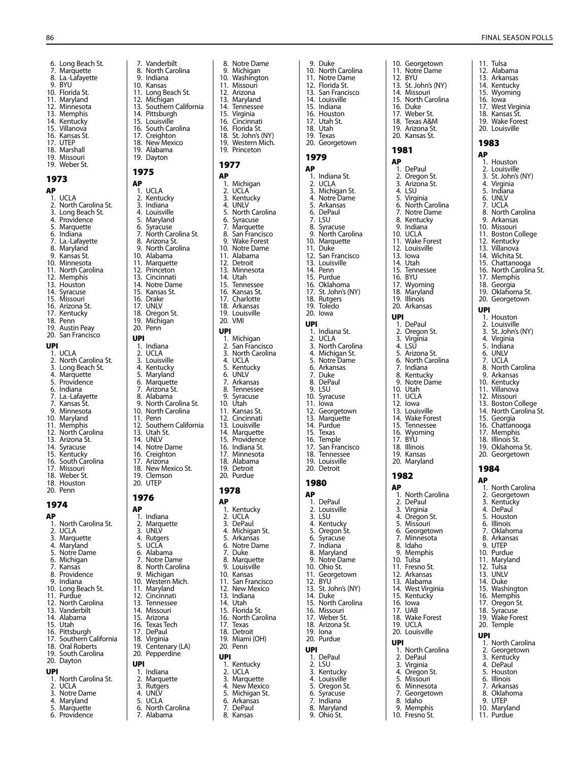6. Long Beach St. 7. Marquette 8. La.-Lafayette 9. BYU 10. Florida St. 11. Maryland 12. Minnesota 13. Memphis 14. Kentucky 15. Villanova 16. Kansas St. 17. UTEP 18. Marshall 19. Missouri 19. Weber St. 1973 AP 1. UCLA<br>2. North 2. North Carolina St.<br>3. Long Beach St. Long Beach St. 4. Providence 5. Marquette 6. Indiana 7. La.-Lafayette<br>8. Maryland Maryland 9. Kansas St. 10. Minnesota 18. Minnessea<br>11. North Carolina 12. Memphis 13. Houston<br>14. Syracuse Syracuse 15. Missouri 16. Arizona St. 17. Kentucky 18. Penn 19. Austin Peay 20. San Francisco UPI 1. UCLA<br>2. North 2. North Carolina St.<br>3. Long Beach St. 3. Long Beach St. **Marquette** 5. Providence 6. Indiana 7. La.-Lafayette 7. Kansas St. 9. Minnesota 10. Maryland 11. Memphis

- 12. North Carolina
- 13. Arizona St. 14. Syracuse
- 
- 15. Kentucky<br>16. South Car South Carolina
- 17. Missouri
- 18. Weber St.
- 18. Houston
- 20. Penn

### 1974

### AP

- 1. North Carolina St. 2. UCLA<br>3. Marqu 2. OCEA<br>3. Marquette<br>4. Maryland
- Maryland
- 5. Notre Dame
- 6. Michigan 7. Kansas
- 8. Providence
- 9. Indiana
- 10. Long Beach St.
- 11. Purdue 12. North Carolina
- 13. Vanderbilt
- 14. Alabama
- 15. Utah
- 16. Pittsburgh 17. Southern California
- 18. Oral Roberts
- 19. South Carolina
- 20. Dayton

## UPI

- 1. North Carolina St.
- 2. UCLA<br>3. Notre 3. Notre Dame
- 
- 4. Maryland<br>5. Marquette **Marquette**
- 6. Providence
- 7. Vanderbilt 8. North Carolina 9. Indiana 10. Kansas 11. Long Beach St. 12. Michigan 12. Michigan<br>13. Southern California 14. Pittsburgh 15. Louisville 16. South Carolina 17. Creighton 18. New Mexico 19. Alabama 19. Dayton 1975 AP 1. UCLA<br>2. Kentu **Kentucky** 3. Indiana<br>4. Louisvill 4. Louisville<br>5. Maryland 5. Maryland<br>6. Syracuse<br>7. North Car **Syracuse** o.<br>7. North Carolina St.<br>8. Arizona St. 8. Arizona St.<br>9. North Caro North Carolina 10. Alabama 11. Marquette 12. Princeton 13. Cincinnati<br>14. Notre Dan 14. Notre Dame<br>15. Kansas St. Kansas St. 16. Drake 17. UNLV 18. Oregon St. 19. Michigan 20. Penn UPI 1. Indiana 2. UCLA
- 3. Louisville<br>4. Kentucky 4. Kentucky<br>5. Maryland 5. Maryland<br>6. Marquette 6. Marquette<br>7. Arizona St. 7. Arizona St. 8. Alabama<br>9. North Car 9. North Carolina St.<br>10. North Carolina 10. North Carolina<br>11. Penn 11. Penn<br>12. South Southern California 13. Utah St. 14. UNLV 14. Notre Dame<br>16. Creighton 16. Creighton<br>17. Arizona Arizona 18. New Mexico St. 19. Clemson 20. UTEP 1976

# AP

- 1. Indiana 2. Marquette 3. UNLV 4. Rutgers<br>5. UCLA
- 5. UCLA<br>6. Alabar
- 6. Alabama<br>7. Notre Da<br>8. North Ca Notre Dame
- 8. North Carolina<br>9. Michigan
- Michigan
- 10. Western Mich.
- 11. Maryland
- 12. Cincinnati
- **Tennessee** 14. Missouri
	-
- 15. Arizona<br>16. Texas Te 16. Texas Tech<br>17. DePaul
- DePaul
- 18. Virginia<br>19. Centena
- Centenary (LA) 20. Pepperdine

### UPI

- 1. Indiana<br>2. Marque
- 
- 2. Marquette<br>3. Rutgers<br>4. UNLV<br>5. UCLA 3. Rutgers 4. UNLV
- 5. UCLA<br>6. North
	- 6. North Carolina<br>7. Alabama
	- 7. Alabama

8. Notre Dame<br>9. Michigan Michigan 10. Washington 11. Missouri 12. Arizona 13. Maryland 14. Tennessee<br>15. Virginia 15. Virginia<br>16. Cincinna Cincinnati 16. Florida St. 18. St. John's (NY) 19. Western Mich. 19. Princeton

9. Duke 10. North Carolina 11. Notre Dame 12. Florida St. 13. San Francisco 14. Louisville 15. Indiana 16. Houston 17. Utah St. 18. Utah 19. Texas 20. Georgetown

10. Georgetown 11. Notre Dame 12. BYU 13. St. John's (NY) 14. Missouri 15. North Carolina 16. Duke 17. Weber St. 18. Texas A&M 19. Arizona St. 20. Kansas St. 1981 AP 1. DePaul 2. Oregon St. 3. Arizona St. 4. LSU<br>5. Virgi 5. Virginia<br>6. North C North Carolina 7. Notre Dame Kentucky 9. Indiana 10. UCLA 11. Wake Forest<br>12. Louisville Louisville 13. Iowa 14. Utah 15. Tennessee 16. BYU 17. Wyoming 18. Maryland 19. Illinois 20. Arkansas UPI 1. DePaul 2. Oregon St. 3. Virginia 4. LSU 5. Arizona St. 6. North Carolina<br>7. Indiana 7. Indiana **Kentucky** 9. Notre Dame 10. Utah 11. UCLA 12. Iowa 13. Louisville 14. Wake Forest 15. Tennessee 16. Wyoming 17. BYU 18. Illinois 19. Kansas 20. Maryland 1982 AP

1. North Carolina<br>2. DePaul 2. DePaul Virginia 4. Oregon St. 5. Missouri 6. Georgetown<br>7. Minnesota 7. Minnesota 8. Idaho 9. Memphis 10. Tulsa 11. Fresno St. 12. Arkansas 13. Alabama 14. West Virginia 15. Kentucky 16. Iowa 17. UAB 18. Wake Forest 19. UCLA 20. Louisville UPI

1. North Carolina 2. DePaul<br>3. Virginia 3. Virginia 4. Oregon St. 5. Missouri<br>6. Minnesot<br>7. Georgeto **Minnesota Georgetown** 8. Idaho 9. Memphis 10. Fresno St.

1979 AP

1. Indiana St. 2. UCLA 3. Michigan St. 4. Notre Dame 5. Arkansas 6. DePaul 7. LSU 8. Syracuse 9. North Carolina 10. Marquette 11. Duke 12. San Francisco 13. Louisville 14. Penn 15. Purdue 16. Oklahoma 17. St. John's (NY) 18. Rutgers 19. Toledo 20. Iowa UPI

1. Indiana St. 2. UCLA 3. North Carolina 4. Michigan St. 5. Notre Dame 6. Arkansas 7. Duke 8. DePaul  $9.1$  SU 10. Syracuse 11. Iowa 12. Georgetown 13. Marquette 14. Purdue 15. Texas 16. Temple 17. San Francisco 18. Tennessee 19. Louisville 20. Detroit 1980 AP 1. DePaul 2. Louisville 3. LSU 4. Kentucky 5. Oregon St. 6. Syracuse 7. Indiana 8. Maryland 9. Notre Dame 10. Ohio St. 11. Georgetown 12. BYU 13. St. John's (NY) 14. Duke 15. North Carolina 16. Missouri 17. Weber St. 18. Arizona St. 19. Iona 20. Purdue UPI 1. DePaul 2. LSU 3. Kentucky 4. Louisville<br>5. Oregon S Oregon St. 6. Syracuse 7. Indiana<br>8. Marylan 8. Maryland<br>9. Ohio St. Ohio St.

Final Season Polls

11. Tulsa 12. Alabama 13. Arkansas 14. Kentucky 15. Wyoming 16. Iowa 17. West Virginia 18. Kansas St. 19. Wake Forest 20. Louisville 1983 AP 1. Houston 2. Louisville 3. St. John's (NY) 4. Virginia 5. Indiana 6. UNLV 7. UCLA 8. North Carolina 9. Arkansas 10. Missouri 13. missoan.<br>11. Boston College 12. Kentucky 13. Villanova 14. Wichita St. 15. Chattanooga 16. North Carolina St. 17. Memphis 18. Georgia 19. Oklahoma St. 20. Georgetown

UPI 1. Houston 2. Louisville<br>3. St. John's St. John's (NY) 4. Virginia 5. Indiana 6. UNLV 7. UCLA 8. North Carolina 9. Arkansas 10. Kentucky 11. Villanova 12. Missouri 13. Boston College 14. North Carolina St. 15. Georgia 16. Chattanooga 17. Memphis 18. Illinois St. 19. Oklahoma St. 20. Georgetown

1984 AP

1. North Carolina 2. Georgetown 3. Kentucky 4. DePaul 5. Houston 6. Illinois 7. Oklahoma 8. Arkansas 9. UTEP 10. Purdue 11. Maryland 12. Tulsa 13. UNLV 14. Duke 15. Washington 16. Memphis 17. Oregon St. 18. Syracuse 19. Wake Forest 20. Temple UPI

1. North Carolina 2. Georgetown 3. Kentucky 4. DePaul 5. Houston 6. Illinois<br>7. Arkans<br>8. Oklaho **Arkansas Oklahoma** 9. UTEP 10. Maryland 11. Purdue

### 1977 AP

1. Michigan 2. UCLA 3. Kentucky<br>4. UNLV 4. UNLV<br>5. North 5. North Carolina<br>6. Syracuse<br>7. Marquette 6. Syracuse 7. Marquette

- 8. San Francisco
- Wake Forest
- 10. Notre Dame 11. Alabama
- 12. Detroit
- 13. Minnesota
- 14. Utah<br>15. Tenne
- 15. Tennessee<br>16. Kansas St. Kansas St.
- 17. Charlotte
- 18. Arkansas
- 19. Louisville 20. VMI

## UPI

1. Michigan<br>2. San Franc 2. San Francisco<br>3. North Carolina 3. North Carolina<br>4. UCLA 4. UCLA<br>5. Kentu 5. Kentucky 6. UNLV<br>7. Arkans 7. Arkansas 8. Tennessee<br>9. Syracuse **Syracuse** 10. Utah<br>11. Kansa 11. Kansas St.<br>12. Cincinnati 12. Cincinnati<br>13. Louisville Louisville 14. Marquette 15. Providence 16. Indiana St. 17. Minnesota 18. Alabama 19. Detroit

20. Purdue

## 1978

- AP
- 1. Kentucky
- 2. UCLA 3. DePaul
- 
- 4. Michigan St.<br>5. Arkansas 5. Arkansas<br>5. Arkansas<br>6. Notre Dai
- 6. Notre Dame<br>7. Duke
- 7. Duke<br>8. Marcu 8. Marquette
- 9. Louisville
- 10. Kansas<br>11. San Fra
- 11. San Francisco<br>12. New Mexico New Mexico
- 13. Indiana
- 14. Utah
- 15. Florida St.
- 16. North Carolina
- 17. Texas
- 18. Detroit
- 19. Miami (OH) 20. Penn

- UPI
- 1. Kentucky<br>2. UCLA 2. UCLA<br>3. Marqu
- 3. Marquette
- 4. New Mexico 5. Michigan St.
- 
- 6. Arkansas DePaul
- 8. Kansas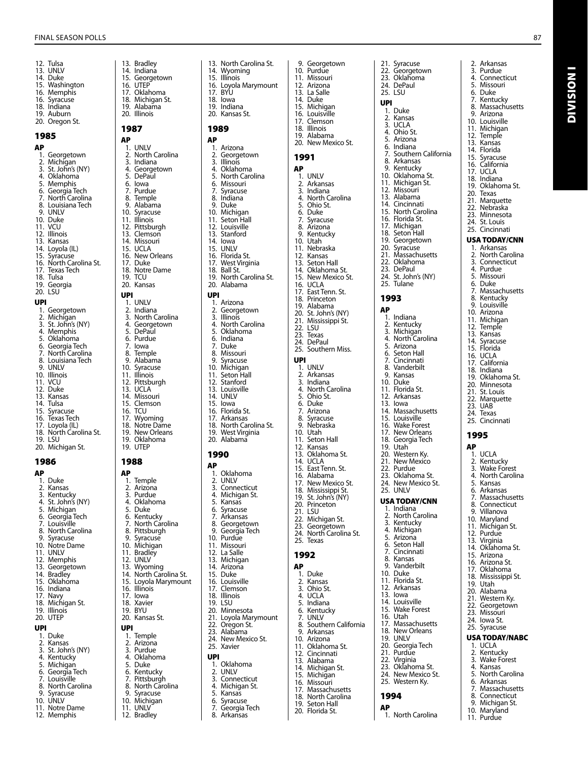13. Bradley 14. Indiana<br>15. Georget **Georgetown** 16. UTEP

 $AP$ <sub>1.</sub>

UPI

 $AP$ <sub>1.</sub>

UPI

Arkansas

12. Tulsa 13. UNLV 14. Duke 15. Washington 16. Memphis 16. Syracuse 18. Indiana 19. Auburn 20. Oregon St. 1985  $AP$ <sub>1.</sub> -<br>1. Georgetown<br>2. Michigan 2. Michigan 3. St. John's (NY) 4. Oklahoma 5. Memphis<br>6. Georgia Te 6. Georgia Tech 7. North Carolina<br>8. Louisiana Tech Louisiana Tech 9. UNLV 10. Duke<br>11 VCU vc<sub>u</sub> 12. Illinois<br>13. Kansas 13. Kansas<br>14. Lovola 14. Loyola (IL)<br>15. Syracuse 15. Syracuse<br>16. North Car 16. North Carolina St. 17. Texas Tech<br>18. Tulsa **Tulsa** 19. Georgia 20. LSU UPI 1. Georgetown<br>2. Michigan 2. Michigan<br>3. St. John's 3. St. John's (NY) 4. Memphis<br>5. Oklahoma 5. Oklahoma Georgia Tech 2. North Carolina<br>8. Louisiana Tech 8. Louisiana Tech UNLV 10. Illinois 11. VCU 12. Duke 13. Kansas<br>14. Tulsa 14. Tulsa<br>15. Syracı 15. Syracuse<br>16. Texas Tec Texas Tech 17. Loyola (IL) 18. North Carolina St. 19. LSU 20. Michigan St. 1986 AP **..**<br>1. Duke<br>2. Kansa 2. Kansas<br>3. Kentucl 3. Kentucky<br>4. St. John's 3. Refiliacky<br>4. St. John's (NY)<br>5. Michigan 5. Michigan 6. Georgia Tech 7. Louisville 8. North Carolina<br>9. Syracuse 9. Syracuse<br>10. Notre Dar

Notre Dame 11. UNLV 12. Memphis<br>13. Georgeto **Georgetown** 14. Bradley<br>15. Oklahor 11. Braancy<br>15. Oklahoma<br>16. Indiana 16. Indiana 17. Navy 18. Michigan St. 19. Illinois 20. UTEP UPI 1. Duke<br>2. Kansa 2. Kansas<br>3. St. Johr 3. St. John's (NY)<br>4. Kentucky 4. Kentucky<br>5. Michigan 5. Michigan<br>6. Georgia T 6. Georgia Tech<br>7. Louisville 7. Louisville<br>8. North Car North Carolina 9. Syracuse 10. UNLV 11. Notre Dame 12. Memphis

### 10. Syracuse 11. Illinois 12. Pittsburgh 13. Clemson<br>14 Missouri Missouri 15. UCLA 16. New Orleans 17. Duke 18. Notre Dame 19. TCU 20. Kansas UPI 1. UNLV 2. Indiana<br>3. North C 2. maiana<br>3. North Carolina<br>4. Georgetown 4. Georgetown<br>5. DePaul 5. DePaul<br>6. Purdue 6. Purdue<br>7. Iowa 7. Iowa 8. Temple<br>9. Alabam 9. Alabama<br>10. Syracuse 10. Syracuse<br>11. Illinois **Illinois** 12. Pittsburgh 13. UCLA 14. Missouri 15. Clemson 16. TCU<br>17. Wvc Wyoming 18. Notre Dame 19. New Orleans 19. Oklahoma 19. UTEP 1988  $AP$ <sub>1</sub> --<br>1. Temple<br>2. Arizona 2. Arizona<br>3. Purdue 3. Purdue<br>4. Oklahoi 4. Oklahoma<br>5. Duke 5. Duke 6. Kentucky 7. North Carolina 8. Pittsburgh<br>9. Syracuse 9. Syracuse<br>10. Michigan Michigan 11. Bradley 12. UNLV 13. Wyoming 14. North Carolina St. 15. Loyola Marymount<br>16. Illinois 16. Illinois 17. Iowa 18. Xavier 19. BYU 20. Kansas St. UPI 1. Temple<br>2. Arizona 2. Arizona<br>3. Purdue 3. Purdue 4. Oklahoma 5. Duke 6. Kentucky<br>7. Pittsburgl 7. Pittsburgh<br>8. North Card 8. North Carolina **Syracuse** 10. Michigan<br>11. UNLV 11. UNLV 12. Bradley

17. Oklahoma 18. Michigan St. 19. Alabama 20. Illinois 1987  $AP$ <sub>1.</sub> n<br>1. UNLV<br>2. North 2. North Carolina<br>3. Indiana 3. Indiana 4. Georgetown<br>5 DePaul 5. DePaul<br>6. Iowa 6. Iowa<br>7. Purdu 7. Purdue<br>8. Temple 8. Temple<br>9 Alaham 9. Alabama

13. North Carolina St.<br>14. Wyoming Wyoming 15. Illinois<br>16. Lovola Loyola Marymount 17. BYU 18. Iowa 19. Indiana 20. Kansas St. 1989 -<br>1. Arizona<br>2. Georget 2. Georgetown<br>3. Illinois 3. Illinois<br>4. Oklaho 4. Oklahoma<br>5. North Card 5. North Carolina<br>6. Missouri 6. Missouri<br>7. Syracuse 7. Syracuse 8. Indiana Duke 10. Michigan<br>11 Seton Hal 11. Seton Hall 11. Setomia.<br>12. Louisville<br>13. Stanford 13. Stanford 14. Iowa<br>15. UNLV UNLV 16. Florida St. 17. West Virginia 18. Ball St. 19. North Carolina St. 20. Alabama 1. Arizona 2. Georgetown<br>3. Illinois 3. Illinois<br>4. North 4. North Carolina 5. Oklahoma 6. Indiana<br>7. Duke 7. Duke<br>8. Misso 8. Missouri<br>9. Syracuse Syracuse 10. Michigan<br>11. Seton Hal Seton Hall 12. Stanford 13. Louisville 14. UNLV 15. Iowa<br>16. Floric 16. Florida St.<br>17. Arkansas Arkansas 18. North Carolina St. 19. West Virginia 20. Alabama 1990 1. Oklahoma 2. UNLV<br>3. Conne 3. Connecticut<br>4 Michigan St 4. Michigan St.<br>5. Kansas Kansas 6. Syracuse 7. Arkansas<br>8. Georgeto 8. Georgetown<br>9. Georgia Tech 9. Georgia Tech 10. Purdue<br>11. Missour Missouri 12. La Salle 13. Michigan<br>14 Arizona Arizona 15. Duke<br>16. Louis 15. Buite<br>16. Louisville<br>17. Clemson Clemson 18. Illinois<br>19. LSU LSU 20. Minnesota 21. Loyola Marymount 22. Oregon St.<br>23. Alabama Alabama 24. New Mexico St. 25. Xavier 1. Oklahoma 2. UNLV<br>3. Conne 3. Connecticut Michigan St. 5. Kansas 6. Syracuse<br>7. Georgia 1 7. Georgia Tech 9. Georgetown 10. Purdue 11. Missouri 12. Arizona

13. La Salle<br>14. Duke Duke 15. Michigan<br>16. Louisville 16. Louisville<br>17. Clemson **Clemson** 18. Illinois 19. Alabama 20. New Mexico St. 1991 AP 1. UNLV 2. Arkansas<br>3. Indiana 3. Indiana 4. North Carolina 5. Ohio St. 6. Duke 7. Syracuse 8. Arizona 9. Kentucky 10. Utah<br>11. Nebra Nebraska 12. Kansas 13. Seton Hall 14. Oklahoma St. 15. New Mexico St. UCLA 17. East Tenn. St. 18. Princeton<br>19. Alabama 19. Alabama<br>20. St. John's St. John's (NY) 21. Mississippi St. 22. LSU 23. Texas<br>24. DePa 24. DePaul<br>25. Southe Southern Miss. UPI 1. UNLV<br>2. Arkan **Arkansas** 3. Indiana 4. North Carolina 5. Ohio St. 6. Duke<br>7. Arizon 7. Arizona<br>8. Syracus Syracuse 9. Nebraska 10. Utah 11. Seton Hall 12. Kansas<br>13. Oklaho 13. Oklahoma St.<br>14. UCLA 14. UCLA 15. East Tenn. St. 16. Alabama 17. New Mexico St. 18. Mississippi St. 19. St. John's (NY) 20. Princeton 21. LSU 22. Michigan St. 23. Georgetown 24. North Carolina St. 25. Texas 1992 AP 1. Duke<br>2. Kansa 2. Kansas<br>3. Ohio St Ohio St. 4. UCLA 5. Indiana<br>6. Kentucky 6. Kentucky 7. UNLV 8. Southern California<br>9. Arkansas 9. Arkansas<br>10. Arizona Arizona 11. Oklahoma St. 12. Cincinnati 13. Alabama 14. Michigan St.<br>15. Michigan 15. Michigan<br>16. Missouri Missouri 17. Massachusetts 18. North Carolina<br>19. Seton Hall Seton Hall 20. Florida St.

21. Syracuse 22. Georgetown 23. Oklahoma 24. DePaul 25. LSU UPI 1. Duke 2. Kansas 3. UCLA 4. Ohio St. **Arizona** 6. Indiana 7. Southern California 8. Arkansas 9. Kentucky 10. Oklahoma St. 11. Michigan St. 12. Missouri 13. Alabama 14. Cincinnati 15. North Carolina 16. Florida St. 17. Michigan<br>18. Seton Hal Seton Hall 19. Georgetown 20. Syracuse 21. Massachusetts 22. Oklahoma 23. DePaul 24. St. John's (NY) 25. Tulane 1993 AP 1. Indiana 2. Kentucky 3. Michigan 4. North Carolina 5. Arizona Seton Hall 7. Cincinnati 8. Vanderbilt 9. Kansas 10. Duke 11. Florida St. 12. Arkansas 13. Iowa 14. Massachusetts 15. Louisville 16. Wake Forest 17. New Orleans 18. Georgia Tech 19. Utah<sup>1</sup><br>20. Weste **Western Ky.** 21. New Mexico 22. Purdue 23. Oklahoma St. 24. New Mexico St. 25. UNLV USA TODAY/CNN 1. Indiana 2. North Carolina 3. Kentucky 4. Michigan 5. Arizona<br>6. Seton Ha 6. Seton Hall<br>7. Cincinnati 7. Cincinnati 8. Kansas 9. Vanderbilt 10. Duke 11. Florida St. 12. Arkansas 13. Iowa<br>14. Louis 1<sub>0</sub>. Louisville 15. Wake Forest<br>16. Utah **Utah** 17. Massachusetts 18. New Orleans 19. UNLV 20. Georgia Tech 21. Purdue 22. Virginia 23. Oklahoma St. 24. New Mexico St. 25. Western Ky. 1994 AP 1. North Carolina

Division I

**DIVISION I** 

- 8. Massachusetts 9. Arizona 10. Louisville
- 11. Michigan<br>12. Temple **Temple**

2. Arkansas 3. Purdue Connecticut 5. Missouri 6. Duke<br>7. Kentu **Kentucky** 

- 13. Kansas
- 14. Florida<br>15. Syracus 15. Syracuse<br>16. California
- California 17. UCLA
- 18. Indiana
- 19. Oklahoma St.<br>20. Texas
- 20. Texas<br>21. Margu 21. Marquette<br>22. Nebraska
- **Nebraska**
- 23. Minnesota 24. St. Louis
- 25. Cincinnati

## USA TODAY/CNN

- 1. Arkansas 2. North Carolina
- 3. Connecticut
- 4. Purdue **Missouri**
- 6. Duke
- 7. Massachusetts
- 8. Kentucky 9. Louisville
- 10. Arizona
- 11. Michigan
- 12. Temple
- 13. Kansas
- 14. Syracuse 15. Florida
- 16. UCLA
- 17. California 18. Indiana
- 19. Oklahoma St.
- 20. Minnesota
- 21. St. Louis 22. Marquette
- 23. UAB
- 24. Texas
- 25. Cincinnati

- 
- 3. Wake Forest
- 
- 5. Kansas
- 
- 7. Massachusetts<br>8. Connecticut
- 
- 10. Maryland
- 11. Michigan St.
- 
- 14. Oklahoma St.
- 15. Arizona
- 16. Arizona St.
- 
- 19. Utah
- 
- Western Ky.
- 23. Missouri
- 24. Iowa St.
- 
- USA TODAY/ NABC
- 
- 2. Kentucky<br>3. Wake For
- 4. Kansas
- 5. North Carolina
- 6. Arkansas
- 7. Massachusetts Connecticut
- 9. Michigan St.
- 10. Maryland
- 11. Purdue

## 1995

AP

- 1. UCLA
- 2. Kentucky
- 4. North Carolina
- 
- 6. Arkansas
- 8. Connecticut
- Villanova
- 
- 12. Purdue
- 13. Virginia
- 
- 
- 17. Oklahoma
- 18. Mississippi St.
- 
- 20. Alabama<br>21. Western
- 22. Georgetown
- 
- 25. Syracuse
- 
- 1. UCLA
- 
- 3. Wake Forest<br>4. Kansas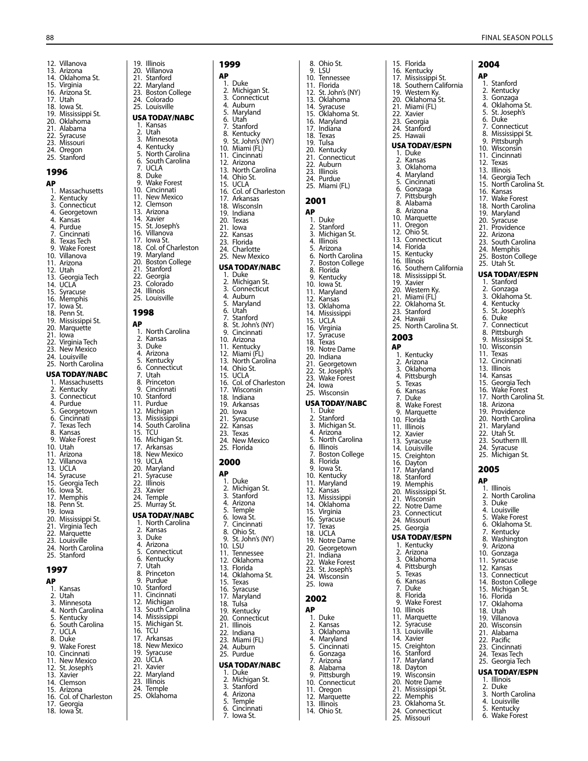1996  $AP$ <sub>1.</sub>

 $12$ . Utah

21. Iowa<br>22. Virgin

19. Iowa

1997 AP

12. Villanova 13. Arizona 14. Oklahoma St. 15. Virginia 16. Arizona St. 17. Utah 18. Iowa St. 19. Mississippi St. 20. Oklahoma 21. Alabama 22. Syracuse 23. Missouri 24. Oregon 25. Stanford **..**<br>1. Massachusetts<br>2. Kentucky 2. Kentucky 3. Connecticut 4. Georgetown 4. Kansas 4. Purdue 7. Cincinnati<br>8. Texas Tech Texas Tech 9. Wake Forest 10. Villanova 11. Arizona 13. Georgia Tech 14. UCLA 15. Syracuse 16. Memphis 17. Iowa St. 18. Penn St. 19. Mississippi St. 20. Marquette Virginia Tech 23. New Mexico 24. Louisville 25. North Carolina USA TODAY/ NABC 1. Massachusetts 2. Kentucky 3. Connecticut 4. Purdue<br>5. Georget 5. Georgetown<br>6. Cincinnati 6. Cincinnati **Texas Tech** 8. Kansas 9. Wake Forest 10. Utah 11. Arizona 12. Villanova 13. UCLA 14. Syracuse 15. Georgia Tech 16. Iowa St. 17. Memphis 18. Penn St. 20. Mississippi St. 21. Virginia Tech 22. Marquette 23. Louisville 24. North Carolina 25. Stanford 1. Kansas 2. Utah 3. Minnesota 4. North Carolina 5. Kentucky 6. South Carolina 19. Illinois<br>20. Villano 20. Villanova 1998 AP

- 24. Colorado 25. Louisville USA TODAY/ NABC 1. Kansas 2. Utah<br>3. Minn 3. Minnesota 4. Kentucky 5. North Carolina 5. North Carolina<br>6. South Carolina<br>7. UCLA<br>8. Duke UCLA 8. Duke<br>8. Duke<br>9. Wake Wake Forest 10. Cincinnati 11. New Mexico 13. Arizona 14. Xavier<br>15. St. Jose 15. St. Joseph's Villanova 19. Maryland 20. Boston College<br>21. Stanford 21. Stanford<br>22. Georgia Georgia 3. Duke Connecticut Utah **Cincinnati** Michigan South Carolina UCLA 3. Duke Michigan St. 18. New Mexico Syracuse
- 6. Kentucky<br>7. Utah 7. Utah 8. Princeton<br>9. Purdue 14. Mississippi<br>15. Michigan S
- 21. Syracuse 22. Illinois 23. Xavier 24. Temple 2. Kansas<br>3. Duke 4. Arizona 9. Purdue<br>10. Stanford 10. Stanford<br>11. Cincinnat 16. TCU 17. Arkansas<br>18. New Mex 20. UCLA<br>21. Xavier
- 
- 
- -
- 
- 15. Arizona 16. Col. of Charleston 17. Georgia
- 18. Iowa St.

7. UCLA 8. Duke 9. Wake Forest 10. Cincinnati 11. New Mexico 11. New memer 13. Xavier 14. Clemson

- 17. Iowa St. 18. Col. of Charleston
- 
- 23. Colorado 24. Illinois
- 25. Louisville
- 1. North Carolina 2. Kansas<br>3. Duke 3. Bune<br>4. Arizona<br>5. Kentuck 5. Kentucky<br>6. Connection<br>7. Utah<br>8. Princeton 8. Princeton<br>9. Cincinnati 16. Michigan St. 18. New Mexico<br>19. UCLA 25. Murray St. 1. North Carolina<br>2. Kansas 5. Connecticut<br>6. Kentucky 11. Cincinnati<br>12. Michigan 12. Michigan<br>13. South Car 13. South Carolina<br>14. Mississippi
- 
- 
- Maryland
- 23. Illinóis<br>24. Temple
- 
- 
- 

### Stanford 22. Maryland 23. Boston College

1999 AP 1. Duke<br>2. Michi 2. Michigan St.<br>3. Connecticut 3. Connecticut<br>4. Auburn 4. Auburn<br>5. Marylan 5. Maryland 6. Utań<br>7. Stanf<br>8. Kentu Stanford 8. Kentucky 9. St. John's (NY) 10. Miami (FL)<br>11. Cincinnati 11. Cincinnati<br>12. Arizona 12. Arizona<br>13. North Ca 13. North Carolina<br>14. Ohio St. Ohio St. 15. UCLA 16. Col. of Charleston 17. Arkansas 18. Wisconsln<br>19. Indiana 19. Indiana<br>20. Texas 20. Texas 21. Iowa<br>22. Kansa Kansas 23. Florida 24. Charlotte 25. New Mexico USA TODAY/ NABC 1. Duke<br>2. Michio 2. Michigan St. 3. Connecticut<br>4. Auburn 4. Auburn<br>5. Marylan 5. Maryland<br>6. Utah<br>7. Stanford 6. Utah 7. Stanford<br>8. St. John's 8. St. John's (NY)<br>9. Cincinnati 9. Cincinnati<br>10. Arizona Arizona 11. Kentucky 12. Miami (FL) 13. North Carolina 14. Ohio St. 15. UCLA<br>16. Col. of 16. Col. of Charleston<br>17. Wisconsin Wisconsin 18. Indiana 19. Arkansas 20. Iowa<br>21. Syrac 21. Syracuse<br>22. Kansas 22. Kansas<br>23. Texas **Texas** 24. New Mexico 25. Florida 2000 AP 1. Duke<br>2 Michie 2. Michigan St.<br>3. Stanford 3. Stanford<br>4. Arizona 4. Arizona<br>5. Temple 5. Temple<br>6. Iowa St.<br>7. Cincinn lowa St. 7. Cincinnati<br>8. Ohio St 8. Ohio St.<br>9. St. John's St. John's (NY)

- 
- 
- 
- 
- 
- 12. Clemson
- 
- 
- 
- 
- 
- 
- 10. Stanford 11. Purdue<br>12. Michiga 13. Mississippi<br>14. South Card 15. TCU 17. Arkansas<br>18. New Mexi 20. Maryland

### USA TODAY/ NABC

- 21. Xavier<br>22. Maryla
- 
- Temple
- 25. Oklahoma
- 4. Arizona<br>5. Temple Temple<br>Cincinnati

1. Duke<br>2. Michio 2. Michigan St. 3. Stanford<br>4. Arizona

10. LSU<br>11. Tenr Tennessee 12. Oklahoma<br>13. Elorida **Florida** 14. Oklahoma St.<br>15. Texas 15. Texas 16. Syracuse<br>17 Maryland 17. Maryland<br>18. Tulsa Tulsa 19. Kentucky Connecticut 21. Illinois 22. Indiana 23. Miami (FL) 24. Auburn 25. Purdue

- 6. Cincinnati 7. Iowa St.
- 8. Ohio St. 9. LSU 10. Tennessee 11. Florida 12. St. John's (NY) 13. Oklahoma 14. Syracuse 15. Oklahoma St. 16. Maryland 17. Indiana 18. Texas 19. Tulsa 20. Kentucky 21. Connecticut<br>22. Auburn Auburn 23. Illinois 24. Purdue 25. Miami (FL) 2001 AP 1. Duke 2. Stanford 3. Michigan St. 4. Illinois 5. Arizona 6. North Carolina 7. Boston College 8. Florida 9. Kentucky 10. Iowa St. Maryland 12. Kansas 13. Oklahoma 14. Mississippi 15. UCLA<br>16. Virgini Virginia 17. Syracuse<br>18. Texas 18. Téxas<br>19. Notre Notre Dame 20. Indiana 21. Georgetown 22. St. Joseph's 23. Wake Forest 24. Iowa 25. Wisconsin USA TODAY/ NABC 1. Duke 2. Stanford 3. Michigan St. 4. Arizona 5. North Carolina 6. Illinois 7. Boston College **Florida** 9. Iowa St. 10. Kentucky 11. Maryland 12. Kansas 13. Mississippi 14. Oklahoma 15. Virginia 16. Syracuse 17. Texas 18. UCLA 19. Notre Dame 20. Georgetown 21. Indiana 22. Wake Forest 23. St. Joseph's 24. Wisconsin 25. Iowa 2002 AP 1. Duke 2. Kansas 3. Oklahoma 4. Maryland 5. Cincinnati 6. Gonzaga 7. Arizona
- 
- -
	- 11. Oregon
	- 12. Marquette 13. Illinois
		- 14. Ohio St.
- 15. Florida 16. Kentucky 17. Mississippi St. 18. Southern California 19. Western Ky. 20. Oklahoma St. 21. Miami (FL) 22. Xavier 23. Georgia 24. Stanford 25. Hawaii USA TODAY/ ESP N 1. Duke<br>2. Kansa 2. Kansas<br>3. Oklaho 3. Oklahoma 4. Maryland<br>5. Cincinnati 5. Cincinnati<br>6. Gonzaga<br>7. Pittsburgh 6. Gonzaga 7. Pittsburgh 8. Alabama<br>8. Arizona **Arizona** 10. Marquette 11. Oregon 12. Ohio St. 13. Connecticut 14. Florida 15. Kentucky<br>16. Illinois 16. Illinois<br>16. Southe Southern California 18. Mississippi St. 19. Xavier 20. Western Ky. 21. Miami (FL) 22. Oklahoma St. 23. Stanford 24. Hawaii 25. North Carolina St. 2003 AP 1. Kentucky 2. Arizona 3. Oklahoma 4. Pittsburgh 5. Texas 6. Kansas<br>7. Duke 7. Duke 8. Wake Forest Marquette 10. Florida 11. Illinois 12. Xavier<br>13. Syracu Syracuse 14. Louisville 15. Creighton 16. Dayton 17. Maryland 18. Stanford<br>19. Memphis Memphis 20. Mississippi St. 21. Wisconsin 22. Notre Dame 23. Connecticut 24. Missouri 25. Georgia USA TODAY/ ESP N 1. Kentucky 2. Arizona<br>3. Oklahor<br>4. Pittsbur **Oklahoma** 4. Pittsburgh 5. Texas 6. Kansas 7. Duke 8. Florida<br>9. Wake E 9. Wake Forest 10. Illinois 11. Marquette 12. Syracuse 13. Louisville 14. Xavier 15. Creighton<br>16. Stanford Stanford

17. Maryland 18. Dayton 19. Wisconsin 20. Notre Dame 21. Mississippi St. 22. Memphis 23. Oklahoma St. 24. Connecticut 25. Missouri

2004 AP 1. Stanford 2. Kentucky 3. Gonzaga 4. Oklahoma St. 5. St. Joseph's 6. Duke 7. Connecticut 8. Mississippi St. 9. Pittsburgh 10. Wisconsin 11. Cincinnati<br>12. Texas Texas 13. Illinois 14. Georgia Tech 15. North Carolina St. 16. Kansas 17. Wake Forest 18. North Carolina 19. Maryland 20. Syracuse 21 Providence 22. Arizona 23. South Carolina 24. Memphis 25. Boston College 25. Utah St. USA TODAY/ ESP N 1. Stanford<br>2. Gonzaga Gonzaga 3. Oklahoma St. 4. Kentucky 5. St. Joseph's 6. Duke 7. Connecticut Pittsburgh 9. Mississippi St. 10. Wisconsin 11. Texas 12. Cincinnati 13. Illinois 14. Kansas 15. Georgia Tech 16. Wake Forest 17. North Carolina St. 18. Arizona 19. Providence 20. North Carolina 21. Maryland 22. Utah St. 23. Southern III 24. Syracuse 25. Michigan St. 2005 AP 1. Illinois 2. North Carolina 3. Duke 4. Louisville 5. Wake Forest 6. Oklahoma St. 7. Kentucky 8. Washington 9. Arizona 10. Gonzaga 11. Syracuse 12. Kansas 13. Connecticut 14. Boston College 15. Michigan St. 15. Mienige<br>16. Florida 17. Oklahoma 18. Utah 19. Villanova

> 20. Wisconsin 21. Alabama 22. Pacific 23. Cincinnati 24. Texas Tech 25. Georgia Tech USA TODAY/ ESP N 1. Illinois 2. Duke 3. North Carolina 4. Louisville 5. Kentucky 6. Wake Forest

- 
- 
- USA TODAY/ NABC
	- 8. Alabama<br>9. Pittsburg Pittsburgh
		- 10. Connecticut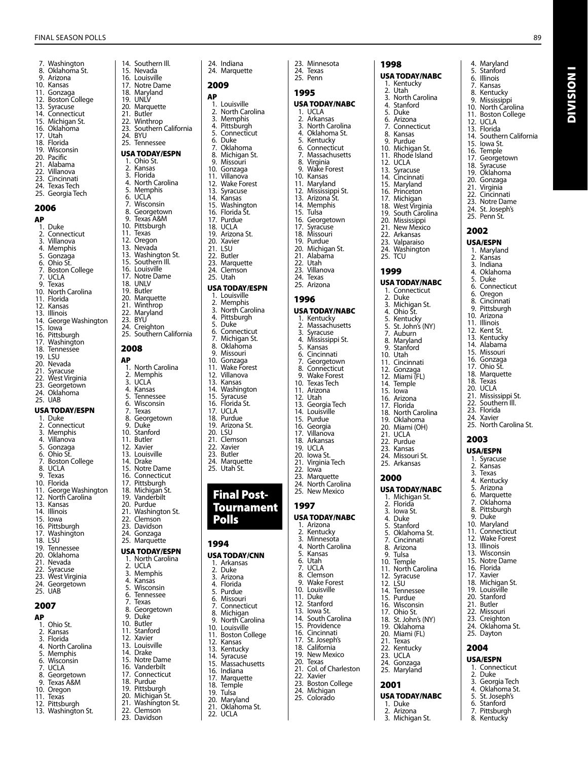2006 AP

2007  $AP$ <sub>1.</sub>

7. Washington 8. Oklahoma St.<br>9. Arizona **Arizona** 10. Kansas 11. Gonzaga 12. Boston College 13. Syracuse<br>14. Connectio 14. Connecticut<br>15. Michigan St. Michigan St. 16. Oklahoma<br>17. Utah 17. Utah 18. Florida<br>19. Wiscor Wisconsin 20. Pacific<br>21. Alaban 21. Alabama<br>22. Villanova Villanova 23. Cincinnati<br>24. Texas Tech 24. Texas Tech 25. Georgia Tech 1. Duke 2. Connecticut<br>3. Villanova 3. Villanova 4. Memphis<br>5. Gonzaga 5. Gonzaga<br>6. Ohio St. 6. Ohio St. o. Onio 5t.<br>7. Boston College<br>7. UCLA 7. UCLA<br>9 Texas 9. Texas<br>10. North 10. North Carolina<br>11 Florida 11. Florida<br>12. Kansas 12. Kansas<br>13. Illinois 13. Illinois<br>14 George 15. Innois<br>14. George Washington<br>15. Iowa 15. Iowa<br>16. Pittsb Pittsburgh 17. Washington<br>18. Tennessee **Tennessee** 19. LSU<br>20. Neva Nevada 21. Syracuse<br>22. West Virg **West Virginia** 23. Georgetown<br>24. Oklahoma **Oklahoma** 25. UAB USA TODAY/ ESP N 1. Duke 2. Connecticut<br>3. Memphis **Memphis** 4. Villanova<br>5. Gonzaga 5. Gonzaga Ohio St. 7. Boston College 8. UCLA<br>9 Texas **Texas** 10. Florida 11. George Washington 12. North Carolina 13. Kansas<br>14. Illinois **Illinois** 15. Iowa<br>16. Pittsh Pittsburgh 17. Washington 18. LSU<br>19. Tenr 19. Tennessee **Oklahoma** 21. Nevada<br>22. Svracuse 22. Syracuse<br>23. West Viro **West Virginia** 24. Georgetown 25. UAB **..**<br>1. Ohio St.<br>2. Kansas 2. Kansas<br>3. Florida 3. Florida<br>4. North 0 4. North Carolina<br>5. Memphis 5. Memphis 6. Wisconsin<br>7 LICLA 7. UCLA<br>8. Georg 8. Georgetown<br>9 Texas A&M 9. Texas A&M 10. Oregon 11. Texas 12 Pittsburgh 13. Washington St. 14. Southern III.<br>15. Nevada 21. Butler<br>22. Winth **RYII** 6. UCLA 11. Texas<br>12. Orego 12. Oregon<br>13. Nevada 18. UNLV<br>19. Butler 19. Butler<br>20. Margu 23. BYU<br>24. Crei 2008 AP 3. UCLA<br>4. Kansa 7. Texas 9. Duke<br>10. Stanfo 11. Butler 12. Xavier<br>13. Louisy 14. Drake<br>15. Notre 20. Purdue<br>21. Washin 2. UCLA<br>3. Memp 7. Texas 9. Duke<sup>7</sup><br>10. Butlet 10. Butler<br>11. Stanfo 12. Xavier<br>13. Louisvi 14. Drake<br>15. Notre 18. Purdue<br>19. Pittsbur

15. Nevada<br>16. Louisvill 16. Louisville 17. Notre Dame<br>18. Maryland 18. Maryland 19. UNLV 20. Marquette<br>21. Butler 22. Winthrop 23. Southern California 25. Tennessee USA TODAY/ ESP N 1. Ohio St. 2. Kansas<br>3. Florida 3. Florida<br>4. North C 4. North Carolina 5. Memphis 7. Wisconsin 8. Georgetown<br>9. Texas A&M 9. Texas A&M<br>10. Pittsburgh 10. Pittsburgh<br>11. Texas 13. Nevada<br>13. Washing 13. Washington St.<br>15. Southern III. 15. Southern III.<br>16. Louisville 16. Louisville<br>17. Notre Dar 17. Notre Dame 20. Marquette<br>21. Winthrop 21. Winthrop 22. Maryland 24. Creighton Southern California 1. North Carolina 2. Memphis 4. Kansas<br>5. Tennes 5. Tennessee 6. Wisconsin<br>7. Texas 8. Georgetown Stanford 13. Louisville<br>14. Drake 15. Notre Dame<br>16. Connecticut Connecticut 17. Pittsburgh<br>18. Michigan S 18. Michigan St.<br>19. Vanderbilt 19. Vanderbilt<br>20. Purdue 21. Washington St.<br>22. Clemson 22. Clemson<br>23. Davidson 23. Davidson<br>24. Gonzaga Gonzaga 25. Marquette USA TODAY/ ESP N 1. North Carolina<br>2. UCI A 3. Memphis 4. Kansas<br>5. Wiscon 5. Wisconsin 6. Tennessee<br>7. Texas 8. Georgetown<br>9. Duke 11. Stanford<br>12. Xavier 12. Xavier<br>13. Louisville<br>14. Drake 15. Notre Dame<br>16. Vanderbilt 16. Vanderbilt<br>17. Connecticu 17. Connecticut<br>18. Purdue 19. Pittsburgh<br>20. Michigan 20. Michigan St.<br>21. Washington

- 21. Washington St.<br>22. Clemson
- 22. Clemson<br>23. Davidson Davidson

24. Marquette 2009  $AP$ <sub>1.</sub> 1. Louisville<br>2. North Car 2. North Carolina<br>3. Memphis **Memphis** 4. Pittsburgh<br>5. Connecticu 5. Connecticut 6. Duke<br>7. Oklah 5. Buile<br>7. Oklahoma<br>8. Michigan 9 8. Michigan St. 9. Missouri<br>10. Gonzaga 10. Gonzaga<br>11 Villanova 11. Villanova<br>12. Wake For 12. Wake Forest 13. Syracuse<br>14. Kansas 14. Kansas<br>15. Washin 15. Washington<br>16. Florida St. 16. Florida St. 17. Purdue 18. UCLA 19. Arizona St. Xavier 21. LSU<br>22. Butl 22. Butler<br>23. Margu 23. Marquette<br>24. Clemson Clemson 25. Utah USA TODAY/ ESP N 1. Louisville 2. Memphis<br>3. North Car 3. North Carolina<br>4. Pittsburgh 4. Pittsburgh 5. Duke 6. Connecticut 7. Michigan St. 8. Oklahoma<br>9. Missouri 9. Missouri<br>10. Gonzaga 10. Gonzaga<br>11. Wake For 11. Wake Forest<br>12. Villanova Villanova 13. Kansas<br>14. Washin Washington 15. Syracuse 16. Florida St. 17. UCLA<br>18. Purdu 18. Purdue<br>19. Arizona 19. Arizona St. 20. LSU<br>21. Clen 21. Clemson<br>22. Xavier 22. Xavier<br>23. Butler **Butler** 24. Marquette 25. Utah St. Final Post-

24. Indiana

# Tournament Polls

## 1994

- USA TODAY/CNN 1. Arkansas 2. Duke
	- **Arizona**
	- 4. Florida<br>5. Purdue
	- 5. Purdue<br>6. Missou
	- 6. Missouri<br>7. Connecti
	- 7. Connecticut
	- 8. Michigan 9. North Carolina
	-
	- 10. Louisville
	- 10. Boston College<br>11. Boston College<br>12. Kansas
	- 12. Kansas<br>13. Kentucl
	- 13. Kentucky<br>14. Syracuse
	- 14. Syracusé<br>15. Massachi
	- 15. Massachusetts<br>16. Indiana
	- 16. Indiana<br>17 Marquei
	- 17. Marquette
	- 18. Temple<br>19. Tulsa **Tulsa** 
		-
	- 20. Maryland<br>21. Oklahoma
	- 21. Okláhoma St.<br>22. UCLA **UCLA**

25. Penn 1995 USA TODAY/ NABC 1. UCLA 2. Arkansas<br>3. North Cau 3. North Carolina<br>4. Oklahoma St 4. Oklahoma St. 5. Kentucky 6. Connecticut 7. Massachusetts 8. Virginia<br>9. Wake Fo 9. Wake Forest 10. Kansas 11. Maryland 12. Mississippi St. 13. Arizona St. 14. Memphis 15. Tulsa 16. Georgetown 17 Syracuse 18. Missouri 19. Purdue 20. Michigan St.<br>21. Alabama 21. Alabama<br>22. Utah Utah 23. Villanova<br>24. Texas **Texas** 25. Arizona 1996 USA TODAY/ NABC 1. Kentucky 2. Massachusetts 3. Syracuse 4. Mississippi St.<br>5. Kansas 5. Kansas 6. Cincinnati<br>7. Georgetov **Georgetown** 8. Connecticut<br>9. Wake Forest 9. Wake Forest<br>10. Texas Tech 10. Texas Tech<br>11. Arizona Arizona 12. Utah 13. Georgia Tech<br>14. Louisville 14. Louisville 15. Purdue<br>16. Georgia 16. Georgia<br>17. Villanov Villanova 18. Arkansas<br>19. LICLA 19. UCLA<br>20. lowa s 20. Iowa St. 21. Virginia Tech<br>22. Iowa 22. Iowa<br>23. Marg Marquette 24. North Carolina 25. New Mexico

23. Minnesota 24. Texas

# 1997

USA TODAY/ NABC 1. Arizona<br>2. Kentuck 2. Kentucky<br>3. Minnesot 3. Minnesota 4. North Carolina 5. Kansas 6. Utah<br>7. UCLA 7. UCLA<br>8. Clems 8. Clemson<br>9. Wake For 9. Wake Forest 10. Louisville 11. Duke 12. Stanford<br>13. Iowa St. 13. Iowa St.<br>14. South C South Carolina 15. Providence<br>16. Cincinnati Cincinnati 17. St. Joseph's<br>18. California 18. California<br>19. New Mexi 19. New Mexico **Texas** 21. Col. of Charleston<br>22. Xavier Xavier 23. Boston College 24. Michigan 25. Colorado

1998 USA TODAY/ NABC 1. Kentucky 2. Utah<br>3. North 2. Stari<br>3. North Carolina<br>4. Stanford 4. Stanford 5. Duke<br>6. Arizor 6. Arizona 7. Connecticut 8. Kansas 9. Purdue 10. Michigan St. 11. Rhode Island 12. UCLA<br>13. Syracu Syracuse 14. Cincinnati 15. Maryland<br>16. Princeton Princeton 17 Michigan 17. memgan<br>18. West Virginia<br>19. South Carolir South Carolina 20. Mississippi 21 New Mexico 22. Arkansas 23. Valparaiso 24. Washington 25. TCU 1999

USA TODAY/ NABC 1. Connecticut 2. Duke 3. Michigan St. 4. Ohio St. 5. Kentucky St. John's (NY) 5. St. John<sup>2</sup><br>7. Auburn 8. Maryland<br>9. Stanford 9. Stanford 10. Utah 11. Cincinnati 12. Gonzaga 12. Miami (FL) 14. Temple 15. Iowa 16. Arizona 17. Florida 18. North Carolina 19. Oklahoma 20. Miami (OH)  $21$ . LICLA 22. Purdue 23. Kansas 24. Missouri St. 25. Arkansas

## 2000

USA TODAY/ NABC 1. Michigan St. 2. Florida 3. Iowa St. 4. Duke<br>5. Stanfo 5. Stanford 5. Oklahoma St.<br>7. Cincinnati 7. Cincinnati Arizona 9. Tulsa<br>10. Temn 10. Temple 11. North Carolina 12. Syracuse 12. LSU 14. Tennessee 15. Purdue 16. Wisconsin 17. Ohio St. 18. St. John's (NY)<br>18. St. John's (NY)<br>19. Oklahoma **Oklahoma** 20. Miami (FL) 21. Texas 22. Kentucky 23. UCLA 24. Gonzaga 25. Maryland 2001 USA TODAY/ NABC

1. Duke 2. Arizona 3. Michigan St.

- 4. Maryland
- 5. Stanford<br>6. Illinois
- 6. Illinois 7. Kansas
- **Kentuckv**
- 9. Mississippi 10. North Carolina
- 11. Boston College
- 12. UCLA<br>13. Florida
- 13. Florida<br>14. Southe Southern California

Division I

**DIVISION I** 

- 15. Iowa St.
- 
- 16. Temple 17. Georgetown 18. Syracuse
- 19. Oklahoma<br>20. Gonzaga
- Gonzaga
- 21. Virginia 22. Cincinnati
- 23. Notre Dame
- 24. St. Joseph's
- 25. Penn St.
- 2002

### USA/ ESP N

- 1. Maryland 2. Kansas
- 3. Indiana
- 4. Oklahoma<br>5. Duke
- 5. Duke 6. Connecticut
- 6. Oregon
- 8. Cincinnati
- 9. Pittsburgh
- 10. Arizona 11. Illinois
- 12. Kent St.
- 13. Kentucky
- 14. Alabama
- 15. Missouri 16. Gonzaga
- 17. Ohio St.
- 18. Marquette
- 18. Texas
- 20. UCLA
- 21. Mississippi St.<br>22. Southern III.
- Southern III. 23. Florida
- 24. Xavier
- 25. North Carolina St.

### 2003

- USA/ ESP N
- 1. Syracuse 2. Kansas
- 3. Texas
- 4. Kentucky
- 5. Arizona
- 6. Marquette
- 7. Oklahoma 8. Pittsburgh
- 9. Duke
- 10. Maryland
- 11. Connecticut 12. Wake Forest
- 
- 13. Illinois<br>13. Wiscor Wisconsin
- 15. Notre Dame
- 16. Florida<br>17. Xavier Xavier
- 18. Michigan St.
- 19. Louisville<br>20. Stanford Stanford
- 21. Butler
- 22. Missouri
- 23. Creighton
- 24. Oklahoma St. 25. Dayton
- 2004
- USA/ ESP N
- 1. Connecticut
- 2. Duke<br>3. Geord Georgia Tech 4. Oklahoma St.<br>5. St. Joseph's

5. St. Joseph's 6. Stanford 7. Pittsburgh 8. Kentucky